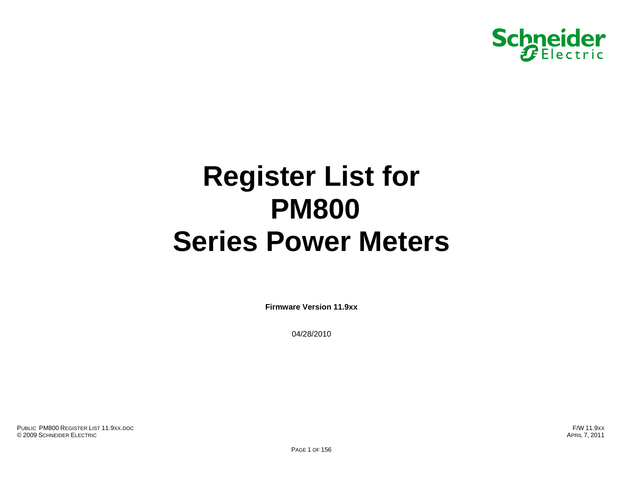

# **Register List for PM800 Series Power Meters**

**Firmware Version 11.9xx** 

04/28/2010

PUBLIC PM800 REGISTER LIST 11.9XX.DOC© 2009 SCHNEIDER ELECTRIC APRIL 7, 2011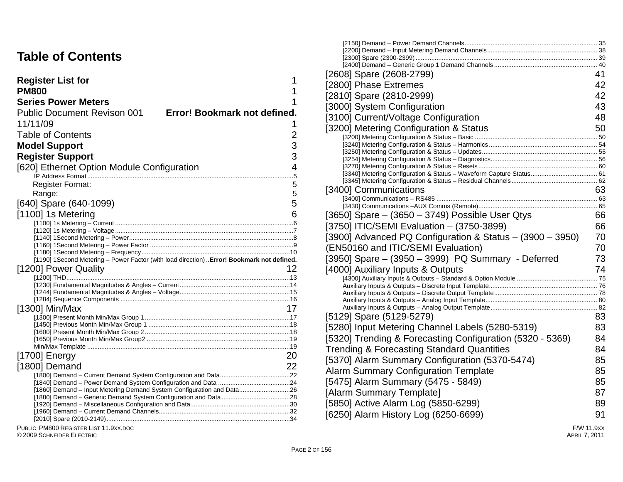#### **Table of Contents**

| <b>Register List for</b>                                                                   |                              |
|--------------------------------------------------------------------------------------------|------------------------------|
| <b>PM800</b>                                                                               |                              |
| <b>Series Power Meters</b>                                                                 |                              |
| <b>Public Document Revison 001</b>                                                         | Error! Bookmark not defined. |
| 11/11/09                                                                                   |                              |
| <b>Table of Contents</b>                                                                   | 2                            |
| <b>Model Support</b>                                                                       | 3                            |
|                                                                                            |                              |
| <b>Register Support</b>                                                                    | 3                            |
| [620] Ethernet Option Module Configuration                                                 | 4                            |
|                                                                                            | 5                            |
| Register Format:                                                                           | 5<br>5                       |
| Range:                                                                                     | 5                            |
| [640] Spare (640-1099)                                                                     |                              |
| [1100] 1s Metering                                                                         | 6                            |
|                                                                                            |                              |
|                                                                                            |                              |
|                                                                                            |                              |
|                                                                                            |                              |
| [1190] 1Second Metering - Power Factor (with load direction)  Error! Bookmark not defined. |                              |
| [1200] Power Quality                                                                       |                              |
|                                                                                            |                              |
|                                                                                            |                              |
|                                                                                            |                              |
| $[1300]$ Min/Max                                                                           | 17                           |
|                                                                                            |                              |
|                                                                                            |                              |
|                                                                                            |                              |
|                                                                                            |                              |
| $[1700]$ Energy                                                                            | 20                           |
|                                                                                            |                              |
| [1800] Demand                                                                              | 22                           |
|                                                                                            |                              |
| [1860] Demand - Input Metering Demand System Configuration and Data26                      |                              |
|                                                                                            |                              |
|                                                                                            |                              |
|                                                                                            |                              |
|                                                                                            |                              |

PUBLIC PM800 REGISTER LIST 11.9XX.DOC

© 2009 SCHNEIDER ELECTRIC

|                                                            | [2608] Spare (2608-2799)                                  | 41         |
|------------------------------------------------------------|-----------------------------------------------------------|------------|
|                                                            |                                                           | 42         |
|                                                            | [2800] Phase Extremes                                     |            |
|                                                            | [2810] Spare (2810-2999)                                  | 42         |
| Error! Bookmark not defined.                               | [3000] System Configuration                               | 43         |
| )01                                                        | [3100] Current/Voltage Configuration                      | 48         |
|                                                            | [3200] Metering Configuration & Status                    | 50         |
| 2                                                          |                                                           |            |
| 3                                                          |                                                           |            |
| 3                                                          |                                                           |            |
| ule Configuration<br>4                                     |                                                           |            |
|                                                            |                                                           |            |
| 5                                                          |                                                           |            |
| 5                                                          | [3400] Communications                                     | 63         |
| 5                                                          |                                                           |            |
| 6                                                          | [3650] Spare $-$ (3650 $-$ 3749) Possible User Qtys       | 66         |
|                                                            |                                                           |            |
|                                                            | [3750] ITIC/SEMI Evaluation - (3750-3899)                 | 66         |
|                                                            | [3900] Advanced PQ Configuration & Status - (3900 - 3950) | 70         |
|                                                            | (EN50160 and ITIC/SEMI Evaluation)                        | 70         |
| Factor (with load direction)  Error! Bookmark not defined. | [3950] Spare - (3950 - 3999) PQ Summary - Deferred        | 73         |
| 12                                                         | [4000] Auxiliary Inputs & Outputs                         | 74         |
|                                                            |                                                           |            |
|                                                            |                                                           |            |
|                                                            |                                                           |            |
| 17                                                         |                                                           |            |
|                                                            | [5129] Spare (5129-5279)                                  | 83         |
|                                                            | [5280] Input Metering Channel Labels (5280-5319)          | 83         |
|                                                            | [5320] Trending & Forecasting Configuration (5320 - 5369) | 84         |
|                                                            |                                                           |            |
| 20                                                         | <b>Trending &amp; Forecasting Standard Quantities</b>     | 84         |
| 22                                                         | [5370] Alarm Summary Configuration (5370-5474)            | 85         |
|                                                            | <b>Alarm Summary Configuration Template</b>               | 85         |
|                                                            | [5475] Alarm Summary (5475 - 5849)                        | 85         |
|                                                            | [Alarm Summary Template]                                  | 87         |
|                                                            | [5850] Active Alarm Log (5850-6299)                       | 89         |
|                                                            |                                                           |            |
|                                                            | [6250] Alarm History Log (6250-6699)                      | 91         |
|                                                            |                                                           | F/W 11.9xx |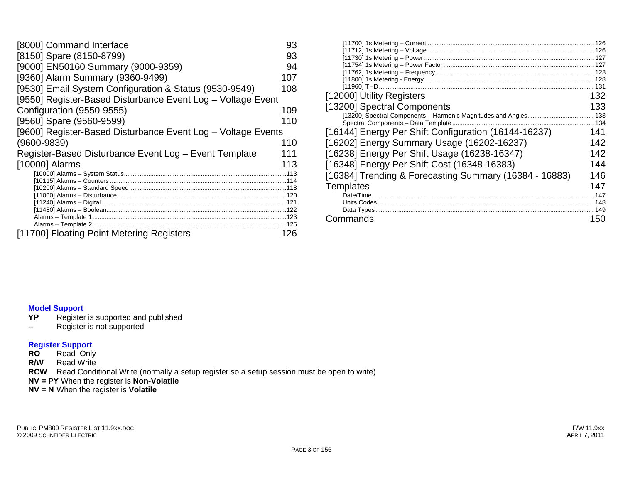| [8000] Command Interface                                     | 93  |
|--------------------------------------------------------------|-----|
| [8150] Spare (8150-8799)                                     | 93  |
| [9000] EN50160 Summary (9000-9359)                           | 94  |
| [9360] Alarm Summary (9360-9499)                             | 107 |
| [9530] Email System Configuration & Status (9530-9549)       | 108 |
| [9550] Register-Based Disturbance Event Log - Voltage Event  |     |
| Configuration (9550-9555)                                    | 109 |
| [9560] Spare (9560-9599)                                     | 110 |
| [9600] Register-Based Disturbance Event Log - Voltage Events |     |
| $(9600 - 9839)$                                              | 110 |
| Register-Based Disturbance Event Log - Event Template        | 111 |
| [10000] Alarms                                               | 113 |
|                                                              |     |
|                                                              |     |
|                                                              |     |
|                                                              |     |
|                                                              |     |
|                                                              |     |
| [11700] Floating Point Metering Registers                    | 126 |

|                                                        | 126 |
|--------------------------------------------------------|-----|
|                                                        | 126 |
|                                                        | 127 |
|                                                        |     |
|                                                        |     |
|                                                        |     |
|                                                        |     |
| [12000] Utility Registers                              | 132 |
| [13200] Spectral Components                            | 133 |
|                                                        | 133 |
| Spectral Components - Data Template.                   |     |
| [16144] Energy Per Shift Configuration (16144-16237)   | 141 |
| [16202] Energy Summary Usage (16202-16237)             | 142 |
| [16238] Energy Per Shift Usage (16238-16347)           | 142 |
| [16348] Energy Per Shift Cost (16348-16383)            | 144 |
| [16384] Trending & Forecasting Summary (16384 - 16883) | 146 |
| <b>Templates</b>                                       | 147 |
|                                                        | 147 |
|                                                        |     |
|                                                        | 149 |
| Commands                                               | 150 |
|                                                        |     |

# **Model Support**

- Register is supported and published
- **--** Register is not supported

#### **Register Support**

- **RO** Read Only
- **R/W** Read Write
- **RCW** Read Conditional Write (normally a setup register so a setup session must be open to write)
- **NV = PY** When the register is **Non-Volatile**
- **NV = N** When the register is **Volatile**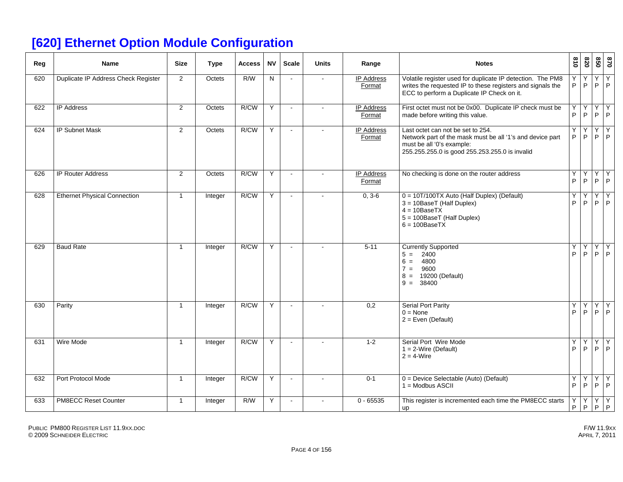## **[620] Ethernet Option Module Configuration**

| Reg | <b>Name</b>                         | <b>Size</b>    | <b>Type</b> | <b>Access</b> | <b>NV</b> | <b>Scale</b>   | <b>Units</b>   | Range                       | <b>Notes</b>                                                                                                                                                                  | 018              | 078     | 09             | 0/8                            |
|-----|-------------------------------------|----------------|-------------|---------------|-----------|----------------|----------------|-----------------------------|-------------------------------------------------------------------------------------------------------------------------------------------------------------------------------|------------------|---------|----------------|--------------------------------|
| 620 | Duplicate IP Address Check Register | $\overline{2}$ | Octets      | R/W           | N         | $\sim$         | $\sim$         | <b>IP Address</b><br>Format | Volatile register used for duplicate IP detection. The PM8<br>writes the requested IP to these registers and signals the<br>ECC to perform a Duplicate IP Check on it.        | Y<br>P           | Y<br>P  | Υ<br>P         | Y<br>P                         |
| 622 | <b>IP Address</b>                   | $\overline{2}$ | Octets      | R/CW          | Υ         | $\blacksquare$ | $\blacksquare$ | <b>IP Address</b><br>Format | First octet must not be 0x00. Duplicate IP check must be<br>made before writing this value.                                                                                   | Y<br>P           | Ϋ<br>P  | Υ<br>P.        | Y<br>P                         |
| 624 | <b>IP Subnet Mask</b>               | $\overline{2}$ | Octets      | R/CW          | Y         | $\omega$       |                | <b>IP Address</b><br>Format | Last octet can not be set to 254.<br>Network part of the mask must be all '1's and device part<br>must be all '0's example:<br>255.255.255.0 is good 255.253.255.0 is invalid | Υ<br>P           | Y<br>P  | Υ<br>P         | Y<br>P                         |
| 626 | <b>IP Router Address</b>            | $\overline{2}$ | Octets      | R/CW          | Y         | $\sim$         |                | <b>IP Address</b><br>Format | No checking is done on the router address                                                                                                                                     | Y<br>P           | Υ<br>P  | Υ<br>$\sf P$   | $\overline{Y}$<br>$\mathsf{P}$ |
| 628 | <b>Ethernet Physical Connection</b> | $\mathbf{1}$   | Integer     | R/CW          | Y         | $\sim$         |                | $0, 3-6$                    | 0 = 10T/100TX Auto (Half Duplex) (Default)<br>3 = 10BaseT (Half Duplex)<br>$4 = 10$ BaseTX<br>5 = 100BaseT (Half Duplex)<br>$6 = 100$ BaseTX                                  | Y<br>P           | Y<br>P  | Υ<br>P.        | Y<br>$\mathsf{P}$              |
| 629 | <b>Baud Rate</b>                    | $\mathbf{1}$   | Integer     | R/CW          | Y         | $\sim$         |                | $5 - 11$                    | <b>Currently Supported</b><br>2400<br>$5 =$<br>4800<br>$6 =$<br>9600<br>$7 =$<br>19200 (Default)<br>$8 =$<br>$9 = 38400$                                                      | Υ<br>P           | Υ<br>P. | Υ<br>P.        | Y<br>P                         |
| 630 | Parity                              | $\mathbf{1}$   | Integer     | R/CW          | Y         | $\sim$         |                | 0,2                         | <b>Serial Port Parity</b><br>$0 = \text{None}$<br>$2 = Even (Default)$                                                                                                        | Y<br>P           | Y<br>P  | $\overline{Y}$ | Y<br>$P$ $P$                   |
| 631 | Wire Mode                           | $\mathbf{1}$   | Integer     | R/CW          | Y         | $\blacksquare$ |                | $1 - 2$                     | Serial Port Wire Mode<br>$1 = 2$ -Wire (Default)<br>$2 = 4$ -Wire                                                                                                             | Y<br>P           | Υ<br>P  | Υ<br>P         | Y<br>P                         |
| 632 | Port Protocol Mode                  | $\mathbf{1}$   | Integer     | R/CW          | Y         | $\sim$         |                | $0 - 1$                     | 0 = Device Selectable (Auto) (Default)<br>$1 = Modbus ASCII$                                                                                                                  | Υ<br>$\mathsf P$ | Y<br>P  | Υ<br>P.        | Υ<br>$\mathsf P$               |
| 633 | PM8ECC Reset Counter                | $\mathbf{1}$   | Integer     | R/W           | Y         | $\sim$         |                | $0 - 65535$                 | This register is incremented each time the PM8ECC starts<br>up                                                                                                                | Y<br>P           | Y<br>P  | Y<br>P         | Y<br>P                         |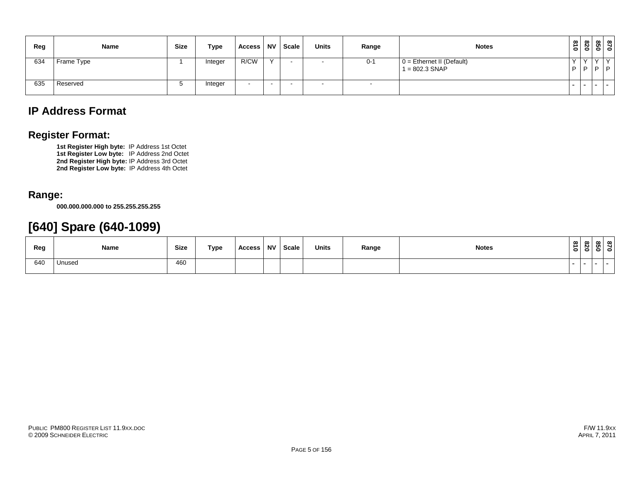| Reg | Name       | <b>Size</b> | Type    | Access | <b>NV</b>    | <b>Scale</b> | <b>Units</b> | Range                    | <b>Notes</b>                                    | $\frac{8}{10}$ | 078 |                 | 870<br>850                   |
|-----|------------|-------------|---------|--------|--------------|--------------|--------------|--------------------------|-------------------------------------------------|----------------|-----|-----------------|------------------------------|
| 634 | Frame Type |             | Integer | R/CW   | $\checkmark$ |              |              | $0 - 1$                  | $0 =$ Ethernet II (Default)<br>$1 = 802.3$ SNAP | $\mathsf{P}$   |     | $\sqrt{}$<br>D. | $\checkmark$<br>$\mathsf{P}$ |
| 635 | Reserved   |             | Integer |        | . .          |              | $\sim$       | $\overline{\phantom{a}}$ |                                                 |                |     | .               |                              |

#### **IP Address Format**

#### **Register Format:**

**1st Register High byte:** IP Address 1st Octet **1st Register Low byte:** IP Address 2nd Octet **2nd Register High byte:** IP Address 3rd Octet **2nd Register Low byte:** IP Address 4th Octet

#### **Range:**

**000.000.000.000 to 255.255.255.255** 

#### **[640] Spare (640-1099)**

| Reg | Name   | <b>Size</b> | Type | Access | NV Scale | <b>Units</b> | Range | <b>Notes</b> | $\frac{3}{2}$            | ന | ൦ |
|-----|--------|-------------|------|--------|----------|--------------|-------|--------------|--------------------------|---|---|
| 640 | Unused | 460         |      |        |          |              |       |              | $\overline{\phantom{a}}$ |   |   |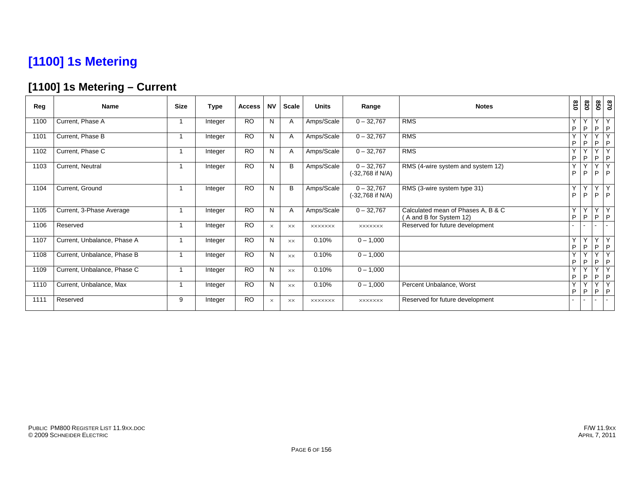## **[1100] 1s Metering**

#### **[1100] 1s Metering – Current**

| Reg  | <b>Name</b>                 | <b>Size</b> | <b>Type</b> | <b>Access</b> | <b>NV</b> | <b>Scale</b>   | <b>Units</b>   | Range                              | <b>Notes</b>                                                  | 018    | 078               | 850                    | 0/8                  |
|------|-----------------------------|-------------|-------------|---------------|-----------|----------------|----------------|------------------------------------|---------------------------------------------------------------|--------|-------------------|------------------------|----------------------|
| 1100 | Current, Phase A            |             | Integer     | <b>RO</b>     | N         | A              | Amps/Scale     | $0 - 32,767$                       | <b>RMS</b>                                                    | Υ<br>P | Υ<br>P            | Y<br>P                 | Y<br> P              |
| 1101 | Current, Phase B            |             | Integer     | <b>RO</b>     | N         | Α              | Amps/Scale     | $0 - 32,767$                       | <b>RMS</b>                                                    | Y<br>P | Y<br>P            | $\checkmark$<br>P      | Y<br> P              |
| 1102 | Current, Phase C            |             | Integer     | <b>RO</b>     | N         | Α              | Amps/Scale     | $0 - 32,767$                       | <b>RMS</b>                                                    | Υ<br>P | P                 | v<br>P                 | Y<br> P              |
| 1103 | Current, Neutral            |             | Integer     | <b>RO</b>     | N         | B              | Amps/Scale     | $0 - 32,767$<br>(-32,768 if N/A)   | RMS (4-wire system and system 12)                             | Y<br>P | $\checkmark$<br>P |                        | Y<br>$P$ $P$         |
| 1104 | Current, Ground             |             | Integer     | <b>RO</b>     | N         | B              | Amps/Scale     | $0 - 32,767$<br>$(-32,768$ if N/A) | RMS (3-wire system type 31)                                   | Y<br>P | Y<br>P            | $\checkmark$<br>P      | Y<br> P              |
| 1105 | Current, 3-Phase Average    |             | Integer     | <b>RO</b>     | N         | Α              | Amps/Scale     | $0 - 32,767$                       | Calculated mean of Phases A, B & C<br>(A and B for System 12) | Υ<br>P | Y<br>P            | P                      | YY<br> P             |
| 1106 | Reserved                    |             | Integer     | <b>RO</b>     | $\times$  | XX             | <b>XXXXXXX</b> | <b>XXXXXXX</b>                     | Reserved for future development                               |        |                   |                        |                      |
| 1107 | Current, Unbalance, Phase A |             | Integer     | <b>RO</b>     | N         | <b>XX</b>      | 0.10%          | $0 - 1,000$                        |                                                               | Y<br>P | Y<br>P            | $\vee$<br>$\mathsf{P}$ | Y<br> P              |
| 1108 | Current, Unbalance, Phase B |             | Integer     | <b>RO</b>     | N         | $\times\times$ | 0.10%          | $0 - 1,000$                        |                                                               | Υ<br>P | Υ<br>P            | $\checkmark$<br>P      | Y<br> P              |
| 1109 | Current, Unbalance, Phase C |             | Integer     | <b>RO</b>     | N         | $\times\times$ | 0.10%          | $0 - 1,000$                        |                                                               | Y<br>P | Υ<br>P            | P                      | Y<br> P              |
| 1110 | Current, Unbalance, Max     |             | Integer     | <b>RO</b>     | N         | <b>XX</b>      | 0.10%          | $0 - 1,000$                        | Percent Unbalance, Worst                                      | Y<br>P | Y<br>P            | Y<br>P                 | $\overline{Y}$<br> P |
| 1111 | Reserved                    | 9           | Integer     | <b>RO</b>     | $\times$  | $\times\times$ | <b>XXXXXXX</b> | <b>XXXXXXX</b>                     | Reserved for future development                               |        |                   |                        | $\sim$               |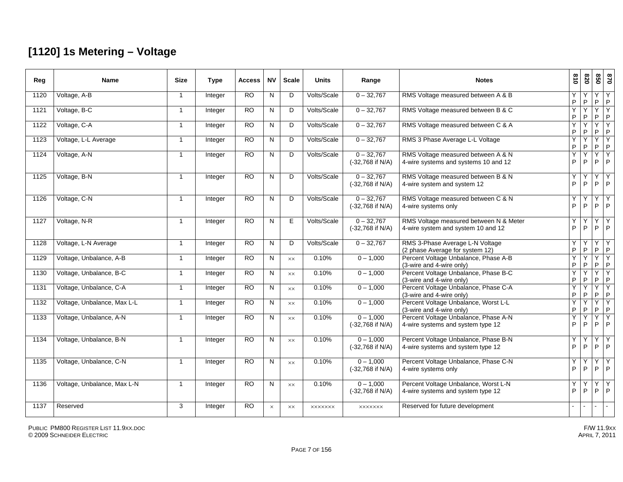#### **[1120] 1s Metering – Voltage**

| Reg  | <b>Name</b>                 | Size           | <b>Type</b> | <b>Access</b>   | <b>NV</b>    | <b>Scale</b>   | <b>Units</b>   | Range                              | <b>Notes</b>                                                                 | 618    | 078                     | 058    | 0 <sub>28</sub>   |
|------|-----------------------------|----------------|-------------|-----------------|--------------|----------------|----------------|------------------------------------|------------------------------------------------------------------------------|--------|-------------------------|--------|-------------------|
| 1120 | Voltage, A-B                | $\mathbf{1}$   | Integer     | $\overline{RO}$ | N            | D              | Volts/Scale    | $0 - 32,767$                       | RMS Voltage measured between A & B                                           | Υ<br>P | P                       | Y<br>P | Y<br>$\mathsf P$  |
| 1121 | Voltage, B-C                | -1             | Integer     | $\overline{RO}$ | N            | D              | Volts/Scale    | $0 - 32,767$                       | RMS Voltage measured between B & C                                           | Ÿ<br>P | ${\sf P}$               | Ÿ<br>P | Y<br>$\mathsf P$  |
| 1122 | Voltage, C-A                | $\mathbf{1}$   | Integer     | $\overline{RO}$ | N            | D              | Volts/Scale    | $0 - 32,767$                       | RMS Voltage measured between C & A                                           | Ÿ<br>P | Y<br>P                  | Υ<br>P | Y<br>$\mathsf P$  |
| 1123 | Voltage, L-L Average        | $\mathbf{1}$   | Integer     | $\overline{RO}$ | N            | D              | Volts/Scale    | $0 - 32,767$                       | RMS 3 Phase Average L-L Voltage                                              | Y<br>P | P                       | Y<br>P | Y<br>$\mathsf P$  |
| 1124 | Voltage, A-N                | $\overline{1}$ | Integer     | <b>RO</b>       | $\mathsf{N}$ | D              | Volts/Scale    | $0 - 32,767$<br>(-32,768 if N/A)   | RMS Voltage measured between A & N<br>4-wire systems and systems 10 and 12   | Y<br>P | $\checkmark$<br>$\sf P$ | Y<br>P | Y<br>$\mathsf{P}$ |
| 1125 | Voltage, B-N                | $\mathbf{1}$   | Integer     | $\overline{RO}$ | N            | D              | Volts/Scale    | $0 - 32,767$<br>(-32,768 if N/A)   | RMS Voltage measured between B & N<br>4-wire system and system 12            | Y<br>P | $\mathsf{P}$            | Y<br>P | Y<br>P            |
| 1126 | Voltage, C-N                |                | Integer     | $\overline{RO}$ | N            | D              | Volts/Scale    | $0 - 32,767$<br>$(-32,768$ if N/A) | RMS Voltage measured between C & N<br>4-wire systems only                    | Y<br>P | P                       | Υ<br>P | Y<br>P            |
| 1127 | Voltage, N-R                |                | Integer     | $\overline{RO}$ | N            | E.             | Volts/Scale    | $0 - 32,767$<br>(-32,768 if N/A)   | RMS Voltage measured between N & Meter<br>4-wire system and system 10 and 12 | Y<br>P | $\sf P$                 | Υ<br>P | Y<br>$\mathsf{P}$ |
| 1128 | Voltage, L-N Average        | 1              | Integer     | $\overline{RO}$ | N            | D              | Volts/Scale    | $0 - 32,767$                       | RMS 3-Phase Average L-N Voltage<br>(2 phase Average for system 12)           | Υ<br>P | P                       | Y<br>P | Y<br>$\mathsf P$  |
| 1129 | Voltage, Unbalance, A-B     | $\mathbf{1}$   | Integer     | <b>RO</b>       | N            | $\times\times$ | 0.10%          | $0 - 1,000$                        | Percent Voltage Unbalance, Phase A-B<br>(3-wire and 4-wire only)             | Y<br>P | P                       | Y<br>P | Y<br>$\sf P$      |
| 1130 | Voltage, Unbalance, B-C     | -1             | Integer     | $\overline{RO}$ | N            | XX             | 0.10%          | $0 - 1,000$                        | Percent Voltage Unbalance, Phase B-C<br>(3-wire and 4-wire only)             | Ÿ<br>P | $\sf P$                 | Y<br>P | Ÿ<br>$\mathsf P$  |
| 1131 | Voltage, Unbalance, C-A     | $\mathbf{1}$   | Integer     | <b>RO</b>       | N            | XX             | 0.10%          | $0 - 1,000$                        | Percent Voltage Unbalance, Phase C-A<br>(3-wire and 4-wire only)             | Y<br>P | Y<br>$\sf P$            | Y<br>P | Y<br>$\mathsf P$  |
| 1132 | Voltage, Unbalance, Max L-L | $\mathbf{1}$   | Integer     | $\overline{RO}$ | N            | $\times\times$ | 0.10%          | $0 - 1,000$                        | Percent Voltage Unbalance, Worst L-L<br>(3-wire and 4-wire only)             | Ÿ<br>P | Ÿ<br>P                  | Y<br>P | Y<br>P            |
| 1133 | Voltage, Unbalance, A-N     | $\mathbf{1}$   | Integer     | <b>RO</b>       | N            | <b>XX</b>      | 0.10%          | $0 - 1,000$<br>$(-32,768$ if N/A)  | Percent Voltage Unbalance, Phase A-N<br>4-wire systems and system type 12    | Y<br>P | P                       | Y<br>P | Y<br>P            |
| 1134 | Voltage, Unbalance, B-N     | $\mathbf{1}$   | Integer     | $\overline{RO}$ | N            | $\times\times$ | 0.10%          | $0 - 1,000$<br>$(-32,768$ if N/A)  | Percent Voltage Unbalance, Phase B-N<br>4-wire systems and system type 12    | Y<br>P | P                       | Υ<br>P | Y<br>P            |
| 1135 | Voltage, Unbalance, C-N     | $\mathbf{1}$   | Integer     | $\overline{RO}$ | N            | <b>XX</b>      | 0.10%          | $0 - 1.000$<br>(-32,768 if N/A)    | Percent Voltage Unbalance, Phase C-N<br>4-wire systems only                  | Υ<br>P | $\sf P$                 | Υ<br>P | Y<br>P            |
| 1136 | Voltage, Unbalance, Max L-N | -1             | Integer     | <b>RO</b>       | N            | <b>XX</b>      | 0.10%          | $0 - 1.000$<br>$(-32,768$ if N/A)  | Percent Voltage Unbalance, Worst L-N<br>4-wire systems and system type 12    | Y<br>P | P                       | Υ<br>P | Y<br>P            |
| 1137 | Reserved                    | 3              | Integer     | R <sub>O</sub>  | $\times$     | XX             | <b>XXXXXXX</b> | <b>XXXXXXX</b>                     | Reserved for future development                                              |        |                         |        |                   |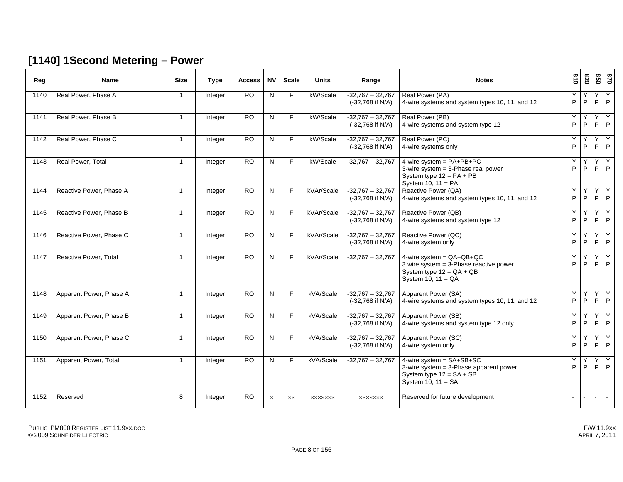#### **[1140] 1Second Metering – Power**

| Reg  | <b>Name</b>             | <b>Size</b>             | <b>Type</b> | <b>Access</b>   | <b>NV</b>    | <b>Scale</b>   | <b>Units</b>   | Range                                    | <b>Notes</b>                                                                                                                     | 018      | 078            | 850            | 0/8               |
|------|-------------------------|-------------------------|-------------|-----------------|--------------|----------------|----------------|------------------------------------------|----------------------------------------------------------------------------------------------------------------------------------|----------|----------------|----------------|-------------------|
| 1140 | Real Power, Phase A     | $\overline{1}$          | Integer     | $\overline{RO}$ | N            | F.             | kW/Scale       | $-32,767 - 32,767$<br>(-32,768 if N/A)   | Real Power (PA)<br>4-wire systems and system types 10, 11, and 12                                                                | Y.<br>P  | $\mathsf{P}$   | Υ<br>P.        | Y<br>P            |
| 1141 | Real Power, Phase B     | $\overline{1}$          | Integer     | <b>RO</b>       | $\mathsf{N}$ | F              | kW/Scale       | $-32,767 - 32,767$<br>$(-32,768$ if N/A) | Real Power (PB)<br>4-wire systems and system type 12                                                                             | Y<br>P   | P              | P              | Y<br>P            |
| 1142 | Real Power, Phase C     | $\overline{1}$          | Integer     | $\overline{RO}$ | N            | $\overline{F}$ | kW/Scale       | $-32,767 - 32,767$<br>(-32,768 if N/A)   | Real Power (PC)<br>4-wire systems only                                                                                           | Y.<br>P  | Y<br>P         | Y<br>P         | Y<br>P            |
| 1143 | Real Power, Total       | $\overline{1}$          | Integer     | $\overline{RO}$ | $\mathsf{N}$ | F.             | kW/Scale       | $-32.767 - 32.767$                       | 4-wire system = $PA+PB+PC$<br>3-wire system $=$ 3-Phase real power<br>System type $12 = PA + PB$<br>System 10, $11 = PA$         | Y.<br>P  | Υ<br>P         | Y<br>P.        | $\mathsf{Y}$<br>P |
| 1144 | Reactive Power, Phase A | $\overline{\mathbf{1}}$ | Integer     | $\overline{RO}$ | N            | F.             | kVAr/Scale     | $-32.767 - 32.767$<br>$(-32,768$ if N/A) | Reactive Power (QA)<br>4-wire systems and system types 10, 11, and 12                                                            | Y<br>P   | Υ<br>P         | P              | P                 |
| 1145 | Reactive Power, Phase B | $\overline{1}$          | Integer     | <b>RO</b>       | N            | F.             | kVAr/Scale     | $-32,767 - 32,767$<br>$(-32,768$ if N/A) | Reactive Power (QB)<br>4-wire systems and system type 12                                                                         | Y.<br>P  | Y<br>P         | Y<br>P         | Y<br>P            |
| 1146 | Reactive Power, Phase C | $\overline{1}$          | Integer     | $\overline{RO}$ | N            | F.             | kVAr/Scale     | $-32,767 - 32,767$<br>$(-32,768$ if N/A) | Reactive Power (QC)<br>4-wire system only                                                                                        | Y.<br>P  | P              | Y<br>P         | Y<br>P            |
| 1147 | Reactive Power, Total   | $\overline{1}$          | Integer     | $\overline{RO}$ | N            | F              | kVAr/Scale     | $-32,767 - 32,767$                       | 4-wire system = $QA+QB+QC$<br>3 wire system $=$ 3-Phase reactive power<br>System type $12 = QA + QB$<br>System 10, $11 = QA$     | Y<br>P   | P              | Υ<br>P.        | Y<br>P            |
| 1148 | Apparent Power, Phase A | $\overline{1}$          | Integer     | $\overline{RO}$ | N            | F              | kVA/Scale      | $-32.767 - 32.767$<br>$(-32,768$ if N/A) | Apparent Power (SA)<br>4-wire systems and system types 10, 11, and 12                                                            | Y.<br>P  | Y<br>P         | Y<br>P.        | Y<br>P            |
| 1149 | Apparent Power, Phase B | -1                      | Integer     | $\overline{RO}$ | N            | F.             | kVA/Scale      | $-32,767 - 32,767$<br>$(-32,768$ if N/A) | Apparent Power (SB)<br>4-wire systems and system type 12 only                                                                    | Y.<br>P  | Υ<br>P         | Υ<br>P.        | Y<br>P            |
| 1150 | Apparent Power, Phase C | $\overline{1}$          | Integer     | <b>RO</b>       | N            | F.             | kVA/Scale      | $-32,767 - 32,767$<br>(-32,768 if N/A)   | Apparent Power (SC)<br>4-wire system only                                                                                        | Y.<br>P. | Y<br>P         | Y<br>P         | Y<br>P            |
| 1151 | Apparent Power, Total   | $\overline{1}$          | Integer     | $\overline{RO}$ | N            | F              | kVA/Scale      | $-32,767 - 32,767$                       | $4$ -wire system = $SA+SB+SC$<br>3-wire system = $3$ -Phase apparent power<br>System type $12 = SA + SB$<br>System 10, $11 = SA$ | Y<br>P   | P              | P              | Υ<br>P            |
| 1152 | Reserved                | 8                       | Integer     | RO              | $\times$     | $\times\times$ | <b>XXXXXXX</b> | <b>XXXXXXX</b>                           | Reserved for future development                                                                                                  | $\sim$   | $\blacksquare$ | $\blacksquare$ |                   |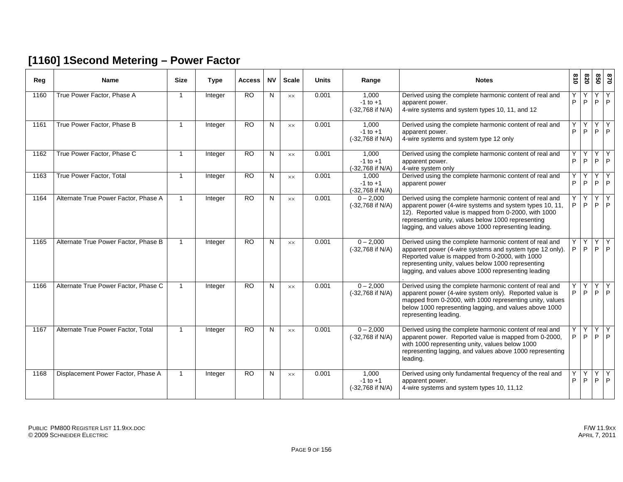#### **[1160] 1Second Metering – Power Factor**

| Reg  | <b>Name</b>                          | <b>Size</b>  | <b>Type</b>    | <b>Access</b>   | <b>NV</b> | <b>Scale</b>   | <b>Units</b> | Range                                     | <b>Notes</b>                                                                                                                                                                                                                                                                             | $\frac{3}{2}$ | 078    | 098    | 0/8                       |
|------|--------------------------------------|--------------|----------------|-----------------|-----------|----------------|--------------|-------------------------------------------|------------------------------------------------------------------------------------------------------------------------------------------------------------------------------------------------------------------------------------------------------------------------------------------|---------------|--------|--------|---------------------------|
| 1160 | True Power Factor, Phase A           | $\mathbf{1}$ | <b>Integer</b> | $\overline{RO}$ | N         | <b>XX</b>      | 0.001        | 1.000<br>$-1$ to $+1$<br>(-32,768 if N/A) | Derived using the complete harmonic content of real and<br>apparent power.<br>4-wire systems and system types 10, 11, and 12                                                                                                                                                             | Y<br>P        | Y<br>P | Y<br>P | Y<br> P                   |
| 1161 | True Power Factor, Phase B           | $\mathbf{1}$ | Integer        | <b>RO</b>       | N         | <b>XX</b>      | 0.001        | 1.000<br>$-1$ to $+1$<br>(-32,768 if N/A) | Derived using the complete harmonic content of real and<br>apparent power.<br>4-wire systems and system type 12 only                                                                                                                                                                     | Y<br>P        | Y<br>P | Y<br>P | Y<br> P                   |
| 1162 | True Power Factor, Phase C           | $\mathbf 1$  | Integer        | RO              | N         | <b>XX</b>      | 0.001        | 1.000<br>$-1$ to $+1$<br>(-32,768 if N/A) | Derived using the complete harmonic content of real and<br>apparent power.<br>4-wire system only                                                                                                                                                                                         | Υ<br>P        | Υ<br>P | Y<br>P | Y<br>P                    |
| 1163 | True Power Factor, Total             | $\mathbf 1$  | Integer        | RO              | N         | <b>XX</b>      | 0.001        | 1,000<br>$-1$ to $+1$<br>(-32,768 if N/A) | Derived using the complete harmonic content of real and<br>apparent power                                                                                                                                                                                                                | Y<br>P        | Y<br>P | Y<br>P | Y<br>P                    |
| 1164 | Alternate True Power Factor, Phase A | $\mathbf{1}$ | Integer        | <b>RO</b>       | N         | $\times\times$ | 0.001        | $0 - 2,000$<br>(-32,768 if N/A)           | Derived using the complete harmonic content of real and<br>apparent power (4-wire systems and system types 10, 11,<br>12). Reported value is mapped from 0-2000, with 1000<br>representing unity, values below 1000 representing<br>lagging, and values above 1000 representing leading. | Υ<br>P        | Y<br>P | Y<br>P | Y<br>l P                  |
| 1165 | Alternate True Power Factor, Phase B | $\mathbf{1}$ | Integer        | $\overline{RO}$ | N         | <b>XX</b>      | 0.001        | $0 - 2,000$<br>(-32,768 if N/A)           | Derived using the complete harmonic content of real and<br>apparent power (4-wire systems and system type 12 only).<br>Reported value is mapped from 0-2000, with 1000<br>representing unity, values below 1000 representing<br>lagging, and values above 1000 representing leading      | Υ<br>P        | Y<br>P | Y<br>P | Y<br> P                   |
| 1166 | Alternate True Power Factor, Phase C | $\mathbf{1}$ | Integer        | $\overline{RO}$ | N         | <b>XX</b>      | 0.001        | $0 - 2,000$<br>(-32,768 if N/A)           | Derived using the complete harmonic content of real and<br>apparent power (4-wire system only). Reported value is<br>mapped from 0-2000, with 1000 representing unity, values<br>below 1000 representing lagging, and values above 1000<br>representing leading.                         | Υ<br>P        | Y<br>P | Y<br>P | $\overline{Y}$<br> P      |
| 1167 | Alternate True Power Factor, Total   | $\mathbf{1}$ | Integer        | $\overline{RO}$ | N         | $\times\times$ | 0.001        | $0 - 2,000$<br>(-32,768 if N/A)           | Derived using the complete harmonic content of real and<br>apparent power. Reported value is mapped from 0-2000,<br>with 1000 representing unity, values below 1000<br>representing lagging, and values above 1000 representing<br>leading.                                              | Υ<br>P        | Y<br>P | Y      | Y<br>$P$ $P$              |
| 1168 | Displacement Power Factor, Phase A   | $\mathbf{1}$ | Integer        | <b>RO</b>       | N         | <b>XX</b>      | 0.001        | 1,000<br>$-1$ to $+1$<br>(-32,768 if N/A) | Derived using only fundamental frequency of the real and<br>apparent power.<br>4-wire systems and system types 10, 11,12                                                                                                                                                                 | Υ<br>P        | Y<br>P | Y      | $\overline{Y}$<br>$P$ $P$ |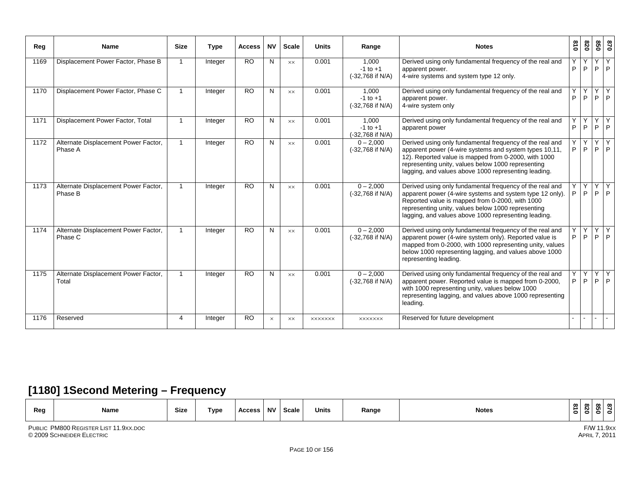| Reg  | <b>Name</b>                                     | <b>Size</b>  | <b>Type</b> | <b>Access</b>   | <b>NV</b>    | <b>Scale</b>   | <b>Units</b>   | Range                                       | <b>Notes</b>                                                                                                                                                                                                                                                                             | $\frac{8}{10}$ | 078          | 850          | 078          |
|------|-------------------------------------------------|--------------|-------------|-----------------|--------------|----------------|----------------|---------------------------------------------|------------------------------------------------------------------------------------------------------------------------------------------------------------------------------------------------------------------------------------------------------------------------------------------|----------------|--------------|--------------|--------------|
| 1169 | Displacement Power Factor, Phase B              |              | Integer     | <b>RO</b>       | N            | XX             | 0.001          | 1.000<br>$-1$ to $+1$<br>(-32,768 if N/A)   | Derived using only fundamental frequency of the real and<br>apparent power.<br>4-wire systems and system type 12 only.                                                                                                                                                                   | P              | P            | Y<br>P       | P            |
| 1170 | Displacement Power Factor, Phase C              | -1           | Integer     | <b>RO</b>       | N            | $\times\times$ | 0.001          | 1.000<br>$-1$ to $+1$<br>$(-32,768$ if N/A) | Derived using only fundamental frequency of the real and<br>apparent power.<br>4-wire system only                                                                                                                                                                                        | P              | P            | Υ<br>P       | P            |
| 1171 | Displacement Power Factor, Total                |              | Integer     | <b>RO</b>       | N            | $\times\times$ | 0.001          | 1.000<br>$-1$ to $+1$<br>(-32,768 if N/A)   | Derived using only fundamental frequency of the real and<br>apparent power                                                                                                                                                                                                               | P              | P            | Y<br>P       | Y<br>  P     |
| 1172 | Alternate Displacement Power Factor,<br>Phase A |              | Integer     | $\overline{RO}$ | N            | $\times\times$ | 0.001          | $0 - 2,000$<br>$(-32,768$ if N/A)           | Derived using only fundamental frequency of the real and<br>apparent power (4-wire systems and system types 10.11,<br>12). Reported value is mapped from 0-2000, with 1000<br>representing unity, values below 1000 representing<br>lagging, and values above 1000 representing leading. | P              | P            | Y<br>P       | Y<br>P       |
| 1173 | Alternate Displacement Power Factor,<br>Phase B |              | Integer     | <b>RO</b>       | $\mathsf{N}$ | <b>XX</b>      | 0.001          | $0 - 2,000$<br>(-32,768 if N/A)             | Derived using only fundamental frequency of the real and<br>apparent power (4-wire systems and system type 12 only).<br>Reported value is mapped from 0-2000, with 1000<br>representing unity, values below 1000 representing<br>lagging, and values above 1000 representing leading.    | Y<br>P         | $\mathsf{P}$ | Y<br>P       | Y<br>P       |
| 1174 | Alternate Displacement Power Factor,<br>Phase C | $\mathbf{1}$ | Integer     | <b>RO</b>       | N            | $\times\times$ | 0.001          | $0 - 2,000$<br>(-32,768 if N/A)             | Derived using only fundamental frequency of the real and<br>apparent power (4-wire system only). Reported value is<br>mapped from 0-2000, with 1000 representing unity, values<br>below 1000 representing lagging, and values above 1000<br>representing leading.                        | P.             | Y<br>P       | Y<br>P       | Y<br> P      |
| 1175 | Alternate Displacement Power Factor,<br>Total   |              | Integer     | <b>RO</b>       | N            | $\times\times$ | 0.001          | $0 - 2,000$<br>(-32,768 if N/A)             | Derived using only fundamental frequency of the real and<br>apparent power. Reported value is mapped from 0-2000,<br>with 1000 representing unity, values below 1000<br>representing lagging, and values above 1000 representing<br>leading.                                             | P              | Υ<br>P.      | $\mathsf{Y}$ | Y<br>$P$ $P$ |
| 1176 | Reserved                                        | 4            | Integer     | <b>RO</b>       | $\times$     | XX             | <b>XXXXXXX</b> | <b>XXXXXXX</b>                              | Reserved for future development                                                                                                                                                                                                                                                          |                | $\sim$       | $\sim$       | $\sim$       |

#### **[1180] 1Second Metering – Frequency**

| Reg | Name | Size | Type | Access | <b>NV</b> | Scale | <b>Units</b> | Range | <b>Notes</b> | ∞<br>∸<br>$\circ$ | $\infty$<br>$\sim$<br>- | $\infty$<br>ູຕ | _ യ |  |
|-----|------|------|------|--------|-----------|-------|--------------|-------|--------------|-------------------|-------------------------|----------------|-----|--|
|-----|------|------|------|--------|-----------|-------|--------------|-------|--------------|-------------------|-------------------------|----------------|-----|--|

F/W 11.9xx<br>APRIL 7, 2011

PUBLIC PM800 REGISTER LIST 11.9XX.DOC F/W© 2009 SCHNEIDER ELECTRIC APRIL 7, 2011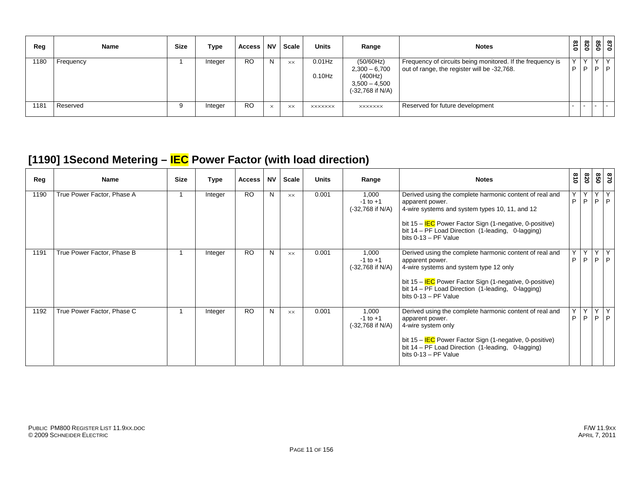| Reg  | <b>Name</b> | Size | Type    | Access    | <b>NV</b> | <b>Scale</b> | <b>Units</b>           | Range                                                                          | <b>Notes</b>                                                                                              | $\frac{3}{10}$ | 820               | 818<br>  818 |
|------|-------------|------|---------|-----------|-----------|--------------|------------------------|--------------------------------------------------------------------------------|-----------------------------------------------------------------------------------------------------------|----------------|-------------------|--------------|
| 180  | Frequency   |      | Integer | <b>RO</b> | N         | <b>XX</b>    | $0.01$ Hz<br>$0.10$ Hz | (50/60Hz)<br>$2,300 - 6,700$<br>(400Hz)<br>$3,500 - 4,500$<br>(-32,768 if N/A) | Frequency of circuits being monitored. If the frequency is<br>out of range, the register will be -32,768. | D              | $\checkmark$<br>D | Y<br>P       |
| 1181 | Reserved    | 9    | Integer | <b>RO</b> | $\times$  | <b>XX</b>    | <b>XXXXXXX</b>         | <b>XXXXXXX</b>                                                                 | Reserved for future development                                                                           |                |                   | $\sim$       |

#### **[1190] 1Second Metering – IEC Power Factor (with load direction)**

| Reg  | Name                       | <b>Size</b> | Type    | <b>Access</b> | <b>NV</b> | Scale          | <b>Units</b> | Range                                       | <b>Notes</b>                                                                                                                                                                                                                                                             | 018               | 078               | 028                      | 028               |
|------|----------------------------|-------------|---------|---------------|-----------|----------------|--------------|---------------------------------------------|--------------------------------------------------------------------------------------------------------------------------------------------------------------------------------------------------------------------------------------------------------------------------|-------------------|-------------------|--------------------------|-------------------|
| 1190 | True Power Factor, Phase A |             | Integer | <b>RO</b>     | N         | <b>XX</b>      | 0.001        | 1,000<br>$-1$ to $+1$<br>$(-32,768$ if N/A) | Derived using the complete harmonic content of real and<br>apparent power.<br>4-wire systems and system types 10, 11, and 12<br>bit $15 - IEC$ Power Factor Sign (1-negative, 0-positive)<br>bit 14 – PF Load Direction (1-leading, 0-lagging)<br>bits $0-13$ – PF Value | $\vee$<br>P       | Y<br>$\mathsf{P}$ | Y<br>P                   | $\mathsf{Y}$<br>P |
| 1191 | True Power Factor, Phase B |             | Integer | <b>RO</b>     | N         | $\times\times$ | 0.001        | 1,000<br>$-1$ to $+1$<br>$(-32,768$ if N/A) | Derived using the complete harmonic content of real and<br>apparent power.<br>4-wire systems and system type 12 only<br>bit 15 - IEC Power Factor Sign (1-negative, 0-positive)<br>bit 14 - PF Load Direction (1-leading, 0-lagging)<br>bits $0-13$ – PF Value           | P                 | P                 | $\checkmark$<br>P        | P                 |
| 1192 | True Power Factor, Phase C |             | Integer | <b>RO</b>     | N         | <b>XX</b>      | 0.001        | 1,000<br>$-1$ to $+1$<br>$(-32,768$ if N/A) | Derived using the complete harmonic content of real and<br>apparent power.<br>4-wire system only<br>bit 15 - IEC Power Factor Sign (1-negative, 0-positive)<br>bit 14 - PF Load Direction (1-leading, 0-lagging)<br>bits $0-13 - PF$ Value                               | $\checkmark$<br>P | Y<br>P            | $\vee$<br>P <sup>1</sup> | Y<br><sub>P</sub> |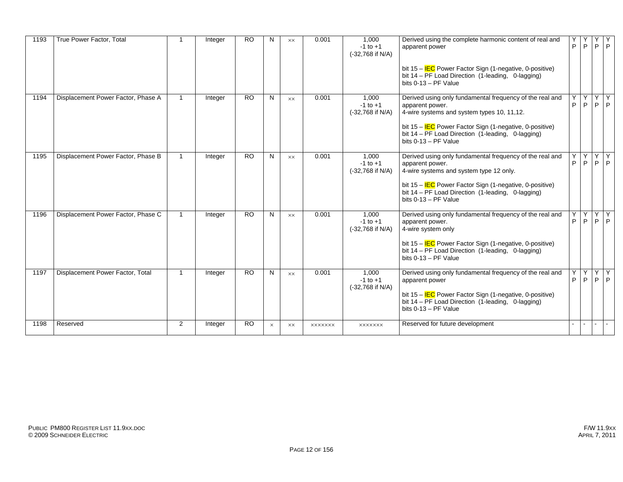| 1193 | True Power Factor, Total           | -1             | Integer | <b>RO</b> | N        | <b>XX</b>      | 0.001          | 1.000<br>$-1$ to $+1$<br>(-32,768 if N/A)   | Derived using the complete harmonic content of real and<br>apparent power<br>bit 15 – IEC Power Factor Sign (1-negative, 0-positive)<br>bit 14 - PF Load Direction (1-leading, 0-lagging)<br>bits $0-13 - PF$ Value                                                   | Υ<br>P | P                    | P      | Y<br> P            |
|------|------------------------------------|----------------|---------|-----------|----------|----------------|----------------|---------------------------------------------|-----------------------------------------------------------------------------------------------------------------------------------------------------------------------------------------------------------------------------------------------------------------------|--------|----------------------|--------|--------------------|
| 1194 | Displacement Power Factor, Phase A | -1             | Integer | <b>RO</b> | N        | $\times\times$ | 0.001          | 1.000<br>$-1$ to $+1$<br>(-32,768 if N/A)   | Derived using only fundamental frequency of the real and<br>apparent power.<br>4-wire systems and system types 10, 11,12.<br>bit $15 - IEC$ Power Factor Sign (1-negative, 0-positive)<br>bit 14 - PF Load Direction (1-leading, 0-lagging)<br>bits $0-13 - PF$ Value | Υ<br>P | P.                   |        | YYY<br>$P$ $P$     |
| 1195 | Displacement Power Factor, Phase B | $\overline{1}$ | Integer | <b>RO</b> | N        | <b>XX</b>      | 0.001          | 1.000<br>$-1$ to $+1$<br>$(-32,768$ if N/A) | Derived using only fundamental frequency of the real and<br>apparent power.<br>4-wire systems and system type 12 only.<br>bit $15 - IEC$ Power Factor Sign (1-negative, 0-positive)<br>bit 14 - PF Load Direction (1-leading, 0-lagging)<br>bits 0-13 - PF Value      | Υ<br>P | Y <sub>1</sub><br>P. | P      | YY<br> P           |
| 1196 | Displacement Power Factor, Phase C | $\overline{1}$ | Integer | <b>RO</b> | N        | $\times\times$ | 0.001          | 1.000<br>$-1$ to $+1$<br>$(-32,768$ if N/A) | Derived using only fundamental frequency of the real and<br>apparent power.<br>4-wire system only<br>bit $15 - IEC$ Power Factor Sign (1-negative, 0-positive)<br>bit 14 - PF Load Direction (1-leading, 0-lagging)<br>bits $0-13 - PF$ Value                         | Υ<br>P |                      |        | YYY<br>$P$ $P$ $P$ |
| 1197 | Displacement Power Factor, Total   | $\overline{1}$ | Integer | <b>RO</b> | N        | $\times\times$ | 0.001          | 1.000<br>$-1$ to $+1$<br>(-32,768 if N/A)   | Derived using only fundamental frequency of the real and<br>apparent power<br>bit $15 - IEC$ Power Factor Sign (1-negative, 0-positive)<br>bit 14 - PF Load Direction (1-leading, 0-lagging)<br>bits $0-13 - PF$ Value                                                | Υ<br>P | Y I<br>P             |        | YY<br>$P$ $P$      |
| 1198 | Reserved                           | 2              | Integer | <b>RO</b> | $\times$ | XX.            | <b>XXXXXXX</b> | <b>XXXXXXX</b>                              | Reserved for future development                                                                                                                                                                                                                                       |        | $\sim$               | $\sim$ | $\mathbf{I}$       |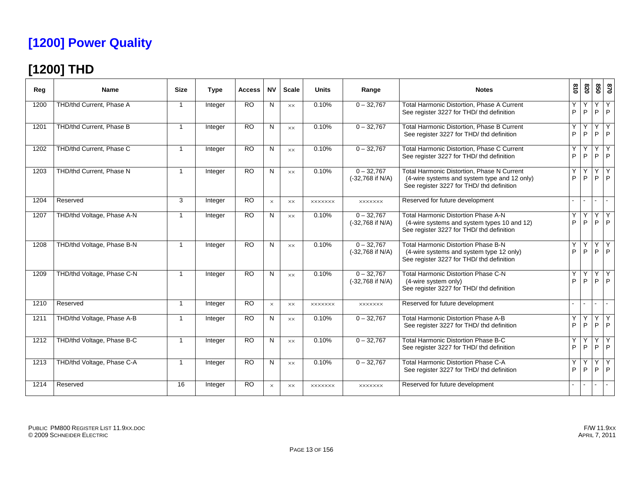## **[1200] Power Quality**

## **[1200] THD**

| Reg  | <b>Name</b>                | <b>Size</b>              | <b>Type</b> | <b>Access</b>   | <b>NV</b> | <b>Scale</b>   | <b>Units</b>   | Range                              | <b>Notes</b>                                                                                                                            | 618    | 078     | 850    | 0/8               |
|------|----------------------------|--------------------------|-------------|-----------------|-----------|----------------|----------------|------------------------------------|-----------------------------------------------------------------------------------------------------------------------------------------|--------|---------|--------|-------------------|
| 1200 | THD/thd Current, Phase A   | 1                        | Integer     | <b>RO</b>       | N         | <b>XX</b>      | 0.10%          | $0 - 32,767$                       | Total Harmonic Distortion, Phase A Current<br>See register 3227 for THD/ thd definition                                                 | Y<br>P | ٧<br>P  | Y<br>P | Y<br>P            |
| 1201 | THD/thd Current. Phase B   | $\mathbf{1}$             | Integer     | <b>RO</b>       | N         | <b>XX</b>      | 0.10%          | $0 - 32,767$                       | Total Harmonic Distortion. Phase B Current<br>See register 3227 for THD/ thd definition                                                 | Y<br>P | Y<br>P  | Υ<br>P | Y<br>P            |
| 1202 | THD/thd Current, Phase C   | $\mathbf{1}$             | Integer     | <b>RO</b>       | N         | <b>XX</b>      | 0.10%          | $0 - 32,767$                       | Total Harmonic Distortion, Phase C Current<br>See register 3227 for THD/ thd definition                                                 | Y<br>P | P       | Y<br>P | Y<br>P            |
| 1203 | THD/thd Current, Phase N   | $\overline{\phantom{a}}$ | Integer     | <b>RO</b>       | N         | $\times\times$ | 0.10%          | $0 - 32,767$<br>(-32,768 if N/A)   | Total Harmonic Distortion, Phase N Current<br>(4-wire systems and system type and 12 only)<br>See register 3227 for THD/ thd definition | Y<br>P | $\sf P$ | Y<br>P | Y<br>P            |
| 1204 | Reserved                   | 3                        | Integer     | <b>RO</b>       | $\times$  | <b>XX</b>      | <b>XXXXXXX</b> | <b>XXXXXXX</b>                     | Reserved for future development                                                                                                         |        |         |        |                   |
| 1207 | THD/thd Voltage, Phase A-N | -1                       | Integer     | <b>RO</b>       | N         | <b>XX</b>      | 0.10%          | $0 - 32,767$<br>(-32,768 if N/A)   | <b>Total Harmonic Distortion Phase A-N</b><br>(4-wire systems and system types 10 and 12)<br>See register 3227 for THD/ thd definition  | Y<br>P | $\sf P$ | Υ<br>P | Y<br>P            |
| 1208 | THD/thd Voltage, Phase B-N | $\overline{1}$           | Integer     | <b>RO</b>       | N         | $\times\times$ | 0.10%          | $0 - 32.767$<br>(-32,768 if N/A)   | <b>Total Harmonic Distortion Phase B-N</b><br>(4-wire systems and system type 12 only)<br>See register 3227 for THD/ thd definition     | Y<br>P | P       | Y<br>P | Y<br>P            |
| 1209 | THD/thd Voltage, Phase C-N | 1                        | Integer     | <b>RO</b>       | N         | <b>XX</b>      | 0.10%          | $0 - 32,767$<br>$(-32,768$ if N/A) | <b>Total Harmonic Distortion Phase C-N</b><br>(4-wire system only)<br>See register 3227 for THD/ thd definition                         | P      | P       | Y<br>P | Y<br>P            |
| 1210 | Reserved                   | 1                        | Integer     | <b>RO</b>       | $\times$  | $\times\times$ | <b>XXXXXXX</b> | <b>XXXXXXX</b>                     | Reserved for future development                                                                                                         |        |         |        |                   |
| 1211 | THD/thd Voltage, Phase A-B | $\overline{1}$           | Integer     | <b>RO</b>       | N         | <b>XX</b>      | 0.10%          | $0 - 32,767$                       | Total Harmonic Distortion Phase A-B<br>See register 3227 for THD/ thd definition                                                        | Y<br>P | P       | Υ<br>P | Y<br>P            |
| 1212 | THD/thd Voltage, Phase B-C | $\overline{\phantom{a}}$ | Integer     | <b>RO</b>       | N         | $\times\times$ | 0.10%          | $0 - 32,767$                       | <b>Total Harmonic Distortion Phase B-C</b><br>See register 3227 for THD/ thd definition                                                 | Y<br>P | P       | Y<br>P | Y<br>$\mathsf{P}$ |
| 1213 | THD/thd Voltage, Phase C-A | 1                        | Integer     | $\overline{RO}$ | N         | $\times\times$ | 0.10%          | $0 - 32,767$                       | <b>Total Harmonic Distortion Phase C-A</b><br>See register 3227 for THD/ thd definition                                                 | Y<br>P | P       | Υ<br>P | Y<br>P            |
| 1214 | Reserved                   | 16                       | Integer     | <b>RO</b>       | $\times$  | XX             | <b>XXXXXXX</b> | <b>XXXXXXX</b>                     | Reserved for future development                                                                                                         |        |         |        |                   |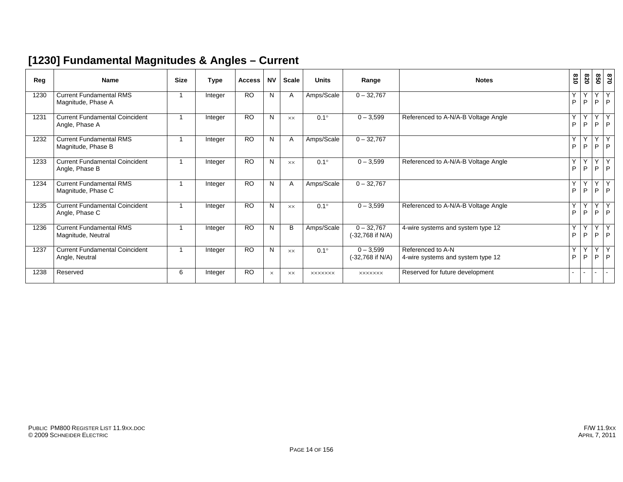#### **[1230] Fundamental Magnitudes & Angles – Current**

| Reg  | <b>Name</b>                                             | <b>Size</b> | <b>Type</b> | <b>Access</b> | <b>NV</b> | <b>Scale</b>   | <b>Units</b>   | Range                              | <b>Notes</b>                                           | $\frac{8}{10}$ | 078    | 850    | 0 <sub>28</sub> |
|------|---------------------------------------------------------|-------------|-------------|---------------|-----------|----------------|----------------|------------------------------------|--------------------------------------------------------|----------------|--------|--------|-----------------|
| 1230 | <b>Current Fundamental RMS</b><br>Magnitude, Phase A    |             | Integer     | <b>RO</b>     | N         | A              | Amps/Scale     | $0 - 32,767$                       |                                                        | Y<br>P         | Y<br>P | Y<br>P | Y<br>P          |
| 1231 | <b>Current Fundamental Coincident</b><br>Angle, Phase A |             | Integer     | <b>RO</b>     | N         | <b>XX</b>      | $0.1^\circ$    | $0 - 3,599$                        | Referenced to A-N/A-B Voltage Angle                    | Y<br>P         | Y<br>P | Y<br>P | Y<br>P          |
| 1232 | <b>Current Fundamental RMS</b><br>Magnitude, Phase B    | -1          | Integer     | <b>RO</b>     | N         | A              | Amps/Scale     | $0 - 32,767$                       |                                                        | Y<br>P         | Y<br>P | Y<br>P | Y<br>P          |
| 1233 | <b>Current Fundamental Coincident</b><br>Angle, Phase B | 1           | Integer     | <b>RO</b>     | N         | $\times\times$ | $0.1^\circ$    | $0 - 3,599$                        | Referenced to A-N/A-B Voltage Angle                    | Y<br>P         | Y<br>P | Υ<br>P | Y<br>. P        |
| 1234 | <b>Current Fundamental RMS</b><br>Magnitude, Phase C    |             | Integer     | <b>RO</b>     | N         | A              | Amps/Scale     | $0 - 32,767$                       |                                                        | Y<br>P         | Y<br>P | Y<br>P | Y<br>P          |
| 1235 | <b>Current Fundamental Coincident</b><br>Angle, Phase C |             | Integer     | <b>RO</b>     | N         | $\times\times$ | $0.1^\circ$    | $0 - 3,599$                        | Referenced to A-N/A-B Voltage Angle                    | Y<br>P         | Y<br>P | Y<br>P | Y<br>P          |
| 1236 | <b>Current Fundamental RMS</b><br>Magnitude, Neutral    | 1           | Integer     | <b>RO</b>     | N         | B              | Amps/Scale     | $0 - 32,767$<br>$(-32,768$ if N/A) | 4-wire systems and system type 12                      | Y<br>P         | Y<br>P | Y<br>P | Y<br>P          |
| 1237 | <b>Current Fundamental Coincident</b><br>Angle, Neutral |             | Integer     | <b>RO</b>     | N         | <b>XX</b>      | $0.1^\circ$    | $0 - 3,599$<br>$(-32,768$ if N/A)  | Referenced to A-N<br>4-wire systems and system type 12 | Y<br>P         | Y<br>P | Y<br>P | Y<br>P          |
| 1238 | Reserved                                                | 6           | Integer     | <b>RO</b>     | $\times$  | <b>XX</b>      | <b>XXXXXXX</b> | <b>XXXXXXX</b>                     | Reserved for future development                        |                |        |        | $\sim$          |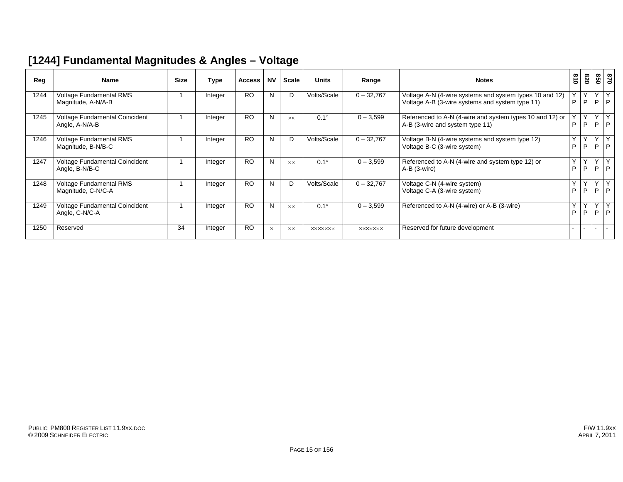#### **[1244] Fundamental Magnitudes & Angles – Voltage**

| Reg  | <b>Name</b>                                      | <b>Size</b> | Type    | <b>Access</b> | <b>NV</b> | Scale     | <b>Units</b>   | Range          | <b>Notes</b>                                                                                               | 618    | 078    | 850            | 028                 |
|------|--------------------------------------------------|-------------|---------|---------------|-----------|-----------|----------------|----------------|------------------------------------------------------------------------------------------------------------|--------|--------|----------------|---------------------|
| 1244 | Voltage Fundamental RMS<br>Magnitude, A-N/A-B    |             | Integer | <b>RO</b>     | N         | D         | Volts/Scale    | $0 - 32,767$   | Voltage A-N (4-wire systems and system types 10 and 12)<br>Voltage A-B (3-wire systems and system type 11) | P      | Υ<br>P | Y<br>P.        | $\overline{Y}$<br>P |
| 1245 | Voltage Fundamental Coincident<br>Angle, A-N/A-B |             | Integer | <b>RO</b>     | N         | <b>XX</b> | $0.1^\circ$    | $0 - 3,599$    | Referenced to A-N (4-wire and system types 10 and 12) or<br>A-B (3-wire and system type 11)                | P      | Y<br>P | Y<br>P         | Y<br>P              |
| 1246 | Voltage Fundamental RMS<br>Magnitude, B-N/B-C    |             | Integer | <b>RO</b>     | N         | D         | Volts/Scale    | $0 - 32,767$   | Voltage B-N (4-wire systems and system type 12)<br>Voltage B-C (3-wire system)                             | Y<br>P | Y<br>P | Y<br>P         | Y<br>P              |
| 1247 | Voltage Fundamental Coincident<br>Angle, B-N/B-C |             | Integer | <b>RO</b>     | N         | <b>XX</b> | $0.1^\circ$    | $0 - 3,599$    | Referenced to A-N (4-wire and system type 12) or<br>A-B (3-wire)                                           | Y<br>P | Y<br>P | Y<br>P.        | Y<br>P              |
| 1248 | Voltage Fundamental RMS<br>Magnitude, C-N/C-A    |             | Integer | <b>RO</b>     | N         | D         | Volts/Scale    | $0 - 32,767$   | Voltage C-N (4-wire system)<br>Voltage C-A (3-wire system)                                                 | Y<br>P | Y<br>P | Y<br>P         | Y<br>P              |
| 1249 | Voltage Fundamental Coincident<br>Angle, C-N/C-A |             | Integer | <b>RO</b>     | N         | <b>XX</b> | $0.1^\circ$    | $0 - 3,599$    | Referenced to A-N (4-wire) or A-B (3-wire)                                                                 | Y<br>P | Y<br>P | Y.<br><b>D</b> | Y<br>P              |
| 1250 | Reserved                                         | 34          | Integer | <b>RO</b>     | $\times$  | <b>XX</b> | <b>XXXXXXX</b> | <b>XXXXXXX</b> | Reserved for future development                                                                            |        |        | $\sim$         | $\sim$              |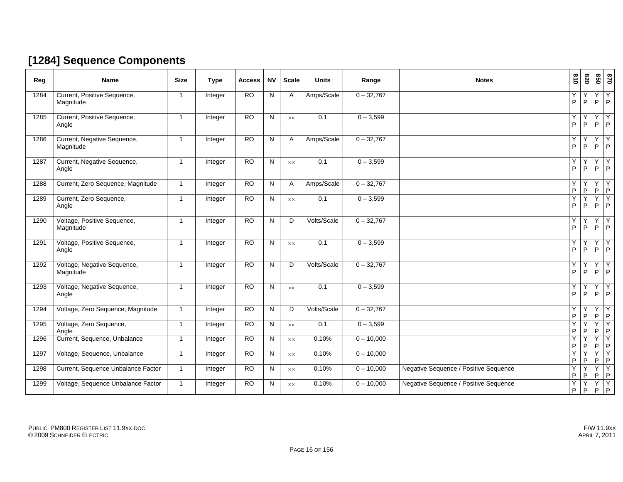#### **[1284] Sequence Components**

| Reg  | <b>Name</b>                              | <b>Size</b>  | <b>Type</b> | <b>Access</b>   | <b>NV</b>    | <b>Scale</b>   | <b>Units</b>     | Range        | <b>Notes</b>                          | $\frac{8}{10}$    | 820    | 850               | $\mathbf{0}2\mathbf{8}$ |
|------|------------------------------------------|--------------|-------------|-----------------|--------------|----------------|------------------|--------------|---------------------------------------|-------------------|--------|-------------------|-------------------------|
| 1284 | Current, Positive Sequence,<br>Magnitude | 1            | Integer     | <b>RO</b>       | N            | A              | Amps/Scale       | $0 - 32,767$ |                                       | Y<br>$\sf P$      | Y<br>P | Y<br>P            | Y<br>I P                |
| 1285 | Current, Positive Sequence,<br>Angle     | $\mathbf{1}$ | Integer     | <b>RO</b>       | N            | XX             | $\overline{0.1}$ | $0 - 3,599$  |                                       | Υ<br>$\sf P$      | P      | Υ<br>P            | Y<br>l P.               |
| 1286 | Current, Negative Sequence,<br>Magnitude | $\mathbf{1}$ | Integer     | RO              | N            | Α              | Amps/Scale       | $0 - 32,767$ |                                       | Υ<br>P            | P      | Υ<br>P            | Y<br>P                  |
| 1287 | Current, Negative Sequence,<br>Angle     | $\mathbf{1}$ | Integer     | <b>RO</b>       | N            | $\times\times$ | 0.1              | $0 - 3,599$  |                                       | Υ<br>$\mathsf{P}$ | P      | Υ<br>P            | Y<br>$\overline{P}$     |
| 1288 | Current, Zero Sequence, Magnitude        | $\mathbf{1}$ | Integer     | <b>RO</b>       | N            | A              | Amps/Scale       | $0 - 32,767$ |                                       | Y<br>$\sf P$      | P      | Y<br>$\sf P$      | Y<br>$\mathsf P$        |
| 1289 | Current, Zero Sequence,<br>Angle         | $\mathbf{1}$ | Integer     | <b>RO</b>       | N            | <b>XX</b>      | 0.1              | $0 - 3,599$  |                                       | Y<br>P            | P      | Y<br>P            | Y<br>P                  |
| 1290 | Voltage, Positive Sequence,<br>Magnitude | $\mathbf{1}$ | Integer     | $\overline{RO}$ | N            | D              | Volts/Scale      | $0 - 32,767$ |                                       | Y<br>P            | P      | Y<br>P            | Y<br>P                  |
| 1291 | Voltage, Positive Sequence,<br>Angle     | 1            | Integer     | <b>RO</b>       | N            | XX             | 0.1              | $0 - 3,599$  |                                       | Y<br>$\sf P$      | P      | Y<br>$\mathsf P$  | Y<br>P                  |
| 1292 | Voltage, Negative Sequence,<br>Magnitude | $\mathbf 1$  | Integer     | <b>RO</b>       | N            | D              | Volts/Scale      | $0 - 32,767$ |                                       | Y<br>$\mathsf{P}$ | P      | Y<br>P            | Y<br>P                  |
| 1293 | Voltage, Negative Sequence,<br>Angle     | $\mathbf 1$  | Integer     | $\overline{RO}$ | N            | <b>XX</b>      | 0.1              | $0 - 3,599$  |                                       | Y<br>$\sf P$      | P      | Y<br>$\mathsf{P}$ | Y<br>P                  |
| 1294 | Voltage, Zero Sequence, Magnitude        | $\mathbf{1}$ | Integer     | <b>RO</b>       | N            | D              | Volts/Scale      | $0 - 32,767$ |                                       | Y<br>$\sf P$      | ٧<br>P | Y<br>$\mathsf P$  | Y<br>P                  |
| 1295 | Voltage, Zero Sequence,<br>Angle         | $\mathbf{1}$ | Integer     | $\overline{RO}$ | $\mathsf{N}$ | $\times\times$ | 0.1              | $0 - 3,599$  |                                       | Y<br>$\mathsf{P}$ | Υ<br>P | $Y$ $Y$<br>P      | P                       |
| 1296 | Current, Sequence, Unbalance             | $\mathbf{1}$ | Integer     | <b>RO</b>       | N            | XX             | 0.10%            | $0 - 10,000$ |                                       | Y<br>P            | v<br>P | Y<br>$\mathsf P$  | Y<br>$\sf P$            |
| 1297 | Voltage, Sequence, Unbalance             | $\mathbf{1}$ | Integer     | <b>RO</b>       | N            | XX             | 0.10%            | $0 - 10,000$ |                                       | Y<br>${\sf P}$    | v<br>P | Y<br>P            | Y<br>$\vert P \vert$    |
| 1298 | Current, Sequence Unbalance Factor       | $\mathbf{1}$ | Integer     | <b>RO</b>       | N            | XX             | 0.10%            | $0 - 10,000$ | Negative Sequence / Positive Sequence | Y<br>P            | ٧<br>P | Y<br>P            | Y<br>P                  |
| 1299 | Voltage, Sequence Unbalance Factor       | $\mathbf{1}$ | Integer     | <b>RO</b>       | N            | XX             | 0.10%            | $0 - 10,000$ | Negative Sequence / Positive Sequence | Y<br>P            | Y<br>P | Y<br>$\mathsf P$  | $\overline{Y}$<br> P    |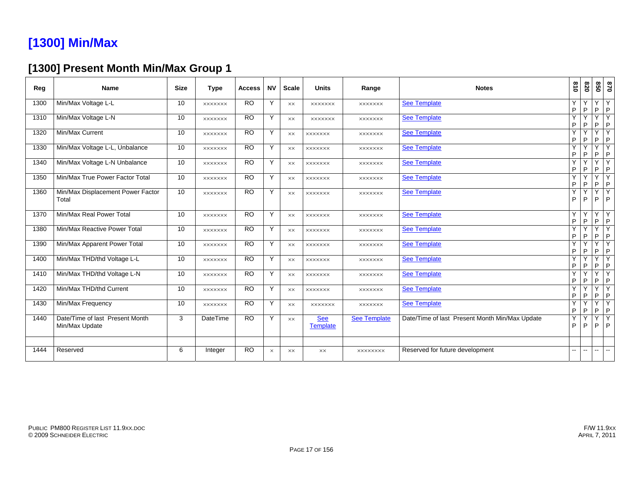## **[1300] Min/Max**

#### **[1300] Present Month Min/Max Group 1**

| Reg  | <b>Name</b>                                       | <b>Size</b> | <b>Type</b>     | <b>Access</b> | <b>NV</b> | <b>Scale</b>   | <b>Units</b>                  | Range               | <b>Notes</b>                                   | 018    | 078               | 850           | 0/8                                     |
|------|---------------------------------------------------|-------------|-----------------|---------------|-----------|----------------|-------------------------------|---------------------|------------------------------------------------|--------|-------------------|---------------|-----------------------------------------|
| 1300 | Min/Max Voltage L-L                               | 10          | <b>XXXXXXX</b>  | <b>RO</b>     | Y         | $\times\times$ | <b>XXXXXXX</b>                | <b>XXXXXXX</b>      | <b>See Template</b>                            | Y<br>P | Y<br>$\mathsf P$  | Y<br>P.       | Y<br>$\mathsf{P}$                       |
| 1310 | Min/Max Voltage L-N                               | 10          | <b>XXXXXXX</b>  | <b>RO</b>     | Y         | XX             | <b>XXXXXXX</b>                | <b>XXXXXXX</b>      | <b>See Template</b>                            | Y<br>P | Y<br>P            | Y<br>P        | Y<br>$\sf P$                            |
| 1320 | Min/Max Current                                   | 10          | <b>XXXXXXX</b>  | <b>RO</b>     | Y         | $\times\times$ | <b>XXXXXXX</b>                | <b>XXXXXXX</b>      | <b>See Template</b>                            | Y<br>P | Y<br>P            | Y<br>P        | $\overline{\mathsf{Y}}$<br>$\mathsf{P}$ |
| 1330 | Min/Max Voltage L-L, Unbalance                    | 10          | <b>XXXXXXX</b>  | <b>RO</b>     | Y         | XX             | <b>XXXXXXX</b>                | <b>XXXXXXX</b>      | <b>See Template</b>                            | Y<br>P | Y<br>P            | Y<br>P        | Y<br>$\mathsf{P}$                       |
| 1340 | Min/Max Voltage L-N Unbalance                     | 10          | <b>XXXXXXX</b>  | <b>RO</b>     | Υ         | <b>XX</b>      | <b>XXXXXXX</b>                | <b>XXXXXXX</b>      | <b>See Template</b>                            | Y<br>P | $\checkmark$<br>P | Y<br>P        | $\overline{\mathsf{Y}}$<br>$\sf P$      |
| 1350 | Min/Max True Power Factor Total                   | 10          | <b>XXXXXXX</b>  | <b>RO</b>     | Υ         | XX             | <b>XXXXXXX</b>                | <b>XXXXXXX</b>      | <b>See Template</b>                            | Y<br>P | ٧<br>P            | Y<br>P        | Y<br>P                                  |
| 1360 | Min/Max Displacement Power Factor<br>Total        | 10          | <b>XXXXXXX</b>  | <b>RO</b>     | Y         | <b>XX</b>      | <b>XXXXXXX</b>                | <b>XXXXXXX</b>      | <b>See Template</b>                            | Y<br>P | Y<br>P            | Y<br>P        | $\overline{Y}$<br>$\mathsf{P}$          |
| 1370 | Min/Max Real Power Total                          | 10          | <b>XXXXXXX</b>  | <b>RO</b>     | Y         | XX             | <b>XXXXXXX</b>                | <b>XXXXXXX</b>      | <b>See Template</b>                            | Y<br>P | Y<br>P            | Y<br>P        | Y<br>P                                  |
| 1380 | Min/Max Reactive Power Total                      | 10          | <b>XXXXXXX</b>  | <b>RO</b>     | Y         | XX             | <b>XXXXXXX</b>                | <b>XXXXXXX</b>      | <b>See Template</b>                            | Y<br>P | Υ<br>P            | Y<br>P        | Y<br>$\mathsf{P}$                       |
| 1390 | Min/Max Apparent Power Total                      | 10          | <b>XXXXXXX</b>  | <b>RO</b>     | Y         | XX             | <b>XXXXXXX</b>                | <b>XXXXXXX</b>      | <b>See Template</b>                            | Y<br>P | Y<br>P            | Y<br>P        | Y<br>$\mathsf{P}$                       |
| 1400 | Min/Max THD/thd Voltage L-L                       | 10          | <b>XXXXXXX</b>  | <b>RO</b>     | Y         | <b>XX</b>      | <b>XXXXXXX</b>                | <b>XXXXXXX</b>      | <b>See Template</b>                            | Y<br>P | Υ<br>P            | Y<br>P        | Y<br>P                                  |
| 1410 | Min/Max THD/thd Voltage L-N                       | 10          | <b>XXXXXXX</b>  | <b>RO</b>     | Y         | XX             | <b>XXXXXXX</b>                | <b>XXXXXXX</b>      | <b>See Template</b>                            | Y<br>P | Υ<br>P            | Y<br>P.       | $\overline{\mathsf{Y}}$<br>$\mathsf{P}$ |
| 1420 | Min/Max THD/thd Current                           | 10          | <b>XXXXXXX</b>  | <b>RO</b>     | Y         | <b>XX</b>      | <b>XXXXXXX</b>                | <b>XXXXXXX</b>      | <b>See Template</b>                            | Y<br>P | Y<br>P            | Y<br>P        | Y<br>$\sf P$                            |
| 1430 | Min/Max Frequency                                 | 10          | <b>XXXXXXX</b>  | <b>RO</b>     | Y         | <b>XX</b>      | <b>XXXXXXX</b>                | <b>XXXXXXX</b>      | <b>See Template</b>                            | Y<br>P | Y<br>P            | Y<br>P        | Y<br>$\sf P$                            |
| 1440 | Date/Time of last Present Month<br>Min/Max Update | 3           | <b>DateTime</b> | <b>RO</b>     | Y         | $\times\times$ | <b>See</b><br><b>Template</b> | <b>See Template</b> | Date/Time of last Present Month Min/Max Update | Y<br>P | Y<br>P            | Y<br>P        | $\overline{Y}$<br>P                     |
| 1444 | Reserved                                          | 6           | Integer         | <b>RO</b>     | $\times$  | <b>XX</b>      | <b>XX</b>                     | <b>XXXXXXXX</b>     | Reserved for future development                | --     | $\mathbf{u}$      | $\sim$ $\sim$ | $\overline{\phantom{a}}$                |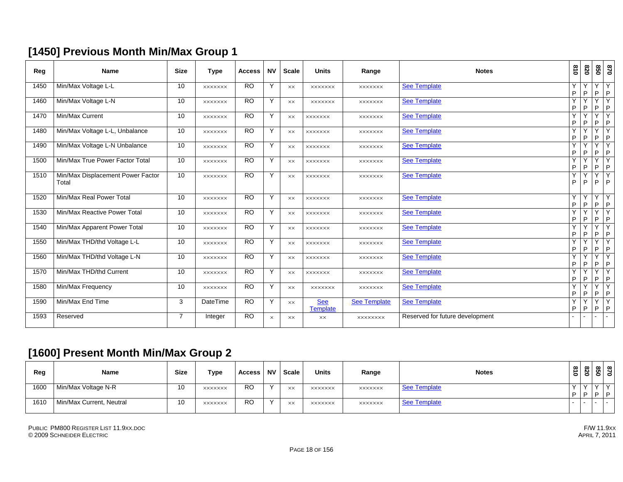#### **[1450] Previous Month Min/Max Group 1**

| Reg  | <b>Name</b>                                | <b>Size</b>     | <b>Type</b>    | <b>Access</b> | <b>NV</b> | <b>Scale</b>   | <b>Units</b>                  | Range               | <b>Notes</b>                    | $\overline{0}$ | 078               |                   | 870<br>850       |
|------|--------------------------------------------|-----------------|----------------|---------------|-----------|----------------|-------------------------------|---------------------|---------------------------------|----------------|-------------------|-------------------|------------------|
| 1450 | Min/Max Voltage L-L                        | 10              | <b>XXXXXXX</b> | <b>RO</b>     | Y         | XX             | <b>XXXXXXX</b>                | <b>XXXXXXX</b>      | <b>See Template</b>             | Y<br>P         | Υ<br>P            | Y<br>P            | Υ<br>$\mathsf P$ |
| 1460 | Min/Max Voltage L-N                        | 10              | <b>XXXXXXX</b> | <b>RO</b>     | Y         | $\times\times$ | <b>XXXXXXX</b>                | <b>XXXXXXX</b>      | <b>See Template</b>             | Y<br>P         | Y<br>P            | Y<br>P            | Y<br>$\sf P$     |
| 1470 | Min/Max Current                            | 10              | <b>XXXXXXX</b> | <b>RO</b>     | Y         | XX             | <b>XXXXXXX</b>                | <b>XXXXXXX</b>      | <b>See Template</b>             | Y<br>P         | Υ<br>P            | Y<br>P            | Y<br> P          |
| 1480 | Min/Max Voltage L-L, Unbalance             | 10              | <b>XXXXXXX</b> | <b>RO</b>     | Y         | $\times\times$ | xxxxxxx                       | <b>XXXXXXX</b>      | <b>See Template</b>             | Y<br>P         | Y<br>P            | Y<br>P            | Y<br> P          |
| 1490 | Min/Max Voltage L-N Unbalance              | 10              | <b>XXXXXXX</b> | <b>RO</b>     | Y         | <b>XX</b>      | <b>XXXXXXX</b>                | <b>XXXXXXX</b>      | <b>See Template</b>             | Υ<br>P         | P                 | Y<br>P            | Y<br> P          |
| 1500 | Min/Max True Power Factor Total            | 10 <sup>1</sup> | <b>XXXXXXX</b> | <b>RO</b>     | Y         | $\times\times$ | <b>XXXXXXX</b>                | <b>XXXXXXX</b>      | See Template                    | Y<br>P         | Υ<br>P            | Y<br>$\mathsf{P}$ | Y<br> P          |
| 1510 | Min/Max Displacement Power Factor<br>Total | 10              | <b>XXXXXXX</b> | <b>RO</b>     | Y         | $\times\times$ | <b>XXXXXXX</b>                | <b>XXXXXXX</b>      | <b>See Template</b>             | Y<br>P         | Υ<br>P            | Y<br>P            | Υ<br> P          |
| 1520 | Min/Max Real Power Total                   | 10              | <b>XXXXXXX</b> | <b>RO</b>     | Y         | XX             | <b>XXXXXXX</b>                | <b>XXXXXXX</b>      | <b>See Template</b>             | Y<br>P         | Y<br>P            | Y<br>P            | Y<br>$\sf P$     |
| 1530 | Min/Max Reactive Power Total               | 10              | <b>XXXXXXX</b> | <b>RO</b>     | Y         | $\times\times$ | <b>XXXXXXX</b>                | <b>XXXXXXX</b>      | <b>See Template</b>             | Y<br>P         | Υ<br>$\mathsf{P}$ | Y<br>P            | Y<br> P          |
| 1540 | Min/Max Apparent Power Total               | 10              | <b>XXXXXXX</b> | <b>RO</b>     | Y         | XX             | <b>XXXXXXX</b>                | <b>XXXXXXX</b>      | <b>See Template</b>             | Y<br>P         | Υ<br>P            | Y<br>P            | Y<br> P          |
| 1550 | Min/Max THD/thd Voltage L-L                | 10 <sup>1</sup> | <b>XXXXXXX</b> | <b>RO</b>     | Y         | <b>XX</b>      | <b>XXXXXXX</b>                | <b>XXXXXXX</b>      | <b>See Template</b>             | Y<br>P         | P                 | Y<br>P            | Y<br> P          |
| 1560 | Min/Max THD/thd Voltage L-N                | 10 <sup>1</sup> | <b>XXXXXXX</b> | RO            | Y         | <b>XX</b>      | <b>XXXXXXX</b>                | <b>XXXXXXX</b>      | <b>See Template</b>             | Y<br>P         | Υ<br>P            | Y<br>$\mathsf{P}$ | Y<br> P          |
| 1570 | Min/Max THD/thd Current                    | 10 <sup>1</sup> | <b>XXXXXXX</b> | <b>RO</b>     | Y         | $\times\times$ | <b>XXXXXXX</b>                | <b>XXXXXXX</b>      | <b>See Template</b>             | Y<br>P         | Υ<br>P            | Y<br>P            | Υ<br>$\mathsf P$ |
| 1580 | Min/Max Frequency                          | 10 <sup>1</sup> | <b>XXXXXXX</b> | <b>RO</b>     | Y         | <b>XX</b>      | <b>XXXXXXX</b>                | <b>XXXXXXX</b>      | <b>See Template</b>             | Y<br>P         | Υ<br>P            | Y<br>P            | Υ<br>$\mathsf P$ |
| 1590 | Min/Max End Time                           | 3               | DateTime       | <b>RO</b>     | Y         | $\times\times$ | <b>See</b><br><b>Template</b> | <b>See Template</b> | <b>See Template</b>             | Y<br>P         | Y<br>P            | Y<br>P            | Y<br> P          |
| 1593 | Reserved                                   | $\overline{7}$  | Integer        | <b>RO</b>     | $\times$  | $\times\times$ | $\times\times$                | XXXXXXXX            | Reserved for future development |                |                   | $\sim$            | $\sim$           |

#### **[1600] Present Month Min/Max Group 2**

| Reg  | Name                     | <b>Size</b> | <b>Type</b>    | Access    | <b>NV</b> | Scale | <b>Units</b>   | Range          | <b>Notes</b> | $\vec{a}$<br>$\circ$ | 028 | $\infty$   $\infty$<br><u>ଞା ସ</u> |        |
|------|--------------------------|-------------|----------------|-----------|-----------|-------|----------------|----------------|--------------|----------------------|-----|------------------------------------|--------|
| 1600 | Min/Max Voltage N-R      | 10          | <b>XXXXXXX</b> | <b>RO</b> | $\lambda$ | XX    | <b>XXXXXXX</b> | <b>XXXXXXX</b> | See Template | $\lambda$            |     | $\checkmark$                       | $\vee$ |
|      |                          |             |                |           |           |       |                |                |              | D                    | I P | ח   ח                              |        |
| 1610 | Min/Max Current, Neutral | 10          | <b>XXXXXXX</b> | <b>RO</b> | $\lambda$ | XX    | <b>XXXXXXX</b> | <b>XXXXXXX</b> | See Template |                      |     | .                                  |        |
|      |                          |             |                |           |           |       |                |                |              |                      |     |                                    |        |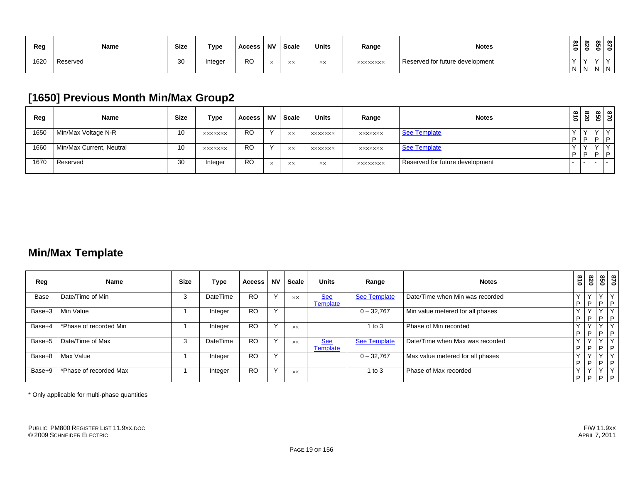| Reg  | Name     | <b>Size</b> | <b>Type</b> | Access    | <b>NV</b> | Scale | <b>Units</b>     | Range           | <b>Notes</b>                    | $\infty$<br>∸<br>0 | ๛<br>N<br>0 | $\infty$<br>o<br>- | l ∞<br>0 |  |
|------|----------|-------------|-------------|-----------|-----------|-------|------------------|-----------------|---------------------------------|--------------------|-------------|--------------------|----------|--|
| 1620 | Reserved | ৭∩<br>ັບ    | Integer     | <b>RO</b> | $\sim$    |       | $\vee\vee$<br>ᄉᄉ | <b>XXXXXXXX</b> | Reserved for future development | $\lambda$          |             | $\sim$             |          |  |
|      |          |             |             |           |           |       |                  |                 |                                 |                    |             | N N N N            |          |  |

#### **[1650] Previous Month Min/Max Group2**

| Reg  | Name                     | <b>Size</b> | <b>Type</b>    | Access    | <b>NV</b> | Scale     | <b>Units</b>   | Range           | <b>Notes</b>                    | $\frac{3}{10}$ | 078 |                   | <u>ឌ្លា ន</u>        |
|------|--------------------------|-------------|----------------|-----------|-----------|-----------|----------------|-----------------|---------------------------------|----------------|-----|-------------------|----------------------|
| 1650 | Min/Max Voltage N-R      | 10          | <b>XXXXXXX</b> | <b>RO</b> | $\lambda$ | XX        | <b>XXXXXXX</b> | <b>XXXXXXX</b>  | See Template                    | D              | I P | $\checkmark$<br>D | $\checkmark$<br>1 D. |
| 1660 | Min/Max Current, Neutral | 10          | <b>XXXXXXX</b> | <b>RO</b> | $\sqrt{}$ | <b>XX</b> | <b>XXXXXXX</b> | <b>XXXXXXX</b>  | <b>See Template</b>             | D              | ΙP  | $\checkmark$<br>D | $\checkmark$<br>ים ו |
| 1670 | Reserved                 | 30          | Integer        | RO        | $\times$  | XX        | $\times\times$ | <b>XXXXXXXX</b> | Reserved for future development |                |     |                   | $\sim$               |

#### **Min/Max Template**

| Reg    | Name                   | <b>Size</b> | Type     | <b>Access</b> | <b>NV</b> | <b>Scale</b> | <b>Units</b>                  | Range               | <b>Notes</b>                     | 018         | 028                           |                    | <u>នា</u><br>នា |
|--------|------------------------|-------------|----------|---------------|-----------|--------------|-------------------------------|---------------------|----------------------------------|-------------|-------------------------------|--------------------|-----------------|
| Base   | Date/Time of Min       | 3           | DateTime | <b>RO</b>     |           | <b>XX</b>    | <b>See</b><br>Template        | <b>See Template</b> | Date/Time when Min was recorded  | P           | $\checkmark$<br> P            | $\vee$<br>$P$ $P$  |                 |
| Base+3 | Min Value              |             | Integer  | <b>RO</b>     |           |              |                               | $0 - 32.767$        | Min value metered for all phases | $\vee$<br>P | $\vee$<br> P                  | $\vee$<br><b>P</b> | P               |
| Base+4 | *Phase of recorded Min |             | Integer  | <b>RO</b>     |           | <b>XX</b>    |                               | 1 to $3$            | Phase of Min recorded            | P           | $\checkmark$<br>$\mathsf{P}$  | v<br>$\Box$        | P               |
| Base+5 | Date/Time of Max       | 3           | DateTime | <b>RO</b>     |           | XX           | <b>See</b><br><b>Template</b> | <b>See Template</b> | Date/Time when Max was recorded  | P           | $\mathsf{v}$<br>$\mathsf{P}$  | $\vee$<br>IP P     |                 |
| Base+8 | Max Value              |             | Integer  | <b>RO</b>     |           |              |                               | $0 - 32.767$        | Max value metered for all phases | P           | $\checkmark$<br>$\mathsf{P}$  | $\vee$<br>P        | $\checkmark$    |
| Base+9 | *Phase of recorded Max |             | Integer  | <b>RO</b>     |           | XX           |                               | 1 to 3              | Phase of Max recorded            | P           | $\checkmark$<br>$\mathsf{IP}$ | Y<br>$P$ $P$       | $\vee$          |

\* Only applicable for multi-phase quantities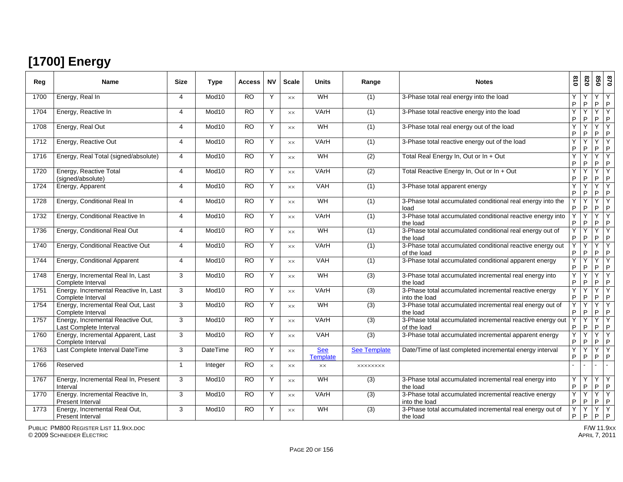# **[1700] Energy**

| Reg  | <b>Name</b>                                                 | <b>Size</b>             | <b>Type</b>       | <b>Access</b>   | <b>NV</b> | <b>Scale</b>   | <b>Units</b>                  | Range               | <b>Notes</b>                                                             | 618    | 820               | 850               | 028                            |
|------|-------------------------------------------------------------|-------------------------|-------------------|-----------------|-----------|----------------|-------------------------------|---------------------|--------------------------------------------------------------------------|--------|-------------------|-------------------|--------------------------------|
| 1700 | Energy, Real In                                             | 4                       | Mod <sub>10</sub> | $\overline{RO}$ | Y         | <b>XX</b>      | WH                            | (1)                 | 3-Phase total real energy into the load                                  | Y<br>P | Y<br>$\sf P$      | Y<br>$\mathsf{P}$ | <b>Y</b><br>P                  |
| 1704 | Energy, Reactive In                                         | 4                       | Mod <sub>10</sub> | <b>RO</b>       | Y         | $\times\times$ | VArH                          | (1)                 | 3-Phase total reactive energy into the load                              | Y<br>P | Y<br>P            | Y<br>P            | $\overline{Y}$<br>P            |
| 1708 | Energy, Real Out                                            | 4                       | Mod <sub>10</sub> | <b>RO</b>       | Y         | <b>XX</b>      | WH                            | (1)                 | 3-Phase total real energy out of the load                                | Ÿ<br>P | Υ<br>P            | Y<br>P            | $\overline{Y}$<br>$\mathsf{P}$ |
| 1712 | Energy, Reactive Out                                        | 4                       | Mod10             | $\overline{RO}$ | Y         | <b>XX</b>      | VArH                          | (1)                 | 3-Phase total reactive energy out of the load                            | Y<br>P | P                 | Y<br>P            | Y<br>P                         |
| 1716 | Energy, Real Total (signed/absolute)                        | 4                       | Mod <sub>10</sub> | <b>RO</b>       | Y         | <b>XX</b>      | WH                            | $\overline{(2)}$    | Total Real Energy In, Out or In + Out                                    | Y<br>P | Y<br>$\mathsf{P}$ | Y<br>P            | Y<br>P                         |
| 1720 | Energy, Reactive Total<br>(signed/absolute)                 | 4                       | Mod <sub>10</sub> | $\overline{RO}$ | Y         | $\times\times$ | VArH                          | (2)                 | Total Reactive Energy In, Out or In + Out                                | Ÿ<br>P | Y<br>P            | Ÿ<br>P            | <b>Y</b><br>P                  |
| 1724 | Energy, Apparent                                            | 4                       | Mod <sub>10</sub> | <b>RO</b>       | Y         | <b>XX</b>      | <b>VAH</b>                    | (1)                 | 3-Phase total apparent energy                                            | Y<br>P | Y<br>P            | Y<br>P            | Y<br>P                         |
| 1728 | Energy, Conditional Real In                                 | 4                       | Mod <sub>10</sub> | <b>RO</b>       | Y         | <b>XX</b>      | WH                            | (1)                 | 3-Phase total accumulated conditional real energy into the<br>load       | Y<br>P | Y<br>P            | Y<br>P            | $\mathsf{Y}$<br>P              |
| 1732 | Energy, Conditional Reactive In                             | 4                       | Mod <sub>10</sub> | <b>RO</b>       | Y         | <b>XX</b>      | VArH                          | (1)                 | 3-Phase total accumulated conditional reactive energy into<br>the load   | Y<br>P | Y<br>P            | Y<br>P            | ÎΥ.<br>P                       |
| 1736 | Energy, Conditional Real Out                                | 4                       | Mod10             | <b>RO</b>       | Y         | XX             | WH                            | (1)                 | 3-Phase total accumulated conditional real energy out of<br>the load     | Y<br>P | Y<br>P            | Y<br>P            | $\overline{Y}$<br>P            |
| 1740 | Energy, Conditional Reactive Out                            | 4                       | Mod <sub>10</sub> | <b>RO</b>       | Y         | <b>XX</b>      | VArH                          | (1)                 | 3-Phase total accumulated conditional reactive energy out<br>of the load | Υ<br>P | Υ<br>P            | Y<br>P            | IY.<br>P                       |
| 1744 | Energy, Conditional Apparent                                | 4                       | Mod <sub>10</sub> | <b>RO</b>       | Y         | $\times\times$ | <b>VAH</b>                    | (1)                 | 3-Phase total accumulated conditional apparent energy                    | Y<br>P | Υ<br>P            | Y<br>P            | IY.<br>P                       |
| 1748 | Energy, Incremental Real In, Last<br>Complete Interval      | 3                       | Mod <sub>10</sub> | <b>RO</b>       | Y         | <b>XX</b>      | WH                            | (3)                 | 3-Phase total accumulated incremental real energy into<br>the load       | Y<br>P | Υ<br>P            | Y<br>P            | Y<br>P                         |
| 1751 | Energy. Incremental Reactive In, Last<br>Complete Interval  | 3                       | Mod <sub>10</sub> | $\overline{RO}$ | Y         | $\times\times$ | VArH                          | (3)                 | 3-Phase total accumulated incremental reactive energy<br>into the load   | Ÿ<br>P | Υ<br>P            | Y<br>P            | ΙY<br>P                        |
| 1754 | Energy, Incremental Real Out, Last<br>Complete Interval     | 3                       | Mod <sub>10</sub> | <b>RO</b>       | Y         | <b>XX</b>      | WH                            | (3)                 | 3-Phase total accumulated incremental real energy out of<br>the load     | Y<br>P | Y<br>P            | Y<br>P            | Y<br>P                         |
| 1757 | Energy, Incremental Reactive Out,<br>Last Complete Interval | 3                       | Mod <sub>10</sub> | $\overline{RO}$ | Y         | XX             | VArH                          | (3)                 | 3-Phase total accumulated incremental reactive energy out<br>of the load | Y<br>P | Y<br>$\sf P$      | Y<br>P            | ÎΥ.<br>P                       |
| 1760 | Energy, Incremental Apparent, Last<br>Complete Interval     | 3                       | Mod <sub>10</sub> | <b>RO</b>       | Y         | XX             | <b>VAH</b>                    | $\overline{(3)}$    | 3-Phase total accumulated incremental apparent energy                    | Y<br>P | Y<br>P            | Y<br>P            | ĪΥ<br>P                        |
| 1763 | Last Complete Interval DateTime                             | 3                       | DateTime          | <b>RO</b>       | Y         | XX             | <b>See</b><br><b>Template</b> | <b>See Template</b> | Date/Time of last completed incremental energy interval                  | Y<br>P | Υ<br>P            | Y<br>P            | Y.<br>P                        |
| 1766 | Reserved                                                    | $\overline{\mathbf{1}}$ | Integer           | <b>RO</b>       | $\times$  | <b>XX</b>      | <b>XX</b>                     | <b>XXXXXXXX</b>     |                                                                          |        |                   |                   |                                |
| 1767 | Energy, Incremental Real In, Present<br>Interval            | 3                       | Mod <sub>10</sub> | <b>RO</b>       | Y         | XX             | <b>WH</b>                     | (3)                 | 3-Phase total accumulated incremental real energy into<br>the load       | Υ<br>P | Y<br>P            | Y<br>P            | k<br>P                         |
| 1770 | Energy. Incremental Reactive In,<br>Present Interval        | 3                       | Mod <sub>10</sub> | <b>RO</b>       | Y         | <b>XX</b>      | VArH                          | (3)                 | 3-Phase total accumulated incremental reactive energy<br>into the load   | Y<br>P | Y<br>$\sf P$      | Y<br>P            | <b>Y</b><br>P                  |
| 1773 | Energy, Incremental Real Out,<br>Present Interval           | 3                       | Mod <sub>10</sub> | <b>RO</b>       | Y         | XX             | WH                            | $\overline{3)}$     | 3-Phase total accumulated incremental real energy out of<br>the load     | Y<br>P | Ý<br>P            | Y<br>P            | IY.<br>P                       |

PUBLIC PM800 REGISTER LIST 11.9XX.DOC

© 2009 SCHNEIDER ELECTRIC APRIL 7, 2011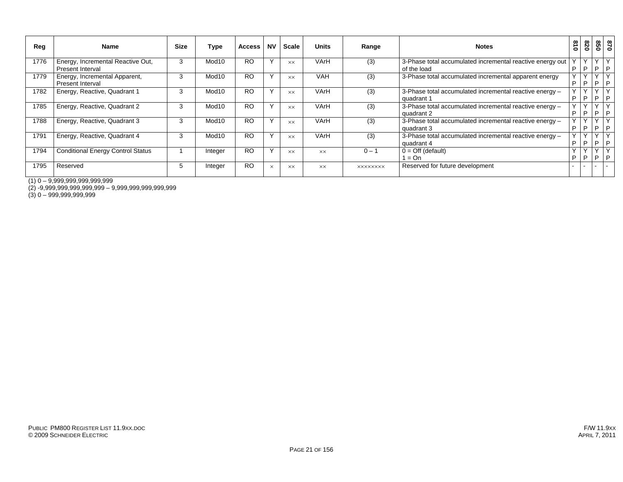| Reg  | Name                                                     | <b>Size</b> | Type              | <b>Access</b> | <b>NV</b>    | Scale          | <b>Units</b> | Range           | <b>Notes</b>                                                             | 018         | 820               | 850                       | 028                 |
|------|----------------------------------------------------------|-------------|-------------------|---------------|--------------|----------------|--------------|-----------------|--------------------------------------------------------------------------|-------------|-------------------|---------------------------|---------------------|
| 1776 | Energy, Incremental Reactive Out,<br>Present Interval    | 3           | Mod <sub>10</sub> | <b>RO</b>     | Y            | XX.            | VArH         | (3)             | 3-Phase total accumulated incremental reactive energy out<br>of the load | $\vee$<br>D | Y<br>P            | Y <br>$\mathsf{P}$        | $\vee$<br>P         |
| 1779 | Energy, Incremental Apparent,<br><b>Present Interval</b> | 3           | Mod10             | <b>RO</b>     | Y            | <b>XX</b>      | <b>VAH</b>   | (3)             | 3-Phase total accumulated incremental apparent energy                    | v.<br>P     | $\checkmark$<br>P | $\sqrt{}$<br>$\mathsf{P}$ | $\checkmark$<br>l P |
| 1782 | Energy, Reactive, Quadrant 1                             | 3           | Mod10             | <b>RO</b>     | Y            | <b>XX</b>      | VArH         | (3)             | 3-Phase total accumulated incremental reactive energy -<br>quadrant 1    | v.<br>D     | $\vee$<br>P       | $\lambda$<br>P.           | P                   |
| 1785 | Energy, Reactive, Quadrant 2                             | 3           | Mod10             | <b>RO</b>     | $\mathsf{v}$ | $\times\times$ | VArH         | (3)             | 3-Phase total accumulated incremental reactive energy -<br>quadrant 2    | v<br>D      | $\vee$<br>P       | $\sqrt{}$<br>P.           | P                   |
| 1788 | Energy, Reactive, Quadrant 3                             | 3           | Mod10             | <b>RO</b>     | $\checkmark$ | <b>XX</b>      | VArH         | (3)             | 3-Phase total accumulated incremental reactive energy -<br>quadrant 3    | v.<br>P     | $\vee$<br>P.      | $\sqrt{}$<br>PP           |                     |
| 1791 | Energy, Reactive, Quadrant 4                             | 3           | Mod10             | <b>RO</b>     | $\checkmark$ | $\times\times$ | VArH         | (3)             | 3-Phase total accumulated incremental reactive energy -<br>quadrant 4    | D           | $\checkmark$<br>D | $\checkmark$<br>P.        | $\checkmark$<br>l P |
| 1794 | <b>Conditional Energy Control Status</b>                 |             | Integer           | <b>RO</b>     | Y            | <b>XX</b>      | <b>XX</b>    | $0 - 1$         | $0 = \text{Off}$ (default)<br>$=$ On                                     | D           | P                 | P.                        | P                   |
| 1795 | Reserved                                                 | Ð.          | Integer           | <b>RO</b>     | $\times$     | <b>XX</b>      | <b>XX</b>    | <b>XXXXXXXX</b> | Reserved for future development                                          |             |                   |                           |                     |

(1) 0 – 9,999,999,999,999,999

(2) -9,999,999,999,999,999 – 9,999,999,999,999,999

(3) 0 – 999,999,999,999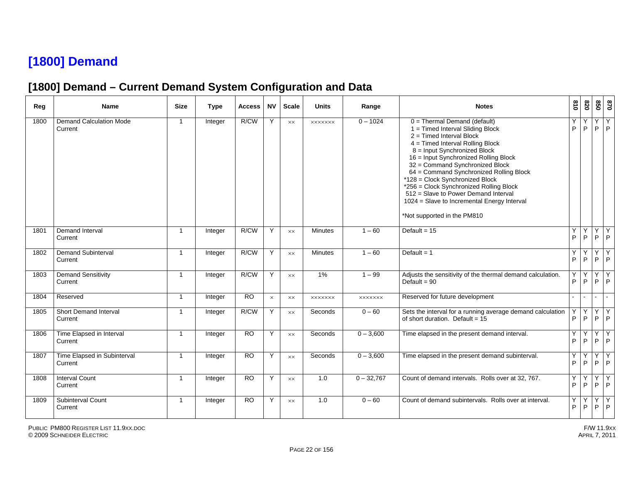## **[1800] Demand**

#### **[1800] Demand – Current Demand System Configuration and Data**

| Reg  | Name                                      | <b>Size</b>          | <b>Type</b> | Access          | <b>NV</b> | <b>Scale</b> | <b>Units</b>   | Range          | <b>Notes</b>                                                                                                                                                                                                                                                                                                                                                                                                                                                                                  | $\frac{8}{10}$    | 0Z8     | 850     | 028                 |
|------|-------------------------------------------|----------------------|-------------|-----------------|-----------|--------------|----------------|----------------|-----------------------------------------------------------------------------------------------------------------------------------------------------------------------------------------------------------------------------------------------------------------------------------------------------------------------------------------------------------------------------------------------------------------------------------------------------------------------------------------------|-------------------|---------|---------|---------------------|
| 1800 | <b>Demand Calculation Mode</b><br>Current | $\mathbf{1}$         | Integer     | R/CW            | Y         | XX           | <b>XXXXXXX</b> | $0 - 1024$     | $0 =$ Thermal Demand (default)<br>1 = Timed Interval Sliding Block<br>2 = Timed Interval Block<br>4 = Timed Interval Rolling Block<br>8 = Input Synchronized Block<br>16 = Input Synchronized Rolling Block<br>32 = Command Synchronized Block<br>64 = Command Synchronized Rolling Block<br>*128 = Clock Synchronized Block<br>*256 = Clock Synchronized Rolling Block<br>512 = Slave to Power Demand Interval<br>1024 = Slave to Incremental Energy Interval<br>*Not supported in the PM810 | Υ<br>P            | Y<br>P  | Υ<br>P  | Y<br>P              |
| 1801 | Demand Interval<br>Current                | $\mathbf{1}$         | Integer     | R/CW            | Y         | <b>XX</b>    | <b>Minutes</b> | $1 - 60$       | Default = $15$                                                                                                                                                                                                                                                                                                                                                                                                                                                                                | Υ<br>P            | Y<br>P  | Y       | Y<br>$P$ $P$        |
| 1802 | <b>Demand Subinterval</b><br>Current      | $\overline{1}$       | Integer     | R/CW            | Y         | XX           | <b>Minutes</b> | $1 - 60$       | Default = $1$                                                                                                                                                                                                                                                                                                                                                                                                                                                                                 | Y<br>P            | Υ<br>P  | Y<br>P  | Υ<br>P              |
| 1803 | <b>Demand Sensitivity</b><br>Current      | $\overline{1}$       | Integer     | R/CW            | Y         | XX           | 1%             | $1 - 99$       | Adjusts the sensitivity of the thermal demand calculation.<br>Default = $90$                                                                                                                                                                                                                                                                                                                                                                                                                  | Y<br>P            | Y<br>P  | Y<br>P  | Y<br>$\mathsf{P}$   |
| 1804 | Reserved                                  | $\mathbf{1}$         | Integer     | $\overline{RO}$ | $\times$  | <b>XX</b>    | <b>XXXXXXX</b> | <b>XXXXXXX</b> | Reserved for future development                                                                                                                                                                                                                                                                                                                                                                                                                                                               | $\mathbf{r}$      | $\sim$  | $\sim$  | $\sim$              |
| 1805 | Short Demand Interval<br>Current          | $\blacktriangleleft$ | Integer     | R/CW            | Y         | XX           | Seconds        | $0 - 60$       | Sets the interval for a running average demand calculation<br>of short duration. Default = $15$                                                                                                                                                                                                                                                                                                                                                                                               | Y<br>P            | Y<br>P  | Y<br>P  | $\overline{Y}$<br>P |
| 1806 | Time Elapsed in Interval<br>Current       | $\overline{1}$       | Integer     | <b>RO</b>       | Y         | XX           | Seconds        | $0 - 3,600$    | Time elapsed in the present demand interval.                                                                                                                                                                                                                                                                                                                                                                                                                                                  | Υ<br>P            | Y.<br>P | Y       | Y<br>$P$ $P$        |
| 1807 | Time Elapsed in Subinterval<br>Current    | $\overline{1}$       | Integer     | $\overline{RO}$ | Y         | XX           | Seconds        | $0 - 3,600$    | Time elapsed in the present demand subinterval.                                                                                                                                                                                                                                                                                                                                                                                                                                               | Υ<br>P            | Y<br>P  | Y<br>P. | Υ<br>$\mathsf{P}$   |
| 1808 | <b>Interval Count</b><br>Current          | $\overline{1}$       | Integer     | <b>RO</b>       | Y         | <b>XX</b>    | 1.0            | $0 - 32,767$   | Count of demand intervals. Rolls over at 32, 767.                                                                                                                                                                                                                                                                                                                                                                                                                                             | Y<br>$\mathsf{P}$ | Y<br>P  | Y<br>P  | Y<br>$\mathsf P$    |
| 1809 | <b>Subinterval Count</b><br>Current       | $\overline{1}$       | Integer     | <b>RO</b>       | Y         | XX           | 1.0            | $0 - 60$       | Count of demand subintervals. Rolls over at interval.                                                                                                                                                                                                                                                                                                                                                                                                                                         | Y<br>P            | Y<br>P  | Υ<br>P  | Y<br>P              |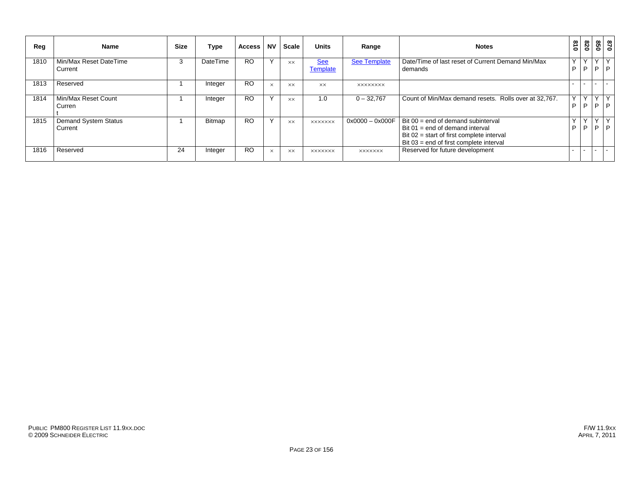| Reg  | <b>Name</b>                            | <b>Size</b> | Type            | <b>Access</b> | <b>NV</b> | <b>Scale</b> | <b>Units</b>                  | Range               | <b>Notes</b>                                                                                                                                                  | $\frac{8}{10}$ | 078               |                     | 870<br>850     |
|------|----------------------------------------|-------------|-----------------|---------------|-----------|--------------|-------------------------------|---------------------|---------------------------------------------------------------------------------------------------------------------------------------------------------------|----------------|-------------------|---------------------|----------------|
| 1810 | Min/Max Reset DateTime<br>Current      | ъ.          | <b>DateTime</b> | <b>RO</b>     | $\lambda$ | <b>XX</b>    | <b>See</b><br><b>Template</b> | <b>See Template</b> | Date/Time of last reset of Current Demand Min/Max<br>demands                                                                                                  | Υ<br>P         | $\checkmark$<br>P | $\checkmark$<br>⊢P. | I P            |
| 1813 | Reserved                               |             | Integer         | <b>RO</b>     | $\times$  | <b>XX</b>    | <b>XX</b>                     | <b>XXXXXXXX</b>     |                                                                                                                                                               |                |                   |                     |                |
| 1814 | Min/Max Reset Count<br>Curren          |             | Integer         | <b>RO</b>     | $\lambda$ | <b>XX</b>    | 1.0                           | $0 - 32,767$        | Count of Min/Max demand resets. Rolls over at 32,767.                                                                                                         | Y<br>P         | Y<br>P            |                     | YY<br>$P$ $P$  |
| 1815 | <b>Demand System Status</b><br>Current |             | <b>Bitmap</b>   | <b>RO</b>     |           | <b>XX</b>    | <b>XXXXXXX</b>                | $0x0000 - 0x000F$   | Bit 00 = end of demand subinterval<br>Bit 01 = end of demand interval<br>Bit 02 = start of first complete interval<br>Bit 03 = end of first complete interval | Y<br>P         | $\vee$<br>P       | Y <sub>1</sub>      | IY.<br>$P$ $P$ |
| 1816 | Reserved                               | 24          | Integer         | <b>RO</b>     | $\times$  | <b>XX</b>    | <b>XXXXXXX</b>                | <b>XXXXXXX</b>      | Reserved for future development                                                                                                                               |                |                   |                     |                |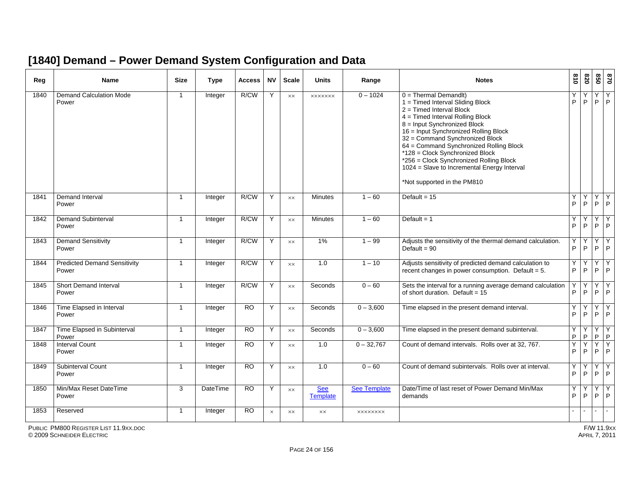#### **[1840] Demand – Power Demand System Configuration and Data**

| Reg  | <b>Name</b>                                  | <b>Size</b>    | <b>Type</b>    | <b>Access</b>   | <b>NV</b> | <b>Scale</b>   | <b>Units</b>                  | Range               | <b>Notes</b>                                                                                                                                                                                                                                                                                                                                                                                                                                     | 018    | 028            | 850                                        | 0/8          |
|------|----------------------------------------------|----------------|----------------|-----------------|-----------|----------------|-------------------------------|---------------------|--------------------------------------------------------------------------------------------------------------------------------------------------------------------------------------------------------------------------------------------------------------------------------------------------------------------------------------------------------------------------------------------------------------------------------------------------|--------|----------------|--------------------------------------------|--------------|
| 1840 | <b>Demand Calculation Mode</b><br>Power      | $\mathbf{1}$   | Integer        | R/CW            | Y         | $\times\times$ | <b>XXXXXXX</b>                | $0 - 1024$          | $0 =$ Thermal Demandlt)<br>1 = Timed Interval Sliding Block<br>$2 =$ Timed Interval Block<br>4 = Timed Interval Rolling Block<br>8 = Input Synchronized Block<br>16 = Input Synchronized Rolling Block<br>32 = Command Synchronized Block<br>64 = Command Synchronized Rolling Block<br>*128 = Clock Synchronized Block<br>*256 = Clock Synchronized Rolling Block<br>1024 = Slave to Incremental Energy Interval<br>*Not supported in the PM810 | Υ<br>P | P              | YY<br>$\mathsf{P}$                         | P            |
| 1841 | Demand Interval<br>Power                     | $\mathbf{1}$   | Integer        | R/CW            | Y         | <b>XX</b>      | <b>Minutes</b>                | $1 - 60$            | Default = $15$                                                                                                                                                                                                                                                                                                                                                                                                                                   | Y<br>P | Y<br>P         | $\overline{Y}$ $\overline{Y}$<br>$P$ $P$   |              |
| 1842 | <b>Demand Subinterval</b><br>Power           | $\mathbf{1}$   | Integer        | R/CW            | Y         | <b>XX</b>      | Minutes                       | $1 - 60$            | Default = $1$                                                                                                                                                                                                                                                                                                                                                                                                                                    | Υ<br>P | Y<br>P         | Y.<br>P                                    | Y<br>P       |
| 1843 | <b>Demand Sensitivity</b><br>Power           | $\overline{1}$ | Integer        | R/CW            | Y         | <b>XX</b>      | 1%                            | $1 - 99$            | Adjusts the sensitivity of the thermal demand calculation.<br>Default = $90$                                                                                                                                                                                                                                                                                                                                                                     | Y<br>P | Υ<br>P         | Y.<br>$P$ $P$                              | Y            |
| 1844 | <b>Predicted Demand Sensitivity</b><br>Power | $\mathbf{1}$   | Integer        | R/CW            | Y         | <b>XX</b>      | 1.0                           | $1 - 10$            | Adjusts sensitivity of predicted demand calculation to<br>recent changes in power consumption. Default = $5$ .                                                                                                                                                                                                                                                                                                                                   | Y<br>P | Y<br>P         | Y<br>$P$   $P$                             | Y            |
| 1845 | <b>Short Demand Interval</b><br>Power        | $\overline{1}$ | Integer        | R/CW            | Y         | <b>XX</b>      | Seconds                       | $0 - 60$            | Sets the interval for a running average demand calculation<br>of short duration. Default = $15$                                                                                                                                                                                                                                                                                                                                                  | Υ<br>P | Y<br>P         | $Y$ $Y$<br>$\mathsf{P}$                    | P            |
| 1846 | Time Elapsed in Interval<br>Power            | $\mathbf{1}$   | <b>Integer</b> | $\overline{RO}$ | Y         | $\times\times$ | Seconds                       | $0 - 3,600$         | Time elapsed in the present demand interval.                                                                                                                                                                                                                                                                                                                                                                                                     | Y<br>P | Y<br>P         | YY<br>$P$ $P$                              |              |
| 1847 | Time Elapsed in Subinterval<br>Power         | $\overline{1}$ | Integer        | $\overline{RO}$ | Y         | <b>XX</b>      | Seconds                       | $0 - 3,600$         | Time elapsed in the present demand subinterval.                                                                                                                                                                                                                                                                                                                                                                                                  | Υ<br>P | P              | Y<br>P                                     | $\mathsf{P}$ |
| 1848 | <b>Interval Count</b><br>Power               | $\mathbf{1}$   | Integer        | <b>RO</b>       | Y         | $\times\times$ | 1.0                           | $0 - 32,767$        | Count of demand intervals. Rolls over at 32, 767.                                                                                                                                                                                                                                                                                                                                                                                                | Υ<br>P | Y<br>P         | $\overline{Y}$ $\overline{Y}$<br>$P$   $P$ |              |
| 1849 | <b>Subinterval Count</b><br>Power            | $\mathbf{1}$   | Integer        | <b>RO</b>       | Y         | <b>XX</b>      | 1.0                           | $0 - 60$            | Count of demand subintervals. Rolls over at interval.                                                                                                                                                                                                                                                                                                                                                                                            | Y<br>P | Y<br>P         | $\overline{Y}$<br>P                        | Y<br>P       |
| 1850 | Min/Max Reset DateTime<br>Power              | 3              | DateTime       | <b>RO</b>       | Y         | $\times\times$ | <b>See</b><br><b>Template</b> | <b>See Template</b> | Date/Time of last reset of Power Demand Min/Max<br>demands                                                                                                                                                                                                                                                                                                                                                                                       | Y<br>P | Υ<br>P.        | YY<br>$P$ $P$                              |              |
| 1853 | Reserved                                     | $\mathbf{1}$   | Integer        | <b>RO</b>       | $\times$  | XX             | $\times\times$                | <b>XXXXXXXX</b>     |                                                                                                                                                                                                                                                                                                                                                                                                                                                  |        | $\blacksquare$ | $\sim$                                     | $\sim$       |

PUBLIC PM800 REGISTER LIST 11.9XX.DOC

© 2009 SCHNEIDER ELECTRIC APRIL 7, 2011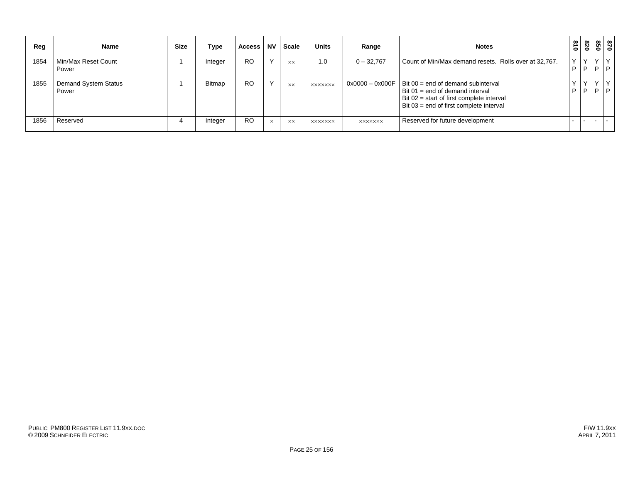| Reg  | <b>Name</b>                          | <b>Size</b> | Type          | Access    | <b>NV</b>    | <b>Scale</b> | <b>Units</b>   | Range          | <b>Notes</b>                                                                                                                                                                            | 018 | 078            | 850               | 870    |
|------|--------------------------------------|-------------|---------------|-----------|--------------|--------------|----------------|----------------|-----------------------------------------------------------------------------------------------------------------------------------------------------------------------------------------|-----|----------------|-------------------|--------|
| 1854 | Min/Max Reset Count<br>Power         |             | Integer       | <b>RO</b> | $\checkmark$ | XX           | 1.0            | $0 - 32,767$   | Count of Min/Max demand resets. Rolls over at 32,767.                                                                                                                                   | P   | $\sqrt{}$<br>P | $\checkmark$<br>D | v<br>D |
| 1855 | <b>Demand System Status</b><br>Power |             | <b>Bitmap</b> | <b>RO</b> |              | <b>XX</b>    | <b>XXXXXXX</b> |                | $0x0000 - 0x000F$ Bit $00 =$ end of demand subinterval<br>Bit $01 = end$ of demand interval<br>Bit $02 =$ start of first complete interval<br>Bit $03$ = end of first complete interval | P   | P              | D                 | D      |
| 1856 | Reserved                             |             | Integer       | <b>RO</b> | $\times$     | <b>XX</b>    | <b>XXXXXXX</b> | <b>XXXXXXX</b> | Reserved for future development                                                                                                                                                         |     |                |                   | $\sim$ |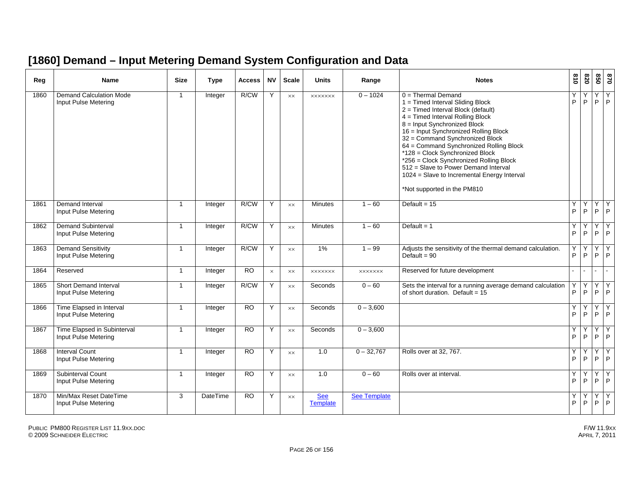#### **[1860] Demand – Input Metering Demand System Configuration and Data**

| Reg  | <b>Name</b>                                            | <b>Size</b>    | <b>Type</b>     | Access          | <b>NV</b> | <b>Scale</b>   | <b>Units</b>                  | Range               | <b>Notes</b>                                                                                                                                                                                                                                                                                                                                                                                                                                                                                      | $\frac{8}{10}$ | 078    | 850               | 0/8                 |
|------|--------------------------------------------------------|----------------|-----------------|-----------------|-----------|----------------|-------------------------------|---------------------|---------------------------------------------------------------------------------------------------------------------------------------------------------------------------------------------------------------------------------------------------------------------------------------------------------------------------------------------------------------------------------------------------------------------------------------------------------------------------------------------------|----------------|--------|-------------------|---------------------|
| 1860 | <b>Demand Calculation Mode</b><br>Input Pulse Metering | $\overline{1}$ | Integer         | R/CW            | Y         | <b>XX</b>      | <b>XXXXXXX</b>                | $0 - 1024$          | $0 =$ Thermal Demand<br>1 = Timed Interval Sliding Block<br>$2 =$ Timed Interval Block (default)<br>$4 =$ Timed Interval Rolling Block<br>8 = Input Synchronized Block<br>16 = Input Synchronized Rolling Block<br>32 = Command Synchronized Block<br>64 = Command Synchronized Rolling Block<br>*128 = Clock Synchronized Block<br>*256 = Clock Synchronized Rolling Block<br>512 = Slave to Power Demand Interval<br>1024 = Slave to Incremental Energy Interval<br>*Not supported in the PM810 | Υ<br>P         | Υ<br>P | Y<br>$\mathsf P$  | $\overline{Y}$<br>P |
| 1861 | <b>Demand Interval</b><br>Input Pulse Metering         | $\mathbf{1}$   | Integer         | R/CW            | Y         | $\times\times$ | <b>Minutes</b>                | $1 - 60$            | Default = $15$                                                                                                                                                                                                                                                                                                                                                                                                                                                                                    | Υ<br>P         | Υ<br>P | Υ<br>$P$ $P$      | Y                   |
| 1862 | <b>Demand Subinterval</b><br>Input Pulse Metering      | $\overline{1}$ | Integer         | R/CW            | Y         | XX             | <b>Minutes</b>                | $1 - 60$            | Default = $1$                                                                                                                                                                                                                                                                                                                                                                                                                                                                                     | Υ<br>P         | Υ<br>P | Y<br>P            | Υ<br>l P            |
| 1863 | <b>Demand Sensitivity</b><br>Input Pulse Metering      | $\overline{1}$ | Integer         | R/CW            | Y         | $\times\times$ | 1%                            | $1 - 99$            | Adjusts the sensitivity of the thermal demand calculation.<br>Default = $90$                                                                                                                                                                                                                                                                                                                                                                                                                      | Υ<br>P         | P      | Y<br>P            | Y<br> P             |
| 1864 | Reserved                                               | $\overline{1}$ | Integer         | $\overline{RO}$ | $\times$  | XX             | <b>XXXXXXX</b>                | <b>XXXXXXX</b>      | Reserved for future development                                                                                                                                                                                                                                                                                                                                                                                                                                                                   | $\mathbf{r}$   |        | $\sim$            | $\sim$              |
| 1865 | Short Demand Interval<br>Input Pulse Metering          | $\overline{1}$ | Integer         | R/CW            | Y         | $\times\times$ | Seconds                       | $0 - 60$            | Sets the interval for a running average demand calculation<br>of short duration. Default = $15$                                                                                                                                                                                                                                                                                                                                                                                                   | Υ<br>P         | Y<br>P | Y<br>P            | Y<br> P             |
| 1866 | Time Elapsed in Interval<br>Input Pulse Metering       | $\mathbf{1}$   | Integer         | $\overline{RO}$ | Y         | $\times\times$ | Seconds                       | $0 - 3,600$         |                                                                                                                                                                                                                                                                                                                                                                                                                                                                                                   | Y<br>P         | Y<br>P | YY<br>$\mathsf P$ | $\overline{P}$      |
| 1867 | Time Elapsed in Subinterval<br>Input Pulse Metering    | $\overline{1}$ | Integer         | $\overline{RO}$ | Y         | $\times\times$ | Seconds                       | $0 - 3,600$         |                                                                                                                                                                                                                                                                                                                                                                                                                                                                                                   | Υ<br>P         | Υ<br>P | Y<br>P            | Y<br> P             |
| 1868 | <b>Interval Count</b><br>Input Pulse Metering          | $\overline{1}$ | Integer         | $\overline{RO}$ | Y         | $\times\times$ | 1.0                           | $0 - 32,767$        | Rolls over at 32, 767.                                                                                                                                                                                                                                                                                                                                                                                                                                                                            | Υ<br>P         | Υ<br>P | Y<br>P            | Y<br> P             |
| 1869 | Subinterval Count<br>Input Pulse Metering              | $\overline{1}$ | Integer         | <b>RO</b>       | Y         | $\times\times$ | 1.0                           | $0 - 60$            | Rolls over at interval.                                                                                                                                                                                                                                                                                                                                                                                                                                                                           | Y<br>P         | Υ<br>P | Y<br>$\mathsf{P}$ | Y<br> P             |
| 1870 | Min/Max Reset DateTime<br>Input Pulse Metering         | 3              | <b>DateTime</b> | $\overline{RO}$ | Y         | XX             | <b>See</b><br><b>Template</b> | <b>See Template</b> |                                                                                                                                                                                                                                                                                                                                                                                                                                                                                                   | Υ<br>P         | Υ<br>P | Y<br>P            | Υ<br>P              |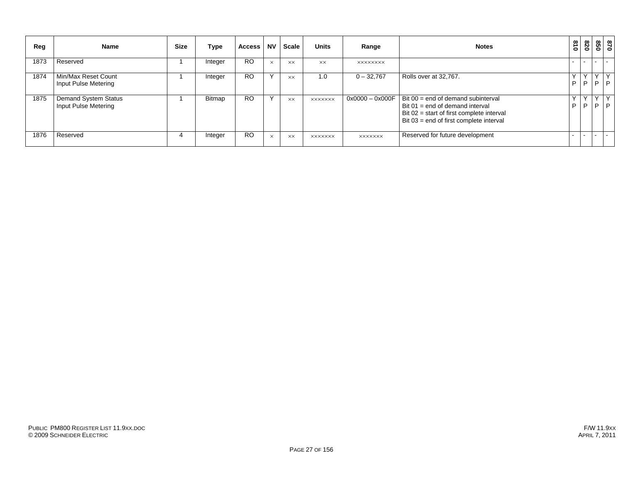| Reg  | <b>Name</b>                                         | <b>Size</b> | Type    | <b>Access</b> | <b>NV</b> | <b>Scale</b>   | <b>Units</b>   | Range             | <b>Notes</b>                                                                                                                                                  | 018               | 078              |                   | 0/8<br>099 |
|------|-----------------------------------------------------|-------------|---------|---------------|-----------|----------------|----------------|-------------------|---------------------------------------------------------------------------------------------------------------------------------------------------------------|-------------------|------------------|-------------------|------------|
| 1873 | Reserved                                            |             | Integer | <b>RO</b>     | $\times$  | <b>XX</b>      | <b>XX</b>      | <b>XXXXXXXX</b>   |                                                                                                                                                               |                   |                  |                   | $\sim$     |
| 1874 | Min/Max Reset Count<br>Input Pulse Metering         |             | Integer | <b>RO</b>     | Υ         | <b>XX</b>      | 1.0            | $0 - 32,767$      | Rolls over at 32,767.                                                                                                                                         | P                 | $\check{ }$<br>P | P                 | P          |
| 1875 | <b>Demand System Status</b><br>Input Pulse Metering |             | Bitmap  | <b>RO</b>     | Y         | <b>XX</b>      | <b>XXXXXXX</b> | $0x0000 - 0x000F$ | Bit 00 = end of demand subinterval<br>Bit 01 = end of demand interval<br>Bit 02 = start of first complete interval<br>Bit 03 = end of first complete interval | $\checkmark$<br>P | Y<br>D           | $\checkmark$<br>P | Y<br> P    |
| 1876 | Reserved                                            |             | Integer | <b>RO</b>     | $\times$  | $\times\times$ | <b>XXXXXXX</b> | <b>XXXXXXX</b>    | Reserved for future development                                                                                                                               |                   |                  |                   | $\sim$     |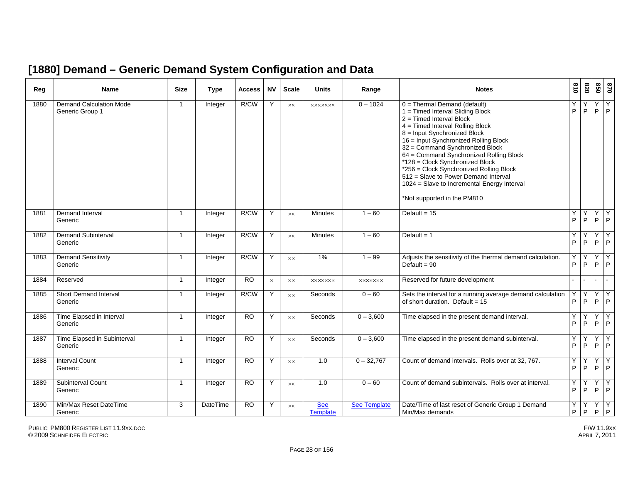#### **[1880] Demand – Generic Demand System Configuration and Data**

| Reg  | Name                                              | <b>Size</b>    | <b>Type</b> | Access    | <b>NV</b> | <b>Scale</b>   | <b>Units</b>                  | Range          | <b>Notes</b>                                                                                                                                                                                                                                                                                                                                                                                                                                                                                  | 018               | 078               | 020          | 0 <sub>28</sub>          |
|------|---------------------------------------------------|----------------|-------------|-----------|-----------|----------------|-------------------------------|----------------|-----------------------------------------------------------------------------------------------------------------------------------------------------------------------------------------------------------------------------------------------------------------------------------------------------------------------------------------------------------------------------------------------------------------------------------------------------------------------------------------------|-------------------|-------------------|--------------|--------------------------|
| 1880 | <b>Demand Calculation Mode</b><br>Generic Group 1 | $\overline{1}$ | Integer     | R/CW      | Y         | XX             | <b>XXXXXXX</b>                | $0 - 1024$     | $0 =$ Thermal Demand (default)<br>1 = Timed Interval Sliding Block<br>2 = Timed Interval Block<br>4 = Timed Interval Rolling Block<br>8 = Input Synchronized Block<br>16 = Input Synchronized Rolling Block<br>32 = Command Synchronized Block<br>64 = Command Synchronized Rolling Block<br>*128 = Clock Synchronized Block<br>*256 = Clock Synchronized Rolling Block<br>512 = Slave to Power Demand Interval<br>1024 = Slave to Incremental Energy Interval<br>*Not supported in the PM810 | Υ<br>$\mathsf{P}$ | Υ<br>$\mathsf{P}$ | Y<br>P       | Y<br>$\mathsf{P}$        |
| 1881 | <b>Demand Interval</b><br>Generic                 | $\overline{1}$ | Integer     | R/CW      | Y         | $\times\times$ | <b>Minutes</b>                | $1 - 60$       | Default = $\overline{15}$                                                                                                                                                                                                                                                                                                                                                                                                                                                                     | Υ<br>P            | Υ<br>$\mathsf{P}$ | Υ<br>$\sf P$ | Υ<br>$\mathsf{P}$        |
| 1882 | <b>Demand Subinterval</b><br>Generic              | $\overline{1}$ | Integer     | R/CW      | Y         | $\times\times$ | Minutes                       | $1 - 60$       | Default = $1$                                                                                                                                                                                                                                                                                                                                                                                                                                                                                 | Y<br>$\mathsf P$  | Y<br>$\mathsf{P}$ | Υ<br>P       | Υ<br>P                   |
| 1883 | <b>Demand Sensitivity</b><br>Generic              | $\overline{1}$ | Integer     | R/CW      | Y         | $\times\times$ | 1%                            | $1 - 99$       | Adjusts the sensitivity of the thermal demand calculation.<br>Default = $90$                                                                                                                                                                                                                                                                                                                                                                                                                  | Y<br>P            | P                 | Υ            | Υ<br>$P$ $P$             |
| 1884 | Reserved                                          | $\overline{1}$ | Integer     | <b>RO</b> | $\times$  | $\times\times$ | <b>XXXXXXX</b>                | <b>XXXXXXX</b> | Reserved for future development                                                                                                                                                                                                                                                                                                                                                                                                                                                               |                   |                   |              | $\overline{\phantom{0}}$ |
| 1885 | <b>Short Demand Interval</b><br>Generic           | $\overline{1}$ | Integer     | R/CW      | Y         | XX             | Seconds                       | $0 - 60$       | Sets the interval for a running average demand calculation<br>of short duration. Default = $15$                                                                                                                                                                                                                                                                                                                                                                                               | Υ<br>P            | Y<br>P            | Y<br>P       | Y<br>P                   |
| 1886 | Time Elapsed in Interval<br>Generic               | $\overline{1}$ | Integer     | RO        | Y         | <b>XX</b>      | Seconds                       | $0 - 3,600$    | Time elapsed in the present demand interval.                                                                                                                                                                                                                                                                                                                                                                                                                                                  | Y<br>P            | Υ<br>P            | Υ<br>P       | Y<br>P                   |
| 1887 | Time Elapsed in Subinterval<br>Generic            | $\overline{1}$ | Integer     | <b>RO</b> | Y         | XX             | Seconds                       | $0 - 3,600$    | Time elapsed in the present demand subinterval.                                                                                                                                                                                                                                                                                                                                                                                                                                               | Υ<br>P            | Y<br>P            | Υ<br>P       | Υ<br>P                   |
| 1888 | <b>Interval Count</b><br>Generic                  | $\overline{1}$ | Integer     | <b>RO</b> | Y         | <b>XX</b>      | 1.0                           | $0 - 32,767$   | Count of demand intervals. Rolls over at 32, 767.                                                                                                                                                                                                                                                                                                                                                                                                                                             | Y<br>P            | Y<br>P            | Υ<br>P       | Y<br>$\mathsf{P}$        |
| 1889 | Subinterval Count<br>Generic                      | $\overline{1}$ | Integer     | <b>RO</b> | Y         | XX             | 1.0                           | $0 - 60$       | Count of demand subintervals. Rolls over at interval.                                                                                                                                                                                                                                                                                                                                                                                                                                         | Y<br>P            | Υ<br>P            | Y<br>P       | Y<br>$\mathsf{P}$        |
| 1890 | Min/Max Reset DateTime<br>Generic                 | 3              | DateTime    | <b>RO</b> | Y         | XX             | <b>See</b><br><b>Template</b> | See Template   | Date/Time of last reset of Generic Group 1 Demand<br>Min/Max demands                                                                                                                                                                                                                                                                                                                                                                                                                          | Υ<br>P            | Υ<br>P            | Υ<br>P       | Y<br>$\mathsf P$         |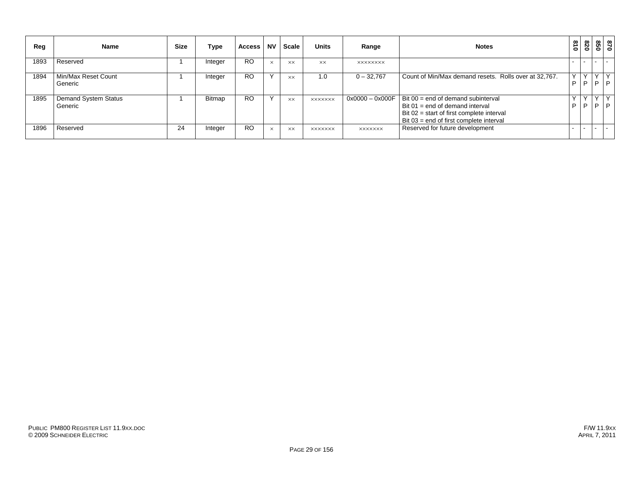| Reg  | <b>Name</b>                     | <b>Size</b> | Type          | <b>Access</b> | <b>NV</b> | Scale          | <b>Units</b>   | Range           | <b>Notes</b>                                                                                                                                                                        | $\frac{3}{10}$ | 078          |                   | 87<br>85    |
|------|---------------------------------|-------------|---------------|---------------|-----------|----------------|----------------|-----------------|-------------------------------------------------------------------------------------------------------------------------------------------------------------------------------------|----------------|--------------|-------------------|-------------|
| 1893 | Reserved                        |             | Integer       | <b>RO</b>     | $\times$  | <b>XX</b>      | XX             | <b>XXXXXXXX</b> |                                                                                                                                                                                     |                |              |                   | $\sim$      |
| 1894 | Min/Max Reset Count<br>Generic  |             | Integer       | <b>RO</b>     |           | <b>XX</b>      | 1.0            | $0 - 32,767$    | Count of Min/Max demand resets. Rolls over at 32,767.                                                                                                                               | P              | $\cdot$<br>P | $\checkmark$<br>D | $\vee$<br>D |
| 1895 | Demand System Status<br>Generic |             | <b>Bitmap</b> | <b>RO</b>     |           | $\times\times$ | <b>XXXXXXX</b> |                 | $0x0000 - 0x000F$   Bit 00 = end of demand subinterval<br>Bit 01 = end of demand interval<br>Bit $02 =$ start of first complete interval<br>Bit 03 = end of first complete interval | P              | P            | $\checkmark$<br>D | D           |
| 1896 | Reserved                        | 24          | Integer       | <b>RO</b>     | $\times$  | $\times\times$ | <b>XXXXXXX</b> | <b>XXXXXXX</b>  | Reserved for future development                                                                                                                                                     |                |              |                   | $\sim$      |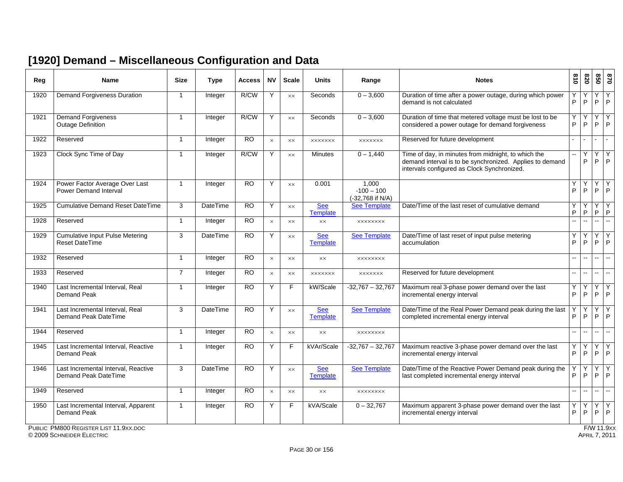#### **[1920] Demand – Miscellaneous Configuration and Data**

| Reg  | <b>Name</b>                                                     | <b>Size</b>    | <b>Type</b>     | <b>Access</b>   | <b>NV</b> | <b>Scale</b>   | <b>Units</b>                  | Range                                     | <b>Notes</b>                                                                                                                                                   | 618                      | 078                      | 850                      | 0/8                 |
|------|-----------------------------------------------------------------|----------------|-----------------|-----------------|-----------|----------------|-------------------------------|-------------------------------------------|----------------------------------------------------------------------------------------------------------------------------------------------------------------|--------------------------|--------------------------|--------------------------|---------------------|
| 1920 | Demand Forgiveness Duration                                     | $\mathbf{1}$   | Integer         | R/CW            | Y         | <b>XX</b>      | Seconds                       | $0 - 3,600$                               | Duration of time after a power outage, during which power<br>demand is not calculated                                                                          | P                        | P                        | Y<br>P                   | Y<br>$\mathsf{P}$   |
| 1921 | <b>Demand Forgiveness</b><br><b>Outage Definition</b>           | $\mathbf{1}$   | Integer         | R/CW            | Y         | <b>XX</b>      | Seconds                       | $0 - 3,600$                               | Duration of time that metered voltage must be lost to be<br>considered a power outage for demand forgiveness                                                   | Υ<br>P                   | Υ<br>P                   | Y<br>P                   | Y<br>I P            |
| 1922 | Reserved                                                        | $\mathbf 1$    | Integer         | $\overline{RO}$ | $\times$  | $\times\times$ | <b>XXXXXXX</b>                | <b>XXXXXXX</b>                            | Reserved for future development                                                                                                                                | $\blacksquare$           |                          |                          | $\sim$              |
| 1923 | Clock Sync Time of Day                                          | $\mathbf{1}$   | Integer         | R/CW            | Y         | $\times\times$ | <b>Minutes</b>                | $0 - 1,440$                               | Time of day, in minutes from midnight, to which the<br>demand interval is to be synchronized. Applies to demand<br>intervals configured as Clock Synchronized. |                          | Y<br>P                   | Y<br>P                   | Υ<br> P             |
| 1924 | Power Factor Average Over Last<br><b>Power Demand Interval</b>  | $\overline{1}$ | Integer         | <b>RO</b>       | Y         | <b>XX</b>      | 0.001                         | 1,000<br>$-100 - 100$<br>(-32,768 if N/A) |                                                                                                                                                                | Υ<br>P                   | Υ<br>P                   | Y<br>P                   | Y<br>$\overline{P}$ |
| 1925 | <b>Cumulative Demand Reset DateTime</b>                         | 3              | <b>DateTime</b> | <b>RO</b>       | Y         | $\times\times$ | <b>See</b><br><b>Template</b> | <b>See Template</b>                       | Date/Time of the last reset of cumulative demand                                                                                                               | Υ<br>P                   | P                        | Y<br>$\sf P$             | Y<br>$\sf P$        |
| 1928 | Reserved                                                        | $\mathbf{1}$   | Integer         | <b>RO</b>       | $\times$  | $\times\times$ | <b>XX</b>                     | <b>XXXXXXXX</b>                           |                                                                                                                                                                | $\overline{a}$           | L.                       | ш.                       | $\sim$              |
| 1929 | <b>Cumulative Input Pulse Metering</b><br><b>Reset DateTime</b> | 3              | <b>DateTime</b> | $\overline{RO}$ | Y         | <b>XX</b>      | <b>See</b><br><b>Template</b> | <b>See Template</b>                       | Date/Time of last reset of input pulse metering<br>accumulation                                                                                                | Υ<br>P                   | Υ<br>P                   | Y<br>P                   | Y<br>l P            |
| 1932 | Reserved                                                        | $\mathbf{1}$   | Integer         | <b>RO</b>       | $\times$  | <b>XX</b>      | $\times\times$                | <b>XXXXXXXX</b>                           |                                                                                                                                                                | $\overline{a}$           | $\overline{\phantom{a}}$ | --                       | $\mathbf{u}$        |
| 1933 | Reserved                                                        | $\overline{7}$ | Integer         | <b>RO</b>       | $\times$  | $\times\times$ | <b>XXXXXXX</b>                | <b>XXXXXXX</b>                            | Reserved for future development                                                                                                                                | $\overline{a}$           | $\overline{a}$           | $\overline{a}$           | $\mathbb{L}$        |
| 1940 | Last Incremental Interval, Real<br>Demand Peak                  | $\overline{1}$ | Integer         | RO              | Y         | F              | kW/Scale                      | $-32,767 - 32,767$                        | Maximum real 3-phase power demand over the last<br>incremental energy interval                                                                                 | Υ<br>P                   | Υ<br>P                   | Υ<br>P                   | Υ<br> P             |
| 1941 | Last Incremental Interval, Real<br>Demand Peak DateTime         | 3              | <b>DateTime</b> | $\overline{RO}$ | Y         | $\times\times$ | <b>See</b><br>Template        | <b>See Template</b>                       | Date/Time of the Real Power Demand peak during the last<br>completed incremental energy interval                                                               | P                        | Y<br>P                   | Y<br>P                   | Y<br>P              |
| 1944 | Reserved                                                        | $\mathbf{1}$   | Integer         | $\overline{RO}$ | $\times$  | <b>XX</b>      | $\times\times$                | <b>XXXXXXXX</b>                           |                                                                                                                                                                | $\overline{a}$           | $\mathbf{u}$             | $\mathbf{u}$             | $\sim$              |
| 1945 | Last Incremental Interval, Reactive<br><b>Demand Peak</b>       | $\mathbf{1}$   | Integer         | RO              | Y         | F              | kVAr/Scale                    | $-32,767 - 32,767$                        | Maximum reactive 3-phase power demand over the last<br>incremental energy interval                                                                             | Υ<br>P                   | Y<br>P                   | Y<br>P                   | Y<br>$\mathsf{P}$   |
| 1946 | Last Incremental Interval, Reactive<br>Demand Peak DateTime     | 3              | <b>DateTime</b> | $\overline{RO}$ | Y         | <b>XX</b>      | <b>See</b><br><b>Template</b> | <b>See Template</b>                       | Date/Time of the Reactive Power Demand peak during the<br>last completed incremental energy interval                                                           | Y<br>P                   | Υ<br>P                   | Y<br>P                   | k<br>l P            |
| 1949 | Reserved                                                        | $\mathbf{1}$   | Integer         | <b>RO</b>       | $\times$  | XX             | $\times\times$                | <b>XXXXXXXX</b>                           |                                                                                                                                                                | $\overline{\phantom{a}}$ | --                       | $\overline{\phantom{a}}$ | $\sim$              |
| 1950 | Last Incremental Interval, Apparent<br><b>Demand Peak</b>       | $\mathbf{1}$   | Integer         | <b>RO</b>       | Y         | F              | kVA/Scale                     | $0 - 32,767$                              | Maximum apparent 3-phase power demand over the last<br>incremental energy interval                                                                             | Υ<br>P                   | Υ<br>P                   | Y<br>P                   | Y<br> P             |

PUBLIC PM800 REGISTER LIST 11.9XX.DOC

© 2009 SCHNEIDER ELECTRIC APRIL 7, 2011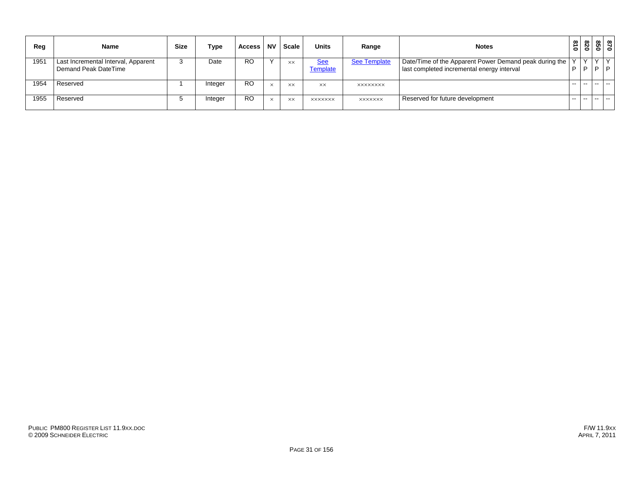| Reg  | Name                                                        | <b>Size</b> | Type    | <b>Access</b>  | <b>NV</b>    | <b>Scale</b> | <b>Units</b>           | Range               | <b>Notes</b>                                                                                         | $\frac{8}{10}$ | 078         | 870<br>850           |     |
|------|-------------------------------------------------------------|-------------|---------|----------------|--------------|--------------|------------------------|---------------------|------------------------------------------------------------------------------------------------------|----------------|-------------|----------------------|-----|
| 1951 | Last Incremental Interval, Apparent<br>Demand Peak DateTime |             | Date    | <b>RO</b>      |              | <b>XX</b>    | <u>See</u><br>Template | <b>See Template</b> | Date/Time of the Apparent Power Demand peak during the<br>last completed incremental energy interval | P              | $\vee$<br>D | $\vee$ $\vee$<br>P P |     |
| 1954 | Reserved                                                    |             | Integer | <b>RO</b>      | $\times$     | <b>XX</b>    | XX.                    | <b>XXXXXXXX</b>     |                                                                                                      | $\sim$         | $- -$       | $ -$                 | --- |
| 1955 | Reserved                                                    |             | Integer | R <sub>O</sub> | $\checkmark$ | <b>XX</b>    | <b>XXXXXXX</b>         | <b>XXXXXXX</b>      | Reserved for future development                                                                      | $\sim$         |             | $ -$                 | --  |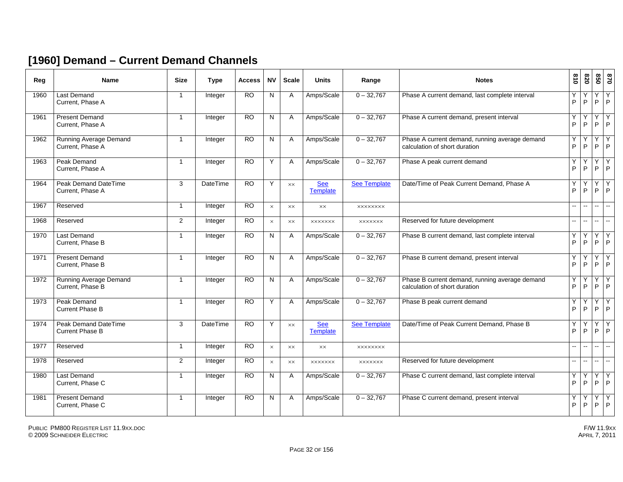#### **[1960] Demand – Current Demand Channels**

| Reg  | <b>Name</b>                                    | <b>Size</b>    | <b>Type</b>     | <b>Access</b>   | <b>NV</b> | <b>Scale</b>   | <b>Units</b>                  | Range               | <b>Notes</b>                                                                    | 018                      | 078                      | 850                      | 0/8               |
|------|------------------------------------------------|----------------|-----------------|-----------------|-----------|----------------|-------------------------------|---------------------|---------------------------------------------------------------------------------|--------------------------|--------------------------|--------------------------|-------------------|
| 1960 | <b>Last Demand</b><br>Current. Phase A         | $\overline{1}$ | Integer         | $\overline{RO}$ | N         | A              | Amps/Scale                    | $0 - 32,767$        | Phase A current demand, last complete interval                                  | Υ<br>P                   | P                        | Υ<br>P                   | Y<br>P            |
| 1961 | <b>Present Demand</b><br>Current, Phase A      | $\mathbf{1}$   | Integer         | $\overline{RO}$ | N         | A              | Amps/Scale                    | $0 - 32,767$        | Phase A current demand, present interval                                        | Y<br>P                   | P                        | Y<br>P                   | Y<br>P            |
| 1962 | Running Average Demand<br>Current, Phase A     | $\mathbf{1}$   | Integer         | $\overline{RO}$ | N         | $\mathsf{A}$   | Amps/Scale                    | $0 - 32,767$        | Phase A current demand, running average demand<br>calculation of short duration | Y<br>P                   | Υ<br>P                   | Y<br>P                   | Y<br>P            |
| 1963 | Peak Demand<br>Current, Phase A                | 1              | Integer         | <b>RO</b>       | Y         | $\mathsf{A}$   | Amps/Scale                    | $0 - 32,767$        | Phase A peak current demand                                                     | Y<br>P                   | Υ<br>P                   | Y<br>P                   | Y<br>P            |
| 1964 | Peak Demand DateTime<br>Current. Phase A       | 3              | <b>DateTime</b> | <b>RO</b>       | Y         | XX             | <b>See</b><br><b>Template</b> | <b>See Template</b> | Date/Time of Peak Current Demand, Phase A                                       | Υ<br>P                   | Υ<br>P                   | Y<br>P                   | Y<br>P            |
| 1967 | Reserved                                       | $\mathbf{1}$   | Integer         | <b>RO</b>       | $\times$  | <b>XX</b>      | XX                            | <b>XXXXXXXX</b>     |                                                                                 | $\overline{\phantom{a}}$ | ÷.                       | $\mathbf{u}$             | $\sim$            |
| 1968 | Reserved                                       | $\mathbf{2}$   | Integer         | RO              | $\times$  | XX             | <b>XXXXXXX</b>                | <b>XXXXXXX</b>      | Reserved for future development                                                 | -−                       | $\overline{\phantom{a}}$ | -−                       | $\mathbf{H}$      |
| 1970 | <b>Last Demand</b><br>Current. Phase B         | 1              | Integer         | $\overline{RO}$ | N         | A              | Amps/Scale                    | $0 - 32,767$        | Phase B current demand, last complete interval                                  | Υ<br>P                   | Y<br>P                   | Υ<br>P                   | Y<br>P            |
| 1971 | <b>Present Demand</b><br>Current, Phase B      | $\overline{1}$ | Integer         | $\overline{RO}$ | N         | $\mathsf{A}$   | Amps/Scale                    | $0 - 32,767$        | Phase B current demand, present interval                                        | Y<br>P                   | Υ<br>P                   | Y<br>P                   | $\mathsf{Y}$<br>P |
| 1972 | Running Average Demand<br>Current, Phase B     | 1              | Integer         | $\overline{RO}$ | N         | $\mathsf{A}$   | Amps/Scale                    | $0 - 32,767$        | Phase B current demand, running average demand<br>calculation of short duration | Y<br>P                   | Y<br>P                   | Y<br>P                   | Y<br>P            |
| 1973 | Peak Demand<br><b>Current Phase B</b>          | $\mathbf{1}$   | Integer         | $\overline{RO}$ | Y         | $\mathsf{A}$   | Amps/Scale                    | $0 - 32,767$        | Phase B peak current demand                                                     | Υ<br>P                   | P                        | Y<br>P                   | Y<br>P            |
| 1974 | Peak Demand DateTime<br><b>Current Phase B</b> | 3              | <b>DateTime</b> | $\overline{RO}$ | Y         | $\times\times$ | <b>See</b><br><b>Template</b> | <b>See Template</b> | Date/Time of Peak Current Demand, Phase B                                       | Υ<br>P                   | P                        | Υ<br>P                   | Υ<br>P            |
| 1977 | Reserved                                       | 1              | Integer         | <b>RO</b>       | $\times$  | <b>XX</b>      | <b>XX</b>                     | <b>XXXXXXXX</b>     |                                                                                 | $-$                      | --                       | $\overline{\phantom{0}}$ | $\sim$            |
| 1978 | Reserved                                       | $\overline{2}$ | Integer         | <b>RO</b>       | $\times$  | <b>XX</b>      | <b>XXXXXXX</b>                | <b>XXXXXXX</b>      | Reserved for future development                                                 | L.                       | цü.                      | $\overline{a}$           | $\sim$            |
| 1980 | Last Demand<br>Current, Phase C                | $\mathbf{1}$   | Integer         | <b>RO</b>       | N         | Α              | Amps/Scale                    | $0 - 32,767$        | Phase C current demand, last complete interval                                  | Υ<br>P                   | Y<br>P                   | Y<br>P                   | Y<br>P            |
| 1981 | <b>Present Demand</b><br>Current, Phase C      | -1             | Integer         | $\overline{RO}$ | N         | A              | Amps/Scale                    | $0 - 32,767$        | Phase C current demand, present interval                                        | Y<br>P                   | P                        | Y<br>P                   | Y<br>P            |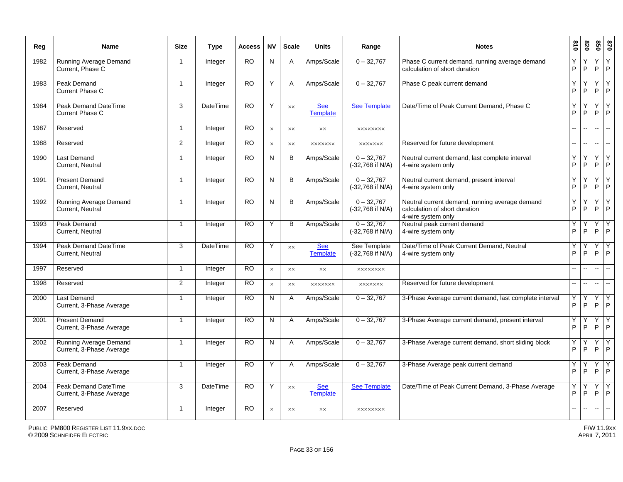| Reg  | Name                                                      | <b>Size</b>             | <b>Type</b>     | <b>Access</b> | <b>NV</b>      | <b>Scale</b>   | <b>Units</b>                  | Range                              | <b>Notes</b>                                                                                          | 810            | 078          | 850               | 0 <sub>28</sub>          |
|------|-----------------------------------------------------------|-------------------------|-----------------|---------------|----------------|----------------|-------------------------------|------------------------------------|-------------------------------------------------------------------------------------------------------|----------------|--------------|-------------------|--------------------------|
| 1982 | Running Average Demand<br>Current, Phase C                | $\overline{\mathbf{1}}$ | Integer         | <b>RO</b>     | N              | $\mathsf{A}$   | Amps/Scale                    | $0 - 32,767$                       | Phase C current demand, running average demand<br>calculation of short duration                       | Υ<br>Þ         | P            | Υ<br>P            | Y<br>P                   |
| 1983 | Peak Demand<br>Current Phase C                            | $\overline{1}$          | Integer         | <b>RO</b>     | Y              | A              | Amps/Scale                    | $0 - 32,767$                       | Phase C peak current demand                                                                           | Υ<br>P         | Υ<br>P       | Y<br>P            | $\overline{Y}$<br>P      |
| 1984 | Peak Demand DateTime<br>Current Phase C                   | 3                       | DateTime        | <b>RO</b>     | Y              | $\times\times$ | <b>See</b><br><b>Template</b> | <b>See Template</b>                | Date/Time of Peak Current Demand, Phase C                                                             | Υ<br>P         | Υ<br>$\sf P$ | Υ<br>$\mathsf{P}$ | Y<br>P                   |
| 1987 | Reserved                                                  | $\mathbf{1}$            | Integer         | <b>RO</b>     | $\times$       | $\times\times$ | $\times\times$                | <b>XXXXXXXX</b>                    |                                                                                                       | $\overline{a}$ | --           | $\mathbf{u}$      | $\sim$                   |
| 1988 | Reserved                                                  | 2                       | Integer         | <b>RO</b>     | $\times$       | XX             | <b>XXXXXXX</b>                | <b>XXXXXXX</b>                     | Reserved for future development                                                                       | --             | щ.           | н.                | $\mathbf{u}$             |
| 1990 | <b>Last Demand</b><br>Current, Neutral                    | $\mathbf{1}$            | Integer         | <b>RO</b>     | N              | B              | Amps/Scale                    | $0 - 32,767$<br>(-32,768 if N/A)   | Neutral current demand, last complete interval<br>4-wire system only                                  | Y<br>P         | P            | Y<br>P            | Y<br>P                   |
| 1991 | <b>Present Demand</b><br>Current, Neutral                 | -1                      | Integer         | <b>RO</b>     | N              | B              | Amps/Scale                    | $0 - 32,767$<br>(-32,768 if N/A)   | Neutral current demand, present interval<br>4-wire system only                                        | Υ<br>Þ         | Υ<br>P       | Υ<br>P            | Y<br>P                   |
| 1992 | Running Average Demand<br>Current, Neutral                | $\mathbf{1}$            | Integer         | <b>RO</b>     | N              | B              | Amps/Scale                    | $0 - 32,767$<br>(-32,768 if N/A)   | Neutral current demand, running average demand<br>calculation of short duration<br>4-wire system only | Υ<br>P         | Υ<br>P       | Y<br>P            | l Y<br>P                 |
| 1993 | Peak Demand<br>Current, Neutral                           | $\mathbf{1}$            | Integer         | <b>RO</b>     | Y              | B              | Amps/Scale                    | $0 - 32,767$<br>(-32,768 if N/A)   | Neutral peak current demand<br>4-wire system only                                                     | Υ<br>P         | Y<br>$\sf P$ | Y<br>$\mathsf{P}$ | Y<br>P                   |
| 1994 | <b>Peak Demand DateTime</b><br>Current, Neutral           | 3                       | <b>DateTime</b> | <b>RO</b>     | Y              | $\times\times$ | <b>See</b><br><b>Template</b> | See Template<br>$(-32,768$ if N/A) | Date/Time of Peak Current Demand, Neutral<br>4-wire system only                                       | Y<br>P         | P            | Y<br>P            | Y<br>P                   |
| 1997 | Reserved                                                  | $\mathbf{1}$            | Integer         | <b>RO</b>     | $\times$       | XX             | $\times\times$                | <b>XXXXXXXX</b>                    |                                                                                                       | --             | Щ,           | ш.                | Щ.                       |
| 1998 | Reserved                                                  | 2                       | Integer         | RO.           | $\times$       | XX             | <b>XXXXXXX</b>                | <b>XXXXXXX</b>                     | Reserved for future development                                                                       | 44             | Щ,           | $\sim$            | $\overline{\phantom{a}}$ |
| 2000 | <b>Last Demand</b><br>Current, 3-Phase Average            | -1                      | Integer         | <b>RO</b>     | N              | A              | Amps/Scale                    | $0 - 32,767$                       | 3-Phase Average current demand, last complete interval                                                | Υ<br>P         | P            | Υ<br>P            | Y<br>P                   |
| 2001 | <b>Present Demand</b><br>Current, 3-Phase Average         | $\overline{1}$          | Integer         | <b>RO</b>     | $\overline{N}$ | A              | Amps/Scale                    | $0 - 32,767$                       | 3-Phase Average current demand, present interval                                                      | Υ<br>P         | Υ<br>P       | Y<br>P            | Y<br>P                   |
| 2002 | <b>Running Average Demand</b><br>Current, 3-Phase Average | $\mathbf{1}$            | Integer         | <b>RO</b>     | N              | A              | Amps/Scale                    | $0 - 32,767$                       | 3-Phase Average current demand, short sliding block                                                   | Υ<br>P         | P            | Y<br>P            | Y<br>P                   |
| 2003 | Peak Demand<br>Current, 3-Phase Average                   | $\mathbf 1$             | Integer         | <b>RO</b>     | Υ              | A              | Amps/Scale                    | $0 - 32,767$                       | 3-Phase Average peak current demand                                                                   | Υ<br>P         | P            | Y<br>P            | Y<br>P                   |
| 2004 | Peak Demand DateTime<br>Current, 3-Phase Average          | 3                       | <b>DateTime</b> | RO            | Y              | $\times\times$ | <b>See</b><br><b>Template</b> | <b>See Template</b>                | Date/Time of Peak Current Demand, 3-Phase Average                                                     | Υ<br>P         | P            | Υ<br>P            | Y<br>P                   |
| 2007 | Reserved                                                  | $\mathbf{1}$            | Integer         | <b>RO</b>     | $\times$       | <b>XX</b>      | $\times\times$                | <b>XXXXXXXX</b>                    |                                                                                                       | L.             | ۵.           | $\overline{a}$    | $\mathbf{u}$             |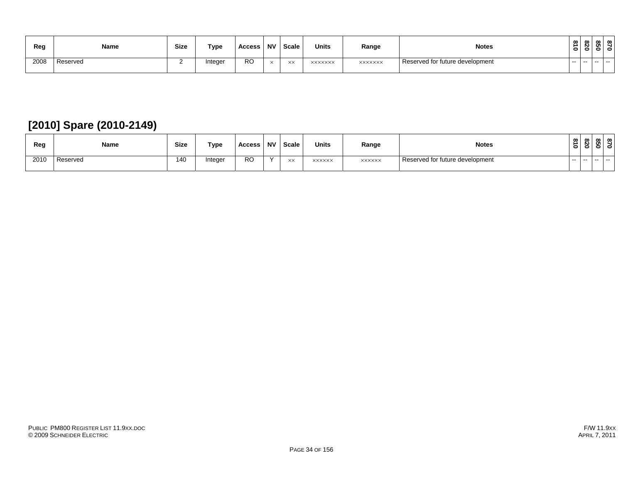| Reg  | Name     | <b>Size</b> | Type    | Access | <b>NV</b> | Scale      | <b>Units</b>   | Range          | <b>Notes</b>                    | $\infty$      | ൦<br>N        | . ത | ് മെ.<br>- |
|------|----------|-------------|---------|--------|-----------|------------|----------------|----------------|---------------------------------|---------------|---------------|-----|------------|
| 2008 | Reserved |             | Integer | RO     |           | $\vee\vee$ | <b>XXXXXXX</b> | <b>XXXXXXX</b> | Reserved for future development | $\sim$ $\sim$ | $\sim$ $\sim$ |     | .          |

## **[2010] Spare (2010-2149)**

| Reg  | Name     | <b>Size</b> | Type    | Access    | <b>NV</b> | Scale | <b>Units</b>  | Range         | <b>Notes</b>                    | $\vec{a}$<br>$\bullet$ | $\sim$ | ഗ | ∞ ∣∞  |
|------|----------|-------------|---------|-----------|-----------|-------|---------------|---------------|---------------------------------|------------------------|--------|---|-------|
| 2010 | Reserved | 140         | Integer | <b>RO</b> |           | XX    | <b>XXXXXX</b> | <b>XXXXXX</b> | Reserved for future development | $- -$                  | $- -$  |   | $- -$ |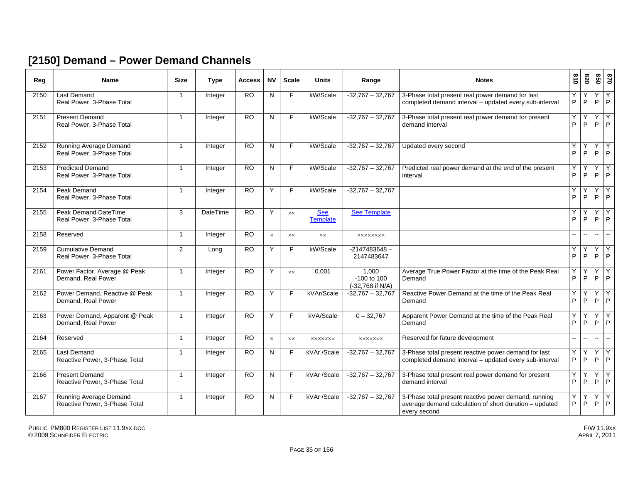#### **[2150] Demand – Power Demand Channels**

| Reg  | Name                                                       | <b>Size</b>    | Type           | Access          | <b>NV</b>      | <b>Scale</b>   | <b>Units</b>                  | Range                                          | <b>Notes</b>                                                                                                                   | 018            | 028               | 850    | $\overline{5}$           |
|------|------------------------------------------------------------|----------------|----------------|-----------------|----------------|----------------|-------------------------------|------------------------------------------------|--------------------------------------------------------------------------------------------------------------------------------|----------------|-------------------|--------|--------------------------|
| 2150 | <b>Last Demand</b><br>Real Power, 3-Phase Total            | $\overline{1}$ | Integer        | $\overline{RO}$ | N              | F              | kW/Scale                      | $-32,767 - 32,767$                             | 3-Phase total present real power demand for last<br>completed demand interval - updated every sub-interval                     | Υ<br>P         | P                 | Y<br>P | Y<br>P                   |
| 2151 | <b>Present Demand</b><br>Real Power, 3-Phase Total         | $\overline{1}$ | Integer        | <b>RO</b>       | N              | F              | kW/Scale                      | $-32,767 - 32,767$                             | 3-Phase total present real power demand for present<br>demand interval                                                         | Y<br>P         | Y<br>P            | Y<br>P | $\overline{Y}$<br>P      |
| 2152 | <b>Running Average Demand</b><br>Real Power, 3-Phase Total | $\overline{1}$ | Integer        | <b>RO</b>       | $\overline{N}$ | $\overline{F}$ | kW/Scale                      | $-32,767 - 32,767$                             | Updated every second                                                                                                           | Ÿ<br>P         | Y<br>P            | Υ<br>P | $\overline{Y}$<br>P      |
| 2153 | <b>Predicted Demand</b><br>Real Power, 3-Phase Total       | $\overline{1}$ | Integer        | $\overline{RO}$ | N              | F              | kW/Scale                      | $-32,767 - 32,767$                             | Predicted real power demand at the end of the present<br>interval                                                              | Y<br>P         | Y<br>P            | Y<br>P | Y<br>P                   |
| 2154 | Peak Demand<br>Real Power, 3-Phase Total                   | $\overline{1}$ | Integer        | $\overline{RO}$ | Y              | F              | kW/Scale                      | $-32,767 - 32,767$                             |                                                                                                                                | Y<br>P         | Υ<br>P            | Y<br>P | Y<br>P                   |
| 2155 | Peak Demand DateTime<br>Real Power, 3-Phase Total          | 3              | DateTime       | $\overline{RO}$ | Y              | <b>XX</b>      | <b>See</b><br><b>Template</b> | <b>See Template</b>                            |                                                                                                                                | Υ<br>P         | P                 | Y<br>P | Y<br>P                   |
| 2158 | Reserved                                                   | $\overline{1}$ | Integer        | <b>RO</b>       | $\times$       | $\times\times$ | $\times\times$                | <b>XXXXXXXX</b>                                |                                                                                                                                | $\overline{a}$ | ۵.                | ш.     | $\overline{\phantom{a}}$ |
| 2159 | <b>Cumulative Demand</b><br>Real Power, 3-Phase Total      | 2              | Long           | <b>RO</b>       | Y              | F              | kW/Scale                      | $-2147483648 -$<br>2147483647                  |                                                                                                                                | Υ<br>P         | P                 | Y<br>P | $\mathsf{Y}$<br>P        |
| 2161 | Power Factor, Average @ Peak<br>Demand, Real Power         | $\overline{1}$ | Integer        | <b>RO</b>       | Y              | <b>XX</b>      | 0.001                         | 1.000<br>$-100$ to $100$<br>$(-32,768$ if N/A) | Average True Power Factor at the time of the Peak Real<br>Demand                                                               | Y<br>P         | Υ<br>P            | Y<br>P | Y<br>P                   |
| 2162 | Power Demand, Reactive @ Peak<br>Demand, Real Power        | $\overline{1}$ | Integer        | $\overline{RO}$ | Y              | F              | kVAr/Scale                    | $-32,767 - 32,767$                             | Reactive Power Demand at the time of the Peak Real<br>Demand                                                                   | Ÿ<br>P         | Υ<br>P            | Y<br>P | ΙY<br>P                  |
| 2163 | Power Demand, Apparent @ Peak<br>Demand, Real Power        | $\overline{1}$ | <b>Integer</b> | $\overline{RO}$ | Y              | F              | kVA/Scale                     | $0 - 32,767$                                   | Apparent Power Demand at the time of the Peak Real<br>Demand                                                                   | Y<br>P         | Y<br>P            | Y<br>P | Y<br>l P.                |
| 2164 | Reserved                                                   | $\overline{1}$ | Integer        | <b>RO</b>       | $\times$       | XX             | <b>XXXXXXX</b>                | <b>XXXXXXX</b>                                 | Reserved for future development                                                                                                | --             | ۰.                | н.     | $\sim$                   |
| 2165 | <b>Last Demand</b><br>Reactive Power, 3-Phase Total        | $\mathbf 1$    | Integer        | $\overline{RO}$ | N              |                | kVAr /Scale                   | $-32,767 - 32,767$                             | 3-Phase total present reactive power demand for last<br>completed demand interval - updated every sub-interval                 | Υ<br>P         | P                 | Y<br>P | Y<br>P                   |
| 2166 | <b>Present Demand</b><br>Reactive Power, 3-Phase Total     | 1              | Integer        | $\overline{RO}$ | N              | F              | kVAr /Scale                   | $-32,767 - 32,767$                             | 3-Phase total present real power demand for present<br>demand interval                                                         | Y<br>P         | P                 | Υ<br>P | Y<br>P                   |
| 2167 | Running Average Demand<br>Reactive Power, 3-Phase Total    | $\overline{1}$ | Integer        | <b>RO</b>       | N              | F              | kVAr /Scale                   | $-32.767 - 32.767$                             | 3-Phase total present reactive power demand, running<br>average demand calculation of short duration - updated<br>every second | Y<br>P         | Υ<br>$\mathsf{P}$ | Y<br>P | Y<br>P                   |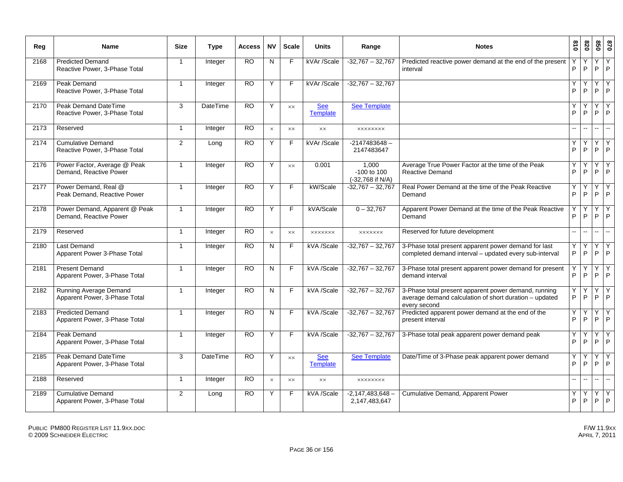| Reg  | <b>Name</b>                                                  | <b>Size</b>  | <b>Type</b>     | <b>Access</b>   | <b>NV</b> | <b>Scale</b>   | <b>Units</b>                  | Range                                        | <b>Notes</b>                                                                                                                   | $\overline{0}$ | 078    | 850          | 028                 |
|------|--------------------------------------------------------------|--------------|-----------------|-----------------|-----------|----------------|-------------------------------|----------------------------------------------|--------------------------------------------------------------------------------------------------------------------------------|----------------|--------|--------------|---------------------|
| 2168 | <b>Predicted Demand</b><br>Reactive Power, 3-Phase Total     | $\mathbf{1}$ | Integer         | <b>RO</b>       | N         | F              | kVAr /Scale                   | $-32,767 - 32,767$                           | Predicted reactive power demand at the end of the present<br>interval                                                          | P              | Y<br>P | Y<br>P       | Y<br>P              |
| 2169 | Peak Demand<br>Reactive Power, 3-Phase Total                 | $\mathbf{1}$ | Integer         | <b>RO</b>       | Y         | F              | kVAr /Scale                   | $-32,767 - 32,767$                           |                                                                                                                                | Y<br>P         | Y<br>P | Y<br>P       | $\overline{Y}$<br>P |
| 2170 | <b>Peak Demand DateTime</b><br>Reactive Power, 3-Phase Total | 3            | <b>DateTime</b> | <b>RO</b>       | Y         | XX             | <b>See</b><br><b>Template</b> | <b>See Template</b>                          |                                                                                                                                | Υ<br>P         | P      | Υ<br>P       | Y<br>P              |
| 2173 | Reserved                                                     | $\mathbf{1}$ | Integer         | <b>RO</b>       | $\times$  | <b>XX</b>      | XX                            | <b>XXXXXXXX</b>                              |                                                                                                                                | цú.            | Щ.     | $\mathbb{L}$ | $\mathbb{L}^2$      |
| 2174 | <b>Cumulative Demand</b><br>Reactive Power, 3-Phase Total    | 2            | Long            | <b>RO</b>       | Y         | E              | kVAr /Scale                   | $-2147483648 -$<br>2147483647                |                                                                                                                                | Υ<br>P         | Y<br>P | Υ<br>P       | Y<br>P              |
| 2176 | Power Factor, Average @ Peak<br>Demand, Reactive Power       | $\mathbf{1}$ | Integer         | <b>RO</b>       | Y         | $\times\times$ | 0.001                         | 1.000<br>$-100$ to $100$<br>(-32,768 if N/A) | Average True Power Factor at the time of the Peak<br>Reactive Demand                                                           | Y<br>P         | P      | Y<br>P       | Y<br>P              |
| 2177 | Power Demand, Real @<br>Peak Demand, Reactive Power          | $\mathbf{1}$ | Integer         | <b>RO</b>       | Υ         | F              | kW/Scale                      | $-32,767 - 32,767$                           | Real Power Demand at the time of the Peak Reactive<br>Demand                                                                   | Y<br>P         | P      | Υ<br>P       | Y<br>P              |
| 2178 | Power Demand, Apparent @ Peak<br>Demand, Reactive Power      | $\mathbf{1}$ | Integer         | <b>RO</b>       | Y         | F              | kVA/Scale                     | $0 - 32,767$                                 | Apparent Power Demand at the time of the Peak Reactive<br>Demand                                                               | P              | P      | Y<br>P       | Y<br>P              |
| 2179 | Reserved                                                     | $\mathbf{1}$ | Integer         | <b>RO</b>       | $\times$  | XX             | <b>XXXXXXX</b>                | <b>XXXXXXX</b>                               | Reserved for future development                                                                                                | 44             | ш.     | $\sim$       | $\sim$              |
| 2180 | <b>Last Demand</b><br>Apparent Power 3-Phase Total           | $\mathbf{1}$ | Integer         | <b>RO</b>       | N         | F              | kVA /Scale                    | $-32,767 - 32,767$                           | 3-Phase total present apparent power demand for last<br>completed demand interval - updated every sub-interval                 | Υ<br>P         | Y<br>P | Y<br>P       | Y<br>P              |
| 2181 | <b>Present Demand</b><br>Apparent Power, 3-Phase Total       | $\mathbf{1}$ | Integer         | <b>RO</b>       | N         | F              | kVA /Scale                    | $-32,767 - 32,767$                           | 3-Phase total present apparent power demand for present<br>demand interval                                                     | P              | P      | Y<br>P       | Y<br>P              |
| 2182 | Running Average Demand<br>Apparent Power, 3-Phase Total      | $\mathbf{1}$ | Integer         | <b>RO</b>       | N         | F              | kVA /Scale                    | $-32,767 - 32,767$                           | 3-Phase total present apparent power demand, running<br>average demand calculation of short duration - updated<br>every second | Y<br>P         | Υ<br>P | Y<br>P       | Y<br>P              |
| 2183 | <b>Predicted Demand</b><br>Apparent Power, 3-Phase Total     | $\mathbf{1}$ | Integer         | <b>RO</b>       | N         | E              | kVA /Scale                    | $-32,767 - 32,767$                           | Predicted apparent power demand at the end of the<br>present interval                                                          | Υ<br>Þ         | Y<br>P | Υ<br>P       | Y<br>P              |
| 2184 | Peak Demand<br>Apparent Power, 3-Phase Total                 | $\mathbf{1}$ | Integer         | <b>RO</b>       | Y         | F              | kVA /Scale                    | $-32,767 - 32,767$                           | 3-Phase total peak apparent power demand peak                                                                                  | Υ<br>P         | Υ<br>P | Y<br>P       | Y<br>P              |
| 2185 | <b>Peak Demand DateTime</b><br>Apparent Power, 3-Phase Total | 3            | DateTime        | <b>RO</b>       | Y         | XX             | <b>See</b><br><b>Template</b> | <b>See Template</b>                          | Date/Time of 3-Phase peak apparent power demand                                                                                | Υ<br>P         | P      | Y<br>P       | Y<br>P              |
| 2188 | Reserved                                                     | $\mathbf{1}$ | Integer         | $\overline{RO}$ | $\times$  | $\times\times$ | $\times\times$                | <b>XXXXXXXX</b>                              |                                                                                                                                | Ξ.             | Щ,     | ш.           | Щ.                  |
| 2189 | <b>Cumulative Demand</b><br>Apparent Power, 3-Phase Total    | 2            | Long            | <b>RO</b>       | Y         | E              | kVA /Scale                    | $-2,147,483,648-$<br>2,147,483,647           | Cumulative Demand, Apparent Power                                                                                              | Υ<br>P         | Y<br>P | Y<br>P       | Y<br>P              |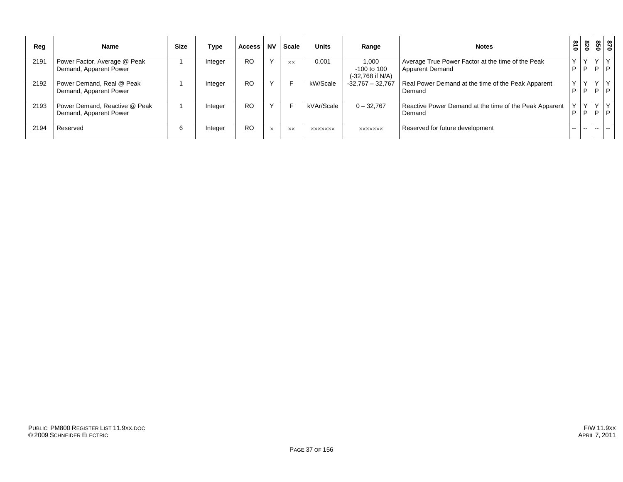| Reg  | <b>Name</b>                                             | <b>Size</b> | Type    | <b>Access</b> | <b>NV</b>   | <b>Scale</b> | <b>Units</b>   | Range                                          | <b>Notes</b>                                                                | 018               | 078 | 098               | 0/8         |
|------|---------------------------------------------------------|-------------|---------|---------------|-------------|--------------|----------------|------------------------------------------------|-----------------------------------------------------------------------------|-------------------|-----|-------------------|-------------|
| 2191 | Power Factor, Average @ Peak<br>Demand, Apparent Power  |             | Integer | <b>RO</b>     | $\check{ }$ | XX.          | 0.001          | 1,000<br>$-100$ to $100$<br>$(-32,768$ if N/A) | Average True Power Factor at the time of the Peak<br><b>Apparent Demand</b> | $\checkmark$<br>D | P   | Y<br>D            | Y<br>P      |
| 2192 | Power Demand, Real @ Peak<br>Demand, Apparent Power     |             | Integer | <b>RO</b>     |             |              | kW/Scale       | $-32,767 - 32,767$                             | Real Power Demand at the time of the Peak Apparent<br>Demand                | v<br>P            | P   | Y<br>D            | Y<br>P      |
| 2193 | Power Demand, Reactive @ Peak<br>Demand, Apparent Power |             | Integer | <b>RO</b>     |             |              | kVAr/Scale     | $0 - 32,767$                                   | Reactive Power Demand at the time of the Peak Apparent<br>Demand            | D                 | P   | $\checkmark$<br>P | $\vee$<br>P |
| 2194 | Reserved                                                | 6           | Integer | <b>RO</b>     | $\times$    | <b>XX</b>    | <b>XXXXXXX</b> | <b>XXXXXXX</b>                                 | Reserved for future development                                             | $-1$              |     | $- -$             | $\sim$      |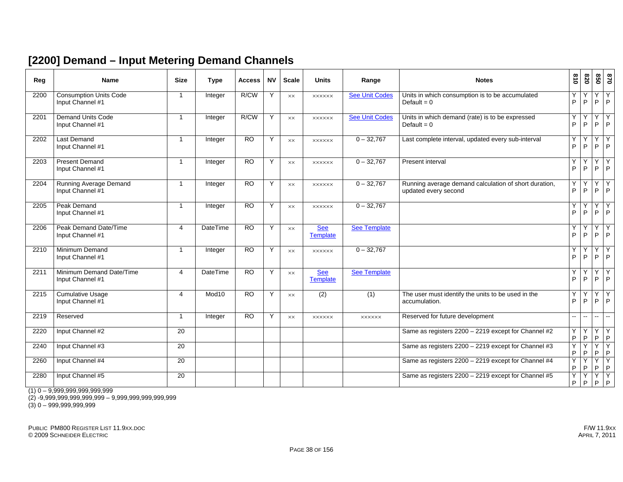#### **[2200] Demand – Input Metering Demand Channels**

| Reg  | <b>Name</b>                                       | <b>Size</b>    | <b>Type</b>       | <b>Access</b>   | <b>NV</b> | <b>Scale</b>   | <b>Units</b>                  | Range                 | <b>Notes</b>                                                                  | $\frac{810}{2}$     | 078    | 850     | 0/8                       |
|------|---------------------------------------------------|----------------|-------------------|-----------------|-----------|----------------|-------------------------------|-----------------------|-------------------------------------------------------------------------------|---------------------|--------|---------|---------------------------|
| 2200 | <b>Consumption Units Code</b><br>Input Channel #1 | $\overline{1}$ | Integer           | R/CW            | Y         | <b>XX</b>      | <b>XXXXXX</b>                 | <b>See Unit Codes</b> | Units in which consumption is to be accumulated<br>Default = $0$              | Y<br>P              | Y<br>P | Y<br>P  | Y<br>P                    |
| 2201 | <b>Demand Units Code</b><br>Input Channel #1      | $\mathbf{1}$   | Integer           | R/CW            | Y         | <b>XX</b>      | <b>XXXXXX</b>                 | <b>See Unit Codes</b> | Units in which demand (rate) is to be expressed<br>Default = $0$              | Ÿ<br>P              | Y<br>P | Y<br>P  | Y<br>P                    |
| 2202 | <b>Last Demand</b><br>Input Channel #1            | $\mathbf{1}$   | Integer           | $\overline{RO}$ | Y         | $\times\times$ | <b>XXXXXX</b>                 | $0 - 32,767$          | Last complete interval, updated every sub-interval                            | Y<br>P              | Υ<br>P | Υ<br>P  | Y<br> P                   |
| 2203 | <b>Present Demand</b><br>Input Channel #1         | $\overline{1}$ | Integer           | <b>RO</b>       | Y         | <b>XX</b>      | <b>XXXXXX</b>                 | $0 - 32,767$          | Present interval                                                              | Y<br>P              | Y<br>P | Y<br>P  | Y<br> P                   |
| 2204 | Running Average Demand<br>Input Channel #1        | $\mathbf{1}$   | Integer           | <b>RO</b>       | Y         | $\times\times$ | <b>XXXXXX</b>                 | $0 - 32,767$          | Running average demand calculation of short duration,<br>updated every second | Y<br>P              | Y<br>P | Y<br>P  | Y<br> P                   |
| 2205 | Peak Demand<br>Input Channel #1                   | $\mathbf{1}$   | Integer           | <b>RO</b>       | Y         | $\times\times$ | <b>XXXXXX</b>                 | $0 - 32,767$          |                                                                               | Υ<br>$\overline{P}$ | Y<br>P | Y<br>P  | Y<br>$\overline{P}$       |
| 2206 | Peak Demand Date/Time<br>Input Channel #1         | $\overline{4}$ | <b>DateTime</b>   | $\overline{RO}$ | Y         | <b>XX</b>      | <b>See</b><br><b>Template</b> | See Template          |                                                                               | Υ<br>P              | Y<br>P | Y<br>P  | Υ<br>$\overline{P}$       |
| 2210 | Minimum Demand<br>Input Channel #1                | $\mathbf{1}$   | Integer           | <b>RO</b>       | Y         | $\times\times$ | <b>XXXXXX</b>                 | $0 - 32,767$          |                                                                               | Υ<br>P              | Y<br>P | Y<br>P  | Υ<br>$\mathsf{P}$         |
| 2211 | Minimum Demand Date/Time<br>Input Channel #1      | 4              | <b>DateTime</b>   | $\overline{RO}$ | Y         | <b>XX</b>      | <b>See</b><br><b>Template</b> | <b>See Template</b>   |                                                                               | Y<br>P              | Y<br>P | Y<br>P  | Y<br> P                   |
| 2215 | <b>Cumulative Usage</b><br>Input Channel #1       | 4              | Mod <sub>10</sub> | $\overline{RO}$ | Y         | <b>XX</b>      | (2)                           | (1)                   | The user must identify the units to be used in the<br>accumulation.           | Υ<br>P              | Y<br>P | Y<br>P  | Y<br> P                   |
| 2219 | Reserved                                          | $\mathbf{1}$   | Integer           | $\overline{RO}$ | Y         | <b>XX</b>      | <b>XXXXXX</b>                 | <b>XXXXXX</b>         | Reserved for future development                                               | $\overline{a}$      | --     | н.      | $\mathbf{u}$              |
| 2220 | Input Channel #2                                  | 20             |                   |                 |           |                |                               |                       | Same as registers 2200 - 2219 except for Channel #2                           | Υ<br>P              | Y<br>P | Y<br>P  | Y<br> P                   |
| 2240 | Input Channel #3                                  | 20             |                   |                 |           |                |                               |                       | Same as registers 2200 - 2219 except for Channel #3                           | Υ<br>P              | Y<br>P | $\sf P$ | $Y$ $Y$<br> P             |
| 2260 | Input Channel #4                                  | 20             |                   |                 |           |                |                               |                       | Same as registers 2200 - 2219 except for Channel #4                           | Y<br>P              | Y<br>P | Y<br>P  | $\overline{Y}$<br> P      |
| 2280 | Input Channel #5                                  | 20             |                   |                 |           |                |                               |                       | Same as registers 2200 - 2219 except for Channel #5                           | Y<br>P              | Υ<br>P | Y       | $\overline{Y}$<br>$P$ $P$ |

 $(1)$  0 – 9,999,999,999,999,999

(2) -9,999,999,999,999,999 – 9,999,999,999,999,999

(3) 0 – 999,999,999,999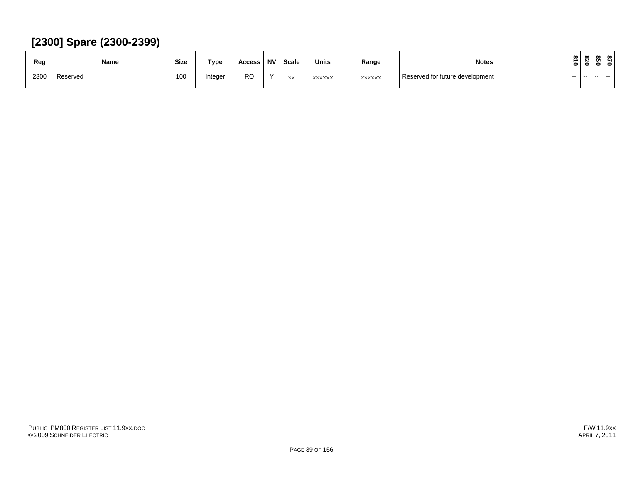#### **[2300] Spare (2300-2399)**

| Reg  | Name     | <b>Size</b> | Type   | Access    | <b>NV</b> | Scale            | <b>Units</b>  | Range         | <b>Notes</b>                    | 2<br>$\circ$ | ൦<br>N<br>$\bullet$ | ൞<br><b>Ch</b><br>0 |  |
|------|----------|-------------|--------|-----------|-----------|------------------|---------------|---------------|---------------------------------|--------------|---------------------|---------------------|--|
| 2300 | Reserved | 100         | nteger | <b>RO</b> | $\lambda$ | $\vee\vee$<br>↖∧ | <b>XXXXXX</b> | <b>XXXXXX</b> | Reserved for future development | $- -$        | $- -$               | -- --               |  |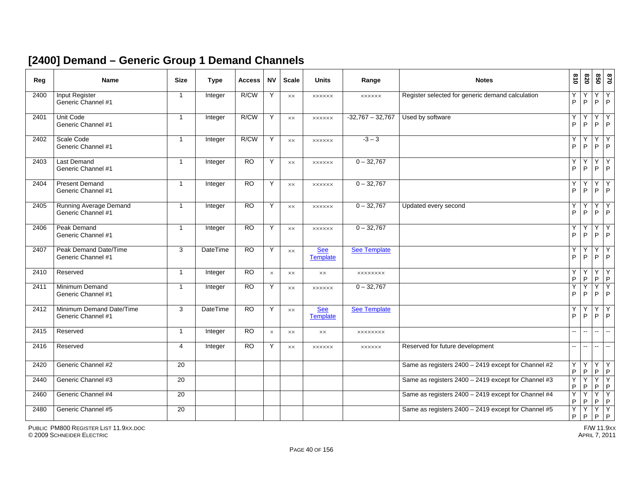#### **[2400] Demand – Generic Group 1 Demand Channels**

| Reg  | <b>Name</b>                                    | <b>Size</b>     | <b>Type</b>     | <b>Access</b>   | <b>NV</b> | <b>Scale</b>   | <b>Units</b>                  | Range               | <b>Notes</b>                                        | $\frac{810}{2}$          | 078                      | 850                      | 0/8                              |
|------|------------------------------------------------|-----------------|-----------------|-----------------|-----------|----------------|-------------------------------|---------------------|-----------------------------------------------------|--------------------------|--------------------------|--------------------------|----------------------------------|
| 2400 | <b>Input Register</b><br>Generic Channel #1    | $\overline{1}$  | Integer         | R/CW            | Y         | $\times\times$ | <b>XXXXXX</b>                 | <b>XXXXXX</b>       | Register selected for generic demand calculation    | Υ<br>P                   | Y<br>P                   | Y<br>P                   | Y<br>$\mathsf{P}$                |
| 2401 | <b>Unit Code</b><br>Generic Channel #1         | $\mathbf{1}$    | Integer         | R/CW            | Y         | $\times\times$ | <b>XXXXXX</b>                 | $-32,767 - 32,767$  | Used by software                                    | Υ<br>P                   | Υ<br>P                   | Y<br>$\mathsf P$         | Υ<br> P                          |
| 2402 | Scale Code<br>Generic Channel #1               | $\mathbf{1}$    | Integer         | R/CW            | Y         | <b>XX</b>      | <b>XXXXXX</b>                 | $-3-3$              |                                                     | Y<br>P                   | Y<br>P                   | Y<br>P                   | Y<br> P                          |
| 2403 | <b>Last Demand</b><br>Generic Channel #1       | $\mathbf{1}$    | Integer         | <b>RO</b>       | Y         | <b>XX</b>      | <b>XXXXXX</b>                 | $0 - 32,767$        |                                                     | Υ<br>P                   | Y<br>P                   | Y<br>P                   | Υ<br>$\overline{P}$              |
| 2404 | <b>Present Demand</b><br>Generic Channel #1    | $\mathbf{1}$    | Integer         | <b>RO</b>       | Y         | $\times\times$ | <b>XXXXXX</b>                 | $0 - 32,767$        |                                                     | Υ<br>P                   | Υ<br>P                   | Y<br>P                   | $\overline{Y}$<br>$\overline{P}$ |
| 2405 | Running Average Demand<br>Generic Channel #1   | $\mathbf{1}$    | Integer         | <b>RO</b>       | Y         | $\times\times$ | <b>XXXXXX</b>                 | $0 - 32,767$        | Updated every second                                | Υ<br>P                   | Y<br>P                   | Υ<br>P                   | Υ<br> P                          |
| 2406 | <b>Peak Demand</b><br>Generic Channel #1       | $\mathbf{1}$    | Integer         | <b>RO</b>       | Y         | $\times\times$ | <b>XXXXXX</b>                 | $0 - 32,767$        |                                                     | Υ<br>P                   | Υ<br>P                   | Y<br>P                   | Y<br>$\mathsf{P}$                |
| 2407 | Peak Demand Date/Time<br>Generic Channel #1    | 3               | <b>DateTime</b> | <b>RO</b>       | Y         | $\times\times$ | <b>See</b><br><b>Template</b> | <b>See Template</b> |                                                     | Y<br>P                   | Y<br>P                   | Y<br>P                   | Υ<br>$\mathsf P$                 |
| 2410 | Reserved                                       | $\mathbf{1}$    | Integer         | RO              | $\times$  | XX             | XX                            | <b>XXXXXXXX</b>     |                                                     | Υ<br>P                   | Υ<br>P                   | Υ<br>$\mathsf P$         | Υ<br> P                          |
| 2411 | Minimum Demand<br>Generic Channel #1           | $\mathbf{1}$    | Integer         | <b>RO</b>       | Y         | $\times\times$ | <b>XXXXXX</b>                 | $0 - 32,767$        |                                                     | Υ<br>P                   | Υ<br>P                   | Y<br>P                   | Y<br>$\overline{P}$              |
| 2412 | Minimum Demand Date/Time<br>Generic Channel #1 | 3               | <b>DateTime</b> | $\overline{RO}$ | Y         | $\times\times$ | <b>See</b><br><b>Template</b> | <b>See Template</b> |                                                     | Υ<br>P                   | Y<br>P                   | Y<br>P                   | Y<br> P                          |
| 2415 | Reserved                                       | $\mathbf{1}$    | Integer         | <b>RO</b>       | $\times$  | $\times\times$ | $\times\times$                | <b>XXXXXXXX</b>     |                                                     | $\overline{\phantom{a}}$ | --                       | $\overline{\phantom{a}}$ | $\sim$                           |
| 2416 | Reserved                                       | 4               | Integer         | RO              | Y         | XX             | <b>XXXXXX</b>                 | <b>XXXXXX</b>       | Reserved for future development                     | н.                       | $\overline{\phantom{a}}$ | ш.                       | $\sim$                           |
| 2420 | Generic Channel #2                             | 20              |                 |                 |           |                |                               |                     | Same as registers 2400 - 2419 except for Channel #2 | Υ<br>P                   | Y<br>P                   | $\overline{Y}$<br>P      | Y<br>$\overline{P}$              |
| 2440 | Generic Channel #3                             | $\overline{20}$ |                 |                 |           |                |                               |                     | Same as registers 2400 - 2419 except for Channel #3 | Y<br>P                   | Y<br>P                   |                          | $Y$ $Y$<br>$P$ $P$               |
| 2460 | Generic Channel #4                             | $\overline{20}$ |                 |                 |           |                |                               |                     | Same as registers 2400 - 2419 except for Channel #4 | Υ<br>P                   | Υ<br>P                   | Y<br>$\mathsf P$         | $\overline{Y}$<br> P             |
| 2480 | Generic Channel #5                             | 20              |                 |                 |           |                |                               |                     | Same as registers 2400 - 2419 except for Channel #5 | Υ<br>P                   | Υ<br>P                   | $\overline{Y}$<br>P      | Y<br> P                          |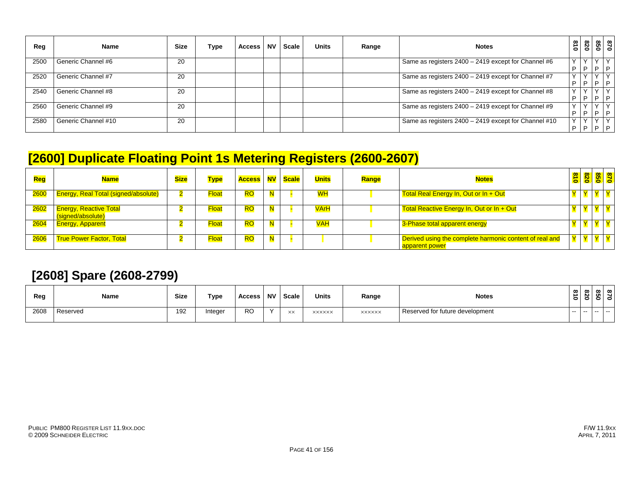| Reg  | <b>Name</b>         | <b>Size</b> | Type | <b>Access</b> | <b>NV</b> | Scale | <b>Units</b> | Range | <b>Notes</b>                                         | $\overline{0}18$ | 0Z8          | 099   | 0/8            |
|------|---------------------|-------------|------|---------------|-----------|-------|--------------|-------|------------------------------------------------------|------------------|--------------|-------|----------------|
| 2500 | Generic Channel #6  | 20          |      |               |           |       |              |       | Same as registers 2400 - 2419 except for Channel #6  |                  |              |       |                |
|      |                     |             |      |               |           |       |              |       |                                                      | D                | D            | 1 D . | $\overline{P}$ |
| 2520 | Generic Channel #7  | 20          |      |               |           |       |              |       | Same as registers 2400 - 2419 except for Channel #7  |                  | $\check{ }$  |       | $\checkmark$   |
|      |                     |             |      |               |           |       |              |       |                                                      | D                | D            | D.    | ם ו            |
| 2540 | Generic Channel #8  | 20          |      |               |           |       |              |       | Same as registers 2400 - 2419 except for Channel #8  |                  |              |       | $\vee$         |
|      |                     |             |      |               |           |       |              |       |                                                      | P                | D            | D     | 1 D            |
| 2560 | Generic Channel #9  | 20          |      |               |           |       |              |       | Same as registers 2400 - 2419 except for Channel #9  |                  |              |       |                |
|      |                     |             |      |               |           |       |              |       |                                                      | P                | P            | P     | $\mathsf{P}$   |
| 2580 | Generic Channel #10 | 20          |      |               |           |       |              |       | Same as registers 2400 - 2419 except for Channel #10 |                  | $\checkmark$ |       | Y              |
|      |                     |             |      |               |           |       |              |       |                                                      | D                | D            | D.    | $\Box$         |

## **[2600] Duplicate Floating Point 1s Metering Registers (2600-2607)**

| Reg  | <b>Name</b>                                        | <b>Size</b> | <b>Type</b>  | <b>Access NV Scale</b> |   | <b>Units</b> | Range | <b>Notes</b>                                                                             | $\frac{1}{8}$ | 820 | 870<br>850 |  |
|------|----------------------------------------------------|-------------|--------------|------------------------|---|--------------|-------|------------------------------------------------------------------------------------------|---------------|-----|------------|--|
| 2600 | <b>Energy, Real Total (signed/absolute)</b>        |             | Float        | <b>RO</b>              |   | <b>WH</b>    |       | Total Real Energy In, Out or In + Out                                                    |               |     |            |  |
| 2602 | <b>Energy, Reactive Total</b><br>(signed/absolute) |             | Float        | <b>RO</b>              | N | <b>VArH</b>  |       | Total Reactive Energy In, Out or In + Out                                                |               |     |            |  |
| 2604 | <b>Energy, Apparent</b>                            |             | <b>Float</b> | <b>RO</b>              | N | <b>VAH</b>   |       | 3-Phase total apparent energy                                                            |               |     |            |  |
| 2606 | <b>True Power Factor, Total</b>                    |             | <b>Float</b> | <b>RO</b>              | N |              |       | Derived using the complete harmonic content of real and<br>l <mark>apparent power</mark> |               |     |            |  |

#### **[2608] Spare (2608-2799)**

| Reg  | Name     | <b>Size</b> | Type    | Access    | <b>NV</b> | Scale | <b>Units</b>  | Range         | <b>Notes</b>                    | $\vec{a}$<br>$\bullet$ | -            |       | നിന<br>e |
|------|----------|-------------|---------|-----------|-----------|-------|---------------|---------------|---------------------------------|------------------------|--------------|-------|----------|
| 2608 | Reserved | 192         | Integer | <b>RO</b> | $\lambda$ | XX    | <b>XXXXXX</b> | <b>XXXXXX</b> | Reserved for future development | .                      | $\sim$ $  -$ | -- -- |          |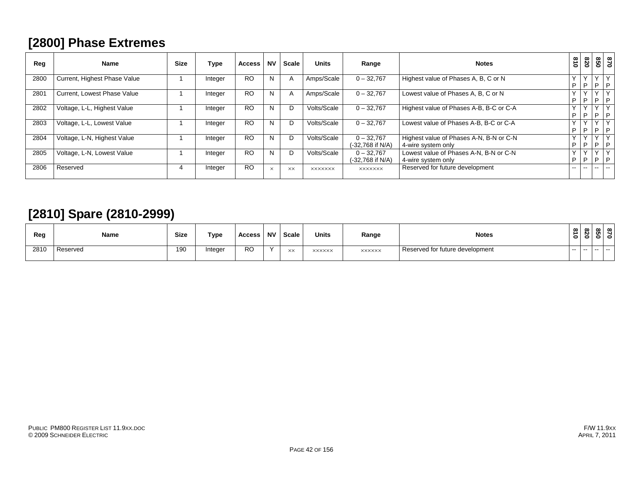## **[2800] Phase Extremes**

| Reg  | Name                         | <b>Size</b> | Type    | <b>Access</b> | <b>NV</b> | <b>Scale</b> | <b>Units</b>   | Range                            | <b>Notes</b>                                                  | 018    | 820               | 850             | $\overline{0}$               |
|------|------------------------------|-------------|---------|---------------|-----------|--------------|----------------|----------------------------------|---------------------------------------------------------------|--------|-------------------|-----------------|------------------------------|
| 2800 | Current, Highest Phase Value |             | Integer | <b>RO</b>     | N         |              | Amps/Scale     | $0 - 32,767$                     | Highest value of Phases A, B, C or N                          | v<br>D | $\vee$<br>P       | $\sqrt{}$       | PP                           |
| 2801 | Current, Lowest Phase Value  |             | Integer | <b>RO</b>     | N         | $\mathsf{A}$ | Amps/Scale     | $0 - 32,767$                     | Lowest value of Phases A, B, C or N                           | D      | P                 | i P             | $\mathsf{P}$                 |
| 2802 | Voltage, L-L, Highest Value  |             | Integer | <b>RO</b>     |           |              | Volts/Scale    | $0 - 32,767$                     | Highest value of Phases A-B, B-C or C-A                       | D      | P                 | $\mathsf{P}$    | l P                          |
| 2803 | Voltage, L-L, Lowest Value   |             | Integer | <b>RO</b>     | N         | D            | Volts/Scale    | $0 - 32.767$                     | Lowest value of Phases A-B, B-C or C-A                        | Y<br>D | P                 |                 | PP                           |
| 2804 | Voltage, L-N, Highest Value  |             | Integer | <b>RO</b>     | N         | .,           | Volts/Scale    | $0 - 32,767$<br>(-32.768 if N/A) | Highest value of Phases A-N, B-N or C-N<br>4-wire system only | v<br>D | $\checkmark$<br>P | $\lambda$<br>1P | l P                          |
| 2805 | Voltage, L-N, Lowest Value   |             | Integer | <b>RO</b>     |           |              | Volts/Scale    | $0 - 32,767$<br>(-32.768 if N/A) | Lowest value of Phases A-N, B-N or C-N<br>4-wire system only  | D      | $\checkmark$<br>P | $\sqrt{}$<br>P  | $\checkmark$<br>$\mathsf{P}$ |
| 2806 | Reserved                     |             | Integer | <b>RO</b>     | $\times$  | XX           | <b>XXXXXXX</b> | <b>XXXXXXX</b>                   | Reserved for future development                               | --     | $\sim$ $\sim$     | $\sim$ $\sim$   | --                           |

## **[2810] Spare (2810-2999)**

| Reg  | Name     | Size | Type    | Access    | <b>NV</b> | Scale            | <b>Units</b>  | Range         | <b>Notes</b>                    | $\infty$<br>∸<br>$\bullet$ | ന<br><b>N</b>           | . . | ൦<br>c |
|------|----------|------|---------|-----------|-----------|------------------|---------------|---------------|---------------------------------|----------------------------|-------------------------|-----|--------|
| 2810 | Reserved | 190  | Integer | <b>RO</b> | $\lambda$ | $\vee\vee$<br>ᄉᄉ | <b>XXXXXX</b> | <b>XXXXXX</b> | Reserved for future development | $- -$                      | the company's company's | .   |        |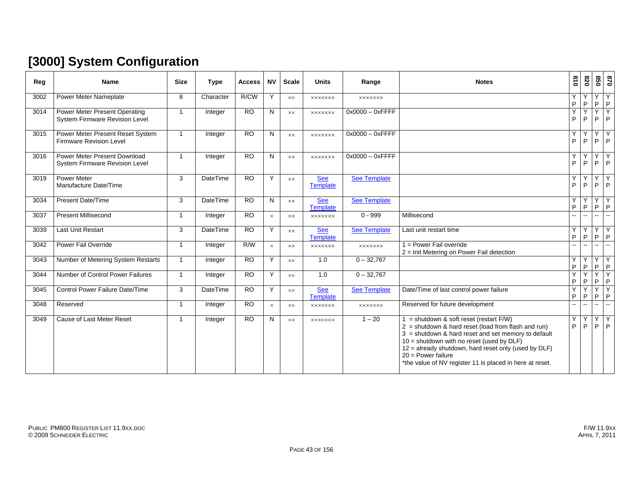# **[3000] System Configuration**

| Reg  | <b>Name</b>                                                        | <b>Size</b>             | <b>Type</b>     | <b>Access</b>   | <b>NV</b> | <b>Scale</b>   | <b>Units</b>                  | Range               | <b>Notes</b>                                                                                                                                                                                                                                                                                                                                              | $\frac{8}{10}$           | 078                      | 850               | 0/8                  |
|------|--------------------------------------------------------------------|-------------------------|-----------------|-----------------|-----------|----------------|-------------------------------|---------------------|-----------------------------------------------------------------------------------------------------------------------------------------------------------------------------------------------------------------------------------------------------------------------------------------------------------------------------------------------------------|--------------------------|--------------------------|-------------------|----------------------|
| 3002 | <b>Power Meter Nameplate</b>                                       | 8                       | Character       | R/CW            | Y         | XX             | <b>XXXXXXX</b>                | <b>XXXXXXX</b>      |                                                                                                                                                                                                                                                                                                                                                           | Y<br>P                   | Y<br>P                   | Y<br>P            | Y<br>P               |
| 3014 | Power Meter Present Operating<br>System Firmware Revision Level    | $\overline{1}$          | Integer         | <b>RO</b>       | N         | XX             | <b>XXXXXXX</b>                | $0x0000 - 0x$ FFFF  |                                                                                                                                                                                                                                                                                                                                                           | Y<br>P                   | Y<br>P                   | Y<br>P            | Y<br> P              |
| 3015 | Power Meter Present Reset System<br><b>Firmware Revision Level</b> | $\blacktriangleleft$    | Integer         | <b>RO</b>       | N         | $\times\times$ | <b>XXXXXXX</b>                | $0x0000 - 0x$ FFFF  |                                                                                                                                                                                                                                                                                                                                                           | Y<br>P                   | Y<br>P                   | Y<br>P            | $\overline{Y}$<br> P |
| 3016 | Power Meter Present Download<br>System Firmware Revision Level     |                         | Integer         | $\overline{RO}$ | N         | XX             | <b>XXXXXXX</b>                | $0x0000 - 0x$ FFFF  |                                                                                                                                                                                                                                                                                                                                                           | Υ<br>P                   | Υ<br>P                   | Y                 | Y<br>$P$ $P$         |
| 3019 | <b>Power Meter</b><br>Manufacture Date/Time                        | 3                       | DateTime        | $\overline{RO}$ | Y         | XX             | <b>See</b><br><b>Template</b> | <b>See Template</b> |                                                                                                                                                                                                                                                                                                                                                           | Y<br>P                   | Υ<br>P                   | Y<br>P            | Y<br>$\mathsf{P}$    |
| 3034 | <b>Present Date/Time</b>                                           | 3                       | DateTime        | <b>RO</b>       | N         | XX             | <b>See</b><br><b>Template</b> | <b>See Template</b> |                                                                                                                                                                                                                                                                                                                                                           | Y<br>P                   | Y<br>P                   |                   | YY<br>$P$ $P$        |
| 3037 | <b>Present Millisecond</b>                                         | $\overline{\mathbf{1}}$ | Integer         | <b>RO</b>       | $\times$  | $\times\times$ | <b>XXXXXXX</b>                | $0 - 999$           | Millisecond                                                                                                                                                                                                                                                                                                                                               | $\overline{\phantom{a}}$ | $\overline{\phantom{a}}$ | ω.                | $\sim$               |
| 3039 | <b>Last Unit Restart</b>                                           | 3                       | <b>DateTime</b> | $\overline{RO}$ | Y         | $\times\times$ | <b>See</b><br><b>Template</b> | <b>See Template</b> | Last unit restart time                                                                                                                                                                                                                                                                                                                                    | Y<br>P                   | Υ<br>P                   | Y<br>$\sf P$      | Y<br>P               |
| 3042 | Power Fail Override                                                | -1                      | Integer         | R/W             | $\times$  | $\times\times$ | <b>XXXXXXX</b>                | <b>XXXXXXX</b>      | $1 = Power$ Fail override<br>2 = Init Metering on Power Fail detection                                                                                                                                                                                                                                                                                    | $\mathbf{u}$             | $-$                      | Ш,                | $\sim$               |
| 3043 | Number of Metering System Restarts                                 | 1                       | Integer         | $\overline{RO}$ | Y         | $\times\times$ | 1.0                           | $0 - 32,767$        |                                                                                                                                                                                                                                                                                                                                                           | Y<br>P                   | Y<br>P                   | P                 | YY<br>$\mathsf P$    |
| 3044 | Number of Control Power Failures                                   | $\mathbf 1$             | Integer         | <b>RO</b>       | Y         | XX             | 1.0                           | $0 - 32,767$        |                                                                                                                                                                                                                                                                                                                                                           | Y<br>P                   | Υ<br>P                   | Y<br>$\mathsf{P}$ | Y<br> P              |
| 3045 | Control Power Failure Date/Time                                    | 3                       | <b>DateTime</b> | <b>RO</b>       | Y         | $\times\times$ | See<br>Template               | <b>See Template</b> | Date/Time of last control power failure                                                                                                                                                                                                                                                                                                                   | Y<br>P                   | Y<br>P                   | Y<br>$\sf P$      | Y<br> P              |
| 3048 | Reserved                                                           | -1                      | Integer         | <b>RO</b>       | $\times$  | $\times\times$ | <b>XXXXXXX</b>                | <b>XXXXXXX</b>      | Reserved for future development                                                                                                                                                                                                                                                                                                                           | $\mathbf{u}$             | $\mathbf{u}$             | $\sim$            | $\sim$               |
| 3049 | Cause of Last Meter Reset                                          |                         | Integer         | <b>RO</b>       | N         | $\times\times$ | <b>XXXXXXX</b>                | $1 - 20$            | 1 = shutdown & soft reset (restart $F/W$ )<br>$2 =$ shutdown & hard reset (load from flash and run)<br>$3 =$ shutdown & hard reset and set memory to default<br>$10 =$ shutdown with no reset (used by DLF)<br>$12$ = already shutdown, hard reset only (used by DLF)<br>$20$ = Power failure<br>*the value of NV register 11 is placed in here at reset. | Υ<br>P                   | Y<br>P                   | P                 | YY<br> P             |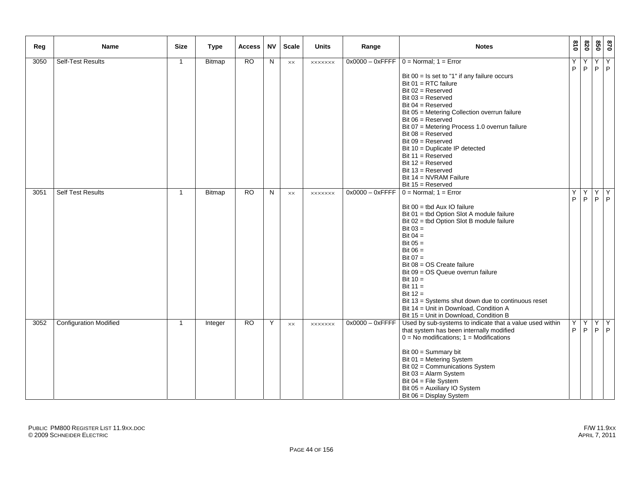| Reg  | Name                          | <b>Size</b>  | <b>Type</b> | <b>Access</b> | <b>NV</b>    | <b>Scale</b>   | <b>Units</b>   | Range              | <b>Notes</b>                                                                                                                                                                                                                                                                                                                                                                                                                                                                                                                      | $\overline{018}$ | 078    | 020                 | 678              |
|------|-------------------------------|--------------|-------------|---------------|--------------|----------------|----------------|--------------------|-----------------------------------------------------------------------------------------------------------------------------------------------------------------------------------------------------------------------------------------------------------------------------------------------------------------------------------------------------------------------------------------------------------------------------------------------------------------------------------------------------------------------------------|------------------|--------|---------------------|------------------|
| 3050 | <b>Self-Test Results</b>      | $\mathbf{1}$ | Bitmap      | RO            | $\mathsf{N}$ | $\times\times$ | <b>XXXXXXX</b> |                    | $0x0000 - 0x$ FFFF $\vert 0 =$ Normal; 1 = Error<br>Bit $00 =$ Is set to "1" if any failure occurs<br>Bit 01 = RTC failure<br>Bit $02$ = Reserved<br>$Bit 03 = Reserved$<br>Bit $04$ = Reserved<br>Bit 05 = Metering Collection overrun failure<br>Bit $06$ = Reserved<br>Bit 07 = Metering Process 1.0 overrun failure<br>Bit $08$ = Reserved<br>Bit $09$ = Reserved<br>Bit 10 = Duplicate IP detected<br>Bit $11 =$ Reserved<br>Bit $12 =$ Reserved<br>Bit $13 =$ Reserved                                                      | Υ<br>P           | Y<br>P | $\overline{Y}$<br>P | Y<br> P          |
| 3051 | <b>Self Test Results</b>      | $\mathbf{1}$ | Bitmap      | <b>RO</b>     | N            | $\times\times$ | <b>XXXXXXX</b> | $0x0000 - 0x$ FFFF | Bit $14 = NVRAM$ Failure<br>Bit 15 = Reserved<br>$0 = Normal$ ; 1 = Error<br>Bit $00 =$ tbd Aux IO failure<br>Bit 01 = tbd Option Slot A module failure<br>Bit 02 = tbd Option Slot B module failure<br>Bit $03 =$<br>Bit $04 =$<br>Bit $05 =$<br>Bit $06 =$<br>Bit $07 =$<br>Bit 08 = OS Create failure<br>Bit 09 = OS Queue overrun failure<br>Bit $10 =$<br>Bit $11 =$<br>Bit $12 =$<br>Bit 13 = Systems shut down due to continuous reset<br>Bit 14 = Unit in Download, Condition A<br>Bit 15 = Unit in Download, Condition B | Υ<br>P.          | Υ      | Y                   | Y<br>$P$ $P$ $P$ |
| 3052 | <b>Configuration Modified</b> | 1            | Integer     | <b>RO</b>     | Y            | <b>XX</b>      | <b>XXXXXXX</b> | $0x0000 - 0x$ FFFF | Used by sub-systems to indicate that a value used within<br>that system has been internally modified<br>$0 = No$ modifications; $1 =$ Modifications<br>Bit $00 =$ Summary bit<br>Bit 01 = Metering System<br>Bit 02 = Communications System<br>Bit 03 = Alarm System<br>Bit $04$ = File System<br>Bit 05 = Auxiliary IO System<br>Bit 06 = Display System                                                                                                                                                                         | Y<br>P           | Y<br>P | Y                   | Y<br>$P$ $P$     |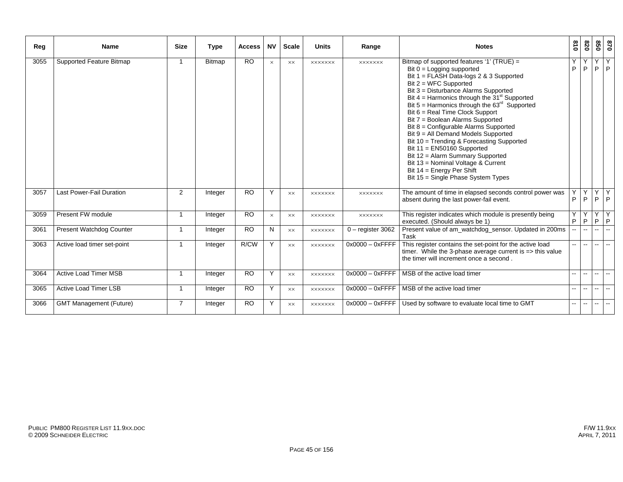| Reg  | <b>Name</b>                     | <b>Size</b>    | <b>Type</b> | <b>Access</b> | <b>NV</b> | <b>Scale</b> | <b>Units</b>   | Range               | <b>Notes</b>                                                                                                                                                                                                                                                                                                                                                                                                                                                                                                                                                                                                                                                                    | 018    | 0Z8              | 850                      | 078                      |
|------|---------------------------------|----------------|-------------|---------------|-----------|--------------|----------------|---------------------|---------------------------------------------------------------------------------------------------------------------------------------------------------------------------------------------------------------------------------------------------------------------------------------------------------------------------------------------------------------------------------------------------------------------------------------------------------------------------------------------------------------------------------------------------------------------------------------------------------------------------------------------------------------------------------|--------|------------------|--------------------------|--------------------------|
| 3055 | Supported Feature Bitmap        |                | Bitmap      | <b>RO</b>     | $\times$  | XX           | <b>XXXXXXX</b> | <b>XXXXXXX</b>      | Bitmap of supported features '1' (TRUE) =<br>Bit $0 =$ Logging supported<br>Bit 1 = FLASH Data-logs 2 & 3 Supported<br>Bit $2 = WFC$ Supported<br>Bit 3 = Disturbance Alarms Supported<br>Bit $4 =$ Harmonics through the $31st$ Supported<br>Bit $5 =$ Harmonics through the $63rd$ Supported<br>Bit 6 = Real Time Clock Support<br>Bit 7 = Boolean Alarms Supported<br>Bit 8 = Configurable Alarms Supported<br>Bit 9 = All Demand Models Supported<br>Bit 10 = Trending & Forecasting Supported<br>Bit $11 =$ EN50160 Supported<br>Bit 12 = Alarm Summary Supported<br>Bit 13 = Nominal Voltage & Current<br>Bit 14 = Energy Per Shift<br>Bit 15 = Single Phase System Types | P      | Υ<br>P           | Υ<br>P                   | Y<br>P                   |
| 3057 | <b>Last Power-Fail Duration</b> | $\overline{2}$ | Integer     | <b>RO</b>     | Y         | <b>XX</b>    | <b>XXXXXXX</b> | <b>XXXXXXX</b>      | The amount of time in elapsed seconds control power was<br>absent during the last power-fail event.                                                                                                                                                                                                                                                                                                                                                                                                                                                                                                                                                                             | P      | Y<br>P           | Y<br>P                   | Y<br>P                   |
| 3059 | Present FW module               | -1             | Integer     | <b>RO</b>     | $\times$  | XX           | <b>XXXXXXX</b> | <b>XXXXXXX</b>      | This register indicates which module is presently being<br>executed. (Should always be 1)                                                                                                                                                                                                                                                                                                                                                                                                                                                                                                                                                                                       | Y<br>P | Y<br>$\mathsf P$ | Y<br>P                   | Y<br>P                   |
| 3061 | <b>Present Watchdog Counter</b> | -1             | Integer     | <b>RO</b>     | N         | XX           | <b>XXXXXXX</b> | $0$ – register 3062 | Present value of am watchdog sensor. Updated in 200ms<br>Task                                                                                                                                                                                                                                                                                                                                                                                                                                                                                                                                                                                                                   |        | $\sim$           |                          | $\overline{\phantom{a}}$ |
| 3063 | Active load timer set-point     | -1             | Integer     | R/CW          | Y         | <b>XX</b>    | <b>XXXXXXX</b> | $0x0000 - 0x$ FFFF  | This register contains the set-point for the active load<br>timer. While the 3-phase average current is $\Rightarrow$ this value<br>the timer will increment once a second.                                                                                                                                                                                                                                                                                                                                                                                                                                                                                                     |        | $\sim$ $\sim$    | $\overline{\phantom{a}}$ | $\mathbf{u}$             |
| 3064 | <b>Active Load Timer MSB</b>    | $\overline{1}$ | Integer     | <b>RO</b>     | Y         | XX           | <b>XXXXXXX</b> | $0x0000 - 0x$ FFFF  | MSB of the active load timer                                                                                                                                                                                                                                                                                                                                                                                                                                                                                                                                                                                                                                                    |        | $\overline{a}$   | $\mathbf{u}$             | $\overline{\phantom{a}}$ |
| 3065 | <b>Active Load Timer LSB</b>    | -1             | Integer     | <b>RO</b>     | Y         | XX           | <b>XXXXXXX</b> | $0x0000 - 0x$ FFFF  | MSB of the active load timer                                                                                                                                                                                                                                                                                                                                                                                                                                                                                                                                                                                                                                                    |        | $\overline{a}$   | $\mathbf{u}$             | $\mathbf{u}$             |
| 3066 | <b>GMT Management (Future)</b>  | $\overline{7}$ | Integer     | <b>RO</b>     | Y         | XX           | <b>XXXXXXX</b> | $0x0000 - 0x$ FFFF  | Used by software to evaluate local time to GMT                                                                                                                                                                                                                                                                                                                                                                                                                                                                                                                                                                                                                                  |        | $- -$            | $\overline{\phantom{a}}$ | $\overline{\phantom{a}}$ |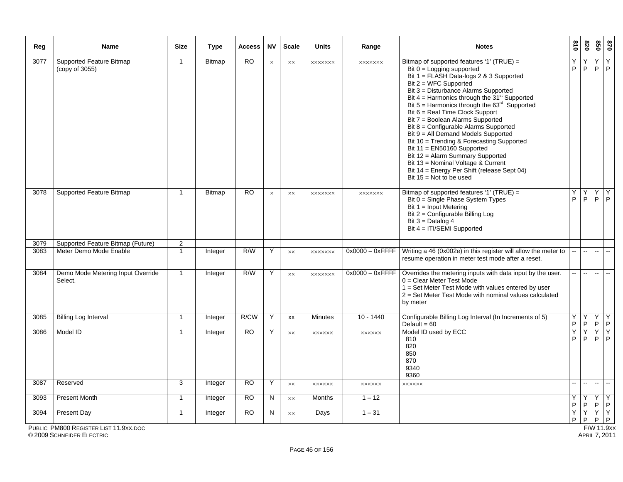| Reg  | <b>Name</b>                                       | <b>Size</b>    | <b>Type</b>   | <b>Access</b> | <b>NV</b> | <b>Scale</b>   | <b>Units</b>   | Range                   | <b>Notes</b>                                                                                                                                                                                                                                                                                                                                                                                                                                                                                                                                                                                                                                                                           | 018                      | 028                      | 020           | 028                            |
|------|---------------------------------------------------|----------------|---------------|---------------|-----------|----------------|----------------|-------------------------|----------------------------------------------------------------------------------------------------------------------------------------------------------------------------------------------------------------------------------------------------------------------------------------------------------------------------------------------------------------------------------------------------------------------------------------------------------------------------------------------------------------------------------------------------------------------------------------------------------------------------------------------------------------------------------------|--------------------------|--------------------------|---------------|--------------------------------|
| 3077 | <b>Supported Feature Bitmap</b><br>(copy of 3055) | $\mathbf{1}$   | <b>Bitmap</b> | <b>RO</b>     | $\times$  | $\times\times$ | <b>XXXXXXX</b> | <b>XXXXXXX</b>          | Bitmap of supported features '1' (TRUE) =<br>Bit $0 =$ Logging supported<br>Bit 1 = FLASH Data-logs 2 & 3 Supported<br>Bit 2 = WFC Supported<br>Bit 3 = Disturbance Alarms Supported<br>Bit $4 =$ Harmonics through the $31st$ Supported<br>Bit $5 =$ Harmonics through the $63rd$ Supported<br>Bit 6 = Real Time Clock Support<br>Bit 7 = Boolean Alarms Supported<br>Bit 8 = Configurable Alarms Supported<br>Bit 9 = All Demand Models Supported<br>Bit 10 = Trending & Forecasting Supported<br>Bit $11 =$ EN50160 Supported<br>Bit 12 = Alarm Summary Supported<br>Bit 13 = Nominal Voltage & Current<br>Bit 14 = Energy Per Shift (release Sept 04)<br>Bit $15 = Not to be used$ | Υ<br>P                   | P                        | Y<br>P.       | $\overline{Y}$<br>$\mathsf{P}$ |
| 3078 | Supported Feature Bitmap                          | $\mathbf{1}$   | <b>Bitmap</b> | <b>RO</b>     | $\times$  | XX             | <b>XXXXXXX</b> | <b>XXXXXXX</b>          | Bitmap of supported features '1' (TRUE) =<br>Bit $0 =$ Single Phase System Types<br>Bit $1 =$ Input Metering<br>Bit 2 = Configurable Billing Log<br>Bit $3 =$ Datalog 4<br>Bit 4 = ITI/SEMI Supported                                                                                                                                                                                                                                                                                                                                                                                                                                                                                  | Υ<br>P                   | Υ<br>P                   | Υ<br>P.       | $\overline{Y}$<br>P            |
| 3079 | Supported Feature Bitmap (Future)                 | $\overline{2}$ |               |               |           |                |                |                         |                                                                                                                                                                                                                                                                                                                                                                                                                                                                                                                                                                                                                                                                                        |                          |                          |               |                                |
| 3083 | Meter Demo Mode Enable                            | $\mathbf{1}$   | Integer       | R/W           | Y         | XX             | <b>XXXXXXX</b> | $0x0000 - 0x$ FFFF      | Writing a 46 (0x002e) in this register will allow the meter to<br>resume operation in meter test mode after a reset.                                                                                                                                                                                                                                                                                                                                                                                                                                                                                                                                                                   |                          | $\sim$                   |               | Щ.                             |
| 3084 | Demo Mode Metering Input Override<br>Select.      | $\mathbf{1}$   | Integer       | R/W           | Y         | $\times\times$ | <b>XXXXXXX</b> | $0x0000 - 0x$ FFFF      | Overrides the metering inputs with data input by the user.<br>$0 =$ Clear Meter Test Mode<br>1 = Set Meter Test Mode with values entered by user<br>2 = Set Meter Test Mode with nominal values calculated<br>by meter                                                                                                                                                                                                                                                                                                                                                                                                                                                                 | н.                       | $\sim$                   | $\sim$        | $\sim$                         |
| 3085 | <b>Billing Log Interval</b>                       | $\mathbf{1}$   | Integer       | R/CW          | Y         | XX             | <b>Minutes</b> | $10 - 1440$             | Configurable Billing Log Interval (In Increments of 5)<br>Default = $60$                                                                                                                                                                                                                                                                                                                                                                                                                                                                                                                                                                                                               | Y<br>$\mathsf P$         | Y<br>P                   | Υ<br>P.       | Y<br>P                         |
| 3086 | Model ID                                          | $\mathbf{1}$   | Integer       | <b>RO</b>     | Y         | $\times\times$ | <b>XXXXXX</b>  | <b>XXXXXX</b>           | Model ID used by ECC<br>810<br>820<br>850<br>870<br>9340<br>9360                                                                                                                                                                                                                                                                                                                                                                                                                                                                                                                                                                                                                       | Y<br>P                   | Ÿ<br>P                   | Y<br>P        | Y<br>P                         |
| 3087 | Reserved                                          | 3              | Integer       | <b>RO</b>     | Y         | XX             | <b>XXXXXX</b>  | $x$ $x$ $x$ $x$ $x$ $x$ | <b>XXXXXX</b>                                                                                                                                                                                                                                                                                                                                                                                                                                                                                                                                                                                                                                                                          | $\overline{\phantom{a}}$ | $\overline{\phantom{a}}$ | --            | ш.                             |
| 3093 | <b>Present Month</b>                              | $\mathbf{1}$   | Integer       | <b>RO</b>     | N         | $\times\times$ | Months         | $1 - 12$                |                                                                                                                                                                                                                                                                                                                                                                                                                                                                                                                                                                                                                                                                                        | Y<br>$\mathsf P$         | Y.<br>P                  | Y<br>$P$ $P$  | Y                              |
| 3094 | Present Day                                       | $\mathbf{1}$   | Integer       | <b>RO</b>     | N         | $\times\times$ | Days           | $1 - 31$                |                                                                                                                                                                                                                                                                                                                                                                                                                                                                                                                                                                                                                                                                                        | Y<br>P                   | Y<br>P                   | YY<br>$P$ $P$ |                                |
|      | PUBLIC PM800 REGISTER LIST 11.9XX.DOC             |                |               |               |           |                |                |                         |                                                                                                                                                                                                                                                                                                                                                                                                                                                                                                                                                                                                                                                                                        |                          |                          | F/W 11.9x     |                                |

PUBLIC PM800 REGISTER LIST 11.9XX.DOC

© 2009 SCHNEIDER ELECTRIC APRIL 7, 2011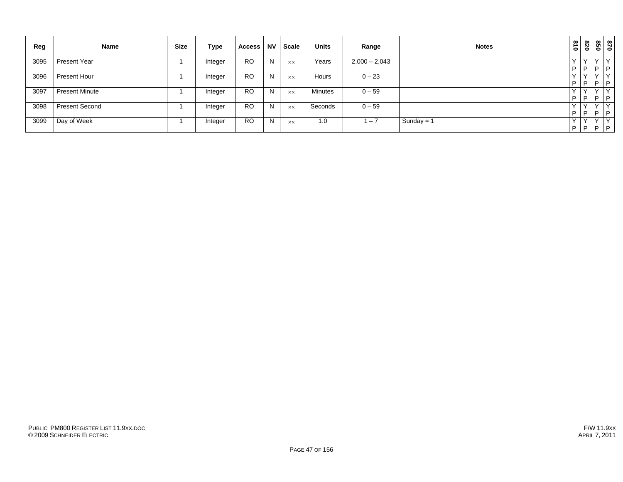| Reg  | Name                  | <b>Size</b> | Type    | <b>Access</b> | <b>NV</b> | <b>Scale</b> | <b>Units</b>   | Range           | <b>Notes</b> | 018                | 078               | 099                  | 028                     |
|------|-----------------------|-------------|---------|---------------|-----------|--------------|----------------|-----------------|--------------|--------------------|-------------------|----------------------|-------------------------|
| 3095 | <b>Present Year</b>   |             | Integer | <b>RO</b>     | N         | <b>XX</b>    | Years          | $2,000 - 2,043$ |              | P                  | $\cdot$<br>D      | $\sqrt{}$<br>P       |                         |
| 3096 | Present Hour          |             | Integer | <b>RO</b>     | N         | <b>XX</b>    | Hours          | $0 - 23$        |              | $\checkmark$<br>P  | $\checkmark$<br>P | $\checkmark$<br> P P | $\vee$                  |
| 3097 | <b>Present Minute</b> |             | Integer | <b>RO</b>     | N         | <b>XX</b>    | <b>Minutes</b> | $0 - 59$        |              | $\checkmark$<br>P  | $\sqrt{}$<br>P    | $\checkmark$<br> P P | $\mathsf{V}$            |
| 3098 | <b>Present Second</b> |             | Integer | <b>RO</b>     | N         | XX           | Seconds        | $0 - 59$        |              | $\checkmark$<br>P  | $\checkmark$<br>P | $\vee$<br> P P       | $\mathsf{I} \mathsf{v}$ |
| 3099 | Day of Week           |             | Integer | <b>RO</b>     | N         | <b>XX</b>    | 1.0            | $-7$            | Sunday = $1$ | $\checkmark$<br>P. | v<br>$P$ $P$ $P$  | $\checkmark$         | $\cdot$ $\vee$          |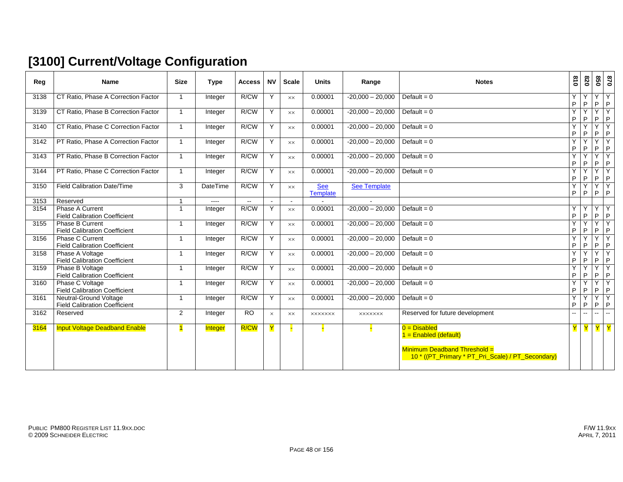# **[3100] Current/Voltage Configuration**

| Reg  | <b>Name</b>                                                    | <b>Size</b>    | <b>Type</b>     | <b>Access</b> | <b>NV</b> | <b>Scale</b>   | <b>Units</b>    | Range              | <b>Notes</b>                                                                                                                   | $\frac{8}{10}$ | 078            |                             | 870<br>850                    |
|------|----------------------------------------------------------------|----------------|-----------------|---------------|-----------|----------------|-----------------|--------------------|--------------------------------------------------------------------------------------------------------------------------------|----------------|----------------|-----------------------------|-------------------------------|
| 3138 | CT Ratio, Phase A Correction Factor                            | $\mathbf{1}$   | Integer         | R/CW          | Y         | <b>XX</b>      | 0.00001         | $-20,000 - 20,000$ | Default = $0$                                                                                                                  | Y<br>P         | Y<br>P         | Y<br>P                      | Y<br>P                        |
| 3139 | CT Ratio. Phase B Correction Factor                            | $\mathbf{1}$   | Integer         | R/CW          | Y         | $\times\times$ | 0.00001         | $-20,000 - 20,000$ | Default = $0$                                                                                                                  | Y<br>P         | Y<br>P         | $Y \mid$<br>P               | Y<br>P                        |
| 3140 | CT Ratio, Phase C Correction Factor                            | 1              | Integer         | R/CW          | Y         | $\times\times$ | 0.00001         | $-20,000 - 20,000$ | Default = $0$                                                                                                                  | Y<br>P         | P              | Y<br>P                      | Y<br> P                       |
| 3142 | PT Ratio, Phase A Correction Factor                            | $\mathbf{1}$   | Integer         | R/CW          | Y         | $\times\times$ | 0.00001         | $-20,000 - 20,000$ | Default = $0$                                                                                                                  | Y<br>P         | P              | Y<br>P                      | Y<br>P                        |
| 3143 | PT Ratio, Phase B Correction Factor                            | $\mathbf{1}$   | Integer         | R/CW          | Y         | <b>XX</b>      | 0.00001         | $-20,000 - 20,000$ | Default = $0$                                                                                                                  | Y<br>P         | Υ<br>P         | Y<br>P                      | Y<br>$\mathsf P$              |
| 3144 | PT Ratio, Phase C Correction Factor                            | $\mathbf{1}$   | Integer         | R/CW          | Y         | XX             | 0.00001         | $-20,000 - 20,000$ | Default = $0$                                                                                                                  | Y<br>P         | Y<br>P         | $Y$ $Y$<br>$\mathsf P$      | P                             |
| 3150 | <b>Field Calibration Date/Time</b>                             | 3              | <b>DateTime</b> | R/CW          | Y         | $\times\times$ | See<br>Template | See Template       |                                                                                                                                | Y<br>P         | Y<br>P         | Y<br>$P$ $P$                | Y                             |
| 3153 | Reserved                                                       | $\overline{1}$ | ----            | $\sim$ $\sim$ | $\sim$    | $\sim$         |                 | $\sim$             |                                                                                                                                |                |                |                             |                               |
| 3154 | Phase A Current<br><b>Field Calibration Coefficient</b>        | 1              | Integer         | R/CW          | Y         | $\times\times$ | 0.00001         | $-20,000 - 20,000$ | Default = $0$                                                                                                                  | Y<br>P         | Y<br>P         | Y<br>P                      | Y<br>P                        |
| 3155 | Phase B Current<br><b>Field Calibration Coefficient</b>        | 1              | Integer         | R/CW          | Y         | $\times\times$ | 0.00001         | $-20,000 - 20,000$ | Default = $0$                                                                                                                  | Y<br>P         | Υ<br>P         | Y<br>P                      | $\overline{Y}$<br>$\mathsf P$ |
| 3156 | Phase C Current<br><b>Field Calibration Coefficient</b>        | $\mathbf 1$    | Integer         | R/CW          | Y         | XX             | 0.00001         | $-20,000 - 20,000$ | Default = $0$                                                                                                                  | Y<br>P         | Y<br>P         | Y<br>P                      | Y<br> P                       |
| 3158 | Phase A Voltage<br><b>Field Calibration Coefficient</b>        | $\mathbf{1}$   | Integer         | R/CW          | Y         | $\times\times$ | 0.00001         | $-20,000 - 20,000$ | Default = $0$                                                                                                                  | Y<br>P         | Υ<br>P         | Y<br>$\sf P$                | Y<br> P                       |
| 3159 | Phase B Voltage<br><b>Field Calibration Coefficient</b>        | $\mathbf{1}$   | Integer         | R/CW          | Y         | $\times\times$ | 0.00001         | $-20,000 - 20,000$ | Default = $0$                                                                                                                  | Y<br>P         | Y<br>P         | Y<br>P                      | Y<br> P                       |
| 3160 | Phase C Voltage<br><b>Field Calibration Coefficient</b>        | -1             | Integer         | R/CW          | Y         | $\times\times$ | 0.00001         | $-20,000 - 20,000$ | Default = $0$                                                                                                                  | Y<br>P         | Y<br>P         | YY<br>P                     | P                             |
| 3161 | Neutral-Ground Voltage<br><b>Field Calibration Coefficient</b> | $\mathbf 1$    | Integer         | R/CW          | Y         | $\times\times$ | 0.00001         | $-20,000 - 20,000$ | Default = $0$                                                                                                                  | Ÿ<br>P         | P              | Y<br>P                      | Y<br> P                       |
| 3162 | Reserved                                                       | $\overline{2}$ | Integer         | <b>RO</b>     | $\times$  | XX             | <b>XXXXXXX</b>  | <b>XXXXXXX</b>     | Reserved for future development                                                                                                | $\mathbf{u}$   | $\overline{a}$ | ш.                          | $\sim$                        |
| 3164 | <b>Input Voltage Deadband Enable</b>                           | $\blacksquare$ | <b>Integer</b>  | R/CW          | Y         |                |                 |                    | $0 = Disabled$<br>$1 =$ Enabled (default)<br>Minimum Deadband Threshold =<br>10 * ((PT_Primary * PT_Pri_Scale) / PT_Secondary) |                | $\mathbf Y$    | $\frac{1}{2}$ $\frac{1}{2}$ |                               |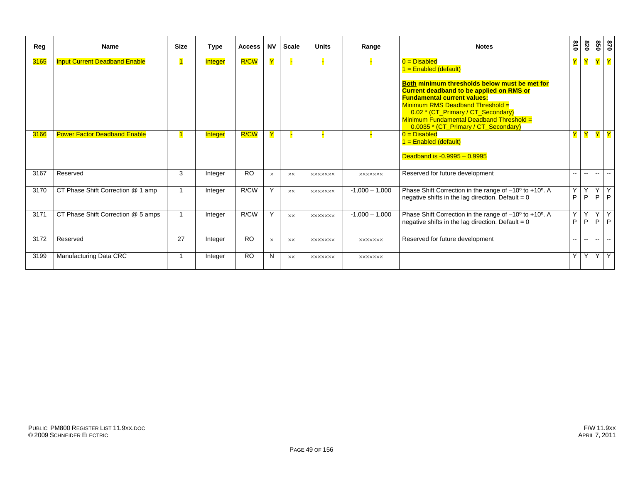| Reg         | Name                                 | <b>Size</b> | <b>Type</b>    | <b>Access</b> | <b>NV</b> | <b>Scale</b> | <b>Units</b>   | Range            | <b>Notes</b>                                                                                                                                                                                                                                                                                                                                      | 018                      | 820               | 850                      | 0/8                       |
|-------------|--------------------------------------|-------------|----------------|---------------|-----------|--------------|----------------|------------------|---------------------------------------------------------------------------------------------------------------------------------------------------------------------------------------------------------------------------------------------------------------------------------------------------------------------------------------------------|--------------------------|-------------------|--------------------------|---------------------------|
| <b>3165</b> | <b>Input Current Deadband Enable</b> |             | <b>Integer</b> | R/CW          | Y         |              |                |                  | $0 = Disabled$<br>$1 =$ Enabled (default)<br>Both minimum thresholds below must be met for<br><b>Current deadband to be applied on RMS or</b><br><b>Fundamental current values:</b><br>Minimum RMS Deadband Threshold =<br>0.02 * (CT_Primary / CT_Secondary)<br>Minimum Fundamental Deadband Threshold =<br>0.0035 * (CT_Primary / CT_Secondary) |                          | Y                 |                          |                           |
| 3166        | <b>Power Factor Deadband Enable</b>  |             | Integer        | R/CW          | Y         |              |                |                  | $0 = Disabled$<br>$1 =$ Enabled (default)<br>Deadband is -0.9995 - 0.9995                                                                                                                                                                                                                                                                         |                          | Y                 |                          |                           |
| 3167        | Reserved                             | 3           | Integer        | <b>RO</b>     | $\times$  | ХX           | <b>XXXXXXX</b> | <b>XXXXXXX</b>   | Reserved for future development                                                                                                                                                                                                                                                                                                                   | $\overline{\phantom{a}}$ | $\mathbf{L}$      | $\overline{\phantom{a}}$ | $\sim$                    |
| 3170        | CT Phase Shift Correction @ 1 amp    | -1          | Integer        | R/CW          | Y         | <b>XX</b>    | <b>XXXXXXX</b> | $-1,000 - 1,000$ | Phase Shift Correction in the range of -10° to +10°. A<br>negative shifts in the lag direction. Default = $0$                                                                                                                                                                                                                                     | Y<br>P                   | Y<br>P            | Y                        | $\overline{Y}$<br>$P$ $P$ |
| 3171        | CT Phase Shift Correction @ 5 amps   |             | Integer        | R/CW          | Y         | <b>XX</b>    | <b>XXXXXXX</b> | $-1,000 - 1,000$ | Phase Shift Correction in the range of -10° to +10°. A<br>negative shifts in the lag direction. Default = $0$                                                                                                                                                                                                                                     | Y<br>P                   | $\checkmark$<br>P | $\vee$<br>P              | Y<br>l P                  |
| 3172        | Reserved                             | 27          | Integer        | <b>RO</b>     | $\times$  | XX.          | <b>XXXXXXX</b> | <b>XXXXXXX</b>   | Reserved for future development                                                                                                                                                                                                                                                                                                                   | $\mathbf{u}$             | $\mathbf{u}$      | $\overline{\phantom{a}}$ | $\sim$                    |
| 3199        | Manufacturing Data CRC               | 1           | Integer        | <b>RO</b>     | N         | <b>XX</b>    | <b>XXXXXXX</b> | <b>XXXXXXX</b>   |                                                                                                                                                                                                                                                                                                                                                   |                          | YY                |                          | YY                        |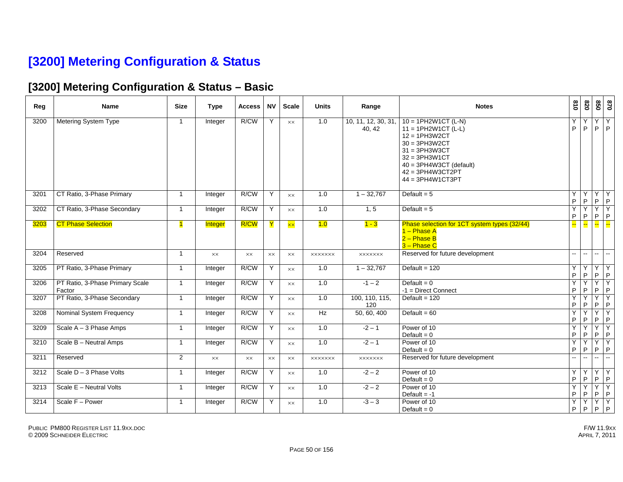## **[3200] Metering Configuration & Status**

#### **[3200] Metering Configuration & Status – Basic**

| Reg  | Name                                      | <b>Size</b>    | <b>Type</b>    | <b>Access</b>  | <b>NV</b>      | <b>Scale</b>             | <b>Units</b>     | Range                         | <b>Notes</b>                                                                                                                                                                                    | 018            | 078                            | 850                  | 028                           |
|------|-------------------------------------------|----------------|----------------|----------------|----------------|--------------------------|------------------|-------------------------------|-------------------------------------------------------------------------------------------------------------------------------------------------------------------------------------------------|----------------|--------------------------------|----------------------|-------------------------------|
| 3200 | Metering System Type                      | $\mathbf{1}$   | Integer        | R/CW           | Y              | <b>XX</b>                | 1.0              | 10, 11, 12, 30, 31,<br>40, 42 | $10 = 1PH2W1CT (L-N)$<br>$11 = 1PH2W1CT (L-L)$<br>$12 = 1PH3W2CT$<br>$30 = 3PH3W2CT$<br>$31 = 3PH3W3CT$<br>$32 = 3PH3W1CT$<br>40 = 3PH4W3CT (default)<br>42 = 3PH4W3CT2PT<br>$44 = 3PH4W1CT3PT$ | Y<br>P         | Y<br>P                         | P                    | YY<br>P                       |
| 3201 | CT Ratio, 3-Phase Primary                 | $\mathbf{1}$   | Integer        | R/CW           | Y              | $\times\times$           | 1.0              | $1 - 32,767$                  | Default = $5$                                                                                                                                                                                   | Y<br>P         | Y<br>P                         | P                    | $Y$ $Y$<br>$\mathsf{P}$       |
| 3202 | CT Ratio, 3-Phase Secondary               | $\mathbf{1}$   | Integer        | R/CW           | Y              | XX                       | $\overline{1.0}$ | 1, 5                          | Default = $5$                                                                                                                                                                                   | Y<br>P         | Y<br>P                         | $\overline{Y}$<br>P  | Ÿ<br>$\mathsf{P}$             |
| 3203 | <b>CT Phase Selection</b>                 | 1              | Integer        | R/CW           | $\mathbf Y$    | $\overline{\mathsf{xx}}$ | 1.0              | $1 - 3$                       | Phase selection for 1CT system types (32/44)<br>$1 -$ Phase A<br>2 - Phase B<br>$3 - Phase C$                                                                                                   |                | ш.                             | <b>Le</b>            | <u>е.</u>                     |
| 3204 | Reserved                                  | $\mathbf{1}$   | $\times\times$ | $\times\times$ | <b>XX</b>      | <b>XX</b>                | <b>XXXXXXX</b>   | <b>XXXXXXX</b>                | Reserved for future development                                                                                                                                                                 | ш.             | $\sim$                         | $\sim$               | $\sim$                        |
| 3205 | PT Ratio, 3-Phase Primary                 | $\mathbf{1}$   | Integer        | R/CW           | Y              | <b>XX</b>                | 1.0              | $1 - 32,767$                  | Default = $120$                                                                                                                                                                                 | Y<br>P         | $\overline{Y}$<br>$\mathsf{P}$ | P                    | YY<br>$\mathsf{P}$            |
| 3206 | PT Ratio, 3-Phase Primary Scale<br>Factor | $\mathbf{1}$   | Integer        | R/CW           | Y              | <b>XX</b>                | 1.0              | $-1 - 2$                      | Default = $0$<br>-1 = Direct Connect                                                                                                                                                            | Y<br>P         | Y<br>P                         | P                    | $Y$ $Y$<br>$\mathsf{P}$       |
| 3207 | PT Ratio, 3-Phase Secondary               | $\mathbf{1}$   | Integer        | R/CW           | Y              | <b>XX</b>                | 1.0              | 100. 110. 115.<br>120         | Default = $120$                                                                                                                                                                                 | Y<br>P         | Y.<br>P                        | Y<br>P               | Y<br>$\sf P$                  |
| 3208 | Nominal System Frequency                  | $\mathbf{1}$   | Integer        | R/CW           | Y              | <b>XX</b>                | Hz               | 50, 60, 400                   | Default = $60$                                                                                                                                                                                  | Y<br>P         | Y<br>P                         | Y<br>P               | $\overline{Y}$<br>$\mathsf P$ |
| 3209 | Scale A - 3 Phase Amps                    | $\mathbf{1}$   | Integer        | R/CW           | Y              | <b>XX</b>                | $\overline{1.0}$ | $-2 - 1$                      | Power of 10<br>Default = $0$                                                                                                                                                                    | Y<br>P         | Y<br>P                         | P                    | $Y$ $Y$<br>$\mathsf{P}$       |
| 3210 | Scale B - Neutral Amps                    | $\mathbf{1}$   | Integer        | R/CW           | Y              | <b>XX</b>                | 1.0              | $-2 - 1$                      | Power of 10<br>Default = $0$                                                                                                                                                                    | Y<br>P         | Y<br>P                         | P                    | $Y$ $Y$<br>$\mathsf P$        |
| 3211 | Reserved                                  | $\overline{2}$ | XX             | XX             | $\times\times$ | <b>XX</b>                | <b>XXXXXXX</b>   | <b>XXXXXXX</b>                | Reserved for future development                                                                                                                                                                 | $\overline{a}$ | aa l                           | $\Delta \Delta \phi$ | $\Delta \Delta \phi$          |
| 3212 | Scale D - 3 Phase Volts                   | $\mathbf{1}$   | Integer        | R/CW           | Y              | <b>XX</b>                | 1.0              | $-2 - 2$                      | Power of 10<br>Default = $0$                                                                                                                                                                    | Y<br>P         | Y<br>P                         | P                    | YY<br>$\mathsf{P}$            |
| 3213 | Scale E - Neutral Volts                   | $\mathbf{1}$   | Integer        | R/CW           | Y              | <b>XX</b>                | 1.0              | $-2 - 2$                      | Power of 10<br>Default $= -1$                                                                                                                                                                   | Y<br>P         | Y<br>P                         | P                    | $Y$ $Y$<br>$\mathsf P$        |
| 3214 | Scale F - Power                           | 1              | Integer        | R/CW           | Y              | $\times\times$           | 1.0              | $-3 - 3$                      | Power of 10<br>Default = $0$                                                                                                                                                                    | Y<br>P         | Y<br>P                         | P                    | $Y$ $Y$<br>P                  |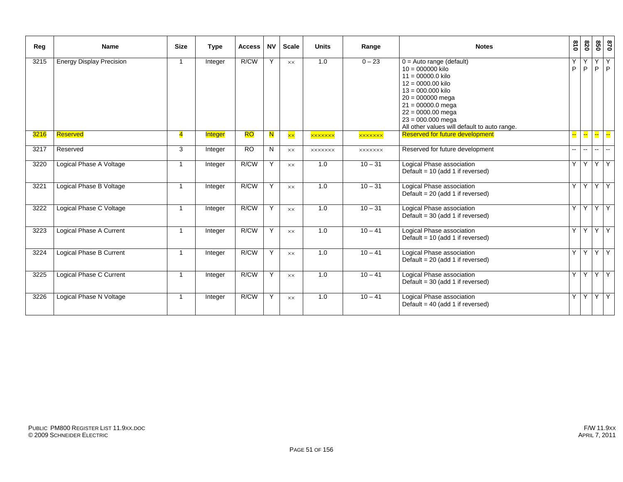| Reg  | Name                            | <b>Size</b>             | <b>Type</b> | <b>Access</b> | <b>NV</b> | <b>Scale</b>   | <b>Units</b>   | Range          | <b>Notes</b>                                                                                                                                                                                                                                                     | $\frac{310}{2}$ | 078    |               | 870<br>850              |
|------|---------------------------------|-------------------------|-------------|---------------|-----------|----------------|----------------|----------------|------------------------------------------------------------------------------------------------------------------------------------------------------------------------------------------------------------------------------------------------------------------|-----------------|--------|---------------|-------------------------|
| 3215 | <b>Energy Display Precision</b> | -1                      | Integer     | R/CW          | Y         | $\times\times$ | 1.0            | $0 - 23$       | $0 =$ Auto range (default)<br>$10 = 000000$ kilo<br>$11 = 00000.0$ kilo<br>$12 = 0000.00$ kilo<br>$13 = 000,000$ kilo<br>$20 = 000000$ mega<br>$21 = 00000.0$ mega<br>$22 = 0000.00$ mega<br>$23 = 000.000$ mega<br>All other values will default to auto range. | Υ<br>P          | P      | Y<br>P        | Y<br> P                 |
| 3216 | Reserved                        | $\overline{\mathbf{A}}$ | Integer     | <b>RO</b>     | N         | $\times\times$ | <b>xxxxxxx</b> | <b>xxxxxxx</b> | <b>Reserved for future development</b>                                                                                                                                                                                                                           | ÷               |        |               | <mark>--</mark> ∐-- ∐-- |
| 3217 | Reserved                        | 3                       | Integer     | <b>RO</b>     | N         | XX             | <b>XXXXXXX</b> | <b>XXXXXXX</b> | Reserved for future development                                                                                                                                                                                                                                  | $- -$           | $\sim$ | $\sim$ $\sim$ | $\sim$                  |
| 3220 | Logical Phase A Voltage         | $\overline{\mathbf{1}}$ | Integer     | R/CW          | Y         | $\times\times$ | 1.0            | $10 - 31$      | Logical Phase association<br>Default = $10$ (add 1 if reversed)                                                                                                                                                                                                  |                 |        |               | YYYY                    |
| 3221 | Logical Phase B Voltage         | $\overline{1}$          | Integer     | R/CW          | Y         | $\times\times$ | 1.0            | $10 - 31$      | Logical Phase association<br>Default = $20$ (add 1 if reversed)                                                                                                                                                                                                  |                 |        |               | YYYY                    |
| 3222 | Logical Phase C Voltage         | $\mathbf{1}$            | Integer     | R/CW          | Y         | XX             | 1.0            | $10 - 31$      | Logical Phase association<br>Default = $30$ (add 1 if reversed)                                                                                                                                                                                                  | Y               |        |               | YYY                     |
| 3223 | Logical Phase A Current         | $\overline{1}$          | Integer     | R/CW          | Y         | $\times\times$ | 1.0            | $10 - 41$      | Logical Phase association<br>Default = $10$ (add 1 if reversed)                                                                                                                                                                                                  | Y.              |        |               | YYY                     |
| 3224 | Logical Phase B Current         | -1                      | Integer     | R/CW          | Y         | $\times\times$ | 1.0            | $10 - 41$      | Logical Phase association<br>Default = $20$ (add 1 if reversed)                                                                                                                                                                                                  | Y               |        |               | YYY                     |
| 3225 | Logical Phase C Current         | -1                      | Integer     | R/CW          | Y         | $\times\times$ | 1.0            | $10 - 41$      | Logical Phase association<br>Default = $30$ (add 1 if reversed)                                                                                                                                                                                                  |                 |        |               | YYYY                    |
| 3226 | Logical Phase N Voltage         | $\overline{\mathbf{1}}$ | Integer     | R/CW          | Y         | XX             | 1.0            | $10 - 41$      | Logical Phase association<br>Default = $40$ (add 1 if reversed)                                                                                                                                                                                                  |                 |        |               | YYYY                    |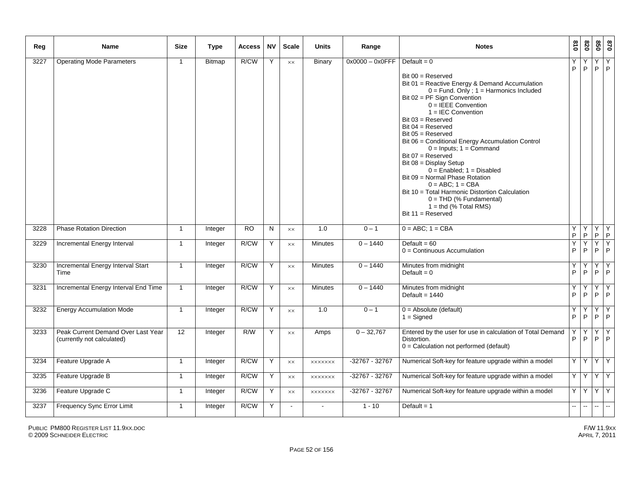| Reg  | <b>Name</b>                                                      | <b>Size</b>  | <b>Type</b>   | <b>Access</b> | <b>NV</b> | <b>Scale</b>   | <b>Units</b>   | Range              | <b>Notes</b>                                                                                                                                                                                                                                                                                                                                                                                                                                                                                                                                                                                                                                                 | 018               | 0Z8            | 020                                               | 028               |
|------|------------------------------------------------------------------|--------------|---------------|---------------|-----------|----------------|----------------|--------------------|--------------------------------------------------------------------------------------------------------------------------------------------------------------------------------------------------------------------------------------------------------------------------------------------------------------------------------------------------------------------------------------------------------------------------------------------------------------------------------------------------------------------------------------------------------------------------------------------------------------------------------------------------------------|-------------------|----------------|---------------------------------------------------|-------------------|
| 3227 | <b>Operating Mode Parameters</b>                                 | $\mathbf{1}$ | <b>Bitmap</b> | R/CW          | Y         | $\times\times$ | Binary         | $0x0000 - 0x0$ FFF | Default = $0$<br>Bit $00 =$ Reserved<br>Bit 01 = Reactive Energy & Demand Accumulation<br>$0 =$ Fund. Only; $1 =$ Harmonics Included<br>Bit 02 = PF Sign Convention<br>$0 = IEEE$ Convention<br>$1 = IEC$ Convention<br>$Bit 03 = Research$<br>Bit $04 =$ Reserved<br>Bit $05 =$ Reserved<br>Bit 06 = Conditional Energy Accumulation Control<br>$0 =$ Inputs; $1 =$ Command<br>Bit $07$ = Reserved<br>Bit $08 =$ Display Setup<br>$0 =$ Enabled; $1 =$ Disabled<br>Bit 09 = Normal Phase Rotation<br>$0 = ABC$ ; $1 = CBA$<br>Bit 10 = Total Harmonic Distortion Calculation<br>$0 = THD$ (% Fundamental)<br>$1 =$ thd (% Total RMS)<br>Bit $11 =$ Reserved | Y<br>P            | Υ<br>P.        | $\begin{array}{c c}\nY & Y \\ P & P\n\end{array}$ |                   |
| 3228 | <b>Phase Rotation Direction</b>                                  | $\mathbf{1}$ | Integer       | <b>RO</b>     | N         | $\times\times$ | 1.0            | $0 - 1$            | $0 = ABC$ ; $1 = CBA$                                                                                                                                                                                                                                                                                                                                                                                                                                                                                                                                                                                                                                        | Υ<br>$\mathsf{P}$ | Y<br>P         | Υ<br>P                                            | Y<br>$\mathsf P$  |
| 3229 | Incremental Energy Interval                                      | $\mathbf{1}$ | Integer       | R/CW          | Y         | $\times\times$ | Minutes        | $0 - 1440$         | Default = $60$<br>$0 =$ Continuous Accumulation                                                                                                                                                                                                                                                                                                                                                                                                                                                                                                                                                                                                              | Y<br>$\mathsf P$  | Y<br>P         | Υ<br>P.                                           | Y<br>$\mathsf P$  |
| 3230 | Incremental Energy Interval Start<br>Time                        | $\mathbf{1}$ | Integer       | R/CW          | Υ         | XX             | <b>Minutes</b> | $0 - 1440$         | Minutes from midnight<br>Default = $0$                                                                                                                                                                                                                                                                                                                                                                                                                                                                                                                                                                                                                       | Υ<br>P            | Υ<br>P         | Υ<br>P.                                           | Υ<br>$\mathsf{P}$ |
| 3231 | Incremental Energy Interval End Time                             | $\mathbf{1}$ | Integer       | R/CW          | Υ         | $\times\times$ | <b>Minutes</b> | $0 - 1440$         | Minutes from midnight<br>Default = $1440$                                                                                                                                                                                                                                                                                                                                                                                                                                                                                                                                                                                                                    | Y<br>P            | Y<br>P         | Y<br>$P$ $P$                                      | Υ                 |
| 3232 | <b>Energy Accumulation Mode</b>                                  | $\mathbf{1}$ | Integer       | R/CW          | Υ         | $\times\times$ | 1.0            | $0 - 1$            | $0 =$ Absolute (default)<br>$1 =$ Signed                                                                                                                                                                                                                                                                                                                                                                                                                                                                                                                                                                                                                     | Y<br>P            | Y<br>P         | Υ<br>P.                                           | Y<br>$\mathsf{P}$ |
| 3233 | Peak Current Demand Over Last Year<br>(currently not calculated) | 12           | Integer       | R/W           | Y         | $\times\times$ | Amps           | $0 - 32,767$       | Entered by the user for use in calculation of Total Demand<br>Distortion.<br>0 = Calculation not performed (default)                                                                                                                                                                                                                                                                                                                                                                                                                                                                                                                                         | Υ<br>$\mathsf P$  | Υ<br>P         | Υ<br>$P$ $P$                                      | Y                 |
| 3234 | Feature Upgrade A                                                | $\mathbf{1}$ | Integer       | R/CW          | Y         | $\times\times$ | <b>XXXXXXX</b> | $-32767 - 32767$   | Numerical Soft-key for feature upgrade within a model                                                                                                                                                                                                                                                                                                                                                                                                                                                                                                                                                                                                        | Y                 | Y <sub>1</sub> | YY                                                |                   |
| 3235 | Feature Upgrade B                                                | $\mathbf 1$  | Integer       | R/CW          | Y         | $\times\times$ | <b>XXXXXXX</b> | $-32767 - 32767$   | Numerical Soft-key for feature upgrade within a model                                                                                                                                                                                                                                                                                                                                                                                                                                                                                                                                                                                                        | Y.                | Y              | YY                                                |                   |
| 3236 | Feature Upgrade C                                                | $\mathbf{1}$ | Integer       | R/CW          | Υ         | XX             | <b>XXXXXXX</b> | $-32767 - 32767$   | Numerical Soft-key for feature upgrade within a model                                                                                                                                                                                                                                                                                                                                                                                                                                                                                                                                                                                                        | Y                 | Y.             | Y.                                                | Y                 |
| 3237 | Frequency Sync Error Limit                                       | $\mathbf{1}$ | Integer       | R/CW          | Y         | $\mathbf{r}$   | $\blacksquare$ | $1 - 10$           | Default = $1$                                                                                                                                                                                                                                                                                                                                                                                                                                                                                                                                                                                                                                                |                   | $\mathbf{u}$   | L.                                                | Ξ.                |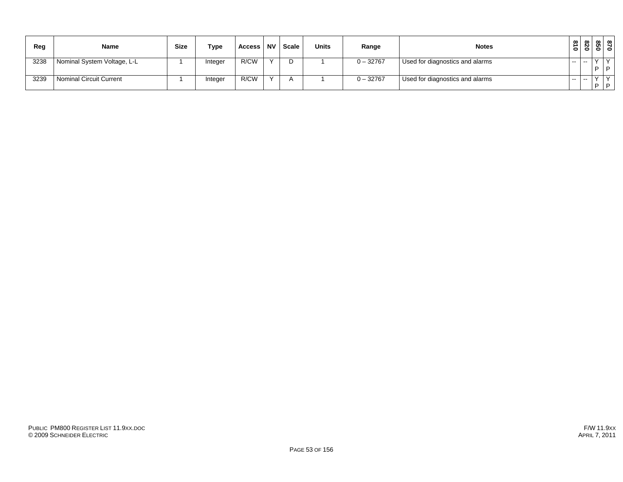| Reg  | <b>Name</b>                 | <b>Size</b> | <b>Type</b> | Access | <b>NV</b> | Scale | <b>Units</b> | Range       | <b>Notes</b>                    | $\frac{3}{10}$ | ൦<br>-0                  | ທ         | $\infty$ 00<br>$\circ$ $\circ$ |
|------|-----------------------------|-------------|-------------|--------|-----------|-------|--------------|-------------|---------------------------------|----------------|--------------------------|-----------|--------------------------------|
| 3238 | Nominal System Voltage, L-L |             | Integer     | R/CW   |           |       |              | $0 - 32767$ | Used for diagnostics and alarms | $- -$          | $\overline{\phantom{a}}$ | $\lambda$ | $\sqrt{}$                      |
|      |                             |             |             |        |           |       |              |             |                                 |                |                          | - 0       | D                              |
| 3239 | Nominal Circuit Current     |             | Integer     | R/CW   |           |       |              | $0 - 32767$ | Used for diagnostics and alarms | $- -$          | $\overline{\phantom{a}}$ |           | $\sqrt{}$                      |
|      |                             |             |             |        |           |       |              |             |                                 |                |                          | . D       | D                              |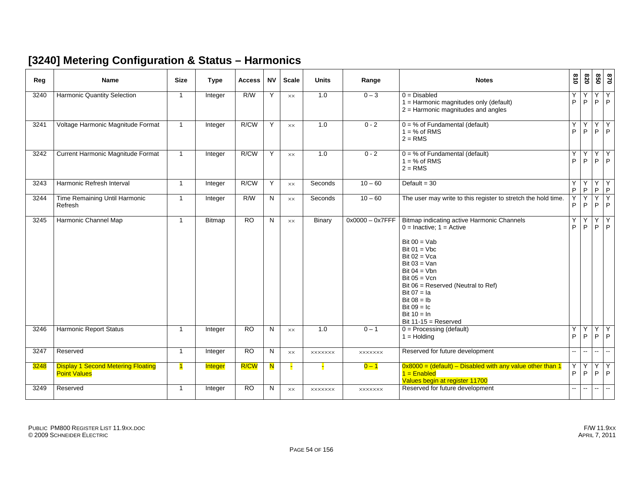#### **[3240] Metering Configuration & Status – Harmonics**

| Reg  | <b>Name</b>                                                      | <b>Size</b>  | <b>Type</b>    | <b>Access</b>   | <b>NV</b> | <b>Scale</b>   | <b>Units</b>   | Range              | <b>Notes</b>                                                                                                                                                                                                                                                                                                                | $\frac{81}{2}$ | 078                      | 850                 | 0/8                                                                        |
|------|------------------------------------------------------------------|--------------|----------------|-----------------|-----------|----------------|----------------|--------------------|-----------------------------------------------------------------------------------------------------------------------------------------------------------------------------------------------------------------------------------------------------------------------------------------------------------------------------|----------------|--------------------------|---------------------|----------------------------------------------------------------------------|
| 3240 | Harmonic Quantity Selection                                      | $\mathbf{1}$ | Integer        | R/W             | Y         | <b>XX</b>      | 1.0            | $0 - 3$            | $0 = Disabled$<br>1 = Harmonic magnitudes only (default)<br>$2$ = Harmonic magnitudes and angles                                                                                                                                                                                                                            | Υ<br>P         | Υ<br>P                   | Υ                   | Y<br>$P$ $P$                                                               |
| 3241 | Voltage Harmonic Magnitude Format                                | $\mathbf{1}$ | Integer        | R/CW            | Y         | $\times\times$ | 1.0            | $0 - 2$            | $0 = %$ of Fundamental (default)<br>$1 = % of RMS$<br>$2 = RMS$                                                                                                                                                                                                                                                             | Υ<br>P         | Y<br>P.                  | Y<br>P              | Y<br> P                                                                    |
| 3242 | Current Harmonic Magnitude Format                                | $\mathbf{1}$ | Integer        | R/CW            | Y         | $\times\times$ | 1.0            | $0 - 2$            | $0 = %$ of Fundamental (default)<br>$1 = % of RMS$<br>$2 = RMS$                                                                                                                                                                                                                                                             | Υ<br>P         | Υ<br>P.                  |                     | $\begin{array}{ c c c }\hline Y & Y \\ \hline P & P \\ \hline \end{array}$ |
| 3243 | Harmonic Refresh Interval                                        | $\mathbf{1}$ | Integer        | R/CW            | Y         | $\times\times$ | Seconds        | $10 - 60$          | Default = $30$                                                                                                                                                                                                                                                                                                              | Υ<br>P         | Y<br>P                   | $\sf P$             | YY<br> P                                                                   |
| 3244 | Time Remaining Until Harmonic<br>Refresh                         | $\mathbf{1}$ | Integer        | R/W             | N         | $\times\times$ | Seconds        | $10 - 60$          | The user may write to this register to stretch the hold time.                                                                                                                                                                                                                                                               | Y<br>P         | Y<br>P                   | $\overline{Y}$<br>P | TY.<br>$  \cdot  $                                                         |
| 3245 | Harmonic Channel Map                                             | $\mathbf{1}$ | Bitmap         | <b>RO</b>       | N         | <b>XX</b>      | Binary         | $0x0000 - 0x7$ FFF | Bitmap indicating active Harmonic Channels<br>$0 =$ Inactive; $1 =$ Active<br>Bit $00 = Vab$<br>Bit $01 = Vbc$<br>Bit $02 = Vca$<br>Bit $03 =$ Van<br>Bit $04 = Vbn$<br>Bit $05 = Vcn$<br>Bit 06 = Reserved (Neutral to Ref)<br>Bit $07 = Ia$<br>Bit $08 = lb$<br>Bit $09 = 1c$<br>Bit $10 = \ln$<br>Bit $11-15$ = Reserved | Υ<br>P         | Y<br>P                   | Y<br>P              | $\begin{array}{c} Y \\ P \end{array}$                                      |
| 3246 | <b>Harmonic Report Status</b>                                    | $\mathbf{1}$ | Integer        | $\overline{RO}$ | N         | $\times\times$ | 1.0            | $0 - 1$            | $0 =$ Processing (default)<br>$1 =$ Holding                                                                                                                                                                                                                                                                                 | Υ<br>P.        | P                        |                     | YYY<br>$P$ $P$                                                             |
| 3247 | Reserved                                                         | $\mathbf{1}$ | Integer        | <b>RO</b>       | N         | $\times\times$ | <b>XXXXXXX</b> | <b>XXXXXXX</b>     | Reserved for future development                                                                                                                                                                                                                                                                                             | $\mathbf{u}$   | $\overline{\phantom{a}}$ | $\mathbf{u}$        | $\sim$                                                                     |
| 3248 | <b>Display 1 Second Metering Floating</b><br><b>Point Values</b> | $\mathbf{1}$ | <b>Integer</b> | <b>R/CW</b>     | N         |                |                | $0 - 1$            | $0x8000 =$ (default) – Disabled with any value other than 1<br>$1 =$ Enabled<br>Values begin at register 11700                                                                                                                                                                                                              | Υ<br>P         | Υ<br>P                   |                     | $\begin{array}{c c}\nY \\ P \\ P\n\end{array}$                             |
| 3249 | Reserved                                                         | $\mathbf{1}$ | Integer        | $\overline{RO}$ | N         | <b>XX</b>      | <b>XXXXXXX</b> | <b>XXXXXXX</b>     | Reserved for future development                                                                                                                                                                                                                                                                                             | н.             | $\sim$ $-$               | $\sim$              | $\sim$                                                                     |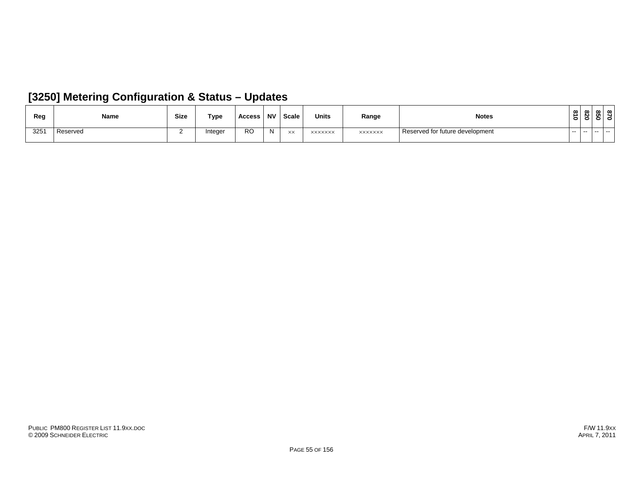| Reg | Name     | Size | Type    | Access | <b>NV</b> | Scale      | <b>Units</b> | Range          | <b>Notes</b>                    | $\infty$<br>∸<br>$\circ$ | 078          | $\infty$<br>ທ<br>$\circ$ $\circ$ | ന |
|-----|----------|------|---------|--------|-----------|------------|--------------|----------------|---------------------------------|--------------------------|--------------|----------------------------------|---|
| 325 | Reserved |      | Integer | RO     | N         | $\vee\vee$ | XXXXXXX      | <b>XXXXXXX</b> | Reserved for future development | .                        | $\sim$ $  -$ | ----                             |   |

#### **[3250] Metering Configuration & Status – Updates**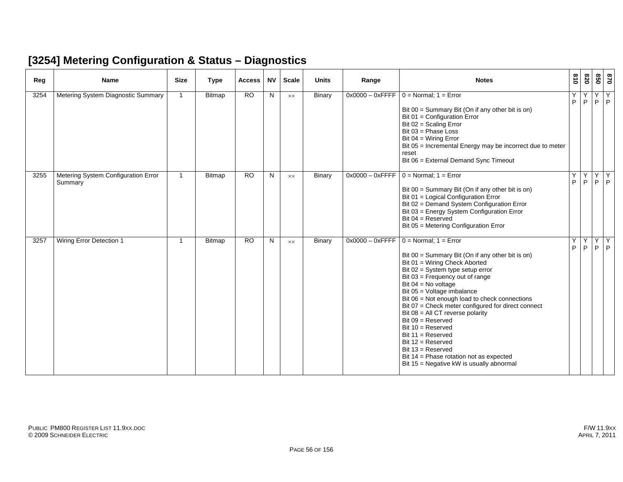#### **[3254] Metering Configuration & Status – Diagnostics**

| Reg  | <b>Name</b>                                    | <b>Size</b>    | <b>Type</b> | <b>Access</b> | <b>NV</b> | <b>Scale</b>   | <b>Units</b>  | Range              | <b>Notes</b>                                                                                                                                                                                                                                                                                                                                                                                                                                                                                                                                                                                         | $\frac{6}{18}$ | 078     | 850    | 028          |
|------|------------------------------------------------|----------------|-------------|---------------|-----------|----------------|---------------|--------------------|------------------------------------------------------------------------------------------------------------------------------------------------------------------------------------------------------------------------------------------------------------------------------------------------------------------------------------------------------------------------------------------------------------------------------------------------------------------------------------------------------------------------------------------------------------------------------------------------------|----------------|---------|--------|--------------|
| 3254 | Metering System Diagnostic Summary             | $\overline{1}$ | Bitmap      | <b>RO</b>     | N         | $\times\times$ | Binary        | $0x0000 - 0x$ FFFF | $0 = Normal$ ; 1 = Error<br>Bit $00 =$ Summary Bit (On if any other bit is on)<br>Bit 01 = Configuration Error<br>Bit $02 =$ Scaling Error<br>Bit $03$ = Phase Loss<br>Bit $04 = Wiring Error$<br>Bit 05 = Incremental Energy may be incorrect due to meter<br>reset<br>Bit 06 = External Demand Sync Timeout                                                                                                                                                                                                                                                                                        | Y<br>P         | Y<br>P  | Υ<br>P | Y<br>P       |
| 3255 | Metering System Configuration Error<br>Summary | $\overline{1}$ | Bitmap      | <b>RO</b>     | N         | $\times\times$ | <b>Binary</b> | $0x0000 - 0x$ FFFF | $0 = Normal$ ; 1 = Error<br>Bit 00 = Summary Bit (On if any other bit is on)<br>Bit 01 = Logical Configuration Error<br>Bit 02 = Demand System Configuration Error<br>Bit 03 = Energy System Configuration Error<br>Bit $04 =$ Reserved<br>Bit 05 = Metering Configuration Error                                                                                                                                                                                                                                                                                                                     | Υ<br>P         | Y<br>P. | Y      | Υ<br>$P$ $P$ |
| 3257 | Wiring Error Detection 1                       | -1             | Bitmap      | <b>RO</b>     | N         | $\times\times$ | <b>Binary</b> | $0x0000 - 0x$ FFFF | $0 = Normal$ ; 1 = Error<br>Bit 00 = Summary Bit (On if any other bit is on)<br>Bit 01 = Wiring Check Aborted<br>Bit $02 = System$ type setup error<br>Bit 03 = Frequency out of range<br>Bit $04 = No$ voltage<br>Bit 05 = Voltage imbalance<br>Bit 06 = Not enough load to check connections<br>Bit 07 = Check meter configured for direct connect<br>Bit $08 = All CT$ reverse polarity<br>$Bit 09 = Research$<br>Bit $10 =$ Reserved<br>Bit $11 =$ Reserved<br>Bit $12$ = Reserved<br>Bit $13 =$ Reserved<br>Bit 14 = Phase rotation not as expected<br>Bit 15 = Negative kW is usually abnormal | Υ<br>P         | Y.<br>P | Y      | Y<br>$P$ $P$ |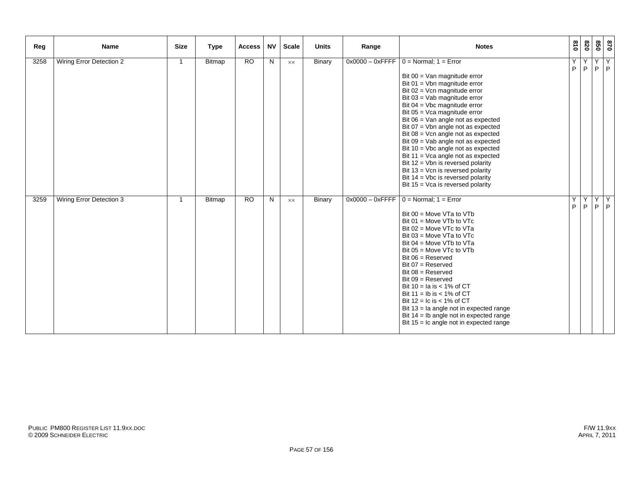| Reg  | Name                     | <b>Size</b>    | <b>Type</b> | <b>Access</b> | <b>NV</b> | <b>Scale</b> | <b>Units</b>  | Range | <b>Notes</b>                                                                                                                                                                                                                                                                                                                                                                                                                                                                                                                                                                                                                                                       | 018    | 078    |        | 870<br>850 |
|------|--------------------------|----------------|-------------|---------------|-----------|--------------|---------------|-------|--------------------------------------------------------------------------------------------------------------------------------------------------------------------------------------------------------------------------------------------------------------------------------------------------------------------------------------------------------------------------------------------------------------------------------------------------------------------------------------------------------------------------------------------------------------------------------------------------------------------------------------------------------------------|--------|--------|--------|------------|
| 3258 | Wiring Error Detection 2 | $\overline{1}$ | Bitmap      | <b>RO</b>     | N         | XX           | <b>Binary</b> |       | $0x0000 - 0x$ FFFF $0 = \text{Normal}$ ; 1 = Error<br>Bit 00 = Van magnitude error<br>Bit $01 =$ Vbn magnitude error<br>Bit $02 =$ Vcn magnitude error<br>Bit 03 = Vab magnitude error<br>Bit $04 =$ Vbc magnitude error<br>Bit $05 = Vca$ magnitude error<br>Bit $06 =$ Van angle not as expected<br>Bit $07 =$ Vbn angle not as expected<br>Bit $08 =$ Vcn angle not as expected<br>Bit $09 =$ Vab angle not as expected<br>Bit $10 =$ Vbc angle not as expected<br>Bit $11 = Vca$ angle not as expected<br>Bit 12 = Vbn is reversed polarity<br>Bit $13 =$ Vcn is reversed polarity<br>Bit $14 =$ Vbc is reversed polarity<br>Bit 15 = Vca is reversed polarity | Y<br>P | Y<br>P | Y<br>P | Υ<br> P    |
| 3259 | Wiring Error Detection 3 | $\overline{1}$ | Bitmap      | <b>RO</b>     | N         | XX           | Binary        |       | $0x0000 - 0x$ FFFF   0 = Normal; 1 = Error<br>Bit $00 = Move VTa$ to $VTb$<br>Bit $01$ = Move VTb to VTc<br>Bit 02 = Move VTc to VTa<br>Bit $03$ = Move VTa to VTc<br>Bit $04 = Move VTb$ to $VTa$<br>Bit $05 = Move VTc$ to $VTb$<br>$Bit 06 = Reserved$<br>Bit $07$ = Reserved<br>$Bit 08 = Reserved$<br>$Bit 09 = Research$<br>Bit $10 =$ la is $< 1\%$ of CT<br>Bit $11 = lb$ is $< 1\%$ of CT<br>Bit $12 = 1c$ is < 1% of CT<br>Bit $13 =$ la angle not in expected range<br>Bit $14 =$ Ib angle not in expected range<br>Bit $15 = 1c$ angle not in expected range                                                                                           | Υ<br>P | Y<br>P | Y<br>P | Y<br> P    |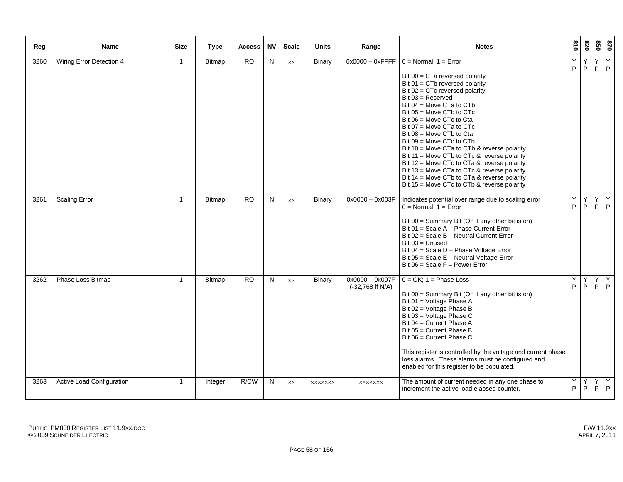| Reg  | Name                      | <b>Size</b>    | <b>Type</b>   | Access    | <b>NV</b>      | <b>Scale</b>   | <b>Units</b>   | Range                                   | <b>Notes</b>                                                                                                                                                                                                                                                                                                                                                                                                                                                                                                                                                                                                                                 | 018               | 078     | 09      | 028          |
|------|---------------------------|----------------|---------------|-----------|----------------|----------------|----------------|-----------------------------------------|----------------------------------------------------------------------------------------------------------------------------------------------------------------------------------------------------------------------------------------------------------------------------------------------------------------------------------------------------------------------------------------------------------------------------------------------------------------------------------------------------------------------------------------------------------------------------------------------------------------------------------------------|-------------------|---------|---------|--------------|
| 3260 | Wiring Error Detection 4  | $\overline{1}$ | <b>Bitmap</b> | <b>RO</b> | $\overline{N}$ | $\times\times$ | <b>Binary</b>  | $0x0000 - 0x$ FFFF                      | $0 = Normal$ ; $1 = Error$<br>Bit $00 = C$ Ta reversed polarity<br>Bit $01 = C T b$ reversed polarity<br>Bit $02 = C$ Tc reversed polarity<br>Bit $03$ = Reserved<br>Bit 04 = Move CTa to CTb<br>Bit $05 = Move C Tb$ to $CTc$<br>Bit $06$ = Move CTc to Cta<br>Bit 07 = Move CTa to CTc<br>Bit 08 = Move CTb to Cta<br>Bit $09$ = Move CTc to CTb<br>Bit 10 = Move CTa to CTb & reverse polarity<br>Bit 11 = Move CTb to CTc & reverse polarity<br>Bit 12 = Move CTc to CTa & reverse polarity<br>Bit 13 = Move CTa to CTc & reverse polarity<br>Bit 14 = Move CTb to CTa & reverse polarity<br>Bit 15 = Move CTc to CTb & reverse polarity | Υ<br>$\mathsf{P}$ | Υ<br>P  | Υ       | Y<br>$P$ $P$ |
| 3261 | <b>Scaling Error</b>      | $\overline{1}$ | <b>Bitmap</b> | <b>RO</b> | N              | $\times\times$ | <b>Binary</b>  | $0x0000 - 0x003F$                       | Indicates potential over range due to scaling error<br>$0 = Normal$ ; $1 = Error$<br>Bit $00 =$ Summary Bit (On if any other bit is on)<br>Bit $01 =$ Scale A – Phase Current Error<br>Bit 02 = Scale B - Neutral Current Error<br>Bit $03 =$ Unused<br>Bit 04 = Scale D - Phase Voltage Error<br>Bit 05 = Scale E - Neutral Voltage Error<br>Bit $06$ = Scale F – Power Error                                                                                                                                                                                                                                                               | Υ<br>P            | Υ<br>P  | Υ<br>P  | Y<br>P       |
| 3262 | Phase Loss Bitmap         | $\overline{1}$ | <b>Bitmap</b> | RO        | N              | $\times\times$ | <b>Binary</b>  | $0x0000 - 0x007F$<br>$(-32,768$ if N/A) | $0 = OK$ ; $1 = Phase Loss$<br>Bit $00 =$ Summary Bit (On if any other bit is on)<br>Bit 01 = Voltage Phase A<br>Bit 02 = Voltage Phase B<br>Bit 03 = Voltage Phase C<br>Bit 04 = Current Phase A<br>Bit $05 =$ Current Phase B<br>Bit $06 =$ Current Phase C<br>This register is controlled by the voltage and current phase<br>loss alarms. These alarms must be configured and<br>enabled for this register to be populated.                                                                                                                                                                                                              | Υ<br>P            | Y<br>P. | Y<br>P. | Y<br>P       |
| 3263 | Active Load Configuration | $\overline{1}$ | Integer       | R/CW      | N              | XX             | <b>XXXXXXX</b> | <b>XXXXXXX</b>                          | The amount of current needed in any one phase to<br>increment the active load elapsed counter.                                                                                                                                                                                                                                                                                                                                                                                                                                                                                                                                               | Υ<br>P            | Y<br>P  | Υ<br>P  | Y<br>P       |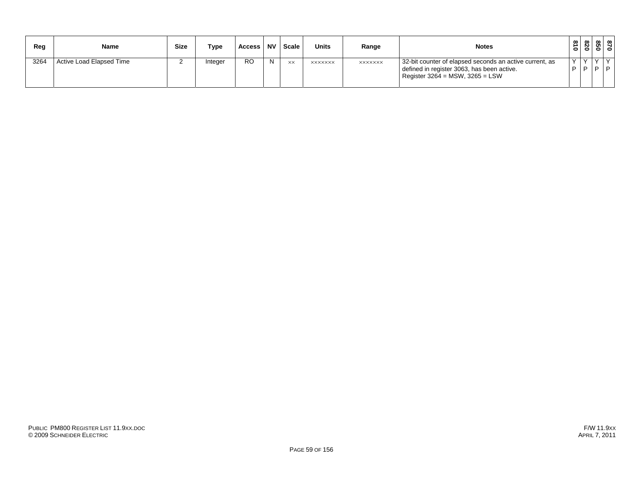| Rea  | <b>Name</b>              | <b>Size</b> | Type    | Access | . NV | Scale     | <b>Units</b>   | Range          | <b>Notes</b>                                                                                                                                 | 810          | 078                  | <u>ឌុន្រ</u> |  |
|------|--------------------------|-------------|---------|--------|------|-----------|----------------|----------------|----------------------------------------------------------------------------------------------------------------------------------------------|--------------|----------------------|--------------|--|
| 3264 | Active Load Elapsed Time |             | Integer | RO     | N    | <b>XX</b> | <b>XXXXXXX</b> | <b>XXXXXXX</b> | 32-bit counter of elapsed seconds an active current, as<br>defined in register 3063, has been active.<br>Register $3264$ = MSW, $3265$ = LSW | $\checkmark$ | $\vee$<br><b>D</b> I | PP           |  |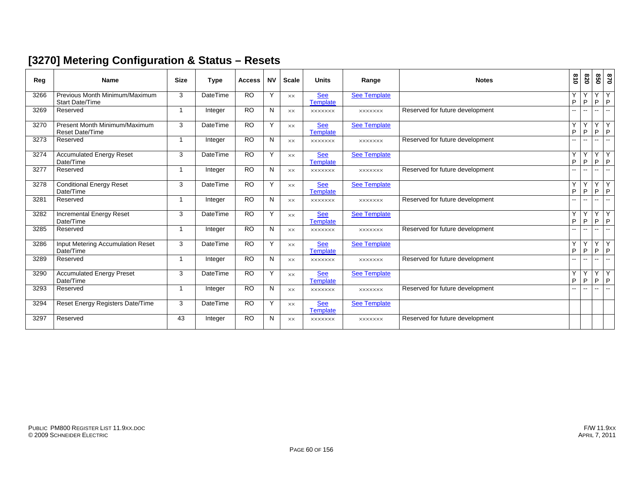#### **[3270] Metering Configuration & Status – Resets**

| Reg  | <b>Name</b>                                              | <b>Size</b>    | <b>Type</b>     | <b>Access</b>   | <b>NV</b> | <b>Scale</b> | <b>Units</b>                  | Range               | <b>Notes</b>                    | 018                      | 078                      | 850            | 028                            |
|------|----------------------------------------------------------|----------------|-----------------|-----------------|-----------|--------------|-------------------------------|---------------------|---------------------------------|--------------------------|--------------------------|----------------|--------------------------------|
| 3266 | Previous Month Minimum/Maximum<br><b>Start Date/Time</b> | 3              | <b>DateTime</b> | <b>RO</b>       | Y         | XX           | See<br>Template               | <b>See Template</b> |                                 | Y<br>P                   | Y<br>P                   | Y              | Y<br>$P$ $P$                   |
| 3269 | Reserved                                                 | 1              | Integer         | <b>RO</b>       | N         | <b>XX</b>    | <b>XXXXXXX</b>                | <b>XXXXXXX</b>      | Reserved for future development | $-1$                     | $\overline{a}$           | $\sim$         | $\overline{\phantom{a}}$       |
| 3270 | Present Month Minimum/Maximum<br><b>Reset Date/Time</b>  | 3              | <b>DateTime</b> | <b>RO</b>       | Y         | <b>XX</b>    | <b>See</b><br><b>Template</b> | See Template        |                                 | Y<br>P                   | Y<br>P                   | Y<br>P         | Y<br>$\sf P$                   |
| 3273 | Reserved                                                 | 1              | Integer         | $\overline{RO}$ | N         | <b>XX</b>    | <b>XXXXXXX</b>                | <b>XXXXXXX</b>      | Reserved for future development | $\overline{\phantom{a}}$ | $\overline{\phantom{a}}$ | $\mathbf{u}$   | u.                             |
| 3274 | <b>Accumulated Energy Reset</b><br>Date/Time             | 3              | <b>DateTime</b> | <b>RO</b>       | Y         | <b>XX</b>    | See<br>Template               | <b>See Template</b> |                                 | Y<br>P                   | Y<br>P                   | Y<br>P.        | $\overline{Y}$<br>$\mathsf P$  |
| 3277 | Reserved                                                 | $\overline{1}$ | Integer         | $\overline{RO}$ | N         | XX           | <b>XXXXXXX</b>                | <b>XXXXXXX</b>      | Reserved for future development | $-1$                     | $\overline{a}$           | $-1$           | $\overline{a}$                 |
| 3278 | <b>Conditional Energy Reset</b><br>Date/Time             | 3              | <b>DateTime</b> | <b>RO</b>       | Y         | <b>XX</b>    | <b>See</b><br><b>Template</b> | <b>See Template</b> |                                 | Y<br>P                   | Υ<br>P                   | Y<br>P         | Υ<br>$\sf P$                   |
| 3281 | Reserved                                                 | 1              | Integer         | <b>RO</b>       | N         | <b>XX</b>    | <b>XXXXXXX</b>                | <b>XXXXXXX</b>      | Reserved for future development | $\overline{\phantom{a}}$ | $\overline{\phantom{a}}$ | $\overline{a}$ | $\overline{\phantom{a}}$       |
| 3282 | <b>Incremental Energy Reset</b><br>Date/Time             | 3              | <b>DateTime</b> | <b>RO</b>       | Y         | <b>XX</b>    | <b>See</b><br>Template        | <b>See Template</b> |                                 | Y<br>P                   | Y<br>P                   | Y              | $\overline{Y}$<br>$P$ $P$      |
| 3285 | Reserved                                                 | -1             | Integer         | <b>RO</b>       | N         | <b>XX</b>    | <b>XXXXXXX</b>                | <b>XXXXXXX</b>      | Reserved for future development | $\overline{a}$           | $\overline{\phantom{a}}$ | $-$            | ۵.                             |
| 3286 | Input Metering Accumulation Reset<br>Date/Time           | 3              | <b>DateTime</b> | <b>RO</b>       | Y         | XX           | <b>See</b><br>Template        | <b>See Template</b> |                                 | Y<br>P                   | Y<br>P                   | Y<br>P         | Y<br>$\sf P$                   |
| 3289 | Reserved                                                 | -1             | Integer         | <b>RO</b>       | N         | <b>XX</b>    | <b>XXXXXXX</b>                | <b>XXXXXXX</b>      | Reserved for future development | $-1$                     | $\sim$ $\sim$            | $- -$          | $\overline{a}$                 |
| 3290 | <b>Accumulated Energy Preset</b><br>Date/Time            | 3              | <b>DateTime</b> | <b>RO</b>       | Y         | XX           | <b>See</b><br>Template        | <b>See Template</b> |                                 | Y<br>P                   | Y<br>P                   | Y<br>P.        | $\overline{Y}$<br>$\mathsf{P}$ |
| 3293 | Reserved                                                 | 1              | Integer         | <b>RO</b>       | N         | <b>XX</b>    | <b>XXXXXXX</b>                | <b>XXXXXXX</b>      | Reserved for future development |                          |                          |                | $-$                            |
| 3294 | Reset Energy Registers Date/Time                         | 3              | <b>DateTime</b> | <b>RO</b>       | Y         | XX           | <b>See</b><br><b>Template</b> | <b>See Template</b> |                                 |                          |                          |                |                                |
| 3297 | Reserved                                                 | 43             | Integer         | <b>RO</b>       | N         | XX           | <b>XXXXXXX</b>                | <b>XXXXXXX</b>      | Reserved for future development |                          |                          |                |                                |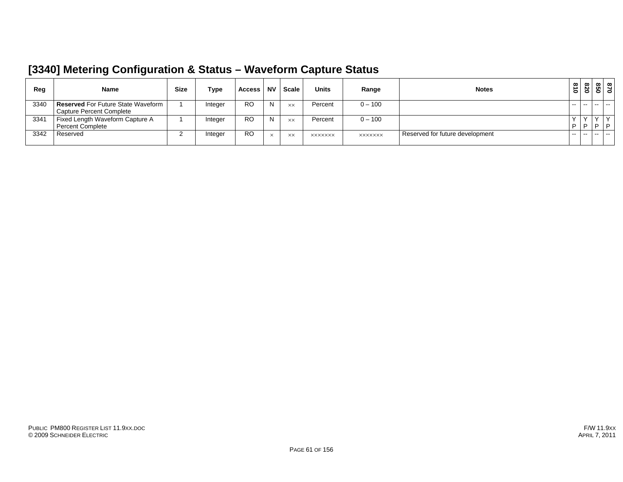#### **[3340] Metering Configuration & Status – Waveform Capture Status**

| Reg  | <b>Name</b>                                                             | <b>Size</b> | Type    | <b>Access</b> | <b>NV</b> | <b>Scale</b> | <b>Units</b>   | Range          | <b>Notes</b>                    | $\tilde{\mathbf{z}}$<br>$\bullet$ | $\infty$<br>8Ī | မြိ    | 870<br>850 |
|------|-------------------------------------------------------------------------|-------------|---------|---------------|-----------|--------------|----------------|----------------|---------------------------------|-----------------------------------|----------------|--------|------------|
| 3340 | <b>Reserved</b> For Future State Waveform  <br>Capture Percent Complete |             | Integer | <b>RO</b>     | N         | <b>XX</b>    | Percent        | $0 - 100$      |                                 | $- -$                             | $\sim$         |        |            |
| 3341 | Fixed Length Waveform Capture A<br><b>Percent Complete</b>              |             | Integer | RO            | N         | <b>XX</b>    | Percent        | $0 - 100$      |                                 | D                                 | D              |        | $\Box$     |
| 3342 | Reserved                                                                |             | Integer | RO            | ㅅ         | <b>XX</b>    | <b>XXXXXXX</b> | <b>XXXXXXX</b> | Reserved for future development | $- -$                             | $- -$          | $\sim$ | $-$        |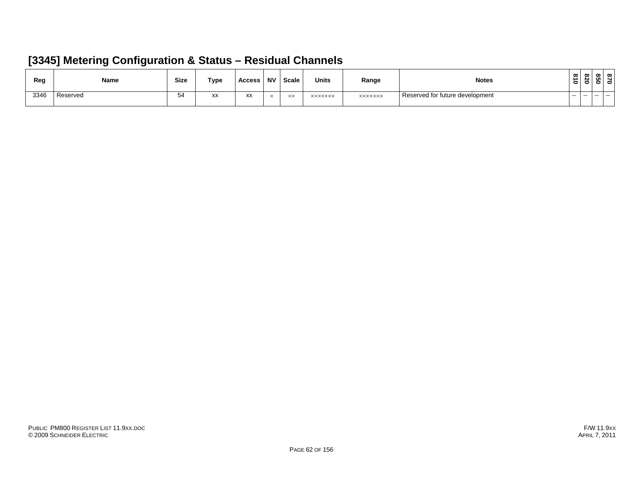#### **[3345] Metering Configuration & Status – Residual Channels**

| Reg  | <b>Name</b> | <b>Size</b>  | Type                        | Access              | <b>NV</b> | <b>Scale</b>     | <b>Units</b>   | Range          | <b>Notes</b>                    | ൦<br>∽<br>$\bullet$ | $\infty$<br>N | ๛<br>ள<br>- |  |
|------|-------------|--------------|-----------------------------|---------------------|-----------|------------------|----------------|----------------|---------------------------------|---------------------|---------------|-------------|--|
| 3346 | Reserved    | $\sim$<br>◡᠇ | $\mathsf{v}\mathsf{v}$<br>ᆻ | $\overline{ }$<br>ᄊ |           | $\vee\vee$<br>ᄉᄉ | <b>XXXXXXX</b> | <b>XXXXXXX</b> | Reserved for future development | $- -$               | $- -$         |             |  |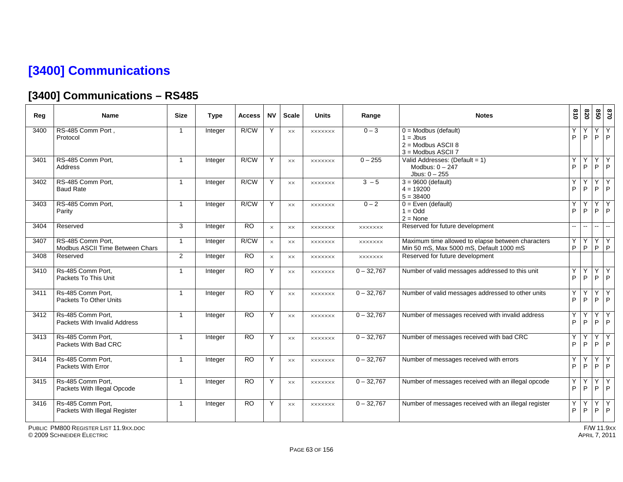## **[3400] Communications**

## **[3400] Communications – RS485**

| Reg  | <b>Name</b>                                          | <b>Size</b>             | <b>Type</b> | Access    | <b>NV</b> | <b>Scale</b>   | <b>Units</b>   | Range          | <b>Notes</b>                                                                                 | 018                      | 078          | 020                | 0/8     |
|------|------------------------------------------------------|-------------------------|-------------|-----------|-----------|----------------|----------------|----------------|----------------------------------------------------------------------------------------------|--------------------------|--------------|--------------------|---------|
| 3400 | RS-485 Comm Port,<br>Protocol                        | $\overline{\mathbf{1}}$ | Integer     | R/CW      | Y         | $\times\times$ | <b>XXXXXXX</b> | $0 - 3$        | $0 =$ Modbus (default)<br>$1 =$ Jbus<br>$2 =$ Modbus ASCII 8<br>3 = Modbus ASCII 7           | Υ<br>P                   | P            | Y<br>P             | Y<br> P |
| 3401 | RS-485 Comm Port,<br>Address                         |                         | Integer     | R/CW      | Y         | XX             | <b>XXXXXXX</b> | $0 - 255$      | Valid Addresses: (Default = 1)<br>Modbus: $0 - 247$<br>Jbus: $0 - 255$                       | Y<br>P                   | P            | Y<br>P             | Y<br> P |
| 3402 | RS-485 Comm Port.<br><b>Baud Rate</b>                | $\overline{1}$          | Integer     | R/CW      | Y         | $\times\times$ | <b>XXXXXXX</b> | $3 - 5$        | $3 = 9600$ (default)<br>$4 = 19200$<br>$5 = 38400$                                           | Y<br>P                   | Υ<br>P       | Y<br>P             | Y<br>P  |
| 3403 | RS-485 Comm Port,<br>Parity                          | $\overline{1}$          | Integer     | R/CW      | Y         | XX             | <b>XXXXXXX</b> | $0 - 2$        | $0 = Even$ (default)<br>$1 = \text{Odd}$<br>$2 = None$                                       | Y<br>P                   | Y<br>P       | Y<br>P             | Υ<br>P  |
| 3404 | Reserved                                             | 3                       | Integer     | <b>RO</b> | $\times$  | <b>XX</b>      | <b>XXXXXXX</b> | <b>XXXXXXX</b> | Reserved for future development                                                              | $\overline{\phantom{a}}$ | $-$          | $\overline{a}$     | $\sim$  |
| 3407 | RS-485 Comm Port,<br>Modbus ASCII Time Between Chars | $\overline{1}$          | Integer     | R/CW      | $\times$  | XX             | <b>XXXXXXX</b> | <b>XXXXXXX</b> | Maximum time allowed to elapse between characters<br>Min 50 mS, Max 5000 mS, Default 1000 mS | Υ<br>P                   | Y<br>$\sf P$ | YY<br>$\mathsf{P}$ | P       |
| 3408 | Reserved                                             | 2                       | Integer     | <b>RO</b> | $\times$  | <b>XX</b>      | <b>XXXXXXX</b> | <b>XXXXXXX</b> | Reserved for future development                                                              |                          |              |                    |         |
| 3410 | Rs-485 Comm Port.<br>Packets To This Unit            | $\overline{1}$          | Integer     | <b>RO</b> | Y         | <b>XX</b>      | <b>XXXXXXX</b> | $0 - 32,767$   | Number of valid messages addressed to this unit                                              | Y<br>P                   | Υ<br>P       | Y<br>P             | Y<br>P  |
| 3411 | Rs-485 Comm Port,<br>Packets To Other Units          | $\overline{1}$          | Integer     | RO        | Y         | $\times\times$ | <b>XXXXXXX</b> | $0 - 32,767$   | Number of valid messages addressed to other units                                            | Y<br>P                   | Y<br>P       | Y<br>P             | Υ<br> P |
| 3412 | Rs-485 Comm Port,<br>Packets With Invalid Address    | -1                      | Integer     | <b>RO</b> | Y         | XX             | <b>XXXXXXX</b> | $0 - 32,767$   | Number of messages received with invalid address                                             | Y<br>P                   | P            | Y<br>P             | Y<br> P |
| 3413 | Rs-485 Comm Port,<br>Packets With Bad CRC            | $\overline{1}$          | Integer     | RO        | Y         | $\times\times$ | <b>XXXXXXX</b> | $0 - 32,767$   | Number of messages received with bad CRC                                                     | Υ<br>P                   | Υ<br>P       | Y<br>P             | Υ<br>P  |
| 3414 | Rs-485 Comm Port,<br>Packets With Error              | $\overline{1}$          | Integer     | <b>RO</b> | Y         | $\times\times$ | <b>XXXXXXX</b> | $0 - 32,767$   | Number of messages received with errors                                                      | Y<br>P                   | Y<br>P       | Y<br>P             | Y<br>P  |
| 3415 | Rs-485 Comm Port,<br>Packets With Illegal Opcode     | $\overline{1}$          | Integer     | <b>RO</b> | Y         | <b>XX</b>      | <b>XXXXXXX</b> | $0 - 32,767$   | Number of messages received with an illegal opcode                                           | Υ<br>P                   | Y<br>P       | Y<br>P             | Y<br> P |
| 3416 | Rs-485 Comm Port.<br>Packets With Illegal Register   | $\overline{1}$          | Integer     | <b>RO</b> | Y         | <b>XX</b>      | <b>XXXXXXX</b> | $0 - 32,767$   | Number of messages received with an illegal register                                         | Y<br>P                   | Υ<br>P       | Y<br>P             | Y<br> P |

PUBLIC PM800 REGISTER LIST 11.9XX.DOC

© 2009 SCHNEIDER ELECTRIC APRIL 7, 2011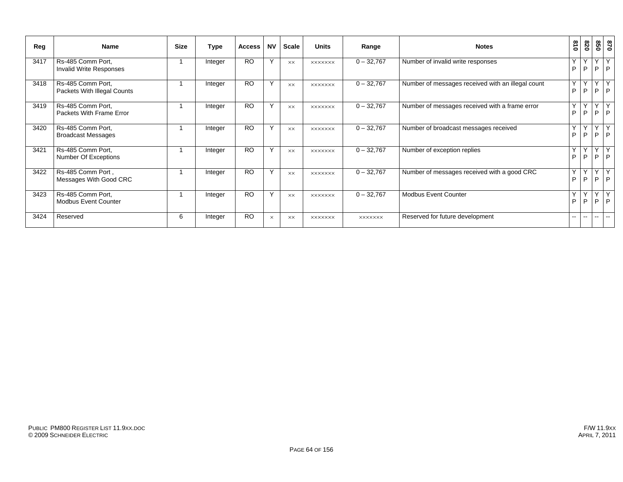| Reg  | Name                                             | <b>Size</b> | Type    | <b>Access</b> | <b>NV</b>    | <b>Scale</b>   | <b>Units</b>   | Range          | <b>Notes</b>                                      | 018               | 078               |               | 870<br>850                     |
|------|--------------------------------------------------|-------------|---------|---------------|--------------|----------------|----------------|----------------|---------------------------------------------------|-------------------|-------------------|---------------|--------------------------------|
| 3417 | Rs-485 Comm Port,<br>Invalid Write Responses     |             | Integer | <b>RO</b>     | $\vee$       | <b>XX</b>      | <b>XXXXXXX</b> | $0 - 32,767$   | Number of invalid write responses                 | $\checkmark$<br>P | $\checkmark$<br>P | $\checkmark$  | Y<br>$P$ $P$                   |
| 3418 | Rs-485 Comm Port,<br>Packets With Illegal Counts |             | Integer | <b>RO</b>     | Y            | <b>XX</b>      | <b>XXXXXXX</b> | $0 - 32,767$   | Number of messages received with an illegal count | Υ<br>P            | Υ<br>P            |               | YY<br>$P$ $P$                  |
| 3419 | Rs-485 Comm Port,<br>Packets With Frame Error    |             | Integer | <b>RO</b>     | $\checkmark$ | <b>XX</b>      | <b>XXXXXXX</b> | $0 - 32,767$   | Number of messages received with a frame error    | Y<br>P            | Y<br>P            | P             | Y<br>$\mathsf{P}$              |
| 3420 | Rs-485 Comm Port,<br><b>Broadcast Messages</b>   |             | Integer | <b>RO</b>     | $\checkmark$ | <b>XX</b>      | <b>XXXXXXX</b> | $0 - 32,767$   | Number of broadcast messages received             | $\checkmark$<br>P | $\checkmark$<br>P |               | Y<br>$P$ $P$                   |
| 3421 | Rs-485 Comm Port,<br>Number Of Exceptions        |             | Integer | <b>RO</b>     | Y            | $\times\times$ | <b>XXXXXXX</b> | $0 - 32,767$   | Number of exception replies                       | Υ<br>P            | Y<br>P            |               | YY<br>$P$ $P$                  |
| 3422 | Rs-485 Comm Port,<br>Messages With Good CRC      |             | Integer | <b>RO</b>     | $\checkmark$ | <b>XX</b>      | <b>XXXXXXX</b> | $0 - 32,767$   | Number of messages received with a good CRC       | Y<br>P            | Y<br>P            | $\vee$<br>P   | $\overline{Y}$<br>$\mathsf{P}$ |
| 3423 | Rs-485 Comm Port,<br><b>Modbus Event Counter</b> |             | Integer | <b>RO</b>     | Y            | <b>XX</b>      | <b>XXXXXXX</b> | $0 - 32,767$   | <b>Modbus Event Counter</b>                       | Υ<br>P            | Y<br>P            |               | YY<br>$P$ $P$                  |
| 3424 | Reserved                                         | 6           | Integer | <b>RO</b>     | $\times$     | <b>XX</b>      | <b>XXXXXXX</b> | <b>XXXXXXX</b> | Reserved for future development                   | $\sim$ $\sim$     | $\mathbf{u}$      | $\sim$ $\sim$ | $\sim$                         |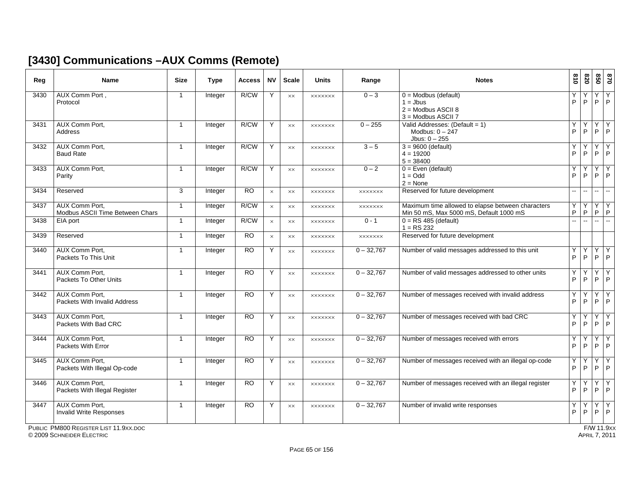#### **[3430] Communications –AUX Comms (Remote)**

| Reg  | <b>Name</b>                                           | <b>Size</b>    | <b>Type</b> | <b>Access</b>   | <b>NV</b> | <b>Scale</b>   | <b>Units</b>   | Range          | <b>Notes</b>                                                                                 | 618                      | 078                      | 850               | 028                  |
|------|-------------------------------------------------------|----------------|-------------|-----------------|-----------|----------------|----------------|----------------|----------------------------------------------------------------------------------------------|--------------------------|--------------------------|-------------------|----------------------|
| 3430 | AUX Comm Port,<br>Protocol                            | $\mathbf{1}$   | Integer     | R/CW            | Y         | $\times\times$ | <b>XXXXXXX</b> | $0 - 3$        | $0 =$ Modbus (default)<br>$1 =$ Jbus<br>$2 =$ Modbus ASCII 8<br>3 = Modbus ASCII 7           | Υ<br>P                   | Y<br>P                   | Υ<br>P            | Y<br> P              |
| 3431 | AUX Comm Port,<br>Address                             | $\mathbf{1}$   | Integer     | R/CW            | Y         | <b>XX</b>      | <b>XXXXXXX</b> | $0 - 255$      | Valid Addresses: (Default = 1)<br>Modbus: $0 - 247$<br>Jbus: $0 - 255$                       | Υ<br>P                   | Υ<br>P                   | Y<br>P            | Y<br>$\mathsf{P}$    |
| 3432 | AUX Comm Port,<br><b>Baud Rate</b>                    | $\mathbf{1}$   | Integer     | R/CW            | Y         | $\times\times$ | <b>XXXXXXX</b> | $3 - 5$        | $3 = 9600$ (default)<br>$4 = 19200$<br>$5 = 38400$                                           | Υ<br>P                   | Y<br>P                   | Y<br>P            | Υ<br>P               |
| 3433 | AUX Comm Port,<br>Parity                              | $\mathbf{1}$   | Integer     | R/CW            | Y         | $\times\times$ | <b>XXXXXXX</b> | $0 - 2$        | $0 = Even$ (default)<br>$1 = Odd$<br>$2 = None$                                              | Υ<br>P                   | Υ<br>P                   | Y<br>P            | Y<br>l P             |
| 3434 | Reserved                                              | 3              | Integer     | $\overline{RO}$ | $\times$  | $\times\times$ | <b>XXXXXXX</b> | <b>XXXXXXX</b> | Reserved for future development                                                              | $\overline{\phantom{a}}$ | $\overline{\phantom{a}}$ | $\mathbf{u}$      | $\mathbf{L}$         |
| 3437 | AUX Comm Port,<br>Modbus ASCII Time Between Chars     | $\mathbf{1}$   | Integer     | R/CW            | $\times$  | XX             | <b>XXXXXXX</b> | <b>XXXXXXX</b> | Maximum time allowed to elapse between characters<br>Min 50 mS, Max 5000 mS, Default 1000 mS | Υ<br>P                   | Y<br>P                   | Y<br>$\mathsf P$  | $\overline{Y}$<br> P |
| 3438 | EIA port                                              | $\mathbf{1}$   | Integer     | R/CW            | $\times$  | $\times\times$ | <b>XXXXXXX</b> | $0 - 1$        | $0 = RS 485$ (default)<br>$1 = RS 232$                                                       | $\ddot{\phantom{a}}$     | L.                       | ш.                | $\sim$               |
| 3439 | Reserved                                              | $\mathbf{1}$   | Integer     | <b>RO</b>       | $\times$  | <b>XX</b>      | <b>XXXXXXX</b> | <b>XXXXXXX</b> | Reserved for future development                                                              |                          |                          |                   |                      |
| 3440 | AUX Comm Port,<br>Packets To This Unit                | $\mathbf{1}$   | Integer     | RO              | Y         | $\times\times$ | <b>XXXXXXX</b> | $0 - 32,767$   | Number of valid messages addressed to this unit                                              | Υ<br>P                   | Υ<br>P                   | Y<br>P            | Y<br>P               |
| 3441 | AUX Comm Port,<br>Packets To Other Units              | $\mathbf{1}$   | Integer     | <b>RO</b>       | Y         | $\times\times$ | <b>XXXXXXX</b> | $0 - 32,767$   | Number of valid messages addressed to other units                                            | Υ<br>P                   | Y<br>P                   | Y<br>P            | Y<br> P              |
| 3442 | AUX Comm Port,<br>Packets With Invalid Address        | $\mathbf{1}$   | Integer     | <b>RO</b>       | Y         | <b>XX</b>      | <b>XXXXXXX</b> | $0 - 32,767$   | Number of messages received with invalid address                                             | Υ<br>P                   | Υ<br>P                   | Y<br>P            | Υ<br>P               |
| 3443 | AUX Comm Port,<br>Packets With Bad CRC                | $\mathbf{1}$   | Integer     | <b>RO</b>       | Y         | $\times\times$ | <b>XXXXXXX</b> | $0 - 32,767$   | Number of messages received with bad CRC                                                     | Υ<br>P                   | Y<br>P                   | Y<br>$\mathsf{P}$ | Y<br>$\mathsf{P}$    |
| 3444 | AUX Comm Port,<br>Packets With Error                  | $\mathbf{1}$   | Integer     | $\overline{RO}$ | Y         | <b>XX</b>      | <b>XXXXXXX</b> | $0 - 32,767$   | Number of messages received with errors                                                      | Υ<br>P                   | Y<br>P                   | Y<br>P            | Y<br> P              |
| 3445 | <b>AUX Comm Port.</b><br>Packets With Illegal Op-code | $\overline{1}$ | Integer     | <b>RO</b>       | Y         | <b>XX</b>      | <b>XXXXXXX</b> | $0 - 32,767$   | Number of messages received with an illegal op-code                                          | Υ<br>P                   | Υ<br>P                   | Y<br>P            | Y<br>P               |
| 3446 | AUX Comm Port,<br>Packets With Illegal Register       | $\mathbf{1}$   | Integer     | <b>RO</b>       | Y         | <b>XX</b>      | <b>XXXXXXX</b> | $0 - 32,767$   | Number of messages received with an illegal register                                         | Υ<br>P                   | Y<br>P                   | Y<br>P            | Y<br>$\overline{P}$  |
| 3447 | AUX Comm Port,<br><b>Invalid Write Responses</b>      | $\mathbf{1}$   | Integer     | $\overline{RO}$ | Y         | <b>XX</b>      | <b>XXXXXXX</b> | $0 - 32.767$   | Number of invalid write responses                                                            | Y<br>P                   | Υ<br>P                   | Y<br>P            | Υ<br> P              |

PUBLIC PM800 REGISTER LIST 11.9XX.DOC

© 2009 SCHNEIDER ELECTRIC APRIL 7, 2011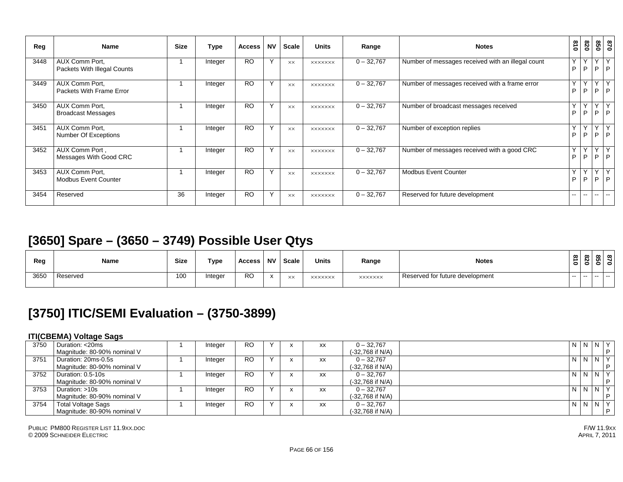| Reg  | Name                                          | <b>Size</b> | Type    | <b>Access</b> | <b>NV</b>    | Scale     | <b>Units</b>   | Range        | <b>Notes</b>                                      | 018      | 078                      | 850     | 0 <sub>28</sub>          |
|------|-----------------------------------------------|-------------|---------|---------------|--------------|-----------|----------------|--------------|---------------------------------------------------|----------|--------------------------|---------|--------------------------|
| 3448 | AUX Comm Port,<br>Packets With Illegal Counts |             | Integer | <b>RO</b>     | Y            | <b>XX</b> | <b>XXXXXXX</b> | $0 - 32,767$ | Number of messages received with an illegal count | Y.<br>P  | Y<br>P                   | Y<br>P. | Y<br>P                   |
| 3449 | AUX Comm Port,<br>Packets With Frame Error    |             | Integer | <b>RO</b>     | Y            | <b>XX</b> | <b>XXXXXXX</b> | $0 - 32,767$ | Number of messages received with a frame error    | Y<br>P   | Υ<br>P                   | Y<br>P. | Y<br>$\mathsf{P}$        |
| 3450 | AUX Comm Port,<br><b>Broadcast Messages</b>   |             | Integer | <b>RO</b>     | $\mathsf{v}$ | <b>XX</b> | <b>XXXXXXX</b> | $0 - 32,767$ | Number of broadcast messages received             | . Y<br>P | Υ<br>P                   | Y<br>P  | $\mathsf{Y}$<br>P        |
| 3451 | AUX Comm Port,<br>Number Of Exceptions        |             | Integer | <b>RO</b>     | Y            | <b>XX</b> | <b>XXXXXXX</b> | $0 - 32,767$ | Number of exception replies                       | Y<br>P   | Y<br>P                   | Y<br>P. | Y<br>P                   |
| 3452 | AUX Comm Port,<br>Messages With Good CRC      |             | Integer | <b>RO</b>     | Y            | <b>XX</b> | <b>XXXXXXX</b> | $0 - 32,767$ | Number of messages received with a good CRC       | Y<br>P   | Y<br>P                   | Y<br>P. | Y<br>P                   |
| 3453 | AUX Comm Port.<br><b>Modbus Event Counter</b> |             | Integer | <b>RO</b>     | Y            | <b>XX</b> | <b>XXXXXXX</b> | $0 - 32.767$ | <b>Modbus Event Counter</b>                       | Y<br>P   | $\checkmark$<br>P        | Y<br>P  | Y<br>P                   |
| 3454 | Reserved                                      | 36          | Integer | <b>RO</b>     | Υ            | <b>XX</b> | <b>XXXXXXX</b> | $0 - 32,767$ | Reserved for future development                   | $- -$    | $\overline{\phantom{a}}$ | $- -$   | $\overline{\phantom{a}}$ |

#### **[3650] Spare – (3650 – 3749) Possible User Qtys**

| Reg  | Name     | <b>Size</b> | Type    | <b>Access</b> | <b>NV</b>            | <b>Scale</b> | <b>Units</b>   | Range          | <b>Notes</b>                    | 0            | 078 | 850 | $\mathbf{r}_8$<br>$\mathbf{c}$ |  |
|------|----------|-------------|---------|---------------|----------------------|--------------|----------------|----------------|---------------------------------|--------------|-----|-----|--------------------------------|--|
| 3650 | Reserved | 100         | Integer | <b>RO</b>     | $\ddot{\phantom{0}}$ | XX           | <b>XXXXXXX</b> | <b>XXXXXXX</b> | Reserved for future development | $\mathbf{r}$ | $-$ |     | --                             |  |

#### **[3750] ITIC/SEMI Evaluation – (3750-3899)**

#### **ITI(CBEMA) Voltage Sags**

|      | __                          |         |           |         |           |                    |                |                |      |
|------|-----------------------------|---------|-----------|---------|-----------|--------------------|----------------|----------------|------|
| 3750 | Duration: <20ms             | Integer | <b>RO</b> |         | <b>XX</b> | $0 - 32.767$       | N N            | N <sub>Y</sub> |      |
|      | Magnitude: 80-90% nominal V |         |           |         |           | (-32,768 if N/A)   |                |                | D    |
| 3751 | Duration: 20ms-0.5s         | Integer | <b>RO</b> |         | <b>XX</b> | $0 - 32,767$       | N N            | N <sub>Y</sub> |      |
|      | Magnitude: 80-90% nominal V |         |           |         |           | (-32,768 if N/A)   |                |                | D    |
| 3752 | Duration: 0.5-10s           | Integer | <b>RO</b> | $\cdot$ | <b>XX</b> | $0 - 32.767$       | N <sub>N</sub> | N <sub>Y</sub> |      |
|      | Magnitude: 80-90% nominal V |         |           |         |           | (-32,768 if N/A)   |                |                | D    |
| 3753 | Duration: >10s              | Integer | <b>RO</b> |         | <b>XX</b> | $0 - 32.767$       | N <sub>N</sub> | N <sub>Y</sub> |      |
|      | Magnitude: 80-90% nominal V |         |           |         |           | (-32,768 if N/A)   |                |                | D    |
| 3754 | <b>Total Voltage Sags</b>   | Integer | <b>RO</b> |         | <b>XX</b> | $0 - 32.767$       | N N            | N <sub>Y</sub> |      |
|      | Magnitude: 80-90% nominal V |         |           |         |           | $(-32,768$ if N/A) |                |                | l p. |
|      |                             |         |           |         |           |                    |                |                |      |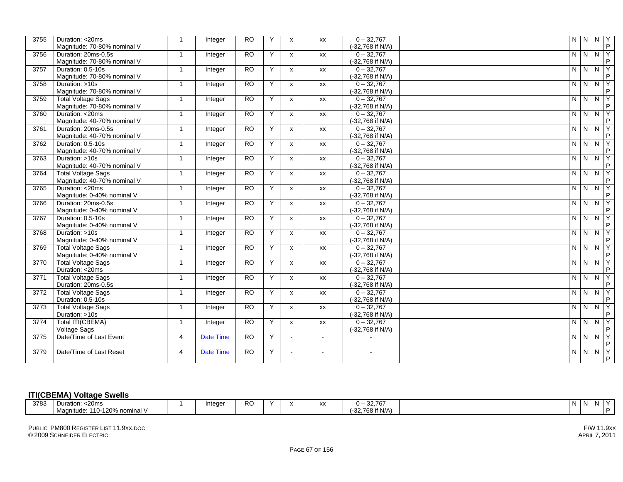| 3755 | Duration: <20ms<br>Magnitude: 70-80% nominal V           | $\overline{1}$          | Integer          | <b>RO</b>       | Y | X                         | XX             | $0 - 32,767$<br>(-32,768 if N/A) |         | NNNY                          |                | $\mathsf P$      |
|------|----------------------------------------------------------|-------------------------|------------------|-----------------|---|---------------------------|----------------|----------------------------------|---------|-------------------------------|----------------|------------------|
| 3756 | Duration: 20ms-0.5s<br>Magnitude: 70-80% nominal V       | $\overline{1}$          | Integer          | <b>RO</b>       | Y | $\boldsymbol{\mathsf{x}}$ | XX             | $0 - 32.767$<br>(-32,768 if N/A) |         | $N$ $N$ $N$                   |                | Y<br>$\sf P$     |
| 3757 | Duration: 0.5-10s<br>Magnitude: 70-80% nominal V         | $\overline{1}$          | Integer          | <b>RO</b>       | Y | $\boldsymbol{\mathsf{x}}$ | XX             | $0 - 32,767$<br>(-32,768 if N/A) | $N$ $N$ |                               | $N$ $Y$        | $\mathsf P$      |
| 3758 | Duration: >10s<br>Magnitude: 70-80% nominal V            | $\overline{1}$          | <b>Integer</b>   | <b>RO</b>       | Y | $\mathsf{x}$              | <b>XX</b>      | $0 - 32,767$<br>(-32,768 if N/A) |         | N N N                         |                | Y<br>$\sf P$     |
| 3759 | <b>Total Voltage Sags</b><br>Magnitude: 70-80% nominal V | $\overline{1}$          | Integer          | <b>RO</b>       | Y | $\mathsf{x}$              | xx             | $0 - 32,767$<br>(-32,768 if N/A) |         | $\frac{N}{N}$                 | $N$ $Y$        | P                |
| 3760 | Duration: <20ms<br>Magnitude: 40-70% nominal V           | $\overline{1}$          | Integer          | <b>RO</b>       | Y | $\mathsf{x}$              | XX             | $0 - 32,767$<br>(-32,768 if N/A) |         | N N                           | N              | Y<br>$\mathsf P$ |
| 3761 | Duration: 20ms-0.5s<br>Magnitude: 40-70% nominal V       | $\overline{1}$          | Integer          | RO              | Y | $\boldsymbol{\mathsf{x}}$ | XX             | $0 - 32,767$<br>(-32,768 if N/A) | N N     |                               | $\overline{N}$ | Y<br>$\mathsf P$ |
| 3762 | Duration: 0.5-10s<br>Magnitude: 40-70% nominal V         | $\overline{\mathbf{1}}$ | Integer          | RO              | Y | $\mathsf{x}$              | XX             | $0 - 32,767$<br>(-32,768 if N/A) | N.      | $\overline{N}$                | N              | Y<br>$\mathsf P$ |
| 3763 | Duration: >10s<br>Magnitude: 40-70% nominal V            | $\overline{1}$          | Integer          | <b>RO</b>       | Y | $\boldsymbol{\mathsf{x}}$ | XX             | $0 - 32,767$<br>(-32,768 if N/A) |         | N N                           | $\overline{N}$ | Y<br>P           |
| 3764 | <b>Total Voltage Sags</b><br>Magnitude: 40-70% nominal V | $\overline{1}$          | Integer          | <b>RO</b>       | Y | $\mathsf{x}$              | <b>XX</b>      | $0 - 32,767$<br>(-32,768 if N/A) |         | $\frac{N}{N}$                 | N Y            | $\mathsf{P}$     |
| 3765 | Duration: <20ms<br>Magnitude: 0-40% nominal V            | $\overline{1}$          | Integer          | <b>RO</b>       | Y | $\mathsf{x}$              | XX             | $0 - 32,767$<br>(-32,768 if N/A) | $N$ $N$ |                               | $N$ $Y$        | P                |
| 3766 | Duration: 20ms-0.5s<br>Magnitude: 0-40% nominal V        | $\overline{1}$          | Integer          | RO              | Y | $\boldsymbol{\mathsf{x}}$ | XX             | $0 - 32,767$<br>(-32,768 if N/A) |         | NNNY                          |                | $\mathsf P$      |
| 3767 | Duration: 0.5-10s                                        | $\overline{1}$          | Integer          | RO              | Y | $\pmb{\chi}$              | XX             | $0 - 32,767$                     | $N$ $N$ |                               | $\overline{z}$ | Y                |
| 3768 | Magnitude: 0-40% nominal V<br>Duration: >10s             | $\overline{1}$          | Integer          | <b>RO</b>       | Y | $\mathsf{x}$              | <b>XX</b>      | (-32,768 if N/A)<br>$0 - 32,767$ |         | $\overline{N}$ $\overline{N}$ | N Y            | $\sf P$          |
| 3769 | Magnitude: 0-40% nominal V<br><b>Total Voltage Sags</b>  | $\overline{1}$          | Integer          | $\overline{RO}$ | Y | $\mathsf{x}$              | <b>XX</b>      | (-32,768 if N/A)<br>$0 - 32,767$ |         | NNNY                          |                | P                |
| 3770 | Magnitude: 0-40% nominal V<br><b>Total Voltage Sags</b>  | $\overline{1}$          | Integer          | <b>RO</b>       | Y | $\mathsf{x}$              | XX             | (-32,768 if N/A)<br>$0 - 32,767$ | $N$ $N$ |                               | $N$ $Y$        | $\mathsf P$      |
| 3771 | Duration: <20ms<br><b>Total Voltage Sags</b>             | $\overline{1}$          | Integer          | RO              | Y | $\boldsymbol{\mathsf{x}}$ | XX             | (-32,768 if N/A)<br>$0 - 32,767$ | N       | $\overline{z}$                | $\overline{N}$ | P<br>Y           |
| 3772 | Duration: 20ms-0.5s<br><b>Total Voltage Sags</b>         | $\overline{1}$          | Integer          | RO              | Y | $\boldsymbol{\mathsf{x}}$ | XX             | (-32,768 if N/A)<br>$0 - 32,767$ | N N     |                               | $\overline{N}$ | $\sf P$<br>Y     |
| 3773 | Duration: 0.5-10s<br><b>Total Voltage Sags</b>           | $\overline{1}$          | Integer          | <b>RO</b>       | Y | $\boldsymbol{\mathsf{x}}$ | XX             | (-32,768 if N/A)<br>$0 - 32,767$ | $N$ $N$ |                               | $\overline{N}$ | $\mathsf P$<br>Y |
| 3774 | Duration: >10s<br><b>Total ITI(CBEMA)</b>                | $\overline{1}$          | Integer          | <b>RO</b>       | Y | $\mathsf{x}$              | XX             | (-32,768 if N/A)<br>$0 - 32,767$ |         | NNNY                          |                | P                |
| 3775 | <b>Voltage Sags</b><br>Date/Time of Last Event           | $\overline{4}$          | <b>Date Time</b> | <b>RO</b>       | Y | $\sim$                    | $\sim$         | (-32,768 if N/A)                 | $N$ $N$ |                               | N <sub>Y</sub> | $\mathsf{P}$     |
| 3779 | Date/Time of Last Reset                                  | $\overline{4}$          | <b>Date Time</b> | $\overline{RO}$ | Y | $\blacksquare$            | $\blacksquare$ | $\sim$                           |         | N N N                         |                | P<br>Υ<br>P      |
|      |                                                          |                         |                  |                 |   |                           |                |                                  |         |                               |                |                  |

#### **ITI(CBEMA) Voltage Swells**

| 3783<br>$<$ 20 $ms$<br>Duration:  | integer | nn.<br>ĸu | $\lambda$ | <br>~ | 00722<br>- 32.707 | N | $\cdot$ |
|-----------------------------------|---------|-----------|-----------|-------|-------------------|---|---------|
| $10-120$ %<br>nomin<br>Magnitude: |         |           |           |       | (-32,768 if N/A)  |   |         |

PUBLIC PM800 REGISTER LIST 11.9XX.DOC© 2009 SCHNEIDER ELECTRIC APRIL 7, 2011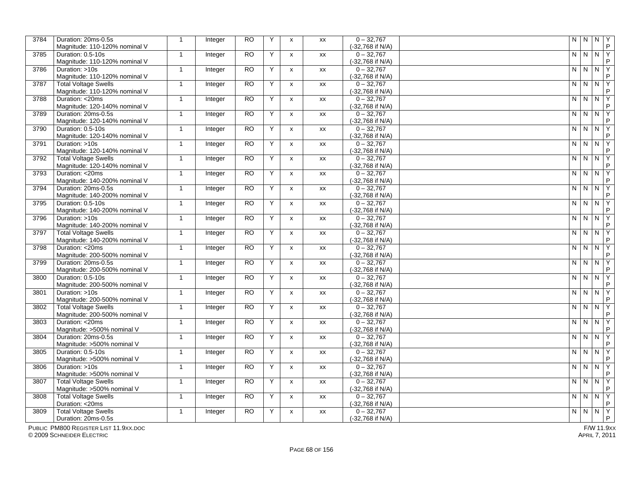| 3784 | Duration: 20ms-0.5s<br>Magnitude: 110-120% nominal V         | $\mathbf{1}$ | Integer        | <b>RO</b>       | Y | $\boldsymbol{\mathsf{x}}$ | XX        | $0 - 32,767$<br>(-32,768 if N/A) | $\mathsf{N}$            | $\mathsf{N}$   | N              | l Y<br>$\mathsf{P}$ |
|------|--------------------------------------------------------------|--------------|----------------|-----------------|---|---------------------------|-----------|----------------------------------|-------------------------|----------------|----------------|---------------------|
| 3785 | Duration: 0.5-10s<br>Magnitude: 110-120% nominal V           | $\mathbf{1}$ | Integer        | <b>RO</b>       | Y | $\mathsf{x}$              | XX        | $0 - 32,767$<br>(-32,768 if N/A) | N                       | $\overline{N}$ | NY             | P                   |
| 3786 | Duration: >10s<br>Magnitude: 110-120% nominal V              | $\mathbf{1}$ | Integer        | <b>RO</b>       | Y | $\pmb{\chi}$              | XX        | $0 - 32,767$<br>(-32,768 if N/A) | N                       | N              | N              | Y<br>P              |
| 3787 | <b>Total Voltage Swells</b>                                  | $\mathbf{1}$ | Integer        | <b>RO</b>       | Y | $\mathsf{x}$              | XX        | $0 - 32,767$                     | N.                      | $\overline{N}$ | N              | Y<br>P              |
| 3788 | Magnitude: 110-120% nominal V<br>Duration: <20ms             | $\mathbf{1}$ | <b>Integer</b> | <b>RO</b>       | Y | X                         | XX        | (-32,768 if N/A)<br>$0 - 32.767$ | N                       | $N$   $N$      |                | <b>Y</b>            |
| 3789 | Magnitude: 120-140% nominal V<br>Duration: 20ms-0.5s         | $\mathbf{1}$ | Integer        | <b>RO</b>       | Y | $\pmb{\chi}$              | XX        | (-32,768 if N/A)<br>$0 - 32,767$ | N                       | N              | $\overline{N}$ | P<br>Y              |
| 3790 | Magnitude: 120-140% nominal V<br>Duration: 0.5-10s           | $\mathbf{1}$ | Integer        | <b>RO</b>       | Y | $\boldsymbol{\mathsf{x}}$ | <b>XX</b> | (-32,768 if N/A)<br>$0 - 32.767$ | N                       | N              | N              | P<br>Y              |
| 3791 | Magnitude: 120-140% nominal V<br>Duration: >10s              | $\mathbf{1}$ | Integer        | $\overline{RO}$ | Y | $\mathsf{x}$              | XX        | (-32,768 if N/A)<br>$0 - 32,767$ | N                       | $\overline{N}$ | N              | P<br>ΙY             |
| 3792 | Magnitude: 120-140% nominal V<br><b>Total Voltage Swells</b> | $\mathbf{1}$ |                | <b>RO</b>       | Y | $\pmb{\chi}$              | XX        | (-32,768 if N/A)<br>$0 - 32,767$ | N                       | ${\sf N}$      | ${\sf N}$      | P<br>ĪΥ             |
|      | Magnitude: 120-140% nominal V                                |              | Integer        |                 |   |                           |           | (-32,768 if N/A)                 |                         |                |                | P                   |
| 3793 | Duration: <20ms<br>Magnitude: 140-200% nominal V             | $\mathbf{1}$ | Integer        | <b>RO</b>       | Y | $\boldsymbol{\mathsf{x}}$ | XX        | $0 - 32,767$<br>(-32,768 if N/A) | N                       | N              | N              | Y<br>P              |
| 3794 | Duration: 20ms-0.5s<br>Magnitude: 140-200% nominal V         | $\mathbf{1}$ | Integer        | <b>RO</b>       | Y | $\mathsf{x}$              | XX        | $0 - 32,767$<br>(-32,768 if N/A) | $\overline{\mathsf{N}}$ | $\overline{N}$ | $\mathsf{N}$   | $\overline{Y}$<br>P |
| 3795 | Duration: 0.5-10s<br>Magnitude: 140-200% nominal V           | $\mathbf{1}$ | <b>Integer</b> | <b>RO</b>       | Y | $\pmb{\chi}$              | XX        | $0 - 32,767$<br>(-32,768 if N/A) | N                       | N N            |                | TΥ<br>P             |
| 3796 | Duration: >10s<br>Magnitude: 140-200% nominal V              | $\mathbf{1}$ | Integer        | <b>RO</b>       | Y | $\pmb{\chi}$              | XX        | $0 - 32,767$<br>(-32,768 if N/A) | N                       | $N$ $N$        |                | l Y<br>P            |
| 3797 | <b>Total Voltage Swells</b><br>Magnitude: 140-200% nominal V | $\mathbf{1}$ | Integer        | <b>RO</b>       | Y | $\boldsymbol{\mathsf{x}}$ | XX        | $0 - 32,767$<br>(-32,768 if N/A) | N                       | $\overline{N}$ | N              | Y<br>P              |
| 3798 | Duration: <20ms<br>Magnitude: 200-500% nominal V             | $\mathbf{1}$ | Integer        | <b>RO</b>       | Y | x                         | XX        | $0 - 32,767$<br>(-32,768 if N/A) | N                       | $\mathsf{N}$   | $\mathsf{N}$   | Y<br>P              |
| 3799 | Duration: 20ms-0.5s                                          | $\mathbf{1}$ | Integer        | <b>RO</b>       | Y | $\mathsf{x}$              | XX        | $0 - 32,767$                     | N                       | $\mathsf{N}$   | ${\sf N}$      | ĪΥ                  |
| 3800 | Magnitude: 200-500% nominal V<br>Duration: 0.5-10s           | $\mathbf{1}$ | Integer        | <b>RO</b>       | Y | $\mathsf{x}$              | XX        | (-32,768 if N/A)<br>$0 - 32,767$ | N                       | $\mathsf{N}$   | N              | P<br>Y              |
| 3801 | Magnitude: 200-500% nominal V<br>Duration: >10s              | $\mathbf{1}$ | Integer        | <b>RO</b>       | Y | $\pmb{\chi}$              | XX        | (-32,768 if N/A)<br>$0 - 32,767$ | $N$ $N$                 |                | $\overline{N}$ | P<br>l Y            |
| 3802 | Magnitude: 200-500% nominal V<br><b>Total Voltage Swells</b> | $\mathbf{1}$ | Integer        | <b>RO</b>       | Y | $\pmb{\chi}$              | XX        | (-32,768 if N/A)<br>$0 - 32,767$ | $\mathsf{N}$            | $N$ $N$        |                | P<br>ĪΥ             |
|      | Magnitude: 200-500% nominal V                                |              |                |                 |   |                           |           | (-32,768 if N/A)                 |                         |                |                | P                   |
| 3803 | Duration: <20ms<br>Magnitude: >500% nominal V                | $\mathbf{1}$ | Integer        | <b>RO</b>       | Y | $\pmb{\chi}$              | XX        | $0 - 32,767$<br>(-32,768 if N/A) | $\mathsf{N}$            | N              | N              | Y<br>P              |
| 3804 | Duration: 20ms-0.5s<br>Magnitude: >500% nominal V            | $\mathbf{1}$ | Integer        | <b>RO</b>       | Y | $\boldsymbol{\mathsf{x}}$ | XX        | $0 - 32,767$<br>(-32,768 if N/A) | N                       | $\mathsf{N}$   | $\mathsf{N}$   | Y<br>P              |
| 3805 | Duration: 0.5-10s<br>Magnitude: >500% nominal V              | $\mathbf{1}$ | Integer        | <b>RO</b>       | Y | $\boldsymbol{\mathsf{X}}$ | XX        | $0 - 32,767$<br>(-32,768 if N/A) | N                       | N              | N              | l Y<br>P            |
| 3806 | Duration: >10s<br>Magnitude: >500% nominal V                 | $\mathbf{1}$ | Integer        | <b>RO</b>       | Y | $\mathsf{x}$              | XX        | $0 - 32,767$<br>(-32,768 if N/A) | N                       | N              | N              | <b>Y</b><br>P       |
| 3807 | <b>Total Voltage Swells</b><br>Magnitude: >500% nominal V    | $\mathbf{1}$ | Integer        | <b>RO</b>       | Y | $\boldsymbol{\mathsf{x}}$ | XX        | $0 - 32,767$<br>(-32,768 if N/A) | $\mathsf{N}$            | ${\sf N}$      | $\overline{N}$ | Y<br>P              |
| 3808 | <b>Total Voltage Swells</b>                                  | $\mathbf{1}$ | Integer        | <b>RO</b>       | Y | $\boldsymbol{\mathsf{x}}$ | XX        | $0 - 32,767$                     | $\overline{\mathsf{N}}$ | $\overline{N}$ | $\overline{N}$ | $\overline{Y}$      |
| 3809 | Duration: <20ms<br><b>Total Voltage Swells</b>               | $\mathbf{1}$ | Integer        | <b>RO</b>       | Y | $\pmb{\chi}$              | XX        | (-32,768 if N/A)<br>$0 - 32,767$ | N                       | $N$   $N$      |                | P<br>Y              |
|      | Duration: 20ms-0.5s                                          |              |                |                 |   |                           |           | (-32,768 if N/A)                 |                         |                |                | P                   |

PUBLIC PM800 REGISTER LIST 11.9XX.DOC

© 2009 SCHNEIDER ELECTRIC APRIL 7, 2011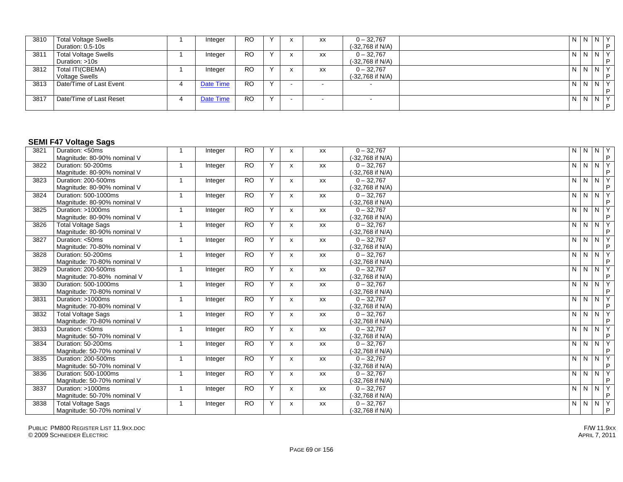| 3810 | <b>Total Voltage Swells</b> | Integer   | <b>RO</b> |              | XX | $0 - 32,767$     | N              | NNY   |    |
|------|-----------------------------|-----------|-----------|--------------|----|------------------|----------------|-------|----|
|      | Duration: 0.5-10s           |           |           |              |    | (-32,768 if N/A) |                |       |    |
| 3811 | <b>Total Voltage Swells</b> | Integer   | <b>RO</b> |              | XX | $0 - 32,767$     | l N            | N N Y |    |
|      | Duration: >10s              |           |           |              |    | (-32,768 if N/A) |                |       |    |
| 3812 | Total ITI(CBEMA)            | Integer   | <b>RO</b> |              | XX | $0 - 32,767$     | $\overline{N}$ | NNY   |    |
|      | <b>Voltage Swells</b>       |           |           |              |    | (-32,768 if N/A) |                |       |    |
| 3813 | Date/Time of Last Event     | Date Time | <b>RO</b> | $\checkmark$ |    |                  | l N            | NNY   |    |
|      |                             |           |           |              |    |                  |                |       |    |
| 3817 | Date/Time of Last Reset     | Date Time | <b>RO</b> |              |    |                  | l N            | NNY   |    |
|      |                             |           |           |              |    |                  |                |       | D. |

#### **SEMI F47 Voltage Sags**

| 3821 | Duration: <50ms             | $\mathbf{1}$            | Integer | <b>RO</b>       | Y | $\boldsymbol{\mathsf{x}}$ | XX        | $0 - 32,767$     |   | N N N Y               |   |
|------|-----------------------------|-------------------------|---------|-----------------|---|---------------------------|-----------|------------------|---|-----------------------|---|
|      | Magnitude: 80-90% nominal V |                         |         |                 |   |                           |           | (-32,768 if N/A) |   |                       | P |
| 3822 | Duration: 50-200ms          | $\overline{1}$          | Integer | <b>RO</b>       | Y | $\mathsf{x}$              | <b>XX</b> | $0 - 32.767$     | N | N N Y                 |   |
|      | Magnitude: 80-90% nominal V |                         |         |                 |   |                           |           | (-32,768 if N/A) |   |                       | P |
| 3823 | Duration: 200-500ms         | $\overline{1}$          | Integer | <b>RO</b>       | Y | $\mathsf{x}$              | XX        | $0 - 32,767$     |   | N N N Y               |   |
|      | Magnitude: 80-90% nominal V |                         |         |                 |   |                           |           | (-32,768 if N/A) |   |                       | P |
| 3824 | Duration: 500-1000ms        | $\overline{\mathbf{1}}$ | Integer | <b>RO</b>       | Y | $\mathsf{x}$              | XX        | $0 - 32,767$     | N | $\sqrt{N}$ $\sqrt{Y}$ |   |
|      | Magnitude: 80-90% nominal V |                         |         |                 |   |                           |           | (-32,768 if N/A) |   |                       | P |
| 3825 | Duration: >1000ms           | $\mathbf{1}$            | Integer | $\overline{RO}$ | Y | x                         | XX        | $0 - 32,767$     | N | N N Y                 |   |
|      | Magnitude: 80-90% nominal V |                         |         |                 |   |                           |           | (-32,768 if N/A) |   |                       | P |
| 3826 | <b>Total Voltage Sags</b>   |                         | Integer | <b>RO</b>       | Y | $\mathsf{x}$              | <b>XX</b> | $0 - 32,767$     | N | $N$ $N$ $Y$           |   |
|      | Magnitude: 80-90% nominal V |                         |         |                 |   |                           |           | (-32,768 if N/A) |   |                       | P |
| 3827 | Duration: <50ms             | -1                      | Integer | <b>RO</b>       | Y | X                         | XX        | $0 - 32,767$     | N | $\sqrt{N}$ $\sqrt{Y}$ |   |
|      | Magnitude: 70-80% nominal V |                         |         |                 |   |                           |           | (-32,768 if N/A) |   |                       | P |
| 3828 | Duration: 50-200ms          | $\mathbf{1}$            | Integer | <b>RO</b>       | Y | $\mathsf{x}$              | <b>XX</b> | $0 - 32.767$     |   | NNNY                  |   |
|      | Magnitude: 70-80% nominal V |                         |         |                 |   |                           |           | (-32,768 if N/A) |   |                       | P |
| 3829 | Duration: 200-500ms         | $\overline{1}$          | Integer | <b>RO</b>       | Y | $\mathsf{x}$              | <b>XX</b> | $0 - 32,767$     | N | N N Y                 |   |
|      | Magnitude: 70-80% nominal V |                         |         |                 |   |                           |           | (-32,768 if N/A) |   |                       | P |
| 3830 | Duration: 500-1000ms        | $\overline{1}$          | Integer | <b>RO</b>       | Y | $\mathsf{x}$              | XX        | $0 - 32,767$     | N | N N Y                 |   |
|      | Magnitude: 70-80% nominal V |                         |         |                 |   |                           |           | (-32,768 if N/A) |   |                       | P |
| 3831 | Duration: >1000ms           | $\overline{1}$          | Integer | <b>RO</b>       | Y | $\mathsf{x}$              | XX        | $0 - 32,767$     | N | N N Y                 |   |
|      | Magnitude: 70-80% nominal V |                         |         |                 |   |                           |           | (-32,768 if N/A) |   |                       | P |
| 3832 | <b>Total Voltage Sags</b>   | $\overline{1}$          | Integer | <b>RO</b>       | Y | $\mathsf{x}$              | XX        | $0 - 32,767$     | N | $\sqrt{N}$ $\sqrt{Y}$ |   |
|      | Magnitude: 70-80% nominal V |                         |         |                 |   |                           |           | (-32,768 if N/A) |   |                       | P |
| 3833 | Duration: <50ms             | -1                      | Integer | <b>RO</b>       | Y | $\mathsf{x}$              | <b>XX</b> | $0 - 32,767$     | N | N N Y                 |   |
|      | Magnitude: 50-70% nominal V |                         |         |                 |   |                           |           | (-32,768 if N/A) |   |                       | P |
| 3834 | Duration: 50-200ms          | -1                      | Integer | <b>RO</b>       | Y | X                         | XX        | $0 - 32,767$     | N | N N Y                 |   |
|      | Magnitude: 50-70% nominal V |                         |         |                 |   |                           |           | (-32,768 if N/A) |   |                       | P |
| 3835 | Duration: 200-500ms         | $\mathbf{1}$            | Integer | <b>RO</b>       | Y | $\mathsf{x}$              | <b>XX</b> | $0 - 32,767$     | N | N N Y                 |   |
|      | Magnitude: 50-70% nominal V |                         |         |                 |   |                           |           | (-32,768 if N/A) |   |                       | P |
| 3836 | Duration: 500-1000ms        | $\overline{1}$          | Integer | <b>RO</b>       | Y | $\mathsf{x}$              | <b>XX</b> | $0 - 32,767$     | N | N N Y                 |   |
|      | Magnitude: 50-70% nominal V |                         |         |                 |   |                           |           | (-32,768 if N/A) |   |                       | P |
| 3837 | Duration: >1000ms           | $\overline{1}$          | Integer | <b>RO</b>       | Y | $\mathsf{x}$              | <b>XX</b> | $0 - 32,767$     |   | NNNY                  |   |
|      | Magnitude: 50-70% nominal V |                         |         |                 |   |                           |           | (-32,768 if N/A) |   |                       | P |
| 3838 | <b>Total Voltage Sags</b>   | $\overline{1}$          | Integer | <b>RO</b>       | Y | $\boldsymbol{\mathsf{x}}$ | XX        | $0 - 32,767$     |   | NNNY                  |   |
|      | Magnitude: 50-70% nominal V |                         |         |                 |   |                           |           | (-32,768 if N/A) |   |                       | P |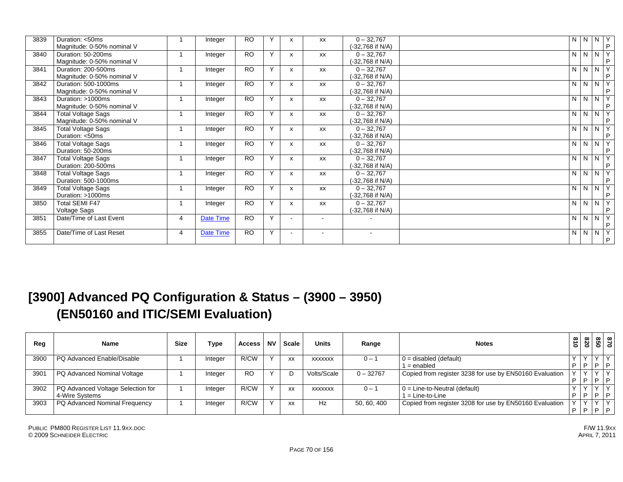| 3839 | Duration: <50ms<br>Magnitude: 0-50% nominal V           |    | Integer   | <b>RO</b>       |              | x | <b>XX</b>                | $0 - 32,767$<br>(-32,768 if N/A) | N              | N                   | Y<br>$\overline{N}$<br>P |
|------|---------------------------------------------------------|----|-----------|-----------------|--------------|---|--------------------------|----------------------------------|----------------|---------------------|--------------------------|
| 3840 | Duration: 50-200ms<br>Magnitude: 0-50% nominal V        |    | Integer   | <b>RO</b>       | Y            | x | <b>XX</b>                | $0 - 32,767$<br>(-32,768 if N/A) | N              | $N$ $N$             | Y<br>P                   |
| 3841 | Duration: 200-500ms<br>Magnitude: 0-50% nominal V       |    | Integer   | <b>RO</b>       | $\mathsf{v}$ | x | XX                       | $0 - 32,767$<br>-32,768 if N/A)  | N              | $N$ $N$             | Y<br>P                   |
| 3842 | Duration: 500-1000ms<br>Magnitude: 0-50% nominal V      | 1  | Integer   | <b>RO</b>       | Y            | X | <b>XX</b>                | $0 - 32,767$<br>(-32,768 if N/A) | N              | $N$   $N$           | Y<br>P                   |
| 3843 | Duration: >1000ms<br>Magnitude: 0-50% nominal V         | 1  | Integer   | <b>RO</b>       | Y            | X | XX                       | $0 - 32,767$<br>(-32,768 if N/A) | N              | $N$ $N$             | Y<br>P                   |
| 3844 | <b>Total Voltage Sags</b><br>Magnitude: 0-50% nominal V |    | Integer   | <b>RO</b>       | $\mathsf{Y}$ | x | XX                       | $0 - 32,767$<br>(-32,768 if N/A) | $\overline{N}$ | $N$   $N$           | Y<br>P                   |
| 3845 | <b>Total Voltage Sags</b><br>Duration: <50ms            | -4 | Integer   | <b>RO</b>       | Y            | X | <b>XX</b>                | $0 - 32,767$<br>(-32,768 if N/A) | $\overline{N}$ | $N$ $N$             | $\overline{Y}$<br>P      |
| 3846 | <b>Total Voltage Sags</b><br>Duration: 50-200ms         |    | Integer   | <b>RO</b>       | Y            | X | XX                       | $0 - 32,767$<br>(-32,768 if N/A) | N              | $\overline{N}$<br>N | Y<br>P                   |
| 3847 | <b>Total Voltage Sags</b><br>Duration: 200-500ms        |    | Integer   | <b>RO</b>       | Y            |   | <b>XX</b>                | $0 - 32,767$<br>(-32,768 if N/A) | N              | $N$ $N$             | Y<br>P                   |
| 3848 | <b>Total Voltage Sags</b><br>Duration: 500-1000ms       |    | Integer   | <b>RO</b>       | $\mathsf{v}$ | x | XX                       | $0 - 32,767$<br>(-32,768 if N/A) | N <sub>1</sub> | $N$ $N$             | Y<br>P                   |
| 3849 | <b>Total Voltage Sags</b><br>Duration: >1000ms          | 1  | Integer   | <b>RO</b>       | Y            | x | XX                       | $0 - 32,767$<br>(-32,768 if N/A) | N              | N                   | Y<br>N<br>P              |
| 3850 | <b>Total SEMI F47</b><br>Voltage Sags                   |    | Integer   | $\overline{RO}$ | Y            | x | XX                       | $0 - 32,767$<br>(-32,768 if N/A) | $\overline{N}$ | NN                  | Y<br>P                   |
| 3851 | Date/Time of Last Event                                 | 4  | Date Time | <b>RO</b>       | $\mathsf{Y}$ |   | $\sim$                   | ÷.                               | N              | $N$ $N$             | Υ<br>P                   |
| 3855 | Date/Time of Last Reset                                 | 4  | Date Time | <b>RO</b>       | Y            |   | $\overline{\phantom{a}}$ | $\overline{\phantom{a}}$         | N              | $N$   $N$           | Y<br>P                   |

## **[3900] Advanced PQ Configuration & Status – (3900 – 3950) (EN50160 and ITIC/SEMI Evaluation)**

| Reg              | <b>Name</b>                       | <b>Size</b> | Type    | <b>Access</b> | <b>NV</b> | <b>Scale</b> | <b>Units</b>   | Range       | <b>Notes</b>                                            | ∞<br>∸<br>0 | $\infty$<br>Ñ<br>$\circ$ | 850          | 0/8  |
|------------------|-----------------------------------|-------------|---------|---------------|-----------|--------------|----------------|-------------|---------------------------------------------------------|-------------|--------------------------|--------------|------|
| 3900             | PQ Advanced Enable/Disable        |             | Integer | R/CW          |           | XX           | <b>XXXXXXX</b> | $0 -$       | $0 =$ disabled (default)                                |             |                          |              |      |
|                  |                                   |             |         |               |           |              |                |             | l = enabled                                             | Р           |                          | D            | D    |
| 390 <sup>7</sup> | PQ Advanced Nominal Voltage       |             | Integer | <b>RO</b>     |           |              | Volts/Scale    | $0 - 32767$ | Copied from register 3238 for use by EN50160 Evaluation |             |                          | $\checkmark$ |      |
|                  |                                   |             |         |               |           |              |                |             |                                                         |             |                          | D            | l p. |
| 3902             | PQ Advanced Voltage Selection for |             | Integer | R/CW          |           | XX           | <b>XXXXXXX</b> | $0 -$       | $0 =$ Line-to-Neutral (default)                         |             |                          | $\checkmark$ |      |
|                  | 4-Wire Systems                    |             |         |               |           |              |                |             | l = Line-to-Line                                        |             |                          | D            | l D  |
| 3903             | PQ Advanced Nominal Frequency     |             | Integer | R/CW          |           | XX           | Hz             | 50, 60, 400 | Copied from register 3208 for use by EN50160 Evaluation |             |                          | $\sqrt{ }$   |      |
|                  |                                   |             |         |               |           |              |                |             |                                                         | D           |                          | D            | P    |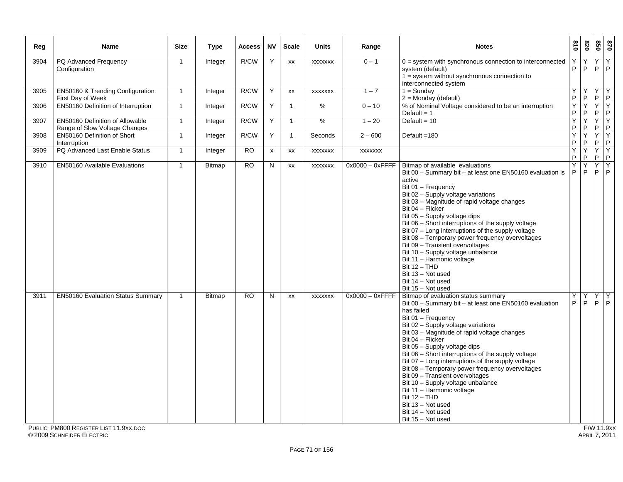| Reg  | <b>Name</b>                                                                       | <b>Size</b>  | <b>Type</b>   | <b>Access</b>  | <b>NV</b>    | <b>Scale</b> | <b>Units</b>   | Range              | <b>Notes</b>                                                                                                                                                                                                                                                                                                                                                                                                                                                                                                                                                                                                                        | 018    | 078                 |                   | 870<br>850                              |
|------|-----------------------------------------------------------------------------------|--------------|---------------|----------------|--------------|--------------|----------------|--------------------|-------------------------------------------------------------------------------------------------------------------------------------------------------------------------------------------------------------------------------------------------------------------------------------------------------------------------------------------------------------------------------------------------------------------------------------------------------------------------------------------------------------------------------------------------------------------------------------------------------------------------------------|--------|---------------------|-------------------|-----------------------------------------|
| 3904 | PQ Advanced Frequency<br>Configuration                                            | $\mathbf 1$  | Integer       | R/CW           | Y            | XX           | <b>XXXXXXX</b> | $0 - 1$            | $0 =$ system with synchronous connection to interconnected<br>system (default)<br>$1 =$ system without synchronous connection to<br>interconnected system                                                                                                                                                                                                                                                                                                                                                                                                                                                                           | Υ<br>P | Υ<br>P              | Y<br>P            | Y<br> P                                 |
| 3905 | <b>EN50160 &amp; Trending Configuration</b><br>First Day of Week                  | $\mathbf{1}$ | Integer       | R/CW           | Y            | XX           | <b>XXXXXXX</b> | $1 - 7$            | $1 =$ Sunday<br>$2 =$ Monday (default)                                                                                                                                                                                                                                                                                                                                                                                                                                                                                                                                                                                              | Y<br>P | Y<br>P              |                   | YY<br>P                                 |
| 3906 | EN50160 Definition of Interruption                                                | $\mathbf{1}$ | Integer       | R/CW           | Y            | $\mathbf{1}$ | %              | $0 - 10$           | % of Nominal Voltage considered to be an interruption<br>Default = $1$                                                                                                                                                                                                                                                                                                                                                                                                                                                                                                                                                              | Y<br>P | Υ<br>P              | P                 | $Y$ $Y$<br> P                           |
| 3907 | <b>EN50160 Definition of Allowable</b><br>Range of Slow Voltage Changes           | $\mathbf{1}$ | Integer       | R/CW           | Y            | $\mathbf{1}$ | $\%$           | $1 - 20$           | Default = $10$                                                                                                                                                                                                                                                                                                                                                                                                                                                                                                                                                                                                                      | Y<br>P | Y<br>P              | P                 | $Y$ $Y$<br>P                            |
| 3908 | EN50160 Definition of Short<br>Interruption                                       | $\mathbf{1}$ | Integer       | R/CW           | Υ            | 1            | Seconds        | $2 - 600$          | Default =180                                                                                                                                                                                                                                                                                                                                                                                                                                                                                                                                                                                                                        | Υ<br>P | Υ<br>P              | Y<br>$\mathsf{P}$ | Y<br>$\mathsf P$                        |
| 3909 | PQ Advanced Last Enable Status                                                    | $\mathbf{1}$ | Integer       | <b>RO</b>      | $\pmb{\chi}$ | XX           | <b>XXXXXXX</b> | <b>XXXXXXX</b>     |                                                                                                                                                                                                                                                                                                                                                                                                                                                                                                                                                                                                                                     | Υ<br>P | Υ<br>P              | Y                 | Υ<br>$P$ $P$                            |
| 3910 | <b>EN50160 Available Evaluations</b>                                              | $\mathbf{1}$ | <b>Bitmap</b> | R <sub>O</sub> | N            | <b>XX</b>    | <b>XXXXXXX</b> | $0x0000 - 0x$ FFFF | Bitmap of available evaluations<br>Bit 00 - Summary bit - at least one EN50160 evaluation is<br>active<br>Bit 01 - Frequency<br>Bit 02 - Supply voltage variations<br>Bit 03 - Magnitude of rapid voltage changes<br>Bit 04 - Flicker<br>Bit 05 - Supply voltage dips<br>Bit 06 - Short interruptions of the supply voltage<br>Bit 07 - Long interruptions of the supply voltage<br>Bit 08 - Temporary power frequency overvoltages<br>Bit 09 - Transient overvoltages<br>Bit 10 - Supply voltage unbalance<br>Bit 11 - Harmonic voltage<br><b>Bit 12 - THD</b><br>Bit 13 - Not used<br>Bit 14 - Not used<br>Bit 15 - Not used      | Y<br>P | Ÿ<br>P              | P                 | YY<br> P                                |
| 3911 | <b>EN50160 Evaluation Status Summary</b><br>PUBLIC PM800 REGISTER LIST 11.9XX.DOC | $\mathbf{1}$ | Bitmap        | <b>RO</b>      | N            | XX           | <b>XXXXXXX</b> | $0x0000 - 0x$ FFFF | Bitmap of evaluation status summary<br>Bit 00 - Summary bit - at least one EN50160 evaluation<br>has failed<br>Bit 01 - Frequency<br>Bit 02 - Supply voltage variations<br>Bit 03 - Magnitude of rapid voltage changes<br>Bit 04 - Flicker<br>Bit 05 - Supply voltage dips<br>Bit 06 - Short interruptions of the supply voltage<br>Bit 07 - Long interruptions of the supply voltage<br>Bit 08 - Temporary power frequency overvoltages<br>Bit 09 - Transient overvoltages<br>Bit 10 - Supply voltage unbalance<br>Bit 11 - Harmonic voltage<br><b>Bit 12 - THD</b><br>Bit 13 - Not used<br>Bit 14 - Not used<br>Bit 15 - Not used | Υ<br>P | Υ<br>$\overline{P}$ | Y                 | $\overline{Y}$<br>$P$ $P$<br>F/W 11.9xx |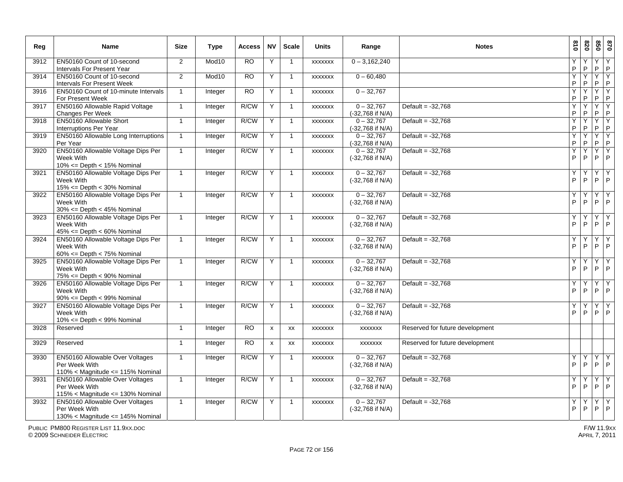| Reg  | <b>Name</b>                                                                                       | <b>Size</b>    | <b>Type</b>       | <b>Access</b> | <b>NV</b>          | <b>Scale</b>   | <b>Units</b>   | Range                            | <b>Notes</b>                    | 810          | 078               | 09                  | 028                   |
|------|---------------------------------------------------------------------------------------------------|----------------|-------------------|---------------|--------------------|----------------|----------------|----------------------------------|---------------------------------|--------------|-------------------|---------------------|-----------------------|
| 3912 | EN50160 Count of 10-second<br>Intervals For Present Year                                          | 2              | Mod10             | <b>RO</b>     | Y                  | $\overline{1}$ | <b>XXXXXXX</b> | $0 - 3,162,240$                  |                                 | Υ<br>P       | P                 | Y<br>$\mathsf{P}$   | Y<br>$\mathsf P$      |
| 3914 | EN50160 Count of 10-second<br>Intervals For Present Week                                          | 2              | Mod <sub>10</sub> | <b>RO</b>     | Y                  | -1             | <b>XXXXXXX</b> | $0 - 60,480$                     |                                 | Ÿ<br>P       | $\mathsf{P}$      | Υ<br>$\mathsf P$    | Y<br>P                |
| 3916 | EN50160 Count of 10-minute Intervals<br>For Present Week                                          | $\mathbf{1}$   | Integer           | <b>RO</b>     | Y                  | -1             | <b>XXXXXXX</b> | $0 - 32,767$                     |                                 | Ÿ<br>P       | Ϋ<br>P            | Υ<br>$\mathsf{P}$   | Y<br>P                |
| 3917 | EN50160 Allowable Rapid Voltage<br>Changes Per Week                                               | $\mathbf{1}$   | Integer           | R/CW          | Y                  | $\overline{1}$ | <b>XXXXXXX</b> | $0 - 32,767$<br>(-32,768 if N/A) | Default = $-32,768$             | Y<br>P       | $\mathsf P$       | Y<br>$\mathsf{P}$   | Y<br> P               |
| 3918 | EN50160 Allowable Short<br><b>Interruptions Per Year</b>                                          | $\mathbf{1}$   | Integer           | R/CW          | Y                  | $\mathbf{1}$   | <b>XXXXXXX</b> | $0 - 32,767$<br>(-32,768 if N/A) | Default = $-32.768$             | Y<br>P       | Y<br>P            | Y<br>P              | <b>Y</b><br>P         |
| 3919 | <b>EN50160 Allowable Long Interruptions</b><br>Per Year                                           | $\mathbf{1}$   | Integer           | R/CW          | Y                  | $\mathbf{1}$   | <b>XXXXXXX</b> | $0 - 32,767$<br>(-32,768 if N/A) | Default = $-32,768$             | Ÿ<br>$\sf P$ | Y<br>$\mathsf{P}$ | Y<br>P              | <b>Y</b><br>$\vert P$ |
| 3920 | EN50160 Allowable Voltage Dips Per<br>Week With<br>$10\% \leq$ Depth < 15% Nominal                | $\mathbf{1}$   | Integer           | R/CW          | Y                  | $\mathbf{1}$   | <b>XXXXXXX</b> | $0 - 32,767$<br>(-32,768 if N/A) | Default = $-32,768$             | Ý<br>P       | Y<br>P            | $\overline{Y}$<br>P | İΥ.<br> P             |
| 3921 | EN50160 Allowable Voltage Dips Per<br>Week With<br>$15\% \leq$ Depth < 30% Nominal                | $\mathbf{1}$   | Integer           | R/CW          | Y                  | $\mathbf{1}$   | <b>XXXXXXX</b> | $0 - 32,767$<br>(-32,768 if N/A) | Default = $-32,768$             | Y<br>P       | $\mathsf{P}$      | Y<br>$\mathsf{P}$   | Y<br>P                |
| 3922 | EN50160 Allowable Voltage Dips Per<br>Week With<br>$30\% \leq$ Depth $\leq 45\%$ Nominal          | $\mathbf{1}$   | Integer           | R/CW          | Y                  | $\mathbf{1}$   | <b>XXXXXXX</b> | $0 - 32,767$<br>(-32,768 if N/A) | Default = $-32,768$             | Y<br>P       | P                 | Υ<br>P              | Y<br>P                |
| 3923 | EN50160 Allowable Voltage Dips Per<br>Week With<br>$45\% \leq$ Depth $< 60\%$ Nominal             | $\mathbf{1}$   | Integer           | R/CW          | Υ                  | $\mathbf{1}$   | <b>XXXXXXX</b> | $0 - 32,767$<br>(-32,768 if N/A) | Default = $-32,768$             | Υ<br>P       | Y<br>P            | Υ<br>P              | Y<br>$\overline{P}$   |
| 3924 | EN50160 Allowable Voltage Dips Per<br>Week With<br>$60\% \leq$ Depth < 75% Nominal                | $\mathbf{1}$   | Integer           | R/CW          | Y                  | $\mathbf{1}$   | <b>XXXXXXX</b> | $0 - 32,767$<br>(-32,768 if N/A) | Default = $-32.768$             | Υ<br>P       | Y<br>$\mathsf{P}$ | Y<br>$\mathsf{P}$   | $\overline{Y}$<br>P   |
| 3925 | EN50160 Allowable Voltage Dips Per<br>Week With<br>$75\% \leq$ Depth $< 90\%$ Nominal             | $\mathbf{1}$   | Integer           | R/CW          | Y                  | $\mathbf{1}$   | <b>XXXXXXX</b> | $0 - 32,767$<br>(-32,768 if N/A) | Default = $-32,768$             | Υ<br>P       | P                 | Υ<br>P              | Y<br>P                |
| 3926 | EN50160 Allowable Voltage Dips Per<br>Week With<br>$90\% \leq$ Depth < 99% Nominal                | $\mathbf{1}$   | Integer           | R/CW          | Y                  | $\mathbf{1}$   | <b>XXXXXXX</b> | $0 - 32,767$<br>(-32,768 if N/A) | Default = $-32,768$             | Υ<br>P       | P                 | Y<br>P              | Y<br> P               |
| 3927 | EN50160 Allowable Voltage Dips Per<br>Week With<br>$10\% \leq$ Depth < 99% Nominal                | $\mathbf{1}$   | Integer           | R/CW          | Y                  | $\mathbf{1}$   | <b>XXXXXXX</b> | $0 - 32,767$<br>(-32,768 if N/A) | Default = $-32.768$             | Y<br>P       | P                 | Y<br>P              | Y<br>P                |
| 3928 | Reserved                                                                                          | $\overline{1}$ | Integer           | <b>RO</b>     | $\pmb{\mathsf{x}}$ | XX             | <b>XXXXXXX</b> | <b>XXXXXXX</b>                   | Reserved for future development |              |                   |                     |                       |
| 3929 | Reserved                                                                                          | $\mathbf{1}$   | Integer           | <b>RO</b>     | $\pmb{\mathsf{x}}$ | XX             | <b>XXXXXXX</b> | XXXXXXX                          | Reserved for future development |              |                   |                     |                       |
| 3930 | EN50160 Allowable Over Voltages<br>Per Week With<br>110% < Magnitude <= 115% Nominal              | $\mathbf{1}$   | Integer           | R/CW          | Y                  | $\mathbf{1}$   | <b>XXXXXXX</b> | $0 - 32,767$<br>(-32,768 if N/A) | Default = $-32,768$             | Υ<br>P       | Y<br>$\mathsf{P}$ | Υ<br>$\mathsf{P}$   | Y<br>P                |
| 3931 | <b>EN50160 Allowable Over Voltages</b><br>Per Week With<br>115% < Magnitude <= 130% Nominal       | $\mathbf{1}$   | Integer           | R/CW          | Y                  | $\mathbf{1}$   | <b>XXXXXXX</b> | $0 - 32,767$<br>(-32,768 if N/A) | Default = $-32,768$             | Υ<br>P       | P                 | Υ<br>$\mathsf P$    | Y<br>P                |
| 3932 | <b>EN50160 Allowable Over Voltages</b><br>Per Week With<br>$130\% <$ Magnitude $\le$ 145% Nominal | $\mathbf{1}$   | Integer           | R/CW          | Y                  | $\mathbf{1}$   | <b>XXXXXXX</b> | $0 - 32,767$<br>(-32,768 if N/A) | Default = $-32,768$             | Υ<br>P       | Y<br>$\mathsf{P}$ | Y<br>$\mathsf{P}$   | Y<br>P                |

PUBLIC PM800 REGISTER LIST 11.9XX.DOC© 2009 SCHNEIDER ELECTRIC APRIL 7, 2011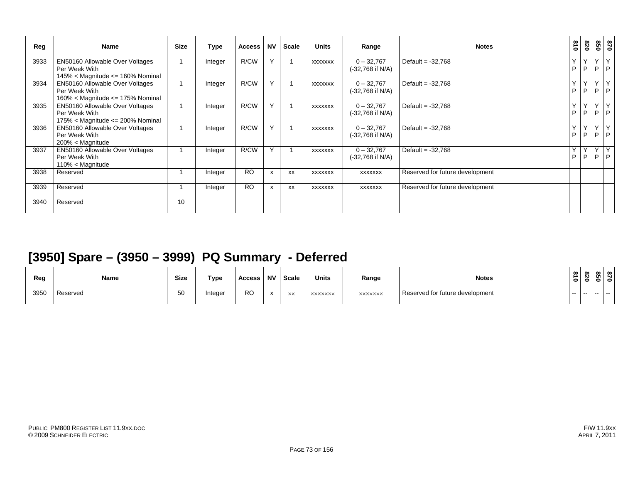| Reg  | <b>Name</b>                                                                                    | <b>Size</b> | Type    | <b>Access</b> | <b>NV</b>                 | <b>Scale</b> | <b>Units</b>   | Range                            | <b>Notes</b>                    | 018    | 028    | 098    | 078                     |
|------|------------------------------------------------------------------------------------------------|-------------|---------|---------------|---------------------------|--------------|----------------|----------------------------------|---------------------------------|--------|--------|--------|-------------------------|
| 3933 | EN50160 Allowable Over Voltages<br>Per Week With<br>$145\% <$ Magnitude $\le$ 160% Nominal     |             | Integer | R/CW          | Y                         |              | <b>XXXXXXX</b> | $0 - 32,767$<br>(-32,768 if N/A) | Default = $-32,768$             | Υ<br>P | Υ<br>P |        | YY<br>$P$ $P$           |
| 3934 | EN50160 Allowable Over Voltages<br>Per Week With<br>$160\% <$ Magnitude $\le$ 175% Nominal     |             | Integer | R/CW          | Y                         |              | <b>XXXXXXX</b> | $0 - 32,767$<br>(-32,768 if N/A) | Default = $-32,768$             | Υ<br>P | Y<br>P | $\vee$ | $\mathsf{Y}$<br>$P$ $P$ |
| 3935 | <b>EN50160 Allowable Over Voltages</b><br>Per Week With<br>175% < Magnitude <= $200\%$ Nominal |             | Integer | R/CW          | Y                         |              | <b>XXXXXXX</b> | $0 - 32,767$<br>(-32,768 if N/A) | Default = $-32,768$             | Y<br>P | Y<br>P | $\vee$ | IY.<br>$P$ $P$          |
| 3936 | EN50160 Allowable Over Voltages<br>Per Week With<br>$200\% <$ Magnitude                        |             | Integer | R/CW          | Y                         |              | <b>XXXXXXX</b> | $0 - 32,767$<br>(-32,768 if N/A) | Default = $-32,768$             | Y<br>P | Y<br>P |        | YY<br>$P$ $P$           |
| 3937 | EN50160 Allowable Over Voltages<br>Per Week With<br>$110\% <$ Magnitude                        |             | Integer | R/CW          | Y                         |              | XXXXXXX        | $0 - 32,767$<br>(-32,768 if N/A) | Default = $-32,768$             | Υ<br>P | Υ<br>P |        | YY<br>$P$ $P$           |
| 3938 | Reserved                                                                                       |             | Integer | <b>RO</b>     | $\boldsymbol{\mathsf{x}}$ | <b>XX</b>    | <b>XXXXXXX</b> | <b>XXXXXXX</b>                   | Reserved for future development |        |        |        |                         |
| 3939 | Reserved                                                                                       |             | Integer | <b>RO</b>     | $\boldsymbol{\mathsf{x}}$ | XX           | <b>XXXXXXX</b> | <b>XXXXXXX</b>                   | Reserved for future development |        |        |        |                         |
| 3940 | Reserved                                                                                       | 10          |         |               |                           |              |                |                                  |                                 |        |        |        |                         |

### **[3950] Spare – (3950 – 3999) PQ Summary - Deferred**

| Reg  | Name     | <b>Size</b> | Type    | <b>Access</b> | . NV                              | <b>Scale</b> | <b>Units</b> | Range          | <b>Notes</b><br>.               | $\infty$<br>∸<br>$\circ$ | ന | - - - | ൦ |
|------|----------|-------------|---------|---------------|-----------------------------------|--------------|--------------|----------------|---------------------------------|--------------------------|---|-------|---|
| 3950 | Reserved | 50          | Integer | <b>RO</b>     | $\ddot{\phantom{0}}$<br>$\lambda$ | $\lambda$    | XXXXXXX      | <b>XXXXXXX</b> | Reserved for future development | $\sim$ $-$               |   |       |   |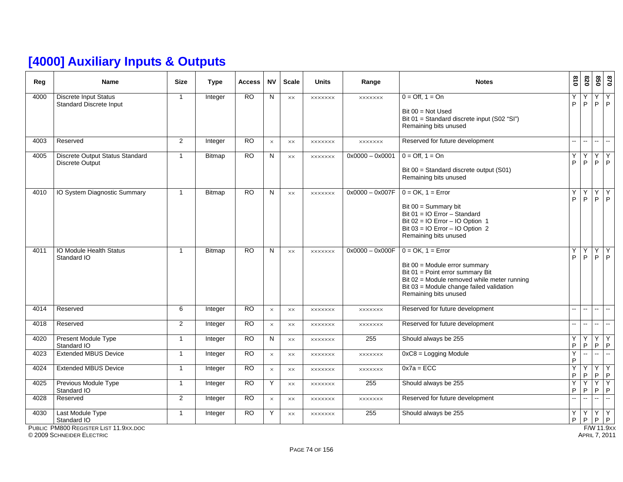## **[4000] Auxiliary Inputs & Outputs**

| Reg  | <b>Name</b>                                                              | <b>Size</b>    | <b>Type</b>   | <b>Access</b>   | <b>NV</b> | <b>Scale</b>   | <b>Units</b>   | Range             | <b>Notes</b>                                                                                                                                                                                                    | $\frac{8}{10}$    | 078                       |                     | 870<br>850                    |
|------|--------------------------------------------------------------------------|----------------|---------------|-----------------|-----------|----------------|----------------|-------------------|-----------------------------------------------------------------------------------------------------------------------------------------------------------------------------------------------------------------|-------------------|---------------------------|---------------------|-------------------------------|
| 4000 | <b>Discrete Input Status</b><br>Standard Discrete Input                  | $\mathbf{1}$   | Integer       | $\overline{RO}$ | N         | XX             | <b>XXXXXXX</b> | <b>XXXXXXX</b>    | $0 = \text{Off. } 1 = \text{On}$<br>Bit $00 = Not$ Used<br>Bit 01 = Standard discrete input (S02 "SI")<br>Remaining bits unused                                                                                 | Y<br>P            | Y.<br>P                   | Y.                  | $\overline{Y}$<br>$P$ $P$     |
| 4003 | Reserved                                                                 | $\overline{2}$ | Integer       | <b>RO</b>       | $\times$  | XX             | <b>XXXXXXX</b> | <b>XXXXXXX</b>    | Reserved for future development                                                                                                                                                                                 | $\mathbf{u}$      | $\sim$ $\sim$             | $\sim$              | $\sim$                        |
| 4005 | Discrete Output Status Standard<br><b>Discrete Output</b>                | $\mathbf{1}$   | Bitmap        | <b>RO</b>       | ${\sf N}$ | $\times\times$ | <b>XXXXXXX</b> | $0x0000 - 0x0001$ | $0 = \text{Off}, 1 = \text{On}$<br>Bit 00 = Standard discrete output (S01)<br>Remaining bits unused                                                                                                             | Y<br>P            | Y<br>P                    | Υ                   | Y<br>$P$ $P$                  |
| 4010 | IO System Diagnostic Summary                                             | $\mathbf{1}$   | Bitmap        | <b>RO</b>       | N         | XX             | <b>XXXXXXX</b> | $0x0000 - 0x007F$ | $0 = OK$ , $1 = Error$<br>Bit $00 =$ Summary bit<br>Bit 01 = IO Error - Standard<br>Bit $02 = 10$ Error - IO Option 1<br>Bit $03 = 10$ Error - 10 Option 2<br>Remaining bits unused                             | Y<br>P            | Υ<br>P.                   | Υ                   | $\overline{Y}$<br>$P$ $P$     |
| 4011 | IO Module Health Status<br>Standard IO                                   | $\mathbf{1}$   | <b>Bitmap</b> | <b>RO</b>       | N         | XX             | <b>XXXXXXX</b> | $0x0000 - 0x000F$ | $0 = OK$ , $1 = Error$<br>Bit 00 = Module error summary<br>Bit 01 = Point error summary Bit<br>Bit 02 = Module removed while meter running<br>Bit 03 = Module change failed validation<br>Remaining bits unused | Y<br>P.           | Y.<br>P.                  | Υ                   | $\overline{Y}$<br>$P$ $P$     |
| 4014 | Reserved                                                                 | 6              | Integer       | <b>RO</b>       | $\times$  | XX             | <b>XXXXXXX</b> | <b>XXXXXXX</b>    | Reserved for future development                                                                                                                                                                                 | $\mathbf{u}$      | $\sim$                    | $\mathbf{m}$        | $\sim$                        |
| 4018 | Reserved                                                                 | $\overline{2}$ | Integer       | <b>RO</b>       | $\times$  | XX             | <b>XXXXXXX</b> | <b>XXXXXXX</b>    | Reserved for future development                                                                                                                                                                                 | $\sim$            | $\mathbf{u} = \mathbf{u}$ | $\mathbf{u}$        | u.                            |
| 4020 | Present Module Type<br>Standard IO                                       | $\mathbf{1}$   | Integer       | $\overline{RO}$ | N         | <b>XX</b>      | <b>XXXXXXX</b> | 255               | Should always be 255                                                                                                                                                                                            | Y.<br>$\mathsf P$ | Y<br>P                    | $\overline{Y}$<br>P | Y<br>P                        |
| 4023 | <b>Extended MBUS Device</b>                                              | $\mathbf{1}$   | Integer       | <b>RO</b>       | $\times$  | XX             | <b>XXXXXXX</b> | <b>XXXXXXX</b>    | $0xC8 =$ Logging Module                                                                                                                                                                                         | Y<br>P            |                           | $\mathbb{Z}^2$      | Ξ.                            |
| 4024 | <b>Extended MBUS Device</b>                                              | $\mathbf{1}$   | Integer       | $\overline{RO}$ | $\times$  | XX             | <b>XXXXXXX</b> | <b>XXXXXXX</b>    | $0x7a = ECC$                                                                                                                                                                                                    | Y<br>P            | Y<br>P                    | Υ<br>P              | Y<br>$\mathsf P$              |
| 4025 | Previous Module Type<br>Standard IO                                      | $\mathbf{1}$   | Integer       | <b>RO</b>       | Y         | XX             | <b>XXXXXXX</b> | 255               | Should always be 255                                                                                                                                                                                            | Υ<br>P            | Y<br>P                    | Υ<br>$\sf P$        | $\overline{Y}$<br>$\mathsf P$ |
| 4028 | Reserved                                                                 | $\overline{2}$ | Integer       | <b>RO</b>       | $\times$  | XX             | <b>XXXXXXX</b> | <b>XXXXXXX</b>    | Reserved for future development                                                                                                                                                                                 | $\omega_{\rm m}$  | цц.                       | цú.                 | ц.                            |
| 4030 | Last Module Type<br>Standard IO<br>PUBLIC PM800 REGISTER LIST 11.9XX.DOC | $\mathbf{1}$   | Integer       | <b>RO</b>       | Y         | $\times\times$ | <b>XXXXXXX</b> | 255               | Should always be 255                                                                                                                                                                                            | Y<br>P            | Y<br>P                    | $\overline{Y}$      | Y<br>$P$ $P$<br>F/W 11.9x     |

PUBLIC PM800 REGISTER LIST 11.9XX.DOC

© 2009 SCHNEIDER ELECTRIC APRIL 7, 2011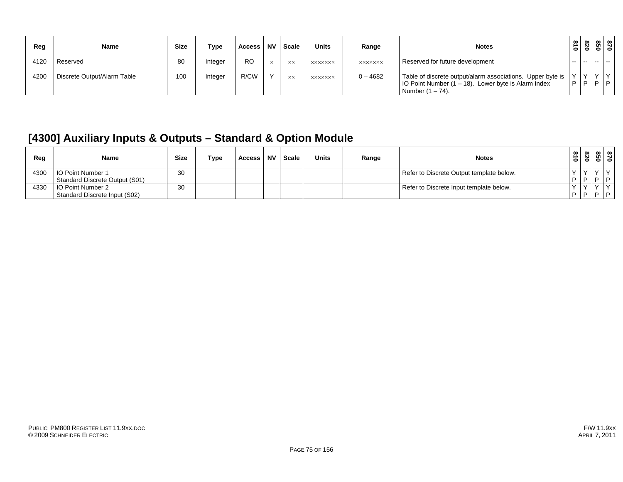| Reg  | <b>Name</b>                 | <b>Size</b> | Туре   | Access    | <b>NV</b> | Scale     | <b>Units</b>   | Range          | <b>Notes</b>                                                                                                                             | $\frac{810}{2}$ | 820 |     | 87<br>850 |
|------|-----------------------------|-------------|--------|-----------|-----------|-----------|----------------|----------------|------------------------------------------------------------------------------------------------------------------------------------------|-----------------|-----|-----|-----------|
| 4120 | Reserved                    | 80          | nteger | <b>RO</b> |           | <b>XX</b> | <b>XXXXXXX</b> | <b>XXXXXXX</b> | Reserved for future development                                                                                                          | $\sim$ $\sim$   |     |     |           |
| 4200 | Discrete Output/Alarm Table | 100         | nteger | R/CW      |           | <b>XX</b> | <b>XXXXXXX</b> | $0 - 4682$     | Table of discrete output/alarm associations. Upper byte is<br>IO Point Number (1 – 18). Lower byte is Alarm Index<br>Number $(1 - 74)$ . | $\sqrt{}$<br>D  | V V | D/D |           |

#### **[4300] Auxiliary Inputs & Outputs – Standard & Option Module**

| Reg  | Name                           | <b>Size</b> | Type | Access | <b>NV</b> | Scale | <b>Units</b> | Range | <b>Notes</b>                             | 51<br>$\bullet$ | $\infty$<br>0 | $\circ$ $\circ$                                                                    | $\infty$ $\infty$ |
|------|--------------------------------|-------------|------|--------|-----------|-------|--------------|-------|------------------------------------------|-----------------|---------------|------------------------------------------------------------------------------------|-------------------|
| 4300 | <b>IO Point Number 1</b>       | 30          |      |        |           |       |              |       | Refer to Discrete Output template below. |                 |               |                                                                                    |                   |
|      | Standard Discrete Output (S01) |             |      |        |           |       |              |       |                                          | . D I D .       |               | $\begin{array}{c c c c c} \hline \textbf{D} & \textbf{D} & \textbf{D} \end{array}$ |                   |
| 4330 | <b>IO Point Number 2</b>       | 30          |      |        |           |       |              |       | Refer to Discrete Input template below.  |                 |               |                                                                                    |                   |
|      | Standard Discrete Input (S02)  |             |      |        |           |       |              |       |                                          | $P$ $P$         |               | $\Box$                                                                             |                   |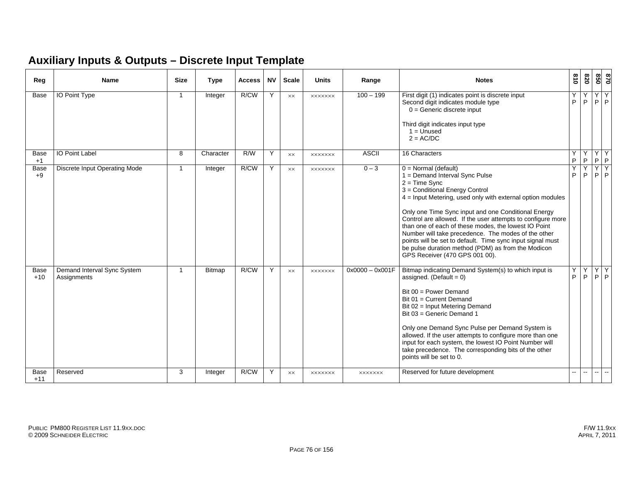#### **Auxiliary Inputs & Outputs – Discrete Input Template**

| Reg           | <b>Name</b>                                | <b>Size</b>  | <b>Type</b>   | <b>Access</b> | <b>NV</b> | <b>Scale</b>   | <b>Units</b>   | Range             | <b>Notes</b>                                                                                                                                                                                                                                                                                                                                                                                                                                                                                                                                                             | 810    | 078                 | 028           | 0/8                       |
|---------------|--------------------------------------------|--------------|---------------|---------------|-----------|----------------|----------------|-------------------|--------------------------------------------------------------------------------------------------------------------------------------------------------------------------------------------------------------------------------------------------------------------------------------------------------------------------------------------------------------------------------------------------------------------------------------------------------------------------------------------------------------------------------------------------------------------------|--------|---------------------|---------------|---------------------------|
| Base          | <b>IO Point Type</b>                       | $\mathbf{1}$ | Integer       | R/CW          | Y         | XX             | <b>XXXXXXX</b> | $100 - 199$       | First digit (1) indicates point is discrete input<br>Second digit indicates module type<br>$0 =$ Generic discrete input<br>Third digit indicates input type<br>$1 =$ Unused<br>$2 = AC/DC$                                                                                                                                                                                                                                                                                                                                                                               | ٧<br>P | Y<br>P              | Y.            | Y<br>$P$  P               |
| Base<br>$+1$  | IO Point Label                             | 8            | Character     | R/W           | Y         | $\times\times$ | <b>XXXXXXX</b> | <b>ASCII</b>      | 16 Characters                                                                                                                                                                                                                                                                                                                                                                                                                                                                                                                                                            | P      | Y<br>$\overline{P}$ | Y             | Y<br>$P$ $P$              |
| Base<br>$+9$  | Discrete Input Operating Mode              | $\mathbf{1}$ | Integer       | R/CW          | Y         | XX             | <b>XXXXXXX</b> | $0 - 3$           | $0 = Normal$ (default)<br>1 = Demand Interval Sync Pulse<br>$2 = Time$ Sync<br>3 = Conditional Energy Control<br>$4$ = Input Metering, used only with external option modules<br>Only one Time Sync input and one Conditional Energy<br>Control are allowed. If the user attempts to configure more<br>than one of each of these modes, the lowest IO Point<br>Number will take precedence. The modes of the other<br>points will be set to default. Time sync input signal must<br>be pulse duration method (PDM) as from the Modicon<br>GPS Receiver (470 GPS 001 00). | Υ<br>P | Y<br>P              | Y             | $\overline{Y}$<br>$P$ $P$ |
| Base<br>$+10$ | Demand Interval Sync System<br>Assignments | -1           | <b>Bitmap</b> | R/CW          | Y         | XX             | <b>XXXXXXX</b> | $0x0000 - 0x001F$ | Bitmap indicating Demand System(s) to which input is<br>assigned. (Default = $0$ )<br>Bit $00 = Power$ Demand<br>Bit 01 = Current Demand<br>Bit 02 = Input Metering Demand<br>Bit 03 = Generic Demand 1<br>Only one Demand Sync Pulse per Demand System is<br>allowed. If the user attempts to configure more than one<br>input for each system, the lowest IO Point Number will<br>take precedence. The corresponding bits of the other<br>points will be set to 0.                                                                                                     | Υ<br>P | Y<br>P              |               | YY<br>$P$ $P$             |
| Base<br>$+11$ | Reserved                                   | 3            | Integer       | R/CW          | Y         | $\times\times$ | <b>XXXXXXX</b> | <b>XXXXXXX</b>    | Reserved for future development                                                                                                                                                                                                                                                                                                                                                                                                                                                                                                                                          | н.     | $\sim$              | $\sim$ $\sim$ | $\overline{a}$            |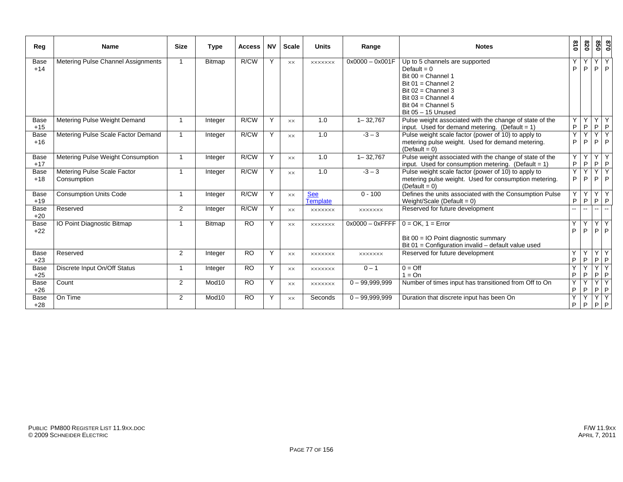| Reg                  | <b>Name</b>                                | <b>Size</b>             | <b>Type</b>   | <b>Access</b>  | <b>NV</b> | <b>Scale</b>   | <b>Units</b>                  | Range              | <b>Notes</b>                                                                                                                                                            | 018    | 078    | 850                       | 028                 |
|----------------------|--------------------------------------------|-------------------------|---------------|----------------|-----------|----------------|-------------------------------|--------------------|-------------------------------------------------------------------------------------------------------------------------------------------------------------------------|--------|--------|---------------------------|---------------------|
| <b>Base</b><br>$+14$ | Metering Pulse Channel Assignments         |                         | <b>Bitmap</b> | R/CW           | Y         | $\times\times$ | <b>XXXXXXX</b>                | $0x0000 - 0x001F$  | Up to 5 channels are supported<br>Default = $0$<br>Bit $00 =$ Channel 1<br>Bit $01$ = Channel 2<br>Bit $02$ = Channel 3<br>Bit $03$ = Channel 4<br>Bit $04$ = Channel 5 | P      | Y<br>P | Y<br>P                    | Y<br>P              |
|                      |                                            |                         |               | R/CW           | Y         |                |                               |                    | Bit $05 - 15$ Unused                                                                                                                                                    |        |        | YY                        | $\overline{Y}$      |
| Base<br>$+15$        | Metering Pulse Weight Demand               |                         | Integer       |                |           | <b>XX</b>      | 1.0                           | $1 - 32,767$       | Pulse weight associated with the change of state of the<br>input. Used for demand metering. (Default = $1$ )                                                            | Y<br>P | P      |                           | $P$ $P$             |
| Base<br>$+16$        | Metering Pulse Scale Factor Demand         | $\overline{\mathbf{1}}$ | Integer       | R/CW           | Y         | $\times\times$ | 1.0                           | $-3 - 3$           | Pulse weight scale factor (power of 10) to apply to<br>metering pulse weight. Used for demand metering.<br>$(Default = 0)$                                              | Υ<br>P | Y<br>P | Y<br>P                    | $\overline{Y}$<br>P |
| Base<br>$+17$        | Metering Pulse Weight Consumption          |                         | Integer       | R/CW           | Y         | <b>XX</b>      | 1.0                           | $1 - 32,767$       | Pulse weight associated with the change of state of the<br>input. Used for consumption metering. (Default = $1$ )                                                       | Y<br>P | Y<br>P | Y<br>$P$ $P$              | $Y \mid$            |
| <b>Base</b><br>$+18$ | Metering Pulse Scale Factor<br>Consumption | $\overline{\mathbf{1}}$ | Integer       | R/CW           | Y         | $\times\times$ | 1.0                           | $-3 - 3$           | Pulse weight scale factor (power of 10) to apply to<br>metering pulse weight. Used for consumption metering.<br>$(Default = 0)$                                         | Y<br>P | Y<br>P | Y<br>P                    | $\checkmark$<br>P   |
| <b>Base</b><br>$+19$ | <b>Consumption Units Code</b>              | -1                      | Integer       | R/CW           | Y         | <b>XX</b>      | <b>See</b><br><b>Template</b> | $0 - 100$          | Defines the units associated with the Consumption Pulse<br>Weight/Scale (Default = $0$ )                                                                                | Y<br>P | Y<br>P | $\mathsf{Y}$<br>P         | Y<br>$\mathsf P$    |
| Base<br>$+20$        | Reserved                                   | 2                       | Integer       | R/CW           | Y         | <b>XX</b>      | <b>XXXXXXX</b>                | <b>XXXXXXX</b>     | Reserved for future development                                                                                                                                         |        | $\sim$ | $\mathbf{u} = \mathbf{v}$ |                     |
| Base<br>$+22$        | IO Point Diagnostic Bitmap                 | -1                      | Bitmap        | <b>RO</b>      | Y         | $\times\times$ | <b>XXXXXXX</b>                | $0x0000 - 0x$ FFFF | $0 = OK$ , $1 = Error$<br>Bit 00 = IO Point diagnostic summary<br>Bit 01 = Configuration invalid - default value used                                                   | Υ<br>P | Y<br>P | $\prec$<br>P              | Υ<br>P              |
| <b>Base</b><br>$+23$ | Reserved                                   | 2                       | Integer       | <b>RO</b>      | Y         | <b>XX</b>      | <b>XXXXXXX</b>                | <b>XXXXXXX</b>     | Reserved for future development                                                                                                                                         | Υ<br>P | Y<br>P | Y<br>P                    | Y<br>$\mathsf P$    |
| <b>Base</b><br>$+25$ | Discrete Input On/Off Status               | -1                      | Integer       | <b>RO</b>      | Y         | <b>XX</b>      | <b>XXXXXXX</b>                | $0 - 1$            | $0 = \text{Off}$<br>$1 = On$                                                                                                                                            | Y<br>P | Y<br>P | Y<br>P                    | Y<br>P              |
| Base<br>$+26$        | Count                                      | 2                       | Mod10         | <b>RO</b>      | Y         | <b>XX</b>      | <b>XXXXXXX</b>                | $0 - 99,999,999$   | Number of times input has transitioned from Off to On                                                                                                                   | Y<br>P | Y<br>P | Y<br>P                    | Y<br>P              |
| <b>Base</b><br>$+28$ | On Time                                    | 2                       | Mod10         | R <sub>O</sub> | Y         | <b>XX</b>      | Seconds                       | $0 - 99,999,999$   | Duration that discrete input has been On                                                                                                                                | Y<br>P | Y<br>P | Υ<br>P                    | $\overline{Y}$<br>P |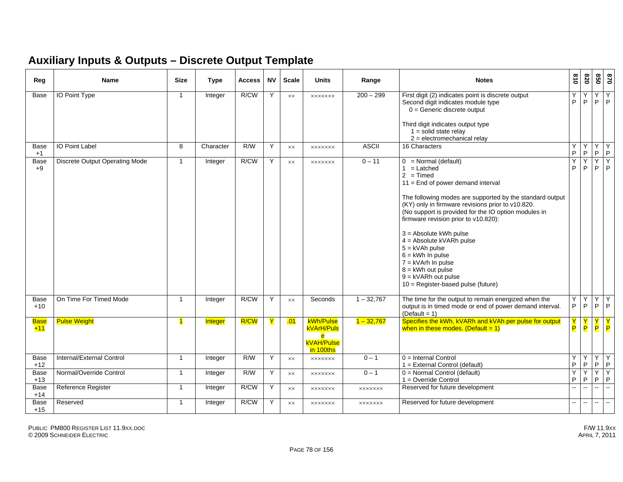#### **Auxiliary Inputs & Outputs – Discrete Output Template**

| Reg                  | <b>Name</b>                           | <b>Size</b>             | <b>Type</b> | Access | <b>NV</b> | <b>Scale</b>   | <b>Units</b>                                                                | Range          | <b>Notes</b>                                                                                                                                                                                                                                                                                                                                                                                                                                                                                                                     | $\frac{8}{10}$    | 078                       | 850                         | 028                      |
|----------------------|---------------------------------------|-------------------------|-------------|--------|-----------|----------------|-----------------------------------------------------------------------------|----------------|----------------------------------------------------------------------------------------------------------------------------------------------------------------------------------------------------------------------------------------------------------------------------------------------------------------------------------------------------------------------------------------------------------------------------------------------------------------------------------------------------------------------------------|-------------------|---------------------------|-----------------------------|--------------------------|
| Base                 | <b>IO Point Type</b>                  | $\mathbf{1}$            | Integer     | R/CW   | Y         | $\times\times$ | <b>XXXXXXX</b>                                                              | $200 - 299$    | First digit (2) indicates point is discrete output<br>Second digit indicates module type<br>$0 =$ Generic discrete output<br>Third digit indicates output type<br>$1 = solid state$ relay<br>$2 =$ electromechanical relay                                                                                                                                                                                                                                                                                                       | Y<br>P            | Y<br>P                    | Υ<br>P                      | Y<br>$\mathsf{P}$        |
| Base<br>$+1$         | <b>IO Point Label</b>                 | 8                       | Character   | R/W    | Y         | XX             | <b>XXXXXXX</b>                                                              | <b>ASCII</b>   | 16 Characters                                                                                                                                                                                                                                                                                                                                                                                                                                                                                                                    | Y<br>$\mathsf P$  | Υ<br>P                    | Y<br>P                      | Y<br>$\sf P$             |
| Base<br>$+9$         | <b>Discrete Output Operating Mode</b> | $\overline{1}$          | Integer     | R/CW   | Y         | $\times\times$ | <b>XXXXXXX</b>                                                              | $0 - 11$       | $0 = Normal$ (default)<br>$1 =$ Latched<br>$2 = Timed$<br>$11 =$ End of power demand interval<br>The following modes are supported by the standard output<br>(KY) only in firmware revisions prior to v10.820.<br>(No support is provided for the IO option modules in<br>firmware revision prior to v10.820):<br>$3 =$ Absolute kWh pulse<br>4 = Absolute kVARh pulse<br>$5 = kVAh pulse$<br>$6 =$ kWh In pulse<br>$7 = kVArh$ In pulse<br>$8 =$ kWh out pulse<br>$9 = kVARh$ out pulse<br>$10 =$ Register-based pulse (future) | Y<br>P            | Y<br>P                    | Υ<br>P.                     | Y<br>$\mathsf{P}$        |
| Base<br>$+10$        | On Time For Timed Mode                | $\overline{\mathbf{1}}$ | Integer     | R/CW   | Y         | <b>XX</b>      | Seconds                                                                     | $1 - 32,767$   | The time for the output to remain energized when the<br>output is in timed mode or end of power demand interval.<br>$(Default = 1)$                                                                                                                                                                                                                                                                                                                                                                                              | Y<br>$\mathsf P$  | Y<br>$\mathsf P$          | Y<br>P                      | $\overline{Y}$<br> P     |
| <b>Base</b><br>$+11$ | <b>Pulse Weight</b>                   | $\mathbf{1}$            | Integer     | R/CW   | Y         | .01            | kWh/Pulse<br>kVArH/Puls<br>e<br><b>kVAH/Pulse</b><br><mark>in 100ths</mark> | $1 - 32,767$   | Specifies the kWh, kVARh and kVAh per pulse for output<br>when in these modes. (Default = $1$ )                                                                                                                                                                                                                                                                                                                                                                                                                                  | P                 | P.                        | P                           | P                        |
| Base<br>$+12$        | Internal/External Control             | $\overline{1}$          | Integer     | R/W    | Y         | XX             | <b>XXXXXXX</b>                                                              | $0 - 1$        | $0 =$ Internal Control<br>1 = External Control (default)                                                                                                                                                                                                                                                                                                                                                                                                                                                                         | Y<br>P            | Y<br>P.                   | Y<br>P.                     | Y<br>P                   |
| Base<br>$+13$        | Normal/Override Control               | $\overline{1}$          | Integer     | R/W    | Υ         | XX             | <b>XXXXXXX</b>                                                              | $0 - 1$        | $0 = Normal Control (default)$<br>$1 =$ Override Control                                                                                                                                                                                                                                                                                                                                                                                                                                                                         | Y<br>$\mathsf{P}$ | Y<br>P                    | Y<br>P                      | Y<br>$\mathsf P$         |
| Base<br>$+14$        | Reference Register                    | $\overline{1}$          | Integer     | R/CW   | Y         | XX             | <b>XXXXXXX</b>                                                              | <b>XXXXXXX</b> | Reserved for future development                                                                                                                                                                                                                                                                                                                                                                                                                                                                                                  | $\mathbf{u}$      | $\mathbb{Z}^{\mathbb{Z}}$ | $\mathcal{L}_{\mathcal{A}}$ | $\mathbb{Z}^2$           |
| <b>Base</b><br>$+15$ | Reserved                              | $\mathbf{1}$            | Integer     | R/CW   | Y         | XX             | <b>XXXXXXX</b>                                                              | <b>XXXXXXX</b> | Reserved for future development                                                                                                                                                                                                                                                                                                                                                                                                                                                                                                  | $\overline{a}$    | $\sim$ $\sim$             | $\overline{\phantom{a}}$    | $\overline{\phantom{a}}$ |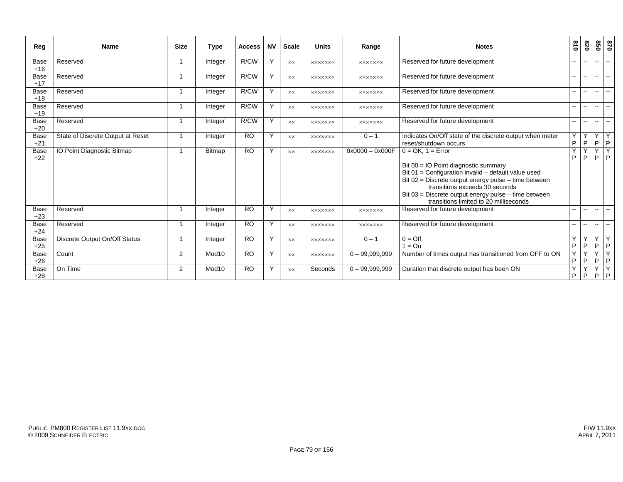| Reg                  | Name                              | <b>Size</b> | <b>Type</b>       | <b>Access</b> | <b>NV</b> | <b>Scale</b>   | <b>Units</b>   | Range             | <b>Notes</b>                                                                                                                                                                                                                                                                                                        | 018                      | 028                      | 850           | 0/8                      |
|----------------------|-----------------------------------|-------------|-------------------|---------------|-----------|----------------|----------------|-------------------|---------------------------------------------------------------------------------------------------------------------------------------------------------------------------------------------------------------------------------------------------------------------------------------------------------------------|--------------------------|--------------------------|---------------|--------------------------|
| Base<br>$+16$        | Reserved                          | -1          | Integer           | R/CW          | Y         | $\times\times$ | <b>XXXXXXX</b> | <b>XXXXXXX</b>    | Reserved for future development                                                                                                                                                                                                                                                                                     | $\overline{\phantom{a}}$ | $- -$                    | $-1$          | $\overline{\phantom{a}}$ |
| <b>Base</b><br>$+17$ | Reserved                          | -1          | Integer           | R/CW          | Y         | XX             | <b>XXXXXXX</b> | <b>XXXXXXX</b>    | Reserved for future development                                                                                                                                                                                                                                                                                     | $\overline{\phantom{a}}$ | $\overline{\phantom{a}}$ | $\mathbf{u}$  | $\sim$                   |
| <b>Base</b><br>$+18$ | Reserved                          |             | Integer           | R/CW          | Y         | $\times\times$ | <b>XXXXXXX</b> | <b>XXXXXXX</b>    | Reserved for future development                                                                                                                                                                                                                                                                                     | $\overline{\phantom{a}}$ | $\overline{\phantom{a}}$ | $-1$          | $\sim$                   |
| <b>Base</b><br>$+19$ | Reserved                          | -1          | Integer           | R/CW          | Y         | $\times\times$ | <b>XXXXXXX</b> | <b>XXXXXXX</b>    | Reserved for future development                                                                                                                                                                                                                                                                                     | $\overline{\phantom{a}}$ | $\sim$ $\sim$            | $\mathbf{u}$  | $\sim$                   |
| <b>Base</b><br>$+20$ | Reserved                          |             | Integer           | R/CW          | Y         | XX.            | <b>XXXXXXX</b> | <b>XXXXXXX</b>    | Reserved for future development                                                                                                                                                                                                                                                                                     | $\overline{a}$           | $\overline{\phantom{a}}$ | $\mathbf{u}$  | $\sim$                   |
| <b>Base</b><br>$+21$ | State of Discrete Output at Reset |             | Integer           | <b>RO</b>     | Y         | <b>XX</b>      | <b>XXXXXXX</b> | $0 - 1$           | Indicates On/Off state of the discrete output when meter<br>reset/shutdown occurs                                                                                                                                                                                                                                   | Y<br>$\sf P$             | Y<br>P                   | YY<br>$P$ $P$ |                          |
| Base<br>$+22$        | IO Point Diagnostic Bitmap        |             | Bitmap            | <b>RO</b>     | Y         | $\times\times$ | <b>XXXXXXX</b> | $0x0000 - 0x000F$ | $0 = OK$ , $1 = Error$<br>Bit $00 = 10$ Point diagnostic summary<br>Bit 01 = Configuration invalid - default value used<br>Bit 02 = Discrete output energy pulse - time between<br>transitions exceeds 30 seconds<br>Bit 03 = Discrete output energy pulse - time between<br>transitions limited to 20 milliseconds | Y<br>P                   | P                        | Y<br>P        | Y<br>I P                 |
| <b>Base</b><br>$+23$ | Reserved                          | -1          | Integer           | <b>RO</b>     | Υ         | $\times\times$ | <b>XXXXXXX</b> | <b>XXXXXXX</b>    | Reserved for future development                                                                                                                                                                                                                                                                                     | $\overline{\phantom{a}}$ | $- -$                    | $-1$          | $ -$                     |
| <b>Base</b><br>$+24$ | Reserved                          | -1          | Integer           | <b>RO</b>     | Y         | XX             | <b>XXXXXXX</b> | <b>XXXXXXX</b>    | Reserved for future development                                                                                                                                                                                                                                                                                     | $\overline{\phantom{a}}$ | $\overline{a}$           | $\sim$ $\sim$ | $\sim$                   |
| <b>Base</b><br>$+25$ | Discrete Output On/Off Status     |             | Integer           | RO.           | Y         | XX             | <b>XXXXXXX</b> | $0 - 1$           | $0 = \text{Off}$<br>$1 = On$                                                                                                                                                                                                                                                                                        | Υ<br>P                   | v<br>P                   | Y<br>P        | Y<br> P                  |
| <b>Base</b><br>$+26$ | Count                             | 2           | Mod10             | <b>RO</b>     | Y         | $\times\times$ | <b>XXXXXXX</b> | $0 - 99,999,999$  | Number of times output has transitioned from OFF to ON                                                                                                                                                                                                                                                              | Y<br>P                   | Y<br>P                   | Y<br>$P$ $P$  | Y                        |
| <b>Base</b><br>$+28$ | On Time                           | 2           | Mod <sub>10</sub> | <b>RO</b>     | Υ         | $\times\times$ | Seconds        | $0 - 99,999,999$  | Duration that discrete output has been ON                                                                                                                                                                                                                                                                           | Υ<br>P                   | Υ<br>P                   | Υ<br>P        | Y<br> P                  |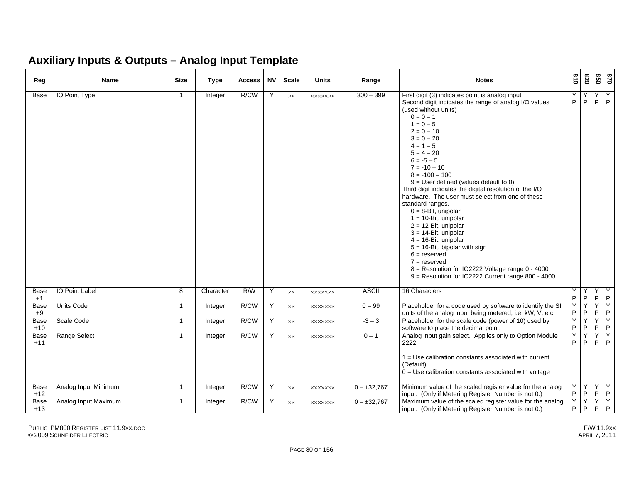#### **Auxiliary Inputs & Outputs – Analog Input Template**

| Reg           | <b>Name</b>          | <b>Size</b>    | <b>Type</b>    | Access | <b>NV</b> | <b>Scale</b>   | <b>Units</b>   | Range            | <b>Notes</b>                                                                                                                                                                                                                                                                                                                                                                                                                                                                                                                                                                                                                                                                                                                                                                               | 018    | 078              | 850     | 028                 |
|---------------|----------------------|----------------|----------------|--------|-----------|----------------|----------------|------------------|--------------------------------------------------------------------------------------------------------------------------------------------------------------------------------------------------------------------------------------------------------------------------------------------------------------------------------------------------------------------------------------------------------------------------------------------------------------------------------------------------------------------------------------------------------------------------------------------------------------------------------------------------------------------------------------------------------------------------------------------------------------------------------------------|--------|------------------|---------|---------------------|
| Base          | IO Point Type        | $\overline{1}$ | Integer        | R/CW   | Y         | $\times\times$ | <b>XXXXXXX</b> | $300 - 399$      | First digit (3) indicates point is analog input<br>Second digit indicates the range of analog I/O values<br>(used without units)<br>$0 = 0 - 1$<br>$1 = 0 - 5$<br>$2 = 0 - 10$<br>$3 = 0 - 20$<br>$4 = 1 - 5$<br>$5 = 4 - 20$<br>$6 = -5 - 5$<br>$7 = -10 - 10$<br>$8 = -100 - 100$<br>$9 =$ User defined (values default to 0)<br>Third digit indicates the digital resolution of the I/O<br>hardware. The user must select from one of these<br>standard ranges.<br>$0 = 8$ -Bit, unipolar<br>$1 = 10$ -Bit, unipolar<br>$2 = 12$ -Bit, unipolar<br>$3 = 14$ -Bit, unipolar<br>$4 = 16$ -Bit, unipolar<br>$5 = 16$ -Bit, bipolar with sign<br>$6 =$ reserved<br>$7 =$ reserved<br>8 = Resolution for IO2222 Voltage range 0 - 4000<br>9 = Resolution for IO2222 Current range 800 - 4000 | Υ<br>P | Y<br>P           | Y<br>P. | Y<br>P              |
| Base<br>$+1$  | IO Point Label       | 8              | Character      | R/W    | Y         | XX             | <b>XXXXXXX</b> | <b>ASCII</b>     | 16 Characters                                                                                                                                                                                                                                                                                                                                                                                                                                                                                                                                                                                                                                                                                                                                                                              | Υ<br>P | Y<br>$\mathsf P$ |         | $Y$ $Y$<br>$P$ $P$  |
| Base<br>$+9$  | <b>Units Code</b>    | $\overline{1}$ | Integer        | R/CW   | Y         | XX             | <b>XXXXXXX</b> | $0 - 99$         | Placeholder for a code used by software to identify the SI<br>units of the analog input being metered, i.e. kW, V, etc.                                                                                                                                                                                                                                                                                                                                                                                                                                                                                                                                                                                                                                                                    | Y<br>P | Y<br>P           | Y<br>P  | $\overline{Y}$<br>P |
| Base<br>$+10$ | Scale Code           | $\overline{1}$ | Integer        | R/CW   | Y         | <b>XX</b>      | <b>XXXXXXX</b> | $-3 - 3$         | Placeholder for the scale code (power of 10) used by<br>software to place the decimal point.                                                                                                                                                                                                                                                                                                                                                                                                                                                                                                                                                                                                                                                                                               | Y<br>P | Y<br>P           | Y<br>P  | IY.<br>P            |
| Base<br>$+11$ | Range Select         | $\overline{1}$ | Integer        | R/CW   | Y         | XX             | <b>XXXXXXX</b> | $0 - 1$          | Analog input gain select. Applies only to Option Module<br>2222.<br>$1 =$ Use calibration constants associated with current<br>(Default)<br>$0 =$ Use calibration constants associated with voltage                                                                                                                                                                                                                                                                                                                                                                                                                                                                                                                                                                                        | Υ<br>P | Y<br>P           | Y<br>P  | Y<br>P              |
| Base<br>$+12$ | Analog Input Minimum | $\mathbf{1}$   | Integer        | R/CW   | Y         | XX             | <b>XXXXXXX</b> | $0 - \pm 32,767$ | Minimum value of the scaled register value for the analog<br>input. (Only if Metering Register Number is not 0.)                                                                                                                                                                                                                                                                                                                                                                                                                                                                                                                                                                                                                                                                           | Y<br>P | P                |         | YYY<br>$P$ $P$      |
| Base<br>$+13$ | Analog Input Maximum | $\overline{1}$ | <b>Integer</b> | R/CW   | Y         | XX             | <b>XXXXXXX</b> | $0 - \pm 32,767$ | Maximum value of the scaled register value for the analog<br>input. (Only if Metering Register Number is not 0.)                                                                                                                                                                                                                                                                                                                                                                                                                                                                                                                                                                                                                                                                           | Y<br>P | Y<br>P           | P.      | $Y$ $Y$<br>P        |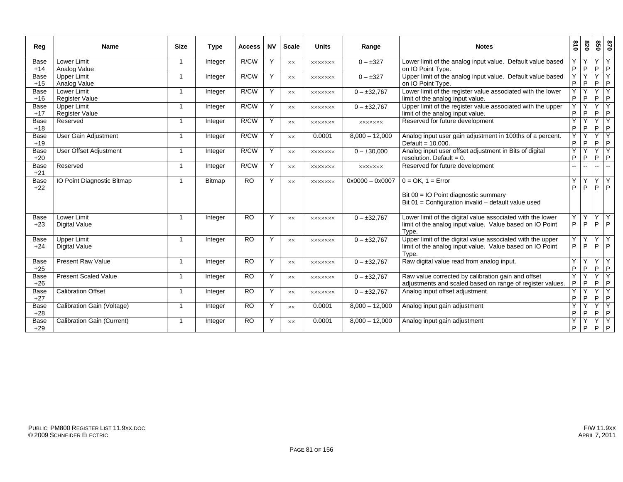| Reg                  | Name                                       | <b>Size</b>             | <b>Type</b>   | <b>Access</b> | <b>NV</b> | <b>Scale</b>   | <b>Units</b>   | Range             | <b>Notes</b>                                                                                                                    | 018            | 820                          | 850            | 0 <sub>28</sub>              |
|----------------------|--------------------------------------------|-------------------------|---------------|---------------|-----------|----------------|----------------|-------------------|---------------------------------------------------------------------------------------------------------------------------------|----------------|------------------------------|----------------|------------------------------|
| Base<br>$+14$        | Lower Limit<br>Analog Value                | $\overline{1}$          | Integer       | R/CW          | Y         | $\times\times$ | <b>XXXXXXX</b> | $0 - \pm 327$     | Lower limit of the analog input value. Default value based<br>on IO Point Type.                                                 | Υ<br>P         | Y<br>P                       | Y<br>P         | IY.<br>P                     |
| Base<br>$+15$        | <b>Upper Limit</b><br>Analog Value         | $\overline{1}$          | Integer       | R/CW          | Y         | <b>XX</b>      | <b>XXXXXXX</b> | $0 - \pm 327$     | Upper limit of the analog input value. Default value based<br>on IO Point Type.                                                 | v<br>P         | $\checkmark$<br>P            | Y<br>P         | $\mathsf{Y}$<br>P            |
| Base<br>$+16$        | Lower Limit<br><b>Register Value</b>       | $\overline{\mathbf{1}}$ | Integer       | R/CW          | Y         | XX             | <b>XXXXXXX</b> | $0 - \pm 32,767$  | Lower limit of the register value associated with the lower<br>limit of the analog input value.                                 | Y<br>$\sf P$   | Y<br>P                       | Y<br>P         | ĪΥ<br>P                      |
| Base<br>$+17$        | Upper Limit<br>Register Value              | $\overline{1}$          | Integer       | R/CW          | Y         | <b>XX</b>      | <b>XXXXXXX</b> | $0 - \pm 32,767$  | Upper limit of the register value associated with the upper<br>limit of the analog input value.                                 | Y<br>P         | Y<br>P                       | Y<br>P         | $\mathsf{Y}$<br>P            |
| Base<br>$+18$        | Reserved                                   | -1                      | Integer       | R/CW          | Y         | $\times\times$ | <b>XXXXXXX</b> | XXXXXXX           | Reserved for future development                                                                                                 | Y<br>P         | $\overline{\mathsf{v}}$<br>P | Y<br>P         | $\overline{Y}$<br>P          |
| <b>Base</b><br>$+19$ | <b>User Gain Adjustment</b>                | -1                      | Integer       | R/CW          | Y         | XX             | 0.0001         | $8,000 - 12,000$  | Analog input user gain adjustment in 100ths of a percent.<br>Default = $10.000$ .                                               | Y<br>P         | Y<br>P                       | Y<br>P         | <b>IY</b><br>P               |
| <b>Base</b><br>$+20$ | <b>User Offset Adjustment</b>              | -1                      | Integer       | R/CW          | Y         | <b>XX</b>      | <b>XXXXXXX</b> | $0 - \pm 30,000$  | Analog input user offset adjustment in Bits of digital<br>resolution. Default = $0$ .                                           | Y<br>P         | $\checkmark$<br>P            | Y<br>P         | Y<br>P                       |
| <b>Base</b><br>$+21$ | Reserved                                   | $\mathbf 1$             | Integer       | R/CW          | Y         | <b>XX</b>      | <b>XXXXXXX</b> | <b>XXXXXXX</b>    | Reserved for future development                                                                                                 | $\overline{a}$ |                              | $\overline{a}$ |                              |
| Base<br>$+22$        | IO Point Diagnostic Bitmap                 | -1                      | <b>Bitmap</b> | <b>RO</b>     | Y         | $\times\times$ | <b>XXXXXXX</b> | $0x0000 - 0x0007$ | $0 = OK$ , $1 = Error$<br>Bit 00 = IO Point diagnostic summary<br>Bit $01$ = Configuration invalid – default value used         | Ý<br>P         | Y<br>P                       | Y<br>P         | Y<br>P                       |
| Base<br>$+23$        | Lower Limit<br><b>Digital Value</b>        | $\overline{1}$          | Integer       | <b>RO</b>     | Y         | XX             | <b>XXXXXXX</b> | $0 - \pm 32,767$  | Lower limit of the digital value associated with the lower<br>limit of the analog input value. Value based on IO Point<br>Type. | Y<br>P         | Y<br>P                       | Y<br>P         | $\overline{\mathsf{X}}$<br>P |
| Base<br>$+24$        | <b>Upper Limit</b><br><b>Digital Value</b> | -1                      | Integer       | <b>RO</b>     | Y         | <b>XX</b>      | <b>XXXXXXX</b> | $0 - \pm 32,767$  | Upper limit of the digital value associated with the upper<br>limit of the analog input value. Value based on IO Point<br>Type. | Υ<br>P         | Y<br>P                       | Y<br>P         | Y<br>P                       |
| Base<br>$+25$        | <b>Present Raw Value</b>                   | $\overline{1}$          | Integer       | <b>RO</b>     | Y         | $\times\times$ | <b>XXXXXXX</b> | $0 - \pm 32.767$  | Raw digital value read from analog input.                                                                                       | Υ<br>P         | Υ<br>P                       | Y<br>P         | $\overline{Y}$<br>P          |
| Base<br>$+26$        | <b>Present Scaled Value</b>                | -1                      | Integer       | <b>RO</b>     | Y         | <b>XX</b>      | <b>XXXXXXX</b> | $0 - \pm 32,767$  | Raw value corrected by calibration gain and offset<br>adjustments and scaled based on range of register values.                 | Υ<br>P         | $\checkmark$<br>P            | Y<br>P         | k<br>P                       |
| <b>Base</b><br>$+27$ | <b>Calibration Offset</b>                  | -1                      | Integer       | <b>RO</b>     | Υ         | XX             | <b>XXXXXXX</b> | $0 - \pm 32,767$  | Analog input offset adjustment                                                                                                  | P              | P                            | Υ<br>P         | k<br>P                       |
| <b>Base</b><br>$+28$ | Calibration Gain (Voltage)                 | $\mathbf 1$             | Integer       | <b>RO</b>     | Y         | XX             | 0.0001         | $8,000 - 12,000$  | Analog input gain adjustment                                                                                                    | Υ<br>P         | $\checkmark$<br>P            | Y<br>P         | $\bar{Y}$<br>P               |
| <b>Base</b><br>$+29$ | <b>Calibration Gain (Current)</b>          | -1                      | Integer       | <b>RO</b>     | Υ         | XX             | 0.0001         | $8,000 - 12,000$  | Analog input gain adjustment                                                                                                    | Y<br>P         | $\checkmark$<br>P            | Y<br>P         | ĪΥ<br> P                     |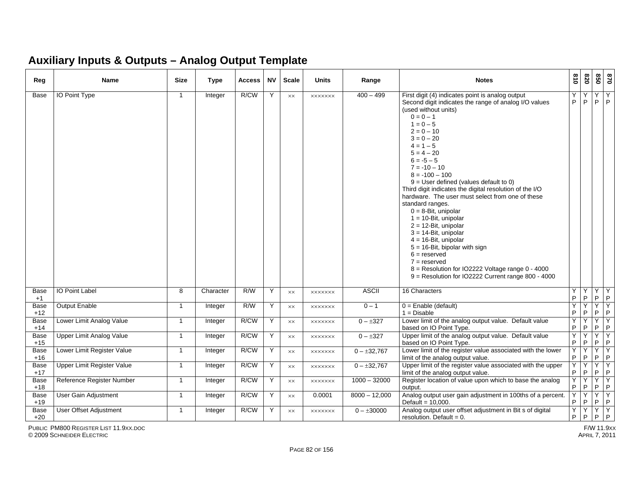#### **Auxiliary Inputs & Outputs – Analog Output Template**

| Reg                  | Name                            | <b>Size</b>  | Type           | <b>Access</b> | <b>NV</b> | <b>Scale</b>   | <b>Units</b>   | Range            | <b>Notes</b>                                                                                                                                                                                                                                                                                                                                                                                                                                                                                                                                                                                                                                                                                                                                                                                | $\frac{8}{10}$ | 078               | 058                | 0/8                  |
|----------------------|---------------------------------|--------------|----------------|---------------|-----------|----------------|----------------|------------------|---------------------------------------------------------------------------------------------------------------------------------------------------------------------------------------------------------------------------------------------------------------------------------------------------------------------------------------------------------------------------------------------------------------------------------------------------------------------------------------------------------------------------------------------------------------------------------------------------------------------------------------------------------------------------------------------------------------------------------------------------------------------------------------------|----------------|-------------------|--------------------|----------------------|
| Base                 | IO Point Type                   | $\mathbf{1}$ | Integer        | R/CW          | Y         | XX             | <b>XXXXXXX</b> | $400 - 499$      | First digit (4) indicates point is analog output<br>Second digit indicates the range of analog I/O values<br>(used without units)<br>$0 = 0 - 1$<br>$1 = 0 - 5$<br>$2 = 0 - 10$<br>$3 = 0 - 20$<br>$4 = 1 - 5$<br>$5 = 4 - 20$<br>$6 = -5 - 5$<br>$7 = -10 - 10$<br>$8 = -100 - 100$<br>$9$ = User defined (values default to 0)<br>Third digit indicates the digital resolution of the I/O<br>hardware. The user must select from one of these<br>standard ranges.<br>$0 = 8$ -Bit, unipolar<br>$1 = 10$ -Bit, unipolar<br>$2 = 12$ -Bit, unipolar<br>$3 = 14$ -Bit, unipolar<br>$4 = 16$ -Bit, unipolar<br>$5 = 16$ -Bit, bipolar with sign<br>$6 =$ reserved<br>$7 =$ reserved<br>8 = Resolution for IO2222 Voltage range 0 - 4000<br>9 = Resolution for IO2222 Current range 800 - 4000 | Y<br>P         | Υ<br>P            | Y<br>P             | Y<br>P               |
| <b>Base</b><br>$+1$  | IO Point Label                  | 8            | Character      | R/W           | Y         | $\times\times$ | <b>XXXXXXX</b> | <b>ASCII</b>     | 16 Characters                                                                                                                                                                                                                                                                                                                                                                                                                                                                                                                                                                                                                                                                                                                                                                               | Y<br>P.        | Y<br>$\mathsf P$  | Y<br>$P$ $P$       | Y                    |
| Base<br>$+12$        | <b>Output Enable</b>            | $\mathbf{1}$ | <b>Integer</b> | R/W           | Y         | $\times\times$ | <b>XXXXXXX</b> | $0 - 1$          | $0 =$ Enable (default)<br>$1 = Disable$                                                                                                                                                                                                                                                                                                                                                                                                                                                                                                                                                                                                                                                                                                                                                     | Ÿ<br>P         | Y<br>$\mathsf{P}$ | Y<br>$P$ $P$       | Y                    |
| Base<br>$+14$        | Lower Limit Analog Value        | $\mathbf{1}$ | Integer        | R/CW          | Y         | XX             | <b>XXXXXXX</b> | $0 - \pm 327$    | Lower limit of the analog output value. Default value<br>based on IO Point Type.                                                                                                                                                                                                                                                                                                                                                                                                                                                                                                                                                                                                                                                                                                            | Y<br>P         | Y<br>$\mathsf P$  | Y<br>P             | Y<br>P               |
| Base<br>$+15$        | <b>Upper Limit Analog Value</b> | $\mathbf{1}$ | Integer        | R/CW          | Y         | $\times\times$ | <b>XXXXXXX</b> | $0 - \pm 327$    | Upper limit of the analog output value. Default value<br>based on IO Point Type.                                                                                                                                                                                                                                                                                                                                                                                                                                                                                                                                                                                                                                                                                                            | Y<br>P         | Y<br>$\mathsf P$  | Y<br>P             | Y<br>$\mathsf{P}$    |
| <b>Base</b><br>$+16$ | Lower Limit Register Value      | $\mathbf{1}$ | Integer        | R/CW          | Y         | XX             | <b>XXXXXXX</b> | $0 - \pm 32,767$ | Lower limit of the register value associated with the lower<br>limit of the analog output value.                                                                                                                                                                                                                                                                                                                                                                                                                                                                                                                                                                                                                                                                                            | Ÿ<br>P         | Y<br>P            | Y<br>P             | Y<br>P               |
| Base<br>$+17$        | Upper Limit Register Value      | $\mathbf{1}$ | Integer        | R/CW          | Y         | XX             | xxxxxxx        | $0 - \pm 32,767$ | Upper limit of the register value associated with the upper<br>limit of the analog output value.                                                                                                                                                                                                                                                                                                                                                                                                                                                                                                                                                                                                                                                                                            | Υ<br>P         | Y<br>$\mathsf P$  | Y.<br>P            | Y<br>$\vert P \vert$ |
| Base<br>$+18$        | Reference Register Number       | $\mathbf{1}$ | Integer        | R/CW          | Y         | XX             | <b>XXXXXXX</b> | $1000 - 32000$   | Register location of value upon which to base the analog<br>output.                                                                                                                                                                                                                                                                                                                                                                                                                                                                                                                                                                                                                                                                                                                         | Y<br>P         | Y<br>$\mathsf P$  | YY<br>$P$ $P$      |                      |
| Base<br>$+19$        | <b>User Gain Adjustment</b>     | $\mathbf{1}$ | Integer        | R/CW          | Y         | $\times\times$ | 0.0001         | $8000 - 12,000$  | Analog output user gain adjustment in 100ths of a percent.<br>Default = $10,000$ .                                                                                                                                                                                                                                                                                                                                                                                                                                                                                                                                                                                                                                                                                                          | Y<br>P         | Y<br>P            | $Y$ $Y$<br>$P$ $P$ |                      |
| Base<br>$+20$        | User Offset Adjustment          | $\mathbf{1}$ | Integer        | R/CW          | Y         | $\times\times$ | <b>XXXXXXX</b> | $0 - \pm 30000$  | Analog output user offset adjustment in Bit s of digital<br>resolution. Default = $0$ .                                                                                                                                                                                                                                                                                                                                                                                                                                                                                                                                                                                                                                                                                                     | Y<br>P.        | Y<br>IP           | YY<br>$P$ $P$      |                      |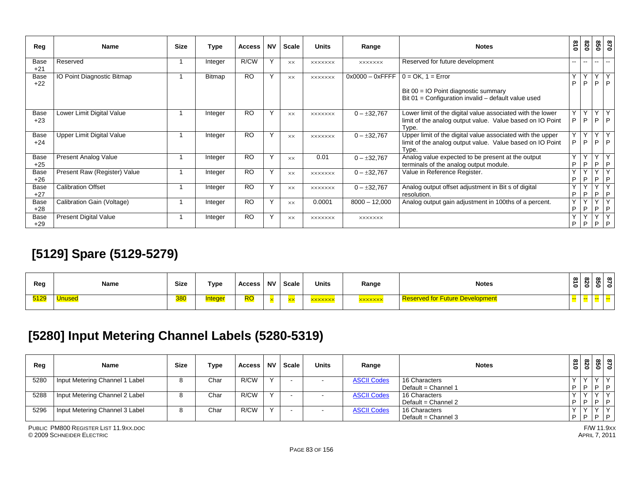| Reg           | <b>Name</b>                      | <b>Size</b> | Type    | <b>Access</b> | <b>NV</b>    | Scale     | <b>Units</b>   | Range              | <b>Notes</b>                                                                                                                     | 018                      | 078               | 098               | 078                         |
|---------------|----------------------------------|-------------|---------|---------------|--------------|-----------|----------------|--------------------|----------------------------------------------------------------------------------------------------------------------------------|--------------------------|-------------------|-------------------|-----------------------------|
| Base<br>$+21$ | Reserved                         |             | Integer | R/CW          | $\mathsf{v}$ | <b>XX</b> | <b>XXXXXXX</b> | <b>XXXXXXX</b>     | Reserved for future development                                                                                                  | $\overline{\phantom{a}}$ | $- -$             | $-1$              | $\overline{\phantom{a}}$    |
| Base<br>$+22$ | IO Point Diagnostic Bitmap       |             | Bitmap  | <b>RO</b>     | $\mathsf{v}$ | <b>XX</b> | <b>XXXXXXX</b> | $0x0000 - 0x$ FFFF | $0 = OK$ , $1 = Error$<br>Bit $00 = 10$ Point diagnostic summary<br>Bit $01$ = Configuration invalid – default value used        | Υ<br>P                   | Y<br>P            | $\checkmark$<br>P | Y<br> P                     |
| Base<br>$+23$ | Lower Limit Digital Value        |             | Integer | <b>RO</b>     | $\checkmark$ | <b>XX</b> | <b>XXXXXXX</b> | $0 - \pm 32,767$   | Lower limit of the digital value associated with the lower<br>limit of the analog output value. Value based on IO Point<br>Type. | Υ<br>P                   | Y<br>P            | $\checkmark$      | Y<br>$P$ $P$                |
| Base<br>$+24$ | <b>Upper Limit Digital Value</b> |             | Integer | <b>RO</b>     | $\mathsf{Y}$ | <b>XX</b> | <b>XXXXXXX</b> | $0 - \pm 32,767$   | Upper limit of the digital value associated with the upper<br>limit of the analog output value. Value based on IO Point<br>Type. | Y<br>P                   | Y<br>P            | Y                 | $ \overline{Y} $<br>$P$ $P$ |
| Base<br>$+25$ | <b>Present Analog Value</b>      |             | Integer | <b>RO</b>     | $\mathsf{Y}$ | <b>XX</b> | 0.01           | $0 - \pm 32,767$   | Analog value expected to be present at the output<br>terminals of the analog output module.                                      | Υ<br>P                   | Y<br>P            | $\checkmark$<br>P | Y<br> P                     |
| Base<br>$+26$ | Present Raw (Register) Value     |             | Integer | <b>RO</b>     | $\checkmark$ | <b>XX</b> | <b>XXXXXXX</b> | $0 - \pm 32,767$   | Value in Reference Register.                                                                                                     | $\checkmark$<br>P        | $\checkmark$<br>P | P                 | $\checkmark$<br> P          |
| Base<br>$+27$ | <b>Calibration Offset</b>        |             | Integer | <b>RO</b>     | Y            | <b>XX</b> | <b>XXXXXXX</b> | $0 - \pm 32,767$   | Analog output offset adjustment in Bit s of digital<br>resolution.                                                               | Y<br>P                   | Υ<br>P            | $\checkmark$<br>P | Y<br> P                     |
| Base<br>$+28$ | Calibration Gain (Voltage)       |             | Integer | <b>RO</b>     | Y            | <b>xx</b> | 0.0001         | $8000 - 12,000$    | Analog output gain adjustment in 100ths of a percent.                                                                            | Y<br>P                   | $\checkmark$<br>P | P                 | Y<br>P                      |
| Base<br>$+29$ | <b>Present Digital Value</b>     |             | Integer | <b>RO</b>     | $\checkmark$ | <b>XX</b> | <b>XXXXXXX</b> | <b>XXXXXXX</b>     |                                                                                                                                  | $\checkmark$<br>P        | Y<br>P            | $\sqrt{}$         | $\checkmark$<br>$P$   $P$   |

## **[5129] Spare (5129-5279)**

| Reg  | Name | <b>Size</b> | Type   | Access | <b>NV</b> | Scale | <b>Units</b>  | Range          | <b>Notes</b>                           | $\vec{a}$<br>$\bullet$ | - | ന<br>- - |  |
|------|------|-------------|--------|--------|-----------|-------|---------------|----------------|----------------------------------------|------------------------|---|----------|--|
| 5129 | iuse | 380         | nteaer | RO     |           |       | <b>xxxxxx</b> | <b>xxxxxxx</b> | <b>Reserved for Future Development</b> | <u>ee</u>              |   |          |  |

### **[5280] Input Metering Channel Labels (5280-5319)**

| Reg  | <b>Name</b>                    | <b>Size</b> | Type | <b>Access</b> | <b>NV</b> | Scale | Units | Range              | <b>Notes</b>        | $\frac{310}{2}$ | 820       |              | $\infty$ $\infty$<br>မြို့ ခြိ |
|------|--------------------------------|-------------|------|---------------|-----------|-------|-------|--------------------|---------------------|-----------------|-----------|--------------|--------------------------------|
| 5280 | Input Metering Channel 1 Label | o           | Char | R/CW          |           |       |       | <b>ASCII Codes</b> | 16 Characters       |                 | $\lambda$ |              |                                |
|      |                                |             |      |               |           |       |       |                    | Default = Channel 1 | D               |           | 1 D 1 D      |                                |
| 5288 | Input Metering Channel 2 Label | o           | Char | R/CW          |           |       |       | <b>ASCII Codes</b> | 16 Characters       |                 | $\lambda$ | $\mathbf{v}$ |                                |
|      |                                |             |      |               |           |       |       |                    | Default = Channel 2 | D               | D         | P            |                                |
| 5296 | Input Metering Channel 3 Label | ິ           | Char | R/CW          |           |       |       | <b>ASCII Codes</b> | 16 Characters       |                 | $\lambda$ |              |                                |
|      |                                |             |      |               |           |       |       |                    | Default = Channel 3 | D               | . P       | P P          |                                |

PUBLIC PM800 REGISTER LIST 11.9XX.DOC© 2009 SCHNEIDER ELECTRIC APRIL 7, 2011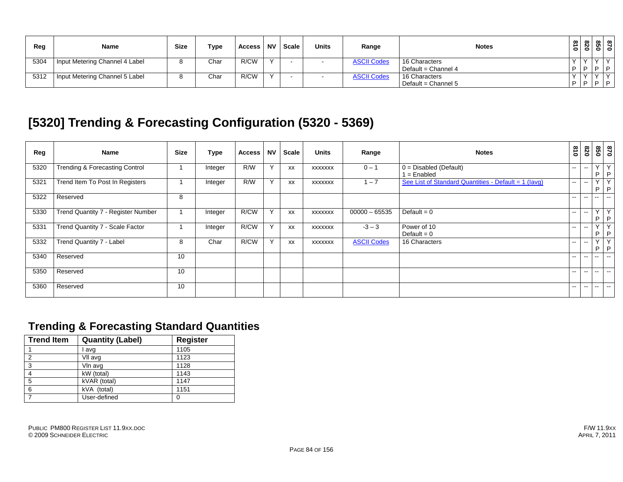| Reg  | <b>Name</b>                    | <b>Size</b> | Type | Access | <b>NV</b> | Scale | <b>Units</b> | Range              | <b>Notes</b>        | $\frac{3}{10}$ | $\infty$<br>ë | <b>UT</b> | $\infty$ $\infty$<br>Õ C |
|------|--------------------------------|-------------|------|--------|-----------|-------|--------------|--------------------|---------------------|----------------|---------------|-----------|--------------------------|
| 5304 | Input Metering Channel 4 Label |             | Char | R/CW   |           |       |              | <b>ASCII Codes</b> | 16 Characters       |                |               |           |                          |
|      |                                |             |      |        |           |       |              |                    | Default = Channel 4 | D              | D             |           | 1 D 1 D                  |
| 5312 | Input Metering Channel 5 Label |             | Char | R/CW   |           |       |              | <b>ASCII Codes</b> | 16 Characters       |                |               | $\lambda$ | $\checkmark$             |
|      |                                |             |      |        |           |       |              |                    | Default = Channel 5 | D              | P             |           | 1 D                      |

### **[5320] Trending & Forecasting Configuration (5320 - 5369)**

| Reg  | Name                                      | <b>Size</b> | Type    | <b>Access</b> | <b>NV</b> | Scale     | <b>Units</b>   | Range              | <b>Notes</b>                                         | $\overline{0}$           | 078                      | 09                       | 0/8                          |
|------|-------------------------------------------|-------------|---------|---------------|-----------|-----------|----------------|--------------------|------------------------------------------------------|--------------------------|--------------------------|--------------------------|------------------------------|
| 5320 | <b>Trending &amp; Forecasting Control</b> |             | Integer | R/W           | Y         | XX        | <b>XXXXXXX</b> | $0 - 1$            | $0 = Disabeled (Default)$<br>1 = Enabled             | $\overline{\phantom{a}}$ | $\overline{\phantom{a}}$ | $\vee$<br>P              | Y<br>$\mathsf{P}$            |
| 5321 | Trend Item To Post In Registers           |             | Integer | R/W           | Y         | <b>XX</b> | XXXXXXX        | $-7$               | See List of Standard Quantities - Default = 1 (lavg) | $\sim$                   | --                       | $\vee$<br>P              | $\overline{Y}$<br>P          |
| 5322 | Reserved                                  | 8           |         |               |           |           |                |                    |                                                      | $- -$                    | $\sim$ $\sim$            | $\overline{\phantom{a}}$ |                              |
| 5330 | Trend Quantity 7 - Register Number        |             | Integer | R/CW          | Y         | XX        | <b>XXXXXXX</b> | $00000 - 65535$    | Default = $0$                                        | $\sim$ $\sim$            | $-$                      | $\vee$<br>P              | Y<br>P                       |
| 5331 | Trend Quantity 7 - Scale Factor           |             | Integer | R/CW          | Y         | XX        | <b>XXXXXXX</b> | $-3 - 3$           | Power of 10<br>Default = $0$                         | $\sim$ $-$               | $-$                      | $\sqrt{}$<br>P           | $\overline{\mathsf{v}}$<br>P |
| 5332 | Trend Quantity 7 - Label                  | 8           | Char    | R/CW          | Y         | XX        | <b>XXXXXXX</b> | <b>ASCII Codes</b> | 16 Characters                                        | $- -$                    | $\sim$ $\sim$            | $\vee$<br>P.             | $\checkmark$<br>P            |
| 5340 | Reserved                                  | 10          |         |               |           |           |                |                    |                                                      | $- -$                    | $\sim$ $\sim$            | $\overline{\phantom{a}}$ |                              |
| 5350 | Reserved                                  | 10          |         |               |           |           |                |                    |                                                      | --                       | $\sim$ $\sim$            |                          | $\overline{\phantom{a}}$     |
| 5360 | Reserved                                  | 10          |         |               |           |           |                |                    |                                                      | $- -$                    | $\sim$ $\sim$            | $\overline{\phantom{a}}$ | $\sim$ $\sim$                |

#### **Trending & Forecasting Standard Quantities**

| <b>Trend Item</b> | <b>Quantity (Label)</b> | <b>Register</b> |
|-------------------|-------------------------|-----------------|
|                   | l avg                   | 1105            |
| 2                 | VII avg                 | 1123            |
| 3                 | Vin avg                 | 1128            |
| 4                 | kW (total)              | 1143            |
| 5                 | kVAR (total)            | 1147            |
| 6                 | kVA (total)             | 1151            |
|                   | User-defined            | 0               |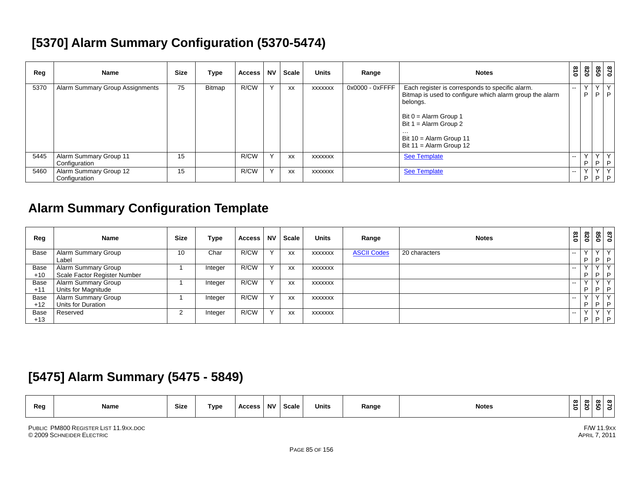### **[5370] Alarm Summary Configuration (5370-5474)**

| Reg  | <b>Name</b>                             | <b>Size</b> | Type   | <b>Access</b> | <b>NV</b>    | <b>Scale</b> | <b>Units</b>   | Range           | <b>Notes</b>                                                                                                                                                                                                                            | $\frac{3}{2}$ | 078          |              | 87<br>850        |
|------|-----------------------------------------|-------------|--------|---------------|--------------|--------------|----------------|-----------------|-----------------------------------------------------------------------------------------------------------------------------------------------------------------------------------------------------------------------------------------|---------------|--------------|--------------|------------------|
| 5370 | <b>Alarm Summary Group Assignments</b>  | 75          | Bitmap | R/CW          | $\checkmark$ | XX           | <b>XXXXXXX</b> | 0x0000 - 0xFFFF | Each register is corresponds to specific alarm.<br>Bitmap is used to configure which alarm group the alarm<br>belongs.<br>Bit $0 =$ Alarm Group 1<br>Bit $1 =$ Alarm Group 2<br>.<br>Bit 10 = Alarm Group 11<br>Bit 11 = Alarm Group 12 | $- -$         | $\vee$<br>P. |              | YY<br>$P$ $P$    |
| 5445 | Alarm Summary Group 11<br>Configuration | 15          |        | R/CW          | $\checkmark$ | <b>XX</b>    | <b>XXXXXXX</b> |                 | <b>See Template</b>                                                                                                                                                                                                                     | $\sim$ $\sim$ | P            | $\checkmark$ | Y<br>$P$ $P$     |
| 5460 | Alarm Summary Group 12<br>Configuration | 15          |        | R/CW          | $\checkmark$ | <b>XX</b>    | <b>XXXXXXX</b> |                 | <b>See Template</b>                                                                                                                                                                                                                     | $\sim$ $\sim$ | P.           | $\checkmark$ | . Y<br>$P$   $P$ |

#### **Alarm Summary Configuration Template**

| Reg   | Name                         | <b>Size</b> | Type    | <b>Access</b> | <b>NV</b>    | <b>Scale</b> | <b>Units</b>   | Range              | <b>Notes</b>  | 018           | 820       | <u>ទ្ធ</u><br>ខេ |              |
|-------|------------------------------|-------------|---------|---------------|--------------|--------------|----------------|--------------------|---------------|---------------|-----------|------------------|--------------|
| Base  | Alarm Summary Group          | 10          | Char    | R/CW          | $\sqrt{}$    | <b>XX</b>    | <b>XXXXXXX</b> | <b>ASCII Codes</b> | 20 characters | $\sim$ $\sim$ | $\sqrt{}$ | $\lambda$        | $\sqrt{}$    |
|       | Label                        |             |         |               |              |              |                |                    |               |               | P         | $P$   $P$        |              |
| Base  | Alarm Summary Group          |             | Integer | R/CW          | $\sqrt{}$    | XX           | <b>XXXXXXX</b> |                    |               | $\sim$ $\sim$ |           | $\sqrt{}$        | $\checkmark$ |
| $+10$ | Scale Factor Register Number |             |         |               |              |              |                |                    |               |               | P.        | P I              | $\mathsf{P}$ |
| Base  | Alarm Summary Group          |             | Integer | R/CW          | $\sqrt{}$    | XX           | XXXXXXX        |                    |               | $\sim$        |           | $\lambda$        | $\vee$       |
| $+11$ | Units for Magnitude          |             |         |               |              |              |                |                    |               |               | P         | $P$ $P$          |              |
| Base  | Alarm Summary Group          |             | Integer | R/CW          | $\checkmark$ | XX           | <b>XXXXXXX</b> |                    |               | $\sim$ $-$    |           |                  | $\checkmark$ |
| $+12$ | Units for Duration           |             |         |               |              |              |                |                    |               |               | P         | P.               | P            |
| Base  | Reserved                     |             | Integer | R/CW          | $\sqrt{}$    | XX           | <b>XXXXXXX</b> |                    |               | $\sim$ $\sim$ |           | $\lambda$        | $\checkmark$ |
| $+13$ |                              |             |         |               |              |              |                |                    |               |               | P         | $P$   $P$        |              |

#### **[5475] Alarm Summary (5475 - 5849)**

| Reg | Name                                  | <b>Size</b> | Type | <b>Access</b> | <b>NV</b> | <b>Scale</b> | <b>Units</b> | Range | <b>Notes</b> | $\infty$ $\infty$ $\mid$<br>∸ '<br>oö | N | ന<br>0     | $\infty$ |
|-----|---------------------------------------|-------------|------|---------------|-----------|--------------|--------------|-------|--------------|---------------------------------------|---|------------|----------|
|     | PUBLIC PM800 REGISTER LIST 11.9XX.DOC |             |      |               |           |              |              |       |              |                                       |   | F/W 11.9xx |          |

PUBLIC PM800 REGISTER LIST 11.9XX.DOC© 2009 SCHNEIDER ELECTRIC APRIL 7, 2011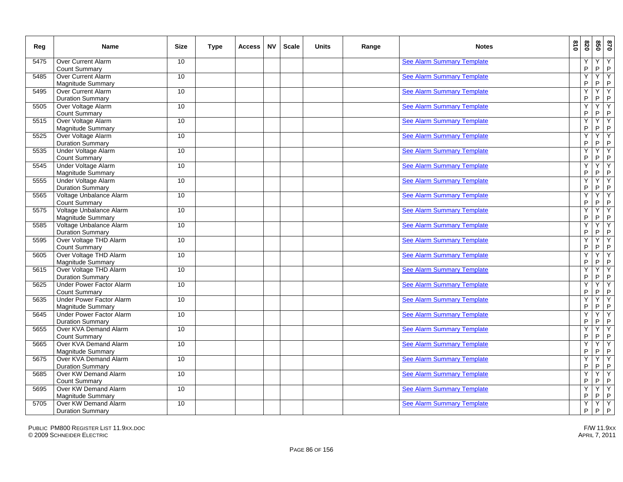| Reg  | <b>Name</b>                                                | <b>Size</b>      | Type | <b>Access</b> | <b>NV</b> | <b>Scale</b> | <b>Units</b> | Range | <b>Notes</b>                      | 018 | 078    |                  | 870<br>850                              |
|------|------------------------------------------------------------|------------------|------|---------------|-----------|--------------|--------------|-------|-----------------------------------|-----|--------|------------------|-----------------------------------------|
| 5475 | Over Current Alarm<br><b>Count Summary</b>                 | 10               |      |               |           |              |              |       | <b>See Alarm Summary Template</b> |     | Y<br>P | Υ<br>$\sf P$     | Y<br>$\mathsf P$                        |
| 5485 | Over Current Alarm<br>Magnitude Summary                    | 10               |      |               |           |              |              |       | <b>See Alarm Summary Template</b> |     | Y<br>P | Υ<br>P           | Y<br>$\sf P$                            |
| 5495 | Over Current Alarm<br><b>Duration Summary</b>              | 10 <sup>°</sup>  |      |               |           |              |              |       | <b>See Alarm Summary Template</b> |     | Ÿ<br>P | Υ<br>$\sf P$     | Y<br>$\sf P$                            |
| 5505 | Over Voltage Alarm<br>Count Summary                        | 10               |      |               |           |              |              |       | <b>See Alarm Summary Template</b> |     | Y<br>P | Y<br>${\sf P}$   | Y<br>$\sf P$                            |
| 5515 | Over Voltage Alarm<br><b>Magnitude Summary</b>             | 10 <sup>°</sup>  |      |               |           |              |              |       | <b>See Alarm Summary Template</b> |     | Y<br>P | Y<br>${\sf P}$   | Υ<br>$\overline{P}$                     |
| 5525 | Over Voltage Alarm<br><b>Duration Summary</b>              | 10 <sup>°</sup>  |      |               |           |              |              |       | <b>See Alarm Summary Template</b> |     | Y<br>P | Y<br>${\sf P}$   | Y<br>$\mathsf P$                        |
| 5535 | Under Voltage Alarm<br>Count Summary                       | 10               |      |               |           |              |              |       | <b>See Alarm Summary Template</b> |     | Y<br>P | Y<br>$\sf P$     | $\overline{Y}$<br>$\mathsf P$           |
| 5545 | Under Voltage Alarm<br>Magnitude Summary                   | 10 <sup>°</sup>  |      |               |           |              |              |       | <b>See Alarm Summary Template</b> |     | Ÿ<br>P | Υ<br>P           | Y<br>$\sf P$                            |
| 5555 | Under Voltage Alarm<br><b>Duration Summary</b>             | 10               |      |               |           |              |              |       | <b>See Alarm Summary Template</b> |     | Y<br>P | Υ<br>$\sf P$     | $\rightarrow$ $\sim$                    |
| 5565 | Voltage Unbalance Alarm<br>Count Summary                   | 10               |      |               |           |              |              |       | <b>See Alarm Summary Template</b> |     | Ÿ<br>P | Y<br>$\sf P$     | Y<br>$\overline{P}$                     |
| 5575 | Voltage Unbalance Alarm<br><b>Magnitude Summary</b>        | 10 <sup>10</sup> |      |               |           |              |              |       | <b>See Alarm Summary Template</b> |     | Y<br>P | Y<br>$\sf P$     | Υ<br>P                                  |
| 5585 | Voltage Unbalance Alarm<br><b>Duration Summary</b>         | 10               |      |               |           |              |              |       | <b>See Alarm Summary Template</b> |     | Ϋ<br>P | Ϋ<br>$\sf P$     | $\begin{array}{c}\nY \\ P\n\end{array}$ |
| 5595 | Over Voltage THD Alarm<br>Count Summary                    | 10               |      |               |           |              |              |       | <b>See Alarm Summary Template</b> |     | Ÿ<br>P | Y<br>P           | Y<br>$\sf P$                            |
| 5605 | Over Voltage THD Alarm<br>Magnitude Summary                | 10 <sup>°</sup>  |      |               |           |              |              |       | <b>See Alarm Summary Template</b> |     | Y<br>P | Υ<br>$\sf P$     | Y<br>$\mathsf P$                        |
| 5615 | Over Voltage THD Alarm<br>Duration Summary                 | 10 <sup>°</sup>  |      |               |           |              |              |       | <b>See Alarm Summary Template</b> |     | Y<br>P | Υ<br>P           | Y<br>$\mathsf P$                        |
| 5625 | <b>Under Power Factor Alarm</b><br><b>Count Summary</b>    | 10               |      |               |           |              |              |       | <b>See Alarm Summary Template</b> |     | Y<br>P | Υ<br>$\sf P$     | Y<br>$\mathsf P$                        |
| 5635 | <b>Under Power Factor Alarm</b><br>Magnitude Summary       | 10 <sup>°</sup>  |      |               |           |              |              |       | <b>See Alarm Summary Template</b> |     | Y<br>P | Y<br>$\sf P$     | Y<br>$\mathsf P$                        |
| 5645 | <b>Under Power Factor Alarm</b><br><b>Duration Summary</b> | 10 <sup>°</sup>  |      |               |           |              |              |       | <b>See Alarm Summary Template</b> |     | Y<br>P | Y<br>$\sf P$     | Y<br>$\mathsf P$                        |
| 5655 | Over KVA Demand Alarm<br><b>Count Summary</b>              | 10 <sup>°</sup>  |      |               |           |              |              |       | See Alarm Summary Template        |     | Υ<br>P | Y<br>P           | $\overline{Y}$<br>$\sf P$               |
| 5665 | Over KVA Demand Alarm<br><b>Magnitude Summary</b>          | 10 <sup>°</sup>  |      |               |           |              |              |       | <b>See Alarm Summary Template</b> |     | Ÿ<br>P | Υ<br>$\sf P$     | Y<br>$\overline{P}$                     |
| 5675 | Over KVA Demand Alarm<br><b>Duration Summary</b>           | 10               |      |               |           |              |              |       | <b>See Alarm Summary Template</b> |     | Ÿ<br>P | Υ<br>$\sf P$     | Y<br>$\overline{P}$                     |
| 5685 | Over KW Demand Alarm<br><b>Count Summary</b>               | 10               |      |               |           |              |              |       | <b>See Alarm Summary Template</b> |     | Υ<br>P | Υ<br>$\sf P$     | $\overline{Y}$<br>$\overline{P}$        |
| 5695 | Over KW Demand Alarm<br>Magnitude Summary                  | 10               |      |               |           |              |              |       | <b>See Alarm Summary Template</b> |     | Y<br>P | Υ<br>$\mathsf P$ | $\overline{Y}$<br>P                     |
| 5705 | Over KW Demand Alarm<br><b>Duration Summary</b>            | 10 <sup>°</sup>  |      |               |           |              |              |       | <b>See Alarm Summary Template</b> |     | Y<br>P | Y<br>$\sf P$     | $\overline{Y}$<br>$\mathsf P$           |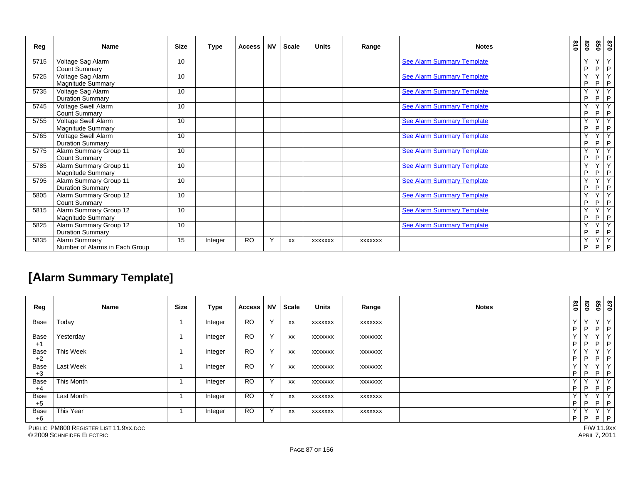| Reg  | <b>Name</b>                                        | <b>Size</b> | <b>Type</b> | <b>Access</b> | <b>NV</b> | <b>Scale</b> | <b>Units</b>   | Range          | <b>Notes</b>                      | 018 | 078      |                              | 870<br>850                     |
|------|----------------------------------------------------|-------------|-------------|---------------|-----------|--------------|----------------|----------------|-----------------------------------|-----|----------|------------------------------|--------------------------------|
| 5715 | Voltage Sag Alarm<br><b>Count Summary</b>          | 10          |             |               |           |              |                |                | See Alarm Summary Template        |     | Y.<br>P  | $\checkmark$<br>P            | Y<br>$\mathsf{P}$              |
| 5725 | Voltage Sag Alarm<br><b>Magnitude Summary</b>      | 10          |             |               |           |              |                |                | <b>See Alarm Summary Template</b> |     | Y.<br>P  | $\checkmark$<br>P            | Y<br>$\mathsf P$               |
| 5735 | Voltage Sag Alarm<br><b>Duration Summary</b>       | 10          |             |               |           |              |                |                | <b>See Alarm Summary Template</b> |     | Y<br>P   | $\overline{\mathsf{Y}}$<br>P | Y<br>$\mathsf P$               |
| 5745 | Voltage Swell Alarm<br><b>Count Summary</b>        | 10          |             |               |           |              |                |                | <b>See Alarm Summary Template</b> |     | Y<br>P   | Y<br>P                       | Y<br>$\mathsf{P}$              |
| 5755 | Voltage Swell Alarm<br><b>Magnitude Summary</b>    | 10          |             |               |           |              |                |                | <b>See Alarm Summary Template</b> |     | Y.<br>P  | Y<br>P                       | Y<br>$\mathsf P$               |
| 5765 | Voltage Swell Alarm<br><b>Duration Summary</b>     | 10          |             |               |           |              |                |                | <b>See Alarm Summary Template</b> |     | Y<br>P   | Y<br>P                       | Y<br>P                         |
| 5775 | Alarm Summary Group 11<br><b>Count Summary</b>     | 10          |             |               |           |              |                |                | <b>See Alarm Summary Template</b> |     | Y<br>P   | $\vee$<br>P                  | $\overline{Y}$<br>$\mathsf{P}$ |
| 5785 | Alarm Summary Group 11<br><b>Magnitude Summary</b> | 10          |             |               |           |              |                |                | <b>See Alarm Summary Template</b> |     | Υ<br>P   | P.                           | $\overline{Y}$<br>$\mathsf P$  |
| 5795 | Alarm Summary Group 11<br><b>Duration Summary</b>  | 10          |             |               |           |              |                |                | See Alarm Summary Template        |     | Y.<br>P  | $\checkmark$<br>P.           | Y<br>$\mathsf{P}$              |
| 5805 | Alarm Summary Group 12<br><b>Count Summary</b>     | 10          |             |               |           |              |                |                | <b>See Alarm Summary Template</b> |     | Υ<br>P   | Y<br>P                       | $\overline{Y}$<br>$\mathsf{P}$ |
| 5815 | Alarm Summary Group 12<br>Magnitude Summary        | 10          |             |               |           |              |                |                | <b>See Alarm Summary Template</b> |     | Y<br>P.  | Ÿ<br>P                       | Y<br>$\mathsf P$               |
| 5825 | Alarm Summary Group 12<br><b>Duration Summary</b>  | 10          |             |               |           |              |                |                | <b>See Alarm Summary Template</b> |     | Y.<br>P  | Y<br>P                       | $\overline{Y}$<br>P            |
| 5835 | Alarm Summary<br>Number of Alarms in Each Group    | 15          | Integer     | <b>RO</b>     | Y         | XX           | <b>XXXXXXX</b> | <b>XXXXXXX</b> |                                   |     | Y.<br>P. | Y<br>P                       | Y<br>$\mathsf P$               |

### **[Alarm Summary Template]**

| Reg          | <b>Name</b> | <b>Size</b> | Type    | <b>Access</b> | ΝV           | Scale | <b>Units</b> | Range          | <b>Notes</b> | 018                | 078                | 098             | 0/8                |
|--------------|-------------|-------------|---------|---------------|--------------|-------|--------------|----------------|--------------|--------------------|--------------------|-----------------|--------------------|
| Base         | Today       |             | Integer | <b>RO</b>     | $\checkmark$ | XX    | XXXXXXX      | XXXXXXX        |              | $\sqrt{}$<br>P     | $\vee$<br>P        | YY<br>P         | P                  |
| Base<br>$+1$ | Yesterday   |             | Integer | <b>RO</b>     | $\checkmark$ | XX    | XXXXXXX      | XXXXXXX        |              | $\checkmark$<br>P  | $\checkmark$<br>P. | YY<br>P         | P                  |
| Base<br>$+2$ | This Week   |             | Integer | <b>RO</b>     | $\checkmark$ | XX    | XXXXXXX      | XXXXXXX        |              | $\vee$<br>P        | $\checkmark$<br>P. | $\vee$<br>P     | ΓY.<br>$\mathsf P$ |
| Base<br>$+3$ | Last Week   |             | Integer | <b>RO</b>     | $\checkmark$ | XX    | XXXXXX       | XXXXXXX        |              | $\checkmark$<br>P  | $\sqrt{}$<br>P     | $\sqrt{}$<br>P. | Y<br>$\mathsf{P}$  |
| Base<br>$+4$ | This Month  |             | Integer | <b>RO</b>     | Y            | XX    | XXXXXXX      | <b>XXXXXXX</b> |              | $\checkmark$<br>P  | $\checkmark$<br>P  | YY<br>$P$ $P$   |                    |
| Base<br>$+5$ | Last Month  |             | Integer | <b>RO</b>     | Y            | XX    | XXXXXXX      | XXXXXXX        |              | $\checkmark$<br>P. | Y<br>P             | YY<br>P         | P                  |
| Base<br>$+6$ | This Year   |             | Integer | <b>RO</b>     | Y            | XX    | XXXXXXX      | XXXXXXX        |              | $\checkmark$<br>P  | $\checkmark$<br>P  | YY<br>$P$ $P$   |                    |

PUBLIC PM800 REGISTER LIST 11.9XX.DOC

© 2009 SCHNEIDER ELECTRIC APRIL 7, 2011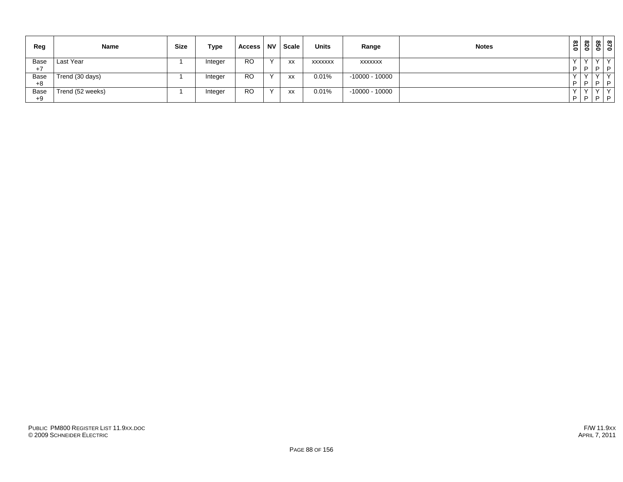| Reg  | <b>Name</b>      | <b>Size</b> | Type    | Access    | <b>NV</b>    | Scale                       | <b>Units</b>   | Range            | <b>Notes</b> | $\tilde{\mathbf{s}}$<br>$\bullet$ | $\infty$<br>N I<br>$\ddot{\bullet}$ | ທ                               | $\frac{87}{95}$ |
|------|------------------|-------------|---------|-----------|--------------|-----------------------------|----------------|------------------|--------------|-----------------------------------|-------------------------------------|---------------------------------|-----------------|
| Base | Last Year        |             | Integer | <b>RO</b> | $\checkmark$ | XX                          | <b>XXXXXXX</b> | <b>XXXXXXX</b>   |              |                                   |                                     |                                 | $\vee$          |
| $+7$ |                  |             |         |           |              |                             |                |                  |              | D                                 | P                                   | $\overline{ }$ D $\overline{ }$ | $\Box$          |
| Base | Trend (30 days)  |             | Integer | <b>RO</b> | $\checkmark$ | $\mathsf{v}\mathsf{v}$<br>ᄊ | 0.01%          | $-10000 - 10000$ |              |                                   |                                     |                                 | $\checkmark$    |
| $+8$ |                  |             |         |           |              |                             |                |                  |              | D                                 | D                                   | D                               | D.              |
| Base | Trend (52 weeks) |             | Integer | <b>RO</b> | $\sqrt{}$    | <b>XX</b>                   | 0.01%          | $-10000 - 10000$ |              |                                   |                                     |                                 | $\checkmark$    |
| $+9$ |                  |             |         |           |              |                             |                |                  |              | P                                 |                                     |                                 | $P$ $P$ $P$     |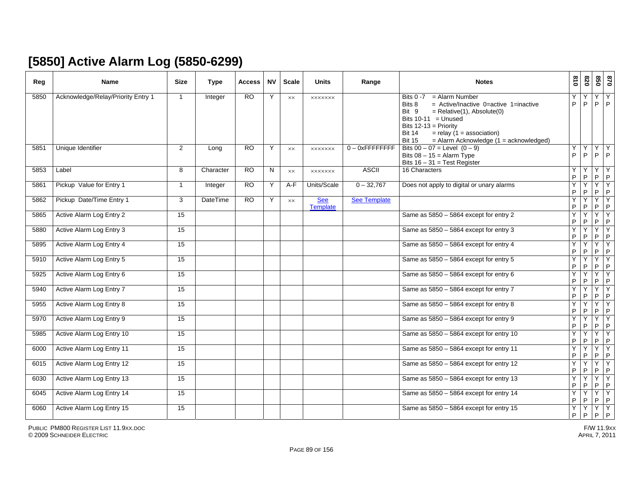# **[5850] Active Alarm Log (5850-6299)**

| Reg  | <b>Name</b>                        | <b>Size</b>     | <b>Type</b>     | Access          | <b>NV</b> | <b>Scale</b> | <b>Units</b>           | Range               | <b>Notes</b>                                                                                                                                                                                                                                                                                        | 810                 | 078                           | 850                       | 0/8               |
|------|------------------------------------|-----------------|-----------------|-----------------|-----------|--------------|------------------------|---------------------|-----------------------------------------------------------------------------------------------------------------------------------------------------------------------------------------------------------------------------------------------------------------------------------------------------|---------------------|-------------------------------|---------------------------|-------------------|
| 5850 | Acknowledge/Relay/Priority Entry 1 | $\overline{1}$  | Integer         | $\overline{RO}$ | Y         | <b>XX</b>    | <b>XXXXXXX</b>         |                     | <b>Bits 0 -7</b><br>$=$ Alarm Number<br>$=$ Active/Inactive 0=active 1=inactive<br>Bits 8<br>Bit 9<br>$=$ Relative(1), Absolute(0)<br>Bits $10-11$ = Unused<br>Bits $12-13$ = Priority<br><b>Bit 14</b><br>$=$ relay (1 = association)<br>$=$ Alarm Acknowledge (1 = acknowledged)<br><b>Bit 15</b> | P                   | P                             | Y<br>P                    | Y<br>P            |
| 5851 | Unique Identifier                  | $\overline{2}$  | Long            | <b>RO</b>       | Y         | XX           | <b>XXXXXXX</b>         | $0 - 0x$ FFFFFFFFF  | Bits $00 - 07$ = Level $(0 - 9)$<br>Bits $08 - 15 =$ Alarm Type<br>Bits $16 - 31 = Test Register$                                                                                                                                                                                                   | Υ<br>P              | Υ<br>P                        | Y<br>P                    | Y<br>$\mathsf{P}$ |
| 5853 | Label                              | 8               | Character       | <b>RO</b>       | N         | <b>XX</b>    | <b>XXXXXXX</b>         | <b>ASCII</b>        | 16 Characters                                                                                                                                                                                                                                                                                       | Υ<br>P              | $\mathsf{P}$                  | Y<br>P                    | Y<br>P            |
| 5861 | Pickup Value for Entry 1           | $\overline{1}$  | Integer         | <b>RO</b>       | Y         | A-F          | Units/Scale            | $0 - 32,767$        | Does not apply to digital or unary alarms                                                                                                                                                                                                                                                           | Y<br>P              | P                             | Y<br>P                    | Y<br>$\mathsf{P}$ |
| 5862 | Pickup Date/Time Entry 1           | 3               | <b>DateTime</b> | $\overline{RO}$ | Y         | <b>XX</b>    | <b>See</b><br>Template | <b>See Template</b> |                                                                                                                                                                                                                                                                                                     | Ÿ<br>P              | $\mathsf{P}$                  | Y<br>P                    | Y<br>$\sf P$      |
| 5865 | Active Alarm Log Entry 2           | 15              |                 |                 |           |              |                        |                     | Same as 5850 - 5864 except for entry 2                                                                                                                                                                                                                                                              | Y<br>P              | P                             | Y<br>P                    | Y<br>$\mathsf P$  |
| 5880 | Active Alarm Log Entry 3           | 15              |                 |                 |           |              |                        |                     | Same as 5850 - 5864 except for entry 3                                                                                                                                                                                                                                                              | Y<br>P              | Y<br>P                        | Y<br>P                    | Y<br>$\sf P$      |
| 5895 | Active Alarm Log Entry 4           | $\overline{15}$ |                 |                 |           |              |                        |                     | Same as 5850 - 5864 except for entry 4                                                                                                                                                                                                                                                              | Y<br>P              | Υ<br>P                        | Υ<br>P                    | Y<br>$\mathsf P$  |
| 5910 | Active Alarm Log Entry 5           | 15              |                 |                 |           |              |                        |                     | Same as 5850 - 5864 except for entry 5                                                                                                                                                                                                                                                              | $\overline{Y}$<br>P | Y<br>P                        | Y<br>P                    | Y<br>$\mathsf P$  |
| 5925 | Active Alarm Log Entry 6           | $\overline{15}$ |                 |                 |           |              |                        |                     | Same as $5850 - 5864$ except for entry 6                                                                                                                                                                                                                                                            | Y<br>P              | ٧<br>P                        | Y<br>P                    | Y<br>$\mathsf P$  |
| 5940 | Active Alarm Log Entry 7           | 15              |                 |                 |           |              |                        |                     | Same as 5850 - 5864 except for entry 7                                                                                                                                                                                                                                                              | Y<br>P              | P                             | Y<br>P                    | Y<br>$\mathsf P$  |
| 5955 | Active Alarm Log Entry 8           | 15              |                 |                 |           |              |                        |                     | Same as 5850 - 5864 except for entry 8                                                                                                                                                                                                                                                              | Y<br>P              | Y<br>P                        | Y<br>P                    | Y<br>$\mathsf P$  |
| 5970 | Active Alarm Log Entry 9           | 15              |                 |                 |           |              |                        |                     | Same as 5850 - 5864 except for entry 9                                                                                                                                                                                                                                                              | Y<br>P              | Υ<br>P                        | Y<br>$P$ $P$              | Y                 |
| 5985 | Active Alarm Log Entry 10          | 15              |                 |                 |           |              |                        |                     | Same as 5850 - 5864 except for entry 10                                                                                                                                                                                                                                                             | Y<br>P              | Y<br>$\mathsf{P}$             | Y<br>P                    | Y<br>$\mathsf{P}$ |
| 6000 | Active Alarm Log Entry 11          | 15              |                 |                 |           |              |                        |                     | Same as 5850 - 5864 except for entry 11                                                                                                                                                                                                                                                             | Y<br>P              | Y<br>P                        | Y<br>P                    | Y<br>P            |
| 6015 | Active Alarm Log Entry 12          | $\overline{15}$ |                 |                 |           |              |                        |                     | Same as 5850 - 5864 except for entry 12                                                                                                                                                                                                                                                             | Y<br>P              | P                             | Y<br>P                    | Y<br>$\mathsf P$  |
| 6030 | Active Alarm Log Entry 13          | 15              |                 |                 |           |              |                        |                     | Same as 5850 - 5864 except for entry 13                                                                                                                                                                                                                                                             | Y<br>P              | Y<br>P                        | Y<br>P                    | Y<br>$\mathsf P$  |
| 6045 | Active Alarm Log Entry 14          | 15              |                 |                 |           |              |                        |                     | Same as 5850 - 5864 except for entry 14                                                                                                                                                                                                                                                             | Y<br>P.             | Υ<br>P                        | $\overline{Y}$<br>$P$ $P$ | Y                 |
| 6060 | Active Alarm Log Entry 15          | 15              |                 |                 |           |              |                        |                     | Same as 5850 - 5864 except for entry 15                                                                                                                                                                                                                                                             | Y<br>P              | $\overline{Y}$<br>$\mathsf P$ | $\overline{Y}$<br>$P$ $P$ | Y                 |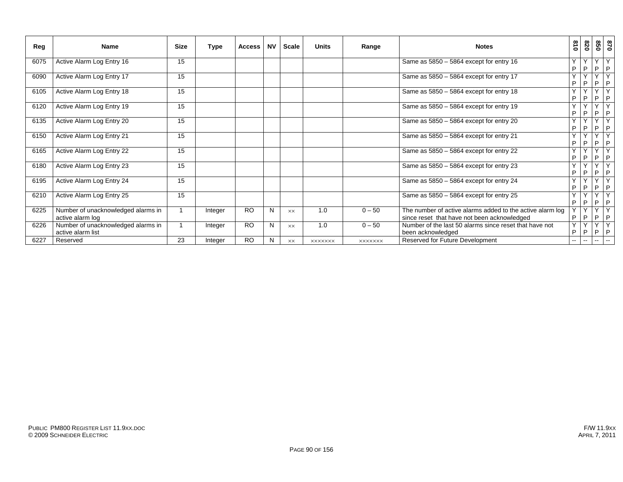| Reg  | Name                                                    | <b>Size</b> | <b>Type</b> | <b>Access</b> | ΝV | Scale     | <b>Units</b>   | Range          | <b>Notes</b>                                                                                             | 018                      | 820                           | 850                          | 0/8                           |
|------|---------------------------------------------------------|-------------|-------------|---------------|----|-----------|----------------|----------------|----------------------------------------------------------------------------------------------------------|--------------------------|-------------------------------|------------------------------|-------------------------------|
| 6075 | Active Alarm Log Entry 16                               | 15          |             |               |    |           |                |                | Same as $5850 - 5864$ except for entry 16                                                                | $\checkmark$<br>P        | P                             | $\mathsf{v}$<br>P            | I P                           |
| 6090 | Active Alarm Log Entry 17                               | 15          |             |               |    |           |                |                | Same as 5850 - 5864 except for entry 17                                                                  | Y<br>P                   | $\overline{\phantom{a}}$<br>P | Y<br>P                       | Y<br>P                        |
| 6105 | Active Alarm Log Entry 18                               | 15          |             |               |    |           |                |                | Same as 5850 - 5864 except for entry 18                                                                  | Y<br>P                   | $\overline{\phantom{a}}$<br>P | $\overline{\mathsf{v}}$<br>P | $\overline{\mathsf{v}}$<br> P |
| 6120 | Active Alarm Log Entry 19                               | 15          |             |               |    |           |                |                | Same as $5850 - 5864$ except for entry 19                                                                | Y<br>P                   | P                             | Y<br>P                       | I P                           |
| 6135 | Active Alarm Log Entry 20                               | 15          |             |               |    |           |                |                | Same as $5850 - 5864$ except for entry 20                                                                | $\checkmark$<br>P        | $\checkmark$<br>P             | Y<br>P                       | Y<br>P                        |
| 6150 | Active Alarm Log Entry 21                               | 15          |             |               |    |           |                |                | Same as 5850 - 5864 except for entry 21                                                                  | Y<br>P                   | P                             | $\checkmark$<br>P            | $\vee$<br> P                  |
| 6165 | Active Alarm Log Entry 22                               | 15          |             |               |    |           |                |                | Same as 5850 - 5864 except for entry 22                                                                  | Y<br>P                   | P                             | Y<br>P                       | $\sqrt{}$<br>P                |
| 6180 | Active Alarm Log Entry 23                               | 15          |             |               |    |           |                |                | Same as $5850 - 5864$ except for entry 23                                                                | $\checkmark$<br>P        | $\overline{\phantom{a}}$<br>P | Y<br>P                       | I P                           |
| 6195 | Active Alarm Log Entry 24                               | 15          |             |               |    |           |                |                | Same as $5850 - 5864$ except for entry 24                                                                | Y<br>$\mathsf{P}$        | $\checkmark$<br>P             | $\mathsf{v}$<br>P            | $\checkmark$<br> P            |
| 6210 | Active Alarm Log Entry 25                               | 15          |             |               |    |           |                |                | Same as $5850 - 5864$ except for entry 25                                                                | Y<br>P                   | v<br>P                        | Y<br>P                       | Y<br> P                       |
| 6225 | Number of unacknowledged alarms in<br>active alarm log  |             | Integer     | <b>RO</b>     | N  | <b>XX</b> | 1.0            | $0 - 50$       | The number of active alarms added to the active alarm log<br>since reset that have not been acknowledged | P                        | $\overline{\mathbf{v}}$<br>P  | Y<br>P                       | Y<br>I P                      |
| 6226 | Number of unacknowledged alarms in<br>active alarm list |             | Integer     | <b>RO</b>     | N  | <b>XX</b> | 1.0            | $0 - 50$       | Number of the last 50 alarms since reset that have not<br>been acknowledged                              | Y<br>P                   | $\checkmark$<br>P             | Y<br>P                       | Y<br> P                       |
| 6227 | Reserved                                                | 23          | Integer     | <b>RO</b>     | N  | <b>XX</b> | <b>XXXXXXX</b> | <b>XXXXXXX</b> | Reserved for Future Development                                                                          | $\overline{\phantom{a}}$ | $\overline{\phantom{a}}$      | $\sim$                       | $ -$                          |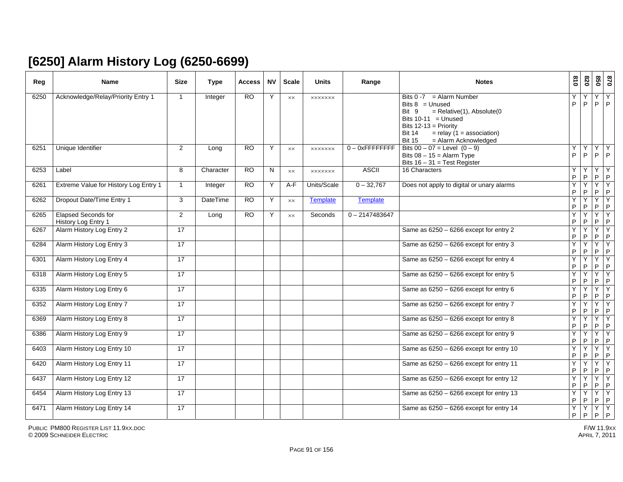## **[6250] Alarm History Log (6250-6699)**

| Reg  | <b>Name</b>                                       | <b>Size</b>     | <b>Type</b>     | Access          | <b>NV</b> | <b>Scale</b>   | <b>Units</b>    | Range              | <b>Notes</b>                                                                                                                                                                                                                                   | $\frac{8}{10}$   | 078    | 850                 | 028                  |
|------|---------------------------------------------------|-----------------|-----------------|-----------------|-----------|----------------|-----------------|--------------------|------------------------------------------------------------------------------------------------------------------------------------------------------------------------------------------------------------------------------------------------|------------------|--------|---------------------|----------------------|
| 6250 | Acknowledge/Relay/Priority Entry 1                | $\overline{1}$  | Integer         | RO              | Y         | <b>XX</b>      | <b>XXXXXXX</b>  |                    | $=$ Alarm Number<br><b>Bits 0 -7</b><br>Bits $8 =$ Unused<br>$=$ Relative(1), Absolute(0<br>Bit 9<br>Bits $10-11$ = Unused<br>Bits $12-13$ = Priority<br><b>Bit 14</b><br>$=$ relay (1 = association)<br>= Alarm Acknowledged<br><b>Bit 15</b> | P                | P      | Υ<br>P              | Υ<br>$\mathsf{P}$    |
| 6251 | Unique Identifier                                 | 2               | Long            | RO              | Y         | XX             | <b>XXXXXXX</b>  | $0 - 0x$ FFFFFFFFF | Bits $00 - 07$ = Level $(0 - 9)$<br>Bits $08 - 15 =$ Alarm Type<br>Bits $16 - 31$ = Test Register                                                                                                                                              | Υ<br>P           | Y<br>P | Υ<br>P.             | Y<br>P               |
| 6253 | Label                                             | 8               | Character       | $\overline{RO}$ | N         | $\times\times$ | <b>XXXXXXX</b>  | <b>ASCII</b>       | 16 Characters                                                                                                                                                                                                                                  | Y<br>P           | P      | Υ<br>P.             | Υ<br>$\vert P \vert$ |
| 6261 | Extreme Value for History Log Entry 1             | $\overline{1}$  | Integer         | <b>RO</b>       | Y         | $A-F$          | Units/Scale     | $0 - 32,767$       | Does not apply to digital or unary alarms                                                                                                                                                                                                      | Y<br>P           | Y<br>P | $\overline{Y}$<br>P | Y<br>$\mathsf{P}$    |
| 6262 | Dropout Date/Time Entry 1                         | 3               | <b>DateTime</b> | <b>RO</b>       | Y         | <b>XX</b>      | <b>Template</b> | <b>Template</b>    |                                                                                                                                                                                                                                                | Y<br>P           | Y<br>P | Y<br>P              | Y<br>$\mathsf{P}$    |
| 6265 | <b>Elapsed Seconds for</b><br>History Log Entry 1 | $\overline{2}$  | Long            | RO              | Y         | <b>XX</b>      | Seconds         | $0 - 2147483647$   |                                                                                                                                                                                                                                                | Y<br>P           | Υ<br>P | Υ<br>P              | Υ<br>P               |
| 6267 | Alarm History Log Entry 2                         | 17              |                 |                 |           |                |                 |                    | Same as $6250 - 6266$ except for entry 2                                                                                                                                                                                                       | Y<br>P           | Y<br>P | Y<br>${\sf P}$      | Y<br>$\mathsf P$     |
| 6284 | Alarm History Log Entry 3                         | 17              |                 |                 |           |                |                 |                    | Same as $6250 - 6266$ except for entry 3                                                                                                                                                                                                       | Y<br>P           | Υ<br>P | Y<br>P              | Y<br>$\mathsf P$     |
| 6301 | Alarm History Log Entry 4                         | 17              |                 |                 |           |                |                 |                    | Same as 6250 - 6266 except for entry 4                                                                                                                                                                                                         | Y<br>P           | Y<br>P | Y<br>P              | Y<br>P               |
| 6318 | Alarm History Log Entry 5                         | 17              |                 |                 |           |                |                 |                    | Same as $6250 - 6266$ except for entry 5                                                                                                                                                                                                       | Y<br>P           | Y<br>P | Y<br>P              | Y<br>$\mathsf{P}$    |
| 6335 | Alarm History Log Entry 6                         | $\overline{17}$ |                 |                 |           |                |                 |                    | Same as $6250 - 6266$ except for entry 6                                                                                                                                                                                                       | Y<br>P           | Υ<br>P | Υ<br>P              | Y<br>$\sf P$         |
| 6352 | Alarm History Log Entry 7                         | 17              |                 |                 |           |                |                 |                    | Same as 6250 - 6266 except for entry 7                                                                                                                                                                                                         | Υ<br>$\mathsf P$ | Y<br>P | Y<br>P              | Y<br>$\mathsf P$     |
| 6369 | Alarm History Log Entry 8                         | $\overline{17}$ |                 |                 |           |                |                 |                    | Same as 6250 - 6266 except for entry 8                                                                                                                                                                                                         | Y<br>P           | Y<br>P | Y<br>P              | Υ<br>$\mathsf P$     |
| 6386 | Alarm History Log Entry 9                         | 17              |                 |                 |           |                |                 |                    | Same as $6250 - 6266$ except for entry 9                                                                                                                                                                                                       | Y<br>P           | Y<br>P | Y<br>P              | Y<br>$\mathsf P$     |
| 6403 | Alarm History Log Entry 10                        | 17              |                 |                 |           |                |                 |                    | Same as $6250 - 6266$ except for entry 10                                                                                                                                                                                                      | Y<br>P           | Y<br>P | Y<br>P              | Y<br>P               |
| 6420 | Alarm History Log Entry 11                        | $\overline{17}$ |                 |                 |           |                |                 |                    | Same as 6250 - 6266 except for entry 11                                                                                                                                                                                                        | Y<br>P           | Y<br>P | Y<br>P              | Y<br>$\sf P$         |
| 6437 | Alarm History Log Entry 12                        | 17              |                 |                 |           |                |                 |                    | Same as 6250 - 6266 except for entry 12                                                                                                                                                                                                        | Y<br>$\mathsf P$ | Y<br>P | Y<br>${\sf P}$      | Y<br>$\mathsf P$     |
| 6454 | Alarm History Log Entry 13                        | $\overline{17}$ |                 |                 |           |                |                 |                    | Same as $6250 - 6266$ except for entry 13                                                                                                                                                                                                      | Y<br>P           | Y<br>P | Υ<br>P.             | Y<br>P               |
| 6471 | Alarm History Log Entry 14                        | 17              |                 |                 |           |                |                 |                    | Same as $6250 - 6266$ except for entry 14                                                                                                                                                                                                      | Y<br>P           | Y<br>P | Y<br>P.             | Y<br>$\mathsf P$     |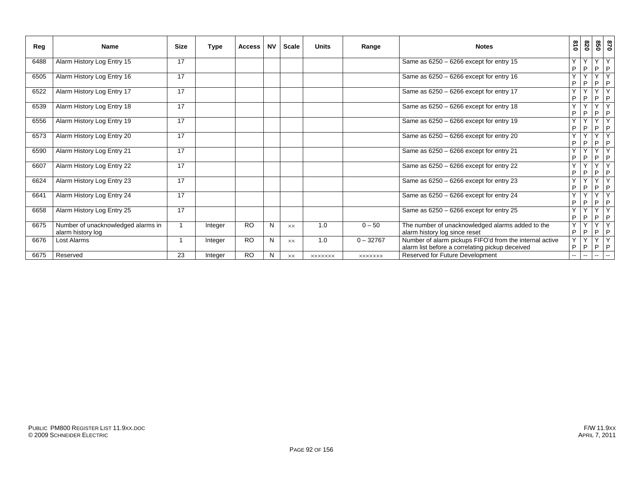| Reg  | Name                                                    | <b>Size</b> | Type    | <b>Access</b> | <b>NV</b> | Scale     | <b>Units</b>   | Range          | <b>Notes</b>                                                                                               | 018                      | 078                           | 028                       | 0/8                 |
|------|---------------------------------------------------------|-------------|---------|---------------|-----------|-----------|----------------|----------------|------------------------------------------------------------------------------------------------------------|--------------------------|-------------------------------|---------------------------|---------------------|
| 6488 | Alarm History Log Entry 15                              | 17          |         |               |           |           |                |                | Same as $6250 - 6266$ except for entry 15                                                                  | Y<br>P                   | $\checkmark$<br>P             | Y<br>P                    | Y<br>P              |
| 6505 | Alarm History Log Entry 16                              | 17          |         |               |           |           |                |                | Same as $6250 - 6266$ except for entry 16                                                                  | Y<br>P                   | $\cdot$<br>P                  | Y<br>P                    | Y<br>P              |
| 6522 | Alarm History Log Entry 17                              | 17          |         |               |           |           |                |                | Same as 6250 - 6266 except for entry 17                                                                    | $\checkmark$<br>P        | $\overline{\phantom{a}}$<br>P | Y<br>P                    | $\overline{Y}$<br>P |
| 6539 | Alarm History Log Entry 18                              | 17          |         |               |           |           |                |                | Same as 6250 - 6266 except for entry 18                                                                    | Y<br>P                   | $\checkmark$<br>P             | Y<br>P                    | Y<br>P              |
| 6556 | Alarm History Log Entry 19                              | 17          |         |               |           |           |                |                | Same as 6250 - 6266 except for entry 19                                                                    | $\checkmark$<br>P        | $\checkmark$<br>P             | Y<br>P                    | Y<br>P              |
| 6573 | Alarm History Log Entry 20                              | 17          |         |               |           |           |                |                | Same as 6250 - 6266 except for entry 20                                                                    | $\checkmark$<br>P        | $\overline{\phantom{a}}$<br>P | $\mathsf{v}$<br>P         | Y<br>P              |
| 6590 | Alarm History Log Entry 21                              | 17          |         |               |           |           |                |                | Same as $6250 - 6266$ except for entry 21                                                                  | $\checkmark$<br>P        | $\overline{\phantom{a}}$<br>P | Y<br>P                    | Y<br>P              |
| 6607 | Alarm History Log Entry 22                              | 17          |         |               |           |           |                |                | Same as $6250 - 6266$ except for entry 22                                                                  | $\checkmark$<br>P        | $\overline{\phantom{a}}$<br>P | Y<br>P                    | Y<br>I P            |
| 6624 | Alarm History Log Entry 23                              | 17          |         |               |           |           |                |                | Same as 6250 - 6266 except for entry 23                                                                    | $\checkmark$<br>P        | P                             | Y<br>P                    | Y<br>I P            |
| 6641 | Alarm History Log Entry 24                              | 17          |         |               |           |           |                |                | Same as $6250 - 6266$ except for entry 24                                                                  | Y<br>P                   | $\checkmark$<br>P             | Y<br>P                    | Y<br>I P            |
| 6658 | Alarm History Log Entry 25                              | 17          |         |               |           |           |                |                | Same as 6250 - 6266 except for entry 25                                                                    | Y<br>P                   | $\checkmark$<br>P             | $\mathsf{v}$<br>P         | Y<br> P             |
| 6675 | Number of unacknowledged alarms in<br>alarm history log |             | Integer | <b>RO</b>     | N         | <b>XX</b> | 1.0            | $0 - 50$       | The number of unacknowledged alarms added to the<br>alarm history log since reset                          | Y<br>$\mathsf{P}$        | $\checkmark$<br>P             | Y<br>P                    | Y<br>I P            |
| 6676 | Lost Alarms                                             |             | Integer | <b>RO</b>     | N         | <b>XX</b> | 1.0            | $0 - 32767$    | Number of alarm pickups FIFO'd from the internal active<br>alarm list before a correlating pickup deceived | Y<br>P                   | $\checkmark$<br>P             | Y<br>P                    | Y<br>I P            |
| 6675 | Reserved                                                | 23          | Integer | <b>RO</b>     | N         | XX        | <b>XXXXXXX</b> | <b>XXXXXXX</b> | Reserved for Future Development                                                                            | $\overline{\phantom{a}}$ | -−                            | $\mathbb{H}^{\mathbb{Z}}$ | $\sim$              |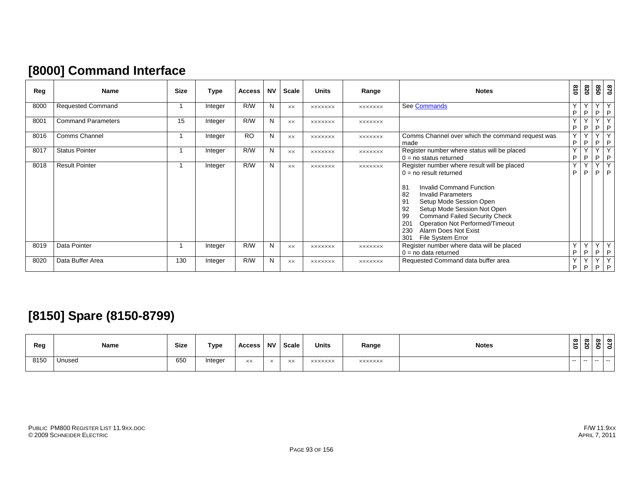# **[8000] Command Interface**

| Reg  | <b>Name</b>               | <b>Size</b> | Type    | <b>Access</b> | <b>NV</b> | <b>Scale</b> | <b>Units</b>   | Range          | <b>Notes</b>                                                                                                                                                                                                                                                                                                                                                                      | 018         | 078     | 098             | 0/8                          |
|------|---------------------------|-------------|---------|---------------|-----------|--------------|----------------|----------------|-----------------------------------------------------------------------------------------------------------------------------------------------------------------------------------------------------------------------------------------------------------------------------------------------------------------------------------------------------------------------------------|-------------|---------|-----------------|------------------------------|
| 8000 | <b>Requested Command</b>  |             | Integer | R/W           | N         | XX           | <b>XXXXXXX</b> | <b>XXXXXXX</b> | See Commands                                                                                                                                                                                                                                                                                                                                                                      | Y<br>P      | Y<br>P  | $\vee$<br>P.    | P                            |
| 8001 | <b>Command Parameters</b> | 15          | Integer | R/W           | N         | <b>XX</b>    | <b>XXXXXXX</b> | <b>XXXXXXX</b> |                                                                                                                                                                                                                                                                                                                                                                                   | Y<br>P.     | Y<br>P  | $\sqrt{}$<br>P. | $\sqrt{}$<br>P               |
| 8016 | <b>Comms Channel</b>      |             | Integer | <b>RO</b>     | N         | <b>XX</b>    | <b>XXXXXXX</b> | <b>XXXXXXX</b> | Comms Channel over which the command request was<br>made                                                                                                                                                                                                                                                                                                                          | Y<br>P      | Y<br>P  | $\vee$<br>P.    | $\vee$<br>P                  |
| 8017 | <b>Status Pointer</b>     |             | Integer | R/W           | N         | <b>XX</b>    | <b>XXXXXXX</b> | <b>XXXXXXX</b> | Register number where status will be placed<br>$0 = no$ status returned                                                                                                                                                                                                                                                                                                           | $\vee$<br>P | Y<br>P. | $\vee$<br>P.    | $\overline{\mathsf{v}}$<br>P |
| 8018 | <b>Result Pointer</b>     |             | Integer | R/W           | N         | <b>XX</b>    | <b>XXXXXXX</b> | <b>XXXXXXX</b> | Register number where result will be placed<br>$0 = no$ result returned<br>81<br>Invalid Command Function<br>82<br><b>Invalid Parameters</b><br>91<br>Setup Mode Session Open<br>92<br>Setup Mode Session Not Open<br>99<br><b>Command Failed Security Check</b><br>20 <sup>2</sup><br>Operation Not Performed/Timeout<br>230<br>Alarm Does Not Exist<br>301<br>File System Error | Y<br>P      | Y<br>P  | $\vee$<br>P     | $\overline{Y}$<br>P          |
| 8019 | Data Pointer              |             | Integer | R/W           | N         | XX           | <b>XXXXXXX</b> | <b>XXXXXXX</b> | Register number where data will be placed<br>$0 = no$ data returned                                                                                                                                                                                                                                                                                                               | Y<br>P      | Y<br>P  | Y<br>P.         | Y<br>P                       |
| 8020 | Data Buffer Area          | 130         | Integer | R/W           | N         | <b>XX</b>    | <b>XXXXXXX</b> | <b>XXXXXXX</b> | Requested Command data buffer area                                                                                                                                                                                                                                                                                                                                                | Y<br>P      | Y<br>P  | $\vee$<br>P     | Y<br>P                       |

# **[8150] Spare (8150-8799)**

| Reg  | Name   | <b>Size</b> | Type    | Access         | <b>NV</b> | Scale | <b>Units</b><br>$ -$ | Range          | <b>Notes</b> | 018   | $\infty$<br>N. | 0 | ∣∞<br>c |
|------|--------|-------------|---------|----------------|-----------|-------|----------------------|----------------|--------------|-------|----------------|---|---------|
| 8150 | Unused | 650         | Integer | $\times\times$ | $\times$  | XX    | <b>XXXXXXX</b>       | <b>XXXXXXX</b> |              | $- -$ | .              |   |         |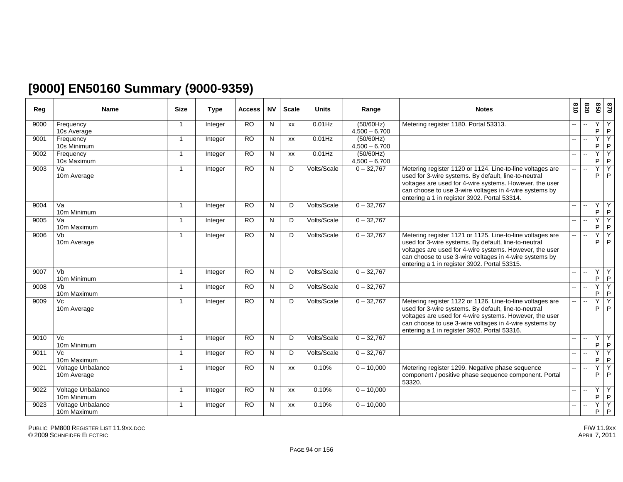# **[9000] EN50160 Summary (9000-9359)**

| Reg  | Name                             | <b>Size</b>          | <b>Type</b> | <b>Access</b>   | <b>NV</b>    | <b>Scale</b> | <b>Units</b> | Range                        | <b>Notes</b>                                                                                                                                                                                                                                                                           | 018                      | 078                      | 850     | 028                 |
|------|----------------------------------|----------------------|-------------|-----------------|--------------|--------------|--------------|------------------------------|----------------------------------------------------------------------------------------------------------------------------------------------------------------------------------------------------------------------------------------------------------------------------------------|--------------------------|--------------------------|---------|---------------------|
| 9000 | Frequency<br>10s Average         | $\mathbf{1}$         | Integer     | $\overline{RO}$ | N            | <b>XX</b>    | $0.01$ Hz    | (50/60Hz)<br>$4.500 - 6.700$ | Metering register 1180. Portal 53313.                                                                                                                                                                                                                                                  | $\overline{\phantom{a}}$ | $\overline{\phantom{a}}$ | Y<br>P  | Y<br>$\mathsf{P}$   |
| 9001 | Frequency<br>10s Minimum         | 1                    | Integer     | <b>RO</b>       | N            | XX           | $0.01$ Hz    | (50/60Hz)<br>$4.500 - 6.700$ |                                                                                                                                                                                                                                                                                        | -−                       | $\mathbf{u}$             | Y<br>P  | Y<br>P              |
| 9002 | Frequency<br>10s Maximum         | $\mathbf 1$          | Integer     | <b>RO</b>       | N            | <b>XX</b>    | $0.01$ Hz    | (50/60Hz)<br>$4,500 - 6,700$ |                                                                                                                                                                                                                                                                                        | -−                       | $\sim$                   | Y<br>P  | Y<br>$\mathsf{P}$   |
| 9003 | Va<br>10m Average                | $\mathbf{1}$         | Integer     | $\overline{RO}$ | N            | D            | Volts/Scale  | $0 - 32,767$                 | Metering register 1120 or 1124. Line-to-line voltages are<br>used for 3-wire systems. By default, line-to-neutral<br>voltages are used for 4-wire systems. However, the user<br>can choose to use 3-wire voltages in 4-wire systems by<br>entering a 1 in register 3902. Portal 53314. | --                       | $\sim$                   | Y<br>P  | Y<br>P              |
| 9004 | Va<br>10m Minimum                | 1                    | Integer     | $\overline{RO}$ | N            | D            | Volts/Scale  | $0 - 32,767$                 |                                                                                                                                                                                                                                                                                        |                          | $\mathbf{u}$             | Y<br>P. | Y<br>$\mathsf P$    |
| 9005 | Va<br>10m Maximum                | $\blacktriangleleft$ | Integer     | <b>RO</b>       | N            | D            | Volts/Scale  | $0 - 32,767$                 |                                                                                                                                                                                                                                                                                        |                          |                          | Y<br>P  | $\overline{Y}$<br>P |
| 9006 | Vb<br>10m Average                | 1                    | Integer     | $\overline{RO}$ | N            | D            | Volts/Scale  | $0 - 32,767$                 | Metering register 1121 or 1125. Line-to-line voltages are<br>used for 3-wire systems. By default, line-to-neutral<br>voltages are used for 4-wire systems. However, the user<br>can choose to use 3-wire voltages in 4-wire systems by<br>entering a 1 in register 3902. Portal 53315. |                          |                          | Y<br>P  | Ÿ<br>P              |
| 9007 | Vb<br>10m Minimum                | $\overline{1}$       | Integer     | <b>RO</b>       | N            | D            | Volts/Scale  | $0 - 32,767$                 |                                                                                                                                                                                                                                                                                        | -- 1                     | $\overline{\phantom{a}}$ | Y<br>P  | Y<br>$\mathsf P$    |
| 9008 | Vb<br>10m Maximum                | $\mathbf{1}$         | Integer     | <b>RO</b>       | N            | D            | Volts/Scale  | $0 - 32,767$                 |                                                                                                                                                                                                                                                                                        | -- 1                     |                          | Y<br>P. | Y<br>$\mathsf{P}$   |
| 9009 | Vc<br>10m Average                | $\overline{1}$       | Integer     | <b>RO</b>       | N            | D            | Volts/Scale  | $0 - 32,767$                 | Metering register 1122 or 1126. Line-to-line voltages are<br>used for 3-wire systems. By default, line-to-neutral<br>voltages are used for 4-wire systems. However, the user<br>can choose to use 3-wire voltages in 4-wire systems by<br>entering a 1 in register 3902. Portal 53316. |                          |                          | Y<br>P  | Y<br>P              |
| 9010 | Vc<br>10m Minimum                | 1                    | Integer     | <b>RO</b>       | N            | D            | Volts/Scale  | $0 - 32,767$                 |                                                                                                                                                                                                                                                                                        | --                       | $\sim$                   | Y<br>P  | Y<br>$\mathsf{P}$   |
| 9011 | Vc<br>10m Maximum                | 1                    | Integer     | $\overline{RO}$ | $\mathsf{N}$ | D            | Volts/Scale  | $0 - 32,767$                 |                                                                                                                                                                                                                                                                                        | $-$                      | $\overline{\phantom{a}}$ | Y<br>P. | Ÿ<br>$\mathsf{P}$   |
| 9021 | Voltage Unbalance<br>10m Average | $\overline{1}$       | Integer     | <b>RO</b>       | $\mathsf{N}$ | <b>XX</b>    | 0.10%        | $0 - 10,000$                 | Metering register 1299. Negative phase sequence<br>component / positive phase sequence component. Portal<br>53320.                                                                                                                                                                     | --                       |                          | Y<br>P. | $\overline{Y}$<br>P |
| 9022 | Voltage Unbalance<br>10m Minimum | 1                    | Integer     | <b>RO</b>       | N            | <b>XX</b>    | 0.10%        | $0 - 10,000$                 |                                                                                                                                                                                                                                                                                        | --                       |                          | Y<br>P. | Y<br>$\sf P$        |
| 9023 | Voltage Unbalance<br>10m Maximum | $\mathbf 1$          | Integer     | <b>RO</b>       | N            | XX           | 0.10%        | $0 - 10,000$                 |                                                                                                                                                                                                                                                                                        | --                       |                          | Υ<br>P. | Y<br>P              |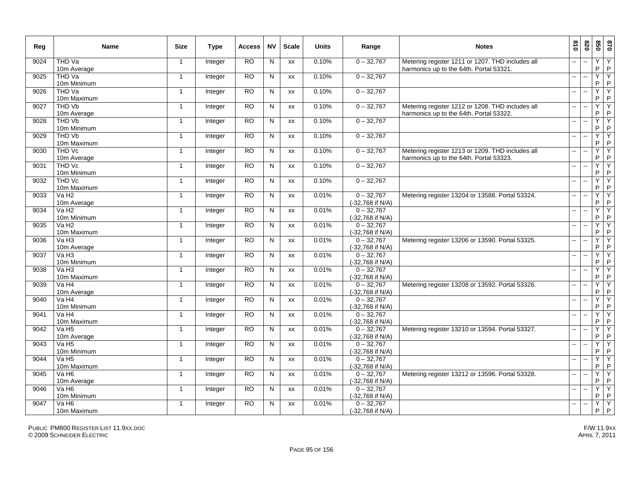| Reg  | <b>Name</b>                        | <b>Size</b>             | Type           | Access    | <b>NV</b>      | <b>Scale</b> | <b>Units</b> | Range                            | <b>Notes</b>                                                                                | 610                      | 078    | 020          | 0 <sub>28</sub>   |
|------|------------------------------------|-------------------------|----------------|-----------|----------------|--------------|--------------|----------------------------------|---------------------------------------------------------------------------------------------|--------------------------|--------|--------------|-------------------|
| 9024 | THD Va<br>10m Average              | $\overline{1}$          | <b>Integer</b> | <b>RO</b> | N              | XX           | 0.10%        | $0 - 32,767$                     | Metering register 1211 or 1207. THD includes all<br>harmonics up to the 64th. Portal 53321. |                          |        | Υ<br>P       | Υ<br>$\mathsf P$  |
| 9025 | THD Va<br>10m Minimum              | -1                      | Integer        | RO        | N              | XX           | 0.10%        | $0 - 32,767$                     |                                                                                             |                          |        | Ÿ<br>P       | Y<br>$\sf P$      |
| 9026 | THD Va<br>10m Maximum              | $\overline{\mathbf{1}}$ | Integer        | <b>RO</b> | ${\sf N}$      | XX           | 0.10%        | $0 - 32,767$                     |                                                                                             | --                       |        | Ÿ<br>P       | Y<br>P            |
| 9027 | THD Vb<br>10m Average              | $\mathbf{1}$            | Integer        | RO.       | N              | <b>XX</b>    | 0.10%        | $0 - 32,767$                     | Metering register 1212 or 1208. THD includes all<br>harmonics up to the 64th. Portal 53322. | $\overline{a}$           |        | Y<br>P       | Y<br>$\sf P$      |
| 9028 | THD Vb<br>10m Minimum              | $\mathbf{1}$            | Integer        | <b>RO</b> | N              | XX           | 0.10%        | $0 - 32,767$                     |                                                                                             | $\sim$                   |        | Ÿ<br>P       | Y<br>$\sf P$      |
| 9029 | THD Vb<br>10m Maximum              | $\mathbf{1}$            | Integer        | RO.       | N              | XX           | 0.10%        | $0 - 32,767$                     |                                                                                             |                          |        | Y<br>P       | Y<br>$\mathsf P$  |
| 9030 | THD Vc<br>10m Average              | $\mathbf{1}$            | Integer        | <b>RO</b> | N              | XX           | 0.10%        | $0 - 32,767$                     | Metering register 1213 or 1209. THD includes all<br>harmonics up to the 64th. Portal 53323. |                          |        | Υ<br>P       | Y<br>$\mathsf{P}$ |
| 9031 | THD Vc<br>10m Minimum              | $\mathbf{1}$            | Integer        | <b>RO</b> | N              | <b>XX</b>    | 0.10%        | $0 - 32,767$                     |                                                                                             |                          |        | Ÿ<br>P       | Y<br>$\mathsf{P}$ |
| 9032 | THD Vc<br>10m Maximum              | $\mathbf{1}$            | Integer        | <b>RO</b> | ${\sf N}$      | XX           | 0.10%        | $0 - 32,767$                     |                                                                                             |                          |        | Ÿ<br>P       | Y<br>$\mathsf{P}$ |
| 9033 | Va H <sub>2</sub><br>10m Average   | $\mathbf{1}$            | Integer        | RO        | N              | XX           | 0.01%        | $0 - 32,767$<br>(-32,768 if N/A) | Metering register 13204 or 13588. Portal 53324.                                             | $-1$                     |        | Y<br>P       | Y<br>P            |
| 9034 | Va H <sub>2</sub><br>10m Minimum   | $\mathbf{1}$            | Integer        | <b>RO</b> | $\overline{N}$ | XX           | 0.01%        | $0 - 32,767$<br>(-32,768 if N/A) |                                                                                             | $\overline{\phantom{a}}$ |        | Ÿ<br>P       | Υ<br>$\mathsf P$  |
| 9035 | Va H <sub>2</sub><br>10m Maximum   | $\mathbf{1}$            | Integer        | <b>RO</b> | N              | <b>XX</b>    | 0.01%        | $0 - 32,767$<br>(-32,768 if N/A) |                                                                                             | $\sim$                   | $\sim$ | Y<br>P       | Y<br>$\mathsf{P}$ |
| 9036 | Va H3<br>10m Average               | $\mathbf{1}$            | Integer        | <b>RO</b> | N              | XX           | 0.01%        | $0 - 32,767$<br>(-32,768 if N/A) | Metering register 13206 or 13590. Portal 53325.                                             |                          |        | Y<br>P       | Y<br>$\mathsf P$  |
| 9037 | $Va$ H <sub>3</sub><br>10m Minimum | $\mathbf{1}$            | Integer        | <b>RO</b> | N              | XX           | 0.01%        | $0 - 32,767$<br>(-32,768 if N/A) |                                                                                             | ш.                       |        | Υ<br>P       | Υ<br>P            |
| 9038 | VaH3<br>10m Maximum                | $\mathbf{1}$            | Integer        | RO.       | N              | XX           | 0.01%        | $0 - 32,767$<br>(-32,768 if N/A) |                                                                                             |                          |        | Y<br>P       | Y<br>$\mathsf P$  |
| 9039 | Va H4<br>10m Average               | $\overline{\mathbf{1}}$ | Integer        | RO        | N              | XX           | 0.01%        | $0 - 32,767$<br>(-32,768 if N/A) | Metering register 13208 or 13592. Portal 53326.                                             | $\overline{a}$           |        | Y<br>P       | Y<br>$\sf P$      |
| 9040 | $\sqrt{aH4}$<br>10m Minimum        | $\mathbf 1$             | Integer        | <b>RO</b> | N              | XX           | 0.01%        | $0 - 32,767$<br>(-32,768 if N/A) |                                                                                             |                          |        | Y<br>$\sf P$ | Υ<br>$\sf P$      |
| 9041 | Va H4<br>10m Maximum               | $\overline{1}$          | Integer        | <b>RO</b> | N              | <b>XX</b>    | 0.01%        | $0 - 32,767$<br>(-32,768 if N/A) |                                                                                             | $\overline{a}$           |        | Y<br>P       | Υ<br>$\sf P$      |
| 9042 | Va H <sub>5</sub><br>10m Average   | $\mathbf{1}$            | Integer        | RO.       | N              | XX           | 0.01%        | $0 - 32.767$<br>(-32,768 if N/A) | Metering register 13210 or 13594. Portal 53327.                                             | $\sim$ $\sim$            |        | Y<br>P       | Y<br>$\sf P$      |
| 9043 | $Va$ H <sub>5</sub><br>10m Minimum | $\overline{1}$          | Integer        | <b>RO</b> | N              | <b>XX</b>    | 0.01%        | $0 - 32,767$<br>(-32,768 if N/A) |                                                                                             | $-$                      |        | Ÿ<br>P       | Y<br>$\sf P$      |
| 9044 | Va H <sub>5</sub><br>10m Maximum   | $\mathbf{1}$            | Integer        | <b>RO</b> | N              | XX           | 0.01%        | $0 - 32,767$<br>(-32,768 if N/A) |                                                                                             |                          |        | Y<br>P       | Y<br>$\mathsf P$  |
| 9045 | Va H <sub>6</sub><br>10m Average   | $\mathbf{1}$            | Integer        | <b>RO</b> | N              | <b>XX</b>    | 0.01%        | $0 - 32.767$<br>(-32,768 if N/A) | Metering register 13212 or 13596. Portal 53328.                                             |                          |        | Ÿ<br>P       | Υ<br>$\mathsf{P}$ |
| 9046 | $Va$ H <sub>6</sub><br>10m Minimum | $\mathbf 1$             | Integer        | RO.       | N              | XX           | 0.01%        | $0 - 32,767$<br>(-32,768 if N/A) |                                                                                             |                          |        | Ÿ<br>P       | Υ<br>$\sf P$      |
| 9047 | Va H <sub>6</sub><br>10m Maximum   | $\mathbf{1}$            | Integer        | <b>RO</b> | N              | <b>XX</b>    | 0.01%        | $0 - 32.767$<br>(-32,768 if N/A) |                                                                                             | $\sim$                   |        | Y<br>P.      | Y<br>$\mathsf{P}$ |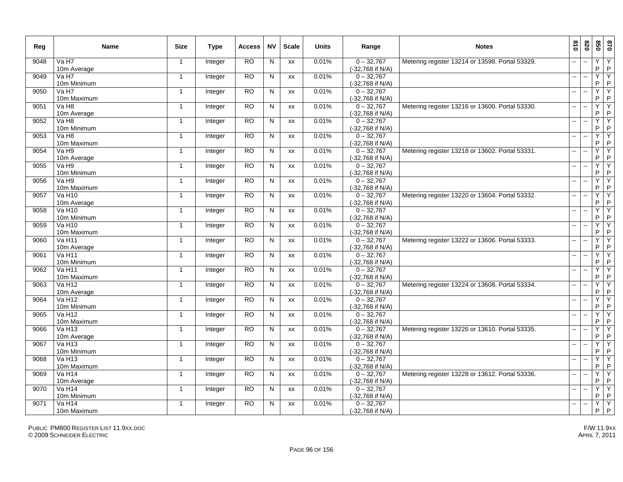| Reg  | <b>Name</b>                         | <b>Size</b>    | Type    | <b>Access</b> | <b>NV</b>      | <b>Scale</b> | <b>Units</b> | Range                            | <b>Notes</b>                                    | 018                       | 078                      | 020                 | 0 <sub>28</sub>     |
|------|-------------------------------------|----------------|---------|---------------|----------------|--------------|--------------|----------------------------------|-------------------------------------------------|---------------------------|--------------------------|---------------------|---------------------|
| 9048 | Va H7<br>10m Average                | $\mathbf{1}$   | Integer | <b>RO</b>     | $\mathsf{N}$   | XX           | 0.01%        | $0 - 32,767$<br>(-32,768 if N/A) | Metering register 13214 or 13598. Portal 53329. |                           |                          | Υ<br>P              | $\overline{Y}$<br>P |
| 9049 | Va H7<br>10m Minimum                | $\mathbf 1$    | Integer | RO            | N              | XX           | 0.01%        | $0 - 32,767$<br>(-32,768 if N/A) |                                                 | $\overline{a}$            | $\sim$                   | Ÿ<br>P              | Υ<br>$\sf P$        |
| 9050 | Va H7<br>10m Maximum                | $\overline{1}$ | Integer | <b>RO</b>     | $\mathsf{N}$   | XX           | 0.01%        | $0 - 32,767$<br>(-32,768 if N/A) |                                                 | $\overline{a}$            | $\overline{\phantom{a}}$ | Y<br>P              | Y<br>P              |
| 9051 | Va H <sub>8</sub><br>10m Average    | $\mathbf{1}$   | Integer | <b>RO</b>     | N              | <b>XX</b>    | 0.01%        | $0 - 32.767$<br>(-32,768 if N/A) | Metering register 13216 or 13600. Portal 53330. | $\mathbf{u}$              | $\sim$                   | Y<br>$\sf P$        | Y<br>$\sf P$        |
| 9052 | Va H <sub>8</sub><br>10m Minimum    | $\mathbf{1}$   | Integer | <b>RO</b>     | $\mathsf{N}$   | XX           | 0.01%        | $0 - 32,767$<br>(-32,768 if N/A) |                                                 | $\sim$                    |                          | Y<br>P              | Ϋ<br>$\sf P$        |
| 9053 | Va H <sub>8</sub><br>10m Maximum    | $\mathbf{1}$   | Integer | <b>RO</b>     | N              | XX           | 0.01%        | $0 - 32,767$<br>(-32,768 if N/A) |                                                 | -−                        |                          | Y<br>P              | Y<br>P              |
| 9054 | Va H9<br>10m Average                | $\mathbf{1}$   | Integer | <b>RO</b>     | N              | XX           | 0.01%        | $0 - 32,767$<br>(-32,768 if N/A) | Metering register 13218 or 13602. Portal 53331. | $\overline{a}$            |                          | Y<br>P              | Y<br>P              |
| 9055 | Va H9<br>10m Minimum                | $\mathbf{1}$   | Integer | <b>RO</b>     | N              | <b>XX</b>    | 0.01%        | $0 - 32,767$<br>(-32,768 if N/A) |                                                 | $\overline{\phantom{a}}$  |                          | Ÿ<br>P              | Y<br>P              |
| 9056 | Va H9<br>10m Maximum                | $\mathbf{1}$   | Integer | <b>RO</b>     | ${\sf N}$      | XX           | 0.01%        | $0 - 32,767$<br>(-32,768 if N/A) |                                                 | ш,                        |                          | Y<br>P              | $\overline{Y}$<br>P |
| 9057 | <b>Va H10</b><br>10m Average        | $\mathbf{1}$   | Integer | RO            | N              | XX           | 0.01%        | $0 - 32,767$<br>(-32,768 if N/A) | Metering register 13220 or 13604. Portal 53332. | $\mathbf{u}$              | $\ddotsc$                | Y<br>P              | Y<br>P              |
| 9058 | <b>Va H10</b><br>10m Minimum        | $\mathbf{1}$   | Integer | <b>RO</b>     | $\overline{N}$ | XX           | 0.01%        | $0 - 32,767$<br>(-32,768 if N/A) |                                                 | $\overline{\phantom{a}}$  | $\overline{\phantom{a}}$ | Y<br>P              | Y<br>$\sf P$        |
| 9059 | $Va$ H <sub>10</sub><br>10m Maximum | $\mathbf{1}$   | Integer | <b>RO</b>     | N              | XX           | 0.01%        | $0 - 32,767$<br>(-32,768 if N/A) |                                                 | $\overline{a}$            | $\sim$                   | Y<br>P              | Y<br>P              |
| 9060 | Va H11<br>10m Average               | $\mathbf{1}$   | Integer | <b>RO</b>     | N              | XX           | 0.01%        | $0 - 32,767$<br>(-32,768 if N/A) | Metering register 13222 or 13606. Portal 53333. | $\sim$                    | $\sim$                   | Ÿ<br>P              | Y<br>P              |
| 9061 | Va H11<br>10m Minimum               | $\mathbf{1}$   | Integer | <b>RO</b>     | N              | XX           | 0.01%        | $0 - 32,767$<br>(-32,768 if N/A) |                                                 | ш.                        | $\overline{\phantom{a}}$ | Y<br>P              | Y<br>P              |
| 9062 | $Va$ H <sub>11</sub><br>10m Maximum | $\mathbf{1}$   | Integer | <b>RO</b>     | N              | XX           | 0.01%        | $0 - 32,767$<br>(-32,768 if N/A) |                                                 | $\mathbf{u}$              |                          | Y<br>P              | Y<br>P              |
| 9063 | Va H <sub>12</sub><br>10m Average   | -1             | Integer | RO            | N              | XX           | 0.01%        | $0 - 32,767$<br>(-32,768 if N/A) | Metering register 13224 or 13608. Portal 53334. | $\sim$                    | ÷.                       | Ÿ<br>P              | Υ<br>P              |
| 9064 | <b>Va H12</b><br>10m Minimum        | $\mathbf{1}$   | Integer | <b>RO</b>     | N              | XX           | 0.01%        | $0 - 32,767$<br>(-32,768 if N/A) |                                                 | Ш,                        |                          | Y<br>P              | Y<br>$\sf P$        |
| 9065 | <b>Va H12</b><br>10m Maximum        | $\mathbf{1}$   | Integer | <b>RO</b>     | N              | <b>XX</b>    | 0.01%        | $0 - 32,767$<br>(-32,768 if N/A) |                                                 | $\mathbb{Z}^{\mathbb{Z}}$ | $\ddotsc$                | Y<br>P              | Y<br>$\sf P$        |
| 9066 | <b>Va H13</b><br>10m Average        | $\mathbf{1}$   | Integer | <b>RO</b>     | N              | XX           | 0.01%        | $0 - 32.767$<br>(-32,768 if N/A) | Metering register 13226 or 13610. Portal 53335. | $\sim$ $\sim$             | $\overline{\phantom{a}}$ | Y<br>P              | Y<br>$\sf P$        |
| 9067 | Va H13<br>10m Minimum               | -1             | Integer | <b>RO</b>     | N              | <b>XX</b>    | 0.01%        | $0 - 32,767$<br>(-32,768 if N/A) |                                                 | $\mathbf{u}$              | $\overline{a}$           | Ÿ<br>P              | Υ<br>P              |
| 9068 | <b>Va H13</b><br>10m Maximum        | $\mathbf{1}$   | Integer | <b>RO</b>     | N              | XX           | 0.01%        | $0 - 32,767$<br>(-32,768 if N/A) |                                                 | $\overline{\phantom{a}}$  |                          | Y<br>P              | Y<br>$\sf P$        |
| 9069 | <b>Va H14</b><br>10m Average        | $\mathbf{1}$   | Integer | <b>RO</b>     | N              | <b>XX</b>    | 0.01%        | $0 - 32.767$<br>(-32,768 if N/A) | Metering register 13228 or 13612. Portal 53336. |                           |                          | $\overline{Y}$<br>P | Y<br>P              |
| 9070 | <b>Va H14</b><br>10m Minimum        | $\mathbf{1}$   | Integer | <b>RO</b>     | N              | XX           | 0.01%        | $0 - 32,767$<br>(-32,768 if N/A) |                                                 | $\mathbf{u}$              | $\sim$                   | Ÿ<br>P              | Υ<br>P              |
| 9071 | <b>Va H14</b><br>10m Maximum        | $\mathbf{1}$   | Integer | <b>RO</b>     | N              | <b>XX</b>    | 0.01%        | $0 - 32.767$<br>(-32,768 if N/A) |                                                 | $\mathbf{u}$              |                          | Y<br>P.             | Y<br>$\mathsf{P}$   |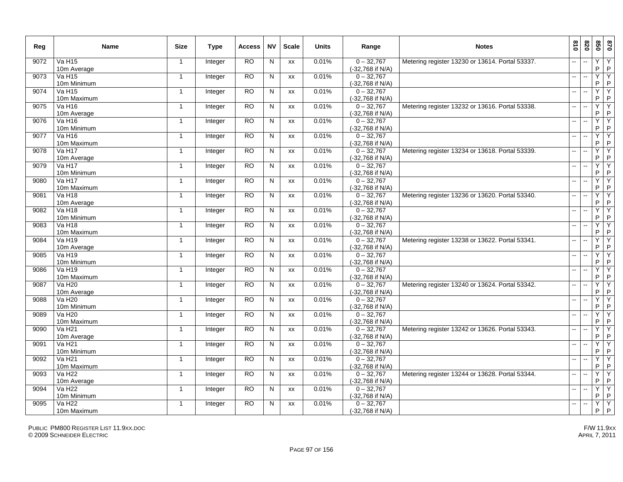| Reg  | Name                                | <b>Size</b>    | <b>Type</b> | Access          | <b>NV</b>               | <b>Scale</b> | <b>Units</b> | Range                            | <b>Notes</b>                                    | 018                      | 078                      | 020                 | 0 <sub>28</sub>     |
|------|-------------------------------------|----------------|-------------|-----------------|-------------------------|--------------|--------------|----------------------------------|-------------------------------------------------|--------------------------|--------------------------|---------------------|---------------------|
| 9072 | Va H <sub>15</sub><br>10m Average   | $\mathbf{1}$   | Integer     | <b>RO</b>       | ${\sf N}$               | XX           | 0.01%        | $0 - 32,767$<br>(-32,768 if N/A) | Metering register 13230 or 13614. Portal 53337. | $\overline{a}$           |                          | Υ<br>P              | Y<br>P              |
| 9073 | $Va$ H <sub>15</sub><br>10m Minimum | $\mathbf{1}$   | Integer     | $\overline{RO}$ | N                       | XX           | 0.01%        | $0 - 32,767$<br>(-32,768 if N/A) |                                                 | $\overline{a}$           | $\sim$                   | Ÿ<br>P              | Υ<br>$\sf P$        |
| 9074 | <b>Va H15</b><br>10m Maximum        | $\overline{1}$ | Integer     | <b>RO</b>       | ${\sf N}$               | XX           | 0.01%        | $0 - 32,767$<br>(-32,768 if N/A) |                                                 | $\overline{a}$           |                          | Y<br>P              | Υ<br>P              |
| 9075 | <b>Va H16</b><br>10m Average        | $\mathbf{1}$   | Integer     | <b>RO</b>       | N                       | <b>XX</b>    | 0.01%        | $0 - 32,767$<br>(-32,768 if N/A) | Metering register 13232 or 13616. Portal 53338. | $\sim$ $\sim$            | $\ddotsc$                | Y<br>P              | Y<br>$\sf P$        |
| 9076 | Va H16<br>10m Minimum               | $\mathbf{1}$   | Integer     | <b>RO</b>       | N                       | XX           | 0.01%        | $0 - 32,767$<br>(-32,768 if N/A) |                                                 | $\overline{a}$           | $\sim$                   | Y<br>P              | Ϋ<br>$\sf P$        |
| 9077 | <b>Va H16</b><br>10m Maximum        | $\mathbf{1}$   | Integer     | RO              | N                       | XX           | 0.01%        | $0 - 32,767$<br>(-32,768 if N/A) |                                                 | -−                       | $\overline{\phantom{a}}$ | Y<br>P              | Υ<br>P              |
| 9078 | <b>Va H17</b><br>10m Average        | $\mathbf{1}$   | Integer     | <b>RO</b>       | N                       | XX           | 0.01%        | $0 - 32,767$<br>(-32,768 if N/A) | Metering register 13234 or 13618. Portal 53339. |                          |                          | Y<br>P              | Y<br>P              |
| 9079 | <b>Va H17</b><br>10m Minimum        | $\mathbf{1}$   | Integer     | <b>RO</b>       | N                       | <b>XX</b>    | 0.01%        | $0 - 32.767$<br>(-32,768 if N/A) |                                                 | $\overline{\phantom{a}}$ |                          | Ÿ<br>P              | Y<br>P              |
| 9080 | <b>Va H17</b><br>10m Maximum        | $\mathbf{1}$   | Integer     | <b>RO</b>       | N                       | XX           | 0.01%        | $0 - 32,767$<br>(-32,768 if N/A) |                                                 | $\mathbf{u}$             | $\sim$                   | Y<br>P              | $\overline{Y}$<br>P |
| 9081 | Va $H18$<br>10m Average             | $\mathbf{1}$   | Integer     | RO              | N                       | XX           | 0.01%        | $0 - 32,767$<br>(-32,768 if N/A) | Metering register 13236 or 13620. Portal 53340. | $\mathbf{u}$             | ÷.                       | Ÿ<br>P              | Y<br>P              |
| 9082 | <b>Va H18</b><br>10m Minimum        | $\mathbf{1}$   | Integer     | <b>RO</b>       | N                       | XX           | 0.01%        | $0 - 32,767$<br>(-32,768 if N/A) |                                                 | $\mathbf{u}$             | $\overline{\phantom{a}}$ | Ÿ<br>P              | Y<br>$\mathsf{P}$   |
| 9083 | <b>Va H18</b><br>10m Maximum        | $\mathbf{1}$   | Integer     | <b>RO</b>       | N                       | XX           | 0.01%        | $0 - 32,767$<br>(-32,768 if N/A) |                                                 | $\mathbf{u}$             | $\ddotsc$                | Y<br>P              | Y<br>P              |
| 9084 | Va H <sub>19</sub><br>10m Average   | $\mathbf{1}$   | Integer     | <b>RO</b>       | $\overline{\mathsf{N}}$ | XX           | 0.01%        | $0 - 32,767$<br>(-32,768 if N/A) | Metering register 13238 or 13622. Portal 53341. | --                       | $\overline{\phantom{a}}$ | Ÿ<br>P              | Y<br>P              |
| 9085 | <b>Va H19</b><br>10m Minimum        | $\overline{1}$ | Integer     | <b>RO</b>       | N                       | XX           | 0.01%        | $0 - 32,767$<br>(-32,768 if N/A) |                                                 |                          |                          | Y<br>P              | Y<br>P              |
| 9086 | $Va$ H <sub>19</sub><br>10m Maximum | $\mathbf{1}$   | Integer     | <b>RO</b>       | N                       | XX           | 0.01%        | $0 - 32,767$<br>(-32,768 if N/A) |                                                 | ш.                       |                          | Y<br>P              | Y<br>P              |
| 9087 | Va H <sub>20</sub><br>10m Average   | $\mathbf{1}$   | Integer     | RO              | N                       | XX           | 0.01%        | $0 - 32,767$<br>(-32,768 if N/A) | Metering register 13240 or 13624. Portal 53342. | $\sim$                   | ÷.                       | Ÿ<br>P              | Y<br>P              |
| 9088 | <b>Va H20</b><br>10m Minimum        | $\mathbf{1}$   | Integer     | <b>RO</b>       | N                       | XX           | 0.01%        | $0 - 32,767$<br>(-32,768 if N/A) |                                                 | ш.                       |                          | Y<br>P              | Y<br>$\sf P$        |
| 9089 | <b>Va H20</b><br>10m Maximum        | $\mathbf{1}$   | Integer     | <b>RO</b>       | N                       | <b>XX</b>    | 0.01%        | $0 - 32,767$<br>(-32,768 if N/A) |                                                 | $\mathbf{u}$             | $\sim$                   | Y<br>P              | Ÿ<br>$\sf P$        |
| 9090 | Va H <sub>21</sub><br>10m Average   | $\mathbf{1}$   | Integer     | RO.             | N                       | XX           | 0.01%        | $0 - 32,767$<br>(-32,768 if N/A) | Metering register 13242 or 13626. Portal 53343. | $\sim$ $\sim$            | $\sim$                   | Ÿ<br>P              | Y<br>$\sf P$        |
| 9091 | <b>Va H21</b><br>10m Minimum        | $\overline{1}$ | Integer     | RO              | N                       | <b>XX</b>    | 0.01%        | $0 - 32,767$<br>(-32,768 if N/A) |                                                 | $\mathbf{u}$             | $\overline{\phantom{a}}$ | Ÿ<br>P              | Υ<br>P              |
| 9092 | <b>Va H21</b><br>10m Maximum        | $\mathbf{1}$   | Integer     | <b>RO</b>       | N                       | XX           | 0.01%        | $0 - 32,767$<br>(-32,768 if N/A) |                                                 |                          |                          | Y<br>P              | Y<br>$\sf P$        |
| 9093 | Va H22<br>10m Average               | $\mathbf{1}$   | Integer     | <b>RO</b>       | N                       | <b>XX</b>    | 0.01%        | $0 - 32.767$<br>(-32,768 if N/A) | Metering register 13244 or 13628. Portal 53344. |                          |                          | $\overline{Y}$<br>P | Ÿ<br>P              |
| 9094 | Va H <sub>22</sub><br>10m Minimum   | $\mathbf{1}$   | Integer     | <b>RO</b>       | N                       | XX           | 0.01%        | $0 - 32,767$<br>(-32,768 if N/A) |                                                 | $\mathbf{u}$             | $\sim$                   | Ÿ<br>P              | Υ<br>P              |
| 9095 | <b>Va H22</b><br>10m Maximum        | $\mathbf{1}$   | Integer     | <b>RO</b>       | N                       | <b>XX</b>    | 0.01%        | $0 - 32.767$<br>(-32,768 if N/A) |                                                 | $\overline{a}$           |                          | Y<br>P.             | Y<br>$\mathsf{P}$   |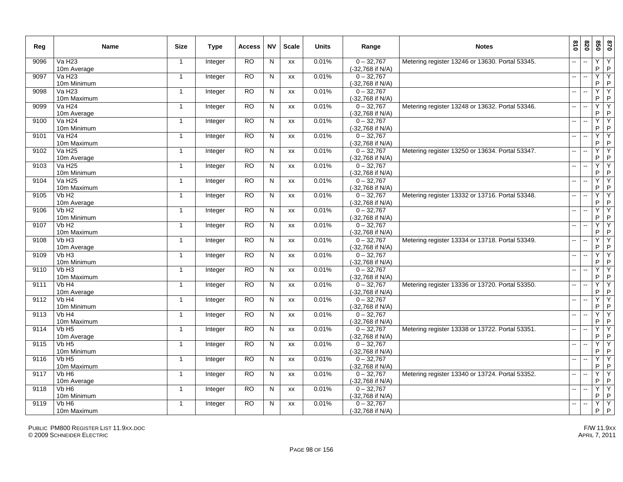| Reg  | Name                              | <b>Size</b>    | <b>Type</b> | Access          | <b>NV</b> | <b>Scale</b> | <b>Units</b> | Range                            | <b>Notes</b>                                    | 018                      | 078                      | 020          | 0 <sub>28</sub>     |
|------|-----------------------------------|----------------|-------------|-----------------|-----------|--------------|--------------|----------------------------------|-------------------------------------------------|--------------------------|--------------------------|--------------|---------------------|
| 9096 | <b>Va H23</b><br>10m Average      | $\mathbf{1}$   | Integer     | <b>RO</b>       | N         | XX           | 0.01%        | $0 - 32.767$<br>(-32,768 if N/A) | Metering register 13246 or 13630. Portal 53345. | --                       |                          | Y<br>P       | Y<br>P              |
| 9097 | Va H23<br>10m Minimum             | $\mathbf{1}$   | Integer     | $\overline{RO}$ | N         | XX           | 0.01%        | $0 - 32,767$<br>(-32,768 if N/A) |                                                 | $\mathbf{u}$             | $\sim$                   | Ÿ<br>P       | Υ<br>P              |
| 9098 | <b>Va H23</b><br>10m Maximum      | $\overline{1}$ | Integer     | <b>RO</b>       | N         | XX           | 0.01%        | $0 - 32,767$<br>(-32,768 if N/A) |                                                 | $\mathbf{u}$             | $\sim$                   | Y<br>P       | Υ<br>P              |
| 9099 | <b>Va H24</b><br>10m Average      | $\mathbf{1}$   | Integer     | <b>RO</b>       | N         | XX           | 0.01%        | $0 - 32,767$<br>(-32,768 if N/A) | Metering register 13248 or 13632. Portal 53346. | $\sim$                   | $\ddotsc$                | Y<br>$\sf P$ | Y<br>$\sf P$        |
| 9100 | <b>Va H24</b><br>10m Minimum      | $\mathbf{1}$   | Integer     | <b>RO</b>       | N         | <b>XX</b>    | 0.01%        | $0 - 32,767$<br>(-32,768 if N/A) |                                                 | $\mathbf{u}$             |                          | Y<br>P       | Y<br>$\mathsf P$    |
| 9101 | Va H <sub>24</sub><br>10m Maximum | $\mathbf{1}$   | Integer     | <b>RO</b>       | N         | XX           | 0.01%        | $0 - 32,767$<br>(-32,768 if N/A) |                                                 | -−                       | $\sim$                   | Y<br>P       | Υ<br>$\sf P$        |
| 9102 | <b>Va H25</b><br>10m Average      | $\overline{1}$ | Integer     | <b>RO</b>       | N         | <b>XX</b>    | 0.01%        | $0 - 32,767$<br>(-32,768 if N/A) | Metering register 13250 or 13634. Portal 53347. |                          |                          | Y<br>P       | Y<br>$\sf P$        |
| 9103 | <b>Va H25</b><br>10m Minimum      | $\mathbf{1}$   | Integer     | <b>RO</b>       | N         | <b>XX</b>    | 0.01%        | $0 - 32,767$<br>(-32,768 if N/A) |                                                 | $\overline{\phantom{a}}$ |                          | Y<br>P       | Ÿ<br>$\sf P$        |
| 9104 | Va H <sub>25</sub><br>10m Maximum | $\mathbf{1}$   | Integer     | <b>RO</b>       | N         | <b>XX</b>    | 0.01%        | $0 - 32,767$<br>(-32,768 if N/A) |                                                 | $\overline{a}$           | ä.                       | Y<br>P       | Y<br>P              |
| 9105 | Vb H <sub>2</sub><br>10m Average  | $\mathbf{1}$   | Integer     | <b>RO</b>       | N         | XX           | 0.01%        | $0 - 32,767$<br>(-32,768 if N/A) | Metering register 13332 or 13716. Portal 53348. | $\mathbf{u}$             | $\ddotsc$                | Y<br>P       | Y<br>$\sf P$        |
| 9106 | Vb H <sub>2</sub><br>10m Minimum  | $\mathbf{1}$   | Integer     | RO              | N         | XX           | 0.01%        | $0 - 32.767$<br>(-32,768 if N/A) |                                                 | $\overline{\phantom{a}}$ | $\overline{\phantom{a}}$ | Y<br>P       | Υ<br>$\sf P$        |
| 9107 | Vb H <sub>2</sub><br>10m Maximum  | $\mathbf{1}$   | Integer     | <b>RO</b>       | N         | XX           | 0.01%        | $0 - 32,767$<br>(-32,768 if N/A) |                                                 | $\mathbf{u}$             | $\overline{\phantom{a}}$ | Y<br>P       | Y<br>$\sf P$        |
| 9108 | VbH3<br>10m Average               | $\mathbf{1}$   | Integer     | RO              | N         | XX           | 0.01%        | $0 - 32,767$<br>(-32,768 if N/A) | Metering register 13334 or 13718. Portal 53349. | $\overline{a}$           | $\ddotsc$                | Ÿ<br>P       | Y<br>P              |
| 9109 | VbH3<br>10m Minimum               | $\mathbf{1}$   | Integer     | <b>RO</b>       | ${\sf N}$ | XX           | 0.01%        | $0 - 32,767$<br>(-32,768 if N/A) |                                                 | --                       | $\overline{\phantom{a}}$ | Y<br>P       | Υ<br>P              |
| 9110 | Vb H <sub>3</sub><br>10m Maximum  | $\mathbf{1}$   | Integer     | RO              | N         | XX           | 0.01%        | $0 - 32,767$<br>(-32,768 if N/A) |                                                 | цú.                      |                          | Y<br>P       | Y<br>P              |
| 9111 | Vb H4<br>10m Average              | $\mathbf{1}$   | Integer     | <b>RO</b>       | ${\sf N}$ | XX           | 0.01%        | $0 - 32,767$<br>(-32,768 if N/A) | Metering register 13336 or 13720. Portal 53350. | $\overline{a}$           |                          | Ÿ<br>P       | Y<br>P              |
| 9112 | Vb H <sub>4</sub><br>10m Minimum  | $\mathbf{1}$   | Integer     | <b>RO</b>       | N         | XX           | 0.01%        | $0 - 32,767$<br>(-32,768 if N/A) |                                                 | Щ.                       | $\sim$                   | Y<br>P       | Y<br>$\sf P$        |
| 9113 | Vb H4<br>10m Maximum              | -1             | Integer     | <b>RO</b>       | N         | XX           | 0.01%        | $0 - 32,767$<br>(-32,768 if N/A) |                                                 | $\overline{\phantom{a}}$ | $\overline{\phantom{a}}$ | Y<br>P       | Y<br>P              |
| 9114 | Vb H <sub>5</sub><br>10m Average  | $\mathbf{1}$   | Integer     | <b>RO</b>       | N         | <b>XX</b>    | 0.01%        | $0 - 32.767$<br>(-32,768 if N/A) | Metering register 13338 or 13722. Portal 53351. | $\mathbf{u}$             | $\sim$                   | Y<br>P       | Y<br>$\sf P$        |
| 9115 | Vb H <sub>5</sub><br>10m Minimum  | $\mathbf{1}$   | Integer     | <b>RO</b>       | N         | XX           | 0.01%        | $0 - 32,767$<br>(-32,768 if N/A) |                                                 | $\sim$                   |                          | Y<br>P       | Ϋ<br>$\sf P$        |
| 9116 | Vb H <sub>5</sub><br>10m Maximum  | $\mathbf{1}$   | Integer     | <b>RO</b>       | N         | XX           | 0.01%        | $0 - 32,767$<br>(-32,768 if N/A) |                                                 | -−                       |                          | Y<br>P       | Y<br>P              |
| 9117 | Vb H <sub>6</sub><br>10m Average  | $\overline{1}$ | Integer     | <b>RO</b>       | N         | XX           | 0.01%        | $0 - 32,767$<br>(-32,768 if N/A) | Metering register 13340 or 13724. Portal 53352. |                          |                          | Y<br>P       | Y<br>P              |
| 9118 | Vb H <sub>6</sub><br>10m Minimum  | $\mathbf{1}$   | Integer     | <b>RO</b>       | N         | <b>XX</b>    | 0.01%        | $0 - 32,767$<br>(-32,768 if N/A) |                                                 | $\overline{\phantom{a}}$ |                          | Ÿ<br>P       | Y<br>P              |
| 9119 | Vb H <sub>6</sub><br>10m Maximum  | $\mathbf{1}$   | Integer     | <b>RO</b>       | ${\sf N}$ | XX           | 0.01%        | $0 - 32,767$<br>(-32,768 if N/A) |                                                 | $\overline{a}$           | $\overline{\phantom{a}}$ | Y<br>P.      | $\overline{Y}$<br>P |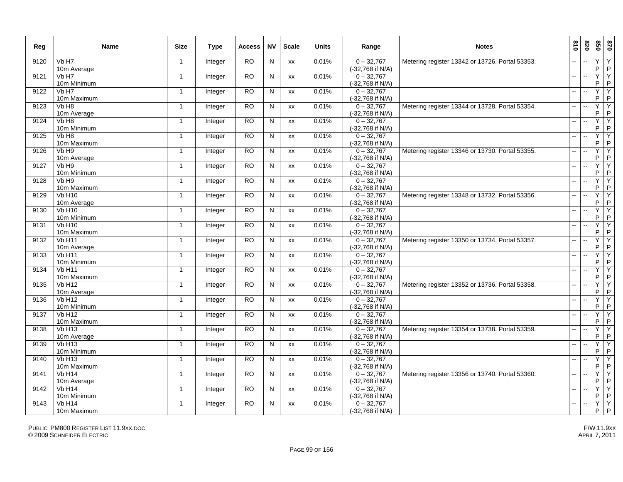| Reg  | <b>Name</b>                         | <b>Size</b>    | Type    | <b>Access</b> | <b>NV</b>      | <b>Scale</b> | <b>Units</b> | Range                            | <b>Notes</b>                                    | 018                       | 078                      | 020                 | 0 <sub>28</sub>     |
|------|-------------------------------------|----------------|---------|---------------|----------------|--------------|--------------|----------------------------------|-------------------------------------------------|---------------------------|--------------------------|---------------------|---------------------|
| 9120 | Vb H7<br>10m Average                | $\mathbf{1}$   | Integer | <b>RO</b>     | $\mathsf{N}$   | XX           | 0.01%        | $0 - 32,767$<br>(-32,768 if N/A) | Metering register 13342 or 13726. Portal 53353. |                           |                          | Υ<br>P              | $\overline{Y}$<br>P |
| 9121 | Vb H7<br>10m Minimum                | $\mathbf 1$    | Integer | RO            | N              | XX           | 0.01%        | $0 - 32,767$<br>(-32,768 if N/A) |                                                 | $\overline{a}$            | $\sim$                   | Ÿ<br>P              | Υ<br>$\sf P$        |
| 9122 | Vb H7<br>10m Maximum                | $\overline{1}$ | Integer | <b>RO</b>     | $\mathsf{N}$   | XX           | 0.01%        | $0 - 32,767$<br>(-32,768 if N/A) |                                                 | $\overline{\phantom{a}}$  | $\overline{\phantom{a}}$ | Y<br>P              | Y<br>P              |
| 9123 | Vb H <sub>8</sub><br>10m Average    | $\mathbf{1}$   | Integer | <b>RO</b>     | N              | <b>XX</b>    | 0.01%        | $0 - 32.767$<br>(-32,768 if N/A) | Metering register 13344 or 13728. Portal 53354. | $\mathbf{u}$              | $\sim$                   | Y<br>$\sf P$        | Y<br>$\sf P$        |
| 9124 | Vb H <sub>8</sub><br>10m Minimum    | $\mathbf{1}$   | Integer | <b>RO</b>     | $\mathsf{N}$   | XX           | 0.01%        | $0 - 32,767$<br>(-32,768 if N/A) |                                                 | $\sim$                    |                          | Y<br>P              | Ϋ<br>$\sf P$        |
| 9125 | Vb H <sub>8</sub><br>10m Maximum    | $\mathbf{1}$   | Integer | <b>RO</b>     | N              | XX           | 0.01%        | $0 - 32,767$<br>(-32,768 if N/A) |                                                 | -−                        |                          | Y<br>P              | Y<br>P              |
| 9126 | Vb H9<br>10m Average                | $\mathbf{1}$   | Integer | <b>RO</b>     | N              | XX           | 0.01%        | $0 - 32,767$<br>(-32,768 if N/A) | Metering register 13346 or 13730. Portal 53355. | $\overline{a}$            |                          | Y<br>P              | Y<br>P              |
| 9127 | Vb H <sub>9</sub><br>10m Minimum    | $\mathbf{1}$   | Integer | <b>RO</b>     | N              | <b>XX</b>    | 0.01%        | $0 - 32,767$<br>(-32,768 if N/A) |                                                 | $\overline{\phantom{a}}$  |                          | Ÿ<br>P              | Y<br>P              |
| 9128 | Vb H9<br>10m Maximum                | $\mathbf{1}$   | Integer | <b>RO</b>     | ${\sf N}$      | XX           | 0.01%        | $0 - 32,767$<br>(-32,768 if N/A) |                                                 | ш,                        |                          | Y<br>P              | $\overline{Y}$<br>P |
| 9129 | <b>Vb H10</b><br>10m Average        | $\mathbf{1}$   | Integer | RO            | N              | XX           | 0.01%        | $0 - 32,767$<br>(-32,768 if N/A) | Metering register 13348 or 13732. Portal 53356. | $\mathbf{u}$              | $\ddotsc$                | Y<br>P              | Y<br>P              |
| 9130 | <b>Vb H10</b><br>10m Minimum        | $\mathbf{1}$   | Integer | <b>RO</b>     | $\overline{N}$ | XX           | 0.01%        | $0 - 32,767$<br>(-32,768 if N/A) |                                                 | $\overline{\phantom{a}}$  | $\overline{\phantom{a}}$ | Y<br>P              | Y<br>$\sf P$        |
| 9131 | $Vb$ H <sub>10</sub><br>10m Maximum | $\mathbf{1}$   | Integer | <b>RO</b>     | N              | XX           | 0.01%        | $0 - 32,767$<br>(-32,768 if N/A) |                                                 | $\overline{a}$            | $\sim$                   | Y<br>P              | Y<br>P              |
| 9132 | Vb <sub>H11</sub><br>10m Average    | $\mathbf{1}$   | Integer | <b>RO</b>     | N              | XX           | 0.01%        | $0 - 32,767$<br>(-32,768 if N/A) | Metering register 13350 or 13734. Portal 53357. | $\sim$                    | $\sim$                   | Ÿ<br>P              | Y<br>P              |
| 9133 | $Vb$ H <sub>11</sub><br>10m Minimum | $\mathbf{1}$   | Integer | <b>RO</b>     | N              | XX           | 0.01%        | $0 - 32,767$<br>(-32,768 if N/A) |                                                 | ш.                        | $\overline{\phantom{a}}$ | Y<br>P              | Y<br>P              |
| 9134 | $Vb$ H <sub>11</sub><br>10m Maximum | $\mathbf{1}$   | Integer | <b>RO</b>     | N              | XX           | 0.01%        | $0 - 32,767$<br>(-32,768 if N/A) |                                                 | $\mathbf{u}$              |                          | Ÿ<br>P              | Y<br>P              |
| 9135 | VbH12<br>10m Average                | -1             | Integer | RO            | N              | <b>XX</b>    | 0.01%        | $0 - 32,767$<br>(-32,768 if N/A) | Metering register 13352 or 13736. Portal 53358. | $\sim$                    | ÷.                       | Ÿ<br>P              | Υ<br>P              |
| 9136 | <b>Vb H12</b><br>10m Minimum        | $\mathbf{1}$   | Integer | <b>RO</b>     | N              | XX           | 0.01%        | $0 - 32,767$<br>(-32,768 if N/A) |                                                 | Ш,                        |                          | Y<br>P              | Y<br>$\sf P$        |
| 9137 | <b>Vb H12</b><br>10m Maximum        | $\mathbf{1}$   | Integer | <b>RO</b>     | N              | <b>XX</b>    | 0.01%        | $0 - 32,767$<br>(-32,768 if N/A) |                                                 | $\mathbb{Z}^{\mathbb{Z}}$ | $\ddotsc$                | Y<br>P              | Ÿ<br>$\sf P$        |
| 9138 | <b>Vb H13</b><br>10m Average        | $\mathbf{1}$   | Integer | <b>RO</b>     | N              | XX           | 0.01%        | $0 - 32.767$<br>(-32,768 if N/A) | Metering register 13354 or 13738. Portal 53359. | $\sim$ $\sim$             | $\overline{\phantom{a}}$ | Y<br>P              | Y<br>$\sf P$        |
| 9139 | VbH13<br>10m Minimum                | -1             | Integer | <b>RO</b>     | N              | <b>XX</b>    | 0.01%        | $0 - 32,767$<br>(-32,768 if N/A) |                                                 | $\mathbf{u}$              | $\overline{a}$           | Ÿ<br>P              | Υ<br>P              |
| 9140 | <b>Vb H13</b><br>10m Maximum        | $\mathbf{1}$   | Integer | <b>RO</b>     | N              | XX           | 0.01%        | $0 - 32,767$<br>(-32,768 if N/A) |                                                 | $\overline{\phantom{a}}$  |                          | Y<br>P              | Y<br>$\sf P$        |
| 9141 | <b>Vb H14</b><br>10m Average        | $\mathbf{1}$   | Integer | <b>RO</b>     | N              | <b>XX</b>    | 0.01%        | $0 - 32.767$<br>(-32,768 if N/A) | Metering register 13356 or 13740. Portal 53360. |                           |                          | $\overline{Y}$<br>P | Y<br>P              |
| 9142 | <b>Vb H14</b><br>10m Minimum        | $\mathbf{1}$   | Integer | <b>RO</b>     | N              | XX           | 0.01%        | $0 - 32,767$<br>(-32,768 if N/A) |                                                 | $\mathbf{u}$              | $\sim$                   | Ÿ<br>P              | Υ<br>P              |
| 9143 | <b>Vb H14</b><br>10m Maximum        | $\mathbf{1}$   | Integer | <b>RO</b>     | N              | <b>XX</b>    | 0.01%        | $0 - 32.767$<br>(-32,768 if N/A) |                                                 | $\mathbf{u}$              |                          | Y<br>P.             | Y<br>$\mathsf{P}$   |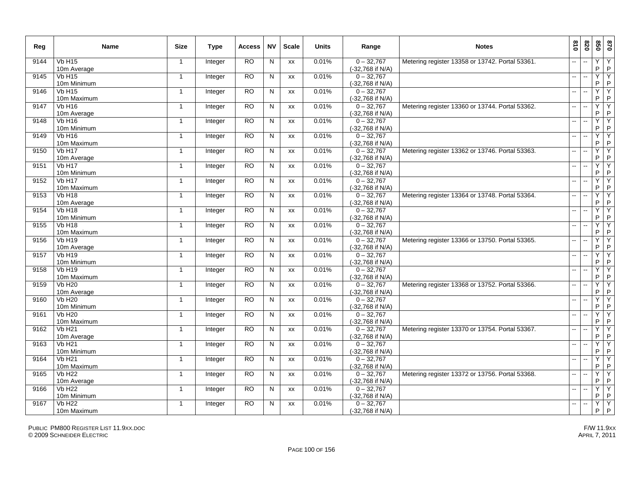| Reg  | Name                         | <b>Size</b>    | <b>Type</b> | Access          | <b>NV</b>    | <b>Scale</b> | <b>Units</b> | Range                            | <b>Notes</b>                                    | 018                      | 078                      | 020          | 0 <sub>28</sub>     |
|------|------------------------------|----------------|-------------|-----------------|--------------|--------------|--------------|----------------------------------|-------------------------------------------------|--------------------------|--------------------------|--------------|---------------------|
| 9144 | <b>Vb H15</b><br>10m Average | $\mathbf{1}$   | Integer     | <b>RO</b>       | N            | XX           | 0.01%        | $0 - 32.767$<br>(-32,768 if N/A) | Metering register 13358 or 13742. Portal 53361. | --                       |                          | Y<br>P       | Y<br>P              |
| 9145 | VbH15<br>10m Minimum         | $\mathbf{1}$   | Integer     | $\overline{RO}$ | N            | XX           | 0.01%        | $0 - 32,767$<br>(-32,768 if N/A) |                                                 | $\mathbf{u}$             | $\sim$                   | Ÿ<br>P       | Υ<br>P              |
| 9146 | <b>Vb H15</b><br>10m Maximum | $\overline{1}$ | Integer     | <b>RO</b>       | N            | <b>XX</b>    | 0.01%        | $0 - 32,767$<br>(-32,768 if N/A) |                                                 | $\mathbf{u}$             | $\sim$                   | Y<br>P       | Υ<br>P              |
| 9147 | <b>Vb H16</b><br>10m Average | $\mathbf{1}$   | Integer     | <b>RO</b>       | N            | XX           | 0.01%        | $0 - 32,767$<br>(-32,768 if N/A) | Metering register 13360 or 13744. Portal 53362. | $\sim$                   | $\ddotsc$                | Y<br>$\sf P$ | Y<br>$\sf P$        |
| 9148 | <b>Vb H16</b><br>10m Minimum | $\mathbf{1}$   | Integer     | <b>RO</b>       | N            | <b>XX</b>    | 0.01%        | $0 - 32,767$<br>(-32,768 if N/A) |                                                 | $\mathbf{u}$             |                          | Y<br>P       | Y<br>$\mathsf P$    |
| 9149 | <b>Vb H16</b><br>10m Maximum | $\mathbf{1}$   | Integer     | <b>RO</b>       | N            | XX           | 0.01%        | $0 - 32,767$<br>(-32,768 if N/A) |                                                 | -−                       | $\sim$                   | Y<br>P       | Υ<br>$\sf P$        |
| 9150 | <b>Vb H17</b><br>10m Average | $\overline{1}$ | Integer     | <b>RO</b>       | N            | <b>XX</b>    | 0.01%        | $0 - 32,767$<br>(-32,768 if N/A) | Metering register 13362 or 13746. Portal 53363. |                          |                          | Y<br>P       | Y<br>P              |
| 9151 | <b>Vb H17</b><br>10m Minimum | $\mathbf{1}$   | Integer     | <b>RO</b>       | N            | <b>XX</b>    | 0.01%        | $0 - 32,767$<br>(-32,768 if N/A) |                                                 | $\overline{\phantom{a}}$ |                          | Y<br>P       | Y<br>$\sf P$        |
| 9152 | Vb H17<br>10m Maximum        | $\mathbf{1}$   | Integer     | <b>RO</b>       | N            | XX           | 0.01%        | $0 - 32,767$<br>(-32,768 if N/A) |                                                 | $\overline{a}$           | ä.                       | Y<br>P       | Y<br>P              |
| 9153 | <b>Vb H18</b><br>10m Average | $\mathbf{1}$   | Integer     | <b>RO</b>       | N            | XX           | 0.01%        | $0 - 32,767$<br>(-32,768 if N/A) | Metering register 13364 or 13748. Portal 53364. | $\mathbf{u}$             | $\ddotsc$                | Y<br>P       | Y<br>$\sf P$        |
| 9154 | <b>Vb H18</b><br>10m Minimum | $\mathbf{1}$   | Integer     | RO              | N            | XX           | 0.01%        | $0 - 32.767$<br>(-32,768 if N/A) |                                                 | $\mathbf{u}$             | $\ddotsc$                | Y<br>P       | Υ<br>$\sf P$        |
| 9155 | <b>Vb H18</b><br>10m Maximum | $\mathbf{1}$   | Integer     | <b>RO</b>       | $\mathsf{N}$ | XX           | 0.01%        | $0 - 32,767$<br>(-32,768 if N/A) |                                                 | $\mathbf{u}$             | $\overline{\phantom{a}}$ | Y<br>P       | Y<br>$\sf P$        |
| 9156 | <b>Vb H19</b><br>10m Average | $\mathbf{1}$   | Integer     | RO              | N            | XX           | 0.01%        | $0 - 32,767$<br>(-32,768 if N/A) | Metering register 13366 or 13750. Portal 53365. | $\overline{a}$           | $\ddotsc$                | Ÿ<br>P       | Y<br>P              |
| 9157 | VbH19<br>10m Minimum         | $\mathbf{1}$   | Integer     | <b>RO</b>       | $\mathsf{N}$ | XX           | 0.01%        | $0 - 32,767$<br>(-32,768 if N/A) |                                                 | --                       | $\overline{\phantom{a}}$ | Y<br>P       | Υ<br>P              |
| 9158 | <b>Vb H19</b><br>10m Maximum | $\mathbf{1}$   | Integer     | RO              | N            | XX           | 0.01%        | $0 - 32,767$<br>(-32,768 if N/A) |                                                 | цú.                      |                          | Y<br>P       | Y<br>P              |
| 9159 | <b>Vb H20</b><br>10m Average | $\mathbf{1}$   | Integer     | <b>RO</b>       | ${\sf N}$    | XX           | 0.01%        | $0 - 32,767$<br>(-32,768 if N/A) | Metering register 13368 or 13752. Portal 53366. | $\overline{a}$           |                          | Ÿ<br>P       | Y<br>P              |
| 9160 | <b>Vb H20</b><br>10m Minimum | $\mathbf{1}$   | Integer     | <b>RO</b>       | N            | XX           | 0.01%        | $0 - 32,767$<br>(-32,768 if N/A) |                                                 | Щ.                       | ÷.                       | Y<br>P       | Y<br>$\sf P$        |
| 9161 | <b>Vb H20</b><br>10m Maximum | -1             | Integer     | <b>RO</b>       | N            | XX           | 0.01%        | $0 - 32,767$<br>(-32,768 if N/A) |                                                 | $\overline{a}$           | $\overline{\phantom{a}}$ | Y<br>P       | Υ<br>P              |
| 9162 | <b>Vb H21</b><br>10m Average | $\mathbf{1}$   | Integer     | <b>RO</b>       | N            | <b>XX</b>    | 0.01%        | $0 - 32.767$<br>(-32,768 if N/A) | Metering register 13370 or 13754. Portal 53367. | $\sim$ $\sim$            | $\sim$                   | Y<br>P       | Y<br>$\sf P$        |
| 9163 | <b>Vb H21</b><br>10m Minimum | $\mathbf{1}$   | Integer     | <b>RO</b>       | N            | XX           | 0.01%        | $0 - 32,767$<br>(-32,768 if N/A) |                                                 | $\sim$                   |                          | Y<br>P       | Ϋ<br>$\sf P$        |
| 9164 | <b>Vb H21</b><br>10m Maximum | $\mathbf{1}$   | Integer     | <b>RO</b>       | N            | XX           | 0.01%        | $0 - 32,767$<br>(-32,768 if N/A) |                                                 | -−                       |                          | Y<br>P       | Y<br>P              |
| 9165 | <b>Vb H22</b><br>10m Average | $\overline{1}$ | Integer     | <b>RO</b>       | N            | XX           | 0.01%        | $0 - 32,767$<br>(-32,768 if N/A) | Metering register 13372 or 13756. Portal 53368. |                          |                          | Y<br>P       | Y<br>P              |
| 9166 | <b>Vb H22</b><br>10m Minimum | $\mathbf{1}$   | Integer     | <b>RO</b>       | N            | <b>XX</b>    | 0.01%        | $0 - 32,767$<br>(-32,768 if N/A) |                                                 | $\overline{\phantom{a}}$ |                          | Ÿ<br>P       | Y<br>P              |
| 9167 | <b>Vb H22</b><br>10m Maximum | $\mathbf{1}$   | Integer     | <b>RO</b>       | ${\sf N}$    | XX           | 0.01%        | $0 - 32,767$<br>(-32,768 if N/A) |                                                 | $\overline{a}$           | $\overline{\phantom{a}}$ | Y<br>P.      | $\overline{Y}$<br>P |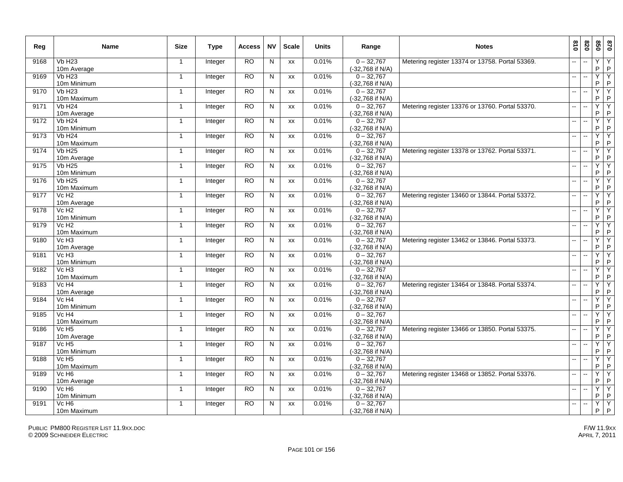| Reg  | Name                             | <b>Size</b>    | <b>Type</b> | Access          | <b>NV</b> | <b>Scale</b> | <b>Units</b> | Range                            | <b>Notes</b>                                    | 018                      | 078                      | 020          | 0 <sub>28</sub>     |
|------|----------------------------------|----------------|-------------|-----------------|-----------|--------------|--------------|----------------------------------|-------------------------------------------------|--------------------------|--------------------------|--------------|---------------------|
| 9168 | <b>Vb H23</b><br>10m Average     | $\mathbf{1}$   | Integer     | <b>RO</b>       | N         | XX           | 0.01%        | $0 - 32.767$<br>(-32,768 if N/A) | Metering register 13374 or 13758. Portal 53369. | --                       |                          | Y<br>P       | Y<br>P              |
| 9169 | VbH23<br>10m Minimum             | -1             | Integer     | $\overline{RO}$ | N         | XX           | 0.01%        | $0 - 32,767$<br>(-32,768 if N/A) |                                                 | $\mathbf{u}$             | $\sim$                   | Ÿ<br>P       | Υ<br>P              |
| 9170 | <b>Vb H23</b><br>10m Maximum     | $\mathbf{1}$   | Integer     | <b>RO</b>       | N         | XX           | 0.01%        | $0 - 32,767$<br>(-32,768 if N/A) |                                                 | $\mathbf{u}$             | $\sim$                   | Y<br>P       | Υ<br>P              |
| 9171 | <b>Vb H24</b><br>10m Average     | $\mathbf{1}$   | Integer     | <b>RO</b>       | N         | XX           | 0.01%        | $0 - 32,767$<br>(-32,768 if N/A) | Metering register 13376 or 13760. Portal 53370. | $\sim$                   | $\ddotsc$                | Y<br>$\sf P$ | Y<br>$\sf P$        |
| 9172 | <b>Vb H24</b><br>10m Minimum     | $\mathbf{1}$   | Integer     | <b>RO</b>       | N         | <b>XX</b>    | 0.01%        | $0 - 32,767$<br>(-32,768 if N/A) |                                                 | $\mathbf{u}$             |                          | Y<br>P       | Y<br>$\sf P$        |
| 9173 | <b>Vb H24</b><br>10m Maximum     | $\mathbf{1}$   | Integer     | <b>RO</b>       | N         | XX           | 0.01%        | $0 - 32,767$<br>(-32,768 if N/A) |                                                 | -−                       | $\sim$                   | Y<br>P       | Υ<br>$\sf P$        |
| 9174 | <b>Vb H25</b><br>10m Average     | $\overline{1}$ | Integer     | <b>RO</b>       | N         | <b>XX</b>    | 0.01%        | $0 - 32,767$<br>(-32,768 if N/A) | Metering register 13378 or 13762. Portal 53371. |                          |                          | Y<br>P       | Y<br>$\sf P$        |
| 9175 | <b>Vb H25</b><br>10m Minimum     | $\mathbf{1}$   | Integer     | <b>RO</b>       | N         | <b>XX</b>    | 0.01%        | $0 - 32,767$<br>(-32,768 if N/A) |                                                 | $\overline{\phantom{a}}$ |                          | Y<br>P       | Y<br>$\sf P$        |
| 9176 | VbH25<br>10m Maximum             | $\mathbf{1}$   | Integer     | <b>RO</b>       | N         | <b>XX</b>    | 0.01%        | $0 - 32,767$<br>(-32,768 if N/A) |                                                 | $\overline{a}$           | ä.                       | Y<br>P       | Y<br>P              |
| 9177 | Vc H <sub>2</sub><br>10m Average | $\mathbf{1}$   | Integer     | <b>RO</b>       | N         | XX           | 0.01%        | $0 - 32,767$<br>(-32,768 if N/A) | Metering register 13460 or 13844. Portal 53372. | $\mathbf{u}$             | $\ddotsc$                | Y<br>P       | Υ<br>$\sf P$        |
| 9178 | Vc H <sub>2</sub><br>10m Minimum | $\mathbf{1}$   | Integer     | RO              | N         | XX           | 0.01%        | $0 - 32.767$<br>(-32,768 if N/A) |                                                 | $\overline{\phantom{a}}$ | $\overline{\phantom{a}}$ | Y<br>P       | Υ<br>$\sf P$        |
| 9179 | Vc H <sub>2</sub><br>10m Maximum | $\mathbf{1}$   | Integer     | <b>RO</b>       | N         | XX           | 0.01%        | $0 - 32,767$<br>(-32,768 if N/A) |                                                 | $\mathbf{u}$             | $\overline{\phantom{a}}$ | Y<br>P       | Y<br>$\sf P$        |
| 9180 | Vc H <sub>3</sub><br>10m Average | $\mathbf{1}$   | Integer     | RO              | N         | XX           | 0.01%        | $0 - 32,767$<br>(-32,768 if N/A) | Metering register 13462 or 13846. Portal 53373. | ш.                       | $\ddotsc$                | Ÿ<br>P       | Υ<br>P              |
| 9181 | VcH3<br>10m Minimum              | $\mathbf{1}$   | Integer     | <b>RO</b>       | ${\sf N}$ | XX           | 0.01%        | $0 - 32,767$<br>(-32,768 if N/A) |                                                 | --                       | $\overline{\phantom{a}}$ | Y<br>P       | Υ<br>P              |
| 9182 | Vc H <sub>3</sub><br>10m Maximum | $\mathbf{1}$   | Integer     | RO              | N         | XX           | 0.01%        | $0 - 32,767$<br>(-32,768 if N/A) |                                                 | $\overline{\phantom{a}}$ |                          | Y<br>P       | Y<br>P              |
| 9183 | Vc H <sub>4</sub><br>10m Average | $\mathbf{1}$   | Integer     | <b>RO</b>       | ${\sf N}$ | XX           | 0.01%        | $0 - 32,767$<br>(-32,768 if N/A) | Metering register 13464 or 13848. Portal 53374. | $\overline{a}$           |                          | Ÿ<br>P       | Y<br>P              |
| 9184 | Vc H <sub>4</sub><br>10m Minimum | $\mathbf{1}$   | Integer     | <b>RO</b>       | N         | XX           | 0.01%        | $0 - 32,767$<br>(-32,768 if N/A) |                                                 | Щ.                       | $\sim$                   | Y<br>P       | Y<br>$\sf P$        |
| 9185 | Vc H <sub>4</sub><br>10m Maximum | -1             | Integer     | <b>RO</b>       | N         | XX           | 0.01%        | $0 - 32,767$<br>(-32,768 if N/A) |                                                 | $\overline{\phantom{a}}$ | $\overline{\phantom{a}}$ | Y<br>P       | Y<br>P              |
| 9186 | Vc H <sub>5</sub><br>10m Average | $\mathbf{1}$   | Integer     | <b>RO</b>       | N         | <b>XX</b>    | 0.01%        | $0 - 32.767$<br>(-32,768 if N/A) | Metering register 13466 or 13850. Portal 53375. | $\mathbf{u}$             | $\sim$                   | Y<br>P       | Y<br>$\sf P$        |
| 9187 | Vc H <sub>5</sub><br>10m Minimum | $\mathbf{1}$   | Integer     | <b>RO</b>       | N         | XX           | 0.01%        | $0 - 32,767$<br>(-32,768 if N/A) |                                                 | $\overline{\phantom{a}}$ |                          | Y<br>P       | Ϋ<br>$\sf P$        |
| 9188 | Vc H <sub>5</sub><br>10m Maximum | $\mathbf{1}$   | Integer     | <b>RO</b>       | N         | XX           | 0.01%        | $0 - 32,767$<br>(-32,768 if N/A) |                                                 | -−                       |                          | Y<br>P       | Y<br>P              |
| 9189 | Vc H <sub>6</sub><br>10m Average | $\overline{1}$ | Integer     | <b>RO</b>       | N         | XX           | 0.01%        | $0 - 32,767$<br>(-32,768 if N/A) | Metering register 13468 or 13852. Portal 53376. |                          |                          | Y<br>P       | Y<br>P              |
| 9190 | Vc H <sub>6</sub><br>10m Minimum | $\mathbf{1}$   | Integer     | <b>RO</b>       | N         | <b>XX</b>    | 0.01%        | $0 - 32,767$<br>(-32,768 if N/A) |                                                 | $\overline{\phantom{a}}$ |                          | Ÿ<br>P       | Y<br>P              |
| 9191 | Vc H <sub>6</sub><br>10m Maximum | $\mathbf{1}$   | Integer     | <b>RO</b>       | ${\sf N}$ | XX           | 0.01%        | $0 - 32,767$<br>(-32,768 if N/A) |                                                 | $\overline{a}$           | $\overline{\phantom{a}}$ | Y<br>P.      | $\overline{Y}$<br>P |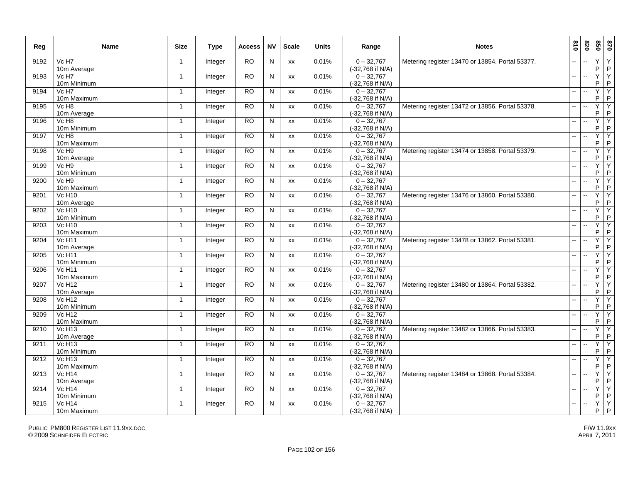| Reg  | Name                             | <b>Size</b>    | <b>Type</b> | Access          | <b>NV</b> | <b>Scale</b> | <b>Units</b> | Range                            | <b>Notes</b>                                    | 018                      | 078                      | 020          | 0 <sub>28</sub>     |
|------|----------------------------------|----------------|-------------|-----------------|-----------|--------------|--------------|----------------------------------|-------------------------------------------------|--------------------------|--------------------------|--------------|---------------------|
| 9192 | Vc H7<br>10m Average             | $\mathbf{1}$   | Integer     | <b>RO</b>       | N         | XX           | 0.01%        | $0 - 32.767$<br>(-32,768 if N/A) | Metering register 13470 or 13854. Portal 53377. |                          |                          | Y<br>P       | Y<br>P              |
| 9193 | Vc H7<br>10m Minimum             | -1             | Integer     | $\overline{RO}$ | N         | XX           | 0.01%        | $0 - 32,767$<br>(-32,768 if N/A) |                                                 | $\mathbf{u}$             | $\sim$                   | Ÿ<br>P       | Υ<br>P              |
| 9194 | Vc H7<br>10m Maximum             | $\overline{1}$ | Integer     | <b>RO</b>       | N         | XX           | 0.01%        | $0 - 32,767$<br>(-32,768 if N/A) |                                                 | $\mathbf{u}$             | $\sim$                   | Y<br>P       | Υ<br>P              |
| 9195 | Vc H <sub>8</sub><br>10m Average | $\mathbf{1}$   | Integer     | <b>RO</b>       | N         | XX           | 0.01%        | $0 - 32,767$<br>(-32,768 if N/A) | Metering register 13472 or 13856. Portal 53378. | $\sim$                   | $\ddotsc$                | Y<br>$\sf P$ | Y<br>$\sf P$        |
| 9196 | Vc H <sub>8</sub><br>10m Minimum | $\mathbf{1}$   | Integer     | <b>RO</b>       | N         | <b>XX</b>    | 0.01%        | $0 - 32,767$<br>(-32,768 if N/A) |                                                 | $\mathbf{u}$             |                          | Y<br>P       | Y<br>$\sf P$        |
| 9197 | Vc H <sub>8</sub><br>10m Maximum | $\mathbf{1}$   | Integer     | <b>RO</b>       | N         | XX           | 0.01%        | $0 - 32,767$<br>(-32,768 if N/A) |                                                 | -−                       | $\sim$                   | Y<br>P       | Υ<br>$\sf P$        |
| 9198 | Vc H <sub>9</sub><br>10m Average | $\overline{1}$ | Integer     | <b>RO</b>       | N         | <b>XX</b>    | 0.01%        | $0 - 32,767$<br>(-32,768 if N/A) | Metering register 13474 or 13858. Portal 53379. |                          |                          | Y<br>P       | Y<br>$\sf P$        |
| 9199 | Vc H <sub>9</sub><br>10m Minimum | $\mathbf{1}$   | Integer     | <b>RO</b>       | N         | <b>XX</b>    | 0.01%        | $0 - 32,767$<br>(-32,768 if N/A) |                                                 | $\overline{\phantom{a}}$ |                          | Y<br>P       | Y<br>$\sf P$        |
| 9200 | VcH9<br>10m Maximum              | $\mathbf{1}$   | Integer     | <b>RO</b>       | N         | <b>XX</b>    | 0.01%        | $0 - 32,767$<br>(-32,768 if N/A) |                                                 | $\overline{a}$           | ä.                       | Y<br>P       | Y<br>P              |
| 9201 | <b>Vc H10</b><br>10m Average     | $\mathbf{1}$   | Integer     | <b>RO</b>       | N         | XX           | 0.01%        | $0 - 32,767$<br>(-32,768 if N/A) | Metering register 13476 or 13860. Portal 53380. | $\mathbf{u}$             | $\ddotsc$                | Y<br>P       | Υ<br>$\sf P$        |
| 9202 | <b>Vc H10</b><br>10m Minimum     | $\mathbf{1}$   | Integer     | RO              | N         | XX           | 0.01%        | $0 - 32.767$<br>(-32,768 if N/A) |                                                 | $\overline{\phantom{a}}$ | $\overline{\phantom{a}}$ | Y<br>P       | Υ<br>$\sf P$        |
| 9203 | <b>Vc H10</b><br>10m Maximum     | $\mathbf{1}$   | Integer     | <b>RO</b>       | N         | XX           | 0.01%        | $0 - 32,767$<br>(-32,768 if N/A) |                                                 | $\mathbf{u}$             | $\overline{\phantom{a}}$ | Y<br>P       | Y<br>$\sf P$        |
| 9204 | <b>Vc H11</b><br>10m Average     | $\mathbf{1}$   | Integer     | RO              | N         | XX           | 0.01%        | $0 - 32,767$<br>(-32,768 if N/A) | Metering register 13478 or 13862. Portal 53381. | $\overline{a}$           | $\ddotsc$                | Ÿ<br>P       | Υ<br>P              |
| 9205 | <b>Vc H11</b><br>10m Minimum     | $\mathbf{1}$   | Integer     | <b>RO</b>       | ${\sf N}$ | XX           | 0.01%        | $0 - 32,767$<br>(-32,768 if N/A) |                                                 | --                       | ÷.                       | Y<br>P       | Υ<br>P              |
| 9206 | <b>Vc H11</b><br>10m Maximum     | $\mathbf{1}$   | Integer     | RO              | N         | XX           | 0.01%        | $0 - 32,767$<br>(-32,768 if N/A) |                                                 | цú.                      |                          | Y<br>P       | Y<br>P              |
| 9207 | <b>Vc H12</b><br>10m Average     | $\mathbf{1}$   | Integer     | <b>RO</b>       | ${\sf N}$ | XX           | 0.01%        | $0 - 32,767$<br>(-32,768 if N/A) | Metering register 13480 or 13864. Portal 53382. | $\overline{a}$           |                          | Ÿ<br>P       | Y<br>P              |
| 9208 | <b>Vc H12</b><br>10m Minimum     | $\mathbf{1}$   | Integer     | <b>RO</b>       | N         | XX           | 0.01%        | $0 - 32,767$<br>(-32,768 if N/A) |                                                 | Щ.                       | $\sim$                   | Y<br>P       | Y<br>$\sf P$        |
| 9209 | <b>Vc H12</b><br>10m Maximum     | -1             | Integer     | <b>RO</b>       | N         | XX           | 0.01%        | $0 - 32,767$<br>(-32,768 if N/A) |                                                 | $\overline{\phantom{a}}$ | $\overline{\phantom{a}}$ | Y<br>P       | Y<br>P              |
| 9210 | <b>Vc H13</b><br>10m Average     | $\mathbf{1}$   | Integer     | <b>RO</b>       | N         | <b>XX</b>    | 0.01%        | $0 - 32.767$<br>(-32,768 if N/A) | Metering register 13482 or 13866. Portal 53383. | $\mathbf{u}$             | $\sim$                   | Y<br>P       | Y<br>$\sf P$        |
| 9211 | <b>Vc H13</b><br>10m Minimum     | $\mathbf{1}$   | Integer     | <b>RO</b>       | N         | XX           | 0.01%        | $0 - 32,767$<br>(-32,768 if N/A) |                                                 | $\overline{\phantom{a}}$ |                          | Y<br>P       | Ϋ<br>$\sf P$        |
| 9212 | <b>Vc H13</b><br>10m Maximum     | $\mathbf{1}$   | Integer     | <b>RO</b>       | N         | XX           | 0.01%        | $0 - 32,767$<br>(-32,768 if N/A) |                                                 | -−                       |                          | Y<br>P       | Y<br>P              |
| 9213 | <b>Vc H14</b><br>10m Average     | $\overline{1}$ | Integer     | <b>RO</b>       | N         | XX           | 0.01%        | $0 - 32,767$<br>(-32,768 if N/A) | Metering register 13484 or 13868. Portal 53384. |                          |                          | Y<br>P       | Y<br>P              |
| 9214 | <b>Vc H14</b><br>10m Minimum     | $\mathbf{1}$   | Integer     | <b>RO</b>       | N         | <b>XX</b>    | 0.01%        | $0 - 32,767$<br>(-32,768 if N/A) |                                                 | $\overline{\phantom{a}}$ |                          | Ÿ<br>P       | Y<br>P              |
| 9215 | <b>Vc H14</b><br>10m Maximum     | $\mathbf{1}$   | Integer     | <b>RO</b>       | ${\sf N}$ | XX           | 0.01%        | $0 - 32,767$<br>(-32,768 if N/A) |                                                 | $\overline{a}$           | $\overline{\phantom{a}}$ | Y<br>P.      | $\overline{Y}$<br>P |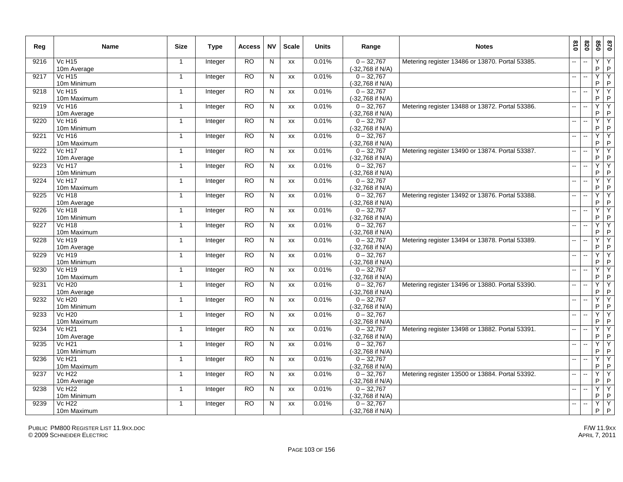| Reg  | Name                              | <b>Size</b>    | <b>Type</b> | Access          | <b>NV</b>               | <b>Scale</b> | <b>Units</b> | Range                            | <b>Notes</b>                                    | 018                      | 078                      | 020                 | 0 <sub>28</sub>     |
|------|-----------------------------------|----------------|-------------|-----------------|-------------------------|--------------|--------------|----------------------------------|-------------------------------------------------|--------------------------|--------------------------|---------------------|---------------------|
| 9216 | <b>Vc H15</b><br>10m Average      | $\mathbf{1}$   | Integer     | <b>RO</b>       | ${\sf N}$               | XX           | 0.01%        | $0 - 32,767$<br>(-32,768 if N/A) | Metering register 13486 or 13870. Portal 53385. | $\overline{a}$           |                          | Υ<br>P              | Y<br>P              |
| 9217 | VcH15<br>10m Minimum              | $\mathbf{1}$   | Integer     | $\overline{RO}$ | N                       | XX           | 0.01%        | $0 - 32,767$<br>(-32,768 if N/A) |                                                 | $\overline{a}$           | $\sim$                   | Ÿ<br>P              | Υ<br>$\sf P$        |
| 9218 | <b>Vc H15</b><br>10m Maximum      | $\mathbf{1}$   | Integer     | <b>RO</b>       | ${\sf N}$               | XX           | 0.01%        | $0 - 32,767$<br>(-32,768 if N/A) |                                                 | $\overline{\phantom{a}}$ |                          | Y<br>P              | Υ<br>P              |
| 9219 | <b>Vc H16</b><br>10m Average      | $\mathbf{1}$   | Integer     | <b>RO</b>       | N                       | <b>XX</b>    | 0.01%        | $0 - 32,767$<br>(-32,768 if N/A) | Metering register 13488 or 13872. Portal 53386. | $\sim$ $\sim$            | $\ddotsc$                | Y<br>$\sf P$        | Y<br>$\sf P$        |
| 9220 | <b>Vc H16</b><br>10m Minimum      | $\mathbf{1}$   | Integer     | <b>RO</b>       | N                       | XX           | 0.01%        | $0 - 32,767$<br>(-32,768 if N/A) |                                                 | $\overline{\phantom{a}}$ | $\sim$                   | Y<br>P              | Ϋ<br>$\sf P$        |
| 9221 | <b>Vc H16</b><br>10m Maximum      | $\mathbf{1}$   | Integer     | RO              | N                       | XX           | 0.01%        | $0 - 32,767$<br>(-32,768 if N/A) |                                                 | -−                       | $\overline{\phantom{a}}$ | Y<br>P              | Y<br>P              |
| 9222 | <b>Vc H17</b><br>10m Average      | $\mathbf{1}$   | Integer     | <b>RO</b>       | N                       | XX           | 0.01%        | $0 - 32,767$<br>(-32,768 if N/A) | Metering register 13490 or 13874. Portal 53387. |                          |                          | Y<br>P              | Y<br>P              |
| 9223 | <b>Vc H17</b><br>10m Minimum      | $\mathbf{1}$   | Integer     | <b>RO</b>       | N                       | <b>XX</b>    | 0.01%        | $0 - 32.767$<br>(-32,768 if N/A) |                                                 | $\overline{\phantom{a}}$ |                          | Ÿ<br>P              | Y<br>P              |
| 9224 | <b>Vc H17</b><br>10m Maximum      | $\mathbf{1}$   | Integer     | <b>RO</b>       | N                       | XX           | 0.01%        | $0 - 32,767$<br>(-32,768 if N/A) |                                                 | $\mathbf{u}$             | $\sim$                   | Y<br>P              | $\overline{Y}$<br>P |
| 9225 | <b>Vc H18</b><br>10m Average      | $\mathbf{1}$   | Integer     | RO              | N                       | XX           | 0.01%        | $0 - 32,767$<br>(-32,768 if N/A) | Metering register 13492 or 13876. Portal 53388. | $\mathbf{u}$             | ÷.                       | Ÿ<br>P              | Y<br>P              |
| 9226 | <b>Vc H18</b><br>10m Minimum      | $\mathbf{1}$   | Integer     | <b>RO</b>       | N                       | XX           | 0.01%        | $0 - 32,767$<br>(-32,768 if N/A) |                                                 | $\mathbf{u}$             | $\overline{\phantom{a}}$ | Ÿ<br>P              | Y<br>$\mathsf{P}$   |
| 9227 | <b>Vc H18</b><br>10m Maximum      | $\mathbf{1}$   | Integer     | <b>RO</b>       | N                       | XX           | 0.01%        | $0 - 32,767$<br>(-32,768 if N/A) |                                                 | $\mathbf{u}$             | $\ddotsc$                | Y<br>P              | Y<br>P              |
| 9228 | Vc H <sub>19</sub><br>10m Average | $\mathbf{1}$   | Integer     | <b>RO</b>       | $\overline{\mathsf{N}}$ | XX           | 0.01%        | $0 - 32,767$<br>(-32,768 if N/A) | Metering register 13494 or 13878. Portal 53389. | --                       | $\overline{\phantom{a}}$ | Ÿ<br>P              | Y<br>P              |
| 9229 | <b>Vc H19</b><br>10m Minimum      | $\overline{1}$ | Integer     | <b>RO</b>       | N                       | XX           | 0.01%        | $0 - 32,767$<br>(-32,768 if N/A) |                                                 |                          |                          | Y<br>P              | Y<br>P              |
| 9230 | Vc H <sub>19</sub><br>10m Maximum | $\mathbf{1}$   | Integer     | <b>RO</b>       | N                       | XX           | 0.01%        | $0 - 32,767$<br>(-32,768 if N/A) |                                                 | ш.                       |                          | Y<br>P              | Y<br>P              |
| 9231 | <b>Vc H20</b><br>10m Average      | $\mathbf{1}$   | Integer     | RO              | N                       | XX           | 0.01%        | $0 - 32,767$<br>(-32,768 if N/A) | Metering register 13496 or 13880. Portal 53390. | $\sim$                   | ÷.                       | Ÿ<br>P              | Y<br>P              |
| 9232 | <b>Vc H20</b><br>10m Minimum      | $\mathbf{1}$   | Integer     | <b>RO</b>       | N                       | XX           | 0.01%        | $0 - 32,767$<br>(-32,768 if N/A) |                                                 | ш.                       |                          | Y<br>P              | Y<br>$\sf P$        |
| 9233 | <b>Vc H20</b><br>10m Maximum      | $\mathbf{1}$   | Integer     | <b>RO</b>       | N                       | <b>XX</b>    | 0.01%        | $0 - 32,767$<br>(-32,768 if N/A) |                                                 | $\mathbf{u}$             | $\sim$                   | Y<br>P              | Ÿ<br>$\sf P$        |
| 9234 | <b>Vc H21</b><br>10m Average      | $\mathbf{1}$   | Integer     | RO.             | N                       | XX           | 0.01%        | $0 - 32,767$<br>(-32,768 if N/A) | Metering register 13498 or 13882. Portal 53391. | $\sim$ $\sim$            | $\overline{\phantom{a}}$ | Ÿ<br>P              | Y<br>$\sf P$        |
| 9235 | <b>Vc H21</b><br>10m Minimum      | $\overline{1}$ | Integer     | RO              | N                       | XX           | 0.01%        | $0 - 32,767$<br>(-32,768 if N/A) |                                                 | $\mathbf{u}$             | $\overline{\phantom{a}}$ | Ÿ<br>P              | Y<br>P              |
| 9236 | <b>Vc H21</b><br>10m Maximum      | $\mathbf{1}$   | Integer     | <b>RO</b>       | N                       | XX           | 0.01%        | $0 - 32,767$<br>(-32,768 if N/A) |                                                 |                          |                          | Y<br>P              | Y<br>$\sf P$        |
| 9237 | <b>Vc H22</b><br>10m Average      | $\mathbf{1}$   | Integer     | <b>RO</b>       | N                       | <b>XX</b>    | 0.01%        | $0 - 32.767$<br>(-32,768 if N/A) | Metering register 13500 or 13884. Portal 53392. |                          |                          | $\overline{Y}$<br>P | Ÿ<br>P              |
| 9238 | <b>Vc H22</b><br>10m Minimum      | $\mathbf{1}$   | Integer     | <b>RO</b>       | N                       | XX           | 0.01%        | $0 - 32,767$<br>(-32,768 if N/A) |                                                 | $\mathbf{u}$             | $\sim$                   | Ÿ<br>P              | Υ<br>P              |
| 9239 | <b>Vc H22</b><br>10m Maximum      | $\overline{1}$ | Integer     | <b>RO</b>       | N                       | <b>XX</b>    | 0.01%        | $0 - 32.767$<br>(-32,768 if N/A) |                                                 | $\overline{a}$           |                          | Y<br>P.             | Y<br>P              |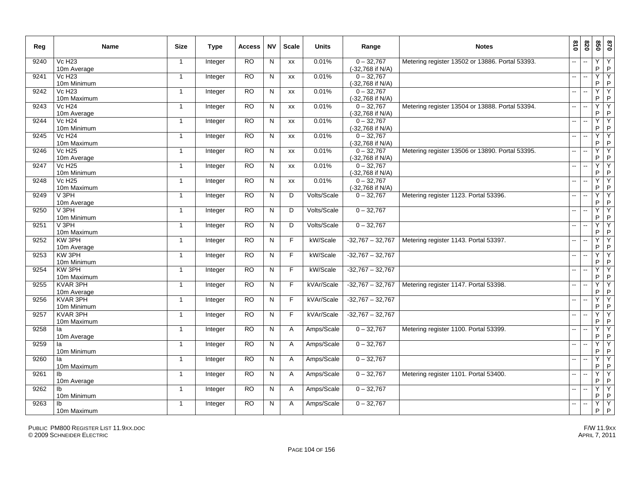| Reg  | <b>Name</b>                              | <b>Size</b>    | Type    | <b>Access</b>  | <b>NV</b>    | <b>Scale</b> | <b>Units</b> | Range                            | <b>Notes</b>                                    | 018                      | 078                      | 020          | 0 <sub>28</sub>     |
|------|------------------------------------------|----------------|---------|----------------|--------------|--------------|--------------|----------------------------------|-------------------------------------------------|--------------------------|--------------------------|--------------|---------------------|
| 9240 | <b>Vc H23</b><br>10m Average             | $\mathbf{1}$   | Integer | <b>RO</b>      | N            | <b>XX</b>    | 0.01%        | $0 - 32.767$<br>(-32,768 if N/A) | Metering register 13502 or 13886. Portal 53393. |                          |                          | Y<br>P       | Y<br>$\mathsf{P}$   |
| 9241 | $Vc$ H <sub>23</sub><br>10m Minimum      | $\mathbf{1}$   | Integer | RO             | N            | XX           | 0.01%        | $0 - 32,767$<br>(-32,768 if N/A) |                                                 | $\mathbf{u}$             | $\sim$                   | Ÿ<br>P       | Υ<br>P              |
| 9242 | <b>Vc H23</b><br>10m Maximum             | $\mathbf{1}$   | Integer | <b>RO</b>      | N            | XX           | 0.01%        | $0 - 32,767$<br>(-32,768 if N/A) |                                                 | $\mathbf{u}$             | $\sim$                   | Y<br>P       | Υ<br>P              |
| 9243 | <b>Vc H24</b><br>10m Average             | $\mathbf{1}$   | Integer | <b>RO</b>      | N            | XX           | 0.01%        | $0 - 32,767$<br>(-32,768 if N/A) | Metering register 13504 or 13888. Portal 53394. | $\sim$                   | $\overline{\phantom{a}}$ | Y<br>$\sf P$ | Y<br>$\sf P$        |
| 9244 | <b>Vc H24</b><br>10m Minimum             | $\mathbf{1}$   | Integer | RO             | N            | XX           | 0.01%        | $0 - 32,767$<br>(-32,768 if N/A) |                                                 | $\mathbf{u}$             |                          | Y<br>P       | Y<br>$\sf P$        |
| 9245 | <b>Vc H24</b><br>10m Maximum             | -1             | Integer | <b>RO</b>      | N            | XX           | 0.01%        | $0 - 32,767$<br>(-32,768 if N/A) |                                                 | -−                       | $\overline{\phantom{a}}$ | Y<br>P       | Υ<br>$\sf P$        |
| 9246 | <b>Vc H25</b><br>10m Average             | $\overline{1}$ | Integer | <b>RO</b>      | N            | <b>XX</b>    | 0.01%        | $0 - 32,767$<br>(-32,768 if N/A) | Metering register 13506 or 13890. Portal 53395. |                          |                          | Y<br>P       | Y<br>$\sf P$        |
| 9247 | <b>Vc H25</b><br>10m Minimum             | $\mathbf{1}$   | Integer | <b>RO</b>      | N            | <b>XX</b>    | 0.01%        | $0 - 32,767$<br>(-32,768 if N/A) |                                                 | $\mathbf{u}$             |                          | Y<br>P       | Y<br>P              |
| 9248 | <b>Vc H25</b><br>10m Maximum             | $\mathbf{1}$   | Integer | <b>RO</b>      | N            | <b>XX</b>    | 0.01%        | $0 - 32,767$<br>(-32,768 if N/A) |                                                 | цц.                      | ä.                       | Y<br>P       | Y<br>P              |
| 9249 | V <sub>3PH</sub><br>10m Average          | $\mathbf{1}$   | Integer | <b>RO</b>      | $\mathsf{N}$ | D            | Volts/Scale  | $0 - 32,767$                     | Metering register 1123. Portal 53396.           | н.                       | $\ddotsc$                | Y<br>P       | Y<br>$\sf P$        |
| 9250 | V <sub>3PH</sub><br>10m Minimum          | $\mathbf{1}$   | Integer | RO             | N            | D            | Volts/Scale  | $0 - 32,767$                     |                                                 | $\overline{\phantom{a}}$ | $\sim$                   | Y<br>P       | Y<br>$\sf P$        |
| 9251 | V <sub>3PH</sub><br>10m Maximum          | $\mathbf{1}$   | Integer | <b>RO</b>      | $\mathsf{N}$ | D            | Volts/Scale  | $0 - 32,767$                     |                                                 | $\mathbf{u}$             | $\overline{\phantom{a}}$ | Y<br>P       | Y<br>$\sf P$        |
| 9252 | KW 3PH<br>10m Average                    | $\mathbf{1}$   | Integer | RO             | N            | F            | kW/Scale     | $-32,767 - 32,767$               | Metering register 1143. Portal 53397.           | Щ.                       | $\mathbf{u}$             | Ÿ<br>P       | Y<br>P              |
| 9253 | KW 3PH<br>10m Minimum                    | $\mathbf{1}$   | Integer | <b>RO</b>      | ${\sf N}$    | F            | kW/Scale     | $-32,767 - 32,767$               |                                                 | --                       |                          | Y<br>P       | Υ<br>P              |
| 9254 | KW 3PH<br>10m Maximum                    | $\mathbf{1}$   | Integer | RO             | N            | F            | kW/Scale     | $-32,767 - 32,767$               |                                                 | шü                       |                          | Y<br>P       | Y<br>P              |
| 9255 | KVAR 3PH<br>10m Average                  | $\mathbf{1}$   | Integer | <b>RO</b>      | $\mathsf{N}$ | F            | kVAr/Scale   | $-32,767 - 32,767$               | Metering register 1147. Portal 53398.           | $\overline{\phantom{a}}$ |                          | Y<br>P       | Y<br>P              |
| 9256 | KVAR 3PH<br>10m Minimum                  | $\mathbf{1}$   | Integer | <b>RO</b>      | N            | F            | kVAr/Scale   | $-32,767 - 32,767$               |                                                 | $\overline{a}$           | $\sim$                   | Y<br>P       | Y<br>$\sf P$        |
| 9257 | KVAR 3PH<br>10m Maximum                  | -1             | Integer | <b>RO</b>      | $\mathsf{N}$ | E            | kVAr/Scale   | $-32,767 - 32,767$               |                                                 | $-$                      | $\overline{\phantom{a}}$ | Y<br>P       | Y<br>P              |
| 9258 | la<br>10m Average                        | $\mathbf{1}$   | Integer | R <sub>O</sub> | N            | A            | Amps/Scale   | $0 - 32,767$                     | Metering register 1100. Portal 53399.           | н.                       | $\overline{\phantom{a}}$ | Y<br>$\sf P$ | Y<br>$\sf P$        |
| 9259 | la<br>10m Minimum                        | $\mathbf{1}$   | Integer | <b>RO</b>      | $\mathsf{N}$ | A            | Amps/Scale   | $0 - 32,767$                     |                                                 | $-$                      |                          | Y<br>P       | Ϋ<br>$\sf P$        |
| 9260 | la<br>10m Maximum                        | $\mathbf{1}$   | Integer | <b>RO</b>      | N            | $\mathsf{A}$ | Amps/Scale   | $0 - 32,767$                     |                                                 | --                       |                          | Y<br>P       | Y<br>$\sf P$        |
| 9261 | Ib<br>10m Average                        | $\mathbf{1}$   | Integer | <b>RO</b>      | $\mathsf{N}$ | A            | Amps/Scale   | $0 - 32,767$                     | Metering register 1101. Portal 53400.           |                          |                          | Y<br>P       | Y<br>P              |
| 9262 | $\mathsf{I}^{\mathsf{b}}$<br>10m Minimum | $\mathbf{1}$   | Integer | <b>RO</b>      | N            | A            | Amps/Scale   | $0 - 32,767$                     |                                                 | $\sim$ $\sim$            |                          | Y<br>P       | Y<br>$\mathsf P$    |
| 9263 | $\mathsf{I}^{\mathsf{b}}$<br>10m Maximum | $\mathbf{1}$   | Integer | <b>RO</b>      | $\mathsf{N}$ | Α            | Amps/Scale   | $0 - 32,767$                     |                                                 | $-$                      | $\sim$                   | Y<br>P.      | $\overline{Y}$<br>P |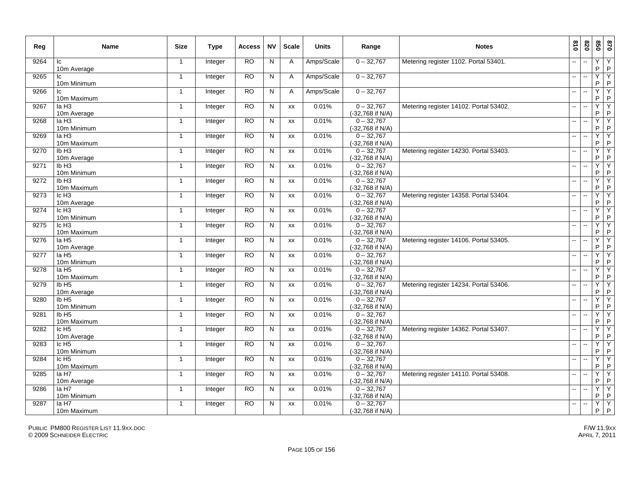| Reg  | <b>Name</b>                        | <b>Size</b>             | Type           | Access    | <b>NV</b>      | <b>Scale</b> | <b>Units</b> | Range                            | <b>Notes</b>                           | 018                      | 078            | 098          | 0 <sub>28</sub>   |
|------|------------------------------------|-------------------------|----------------|-----------|----------------|--------------|--------------|----------------------------------|----------------------------------------|--------------------------|----------------|--------------|-------------------|
| 9264 | Ic<br>10m Average                  | $\overline{\mathbf{1}}$ | Integer        | RO        | N              | A            | Amps/Scale   | $0 - 32,767$                     | Metering register 1102. Portal 53401.  |                          |                | Y<br>P       | Y<br>$\mathsf P$  |
| 9265 | lc<br>10m Minimum                  | $\mathbf{1}$            | Integer        | RO.       | N              | A            | Amps/Scale   | $0 - 32,767$                     |                                        | --                       |                | Υ<br>P       | Υ<br>$\sf P$      |
| 9266 | Ic<br>10m Maximum                  | $\overline{1}$          | Integer        | RO.       | N              | $\mathsf{A}$ | Amps/Scale   | $0 - 32,767$                     |                                        | $\overline{a}$           |                | Y<br>P       | Υ<br>$\sf P$      |
| 9267 | la H <sub>3</sub><br>10m Average   | $\mathbf{1}$            | Integer        | <b>RO</b> | N              | XX           | 0.01%        | $0 - 32,767$<br>(-32,768 if N/A) | Metering register 14102. Portal 53402. | $-$                      |                | Ÿ<br>P       | Y<br>$\sf P$      |
| 9268 | IaH3<br>10m Minimum                | -1                      | Integer        | RO        | N              | XX           | 0.01%        | $0 - 32,767$<br>(-32,768 if N/A) |                                        | $-$                      |                | Ÿ<br>P       | Y<br>$\sf P$      |
| 9269 | la H <sub>3</sub><br>10m Maximum   | $\overline{1}$          | Integer        | <b>RO</b> | ${\sf N}$      | XX           | 0.01%        | $0 - 32,767$<br>(-32,768 if N/A) |                                        |                          |                | Υ<br>P       | Υ<br>$\sf P$      |
| 9270 | Ib <sub>H3</sub><br>10m Average    | $\mathbf{1}$            | Integer        | <b>RO</b> | N              | XX           | 0.01%        | $0 - 32,767$<br>(-32,768 if N/A) | Metering register 14230. Portal 53403. |                          |                | Y<br>P       | Y<br>$\sf P$      |
| 9271 | Ib <sub>H3</sub><br>10m Minimum    | $\overline{1}$          | Integer        | <b>RO</b> | N              | <b>XX</b>    | 0.01%        | $0 - 32,767$<br>(-32,768 if N/A) |                                        |                          |                | Ÿ<br>P       | Y<br>$\mathsf{P}$ |
| 9272 | Ib <sub>H3</sub><br>10m Maximum    | $\mathbf{1}$            | Integer        | <b>RO</b> | N              | XX           | 0.01%        | $0 - 32,767$<br>(-32,768 if N/A) |                                        |                          |                | Y<br>P       | Υ<br>$\sf P$      |
| 9273 | Ic H <sub>3</sub><br>10m Average   | $\mathbf{1}$            | Integer        | RO        | N              | XX           | 0.01%        | $0 - 32,767$<br>(-32,768 if N/A) | Metering register 14358. Portal 53404. |                          |                | Ÿ<br>P       | Y<br>P            |
| 9274 | Ic H <sub>3</sub><br>10m Minimum   | $\mathbf{1}$            | Integer        | RO.       | N              | XX           | 0.01%        | $0 - 32,767$<br>(-32,768 if N/A) |                                        | $\overline{\phantom{a}}$ | $\sim$         | Ÿ<br>P       | Υ<br>$\mathsf{P}$ |
| 9275 | Ic H <sub>3</sub><br>10m Maximum   | $\mathbf{1}$            | Integer        | <b>RO</b> | N              | XX           | 0.01%        | $0 - 32,767$<br>(-32,768 if N/A) |                                        | н.                       | $\overline{a}$ | Y<br>P       | Y<br>$\mathsf{P}$ |
| 9276 | la H <sub>5</sub><br>10m Average   | $\overline{1}$          | Integer        | <b>RO</b> | $\overline{N}$ | XX           | 0.01%        | $0 - 32,767$<br>(-32,768 if N/A) | Metering register 14106. Portal 53405. | --                       |                | Υ<br>P       | Y<br>$\mathsf{P}$ |
| 9277 | la H <sub>5</sub><br>10m Minimum   | $\overline{1}$          | Integer        | <b>RO</b> | N              | XX           | 0.01%        | $0 - 32,767$<br>(-32,768 if N/A) |                                        |                          |                | Υ<br>P       | Υ<br>$\mathsf P$  |
| 9278 | la H <sub>5</sub><br>10m Maximum   | $\mathbf{1}$            | Integer        | <b>RO</b> | N              | XX           | 0.01%        | $0 - 32,767$<br>(-32,768 if N/A) |                                        |                          |                | Ÿ<br>P       | Y<br>$\mathsf P$  |
| 9279 | IbH5<br>10m Average                | $\mathbf{1}$            | <b>Integer</b> | <b>RO</b> | N              | XX           | 0.01%        | $0 - 32,767$<br>(-32,768 if N/A) | Metering register 14234. Portal 53406. |                          |                | Y<br>P       | Y<br>$\sf P$      |
| 9280 | Ib <sub>H5</sub><br>10m Minimum    | $\mathbf{1}$            | Integer        | RO        | N              | XX           | 0.01%        | $0 - 32,767$<br>(-32,768 if N/A) |                                        | ш.                       |                | Y<br>P       | Y<br>$\sf P$      |
| 9281 | Ib <sub>H5</sub><br>10m Maximum    | 1                       | Integer        | <b>RO</b> | N              | XX           | 0.01%        | $0 - 32,767$<br>(-32,768 if N/A) |                                        | --                       |                | Y<br>$\sf P$ | Υ<br>$\sf P$      |
| 9282 | Ic H <sub>5</sub><br>10m Average   | $\mathbf{1}$            | Integer        | <b>RO</b> | N              | <b>XX</b>    | 0.01%        | $0 - 32.767$<br>(-32,768 if N/A) | Metering register 14362. Portal 53407. | $\overline{\phantom{a}}$ |                | Y<br>P       | Y<br>$\sf P$      |
| 9283 | $lc$ H <sub>5</sub><br>10m Minimum | -1                      | Integer        | <b>RO</b> | N              | XX           | 0.01%        | $0 - 32,767$<br>(-32,768 if N/A) |                                        | $\overline{\phantom{a}}$ |                | Υ<br>P       | Y<br>P            |
| 9284 | Ic H <sub>5</sub><br>10m Maximum   | $\overline{1}$          | Integer        | <b>RO</b> | N              | XX           | 0.01%        | $0 - 32,767$<br>(-32,768 if N/A) |                                        |                          |                | Υ<br>P       | Y<br>$\sf P$      |
| 9285 | la H7<br>10m Average               | $\mathbf{1}$            | Integer        | <b>RO</b> | N              | XX           | 0.01%        | $0 - 32,767$<br>(-32,768 if N/A) | Metering register 14110. Portal 53408. |                          |                | Y<br>P       | Y<br>$\sf P$      |
| 9286 | la H7<br>10m Minimum               | $\mathbf{1}$            | Integer        | <b>RO</b> | N              | <b>XX</b>    | 0.01%        | $0 - 32,767$<br>(-32,768 if N/A) |                                        |                          |                | Ÿ<br>P       | Y<br>$\sf P$      |
| 9287 | la H7<br>10m Maximum               | $\mathbf{1}$            | Integer        | <b>RO</b> | N              | XX           | 0.01%        | $0 - 32,767$<br>(-32,768 if N/A) |                                        |                          |                | Y<br>P       | Y<br>$\mathsf{P}$ |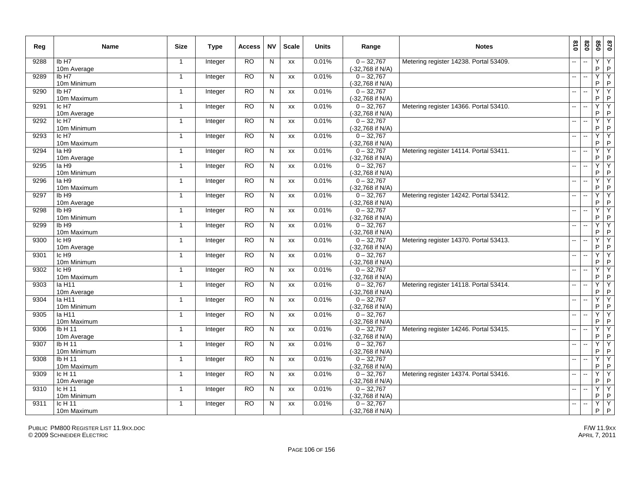| Reg  | <b>Name</b>                        | <b>Size</b>    | Type    | <b>Access</b> | <b>NV</b>      | <b>Scale</b> | <b>Units</b> | Range                            | <b>Notes</b>                           | 018                      | 078                      | 020                 | 0 <sub>28</sub>                |
|------|------------------------------------|----------------|---------|---------------|----------------|--------------|--------------|----------------------------------|----------------------------------------|--------------------------|--------------------------|---------------------|--------------------------------|
| 9288 | Ib H7<br>10m Average               | $\mathbf{1}$   | Integer | <b>RO</b>     | $\mathsf{N}$   | XX           | 0.01%        | $0 - 32,767$<br>(-32,768 if N/A) | Metering register 14238. Portal 53409. |                          |                          | Υ<br>P              | Υ<br>P                         |
| 9289 | IbH7<br>10m Minimum                | $\mathbf 1$    | Integer | RO            | N              | XX           | 0.01%        | $0 - 32,767$<br>(-32,768 if N/A) |                                        | $\overline{a}$           | $\sim$                   | Ÿ<br>P              | Υ<br>$\sf P$                   |
| 9290 | Ib H7<br>10m Maximum               | $\overline{1}$ | Integer | <b>RO</b>     | $\mathsf{N}$   | XX           | 0.01%        | $0 - 32,767$<br>(-32,768 if N/A) |                                        | $\overline{a}$           | $\overline{\phantom{a}}$ | Y<br>P              | Y<br>P                         |
| 9291 | Ic H7<br>10m Average               | $\mathbf{1}$   | Integer | RO            | N              | <b>XX</b>    | 0.01%        | $0 - 32.767$<br>(-32,768 if N/A) | Metering register 14366. Portal 53410. | $\mathbf{u}$             | $\ddotsc$                | Y<br>$\sf P$        | Y<br>$\sf P$                   |
| 9292 | Ic H7<br>10m Minimum               | $\mathbf{1}$   | Integer | <b>RO</b>     | $\mathsf{N}$   | XX           | 0.01%        | $0 - 32,767$<br>(-32,768 if N/A) |                                        | $\sim$                   |                          | Y<br>P              | Ϋ<br>$\sf P$                   |
| 9293 | Ic H7<br>10m Maximum               | $\mathbf{1}$   | Integer | <b>RO</b>     | N              | XX           | 0.01%        | $0 - 32,767$<br>(-32,768 if N/A) |                                        | --                       |                          | Y<br>P              | Y<br>$\sf P$                   |
| 9294 | la H9<br>10m Average               | $\mathbf{1}$   | Integer | <b>RO</b>     | N              | XX           | 0.01%        | $0 - 32,767$<br>(-32,768 if N/A) | Metering register 14114. Portal 53411. | $-$                      |                          | Y<br>P              | Y<br>P                         |
| 9295 | la H9<br>10m Minimum               | $\mathbf{1}$   | Integer | <b>RO</b>     | N              | <b>XX</b>    | 0.01%        | $0 - 32,767$<br>(-32,768 if N/A) |                                        | $\overline{\phantom{a}}$ |                          | Ÿ<br>P              | Y<br>P                         |
| 9296 | la H9<br>10m Maximum               | $\mathbf{1}$   | Integer | <b>RO</b>     | ${\sf N}$      | XX           | 0.01%        | $0 - 32,767$<br>(-32,768 if N/A) |                                        | $\overline{\phantom{a}}$ |                          | Y<br>P              | Ϋ<br>P                         |
| 9297 | Ib H <sub>9</sub><br>10m Average   | $\mathbf{1}$   | Integer | RO            | $\mathsf{N}$   | XX           | 0.01%        | $0 - 32,767$<br>(-32,768 if N/A) | Metering register 14242. Portal 53412. | ш.                       | $\ddotsc$                | Y<br>P              | Υ<br>P                         |
| 9298 | Ib H <sub>9</sub><br>10m Minimum   | $\mathbf{1}$   | Integer | <b>RO</b>     | $\overline{N}$ | XX           | 0.01%        | $0 - 32,767$<br>(-32,768 if N/A) |                                        | --                       | $\overline{\phantom{a}}$ | Y<br>P              | Ϋ<br>$\sf P$                   |
| 9299 | IbH9<br>10m Maximum                | $\mathbf{1}$   | Integer | <b>RO</b>     | N              | XX           | 0.01%        | $0 - 32,767$<br>(-32,768 if N/A) |                                        | $\overline{a}$           | $\sim$                   | Y<br>P              | Y<br>P                         |
| 9300 | $lc$ H <sub>9</sub><br>10m Average | $\mathbf{1}$   | Integer | <b>RO</b>     | N              | XX           | 0.01%        | $0 - 32,767$<br>(-32,768 if N/A) | Metering register 14370. Portal 53413. | ш.                       | $\sim$                   | Y<br>P              | Y<br>P                         |
| 9301 | Ic H <sub>9</sub><br>10m Minimum   | $\overline{1}$ | Integer | <b>RO</b>     | N              | XX           | 0.01%        | $0 - 32,767$<br>(-32,768 if N/A) |                                        | ш.                       | $\overline{\phantom{a}}$ | Y<br>P              | Y<br>P                         |
| 9302 | $lc$ H <sub>9</sub><br>10m Maximum | $\mathbf{1}$   | Integer | <b>RO</b>     | N              | XX           | 0.01%        | $0 - 32,767$<br>(-32,768 if N/A) |                                        | $\overline{\phantom{a}}$ |                          | Ÿ<br>P              | Y<br>P                         |
| 9303 | Ia H11<br>10m Average              | -1             | Integer | RO            | N              | XX           | 0.01%        | $0 - 32,767$<br>(-32,768 if N/A) | Metering register 14118. Portal 53414. | --                       | ÷.                       | Ÿ<br>P              | Y<br>P                         |
| 9304 | la H11<br>10m Minimum              | $\mathbf{1}$   | Integer | <b>RO</b>     | N              | XX           | 0.01%        | $0 - 32,767$<br>(-32,768 if N/A) |                                        | Ш,                       |                          | Y<br>P              | Y<br>$\sf P$                   |
| 9305 | la H11<br>10m Maximum              | $\overline{1}$ | Integer | <b>RO</b>     | N              | <b>XX</b>    | 0.01%        | $0 - 32,767$<br>(-32,768 if N/A) |                                        | $\overline{a}$           | ÷.                       | Y<br>P              | Y<br>$\sf P$                   |
| 9306 | Ib H 11<br>10m Average             | $\mathbf{1}$   | Integer | <b>RO</b>     | N              | XX           | 0.01%        | $0 - 32,767$<br>(-32,768 if N/A) | Metering register 14246. Portal 53415. | $\mathbf{u}$             | $\sim$                   | Y<br>P              | Y<br>$\sf P$                   |
| 9307 | IbH11<br>10m Minimum               | -1             | Integer | <b>RO</b>     | N              | XX           | 0.01%        | $0 - 32,767$<br>(-32,768 if N/A) |                                        | $\mathbf{u}$             | $\overline{a}$           | Ÿ<br>P              | Y<br>P                         |
| 9308 | Ib H 11<br>10m Maximum             | $\mathbf{1}$   | Integer | <b>RO</b>     | N              | XX           | 0.01%        | $0 - 32,767$<br>(-32,768 if N/A) |                                        | $\overline{\phantom{a}}$ |                          | Y<br>P              | Y<br>$\sf P$                   |
| 9309 | Ic H 11<br>10m Average             | $\mathbf{1}$   | Integer | <b>RO</b>     | N              | <b>XX</b>    | 0.01%        | $0 - 32,767$<br>(-32,768 if N/A) | Metering register 14374. Portal 53416. |                          |                          | $\overline{Y}$<br>P | Y<br>P                         |
| 9310 | Ic H 11<br>10m Minimum             | $\mathbf{1}$   | Integer | <b>RO</b>     | N              | XX           | 0.01%        | $0 - 32,767$<br>(-32,768 if N/A) |                                        | $\mathbf{u}$             | $\sim$                   | Ÿ<br>P              | Υ<br>P                         |
| 9311 | $lc$ H 11<br>10m Maximum           | $\mathbf{1}$   | Integer | <b>RO</b>     | N              | <b>XX</b>    | 0.01%        | $0 - 32.767$<br>(-32,768 if N/A) |                                        | $\mathbf{u}$             |                          | Y<br>P.             | $\overline{Y}$<br>$\mathsf{P}$ |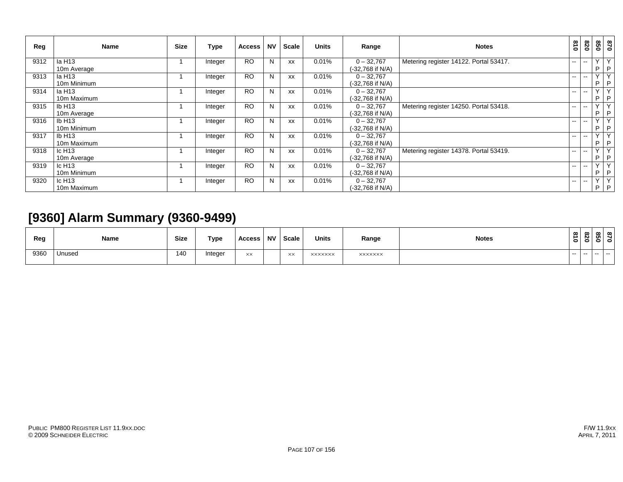| Reg  | <b>Name</b>        | <b>Size</b> | Type    | <b>Access</b> | <b>NV</b> | Scale     | <b>Units</b> | Range            | <b>Notes</b>                           | 018           | 028                      | 850          | 0 <sub>28</sub> |
|------|--------------------|-------------|---------|---------------|-----------|-----------|--------------|------------------|----------------------------------------|---------------|--------------------------|--------------|-----------------|
| 9312 | la H13             |             | Integer | <b>RO</b>     | N         | <b>XX</b> | 0.01%        | $0 - 32,767$     | Metering register 14122. Portal 53417. | $- -$         | $-$                      | $\vee$       | Y               |
|      | 10m Average        |             |         |               |           |           |              | (-32,768 if N/A) |                                        |               |                          | P            | $\mathsf{P}$    |
| 9313 | la H13             |             | Integer | <b>RO</b>     | N         | XX        | 0.01%        | $0 - 32,767$     |                                        | $\sim$        | $\overline{\phantom{a}}$ | $\vee$       | Y               |
|      | 10m Minimum        |             |         |               |           |           |              | (-32,768 if N/A) |                                        |               |                          | P            | P               |
| 9314 | la H13             |             | Integer | <b>RO</b>     | N         | XX        | 0.01%        | $0 - 32,767$     |                                        | $\sim$ $-$    | $\overline{\phantom{a}}$ | $\vee$       | Y               |
|      | 10m Maximum        |             |         |               |           |           |              | (-32,768 if N/A) |                                        |               |                          | P            | $\mathsf{P}$    |
| 9315 | IbH13              |             | Integer | <b>RO</b>     | N         | XX        | 0.01%        | $0 - 32,767$     | Metering register 14250. Portal 53418. | $- -$         | --                       | v.           | $\mathsf{Y}$    |
|      | 10m Average        |             |         |               |           |           |              | (-32,768 if N/A) |                                        |               |                          | P            | P               |
| 9316 | IbH13              |             | Integer | <b>RO</b>     | N         | XX        | 0.01%        | $0 - 32,767$     |                                        | $- -$         | --                       | $\sqrt{ }$   | $\overline{Y}$  |
|      | 10m Minimum        |             |         |               |           |           |              | (-32,768 if N/A) |                                        |               |                          | P            | P               |
| 9317 | IbH13              |             | Integer | <b>RO</b>     | N         | <b>XX</b> | 0.01%        | $0 - 32,767$     |                                        | $- -$         | --                       | $\vee$       | $\overline{Y}$  |
|      | 10m Maximum        |             |         |               |           |           |              | (-32,768 if N/A) |                                        |               |                          | P            | P               |
| 9318 | Ic $H13$           |             | Integer | <b>RO</b>     | N         | XX        | 0.01%        | $0 - 32,767$     | Metering register 14378. Portal 53419. | $- -$ .       | $\overline{\phantom{a}}$ | $\checkmark$ | $\mathsf{Y}$    |
|      | 10m Average        |             |         |               |           |           |              | (-32,768 if N/A) |                                        |               |                          | P            | $\mathsf{P}$    |
| 9319 | Ic H <sub>13</sub> |             | Integer | <b>RO</b>     | N         | XX        | 0.01%        | $0 - 32,767$     |                                        | $\sim$        | $\sim$ $\sim$            | $\checkmark$ | $\mathsf{Y}$    |
|      | 10m Minimum        |             |         |               |           |           |              | (-32.768 if N/A) |                                        |               |                          | P            | P               |
| 9320 | Ic H <sub>13</sub> |             | Integer | <b>RO</b>     | N         | XX        | 0.01%        | $0 - 32,767$     |                                        | $\sim$ $\sim$ | $\sim$ $\sim$            | $\vee$       | Y               |
|      | 10m Maximum        |             |         |               |           |           |              | (-32.768 if N/A) |                                        |               |                          | P.           | P               |

# **[9360] Alarm Summary (9360-9499)**

| Reg  | Name   | <b>Size</b> | Type    | <b>Access</b> | <b>NV</b> | Scale          | <b>Units</b>   | Range          | <b>Notes</b> | $\infty$<br>∸<br>$\bullet$ | $\infty$<br>$\sim$<br>- | ന<br>m<br>- | ന<br>0 |
|------|--------|-------------|---------|---------------|-----------|----------------|----------------|----------------|--------------|----------------------------|-------------------------|-------------|--------|
| 9360 | Unused | 140         | Integer | XX            |           | $\times\times$ | <b>XXXXXXX</b> | <b>XXXXXXX</b> |              | $- -$                      | $- -$                   |             |        |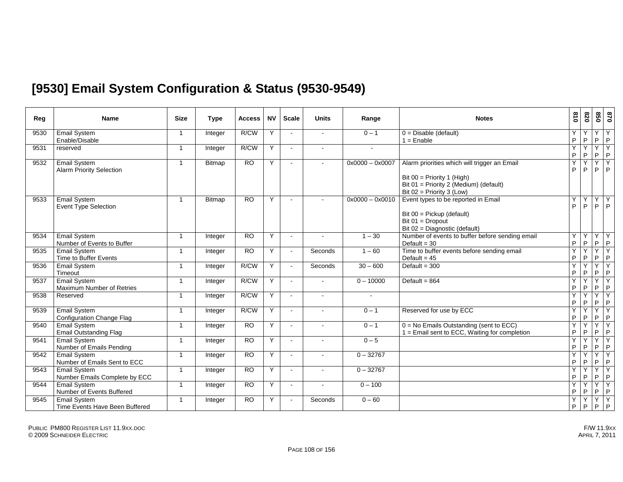## **[9530] Email System Configuration & Status (9530-9549)**

| Reg  | <b>Name</b>                                            | <b>Size</b>             | <b>Type</b>   | Access          | <b>NV</b> | <b>Scale</b>   | <b>Units</b> | Range             | <b>Notes</b>                                                                                                                                        | $\frac{8}{10}$   | 078              | 098     | 028               |
|------|--------------------------------------------------------|-------------------------|---------------|-----------------|-----------|----------------|--------------|-------------------|-----------------------------------------------------------------------------------------------------------------------------------------------------|------------------|------------------|---------|-------------------|
| 9530 | <b>Email System</b><br>Enable/Disable                  | $\overline{1}$          | Integer       | R/CW            | Y         | $\sim$         |              | $0 - 1$           | $0 = Disable$ (default)<br>$1 =$ Enable                                                                                                             | Υ<br>$\mathsf P$ | Υ<br>P           | Υ<br>P  | Υ<br>$\mathsf{P}$ |
| 9531 | reserved                                               | $\overline{1}$          | Integer       | R/CW            | Y         | $\sim$         |              |                   |                                                                                                                                                     | Y<br>P           | Y<br>P           | Y<br>P  | Y<br>$\mathsf P$  |
| 9532 | <b>Email System</b><br><b>Alarm Priority Selection</b> | $\overline{\mathbf{1}}$ | Bitmap        | <b>RO</b>       | Y         |                | $\sim$       | $0x0000 - 0x0007$ | Alarm priorities which will trigger an Email<br>Bit $00 =$ Priority 1 (High)<br>Bit 01 = Priority 2 (Medium) (default)<br>Bit 02 = Priority 3 (Low) | Y<br>P           | Y<br>P           | Ÿ<br>P  | Y<br>P            |
| 9533 | <b>Email System</b><br><b>Event Type Selection</b>     | $\overline{1}$          | <b>Bitmap</b> | <b>RO</b>       | Y         | $\sim$         | $\sim$       | $0x0000 - 0x0010$ | Event types to be reported in Email<br>Bit 00 = Pickup (default)<br>Bit $01 =$ Dropout<br>Bit 02 = Diagnostic (default)                             | Y<br>P           | Υ<br>P           | Υ<br>P  | Υ<br>P            |
| 9534 | <b>Email System</b><br>Number of Events to Buffer      | $\overline{1}$          | Integer       | <b>RO</b>       | Y         |                |              | $1 - 30$          | Number of events to buffer before sending email<br>Default = $30$                                                                                   | Y<br>$\mathsf P$ | Y<br>P           | Y<br>P  | Υ<br>P            |
| 9535 | <b>Email System</b><br>Time to Buffer Events           | $\overline{\mathbf{1}}$ | Integer       | $\overline{RO}$ | Y         | $\sim$         | Seconds      | $1 - 60$          | Time to buffer events before sending email<br>Default = $45$                                                                                        | Y<br>P           | Y<br>P           | Y<br>P  | Y<br>$\sf P$      |
| 9536 | <b>Email System</b><br>Timeout                         | $\overline{1}$          | Integer       | R/CW            | Y         |                | Seconds      | $30 - 600$        | Default = $300$                                                                                                                                     | Y<br>P           | Y<br>$\mathsf P$ | Y<br>P  | Ÿ<br>$\sf P$      |
| 9537 | <b>Email System</b><br>Maximum Number of Retries       | $\overline{1}$          | Integer       | R/CW            | Y         | $\sim$         | $\sim$       | $0 - 10000$       | Default = $864$                                                                                                                                     | Y<br>P           | Y<br>P           | Y<br>P  | Y<br>P            |
| 9538 | Reserved                                               | $\overline{1}$          | Integer       | R/CW            | Y         | $\sim$         | $\sim$       | $\sim$            |                                                                                                                                                     | Y<br>$\mathsf P$ | Y<br>P           | Y<br>P  | Y<br>$\sf P$      |
| 9539 | <b>Email System</b><br>Configuration Change Flag       | $\overline{1}$          | Integer       | R/CW            | Y         |                |              | $0 - 1$           | Reserved for use by ECC                                                                                                                             | Y<br>P           | Y<br>$\mathsf P$ | Y<br>P  | Y<br>$\sf P$      |
| 9540 | Email System<br><b>Email Outstanding Flag</b>          | $\overline{1}$          | Integer       | RO              | Y         | $\sim$         | $\sim$       | $0 - 1$           | $0 = No$ Emails Outstanding (sent to ECC)<br>1 = Email sent to ECC, Waiting for completion                                                          | Y<br>P           | Ÿ<br>P           | Y<br>P  | Ÿ<br>P            |
| 9541 | <b>Email System</b><br>Number of Emails Pending        | $\overline{\mathbf{1}}$ | Integer       | <b>RO</b>       | Y         | $\blacksquare$ |              | $0 - 5$           |                                                                                                                                                     | Y<br>P           | Y<br>P           | Y<br>P  | Y<br>$\mathsf P$  |
| 9542 | <b>Email System</b><br>Number of Emails Sent to ECC    | $\overline{1}$          | Integer       | <b>RO</b>       | Y         |                |              | $0 - 32767$       |                                                                                                                                                     | Y<br>P           | Y<br>P           | Y<br>P  | Υ<br>$\sf P$      |
| 9543 | <b>Email System</b><br>Number Emails Complete by ECC   | $\overline{1}$          | Integer       | RO              | Y         | $\sim$         |              | $0 - 32767$       |                                                                                                                                                     | Y<br>P           | Ÿ<br>P           | Y<br>P  | Y<br>P            |
| 9544 | <b>Email System</b><br>Number of Events Buffered       | $\overline{1}$          | Integer       | <b>RO</b>       | Y         | $\blacksquare$ |              | $0 - 100$         |                                                                                                                                                     | Y<br>P           | Y<br>P           | Y<br>P  | Y<br>$\mathsf P$  |
| 9545 | <b>Email System</b><br>Time Events Have Been Buffered  | $\overline{1}$          | Integer       | <b>RO</b>       | Y         |                | Seconds      | $0 - 60$          |                                                                                                                                                     | Y<br>P           | Υ<br>P           | Y<br>P. | Y<br>$\mathsf P$  |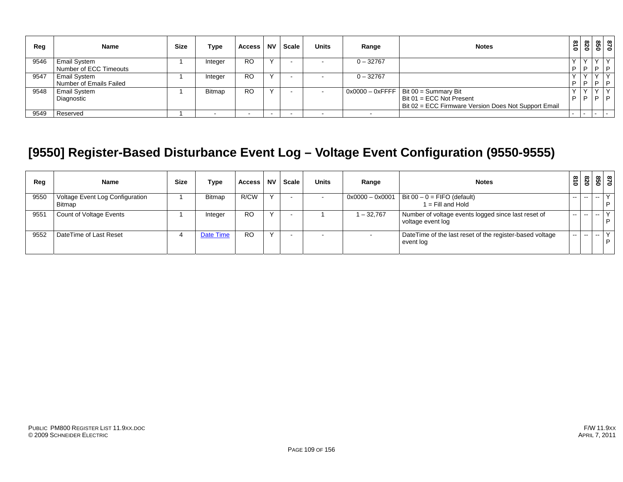| Reg  | <b>Name</b>             | <b>Size</b> | Type          | <b>Access</b> | <b>NV</b> | <b>Scale</b> | <b>Units</b> | Range       | <b>Notes</b>                                         | $\frac{3}{10}$ | 078 | $\circ$   | 87<br>81 |
|------|-------------------------|-------------|---------------|---------------|-----------|--------------|--------------|-------------|------------------------------------------------------|----------------|-----|-----------|----------|
| 9546 | <b>Email System</b>     |             | Integer       | RO            |           |              |              | $0 - 32767$ |                                                      |                |     |           | l D      |
|      | Number of ECC Timeouts  |             |               |               |           |              |              |             |                                                      | D              | P   | 1 D       |          |
| 9547 | <b>Email System</b>     |             | Integer       | <b>RO</b>     |           |              |              | $0 - 32767$ |                                                      |                |     | $\sqrt{}$ |          |
|      | Number of Emails Failed |             |               |               |           |              |              |             |                                                      | D              | P   | D         | D        |
| 9548 | <b>Email System</b>     |             | <b>Bitmap</b> | RO            |           |              |              |             | $\sqrt{0x0000 - 0x$ FFFF   Bit 00 = Summary Bit      |                |     | $\sqrt{}$ |          |
|      | Diagnostic              |             |               |               |           |              |              |             | Bit 01 = ECC Not Present                             | D              | D   | D         | D        |
|      |                         |             |               |               |           |              |              |             | Bit 02 = ECC Firmware Version Does Not Support Email |                |     |           |          |
| 9549 | Reserved                |             |               |               |           |              |              |             |                                                      |                |     |           | $\sim$   |

# **[9550] Register-Based Disturbance Event Log – Voltage Event Configuration (9550-9555)**

| Reg  | <b>Name</b>                                      | <b>Size</b> | Type      | <b>Access</b> | <b>NV</b> | Scale | <b>Units</b> | Range             | <b>Notes</b>                                                             | $\frac{8}{10}$ | 078   |       | 87<br>850    |
|------|--------------------------------------------------|-------------|-----------|---------------|-----------|-------|--------------|-------------------|--------------------------------------------------------------------------|----------------|-------|-------|--------------|
| 9550 | Voltage Event Log Configuration<br><b>Bitmap</b> |             | Bitmap    | R/CW          |           |       |              | $0x0000 - 0x0001$ | Bit $00 - 0 =$ FIFO (default)<br>$1 =$ Fill and Hold                     | $\sim$ $\sim$  | $- -$ | $- -$ | $\checkmark$ |
| 955' | Count of Voltage Events                          |             | Integer   | <b>RO</b>     |           |       |              | $-32,767$         | Number of voltage events logged since last reset of<br>voltage event log | --             | $- -$ | $-$   | $\vee$       |
| 9552 | DateTime of Last Reset                           |             | Date Time | <b>RO</b>     |           |       |              |                   | DateTime of the last reset of the register-based voltage<br>event log    | $- -$          | $-$   | $ -$  | $\checkmark$ |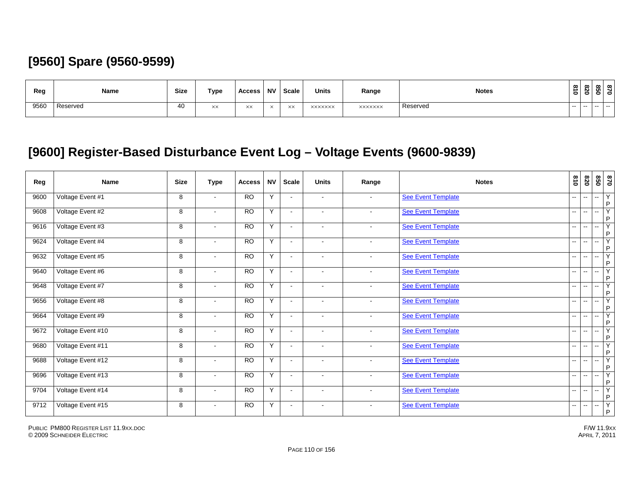# **[9560] Spare (9560-9599)**

| Reg  | Name     | Size | Type | Access | <b>NV</b> | <b>Scale</b>                   | <b>Units</b>   | Range          | <b>Notes</b> | $\infty$<br>∸ | ๛<br>N.<br>olö | യ<br><b>CT</b><br>$\bullet$ | ത<br>- 0 |
|------|----------|------|------|--------|-----------|--------------------------------|----------------|----------------|--------------|---------------|----------------|-----------------------------|----------|
| 9560 | Reserved | 40   | XX   | XX     |           | $\vee\vee$<br>$\lambda\lambda$ | <b>XXXXXXX</b> | <b>XXXXXXX</b> | Reserved     | $- -$         | $- -$          |                             |          |

# **[9600] Register-Based Disturbance Event Log – Voltage Events (9600-9839)**

| Reg  | <b>Name</b>       | <b>Size</b> | <b>Type</b>              | <b>Access</b>   | <b>NV</b>      | <b>Scale</b>             | <b>Units</b>   | Range          | <b>Notes</b>              | 018                      | 078                      | 09                       | 0/8                                     |
|------|-------------------|-------------|--------------------------|-----------------|----------------|--------------------------|----------------|----------------|---------------------------|--------------------------|--------------------------|--------------------------|-----------------------------------------|
| 9600 | Voltage Event #1  | 8           | $\sim$                   | <b>RO</b>       | Y              | $\sim$                   | $\sim$         | $\sim$         | See Event Template        | -−                       | $\sim$                   | $\sim$                   | Y<br>$\mathsf{P}$                       |
| 9608 | Voltage Event #2  | 8           | $\sim$                   | <b>RO</b>       | Y              | $\blacksquare$           | $\sim$         | $\blacksquare$ | <b>See Event Template</b> | $\overline{a}$           | $\sim$                   | $\sim$                   | Y<br>$\sf P$                            |
| 9616 | Voltage Event #3  | 8           | $\blacksquare$           | <b>RO</b>       | Y              | $\blacksquare$           | $\blacksquare$ | $\blacksquare$ | <b>See Event Template</b> | -−                       | $\mathbf{u}$             | $\sim$                   | Ÿ<br>P                                  |
| 9624 | Voltage Event #4  | 8           | $\blacksquare$           | <b>RO</b>       | Y              | $\sim$                   | $\blacksquare$ | $\blacksquare$ | <b>See Event Template</b> | --                       | $\mathbf{u}$             | $\sim$                   | $\overline{Y}$<br>$\sf P$               |
| 9632 | Voltage Event #5  | 8           | $\sim$                   | $\overline{RO}$ | Y              | $\sim$                   | $\blacksquare$ |                | See Event Template        | $\overline{\phantom{a}}$ | $\mathbf{u}$             | $\sim$                   | Ÿ<br>$\mathsf{P}$                       |
| 9640 | Voltage Event #6  | 8           | $\blacksquare$           | <b>RO</b>       | Y              | $\blacksquare$           | $\sim$         | $\blacksquare$ | <b>See Event Template</b> | $-$                      | $\sim$                   | $\sim$                   | $\overline{Y}$<br>$\sf P$               |
| 9648 | Voltage Event #7  | 8           | $\sim$                   | $\overline{RO}$ | $\overline{Y}$ | $\overline{\phantom{a}}$ | $\sim$         | $\blacksquare$ | <b>See Event Template</b> | $-$                      | $\mathbf{u}$             | $\sim$                   | Y<br>P                                  |
| 9656 | Voltage Event #8  | 8           | $\blacksquare$           | $\overline{RO}$ | Y              | $\blacksquare$           | $\sim$         | $\blacksquare$ | See Event Template        | $-$                      | $\sim$                   | $\sim$                   | $\overline{\mathsf{Y}}$<br>$\mathsf{P}$ |
| 9664 | Voltage Event #9  | 8           | $\blacksquare$           | <b>RO</b>       | Y              | $\overline{\phantom{a}}$ | $\blacksquare$ | $\blacksquare$ | See Event Template        | -−                       | $\mathbf{u}$             | $ -$                     | Y<br>$\sf P$                            |
| 9672 | Voltage Event #10 | 8           | $\sim$                   | $\overline{RO}$ | Y              | $\blacksquare$           | $\sim$         | $\blacksquare$ | <b>See Event Template</b> | -−                       | $\mathbf{u}$             | $\sim$                   | Ÿ<br>P                                  |
| 9680 | Voltage Event #11 | 8           | $\blacksquare$           | <b>RO</b>       | Y              | $\overline{\phantom{a}}$ | $\sim$         | $\blacksquare$ | <b>See Event Template</b> | --                       | $\overline{\phantom{a}}$ | $\overline{\phantom{a}}$ | $\overline{Y}$<br>$\sf P$               |
| 9688 | Voltage Event #12 | 8           | $\overline{\phantom{a}}$ | <b>RO</b>       | Y              | $\overline{\phantom{a}}$ |                |                | <b>See Event Template</b> | --                       | $\overline{\phantom{a}}$ | $\sim$                   | Y<br>$\mathsf{P}$                       |
| 9696 | Voltage Event #13 | 8           | $\blacksquare$           | $\overline{RO}$ | Y              | $\sim$                   | $\sim$         | $\blacksquare$ | <b>See Event Template</b> | -−                       | $\overline{\phantom{a}}$ | $\overline{\phantom{a}}$ | Y<br>$\sf P$                            |
| 9704 | Voltage Event #14 | 8           | $\blacksquare$           | <b>RO</b>       | Y              | $\blacksquare$           | $\blacksquare$ | $\sim$         | <b>See Event Template</b> | $-$                      | $\mathbf{u}$             | $- -$                    | $\overline{Y}$<br>P                     |
| 9712 | Voltage Event #15 | 8           | $\blacksquare$           | <b>RO</b>       | Y              | $\blacksquare$           |                |                | <b>See Event Template</b> | $-$                      | $\overline{\phantom{a}}$ | $ -$                     | Ÿ<br>$\mathsf P$                        |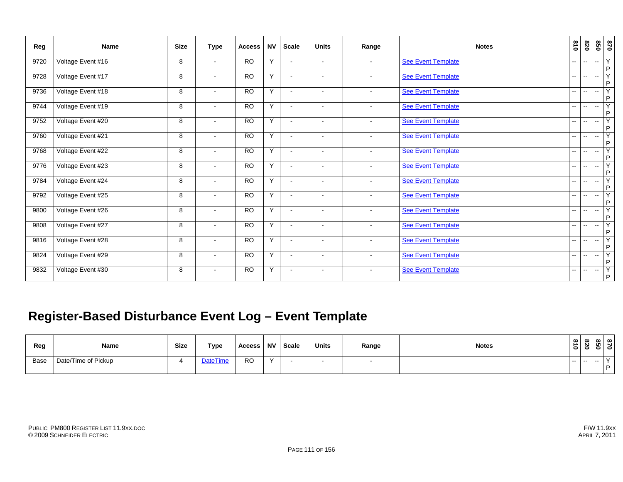| Reg  | <b>Name</b>       | <b>Size</b> | <b>Type</b>              | <b>Access</b>   | <b>NV</b> | <b>Scale</b>             | <b>Units</b>             | Range                    | <b>Notes</b>              | 018                      | 078                      | 098                      | 0/8                 |
|------|-------------------|-------------|--------------------------|-----------------|-----------|--------------------------|--------------------------|--------------------------|---------------------------|--------------------------|--------------------------|--------------------------|---------------------|
| 9720 | Voltage Event #16 | 8           | $\sim$                   | $\overline{RO}$ | Y         | $\sim$                   | $\sim$                   | $\overline{\phantom{a}}$ | See Event Template        | --                       | $\overline{a}$           | $\overline{a}$           | Y<br>P              |
| 9728 | Voltage Event #17 | 8           | $\sim$                   | <b>RO</b>       | Y         | $\overline{\phantom{a}}$ | $\sim$                   | $\sim$                   | See Event Template        | $\overline{\phantom{a}}$ | $\overline{\phantom{a}}$ | н.                       | $\overline{Y}$<br>P |
| 9736 | Voltage Event #18 | 8           | $\sim$                   | $\overline{RO}$ | Y         |                          |                          | $\blacksquare$           | See Event Template        | --                       | --                       | -−                       | Y<br>P              |
| 9744 | Voltage Event #19 | 8           | $\sim$                   | <b>RO</b>       | Y         | $\overline{\phantom{a}}$ | $\overline{\phantom{a}}$ | $\blacksquare$           | See Event Template        | $\overline{\phantom{a}}$ | $\overline{a}$           | $\overline{\phantom{a}}$ | $\overline{Y}$<br>P |
| 9752 | Voltage Event #20 | 8           | $\sim$                   | $\overline{RO}$ | Y         |                          |                          | $\blacksquare$           | <b>See Event Template</b> | --                       | $\overline{a}$           | $- -$                    | Y<br>P              |
| 9760 | Voltage Event #21 | 8           | $\sim$                   | $\overline{RO}$ | Y         | $\sim$                   | $\overline{\phantom{a}}$ | $\blacksquare$           | <b>See Event Template</b> | $\overline{\phantom{a}}$ | $\overline{a}$           | $\overline{\phantom{a}}$ | Y<br>P              |
| 9768 | Voltage Event #22 | 8           | $\blacksquare$           | <b>RO</b>       | Y         |                          | $\overline{\phantom{a}}$ | $\blacksquare$           | See Event Template        | --                       | $\overline{a}$           | $\overline{\phantom{a}}$ | Y<br>P              |
| 9776 | Voltage Event #23 | 8           | $\sim$                   | $\overline{RO}$ | Y         | $\sim$                   | $\overline{\phantom{a}}$ | $\sim$                   | <b>See Event Template</b> | $\overline{a}$           | $\overline{a}$           | $\overline{a}$           | Υ<br>P              |
| 9784 | Voltage Event #24 | 8           | $\blacksquare$           | <b>RO</b>       | Y         | $\blacksquare$           | $\blacksquare$           | $\blacksquare$           | <b>See Event Template</b> | $\overline{a}$           | $\overline{a}$           | $\overline{a}$           | Y<br>P              |
| 9792 | Voltage Event #25 | 8           | $\blacksquare$           | $\overline{RO}$ | Y         | $\sim$                   | $\overline{\phantom{a}}$ | $\blacksquare$           | See Event Template        | --                       | $\overline{a}$           | $\sim$                   | Υ<br>P              |
| 9800 | Voltage Event #26 | 8           | $\sim$                   | $\overline{RO}$ | Y         | $\overline{\phantom{a}}$ | $\overline{\phantom{a}}$ | $\blacksquare$           | <b>See Event Template</b> | $-$                      | $\overline{a}$           | $\overline{\phantom{a}}$ | Υ<br>P              |
| 9808 | Voltage Event #27 | 8           | $\blacksquare$           | <b>RO</b>       | Y         | $\sim$                   | $\blacksquare$           | $\blacksquare$           | See Event Template        | $\overline{\phantom{a}}$ | $\overline{a}$           | $\mathbf{u}$             | Y<br>P              |
| 9816 | Voltage Event #28 | 8           | $\overline{\phantom{a}}$ | <b>RO</b>       | Y         | $\sim$                   | $\sim$                   | $\blacksquare$           | <b>See Event Template</b> | $\overline{a}$           | $\overline{\phantom{a}}$ | н.                       | Y<br>P              |
| 9824 | Voltage Event #29 | 8           | $\sim$                   | <b>RO</b>       | Y         | $\sim$                   | $\sim$                   | $\sim$                   | See Event Template        | −−                       | $\overline{\phantom{a}}$ | $\sim$                   | Y<br>. P            |
| 9832 | Voltage Event #30 | 8           | $\blacksquare$           | $\overline{RO}$ | Y         | $\overline{\phantom{a}}$ | $\sim$                   | $\blacksquare$           | <b>See Event Template</b> | -−                       | $\overline{\phantom{a}}$ | $\overline{\phantom{a}}$ | Y<br>$\mathsf P$    |

# **Register-Based Disturbance Event Log – Event Template**

| Reg  | Name                | Size | Type            | <b>Access</b> | <b>NV</b> | <b>Scale</b> | <b>Units</b> | Range | <b>Notes</b> |      | $\frac{8}{8}$ $\frac{8}{8}$ $\frac{8}{8}$ |       |           |  |
|------|---------------------|------|-----------------|---------------|-----------|--------------|--------------|-------|--------------|------|-------------------------------------------|-------|-----------|--|
| Base | Date/Time of Pickup |      | <b>DateTime</b> | <b>RO</b>     | $\sqrt{}$ |              |              |       |              | $-1$ | $- -$                                     | $- -$ | $\lambda$ |  |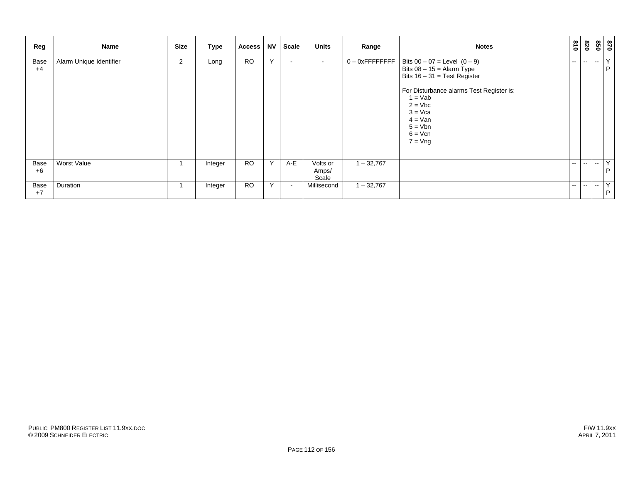| Reg          | Name                    | <b>Size</b> | Type    | <b>Access</b>   | <b>NV</b> | Scale | <b>Units</b>               | Range              | <b>Notes</b>                                                                                                                                                                                                                                  | 018           | 078                      |                          | 870<br>850 |
|--------------|-------------------------|-------------|---------|-----------------|-----------|-------|----------------------------|--------------------|-----------------------------------------------------------------------------------------------------------------------------------------------------------------------------------------------------------------------------------------------|---------------|--------------------------|--------------------------|------------|
| Base<br>$+4$ | Alarm Unique Identifier | 2           | Long    | $\overline{RO}$ | Y         |       |                            | $0 - 0x$ FFFFFFFFF | Bits $00 - 07 = \text{Level} (0 - 9)$<br>Bits $08 - 15 =$ Alarm Type<br>Bits $16 - 31 = Test Register$<br>For Disturbance alarms Test Register is:<br>$1 = Vab$<br>$2 = Vbc$<br>$3 = Vca$<br>$4 = Van$<br>$5 = Vbn$<br>$6 = Vcn$<br>$7 = Vng$ | $- -$         | $\overline{\phantom{a}}$ | $\overline{\phantom{a}}$ | Y<br>P     |
| Base<br>$+6$ | Worst Value             |             | Integer | <b>RO</b>       | Y         | A-E   | Volts or<br>Amps/<br>Scale | $1 - 32,767$       |                                                                                                                                                                                                                                               | $- -$         | $\mathbf{u}$             | $\overline{\phantom{a}}$ | Y<br>P     |
| Base<br>$+7$ | Duration                |             | Integer | <b>RO</b>       | Y         |       | Millisecond                | $1 - 32,767$       |                                                                                                                                                                                                                                               | $\sim$ $\sim$ | $\overline{\phantom{a}}$ | $\overline{\phantom{a}}$ | Y<br>P     |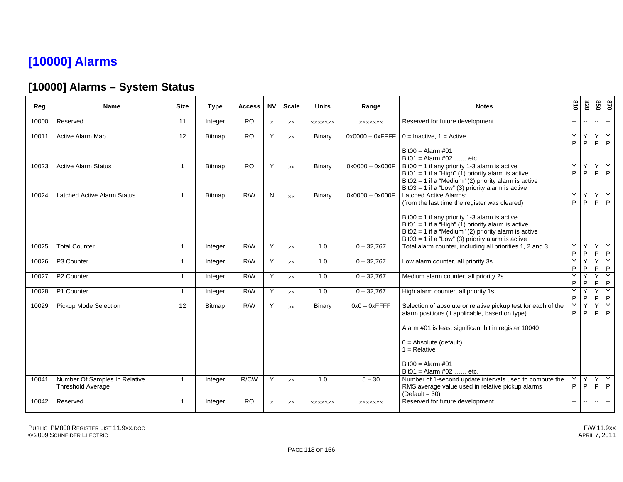# **[10000] Alarms**

### **[10000] Alarms – System Status**

| Reg   | <b>Name</b>                                               | <b>Size</b>    | <b>Type</b>   | <b>Access</b>   | <b>NV</b> | <b>Scale</b>   | <b>Units</b>   | Range              | <b>Notes</b>                                                                                                                                                                                                                                                                                           | $\frac{8}{10}$ | 078            | 850                          | 0/8                            |
|-------|-----------------------------------------------------------|----------------|---------------|-----------------|-----------|----------------|----------------|--------------------|--------------------------------------------------------------------------------------------------------------------------------------------------------------------------------------------------------------------------------------------------------------------------------------------------------|----------------|----------------|------------------------------|--------------------------------|
| 10000 | Reserved                                                  | 11             | Integer       | <b>RO</b>       | $\times$  | $\times\times$ | <b>XXXXXXX</b> | <b>XXXXXXX</b>     | Reserved for future development                                                                                                                                                                                                                                                                        |                | $\overline{a}$ | $\sim$                       | $\sim$                         |
| 10011 | Active Alarm Map                                          | 12             | <b>Bitmap</b> | <b>RO</b>       | Y         | <b>XX</b>      | Binary         | $0x0000 - 0x$ FFFF | $0 =$ Inactive, $1 =$ Active                                                                                                                                                                                                                                                                           | Y<br>P         | Y<br>P         | $\overline{Y}$<br>P          | Y<br>$\mathsf{P}$              |
|       |                                                           |                |               |                 |           |                |                |                    | $Bit00 = Alarm #01$<br>$Bit01 = Alarm #02$ etc.                                                                                                                                                                                                                                                        |                |                |                              |                                |
| 10023 | <b>Active Alarm Status</b>                                | $\overline{1}$ | <b>Bitmap</b> | <b>RO</b>       | Y         | <b>XX</b>      | Binary         | $0x0000 - 0x000F$  | $Bit00 = 1$ if any priority 1-3 alarm is active<br>Bit01 = 1 if a "High" (1) priority alarm is active<br>$Bit02 = 1$ if a "Medium" (2) priority alarm is active<br>Bit03 = 1 if a "Low" (3) priority alarm is active                                                                                   | Υ<br>P         | Y<br>P         | Y.<br>P                      | Y<br>$\mathsf{P}$              |
| 10024 | <b>Latched Active Alarm Status</b>                        | $\overline{1}$ | <b>Bitmap</b> | R/W             | N         | $\times\times$ | Binary         | $0x0000 - 0x000F$  | <b>Latched Active Alarms:</b><br>(from the last time the register was cleared)<br>$Bit00 = 1$ if any priority 1-3 alarm is active<br>Bit01 = 1 if a "High" (1) priority alarm is active<br>$Bit02 = 1$ if a "Medium" (2) priority alarm is active<br>Bit03 = 1 if a "Low" (3) priority alarm is active | Y<br>P         | Y<br>P         | Y<br>P                       | Y<br>P                         |
| 10025 | <b>Total Counter</b>                                      | $\overline{1}$ | Integer       | R/W             | Y         | XX             | 1.0            | $0 - 32,767$       | Total alarm counter, including all priorities 1, 2 and 3                                                                                                                                                                                                                                               | Y<br>P         | Y<br>P         | $\overline{\mathsf{X}}$<br>P | $\overline{Y}$<br>$\mathsf{P}$ |
| 10026 | P3 Counter                                                | $\overline{1}$ | Integer       | R/W             | Y         | <b>XX</b>      | 1.0            | $0 - 32,767$       | Low alarm counter, all priority 3s                                                                                                                                                                                                                                                                     | Y<br>P         | Y<br>P         | Y<br>$\mathsf P$             | Y<br>$\mathsf{P}$              |
| 10027 | P2 Counter                                                | $\overline{1}$ | Integer       | R/W             | Y         | $\times\times$ | 1.0            | $0 - 32,767$       | Medium alarm counter, all priority 2s                                                                                                                                                                                                                                                                  | Υ<br>P         | Y<br>P         | Y<br>$\mathsf P$             | Υ<br>$\mathsf P$               |
| 10028 | P1 Counter                                                | $\mathbf{1}$   | Integer       | R/W             | Y         | $\times\times$ | 1.0            | $0 - 32,767$       | High alarm counter, all priority 1s                                                                                                                                                                                                                                                                    | Y<br>P         | Y<br>P         | Y<br>P                       | Y<br>$\mathsf{P}$              |
| 10029 | <b>Pickup Mode Selection</b>                              | 12             | Bitmap        | R/W             | Y         | <b>XX</b>      | Binary         | $0x0 - 0x$ FFFF    | Selection of absolute or relative pickup test for each of the<br>alarm positions (if applicable, based on type)<br>Alarm #01 is least significant bit in register 10040<br>$0 =$ Absolute (default)<br>$1 = Relative$<br>$Bit00 = Alarm #01$<br>$Bit01 = Alarm #02$ etc.                               | Y<br>P         | Y<br>P         | $\overline{Y}$<br>P          | Y<br>P                         |
| 10041 | Number Of Samples In Relative<br><b>Threshold Average</b> | $\overline{1}$ | Integer       | R/CW            | Y         | <b>XX</b>      | 1.0            | $5 - 30$           | Number of 1-second update intervals used to compute the<br>RMS average value used in relative pickup alarms<br>$(Default = 30)$                                                                                                                                                                        | Y<br>P         | Y<br>P         | Y<br>P                       | Y<br>P                         |
| 10042 | Reserved                                                  | $\overline{1}$ | Integer       | $\overline{RO}$ | $\times$  | $\times\times$ | <b>XXXXXXX</b> | <b>XXXXXXX</b>     | Reserved for future development                                                                                                                                                                                                                                                                        | ш.             | $\sim$         | $\mathbf{u} = \mathbf{v}$    | $\sim$                         |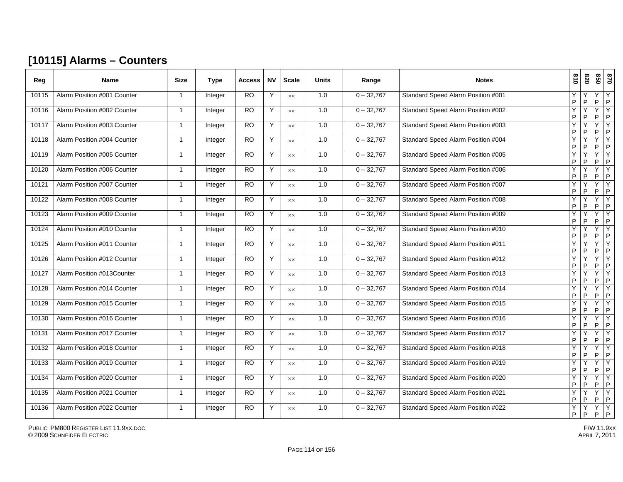### **[10115] Alarms – Counters**

| Reg   | Name                        | <b>Size</b>    | <b>Type</b> | <b>Access</b>   | <b>NV</b> | <b>Scale</b>   | <b>Units</b> | Range        | <b>Notes</b>                       | 018    | 078               | 020    | 028                 |
|-------|-----------------------------|----------------|-------------|-----------------|-----------|----------------|--------------|--------------|------------------------------------|--------|-------------------|--------|---------------------|
| 10115 | Alarm Position #001 Counter | $\overline{1}$ | Integer     | $\overline{RO}$ | Y         | $\times\times$ | 1.0          | $0 - 32,767$ | Standard Speed Alarm Position #001 | Y<br>P | P                 | Υ<br>P | Y<br>P              |
| 10116 | Alarm Position #002 Counter | $\overline{1}$ | Integer     | RO              | Y         | <b>XX</b>      | 1.0          | $0 - 32,767$ | Standard Speed Alarm Position #002 | Ÿ<br>P | Υ<br>P            | Y<br>P | Y<br>P              |
| 10117 | Alarm Position #003 Counter | -1             | Integer     | <b>RO</b>       | Y         | XX             | 1.0          | $0 - 32,767$ | Standard Speed Alarm Position #003 | Υ<br>P | P                 | Y<br>P | Y<br>P              |
| 10118 | Alarm Position #004 Counter | $\overline{1}$ | Integer     | $\overline{RO}$ | Y         | <b>XX</b>      | 1.0          | $0 - 32,767$ | Standard Speed Alarm Position #004 | Ÿ<br>P | Y<br>P            | Υ<br>P | Y<br>P              |
| 10119 | Alarm Position #005 Counter | $\overline{1}$ | Integer     | <b>RO</b>       | Y         | XX             | 1.0          | $0 - 32,767$ | Standard Speed Alarm Position #005 | Ý<br>P | Y<br>P            | Y<br>P | Y<br>P              |
| 10120 | Alarm Position #006 Counter | $\overline{1}$ | Integer     | RO              | Y         | <b>XX</b>      | 1.0          | $0 - 32,767$ | Standard Speed Alarm Position #006 | Ÿ<br>P | Y<br>P            | Y<br>P | Υ<br>P              |
| 10121 | Alarm Position #007 Counter | $\overline{1}$ | Integer     | <b>RO</b>       | Y         | $\times\times$ | 1.0          | $0 - 32,767$ | Standard Speed Alarm Position #007 | Υ<br>P | Υ<br>P            | Y<br>P | Y<br>P              |
| 10122 | Alarm Position #008 Counter | $\overline{1}$ | Integer     | R <sub>O</sub>  | Y         | <b>XX</b>      | 1.0          | $0 - 32,767$ | Standard Speed Alarm Position #008 | Y<br>P | Y<br>P            | Y<br>P | Y<br>P              |
| 10123 | Alarm Position #009 Counter | -1             | Integer     | <b>RO</b>       | Y         | XX             | 1.0          | $0 - 32,767$ | Standard Speed Alarm Position #009 | Υ<br>P | Υ<br>P            | Y<br>P | Y<br>P              |
| 10124 | Alarm Position #010 Counter | $\overline{1}$ | Integer     | <b>RO</b>       | Y         | XX             | 1.0          | $0 - 32,767$ | Standard Speed Alarm Position #010 | Υ<br>P | Υ<br>P            | Y<br>P | Y<br>P              |
| 10125 | Alarm Position #011 Counter | $\overline{1}$ | Integer     | RO              | Y         | $\times\times$ | 1.0          | $0 - 32,767$ | Standard Speed Alarm Position #011 | Υ<br>P | Y<br>P            | Y<br>P | $\overline{Y}$<br>P |
| 10126 | Alarm Position #012 Counter | $\overline{1}$ | Integer     | <b>RO</b>       | Y         | <b>XX</b>      | 1.0          | $0 - 32,767$ | Standard Speed Alarm Position #012 | Υ<br>P | Υ<br>P            | Y<br>P | Y<br>P              |
| 10127 | Alarm Position #013Counter  | $\overline{1}$ | Integer     | <b>RO</b>       | Y         | <b>XX</b>      | 1.0          | $0 - 32,767$ | Standard Speed Alarm Position #013 | Υ<br>P | Y<br>P            | Y<br>P | Y<br>P              |
| 10128 | Alarm Position #014 Counter | $\overline{1}$ | Integer     | <b>RO</b>       | Y         | <b>XX</b>      | 1.0          | $0 - 32,767$ | Standard Speed Alarm Position #014 | Ÿ<br>P | Y<br>P            | Y<br>P | Y<br>P              |
| 10129 | Alarm Position #015 Counter | $\overline{1}$ | Integer     | <b>RO</b>       | Y         | $\times\times$ | 1.0          | $0 - 32,767$ | Standard Speed Alarm Position #015 | Y<br>P | Υ<br>P            | Y<br>P | Y<br>P              |
| 10130 | Alarm Position #016 Counter | $\overline{1}$ | Integer     | <b>RO</b>       | Y         | XX             | 1.0          | $0 - 32,767$ | Standard Speed Alarm Position #016 | Ý<br>P | Y<br>P            | Υ<br>P | Y<br>P              |
| 10131 | Alarm Position #017 Counter | $\overline{1}$ | Integer     | RO              | Y         | $\times\times$ | 1.0          | $0 - 32,767$ | Standard Speed Alarm Position #017 | Ÿ<br>P | Υ<br>P            | Y<br>P | $\overline{Y}$<br>P |
| 10132 | Alarm Position #018 Counter | $\overline{1}$ | Integer     | <b>RO</b>       | Y         | $\times\times$ | 1.0          | $0 - 32,767$ | Standard Speed Alarm Position #018 | Y<br>P | Y<br>P            | Y<br>P | Y<br>P              |
| 10133 | Alarm Position #019 Counter | $\overline{1}$ | Integer     | R <sub>O</sub>  | Y         | <b>XX</b>      | 1.0          | $0 - 32,767$ | Standard Speed Alarm Position #019 | Ÿ<br>P | Y<br>P            | Y<br>P | Y<br>P              |
| 10134 | Alarm Position #020 Counter | $\overline{1}$ | Integer     | <b>RO</b>       | Y         | XX             | 1.0          | $0 - 32,767$ | Standard Speed Alarm Position #020 | Υ<br>P | Y<br>P            | Y<br>P | Y<br>P              |
| 10135 | Alarm Position #021 Counter | $\overline{1}$ | Integer     | RO              | Y         | XX             | 1.0          | $0 - 32,767$ | Standard Speed Alarm Position #021 | Υ<br>P | Ÿ<br>$\mathsf{P}$ | Y<br>P | Y<br>P              |
| 10136 | Alarm Position #022 Counter | $\overline{1}$ | Integer     | RO              | Y         | XX             | 1.0          | $0 - 32,767$ | Standard Speed Alarm Position #022 | Ÿ<br>P | Y<br>P            | Y<br>P | Y<br>P              |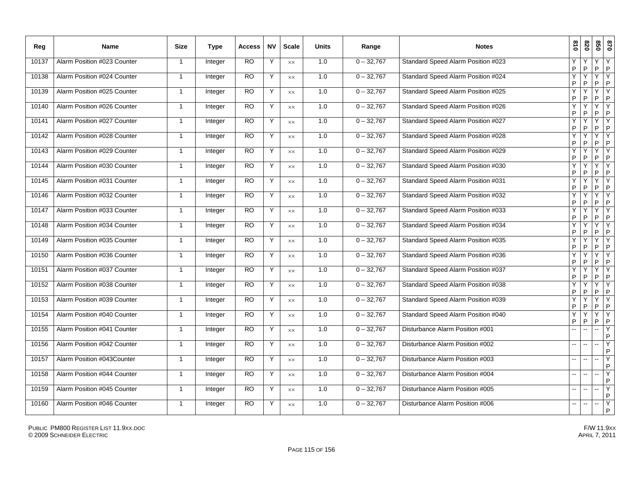| Reg   | Name                        | <b>Size</b>  | <b>Type</b> | <b>Access</b> | <b>NV</b> | <b>Scale</b>   | <b>Units</b> | Range        | <b>Notes</b>                              | 610     | 078               | 850               | 0/8               |
|-------|-----------------------------|--------------|-------------|---------------|-----------|----------------|--------------|--------------|-------------------------------------------|---------|-------------------|-------------------|-------------------|
| 10137 | Alarm Position #023 Counter | $\mathbf{1}$ | Integer     | <b>RO</b>     | Y         | <b>XX</b>      | 1.0          | $0 - 32,767$ | Standard Speed Alarm Position #023        | Υ<br>P  | P                 | Y<br>P            | Y<br>$\mathsf P$  |
| 10138 | Alarm Position #024 Counter | $\mathbf{1}$ | Integer     | <b>RO</b>     | Y         | $\times\times$ | 1.0          | $0 - 32,767$ | Standard Speed Alarm Position #024        | Υ<br>P  | Y<br>P            | Y<br>P            | Υ<br>$\mathsf{P}$ |
| 10139 | Alarm Position #025 Counter | $\mathbf{1}$ | Integer     | RO.           | Y         | <b>XX</b>      | 1.0          | $0 - 32,767$ | Standard Speed Alarm Position #025        | Υ<br>P  | Υ<br>$\sf P$      | Y<br>$\sf P$      | Υ<br>$\mathsf P$  |
| 10140 | Alarm Position #026 Counter | $\mathbf{1}$ | Integer     | RO.           | Y         | $\times\times$ | 1.0          | $0 - 32,767$ | Standard Speed Alarm Position #026        | Y<br>P  | Y<br>P            | Ÿ<br>P            | Y<br>$\mathsf{P}$ |
| 10141 | Alarm Position #027 Counter | $\mathbf{1}$ | Integer     | <b>RO</b>     | Y         | XX             | 1.0          | $0 - 32,767$ | Standard Speed Alarm Position #027        | Υ<br>P  | Υ<br>P            | Ÿ<br>$\mathsf{P}$ | Υ<br>$\mathsf P$  |
| 10142 | Alarm Position #028 Counter | $\mathbf{1}$ | Integer     | <b>RO</b>     | Y         | XX             | 1.0          | $0 - 32,767$ | Standard Speed Alarm Position #028        | Υ<br>P. | Υ<br>$\sf P$      | Ÿ<br>$\mathsf P$  | Υ<br>$\mathsf P$  |
| 10143 | Alarm Position #029 Counter | $\mathbf{1}$ | Integer     | <b>RO</b>     | Y         | XX             | 1.0          | $0 - 32,767$ | Standard Speed Alarm Position #029        | Y<br>P  | Υ<br>P            | Y<br>$\mathsf{P}$ | Y<br>$\mathsf{P}$ |
| 10144 | Alarm Position #030 Counter | $\mathbf{1}$ | Integer     | RO.           | Y         | <b>XX</b>      | 1.0          | $0 - 32,767$ | Standard Speed Alarm Position #030        | P       | Υ<br>P            | Y<br>$\mathsf{P}$ | Y<br>$\sf P$      |
| 10145 | Alarm Position #031 Counter | $\mathbf{1}$ | Integer     | RO            | Y         | <b>XX</b>      | 1.0          | $0 - 32,767$ | Standard Speed Alarm Position #031        | Y<br>P  | Υ<br>P            | Y<br>P            | Y<br>$\mathsf P$  |
| 10146 | Alarm Position #032 Counter | $\mathbf{1}$ | Integer     | RO            | Y         | $\times\times$ | 1.0          | $0 - 32,767$ | Standard Speed Alarm Position #032        | Υ<br>P  | Υ<br>P            | Y<br>P            | Υ<br>P            |
| 10147 | Alarm Position #033 Counter | $\mathbf{1}$ | Integer     | <b>RO</b>     | Y         | $\times\times$ | 1.0          | $0 - 32,767$ | Standard Speed Alarm Position #033        | Y<br>P  | Y<br>P            | Y<br>$\mathsf{P}$ | Y<br>$\mathsf P$  |
| 10148 | Alarm Position #034 Counter | $\mathbf{1}$ | Integer     | <b>RO</b>     | Y         | <b>XX</b>      | 1.0          | $0 - 32,767$ | Standard Speed Alarm Position #034        | Y<br>P  | Υ<br>P            | Y<br>P            | Y<br>P            |
| 10149 | Alarm Position #035 Counter | 1            | Integer     | <b>RO</b>     | Y         | $\times\times$ | 1.0          | $0 - 32,767$ | Standard Speed Alarm Position #035        | Υ<br>P  | Υ<br>P            | Y<br>$\mathsf P$  | Υ<br>$\sf P$      |
| 10150 | Alarm Position #036 Counter | $\mathbf{1}$ | Integer     | <b>RO</b>     | Y         | XX             | 1.0          | $0 - 32,767$ | Standard Speed Alarm Position #036        | Y<br>P  | Υ<br>$\sf P$      | Y<br>$\sf P$      | Y<br>$\,$ P       |
| 10151 | Alarm Position #037 Counter | $\mathbf{1}$ | Integer     | <b>RO</b>     | Y         | $\times\times$ | 1.0          | $0 - 32,767$ | Standard Speed Alarm Position #037        | Υ<br>P  | Υ<br>P            | Y<br>P            | Y<br>P            |
| 10152 | Alarm Position #038 Counter | $\mathbf{1}$ | Integer     | <b>RO</b>     | Y         | <b>XX</b>      | 1.0          | $0 - 32,767$ | <b>Standard Speed Alarm Position #038</b> | Y<br>P. | Υ<br>$\mathsf{P}$ | Y<br>$\mathsf{P}$ | Y<br>P            |
| 10153 | Alarm Position #039 Counter | $\mathbf{1}$ | Integer     | <b>RO</b>     | Y         | <b>XX</b>      | 1.0          | $0 - 32,767$ | Standard Speed Alarm Position #039        | Y<br>P  | Υ<br>P            | Y<br>P            | Y<br>$\mathsf P$  |
| 10154 | Alarm Position #040 Counter | $\mathbf{1}$ | Integer     | RO            | Y         | <b>XX</b>      | 1.0          | $0 - 32,767$ | Standard Speed Alarm Position #040        | Υ<br>P  | Υ<br>P            | Y<br>P            | Y<br>P            |
| 10155 | Alarm Position #041 Counter | $\mathbf{1}$ | Integer     | <b>RO</b>     | Y         | <b>XX</b>      | 1.0          | $0 - 32,767$ | Disturbance Alarm Position #001           |         | L.                | Ш.                | Y<br>P            |
| 10156 | Alarm Position #042 Counter | $\mathbf{1}$ | Integer     | <b>RO</b>     | Y         | <b>XX</b>      | 1.0          | $0 - 32,767$ | Disturbance Alarm Position #002           | ш.      | Ξ.                | ц.                | Y<br>P            |
| 10157 | Alarm Position #043Counter  | $\mathbf{1}$ | Integer     | <b>RO</b>     | Y         | $\times\times$ | 1.0          | $0 - 32,767$ | Disturbance Alarm Position #003           |         |                   | --                | Υ<br>P            |
| 10158 | Alarm Position #044 Counter | $\mathbf{1}$ | Integer     | <b>RO</b>     | Y         | XX             | 1.0          | $0 - 32,767$ | Disturbance Alarm Position #004           |         |                   |                   | Y<br>${\sf P}$    |
| 10159 | Alarm Position #045 Counter | $\mathbf{1}$ | Integer     | <b>RO</b>     | Y         | XX             | 1.0          | $0 - 32,767$ | Disturbance Alarm Position #005           | $-$     | L.                | L.                | Y<br>P            |
| 10160 | Alarm Position #046 Counter | 1            | Integer     | RO            | Y         | $\times\times$ | 1.0          | $0 - 32,767$ | Disturbance Alarm Position #006           | ш.      | --                |                   | Y<br>P            |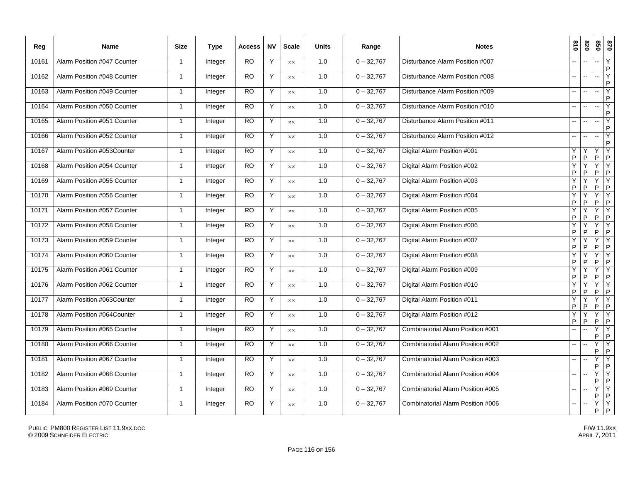| Reg   | <b>Name</b>                 | <b>Size</b>    | <b>Type</b> | <b>Access</b>   | <b>NV</b> | <b>Scale</b>   | <b>Units</b> | Range        | <b>Notes</b>                      | 018                      | 078    | 020<br>0/8                                     |
|-------|-----------------------------|----------------|-------------|-----------------|-----------|----------------|--------------|--------------|-----------------------------------|--------------------------|--------|------------------------------------------------|
| 10161 | Alarm Position #047 Counter | $\overline{1}$ | Integer     | $\overline{RO}$ | Υ         | <b>XX</b>      | 1.0          | $0 - 32,767$ | Disturbance Alarm Position #007   |                          | L.     | Y<br>щ.<br>P                                   |
| 10162 | Alarm Position #048 Counter | $\mathbf{1}$   | Integer     | <b>RO</b>       | Υ         | $\times\times$ | 1.0          | $0 - 32,767$ | Disturbance Alarm Position #008   | $\overline{a}$           | --     | Y<br>щ.<br>$\mathsf{P}$                        |
| 10163 | Alarm Position #049 Counter | $\overline{1}$ | Integer     | <b>RO</b>       | Y         | $\times\times$ | 1.0          | $0 - 32,767$ | Disturbance Alarm Position #009   | $\overline{a}$           | --     | Y<br>--<br>$\sf P$                             |
| 10164 | Alarm Position #050 Counter | $\mathbf{1}$   | Integer     | <b>RO</b>       | Y         | $\times\times$ | 1.0          | $0 - 32,767$ | Disturbance Alarm Position #010   | $\overline{\phantom{a}}$ | --     | $\overline{Y}$<br>щ.<br>P                      |
| 10165 | Alarm Position #051 Counter | $\overline{1}$ | Integer     | <b>RO</b>       | Y         | $\times\times$ | 1.0          | $0 - 32,767$ | Disturbance Alarm Position #011   |                          | --     | Y<br>÷.<br>$\mathsf P$                         |
| 10166 | Alarm Position #052 Counter | $\overline{1}$ | Integer     | <b>RO</b>       | Y         | $\times\times$ | 1.0          | $0 - 32,767$ | Disturbance Alarm Position #012   |                          | Щ,     | Y<br>щ.<br>P                                   |
| 10167 | Alarm Position #053Counter  | $\mathbf{1}$   | Integer     | <b>RO</b>       | Y         | $\times\times$ | 1.0          | $0 - 32,767$ | Digital Alarm Position #001       | Y<br>$\sf P$             | Y<br>P | Y<br>Υ<br>$\mathsf P$<br>$\mathsf P$           |
| 10168 | Alarm Position #054 Counter | $\mathbf{1}$   | Integer     | <b>RO</b>       | Y         | XX             | 1.0          | $0 - 32,767$ | Digital Alarm Position #002       | Υ<br>$\sf P$             | P      | Y<br>Υ<br>$\sf P$<br>$\sf P$                   |
| 10169 | Alarm Position #055 Counter | $\mathbf{1}$   | Integer     | <b>RO</b>       | Y         | $\times\times$ | 1.0          | $0 - 32,767$ | Digital Alarm Position #003       | Y<br>$\sf P$             | Ý<br>P | $\overline{Y}$<br>Υ<br>$\sf P$<br>$\sf P$      |
| 10170 | Alarm Position #056 Counter | $\overline{1}$ | Integer     | R <sub>O</sub>  | Y         | <b>XX</b>      | 1.0          | $0 - 32,767$ | Digital Alarm Position #004       | Υ<br>$\sf P$             | Y<br>P | Y<br>Υ<br>P<br>P                               |
| 10171 | Alarm Position #057 Counter | $\overline{1}$ | Integer     | $\overline{RO}$ | Υ         | $\times\times$ | 1.0          | $0 - 32,767$ | Digital Alarm Position #005       | Υ<br>$\sf P$             | Υ<br>P | Y<br>Y<br>P<br>P                               |
| 10172 | Alarm Position #058 Counter | $\mathbf{1}$   | Integer     | <b>RO</b>       | Y         | $\times\times$ | 1.0          | $0 - 32,767$ | Digital Alarm Position #006       | Y<br>$\sf P$             | Υ<br>P | Y<br>Y<br>$\sf P$<br>$\mathsf P$               |
| 10173 | Alarm Position #059 Counter | $\mathbf{1}$   | Integer     | <b>RO</b>       | Υ         | $\times\times$ | 1.0          | $0 - 32,767$ | Digital Alarm Position #007       | Υ<br>$\sf P$             | Ÿ<br>P | Υ<br>Υ<br>$\sf P$<br>$\mathsf P$               |
| 10174 | Alarm Position #060 Counter | $\mathbf{1}$   | Integer     | <b>RO</b>       | Y         | $\times\times$ | 1.0          | $0 - 32,767$ | Digital Alarm Position #008       | Υ<br>$\mathsf{P}$        | Ý<br>P | $\overline{Y}$<br>Y<br>$\sf P$<br>$\mathsf{P}$ |
| 10175 | Alarm Position #061 Counter | $\mathbf{1}$   | Integer     | <b>RO</b>       | Y         | $\times\times$ | 1.0          | $0 - 32,767$ | Digital Alarm Position #009       | Y<br>$\mathsf{P}$        | Y<br>P | Y<br>Υ<br>$\mathsf P$<br>$\mathsf{P}$          |
| 10176 | Alarm Position #062 Counter | $\overline{1}$ | Integer     | <b>RO</b>       | Y         | $\times\times$ | 1.0          | $0 - 32,767$ | Digital Alarm Position #010       | Υ<br>$\mathsf{P}$        | Y<br>P | Υ<br>Y<br>$\vert P \vert$<br>P                 |
| 10177 | Alarm Position #063Counter  | $\mathbf{1}$   | Integer     | <b>RO</b>       | Y         | $\times\times$ | 1.0          | $0 - 32,767$ | Digital Alarm Position #011       | Υ<br>$\mathsf{P}$        | Y<br>P | Y<br>Υ<br>P<br>$\mathsf P$                     |
| 10178 | Alarm Position #064Counter  | $\overline{1}$ | Integer     | <b>RO</b>       | Y         | XX             | 1.0          | $0 - 32,767$ | Digital Alarm Position #012       | Υ<br>$\sf P$             | Y<br>P | Y<br>Y<br>$\sf P$<br>$\mathsf P$               |
| 10179 | Alarm Position #065 Counter | $\mathbf{1}$   | Integer     | <b>RO</b>       | Y         | $\times\times$ | 1.0          | $0 - 32,767$ | Combinatorial Alarm Position #001 |                          |        | Υ<br>Υ<br>P<br>P                               |
| 10180 | Alarm Position #066 Counter | $\mathbf{1}$   | Integer     | <b>RO</b>       | Y         | $\times\times$ | 1.0          | $0 - 32,767$ | Combinatorial Alarm Position #002 | $\ddotsc$                | Щ,     | Y<br>Y<br>$\mathsf P$<br>$\mathsf P$           |
| 10181 | Alarm Position #067 Counter | $\mathbf{1}$   | Integer     | <b>RO</b>       | Y         | <b>XX</b>      | 1.0          | $0 - 32,767$ | Combinatorial Alarm Position #003 | $\overline{\phantom{a}}$ | --     | Υ<br>Y<br>P<br>P                               |
| 10182 | Alarm Position #068 Counter | $\overline{1}$ | Integer     | <b>RO</b>       | Y         | $\times\times$ | 1.0          | $0 - 32,767$ | Combinatorial Alarm Position #004 | $\overline{\phantom{a}}$ | --     | Υ<br>Υ<br>P<br>P                               |
| 10183 | Alarm Position #069 Counter | $\mathbf{1}$   | Integer     | <b>RO</b>       | Υ         | $\times\times$ | 1.0          | $0 - 32,767$ | Combinatorial Alarm Position #005 |                          |        | Y<br>Υ<br>$\sf P$<br>$\mathsf P$               |
| 10184 | Alarm Position #070 Counter | $\mathbf{1}$   | Integer     | <b>RO</b>       | Y         | $\times\times$ | 1.0          | $0 - 32,767$ | Combinatorial Alarm Position #006 | $\overline{\phantom{a}}$ |        | Y<br>Υ<br>$\sf P$<br>P                         |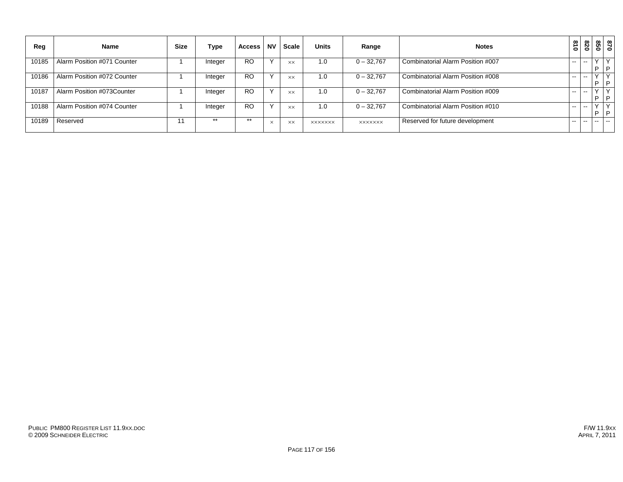| Reg   | <b>Name</b>                 | <b>Size</b> | Type    | <b>Access</b> | <b>NV</b>    | <b>Scale</b>   | <b>Units</b>   | Range          | <b>Notes</b>                      | $\overline{\mathbf{a}}$<br>$\circ$ | 028           | 85<br>Õ | 0 <sub>28</sub> |
|-------|-----------------------------|-------------|---------|---------------|--------------|----------------|----------------|----------------|-----------------------------------|------------------------------------|---------------|---------|-----------------|
| 10185 | Alarm Position #071 Counter |             | Integer | <b>RO</b>     | $\checkmark$ | <b>XX</b>      | 1.0            | $0 - 32,767$   | Combinatorial Alarm Position #007 | $\sim$ $\sim$                      | $- -$         |         | l p             |
| 10186 | Alarm Position #072 Counter |             | Integer | <b>RO</b>     | $\checkmark$ | <b>XX</b>      | 1.0            | $0 - 32,767$   | Combinatorial Alarm Position #008 | $\sim$ $\sim$                      | $\sim$        |         | $\vee$<br>l P   |
| 10187 | Alarm Position #073Counter  |             | Integer | <b>RO</b>     | $\check{ }$  | $\times\times$ | 1.0            | $0 - 32,767$   | Combinatorial Alarm Position #009 | $\sim$ $\sim$                      | --            | E       | l P             |
| 10188 | Alarm Position #074 Counter |             | Integer | <b>RO</b>     | $\checkmark$ | <b>XX</b>      | 1.0            | $0 - 32,767$   | Combinatorial Alarm Position #010 | $\sim$ $\sim$                      | $\sim$ $\sim$ |         | ∣∍              |
| 10189 | Reserved                    | 11          | $***$   | $***$         | $\times$     | <b>XX</b>      | <b>XXXXXXX</b> | <b>XXXXXXX</b> | Reserved for future development   | --                                 | --            | $- -$   | $\sim$          |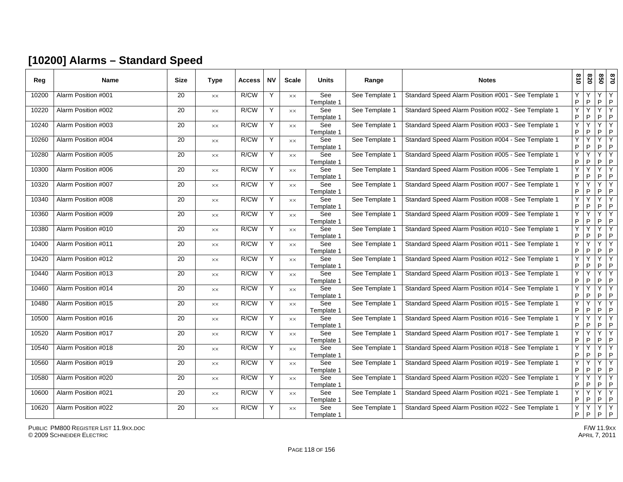### **[10200] Alarms – Standard Speed**

| Reg   | <b>Name</b>         | <b>Size</b>     | Type           | <b>Access</b> | <b>NV</b> | <b>Scale</b>   | <b>Units</b>      | Range          | <b>Notes</b>                                        | 018                 | 078    | 058    | 0/8                            |
|-------|---------------------|-----------------|----------------|---------------|-----------|----------------|-------------------|----------------|-----------------------------------------------------|---------------------|--------|--------|--------------------------------|
| 10200 | Alarm Position #001 | 20              | XX             | R/CW          | Y         | <b>XX</b>      | See<br>Template 1 | See Template 1 | Standard Speed Alarm Position #001 - See Template 1 | Y<br>P              | P      | Y<br>P | Y<br>$\mathsf{P}$              |
| 10220 | Alarm Position #002 | 20              | XX             | R/CW          | Y         | $\times\times$ | See<br>Template 1 | See Template 1 | Standard Speed Alarm Position #002 - See Template 1 | Y<br>$\sf P$        | Y<br>P | Y<br>P | Y<br>$\sf P$                   |
| 10240 | Alarm Position #003 | 20              | XX             | R/CW          | Y         | $\times\times$ | See<br>Template 1 | See Template 1 | Standard Speed Alarm Position #003 - See Template 1 | Υ<br>$\sf P$        | Υ<br>P | Y<br>P | Y<br>$\sf P$                   |
| 10260 | Alarm Position #004 | 20              | XX             | R/CW          | Y         | <b>XX</b>      | See<br>Template 1 | See Template 1 | Standard Speed Alarm Position #004 - See Template 1 | Y<br>P              | Y<br>P | Y<br>P | Y<br>P                         |
| 10280 | Alarm Position #005 | 20              | XX             | R/CW          | Y         | XX             | See<br>Template 1 | See Template 1 | Standard Speed Alarm Position #005 - See Template 1 | Y<br>$\sf P$        | Y<br>P | Y<br>P | Y<br>$\sf P$                   |
| 10300 | Alarm Position #006 | 20              | $\times\times$ | R/CW          | Y         | $\times\times$ | See<br>Template 1 | See Template 1 | Standard Speed Alarm Position #006 - See Template 1 | Υ<br>$\sf P$        | Υ<br>P | Y<br>P | Y<br>$\mathsf{P}$              |
| 10320 | Alarm Position #007 | $\overline{20}$ | XX             | R/CW          | Y         | <b>XX</b>      | See<br>Template 1 | See Template 1 | Standard Speed Alarm Position #007 - See Template 1 | Y<br>$\sf P$        | Υ<br>P | Y<br>P | Y<br>P                         |
| 10340 | Alarm Position #008 | 20              | XX             | R/CW          | Y         | <b>XX</b>      | See<br>Template 1 | See Template 1 | Standard Speed Alarm Position #008 - See Template 1 | Y<br>P              | Υ<br>P | Y<br>P | Y<br>P                         |
| 10360 | Alarm Position #009 | 20              | XX             | R/CW          | Y         | $\times\times$ | See<br>Template 1 | See Template 1 | Standard Speed Alarm Position #009 - See Template 1 | Y<br>P              | Υ<br>P | Y<br>P | Y<br>$\mathsf P$               |
| 10380 | Alarm Position #010 | 20              | $\times\times$ | R/CW          | Y         | $\times\times$ | See<br>Template 1 | See Template 1 | Standard Speed Alarm Position #010 - See Template 1 | Υ<br>P              | Y<br>P | Y<br>P | Y<br>P                         |
| 10400 | Alarm Position #011 | 20              | XX             | R/CW          | Y         | $\times\times$ | See<br>Template 1 | See Template 1 | Standard Speed Alarm Position #011 - See Template 1 | Y<br>P              | Υ<br>P | Y<br>P | Y<br>$\mathsf P$               |
| 10420 | Alarm Position #012 | 20              | XX             | R/CW          | Y         | $\times\times$ | See<br>Template 1 | See Template 1 | Standard Speed Alarm Position #012 - See Template 1 | Υ<br>$\sf P$        | Υ<br>P | Y<br>P | Y<br>P                         |
| 10440 | Alarm Position #013 | 20              | XX             | R/CW          | Y         | $\times\times$ | See<br>Template 1 | See Template 1 | Standard Speed Alarm Position #013 - See Template 1 | Y<br>P              | Υ<br>P | Y<br>P | Y<br>P                         |
| 10460 | Alarm Position #014 | 20              | XX             | R/CW          | Y         | $\times\times$ | See<br>Template 1 | See Template 1 | Standard Speed Alarm Position #014 - See Template 1 | Y<br>$\mathsf{P}$   | Y<br>P | Y<br>P | Y<br>P                         |
| 10480 | Alarm Position #015 | 20              | XX             | R/CW          | Y         | XX             | See<br>Template 1 | See Template 1 | Standard Speed Alarm Position #015 - See Template 1 | Υ<br>P              | Y<br>P | Y<br>P | Y<br>$\mathsf{P}$              |
| 10500 | Alarm Position #016 | 20              | XX             | R/CW          | Y         | <b>XX</b>      | See<br>Template 1 | See Template 1 | Standard Speed Alarm Position #016 - See Template 1 | Y<br>P              | Y<br>P | Y<br>P | Y<br>$\mathsf P$               |
| 10520 | Alarm Position #017 | 20              | $\times\times$ | R/CW          | Y         | $\times\times$ | See<br>Template 1 | See Template 1 | Standard Speed Alarm Position #017 - See Template 1 | Y<br>$\sf P$        | P      | Y<br>P | Υ<br>$\sf P$                   |
| 10540 | Alarm Position #018 | 20              | XX.            | R/CW          | Y         | <b>XX</b>      | See<br>Template 1 | See Template 1 | Standard Speed Alarm Position #018 - See Template 1 | Y<br>P              | Υ<br>P | Y<br>P | Y<br>P                         |
| 10560 | Alarm Position #019 | 20              | XX             | R/CW          | Y         | XX             | See<br>Template 1 | See Template 1 | Standard Speed Alarm Position #019 - See Template 1 | Y<br>$\sf P$        | ٧<br>P | Y<br>P | Y<br>$\sf P$                   |
| 10580 | Alarm Position #020 | 20              | $\times\times$ | R/CW          | Y         | XX             | See<br>Template 1 | See Template 1 | Standard Speed Alarm Position #020 - See Template 1 | $\overline{Y}$<br>P | Y<br>P | Y<br>P | $\overline{Y}$<br>P            |
| 10600 | Alarm Position #021 | 20              | XX             | R/CW          | Y         | <b>XX</b>      | See<br>Template 1 | See Template 1 | Standard Speed Alarm Position #021 - See Template 1 | Y<br>P              | Y<br>P | Y<br>P | Υ<br>P                         |
| 10620 | Alarm Position #022 | 20              | XX             | R/CW          | Y         | XX             | See<br>Template 1 | See Template 1 | Standard Speed Alarm Position #022 - See Template 1 | Υ<br>$\sf P$        | Υ<br>P | Y<br>P | $\overline{Y}$<br>$\mathsf{P}$ |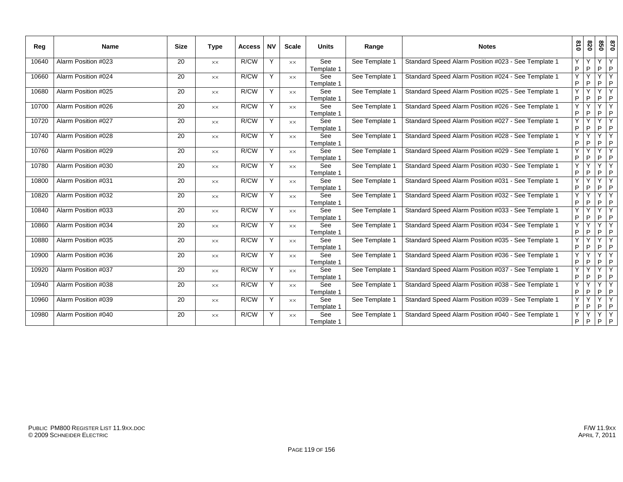| Reg   | <b>Name</b>         | <b>Size</b> | <b>Type</b>    | <b>Access</b> | <b>NV</b> | <b>Scale</b>   | <b>Units</b>      | Range          | <b>Notes</b>                                        | 018    | 820                          | 850     | 0/8          |
|-------|---------------------|-------------|----------------|---------------|-----------|----------------|-------------------|----------------|-----------------------------------------------------|--------|------------------------------|---------|--------------|
| 10640 | Alarm Position #023 | 20          | $\times\times$ | R/CW          | Y         | <b>XX</b>      | See<br>Template 1 | See Template 1 | Standard Speed Alarm Position #023 - See Template 1 | Y<br>P | P                            | Y<br>P  | Y<br> P      |
| 10660 | Alarm Position #024 | 20          | $\times\times$ | R/CW          | Y         | XX             | See<br>Template 1 | See Template 1 | Standard Speed Alarm Position #024 - See Template 1 | Ÿ<br>P | ٧<br>P                       | Ÿ<br>P  | ĪΥ<br>P      |
| 10680 | Alarm Position #025 | 20          | $\times\times$ | R/CW          | Y         | <b>XX</b>      | See<br>Template 1 | See Template 1 | Standard Speed Alarm Position #025 - See Template 1 | Ÿ<br>P | P                            | Y<br>P  | Y<br>P       |
| 10700 | Alarm Position #026 | 20          | $\times\times$ | R/CW          | Y         | <b>XX</b>      | See<br>Template 1 | See Template 1 | Standard Speed Alarm Position #026 - See Template 1 | Y<br>P | $\checkmark$<br>P            | Y<br>P  | Y<br>P       |
| 10720 | Alarm Position #027 | 20          | XX             | R/CW          | Y         | $\times\times$ | See<br>Template 1 | See Template 1 | Standard Speed Alarm Position #027 - See Template 1 | Ÿ<br>P | $\overline{\mathsf{v}}$<br>P | YY<br>P | P            |
| 10740 | Alarm Position #028 | 20          | $\times\times$ | R/CW          | Y         | <b>XX</b>      | See<br>Template 1 | See Template 1 | Standard Speed Alarm Position #028 - See Template 1 | Y<br>P | P                            | Y<br>P  | Y<br> P      |
| 10760 | Alarm Position #029 | 20          | $\times\times$ | R/CW          | Y         | <b>XX</b>      | See<br>Template 1 | See Template 1 | Standard Speed Alarm Position #029 - See Template 1 | Y<br>P | P                            | Y<br>P  | Y<br>P       |
| 10780 | Alarm Position #030 | 20          | $\times\times$ | R/CW          | Y         | XX             | See<br>Template 1 | See Template 1 | Standard Speed Alarm Position #030 - See Template 1 | Ÿ<br>P | Y<br>P                       | P       | YY<br>P      |
| 10800 | Alarm Position #031 | 20          | $\times\times$ | R/CW          | Y         | <b>XX</b>      | See<br>Template 1 | See Template 1 | Standard Speed Alarm Position #031 - See Template 1 | Y<br>P | P                            | Y<br>P  | Y<br>P       |
| 10820 | Alarm Position #032 | 20          | $\times\times$ | R/CW          | Y         | <b>XX</b>      | See<br>Template 1 | See Template 1 | Standard Speed Alarm Position #032 - See Template 1 | Y<br>P | ٧<br>P                       | Y<br>P  | Y<br>P       |
| 10840 | Alarm Position #033 | 20          | $\times\times$ | R/CW          | Y         | <b>XX</b>      | See<br>Template 1 | See Template 1 | Standard Speed Alarm Position #033 - See Template 1 | Ÿ<br>P | P                            | P       | YY<br> P     |
| 10860 | Alarm Position #034 | 20          | $\times\times$ | R/CW          | Y         | <b>XX</b>      | See<br>Template 1 | See Template 1 | Standard Speed Alarm Position #034 - See Template 1 | Y<br>P | Υ<br>P                       | Y<br>P  | Y<br> P      |
| 10880 | Alarm Position #035 | 20          | <b>XX</b>      | R/CW          | Y         | <b>XX</b>      | See<br>Template 1 | See Template 1 | Standard Speed Alarm Position #035 - See Template 1 | Ÿ<br>P | P                            | Y<br>P  | Y<br>P       |
| 10900 | Alarm Position #036 | 20          | <b>XX</b>      | R/CW          | Y         | $\times\times$ | See<br>Template 1 | See Template 1 | Standard Speed Alarm Position #036 - See Template 1 | Y<br>P | Y<br>P                       | Y<br>P  | IY.<br>P     |
| 10920 | Alarm Position #037 | 20          | $\times\times$ | R/CW          | Y         | $\times\times$ | See<br>Template 1 | See Template 1 | Standard Speed Alarm Position #037 - See Template 1 | Y<br>P | P                            | Y<br>P  | Y<br>P       |
| 10940 | Alarm Position #038 | 20          | XX             | R/CW          | Y         | XX             | See<br>Template 1 | See Template 1 | Standard Speed Alarm Position #038 - See Template 1 | Y<br>P | P                            | Y<br>P  | Y<br>P       |
| 10960 | Alarm Position #039 | 20          | $\times\times$ | R/CW          | Y         | XX             | See<br>Template 1 | See Template 1 | Standard Speed Alarm Position #039 - See Template 1 | Y<br>P | P                            | Y<br>P  | Y<br> P      |
| 10980 | Alarm Position #040 | 20          | $\times\times$ | R/CW          | Υ         | <b>XX</b>      | See<br>Template 1 | See Template 1 | Standard Speed Alarm Position #040 - See Template 1 | Ÿ<br>P | P                            | Y       | Y<br>$P$ $P$ |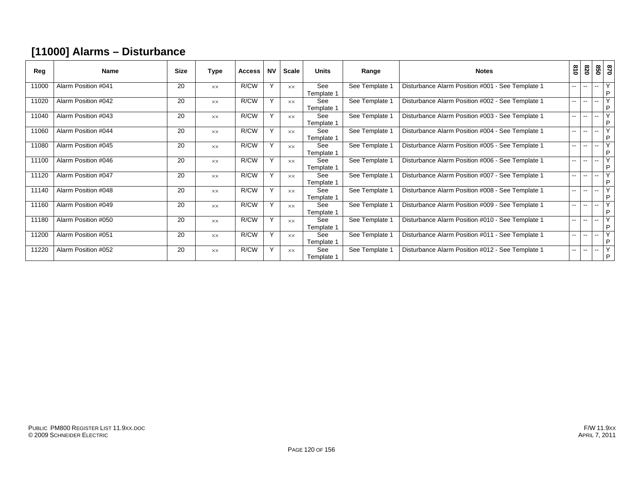### **[11000] Alarms – Disturbance**

| Reg   | <b>Name</b>         | <b>Size</b> | Type           | <b>Access</b> | <b>NV</b> | Scale          | <b>Units</b>             | Range          | <b>Notes</b>                                     | 018    | 078                      | 09                       | 028                          |
|-------|---------------------|-------------|----------------|---------------|-----------|----------------|--------------------------|----------------|--------------------------------------------------|--------|--------------------------|--------------------------|------------------------------|
| 11000 | Alarm Position #041 | 20          | <b>XX</b>      | R/CW          | Y         | <b>XX</b>      | See<br>Template 1        | See Template 1 | Disturbance Alarm Position #001 - See Template 1 | $- -$  | $\overline{\phantom{a}}$ | $\overline{\phantom{a}}$ | Y<br>P                       |
| 11020 | Alarm Position #042 | 20          | $\times\times$ | R/CW          | Y         | $\times\times$ | <b>See</b><br>Template 1 | See Template 1 | Disturbance Alarm Position #002 - See Template 1 | $\sim$ | $\overline{\phantom{a}}$ | --                       | Y<br>P                       |
| 11040 | Alarm Position #043 | 20          | <b>XX</b>      | R/CW          | Y         | <b>XX</b>      | See<br>Template 1        | See Template 1 | Disturbance Alarm Position #003 - See Template 1 | $\sim$ | $\overline{\phantom{a}}$ | $-$                      | $\overline{\mathsf{v}}$<br>P |
| 11060 | Alarm Position #044 | 20          | <b>XX</b>      | R/CW          | $\vee$    | <b>XX</b>      | See<br>Template 1        | See Template 1 | Disturbance Alarm Position #004 - See Template 1 | $\sim$ | $\overline{\phantom{a}}$ | $-$                      | Y<br>P                       |
| 11080 | Alarm Position #045 | 20          | <b>XX</b>      | R/CW          | Y         | <b>XX</b>      | See<br>Template 1        | See Template 1 | Disturbance Alarm Position #005 - See Template 1 | $\sim$ | $\overline{\phantom{a}}$ | $\overline{\phantom{a}}$ | Y<br>P                       |
| 11100 | Alarm Position #046 | 20          | <b>XX</b>      | R/CW          | Y         | <b>XX</b>      | See<br>Template 1        | See Template 1 | Disturbance Alarm Position #006 - See Template 1 | $- -$  | $\overline{\phantom{a}}$ | $-$                      | Y<br>P                       |
| 11120 | Alarm Position #047 | 20          | <b>XX</b>      | R/CW          | Y         | <b>XX</b>      | See<br>Template 1        | See Template 1 | Disturbance Alarm Position #007 - See Template 1 | $- -$  | $\overline{\phantom{a}}$ | $-$                      | Y<br>P                       |
| 11140 | Alarm Position #048 | 20          | <b>XX</b>      | R/CW          | Y         | <b>XX</b>      | See<br>Template 1        | See Template 1 | Disturbance Alarm Position #008 - See Template 1 | $\sim$ | $\overline{\phantom{a}}$ | $-$                      | Y<br>P                       |
| 11160 | Alarm Position #049 | 20          | <b>XX</b>      | R/CW          | Y         | <b>XX</b>      | See<br>Template 1        | See Template 1 | Disturbance Alarm Position #009 - See Template 1 | --     | $\overline{\phantom{a}}$ | $\overline{\phantom{a}}$ | Y<br>P                       |
| 11180 | Alarm Position #050 | 20          | <b>XX</b>      | R/CW          | Y         | <b>xx</b>      | <b>See</b><br>Template 1 | See Template 1 | Disturbance Alarm Position #010 - See Template 1 | --     | $\overline{\phantom{a}}$ | $-$                      | Y<br>P                       |
| 11200 | Alarm Position #051 | 20          | <b>XX</b>      | R/CW          | Υ         | <b>XX</b>      | See<br>Template 1        | See Template 1 | Disturbance Alarm Position #011 - See Template 1 | --     | $\overline{\phantom{a}}$ | --                       | Y<br>P                       |
| 11220 | Alarm Position #052 | 20          | <b>XX</b>      | R/CW          | Y         | <b>XX</b>      | See<br>Template 1        | See Template 1 | Disturbance Alarm Position #012 - See Template 1 | $\sim$ | $- -$                    | $\overline{\phantom{a}}$ | Y<br>P                       |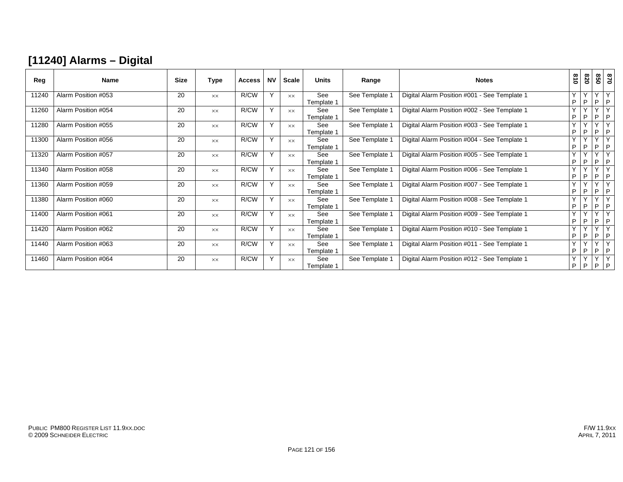### **[11240] Alarms – Digital**

| Reg   | <b>Name</b>         | <b>Size</b> | Type           | <b>Access</b> | <b>NV</b> | <b>Scale</b>   | <b>Units</b>             | Range          | <b>Notes</b>                                 | $\frac{810}{2}$   | 820                           | 850                          | 0/8                                |
|-------|---------------------|-------------|----------------|---------------|-----------|----------------|--------------------------|----------------|----------------------------------------------|-------------------|-------------------------------|------------------------------|------------------------------------|
| 11240 | Alarm Position #053 | 20          | XX             | R/CW          | Y         | <b>XX</b>      | See<br>Template 1        | See Template 1 | Digital Alarm Position #001 - See Template 1 | $\checkmark$<br>P | $\checkmark$<br>P             | $\overline{\mathsf{v}}$<br>P | Y<br>I P                           |
| 11260 | Alarm Position #054 | 20          | <b>XX</b>      | R/CW          | Y         | <b>XX</b>      | <b>See</b><br>Template 1 | See Template 1 | Digital Alarm Position #002 - See Template 1 | Y<br>P            | $\checkmark$<br>D             | $\vee$<br>P                  | Y<br>P                             |
| 11280 | Alarm Position #055 | 20          | <b>XX</b>      | R/CW          | Y         | <b>XX</b>      | See<br>Template 1        | See Template 1 | Digital Alarm Position #003 - See Template 1 | $\checkmark$<br>P | P                             | $\checkmark$<br>P            | P                                  |
| 11300 | Alarm Position #056 | 20          | $\times\times$ | R/CW          | Y         | $\times\times$ | See<br>Template 1        | See Template 1 | Digital Alarm Position #004 - See Template 1 | $\checkmark$<br>P | $\cdot$<br>P                  | $\checkmark$<br>P            | $\vee$<br>P                        |
| 11320 | Alarm Position #057 | 20          | XX             | R/CW          | Y         | <b>XX</b>      | See<br>Template 1        | See Template 1 | Digital Alarm Position #005 - See Template 1 | Y<br>P            | $\overline{\phantom{a}}$<br>P | $\checkmark$<br>P            | $\vee$<br>I P                      |
| 11340 | Alarm Position #058 | 20          | <b>XX</b>      | R/CW          | Y         | <b>XX</b>      | See<br>Template 1        | See Template 1 | Digital Alarm Position #006 - See Template 1 | Y<br>P            | P                             | $\checkmark$<br>P            | P                                  |
| 11360 | Alarm Position #059 | 20          | <b>XX</b>      | R/CW          | Y         | <b>XX</b>      | See<br>Template 1        | See Template 1 | Digital Alarm Position #007 - See Template 1 | $\vee$<br>P       | P                             | $\checkmark$<br>P            | $\checkmark$<br>P                  |
| 11380 | Alarm Position #060 | 20          | <b>XX</b>      | R/CW          | Y         | <b>XX</b>      | See<br>Template 1        | See Template 1 | Digital Alarm Position #008 - See Template 1 | $\mathsf{Y}$<br>P | $\sqrt{}$<br>P                | $\overline{\mathbf{v}}$<br>P | $\sqrt{ }$<br>P                    |
| 11400 | Alarm Position #061 | 20          | <b>XX</b>      | R/CW          | Y         | <b>XX</b>      | See<br>Template 1        | See Template 1 | Digital Alarm Position #009 - See Template 1 | Y<br>P            | $\overline{\phantom{a}}$<br>P | $\vee$<br>P                  | Y<br>I P                           |
| 11420 | Alarm Position #062 | 20          | $\times\times$ | R/CW          | Y         | <b>XX</b>      | See<br>Template 1        | See Template 1 | Digital Alarm Position #010 - See Template 1 | Y<br>P            | $\cdot$<br>P                  | $\sqrt{}$<br>P               | $\sqrt{}$<br>P                     |
| 11440 | Alarm Position #063 | 20          | <b>XX</b>      | R/CW          | Y         | <b>xx</b>      | See<br>Template 1        | See Template 1 | Digital Alarm Position #011 - See Template 1 | Y<br>P            | $\checkmark$<br>P             | $\mathsf{v}$<br>P            | Y<br>  P                           |
| 11460 | Alarm Position #064 | 20          | <b>XX</b>      | R/CW          | Y         | XX.            | See<br>Template 1        | See Template 1 | Digital Alarm Position #012 - See Template 1 | $\checkmark$<br>P | $\cdot$<br>P                  | $\overline{\mathbf{v}}$      | $\overline{\mathbf{v}}$<br>$P$ $P$ |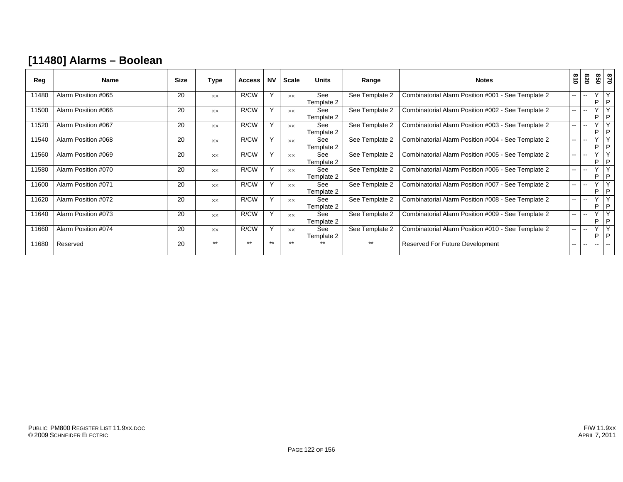### **[11480] Alarms – Boolean**

| Reg   | <b>Name</b>         | <b>Size</b> | Type           | <b>Access</b> | <b>NV</b> | Scale          | <b>Units</b>      | Range          | <b>Notes</b>                                       | $\frac{8}{10}$           | 078                      |                   | 870<br>850    |
|-------|---------------------|-------------|----------------|---------------|-----------|----------------|-------------------|----------------|----------------------------------------------------|--------------------------|--------------------------|-------------------|---------------|
| 11480 | Alarm Position #065 | 20          | $\times\times$ | R/CW          | Y         | $\times\times$ | See<br>Template 2 | See Template 2 | Combinatorial Alarm Position #001 - See Template 2 | $- -$                    | $-$                      | P                 | YY<br> P      |
| 11500 | Alarm Position #066 | 20          | <b>XX</b>      | R/CW          | Y         | $\times\times$ | See<br>Template 2 | See Template 2 | Combinatorial Alarm Position #002 - See Template 2 | $- -$                    | --                       | $\checkmark$<br>P | Y<br> P       |
| 11520 | Alarm Position #067 | 20          | <b>XX</b>      | R/CW          | Y         | $\times\times$ | See<br>Template 2 | See Template 2 | Combinatorial Alarm Position #003 - See Template 2 | $\overline{\phantom{a}}$ | --                       | $\checkmark$<br>P | Y<br>P        |
| 11540 | Alarm Position #068 | 20          | $\times\times$ | R/CW          | Y         | <b>XX</b>      | See<br>Template 2 | See Template 2 | Combinatorial Alarm Position #004 - See Template 2 | $- -$                    | $-$                      | $\checkmark$<br>P | Y<br> P       |
| 11560 | Alarm Position #069 | 20          | $\times\times$ | R/CW          | Y         | <b>XX</b>      | See<br>Template 2 | See Template 2 | Combinatorial Alarm Position #005 - See Template 2 | $\sim$ $\sim$            | $\mathbf{u}$             | $\checkmark$<br>P | Y<br>P        |
| 11580 | Alarm Position #070 | 20          | <b>XX</b>      | R/CW          | Υ         | <b>XX</b>      | See<br>Template 2 | See Template 2 | Combinatorial Alarm Position #006 - See Template 2 | $- -$                    | $\overline{\phantom{a}}$ | $\checkmark$<br>P | Y<br>P        |
| 11600 | Alarm Position #071 | 20          | $\times\times$ | R/CW          | Y         | $\times\times$ | See<br>Template 2 | See Template 2 | Combinatorial Alarm Position #007 - See Template 2 | $- -$                    | $\overline{\phantom{a}}$ | $\checkmark$<br>P | Y<br>P        |
| 11620 | Alarm Position #072 | 20          | $\times\times$ | R/CW          | Y         | $\times\times$ | See<br>Template 2 | See Template 2 | Combinatorial Alarm Position #008 - See Template 2 | $-$                      | $\overline{\phantom{a}}$ | $\checkmark$<br>P | Y<br>P        |
| 11640 | Alarm Position #073 | 20          | <b>XX</b>      | R/CW          | Y         | $\times\times$ | See<br>Template 2 | See Template 2 | Combinatorial Alarm Position #009 - See Template 2 | $\sim$ $\sim$            | $\overline{\phantom{a}}$ | $\checkmark$<br>P | Υ<br>P        |
| 11660 | Alarm Position #074 | 20          | <b>XX</b>      | R/CW          | Y         | <b>XX</b>      | See<br>Template 2 | See Template 2 | Combinatorial Alarm Position #010 - See Template 2 | $-$                      | $\overline{\phantom{a}}$ | $\checkmark$<br>P | Υ<br>P        |
| 11680 | Reserved            | 20          | $***$          | $***$         | $***$     | $***$          | $***$             | $***$          | <b>Reserved For Future Development</b>             | $\overline{\phantom{a}}$ | --                       | $- -$             | $\sim$ $\sim$ |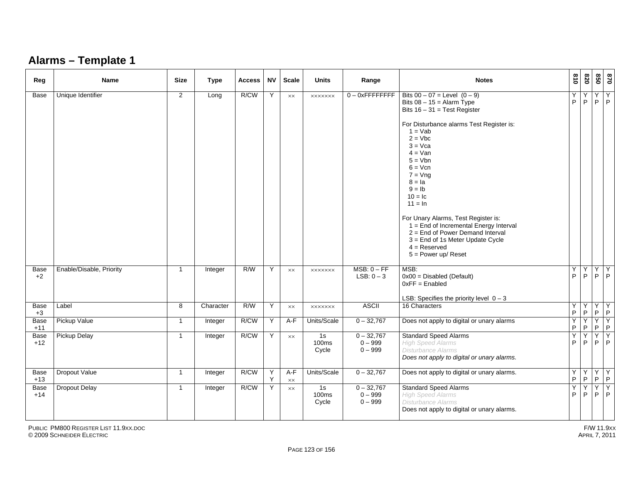### **Alarms – Template 1**

| Reg           | <b>Name</b>              | <b>Size</b>    | <b>Type</b> | <b>Access</b> | <b>NV</b> | <b>Scale</b>   | <b>Units</b>         | Range                                  | <b>Notes</b>                                                                                                                                                                                                                                                                                                                                                                                                                                                                                       | $\frac{8}{10}$   | 078              | 850                 | 028                 |
|---------------|--------------------------|----------------|-------------|---------------|-----------|----------------|----------------------|----------------------------------------|----------------------------------------------------------------------------------------------------------------------------------------------------------------------------------------------------------------------------------------------------------------------------------------------------------------------------------------------------------------------------------------------------------------------------------------------------------------------------------------------------|------------------|------------------|---------------------|---------------------|
| Base          | Unique Identifier        | $\overline{2}$ | Long        | R/CW          | Y         | $\times\times$ | <b>XXXXXXX</b>       | $0 - 0x$ FFFFFFFFF                     | Bits $00 - 07$ = Level $(0 - 9)$<br>Bits $08 - 15 =$ Alarm Type<br>Bits $16 - 31 = Test Register$<br>For Disturbance alarms Test Register is:<br>$1 = Vab$<br>$2 = Vbc$<br>$3 = Vca$<br>$4 = Van$<br>$5 = Vbn$<br>$6 = Vcn$<br>$7 = Vna$<br>$8 = Ia$<br>$9 = lb$<br>$10 = lc$<br>$11 = ln$<br>For Unary Alarms, Test Register is:<br>$1 =$ End of Incremental Energy Interval<br>$2 =$ End of Power Demand Interval<br>3 = End of 1s Meter Update Cycle<br>$4 =$ Reserved<br>$5 = Power up/ reset$ | Y<br>P           | Y<br>$\mathsf P$ | Y<br>P              | Y<br>$\mathsf{P}$   |
| Base<br>$+2$  | Enable/Disable, Priority | $\overline{1}$ | Integer     | R/W           | Y         | XX             | <b>XXXXXXX</b>       | $MSB: 0 - FF$<br>LSB: $0-3$            | MSB:<br>$0x00 = Disabled$ (Default)<br>$0xFF =$ Enabled<br>LSB: Specifies the priority level $0 - 3$                                                                                                                                                                                                                                                                                                                                                                                               | Y<br>P           | Y<br>P           | Υ<br>P              | Y<br>P              |
| Base<br>$+3$  | Label                    | 8              | Character   | R/W           | Y         | $\times\times$ | <b>XXXXXXX</b>       | <b>ASCII</b>                           | 16 Characters                                                                                                                                                                                                                                                                                                                                                                                                                                                                                      | Y<br>$\sf P$     | Y<br>P           |                     | YY<br>$P$ $P$       |
| Base<br>$+11$ | Pickup Value             | $\mathbf{1}$   | Integer     | R/CW          | Y         | $A-F$          | Units/Scale          | $0 - 32,767$                           | Does not apply to digital or unary alarms                                                                                                                                                                                                                                                                                                                                                                                                                                                          | Y<br>P           | Y<br>P           | $\overline{Y}$<br>P | Y<br>P              |
| Base<br>$+12$ | <b>Pickup Delay</b>      | $\mathbf{1}$   | Integer     | R/CW          | Y         | $\times\times$ | 1s<br>100ms<br>Cycle | $0 - 32,767$<br>$0 - 999$<br>$0 - 999$ | <b>Standard Speed Alarms</b><br><b>High Speed Alarms</b><br>Disturbance Alarms<br>Does not apply to digital or unary alarms.                                                                                                                                                                                                                                                                                                                                                                       | Y<br>P           | Y<br>P           | Y<br>P.             | Y<br>P              |
| Base<br>$+13$ | Dropout Value            | $\mathbf{1}$   | Integer     | R/CW          | Y<br>Y    | $A-F$<br>XX    | Units/Scale          | $0 - 32,767$                           | Does not apply to digital or unary alarms.                                                                                                                                                                                                                                                                                                                                                                                                                                                         | Y<br>$\mathsf P$ | Y<br>P           | Y.<br>P             | Y<br>$\mathsf P$    |
| Base<br>$+14$ | <b>Dropout Delay</b>     | $\overline{1}$ | Integer     | R/CW          | Y         | XX             | 1s<br>100ms<br>Cycle | $0 - 32,767$<br>$0 - 999$<br>$0 - 999$ | <b>Standard Speed Alarms</b><br><b>High Speed Alarms</b><br><b>Disturbance Alarms</b><br>Does not apply to digital or unary alarms.                                                                                                                                                                                                                                                                                                                                                                | Y<br>P           | Y<br>P           | Y<br>P.             | $\overline{Y}$<br>P |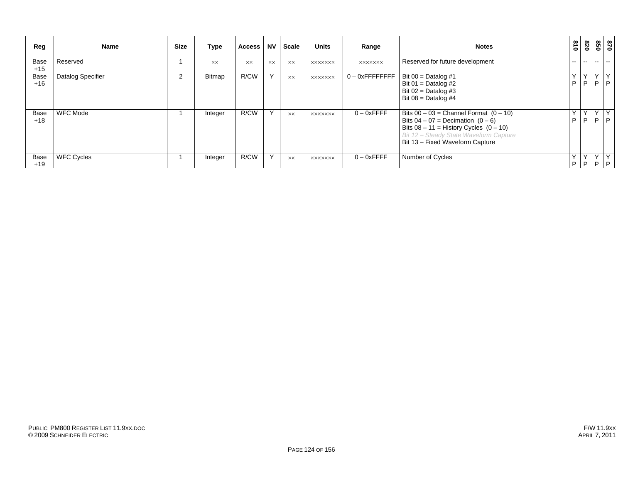| Reg           | Name              | <b>Size</b> | Type          | <b>Access</b> | <b>NV</b> | Scale          | <b>Units</b>   | Range              | <b>Notes</b>                                                                                                                                                                                                   | 018             | 078           |                   | 870<br>850    |
|---------------|-------------------|-------------|---------------|---------------|-----------|----------------|----------------|--------------------|----------------------------------------------------------------------------------------------------------------------------------------------------------------------------------------------------------------|-----------------|---------------|-------------------|---------------|
| Base<br>$+15$ | Reserved          |             | <b>XX</b>     | <b>XX</b>     | <b>XX</b> | $\times\times$ | <b>XXXXXXX</b> | <b>XXXXXXX</b>     | Reserved for future development                                                                                                                                                                                | --              | $\sim$ $\sim$ | $- -$             | $\sim$ $\sim$ |
| Base<br>$+16$ | Datalog Specifier | 2           | <b>Bitmap</b> | R/CW          | Y         | <b>XX</b>      | <b>XXXXXXX</b> | $0 - 0x$ FFFFFFFFF | Bit $00 =$ Datalog #1<br>Bit 01 = Datalog #2<br>Bit $02 =$ Datalog #3<br>Bit $08 =$ Datalog #4                                                                                                                 | Y<br>. P        | Y<br>P        | Y<br>P            | Y<br>P        |
| Base<br>$+18$ | <b>WFC Mode</b>   |             | Integer       | R/CW          | Y         | <b>XX</b>      | <b>XXXXXXX</b> | $0 - 0x$ FFFF      | Bits $00 - 03$ = Channel Format $(0 - 10)$<br>Bits $04 - 07 =$ Decimation $(0 - 6)$<br>Bits $08 - 11$ = History Cycles $(0 - 10)$<br>Bit 12 - Steady State Waveform Capture<br>Bit 13 - Fixed Waveform Capture | v<br>. <b>P</b> | Y<br>P        | $\checkmark$<br>P | Y<br>P        |
| Base<br>$+19$ | <b>WFC Cycles</b> |             | Integer       | R/CW          | Υ         | <b>XX</b>      | <b>XXXXXXX</b> | $0 - 0x$ FFFF      | Number of Cycles                                                                                                                                                                                               | ΥI<br>P         | $\cdot$ P     | YY<br>$-1P$       | Y<br>P        |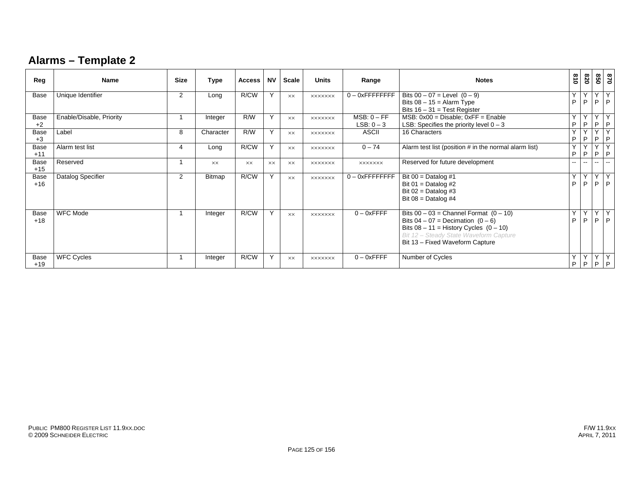### **Alarms – Template 2**

| Reg           | <b>Name</b>              | <b>Size</b>    | Type           | <b>Access</b>  | <b>NV</b> | <b>Scale</b> | <b>Units</b>   | Range                         | <b>Notes</b>                                                                                                                                                                                                   | $\frac{8}{10}$ | 078              | 850                  | 028                 |
|---------------|--------------------------|----------------|----------------|----------------|-----------|--------------|----------------|-------------------------------|----------------------------------------------------------------------------------------------------------------------------------------------------------------------------------------------------------------|----------------|------------------|----------------------|---------------------|
| Base          | Unique Identifier        | $\overline{2}$ | Long           | R/CW           | Y         | XX           | <b>XXXXXXX</b> | $0 - 0x$ FFFFFFFFF            | Bits $00 - 07$ = Level $(0 - 9)$<br>Bits $08 - 15 =$ Alarm Type<br>Bits $16 - 31 = Test Register$                                                                                                              | Y<br>P         | Y<br>P           | Y<br>P               | Y<br>P              |
| Base<br>$+2$  | Enable/Disable, Priority |                | Integer        | R/W            | Y         | <b>XX</b>    | <b>XXXXXXX</b> | $MSB: 0 - FF$<br>$LSB: 0 - 3$ | $MSB: 0x00 = Disable: 0xFF = Enable$<br>LSB: Specifies the priority level $0 - 3$                                                                                                                              | Y<br>P         | Y<br>P           | $\overline{Y}$<br>P. | Υ<br>P              |
| Base<br>$+3$  | Label                    | 8              | Character      | R/W            | Y         | <b>XX</b>    | <b>XXXXXXX</b> | <b>ASCII</b>                  | 16 Characters                                                                                                                                                                                                  | Y<br>P         | Y<br>P           | Y<br>P.              | Υ<br>$\mathsf{P}$   |
| Base<br>$+11$ | Alarm test list          | 4              | Long           | R/CW           | Y         | <b>XX</b>    | <b>XXXXXXX</b> | $0 - 74$                      | Alarm test list (position # in the normal alarm list)                                                                                                                                                          | Y<br>P         | Y<br>$\mathsf P$ | Y<br>P.              | $\overline{Y}$<br>P |
| Base<br>$+15$ | Reserved                 |                | $\times\times$ | $\times\times$ | <b>XX</b> | <b>XX</b>    | <b>XXXXXXX</b> | <b>XXXXXXX</b>                | Reserved for future development                                                                                                                                                                                | $- -$          |                  |                      |                     |
| Base<br>$+16$ | Datalog Specifier        | $\overline{2}$ | Bitmap         | R/CW           | Y         | <b>XX</b>    | <b>XXXXXXX</b> | $0 - 0x$ FFFFFFFFF            | Bit $00 =$ Datalog #1<br>Bit $01 =$ Datalog #2<br>Bit $02 =$ Datalog #3<br>Bit $08 =$ Datalog #4                                                                                                               | Y<br>P         | Y<br>P           | Y<br>P.              | Y<br>P              |
| Base<br>$+18$ | <b>WFC Mode</b>          |                | Integer        | R/CW           | Y         | <b>XX</b>    | <b>XXXXXXX</b> | $0 - 0x$ FFFF                 | Bits $00 - 03$ = Channel Format $(0 - 10)$<br>Bits $04 - 07 =$ Decimation $(0 - 6)$<br>Bits $08 - 11$ = History Cycles $(0 - 10)$<br>Bit 12 - Steady State Waveform Capture<br>Bit 13 - Fixed Waveform Capture | Y<br>P         | P                | YY<br>P.             | Y<br>P              |
| Base<br>$+19$ | <b>WFC Cycles</b>        |                | Integer        | R/CW           | Y         | <b>XX</b>    | <b>XXXXXXX</b> | $0 - 0x$ FFFF                 | Number of Cycles                                                                                                                                                                                               | Y<br>P         | P                |                      | YYY<br>$P$   $P$    |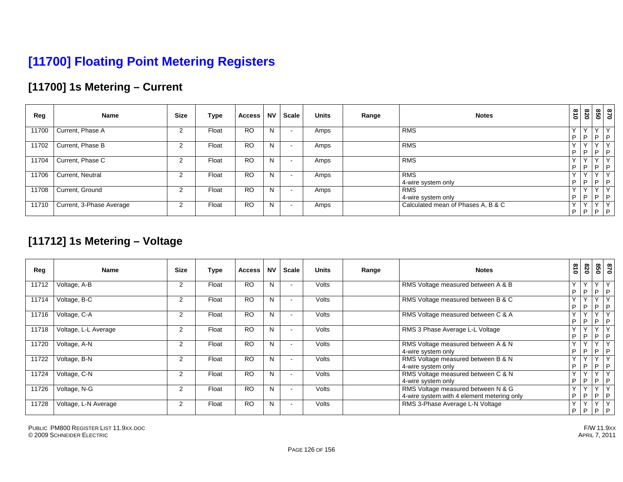# **[11700] Floating Point Metering Registers**

### **[11700] 1s Metering – Current**

| Reg   | Name                     | <b>Size</b> | Type  | <b>Access</b> | <b>NV</b> | Scale                    | <b>Units</b> | Range | <b>Notes</b>                       | 018               | 078 | 850               | 0/8          |
|-------|--------------------------|-------------|-------|---------------|-----------|--------------------------|--------------|-------|------------------------------------|-------------------|-----|-------------------|--------------|
| 11700 | Current, Phase A         | ົ           | Float | <b>RO</b>     | N         |                          | Amps         |       | <b>RMS</b>                         | Υ<br>D            | I P | $\mathbf{v}$<br>P | $\vee$<br> P |
| 11702 | Current, Phase B         |             | Float | <b>RO</b>     | N         |                          | Amps         |       | <b>RMS</b>                         | Υ<br>D            | I P | $\sqrt{}$<br>I P  | l v l<br> P  |
| 11704 | Current, Phase C         |             | Float | <b>RO</b>     | N         |                          | Amps         |       | <b>RMS</b>                         | $\checkmark$<br>D | P   | $\sqrt{}$<br>I P  | $\vee$<br> P |
| 11706 | Current, Neutral         |             | Float | <b>RO</b>     | N         | $\overline{\phantom{a}}$ | Amps         |       | <b>RMS</b><br>4-wire system only   | Υ<br>D            | I P | P                 | $\vee$<br> P |
| 11708 | Current, Ground          |             | Float | <b>RO</b>     | N         |                          | Amps         |       | <b>RMS</b><br>4-wire system only   | $\checkmark$<br>P | IP. | I P               | $\sim$<br> P |
| 11710 | Current, 3-Phase Average | っ           | Float | <b>RO</b>     | N         |                          | Amps         |       | Calculated mean of Phases A, B & C | Υ<br>P            | I P | $\sqrt{}$         | l v.<br> P P |

#### **[11712] 1s Metering – Voltage**

| Reg   | <b>Name</b>          | <b>Size</b>    | Type  | <b>Access</b> | <b>NV</b> | Scale | <b>Units</b> | Range | <b>Notes</b>                                                                     | $\frac{8}{10}$    | 078               | 098          | <b>970</b>                 |
|-------|----------------------|----------------|-------|---------------|-----------|-------|--------------|-------|----------------------------------------------------------------------------------|-------------------|-------------------|--------------|----------------------------|
| 11712 | Voltage, A-B         | $\overline{2}$ | Float | <b>RO</b>     | N         |       | Volts        |       | RMS Voltage measured between A & B                                               | $\vee$<br>P       | Y.<br>. P         | $\vee$<br>P. | P                          |
| 11714 | Voltage, B-C         | $\overline{2}$ | Float | <b>RO</b>     | N         |       | Volts        |       | RMS Voltage measured between B & C                                               | $\checkmark$<br>P | Y<br>P            | P.           | P                          |
| 11716 | Voltage, C-A         | $\overline{2}$ | Float | <b>RO</b>     | N         |       | Volts        |       | RMS Voltage measured between C & A                                               | $\checkmark$<br>P | $\mathsf{Y}$<br>P | $\vee$<br>P. | P                          |
| 11718 | Voltage, L-L Average | 2              | Float | <b>RO</b>     | N         |       | Volts        |       | RMS 3 Phase Average L-L Voltage                                                  | $\checkmark$<br>P | Y<br>P            | $\vee$<br>P. | $\mathcal{N}$<br>P         |
| 11720 | Voltage, A-N         | 2              | Float | <b>RO</b>     |           |       | Volts        |       | RMS Voltage measured between A & N<br>4-wire system only                         | $\checkmark$<br>P | v<br>P            | $\vee$<br>P. | $\lambda$<br>P             |
| 11722 | Voltage, B-N         | 2              | Float | <b>RO</b>     | N         |       | Volts        |       | RMS Voltage measured between B & N<br>4-wire system only                         | v<br>P            | Y<br>P            | $\vee$<br>P. | P                          |
| 11724 | Voltage, C-N         | 2              | Float | <b>RO</b>     |           |       | Volts        |       | RMS Voltage measured between C & N<br>4-wire system only                         | P                 | Y<br>P.           | $\vee$       | $\mathcal{N}$<br>$P$   $P$ |
| 11726 | Voltage, N-G         | 2              | Float | <b>RO</b>     |           |       | Volts        |       | RMS Voltage measured between N & G<br>4-wire system with 4 element metering only | $\checkmark$<br>P | Y<br>P            | $\vee$<br>P  | Y<br>P                     |
| 11728 | Voltage, L-N Average | 2              | Float | <b>RO</b>     |           |       | Volts        |       | RMS 3-Phase Average L-N Voltage                                                  | $\checkmark$<br>P | . Y<br>P.         | $\vee$       | Y<br>$P$   $P$             |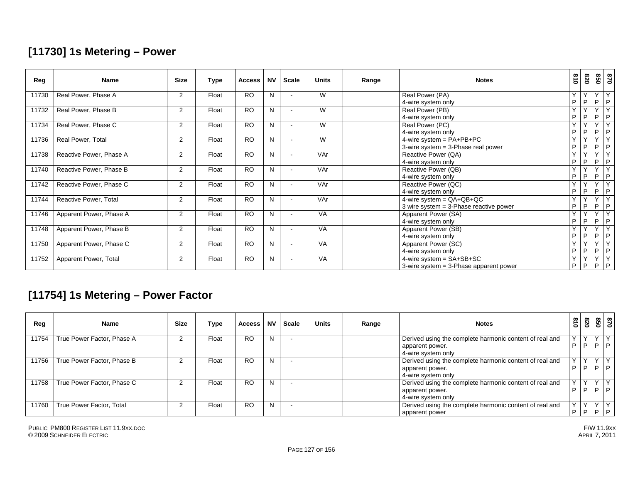### **[11730] 1s Metering – Power**

| Reg   | <b>Name</b>             | <b>Size</b>    | Type  | <b>Access</b>   | <b>NV</b> | <b>Scale</b> | <b>Units</b> | Range | <b>Notes</b>                             | 018    | 078          |                         | 850<br>870              |
|-------|-------------------------|----------------|-------|-----------------|-----------|--------------|--------------|-------|------------------------------------------|--------|--------------|-------------------------|-------------------------|
| 11730 | Real Power, Phase A     | $\overline{2}$ | Float | <b>RO</b>       | N         |              | W            |       | Real Power (PA)                          | Y      | Y.           | $\overline{Y}$          | Y                       |
|       |                         |                |       |                 |           |              |              |       | 4-wire system only                       | P      | P            | P.                      | P                       |
| 11732 | Real Power, Phase B     | $\overline{2}$ | Float | <b>RO</b>       | N         |              | W            |       | Real Power (PB)                          | Y      | Y            | Y                       | Y                       |
|       |                         |                |       |                 |           |              |              |       | 4-wire system only                       | P      | P            | P                       | P                       |
| 11734 | Real Power, Phase C     | $\overline{2}$ | Float | <b>RO</b>       | N         |              | W            |       | Real Power (PC)                          | $\vee$ | $\checkmark$ | $\overline{\mathsf{v}}$ | $\overline{\mathsf{v}}$ |
|       |                         |                |       |                 |           |              |              |       | 4-wire system only                       | P      | P            | P                       | P                       |
| 11736 | Real Power, Total       | 2              | Float | <b>RO</b>       | N         |              | W            |       | 4-wire system = $PA+PB+PC$               | Y      | $\checkmark$ | Y                       | $\vee$                  |
|       |                         |                |       |                 |           |              |              |       | 3-wire system $=$ 3-Phase real power     | P      | P            | P                       | P                       |
| 11738 | Reactive Power, Phase A | $\overline{2}$ | Float | <b>RO</b>       | N         |              | VAr          |       | Reactive Power (QA)                      | Y      | $\checkmark$ | $\checkmark$            | $\overline{\mathsf{v}}$ |
|       |                         |                |       |                 |           |              |              |       | 4-wire system only                       | P      | P            | P                       | P                       |
| 11740 | Reactive Power, Phase B | $\overline{2}$ | Float | <b>RO</b>       | N.        |              | VAr          |       | Reactive Power (QB)                      | Y      | Y            | Y                       | Y                       |
|       |                         |                |       |                 |           |              |              |       | 4-wire system only                       | P      | P            | P                       | P                       |
| 11742 | Reactive Power, Phase C | $\overline{2}$ | Float | <b>RO</b>       | N         |              | VAr          |       | Reactive Power (QC)                      | Y      | $\checkmark$ | $\checkmark$            | $\overline{Y}$          |
|       |                         |                |       |                 |           |              |              |       | 4-wire system only                       | P      | P            | P.                      | P                       |
| 11744 | Reactive Power, Total   | 2              | Float | <b>RO</b>       | N         |              | VAr          |       | 4-wire system = $QA+QB+QC$               | Y      | Y            | Y                       | Y                       |
|       |                         |                |       |                 |           |              |              |       | 3 wire system $=$ 3-Phase reactive power | P      | P            | P                       | P                       |
| 11746 | Apparent Power, Phase A | $\overline{2}$ | Float | <b>RO</b>       | N         |              | <b>VA</b>    |       | Apparent Power (SA)                      | Y      | $\checkmark$ | $\overline{\mathsf{v}}$ | $\overline{\mathsf{v}}$ |
|       |                         |                |       |                 |           |              |              |       | 4-wire system only                       | P      | P            | P                       | P                       |
| 11748 | Apparent Power, Phase B | $\overline{2}$ | Float | <b>RO</b>       | N         |              | VA           |       | Apparent Power (SB)                      | Y      | Y            | Y                       | Y                       |
|       |                         |                |       |                 |           |              |              |       | 4-wire system only                       | P      | P            | P                       | P                       |
| 11750 | Apparent Power, Phase C | $\overline{2}$ | Float | $\overline{RO}$ | N         |              | VA           |       | Apparent Power (SC)                      | Y      | $\checkmark$ | $\overline{\mathsf{Y}}$ | $\overline{Y}$          |
|       |                         |                |       |                 |           |              |              |       | 4-wire system only                       | P      | P            | P.                      | P                       |
| 11752 | Apparent Power, Total   | 2              | Float | <b>RO</b>       | N         |              | VA           |       | $4\text{-wire system} = SA + SB + SC$    | Y      | Y            | Y                       | Y                       |
|       |                         |                |       |                 |           |              |              |       | 3-wire system = 3-Phase apparent power   | P      | P            | P.                      | $\mathsf P$             |

### **[11754] 1s Metering – Power Factor**

| Reg   | <b>Name</b>                | <b>Size</b> | Type  | <b>Access</b> | <b>NV</b> | <b>Scale</b> | <b>Units</b> | Range | <b>Notes</b>                                            | $\frac{3}{10}$ | 078          |    | 87<br>85             |
|-------|----------------------------|-------------|-------|---------------|-----------|--------------|--------------|-------|---------------------------------------------------------|----------------|--------------|----|----------------------|
| 11754 | True Power Factor, Phase A |             | Float | <b>RO</b>     | N         |              |              |       | Derived using the complete harmonic content of real and | $\checkmark$   | $\checkmark$ |    | YY<br>$\overline{a}$ |
|       |                            |             |       |               |           |              |              |       | apparent power.<br>4-wire system only                   | D              | P            | D. |                      |
| 11756 | True Power Factor, Phase B |             | Float | <b>RO</b>     | N         |              |              |       | Derived using the complete harmonic content of real and | $\checkmark$   | $\checkmark$ |    | YY                   |
|       |                            |             |       |               |           |              |              |       | apparent power.                                         | D              | <b>P</b>     |    | P                    |
|       |                            |             |       |               |           |              |              |       | 4-wire system only                                      |                |              |    |                      |
| 11758 | True Power Factor, Phase C |             | Float | <b>RO</b>     | N         |              |              |       | Derived using the complete harmonic content of real and | $\mathbf{v}$   | $\vee$       |    | YY                   |
|       |                            |             |       |               |           |              |              |       | apparent power.                                         | D              | P            |    | $P$ $P$              |
|       |                            |             |       |               |           |              |              |       | 4-wire system only                                      |                |              |    |                      |
| 11760 | True Power Factor, Total   |             | Float | <b>RO</b>     | N         |              |              |       | Derived using the complete harmonic content of real and | $\sqrt{}$      | $\checkmark$ | Y  | Y                    |
|       |                            |             |       |               |           |              |              |       | apparent power                                          | D              | i P          |    | $P$ $P$              |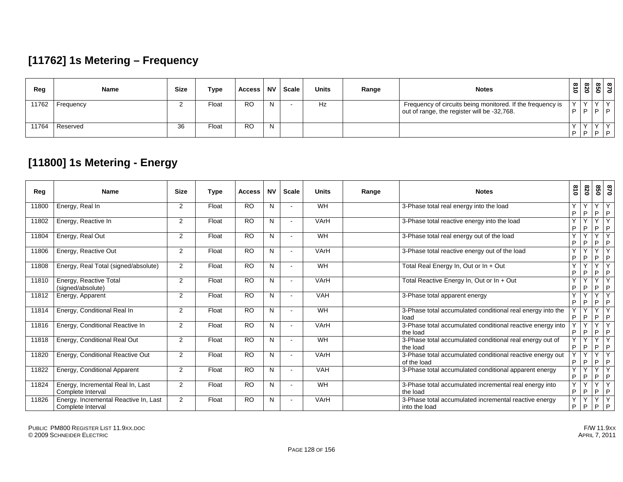### **[11762] 1s Metering – Frequency**

| Reg   | Name      | <b>Size</b> | Type  | Access    | <b>NV</b> | <b>Scale</b> l | <b>Units</b> | Range | <b>Notes</b>                                                                                              | $\frac{3}{2}$      | 078 |                  | $\infty$ $\infty$<br>813 |
|-------|-----------|-------------|-------|-----------|-----------|----------------|--------------|-------|-----------------------------------------------------------------------------------------------------------|--------------------|-----|------------------|--------------------------|
| 11762 | Frequency |             | Float | RO        | N.        |                | Hz           |       | Frequency of circuits being monitored. If the frequency is<br>out of range, the register will be -32,768. | $\mathcal{L}$<br>D | D   | $\sqrt{1}$<br> D |                          |
| 11764 | Reserved  | 36          | Float | <b>RO</b> | N.        |                |              |       |                                                                                                           | $\Box$             |     |                  | $P$ $P$ $P$              |

### **[11800] 1s Metering - Energy**

| Reg   | <b>Name</b>                                                | <b>Size</b>    | Type  | <b>Access</b>  | <b>NV</b> | <b>Scale</b> | <b>Units</b> | Range | <b>Notes</b>                                                             | 018     | 078               | 09                           | 028                                     |
|-------|------------------------------------------------------------|----------------|-------|----------------|-----------|--------------|--------------|-------|--------------------------------------------------------------------------|---------|-------------------|------------------------------|-----------------------------------------|
| 11800 | Energy, Real In                                            | 2              | Float | R <sub>O</sub> | N         |              | <b>WH</b>    |       | 3-Phase total real energy into the load                                  | Y<br>P  | v<br>P            | $\checkmark$<br>P            | $\mathsf{P}$                            |
| 11802 | Energy, Reactive In                                        | $\overline{2}$ | Float | <b>RO</b>      | N         |              | VArH         |       | 3-Phase total reactive energy into the load                              | Y<br>P  | P                 | $\checkmark$<br>P            | $\overline{\mathsf{v}}$<br>P            |
| 11804 | Energy, Real Out                                           | 2              | Float | <b>RO</b>      | N         |              | WH           |       | 3-Phase total real energy out of the load                                | Y<br>P  | P                 | $\checkmark$<br>P            | $\overline{\mathsf{v}}$<br>$\mathsf{P}$ |
| 11806 | Energy, Reactive Out                                       | 2              | Float | <b>RO</b>      | N         |              | VArH         |       | 3-Phase total reactive energy out of the load                            | Y<br>P  | $\checkmark$<br>P | $\checkmark$<br>P            | $\mathsf{v}$<br>P                       |
| 11808 | Energy, Real Total (signed/absolute)                       | 2              | Float | <b>RO</b>      | N         |              | <b>WH</b>    |       | Total Real Energy In, Out or In + Out                                    | Y<br>P  | $\checkmark$<br>P | $\vee$<br>P                  | $\overline{\mathsf{v}}$<br>P            |
| 11810 | Energy, Reactive Total<br>(signed/absolute)                | 2              | Float | <b>RO</b>      | N         |              | VArH         |       | Total Reactive Energy In, Out or In + Out                                | Y<br>P  | P                 | $\checkmark$<br>P            | P                                       |
| 11812 | Energy, Apparent                                           | 2              | Float | <b>RO</b>      | N         |              | <b>VAH</b>   |       | 3-Phase total apparent energy                                            | Y<br>P  | P                 | $\checkmark$<br>P            | $\checkmark$<br>$\mathsf{P}$            |
| 11814 | Energy, Conditional Real In                                | 2              | Float | <b>RO</b>      | N         |              | WH           |       | 3-Phase total accumulated conditional real energy into the<br>load       | v<br>P  | $\vee$<br>P       | $\overline{\mathsf{v}}$<br>P | $\overline{\mathsf{v}}$<br>P            |
| 11816 | Energy, Conditional Reactive In                            | $\overline{2}$ | Float | <b>RO</b>      | N         |              | VArH         |       | 3-Phase total accumulated conditional reactive energy into<br>the load   | P       | Y<br>P            | $\vee$<br>P                  | Y<br>P                                  |
| 11818 | Energy, Conditional Real Out                               | 2              | Float | <b>RO</b>      | N         |              | WH           |       | 3-Phase total accumulated conditional real energy out of<br>the load     | Y<br>P  | $\checkmark$<br>P | Y<br>P                       | $\overline{Y}$<br>P                     |
| 11820 | Energy, Conditional Reactive Out                           | 2              | Float | <b>RO</b>      | N         |              | VArH         |       | 3-Phase total accumulated conditional reactive energy out<br>of the load | Y.<br>P | Y<br>P            | Y<br>P.                      | Y<br>$\mathsf{P}$                       |
| 11822 | Energy, Conditional Apparent                               | 2              | Float | <b>RO</b>      | N         |              | VAH          |       | 3-Phase total accumulated conditional apparent energy                    | Y<br>P  | $\vee$<br>P       | Y<br>P                       | Y<br>P                                  |
| 11824 | Energy, Incremental Real In, Last<br>Complete Interval     | 2              | Float | <b>RO</b>      | N         |              | WH           |       | 3-Phase total accumulated incremental real energy into<br>the load       | Y<br>P  | P                 | $\checkmark$<br>P            | $\overline{\mathsf{v}}$<br>$\mathsf{P}$ |
| 11826 | Energy. Incremental Reactive In, Last<br>Complete Interval | 2              | Float | <b>RO</b>      | N         |              | VArH         |       | 3-Phase total accumulated incremental reactive energy<br>into the load   | Y.<br>P | Y<br>P            | Y<br>P                       | $\overline{Y}$<br>P                     |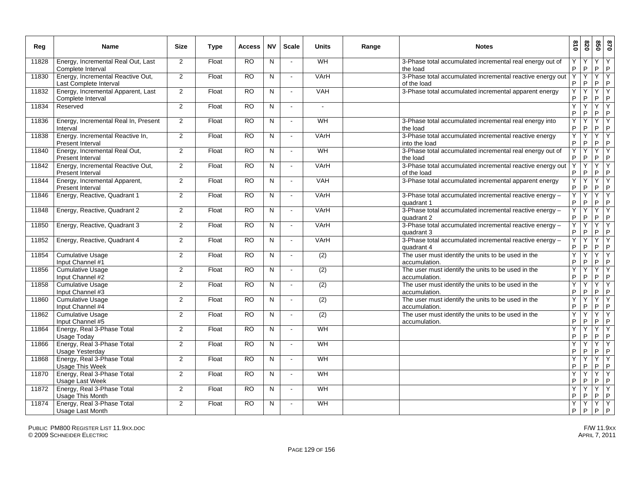| Reg   | Name                                                        | <b>Size</b>    | <b>Type</b> | <b>Access</b>   | <b>NV</b>      | <b>Scale</b>               | <b>Units</b>     | Range | <b>Notes</b>                                                             | 018               | 078     | 020                                            | 0/8              |
|-------|-------------------------------------------------------------|----------------|-------------|-----------------|----------------|----------------------------|------------------|-------|--------------------------------------------------------------------------|-------------------|---------|------------------------------------------------|------------------|
| 11828 | Energy, Incremental Real Out, Last<br>Complete Interval     | 2              | Float       | $\overline{RO}$ | N              | $\sim$                     | WH               |       | 3-Phase total accumulated incremental real energy out of<br>the load     | P                 | $\sf P$ | Y<br>$\sf P$                                   | Y<br>P           |
| 11830 | Energy, Incremental Reactive Out,<br>Last Complete Interval | 2              | Float       | <b>RO</b>       | N              | $\sim$                     | VArH             |       | 3-Phase total accumulated incremental reactive energy out<br>of the load | Y<br>P            | Y<br>P  | Ÿ<br>$\sf P$                                   | Y<br>P           |
| 11832 | Energy, Incremental Apparent, Last<br>Complete Interval     | 2              | Float       | RO              | N              | $\sim$                     | <b>VAH</b>       |       | 3-Phase total accumulated incremental apparent energy                    | Y<br>P            | Y<br>P  | $Y$ $Y$<br>P                                   | P                |
| 11834 | Reserved                                                    | 2              | Float       | <b>RO</b>       | N              | $\overline{a}$             | $\overline{a}$   |       |                                                                          | Y<br>$\mathsf{P}$ | Y<br>P  | Y<br>P                                         | Y<br> P          |
| 11836 | Energy, Incremental Real In, Present<br>Interval            | 2              | Float       | <b>RO</b>       | N              | $\blacksquare$             | WH               |       | 3-Phase total accumulated incremental real energy into<br>the load       | Y<br>$\mathsf P$  | Y<br>P  | Y<br>P                                         | Y<br>$\mathsf P$ |
| 11838 | Energy. Incremental Reactive In,<br>Present Interval        | $\overline{2}$ | Float       | <b>RO</b>       | $\overline{N}$ | $\sim$                     | VArH             |       | 3-Phase total accumulated incremental reactive energy<br>into the load   | Υ<br>P            | Ÿ<br>P  | Υ<br>P                                         | Y<br> P          |
| 11840 | Energy, Incremental Real Out,<br>Present Interval           | 2              | Float       | <b>RO</b>       | N              |                            | WH               |       | 3-Phase total accumulated incremental real energy out of<br>the load     | Y<br>P            | Y<br>P  | Y<br>P                                         | Y<br> P          |
| 11842 | Energy, Incremental Reactive Out,<br>Present Interval       | 2              | Float       | RO.             | N              | $\tilde{\phantom{a}}$      | VArH             |       | 3-Phase total accumulated incremental reactive energy out<br>of the load | Y<br>P            | Y<br>P  | Y<br>$\mathsf P$                               | Y<br> P          |
| 11844 | Energy, Incremental Apparent,<br>Present Interval           | 2              | Float       | <b>RO</b>       | N              | $\sim$                     | VAH              |       | 3-Phase total accumulated incremental apparent energy                    | Y<br>P            | Y<br>P. | $Y$ $Y$<br>$\mathsf{P}$                        | P                |
| 11846 | Energy, Reactive, Quadrant 1                                | 2              | Float       | <b>RO</b>       | N              | $\sim$                     | VArH             |       | 3-Phase total accumulated incremental reactive energy -<br>quadrant 1    | Y<br>P            | Y<br>P. | YY<br>P                                        | P                |
| 11848 | Energy, Reactive, Quadrant 2                                | 2              | Float       | <b>RO</b>       | $\overline{N}$ | $\blacksquare$             | VArH             |       | 3-Phase total accumulated incremental reactive energy -<br>quadrant 2    | Y<br>P            | Y<br>P  | $Y$ $Y$<br>$P$ $P$                             |                  |
| 11850 | Energy, Reactive, Quadrant 3                                | 2              | Float       | RO              | N              | $\sim$                     | VArH             |       | 3-Phase total accumulated incremental reactive energy -<br>quadrant 3    | Y<br>P            | Y<br>P  | $\begin{array}{c c}\nY \\ P \\ P\n\end{array}$ |                  |
| 11852 | Energy, Reactive, Quadrant 4                                | $\overline{2}$ | Float       | <b>RO</b>       | $\overline{N}$ | $\mathcal{L}_{\mathbf{r}}$ | VArH             |       | 3-Phase total accumulated incremental reactive energy -<br>quadrant 4    | Υ<br>P            | Ÿ<br>P  | $Y$ $Y$<br>$P$ $P$                             |                  |
| 11854 | <b>Cumulative Usage</b><br>Input Channel #1                 | 2              | Float       | $\overline{RO}$ | N              | $\overline{a}$             | (2)              |       | The user must identify the units to be used in the<br>accumulation.      | Y<br>P            | Y<br>P  | YY<br>P                                        | P                |
| 11856 | <b>Cumulative Usage</b><br>Input Channel #2                 | 2              | Float       | <b>RO</b>       | N              | $\tilde{\phantom{a}}$      | (2)              |       | The user must identify the units to be used in the<br>accumulation.      | Y<br>P            | Y<br>P  | $Y$ $Y$<br>$\mathsf P$                         | P                |
| 11858 | Cumulative Usage<br>Input Channel #3                        | 2              | Float       | <b>RO</b>       | N              | $\sim$                     | (2)              |       | The user must identify the units to be used in the<br>accumulation.      | Y<br>P            | Y<br>P  | $Y$ $Y$<br>P                                   | P                |
| 11860 | <b>Cumulative Usage</b><br>Input Channel #4                 | 2              | Float       | <b>RO</b>       | N              | $\overline{\phantom{a}}$   | $\overline{(2)}$ |       | The user must identify the units to be used in the<br>accumulation.      | Y<br>P            | Υ<br>P  | Y<br>P                                         | Υ<br> P          |
| 11862 | Cumulative Usage<br>Input Channel #5                        | 2              | Float       | $\overline{RO}$ | N              | $\blacksquare$             | (2)              |       | The user must identify the units to be used in the<br>accumulation.      | Y<br>P            | Υ<br>P  | Y<br>$\mathsf P$                               | Y<br>$\sf P$     |
| 11864 | Energy, Real 3-Phase Total<br>Usage Today                   | 2              | Float       | $\overline{RO}$ | $\mathsf{N}$   | $\overline{a}$             | WH               |       |                                                                          | Y<br>$\sf P$      | Y<br>P  | Y<br>P                                         | Y<br>P           |
| 11866 | Energy, Real 3-Phase Total<br>Usage Yesterday               | 2              | Float       | <b>RO</b>       | N              | $\sim$                     | WH               |       |                                                                          | Υ<br>$\mathsf P$  | Υ<br>P  | Y<br>$\mathsf{P}$                              | Y<br> P          |
| 11868 | Energy, Real 3-Phase Total<br>Usage This Week               | 2              | Float       | <b>RO</b>       | $\mathsf{N}$   | $\sim$                     | WH               |       |                                                                          | Y<br>P            | Y<br>P  | Y<br>P                                         | Y<br> P          |
| 11870 | Energy, Real 3-Phase Total<br>Usage Last Week               | 2              | Float       | <b>RO</b>       | N              | $\sim$                     | WH               |       |                                                                          | Y<br>$\mathsf P$  | Υ<br>P  | Υ<br>$\mathsf P$                               | Y<br> P          |
| 11872 | Energy, Real 3-Phase Total<br>Usage This Month              | 2              | Float       | <b>RO</b>       | N              | $\overline{a}$             | WH               |       |                                                                          | Y<br>$\sf P$      | Y<br>P. | Y<br>$P$ $P$                                   | Y                |
| 11874 | Energy, Real 3-Phase Total<br>Usage Last Month              | 2              | Float       | $\overline{RO}$ | N              |                            | WH               |       |                                                                          | Y<br>P            | Y<br>P  | YY<br>P                                        | P                |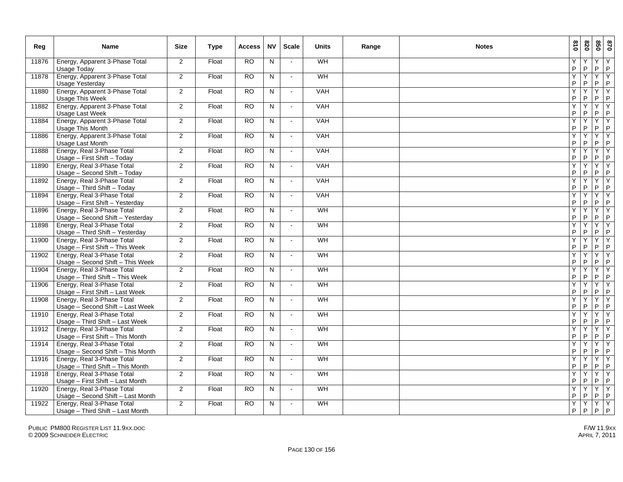| Reg   | <b>Name</b>                                                     | <b>Size</b>    | <b>Type</b> | <b>Access</b> | <b>NV</b>    | <b>Scale</b>               | <b>Units</b> | Range | <b>Notes</b> | 018    | 078     |                   | 870                  |
|-------|-----------------------------------------------------------------|----------------|-------------|---------------|--------------|----------------------------|--------------|-------|--------------|--------|---------|-------------------|----------------------|
| 11876 | Energy, Apparent 3-Phase Total<br>Usage Today                   | 2              | Float       | <b>RO</b>     | N            |                            | WH           |       |              | Y<br>P | P       | Y<br>P            | Y<br>$\mathsf P$     |
| 11878 | Energy, Apparent 3-Phase Total<br>Usage Yesterday               | $\overline{2}$ | Float       | <b>RO</b>     | N            | $\sim$                     | <b>WH</b>    |       |              | Y<br>P | Y<br>P  | Y<br>$\mathsf{P}$ | Υ<br>P               |
| 11880 | Energy, Apparent 3-Phase Total<br>Usage This Week               | 2              | Float       | <b>RO</b>     | $\mathsf{N}$ | $\sim$                     | <b>VAH</b>   |       |              | Y<br>P | Y<br>P  | Y<br>P            | Y<br> P              |
| 11882 | Energy, Apparent 3-Phase Total<br>Usage Last Week               | 2              | Float       | <b>RO</b>     | N.           | $\sim$                     | <b>VAH</b>   |       |              | Y<br>P | Y<br>P  | Y<br>$\mathsf{P}$ | Y<br> P              |
| 11884 | Energy, Apparent 3-Phase Total<br><b>Usage This Month</b>       | 2              | Float       | <b>RO</b>     | N            | $\sim$                     | VAH          |       |              | Υ<br>P | Υ<br>P  | Υ<br>P            | Y<br>IP.             |
| 11886 | Energy, Apparent 3-Phase Total<br>Usage Last Month              | 2              | Float       | <b>RO</b>     | N            | $\mathcal{L}_{\mathbf{r}}$ | <b>VAH</b>   |       |              | Υ<br>P | Υ<br>P  | Y<br>$\mathsf{P}$ | Y<br> P              |
| 11888 | Energy, Real 3-Phase Total<br>Usage - First Shift - Today       | 2              | Float       | <b>RO</b>     | N            | $\sim$                     | <b>VAH</b>   |       |              | Y<br>P | Y<br>P  | Υ<br>$\mathsf{P}$ | Y<br> P              |
| 11890 | Energy, Real 3-Phase Total<br>Usage - Second Shift - Today      | 2              | Float       | <b>RO</b>     | N            | $\mathcal{L}_{\mathbf{r}}$ | <b>VAH</b>   |       |              | Y<br>P | Y<br>P  | Y<br>P            | Y<br>$\mathsf P$     |
| 11892 | Energy, Real 3-Phase Total<br>Usage - Third Shift - Today       | 2              | Float       | <b>RO</b>     | N            | $\sim$                     | VAH          |       |              | Υ<br>P | Y<br>P  | Y<br>$\mathsf{P}$ | Y<br> P              |
| 11894 | Energy, Real 3-Phase Total<br>Usage - First Shift - Yesterday   | 2              | Float       | <b>RO</b>     | N            | $\sim$                     | VAH          |       |              | Y<br>P | Y<br>P  | Y<br>P            | Y<br> P              |
| 11896 | Energy, Real 3-Phase Total<br>Usage - Second Shift - Yesterday  | 2              | Float       | <b>RO</b>     | N            | $\blacksquare$             | WH           |       |              | Y<br>P | Y<br>P  | Υ<br>P            | TY.<br> P            |
| 11898 | Energy, Real 3-Phase Total<br>Usage - Third Shift - Yesterday   | 2              | Float       | <b>RO</b>     | N            | $\mathbf{u}$               | WH           |       |              | Υ<br>P | Y<br>P  | YY<br>P           | P                    |
| 11900 | Energy, Real 3-Phase Total<br>Usage - First Shift - This Week   | $\overline{2}$ | Float       | <b>RO</b>     | N            | $\sim$                     | WH           |       |              | Y<br>P | Ÿ<br>P  | YY<br>$P$ $P$     |                      |
| 11902 | Energy, Real 3-Phase Total<br>Usage - Second Shift - This Week  | 2              | Float       | <b>RO</b>     | $\mathsf{N}$ | $\overline{\phantom{a}}$   | <b>WH</b>    |       |              | Y<br>P | Y<br>P  | $Y$ $Y$<br>P      | P                    |
| 11904 | Energy, Real 3-Phase Total<br>Usage - Third Shift - This Week   | 2              | Float       | <b>RO</b>     | N            | $\sim$                     | WH           |       |              | Y<br>P | Ÿ<br>P  | Y<br>P            | Y<br>P               |
| 11906 | Energy, Real 3-Phase Total<br>Usage - First Shift - Last Week   | 2              | Float       | <b>RO</b>     | N            | $\overline{\phantom{a}}$   | <b>WH</b>    |       |              | Y<br>P | Υ<br>P  | Y<br>P            | Υ<br> P              |
| 11908 | Energy, Real 3-Phase Total<br>Usage - Second Shift - Last Week  | 2              | Float       | <b>RO</b>     | N            | $\sim$                     | WH           |       |              | Y<br>P | Y<br>P  | Y<br>P            | Y<br> P              |
| 11910 | Energy, Real 3-Phase Total<br>Usage - Third Shift - Last Week   | 2              | Float       | <b>RO</b>     | N            | $\sim$                     | WH           |       |              | Y<br>P | Y<br>P  | Y<br>P            | Y<br>$\sf P$         |
| 11912 | Energy, Real 3-Phase Total<br>Usage - First Shift - This Month  | 2              | Float       | <b>RO</b>     | N            | $\sim$                     | WH           |       |              | Υ<br>P | Υ<br>P  | Υ<br>P            | Y<br> P              |
| 11914 | Energy, Real 3-Phase Total<br>Usage - Second Shift - This Month | 2              | Float       | <b>RO</b>     | $\mathsf{N}$ | $\sim$                     | WH           |       |              | Y<br>P | Υ<br>P  | Y<br>P            | Y<br> P              |
| 11916 | Energy, Real 3-Phase Total<br>Usage - Third Shift - This Month  | 2              | Float       | <b>RO</b>     | N            | $\mathcal{L}_{\mathbf{r}}$ | WH           |       |              | Y<br>P | Y<br>P  | Y<br>P            | $\overline{Y}$<br> P |
| 11918 | Energy, Real 3-Phase Total<br>Usage - First Shift - Last Month  | $\overline{2}$ | Float       | <b>RO</b>     | N            | $\mathcal{L}_{\mathbf{r}}$ | WH           |       |              | Y<br>P | Y<br>P  | Y<br>$\mathsf{P}$ | ĪΥ.<br> P            |
| 11920 | Energy, Real 3-Phase Total<br>Usage - Second Shift - Last Month | $\overline{2}$ | Float       | <b>RO</b>     | N            | $\sim$                     | WH           |       |              | Υ<br>P | Y<br>P. | Y<br>$P$ $P$      | TY.                  |
| 11922 | Energy, Real 3-Phase Total<br>Usage - Third Shift - Last Month  | $\overline{2}$ | Float       | <b>RO</b>     | N.           | $\sim$                     | WH           |       |              | Y<br>P | Y<br>P  | $Y$ $Y$<br>P      | $\overline{P}$       |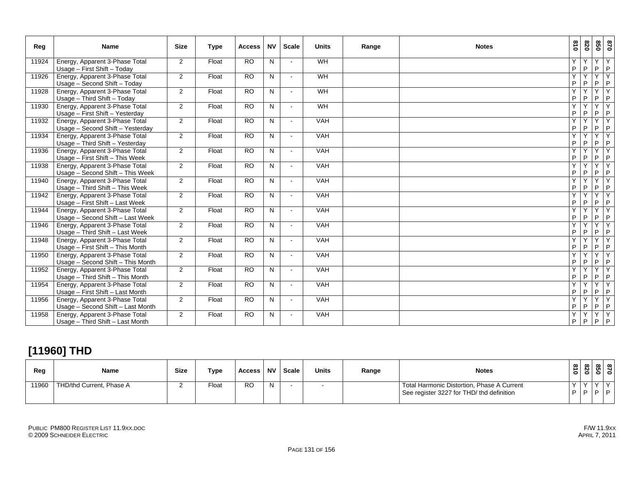| Reg   | <b>Name</b>                                                         | <b>Size</b>    | <b>Type</b> | <b>Access</b>   | <b>NV</b> | <b>Scale</b>   | <b>Units</b> | Range | <b>Notes</b> | 018    | 078               | 870                 |                      |
|-------|---------------------------------------------------------------------|----------------|-------------|-----------------|-----------|----------------|--------------|-------|--------------|--------|-------------------|---------------------|----------------------|
| 11924 | Energy, Apparent 3-Phase Total<br>Usage - First Shift - Today       | $\overline{2}$ | Float       | $\overline{RO}$ | N         |                | WH           |       |              | Υ<br>P | Υ<br>P            | Y<br>P              | Y<br> P              |
| 11926 | Energy, Apparent 3-Phase Total<br>Usage - Second Shift - Today      | 2              | Float       | $\overline{RO}$ | N         | $\sim$         | WH           |       |              | Ϋ<br>P | $\checkmark$<br>P | Y<br>P              | Y<br>$\vert P$       |
| 11928 | Energy, Apparent 3-Phase Total<br>Usage - Third Shift - Today       | $\overline{2}$ | Float       | <b>RO</b>       | N         | $\sim$         | WH           |       |              | Y<br>P | $\checkmark$<br>P | Y<br>P              | Ÿ<br>P               |
| 11930 | Energy, Apparent 3-Phase Total<br>Usage - First Shift - Yesterday   | 2              | Float       | <b>RO</b>       | N         | $\blacksquare$ | WH           |       |              | Y<br>P | P                 | Y<br>P              | Y<br> P              |
| 11932 | Energy, Apparent 3-Phase Total<br>Usage - Second Shift - Yesterday  | 2              | Float       | <b>RO</b>       | N         | $\sim$         | <b>VAH</b>   |       |              | Y<br>P | v<br>P            | Y<br>P              | TY.<br> P            |
| 11934 | Energy, Apparent 3-Phase Total<br>Usage - Third Shift - Yesterday   | $\overline{2}$ | Float       | <b>RO</b>       | N         |                | <b>VAH</b>   |       |              | Y<br>P | Y<br>P            | Y<br>$P$ $P$        | Y                    |
| 11936 | Energy, Apparent 3-Phase Total<br>Usage - First Shift - This Week   | $\overline{2}$ | Float       | <b>RO</b>       | N         | $\sim$         | <b>VAH</b>   |       |              | Y<br>P | $\checkmark$<br>P | Y<br>P              | $\overline{Y}$<br> P |
| 11938 | Energy, Apparent 3-Phase Total<br>Usage - Second Shift - This Week  | 2              | Float       | <b>RO</b>       | N         | $\blacksquare$ | <b>VAH</b>   |       |              | Y<br>P | Y<br>P            | Y<br>P              | Y<br> P              |
| 11940 | Energy, Apparent 3-Phase Total<br>Usage - Third Shift - This Week   | 2              | Float       | <b>RO</b>       | N         |                | <b>VAH</b>   |       |              | Y<br>P | Y<br>P            | YY<br>P             | P                    |
| 11942 | Energy, Apparent 3-Phase Total<br>Usage - First Shift - Last Week   | $\overline{2}$ | Float       | <b>RO</b>       | N         | $\blacksquare$ | <b>VAH</b>   |       |              | Y<br>P | Υ<br>P            | $\overline{Y}$<br>P | TY.<br> P            |
| 11944 | Energy, Apparent 3-Phase Total<br>Usage - Second Shift - Last Week  | 2              | Float       | RO              | N         |                | <b>VAH</b>   |       |              | Y<br>P | v<br>P            | Y<br>$P$ $P$        | Y                    |
| 11946 | Energy, Apparent 3-Phase Total<br>Usage - Third Shift - Last Week   | 2              | Float       | <b>RO</b>       | N         |                | <b>VAH</b>   |       |              | Y<br>P | P                 | $\overline{Y}$<br>P | Y<br> P              |
| 11948 | Energy, Apparent 3-Phase Total<br>Usage - First Shift - This Month  | 2              | Float       | <b>RO</b>       | N         | $\sim$         | <b>VAH</b>   |       |              | Y<br>P | Υ<br>P            | Y<br>P              | $\overline{Y}$<br> P |
| 11950 | Energy, Apparent 3-Phase Total<br>Usage - Second Shift - This Month | 2              | Float       | <b>RO</b>       | N         | $\blacksquare$ | <b>VAH</b>   |       |              | Y<br>P | $\checkmark$<br>P | Y<br>P              | Y<br>P               |
| 11952 | Energy, Apparent 3-Phase Total<br>Usage - Third Shift - This Month  | $\overline{2}$ | Float       | <b>RO</b>       | N         | $\blacksquare$ | <b>VAH</b>   |       |              | Y<br>P | P                 | Y<br>P              | Y<br> P              |
| 11954 | Energy, Apparent 3-Phase Total<br>Usage - First Shift - Last Month  | 2              | Float       | <b>RO</b>       | N         | $\blacksquare$ | <b>VAH</b>   |       |              | Y<br>P | P                 | Y<br>P              | Y<br> P              |
| 11956 | Energy, Apparent 3-Phase Total<br>Usage - Second Shift - Last Month | 2              | Float       | <b>RO</b>       | N         |                | <b>VAH</b>   |       |              | Y<br>P | $\checkmark$<br>P | Y<br>$P$ $P$        | Y                    |
| 11958 | Energy, Apparent 3-Phase Total<br>Usage - Third Shift - Last Month  | 2              | Float       | $\overline{RO}$ | N         |                | <b>VAH</b>   |       |              | Y<br>P | P                 | Y<br>$P$ $P$        | Y                    |

### **[11960] THD**

| Reg   | Name                     | <b>Size</b> | Type  | <b>Access</b> | . NV | Scale | Units | Range | <b>Notes</b>                                                                            | $\infty$<br>∸<br>0 | ൦<br>N.<br>$\bullet$ | ທ | $\infty$ $\infty$<br>--- |
|-------|--------------------------|-------------|-------|---------------|------|-------|-------|-------|-----------------------------------------------------------------------------------------|--------------------|----------------------|---|--------------------------|
| 11960 | THD/thd Current, Phase A |             | Float | <b>RO</b>     | N    |       |       |       | Total Harmonic Distortion, Phase A Current<br>See register 3227 for THD/ thd definition | P                  |                      |   | ח חו                     |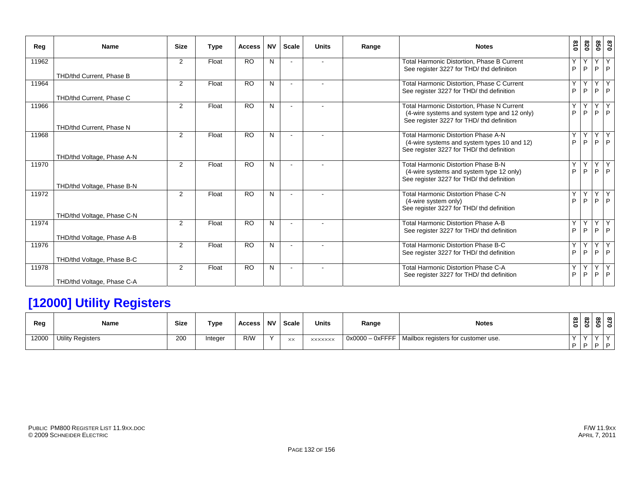| Reg   | <b>Name</b>                | <b>Size</b>    | <b>Type</b> | <b>Access</b>   | <b>NV</b> | <b>Scale</b> | <b>Units</b> | Range | <b>Notes</b>                                                                                                                            | 618    | 028     | 098    | 0/8                  |
|-------|----------------------------|----------------|-------------|-----------------|-----------|--------------|--------------|-------|-----------------------------------------------------------------------------------------------------------------------------------------|--------|---------|--------|----------------------|
| 11962 |                            | $\overline{2}$ | Float       | <b>RO</b>       | N         |              |              |       | <b>Total Harmonic Distortion, Phase B Current</b><br>See register 3227 for THD/ thd definition                                          | Y<br>P | Y<br>P  | Y      | Y<br>$P$ $P$         |
|       | THD/thd Current, Phase B   |                |             |                 |           |              |              |       |                                                                                                                                         |        |         |        |                      |
| 11964 |                            | 2              | Float       | <b>RO</b>       | N         |              |              |       | Total Harmonic Distortion, Phase C Current<br>See register 3227 for THD/ thd definition                                                 | Υ<br>P | Υ<br>P  | Y<br>P | Y<br> P              |
|       | THD/thd Current, Phase C   |                |             |                 |           |              |              |       |                                                                                                                                         |        |         |        |                      |
| 11966 | THD/thd Current, Phase N   | $\overline{2}$ | Float       | <b>RO</b>       | N         |              |              |       | Total Harmonic Distortion, Phase N Current<br>(4-wire systems and system type and 12 only)<br>See register 3227 for THD/ thd definition | Y<br>P | Y<br>P  | Y<br>P | Y<br> P              |
| 11968 | THD/thd Voltage, Phase A-N | $\overline{2}$ | Float       | <b>RO</b>       | N         |              |              |       | Total Harmonic Distortion Phase A-N<br>(4-wire systems and system types 10 and 12)<br>See register 3227 for THD/ thd definition         | Y<br>P | Y<br>P. | Y      | Y<br>$P$ $P$         |
| 11970 | THD/thd Voltage, Phase B-N | $\overline{2}$ | Float       | <b>RO</b>       | N         |              |              |       | Total Harmonic Distortion Phase B-N<br>(4-wire systems and system type 12 only)<br>See register 3227 for THD/ thd definition            | Υ<br>P | Y<br>P. | Y<br>P | Y<br>$\mathsf{P}$    |
| 11972 | THD/thd Voltage, Phase C-N | $\overline{2}$ | Float       | <b>RO</b>       | N         |              |              |       | Total Harmonic Distortion Phase C-N<br>(4-wire system only)<br>See register 3227 for THD/ thd definition                                | Y<br>P | Y<br>P  | Y<br>P | Y<br> P              |
| 11974 | THD/thd Voltage, Phase A-B | $\overline{2}$ | Float       | $\overline{RO}$ | N         |              |              |       | <b>Total Harmonic Distortion Phase A-B</b><br>See register 3227 for THD/ thd definition                                                 | Y<br>P | Y<br>P  |        | Y Y<br>$P$ $P$       |
| 11976 | THD/thd Voltage, Phase B-C | $\overline{2}$ | Float       | <b>RO</b>       | N         |              |              |       | Total Harmonic Distortion Phase B-C<br>See register 3227 for THD/ thd definition                                                        | Υ<br>P | Y<br>P  | Y<br>P | Y<br> P              |
| 11978 | THD/thd Voltage, Phase C-A | $\overline{2}$ | Float       | <b>RO</b>       | N         |              |              |       | <b>Total Harmonic Distortion Phase C-A</b><br>See register 3227 for THD/ thd definition                                                 | Y<br>P | Y<br>P  | Y<br>P | $\overline{Y}$<br> P |

# **[12000] Utility Registers**

| Reg   | Name                     | <b>Size</b> | Type    | Access | <b>NV</b> | <b>Scale</b>   | <b>Units</b>   | Range              | <b>Notes</b>                        | ∸<br>$\circ$ | $\infty$ $\infty$<br>N.<br>∣∘ | ທ່       | $\infty$ $\infty$<br>- - - |  |
|-------|--------------------------|-------------|---------|--------|-----------|----------------|----------------|--------------------|-------------------------------------|--------------|-------------------------------|----------|----------------------------|--|
| 12000 | <b>Utility Registers</b> | 200         | Integer | R/W    | $\sqrt{}$ | $\times\times$ | <b>XXXXXXX</b> | $0x0000 - 0x$ FFFF | Mailbox registers for customer use. |              |                               |          |                            |  |
|       |                          |             |         |        |           |                |                |                    |                                     | D I D        |                               | <b>D</b> | <u> Lo</u>                 |  |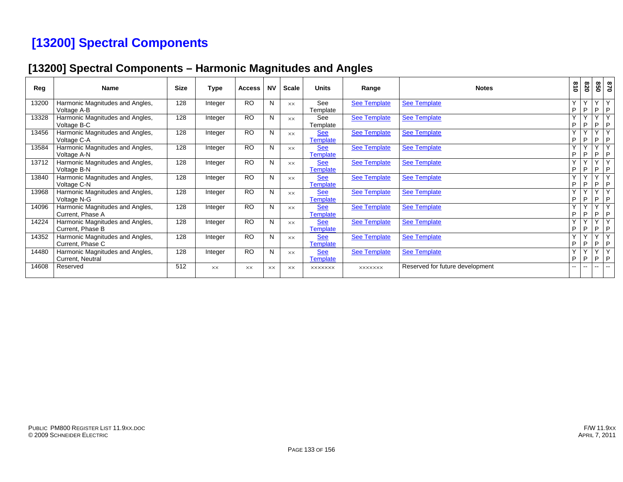# **[13200] Spectral Components**

### **[13200] Spectral Components – Harmonic Magnitudes and Angles**

| Reg   | <b>Name</b>                                         | <b>Size</b> | Type      | <b>Access</b> | <b>NV</b> | Scale          | <b>Units</b>                  | Range               | <b>Notes</b>                    | 018               | 028                      | 850                           | 028                          |
|-------|-----------------------------------------------------|-------------|-----------|---------------|-----------|----------------|-------------------------------|---------------------|---------------------------------|-------------------|--------------------------|-------------------------------|------------------------------|
| 13200 | Harmonic Magnitudes and Angles,<br>Voltage A-B      | 128         | Integer   | <b>RO</b>     | N         | <b>XX</b>      | See<br>Template               | <b>See Template</b> | <b>See Template</b>             | $\checkmark$<br>P | P                        | $\checkmark$<br>P             | $\checkmark$<br>P            |
| 13328 | Harmonic Magnitudes and Angles,<br>Voltage B-C      | 128         | Integer   | <b>RO</b>     | N         | <b>XX</b>      | See<br>Template               | <b>See Template</b> | <b>See Template</b>             | $\sqrt{ }$<br>P   | P                        | $\overline{\mathbf{v}}$<br>P  | $\overline{\mathbf{v}}$<br>P |
| 13456 | Harmonic Magnitudes and Angles,<br>Voltage C-A      | 128         | Integer   | <b>RO</b>     | N         | $\times\times$ | <b>See</b><br>Template        | <b>See Template</b> | <b>See Template</b>             | $\checkmark$<br>P | P                        | $\overline{\phantom{a}}$<br>P | $\sqrt{}$<br>P               |
| 13584 | Harmonic Magnitudes and Angles,<br>Voltage A-N      | 128         | Integer   | <b>RO</b>     | N         | <b>XX</b>      | <b>See</b><br>Template        | <b>See Template</b> | <b>See Template</b>             | $\sqrt{ }$<br>P   | P                        | $\checkmark$<br>P             | $\overline{\mathbf{v}}$<br>P |
| 13712 | Harmonic Magnitudes and Angles,<br>Voltage B-N      | 128         | Integer   | <b>RO</b>     | N         | <b>XX</b>      | <b>See</b><br><b>Template</b> | <b>See Template</b> | <b>See Template</b>             | $\checkmark$<br>P | $\sqrt{ }$<br>P          | $\checkmark$<br>P             | $\overline{\mathsf{v}}$<br>P |
| 13840 | Harmonic Magnitudes and Angles,<br>Voltage C-N      | 128         | Integer   | <b>RO</b>     | N         | <b>XX</b>      | <b>See</b><br>Template        | <b>See Template</b> | <b>See Template</b>             | $\sqrt{}$<br>P    | P                        | $\overline{\mathbf{v}}$<br>P  | $\overline{V}$<br>P          |
| 13968 | Harmonic Magnitudes and Angles,<br>Voltage N-G      | 128         | Integer   | <b>RO</b>     | N         | <b>XX</b>      | <b>See</b><br><b>Template</b> | <b>See Template</b> | <b>See Template</b>             | $\checkmark$<br>P | $\checkmark$<br>P        | $\checkmark$<br>P             | $\checkmark$<br>P            |
| 14096 | Harmonic Magnitudes and Angles,<br>Current, Phase A | 128         | Integer   | <b>RO</b>     | N         | <b>XX</b>      | <b>See</b><br>Template        | See Template        | <b>See Template</b>             | $\checkmark$<br>P | $\sqrt{ }$<br>P          | $\sqrt{}$<br>P                | $\overline{\mathbf{v}}$<br>P |
| 14224 | Harmonic Magnitudes and Angles,<br>Current, Phase B | 128         | Integer   | <b>RO</b>     | N         | <b>XX</b>      | <b>See</b><br>Template        | <b>See Template</b> | <b>See Template</b>             | $\checkmark$<br>P | $\sqrt{ }$<br>P          | $\checkmark$<br>P             | $\vee$<br>P                  |
| 14352 | Harmonic Magnitudes and Angles,<br>Current, Phase C | 128         | Integer   | <b>RO</b>     | N         | <b>XX</b>      | <b>See</b><br><b>Template</b> | <b>See Template</b> | <b>See Template</b>             | $\checkmark$<br>P | P                        | $\sqrt{}$<br>P                | $\mathbf{v}$<br>P            |
| 14480 | Harmonic Magnitudes and Angles,<br>Current, Neutral | 128         | Integer   | <b>RO</b>     | N         | <b>XX</b>      | <b>See</b><br><b>Template</b> | <b>See Template</b> | See Template                    | $\checkmark$<br>P | P                        | $\checkmark$<br>P             | $\mathbf{v}$<br>P            |
| 14608 | Reserved                                            | 512         | <b>XX</b> | XX            | <b>XX</b> | <b>XX</b>      | <b>XXXXXXX</b>                | <b>XXXXXXX</b>      | Reserved for future development | $- -$             | $\overline{\phantom{a}}$ | --                            | $\mathbf{u}$                 |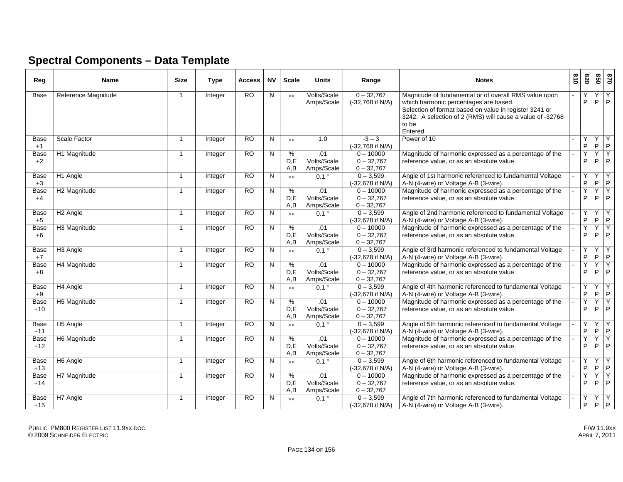### **Spectral Components – Data Template**

| Reg           | <b>Name</b>              | <b>Size</b>             | <b>Type</b>    | Access          | <b>NV</b>    | <b>Scale</b>    | <b>Units</b>                     | Range                                       | <b>Notes</b>                                                                                                                                                                                                                               | 610 | 078               | 020    | 0 <sub>28</sub>   |
|---------------|--------------------------|-------------------------|----------------|-----------------|--------------|-----------------|----------------------------------|---------------------------------------------|--------------------------------------------------------------------------------------------------------------------------------------------------------------------------------------------------------------------------------------------|-----|-------------------|--------|-------------------|
| Base          | Reference Magnitude      | $\overline{\mathbf{1}}$ | Integer        | <b>RO</b>       | N            | <b>XX</b>       | Volts/Scale<br>Amps/Scale        | $0 - 32,767$<br>(-32,768 if N/A)            | Magnitude of fundamental or of overall RMS value upon<br>which harmonic percentages are based.<br>Selection of format based on value in register 3241 or<br>3242. A selection of 2 (RMS) will cause a value of -32768<br>to be<br>Entered. |     | Υ<br>P            | Υ<br>P | Y<br>$\mathsf{P}$ |
| Base<br>$+1$  | Scale Factor             | $\overline{1}$          | Integer        | <b>RO</b>       | N            | XX              | 1.0                              | $-3 - 3$<br>(-32,768 if N/A)                | Power of 10                                                                                                                                                                                                                                |     | Y<br>$\sf P$      | Y<br>P | Y<br>$\sf P$      |
| Base<br>$+2$  | H1 Magnitude             | $\overline{1}$          | Integer        | RO              | N            | %<br>D,E<br>A,B | .01<br>Volts/Scale<br>Amps/Scale | $0 - 10000$<br>$0 - 32,767$<br>$0 - 32,767$ | Magnitude of harmonic expressed as a percentage of the<br>reference value, or as an absolute value.                                                                                                                                        |     | Y<br>P            | Y<br>P | Y<br>P            |
| Base<br>$+3$  | H1 Angle                 | $\overline{1}$          | Integer        | $\overline{RO}$ | N            | <b>XX</b>       | $0.1^{\circ}$                    | $0 - 3,599$<br>(-32.678 if N/A)             | Angle of 1st harmonic referenced to fundamental Voltage<br>A-N (4-wire) or Voltage A-B (3-wire).                                                                                                                                           |     | Y<br>P            | Y<br>P | Y<br>$\mathsf P$  |
| Base<br>$+4$  | H <sub>2</sub> Magnitude | -1                      | Integer        | $\overline{RO}$ | N            | %<br>D.E<br>A,B | .01<br>Volts/Scale<br>Amps/Scale | $0 - 10000$<br>$0 - 32,767$<br>$0 - 32,767$ | Magnitude of harmonic expressed as a percentage of the<br>reference value, or as an absolute value.                                                                                                                                        |     | Ÿ<br>P            | Y<br>P | Y<br>$\mathsf P$  |
| Base<br>$+5$  | H <sub>2</sub> Angle     | $\overline{1}$          | Integer        | $\overline{RO}$ | N            | XX              | $0.1^{\circ}$                    | $0 - 3,599$<br>(-32,678 if N/A)             | Angle of 2nd harmonic referenced to fundamental Voltage<br>A-N (4-wire) or Voltage A-B (3-wire).                                                                                                                                           |     | Y<br>P            | Υ<br>P | Y<br>$\mathsf{P}$ |
| Base<br>$+6$  | H3 Magnitude             | -1                      | Integer        | <b>RO</b>       | N            | %<br>D.E<br>A.B | .01<br>Volts/Scale<br>Amps/Scale | $0 - 10000$<br>$0 - 32,767$<br>$0 - 32,767$ | Magnitude of harmonic expressed as a percentage of the<br>reference value, or as an absolute value.                                                                                                                                        |     | Y<br>P            | Y<br>P | Y<br>P            |
| Base<br>$+7$  | H <sub>3</sub> Angle     | $\overline{\mathbf{1}}$ | Integer        | <b>RO</b>       | N            | <b>XX</b>       | $0.1^{\circ}$                    | $0 - 3.599$<br>(-32.678 if N/A)             | Angle of 3rd harmonic referenced to fundamental Voltage<br>A-N (4-wire) or Voltage A-B (3-wire).                                                                                                                                           |     | Y<br>$\mathsf{P}$ | Y<br>P | Y<br>$\mathsf P$  |
| Base<br>$+8$  | H4 Magnitude             | -1                      | Integer        | RO              | N            | %<br>D.E<br>A,B | .01<br>Volts/Scale<br>Amps/Scale | $0 - 10000$<br>$0 - 32,767$<br>$0 - 32,767$ | Magnitude of harmonic expressed as a percentage of the<br>reference value, or as an absolute value.                                                                                                                                        |     | Υ<br>P            | Y<br>P | Υ<br>$\mathsf P$  |
| Base<br>$+9$  | H4 Angle                 | $\overline{\mathbf{1}}$ | Integer        | RO              | N            | <b>XX</b>       | $0.1^{\circ}$                    | $0 - 3,599$<br>(-32,678 if N/A)             | Angle of 4th harmonic referenced to fundamental Voltage<br>A-N (4-wire) or Voltage A-B (3-wire).                                                                                                                                           |     | Y<br>$\mathsf{P}$ | Y<br>P | Y<br>$\sf P$      |
| Base<br>$+10$ | H5 Magnitude             | $\overline{1}$          | <b>Integer</b> | $\overline{RO}$ | N            | %<br>D.E<br>A.B | .01<br>Volts/Scale<br>Amps/Scale | $0 - 10000$<br>$0 - 32,767$<br>$0 - 32,767$ | Magnitude of harmonic expressed as a percentage of the<br>reference value, or as an absolute value.                                                                                                                                        |     | Y<br>P            | Y<br>P | Y<br>P            |
| Base<br>$+11$ | H5 Angle                 | $\overline{\mathbf{1}}$ | Integer        | $\overline{RO}$ | N            | <b>XX</b>       | $0.1^{\circ}$                    | $0 - 3,599$<br>(-32,678 if N/A)             | Angle of 5th harmonic referenced to fundamental Voltage<br>A-N (4-wire) or Voltage A-B (3-wire).                                                                                                                                           |     | Υ<br>$\sf P$      | Y<br>P | Y<br>$\sf P$      |
| Base<br>$+12$ | H6 Magnitude             | $\overline{\mathbf{1}}$ | Integer        | <b>RO</b>       | $\mathsf{N}$ | %<br>D.E<br>A,B | .01<br>Volts/Scale<br>Amps/Scale | $0 - 10000$<br>$0 - 32,767$<br>$0 - 32,767$ | Magnitude of harmonic expressed as a percentage of the<br>reference value, or as an absolute value.                                                                                                                                        |     | Y<br>P            | Y<br>P | Υ<br>P            |
| Base<br>$+13$ | H6 Angle                 | $\overline{1}$          | Integer        | <b>RO</b>       | N            | $\times\times$  | $0.1^{\circ}$                    | $0 - 3,599$<br>(-32,678 if N/A)             | Angle of 6th harmonic referenced to fundamental Voltage<br>A-N (4-wire) or Voltage A-B (3-wire).                                                                                                                                           |     | Y<br>P            | Y<br>P | Y<br>$\mathsf P$  |
| Base<br>$+14$ | H7 Magnitude             | -1                      | Integer        | <b>RO</b>       | N            | %<br>D.E<br>A,B | .01<br>Volts/Scale<br>Amps/Scale | $0 - 10000$<br>$0 - 32,767$<br>$0 - 32,767$ | Magnitude of harmonic expressed as a percentage of the<br>reference value, or as an absolute value.                                                                                                                                        |     | Y<br>P            | Y<br>P | Y<br>$\mathsf{P}$ |
| Base<br>$+15$ | H7 Angle                 | $\overline{\mathbf{1}}$ | Integer        | RO              | N            | XX              | $0.1^{\circ}$                    | $0 - 3,599$<br>(-32,678 if N/A)             | Angle of 7th harmonic referenced to fundamental Voltage<br>A-N (4-wire) or Voltage A-B (3-wire).                                                                                                                                           |     | P                 | Υ<br>P | Y<br>$\mathsf P$  |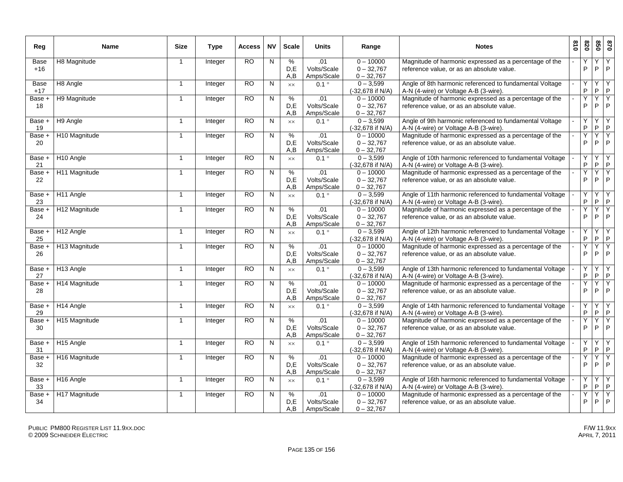| Reg           | <b>Name</b>           | <b>Size</b>    | Type           | Access          | <b>NV</b>    | <b>Scale</b>     | <b>Units</b>                     | Range                                       | <b>Notes</b>                                                                                        | 018 | 078               | 850     | 028                            |
|---------------|-----------------------|----------------|----------------|-----------------|--------------|------------------|----------------------------------|---------------------------------------------|-----------------------------------------------------------------------------------------------------|-----|-------------------|---------|--------------------------------|
| Base<br>$+16$ | H8 Magnitude          | $\mathbf{1}$   | Integer        | <b>RO</b>       | N            | %<br>D,E<br>A,B  | .01<br>Volts/Scale<br>Amps/Scale | $0 - 10000$<br>$0 - 32,767$<br>$0 - 32,767$ | Magnitude of harmonic expressed as a percentage of the<br>reference value, or as an absolute value. |     | Y<br>$\mathsf{P}$ | Y.<br>P | Y<br>$\mathsf{P}$              |
| Base<br>$+17$ | H8 Angle              | $\mathbf{1}$   | Integer        | RO              | N            | $\times\times$   | $0.1^{\circ}$                    | $0 - 3,599$<br>(-32,678 if N/A)             | Angle of 8th harmonic referenced to fundamental Voltage<br>A-N (4-wire) or Voltage A-B (3-wire).    |     | Y<br>P            | Y.<br>P | Y<br>$\mathsf{P}$              |
| Base +<br>18  | H9 Magnitude          | $\overline{1}$ | Integer        | <b>RO</b>       | ${\sf N}$    | %<br>D,E<br>A.B  | .01<br>Volts/Scale<br>Amps/Scale | $0 - 10000$<br>$0 - 32,767$<br>$0 - 32,767$ | Magnitude of harmonic expressed as a percentage of the<br>reference value, or as an absolute value. |     | Y<br>P            | Y.<br>P | Y.<br>$\mathsf{P}$             |
| Base +<br>19  | H9 Angle              | $\overline{1}$ | Integer        | <b>RO</b>       | N            | <b>XX</b>        | $0.1$ $^{\circ}$                 | $0 - 3,599$<br>(-32,678 if N/A)             | Angle of 9th harmonic referenced to fundamental Voltage<br>A-N (4-wire) or Voltage A-B (3-wire).    |     | Y<br>$\sf P$      | Y<br>P  | Y<br>$\mathsf{P}$              |
| Base +<br>20  | H10 Magnitude         | -1             | Integer        | $\overline{RO}$ | N            | %<br>D,E<br>A.B  | .01<br>Volts/Scale<br>Amps/Scale | $0 - 10000$<br>$0 - 32,767$<br>$0 - 32,767$ | Magnitude of harmonic expressed as a percentage of the<br>reference value, or as an absolute value. |     | Υ<br>P            | Y<br>P  | Y<br>P                         |
| Base +<br>21  | H <sub>10</sub> Angle | $\overline{1}$ | Integer        | <b>RO</b>       | N            | $\times\times$   | $0.1^{\circ}$                    | $0 - 3,599$<br>(-32,678 if N/A)             | Angle of 10th harmonic referenced to fundamental Voltage<br>A-N (4-wire) or Voltage A-B (3-wire).   |     | Y<br>$\mathsf{P}$ | Υ<br>P  | Y<br>$\mathsf{P}$              |
| Base +<br>22  | H11 Magnitude         | $\overline{1}$ | Integer        | <b>RO</b>       | N            | %<br>D,E<br>A, B | .01<br>Volts/Scale<br>Amps/Scale | $0 - 10000$<br>$0 - 32,767$<br>$0 - 32,767$ | Magnitude of harmonic expressed as a percentage of the<br>reference value, or as an absolute value. |     | Y<br>P            | Y<br>P  | Y<br>$\mathsf{P}$              |
| Base +<br>23  | H11 Angle             | $\mathbf{1}$   | Integer        | RO              | N            | $\times\times$   | $0.1^\circ$                      | $0 - 3,599$<br>(-32,678 if N/A)             | Angle of 11th harmonic referenced to fundamental Voltage<br>A-N (4-wire) or Voltage A-B (3-wire).   |     | Y<br>P            | Y.<br>P | Y<br>$\mathsf{P}$              |
| Base +<br>24  | H12 Magnitude         | $\overline{1}$ | Integer        | RO              | ${\sf N}$    | %<br>D,E<br>A, B | .01<br>Volts/Scale<br>Amps/Scale | $0 - 10000$<br>$0 - 32,767$<br>$0 - 32,767$ | Magnitude of harmonic expressed as a percentage of the<br>reference value, or as an absolute value. |     | Y<br>P            | Y<br>P  | $\overline{Y}$<br>$\mathsf{P}$ |
| Base +<br>25  | H12 Angle             | $\overline{1}$ | Integer        | <b>RO</b>       | N            | <b>XX</b>        | $0.1^{\circ}$                    | $0 - 3,599$<br>(-32,678 if N/A)             | Angle of 12th harmonic referenced to fundamental Voltage<br>A-N (4-wire) or Voltage A-B (3-wire).   |     | Y<br>P            | Y<br>P  | Y<br>$\mathsf{P}$              |
| Base +<br>26  | H13 Magnitude         | -1             | Integer        | <b>RO</b>       | $\mathsf{N}$ | %<br>D.E<br>A, B | .01<br>Volts/Scale<br>Amps/Scale | $0 - 10000$<br>$0 - 32,767$<br>$0 - 32,767$ | Magnitude of harmonic expressed as a percentage of the<br>reference value, or as an absolute value. |     | Y<br>P            | Υ<br>P  | Y<br>P                         |
| Base +<br>27  | H13 Angle             | $\overline{1}$ | Integer        | <b>RO</b>       | N            | $\times\times$   | $0.1^{\circ}$                    | $0 - 3,599$<br>(-32,678 if N/A)             | Angle of 13th harmonic referenced to fundamental Voltage<br>A-N (4-wire) or Voltage A-B (3-wire).   |     | Y<br>P            | Υ<br>P. | Y<br>$\mathsf{P}$              |
| Base +<br>28  | H14 Magnitude         | $\overline{1}$ | Integer        | <b>RO</b>       | N            | %<br>D.E<br>A, B | .01<br>Volts/Scale<br>Amps/Scale | $0 - 10000$<br>$0 - 32,767$<br>$0 - 32,767$ | Magnitude of harmonic expressed as a percentage of the<br>reference value, or as an absolute value. |     | Υ<br>P            | Y<br>P  | Y<br>$\mathsf{P}$              |
| Base +<br>29  | H14 Angle             | $\overline{1}$ | Integer        | <b>RO</b>       | $\mathsf{N}$ | $\times\times$   | $0.1^{\circ}$                    | $0 - 3,599$<br>(-32,678 if N/A)             | Angle of 14th harmonic referenced to fundamental Voltage<br>A-N (4-wire) or Voltage A-B (3-wire).   |     | Υ<br>P            | Y<br>P  | Y<br>$\mathsf{P}$              |
| Base +<br>30  | H15 Magnitude         | $\overline{1}$ | Integer        | <b>RO</b>       | $\mathsf{N}$ | %<br>D.E<br>A,B  | .01<br>Volts/Scale<br>Amps/Scale | $0 - 10000$<br>$0 - 32,767$<br>$0 - 32,767$ | Magnitude of harmonic expressed as a percentage of the<br>reference value, or as an absolute value. |     | Y<br>P            | Y<br>P  | Y<br>P                         |
| Base +<br>31  | H <sub>15</sub> Angle | $\overline{1}$ | Integer        | <b>RO</b>       | N            | $\times\times$   | $0.1^{\circ}$                    | $0 - 3,599$<br>(-32,678 if N/A)             | Angle of 15th harmonic referenced to fundamental Voltage<br>A-N (4-wire) or Voltage A-B (3-wire).   |     | Υ<br>P            | Υ<br>P  | Y<br>$\mathsf{P}$              |
| Base +<br>32  | H16 Magnitude         | -1             | Integer        | <b>RO</b>       | N            | %<br>D,E<br>A, B | .01<br>Volts/Scale<br>Amps/Scale | $0 - 10000$<br>$0 - 32,767$<br>$0 - 32,767$ | Magnitude of harmonic expressed as a percentage of the<br>reference value, or as an absolute value. |     | Y<br>P            | Y<br>P  | Υ<br>P                         |
| Base +<br>33  | H <sub>16</sub> Angle | $\overline{1}$ | <b>Integer</b> | <b>RO</b>       | N            | $\times\times$   | $0.1^{\circ}$                    | $0 - 3,599$<br>(-32.678 if N/A)             | Angle of 16th harmonic referenced to fundamental Voltage<br>A-N (4-wire) or Voltage A-B (3-wire).   |     | Y<br>P            | Y<br>P. | Y<br>P                         |
| Base +<br>34  | H17 Magnitude         | $\overline{1}$ | Integer        | RO              | N            | %<br>D,E<br>A,B  | .01<br>Volts/Scale<br>Amps/Scale | $0 - 10000$<br>$0 - 32,767$<br>$0 - 32,767$ | Magnitude of harmonic expressed as a percentage of the<br>reference value, or as an absolute value. |     | Υ<br>P            | Υ<br>P. | Y<br>$\mathsf{P}$              |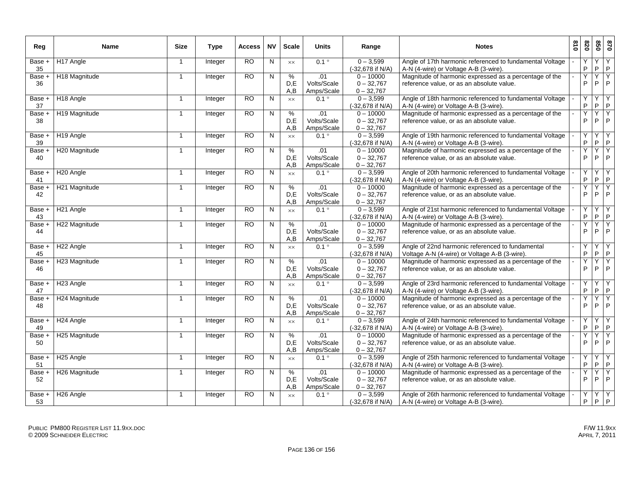| Reg            | Name                  | <b>Size</b>    | <b>Type</b>    | Access    | <b>NV</b>      | <b>Scale</b>                | Units                            | Range                                       | <b>Notes</b>                                                                                        | 018 | 078     | 099     | 028                           |
|----------------|-----------------------|----------------|----------------|-----------|----------------|-----------------------------|----------------------------------|---------------------------------------------|-----------------------------------------------------------------------------------------------------|-----|---------|---------|-------------------------------|
| Base +         | H17 Angle             | $\overline{1}$ | Integer        | RO        | N              | $\times\times$              | $0.1^{\circ}$                    | $0 - 3,599$                                 | Angle of 17th harmonic referenced to fundamental Voltage                                            |     | Y       | Y       | Y                             |
| 35             |                       |                |                |           |                |                             |                                  | (-32,678 if N/A)                            | A-N (4-wire) or Voltage A-B (3-wire).                                                               |     | P       | P       | $\mathsf P$                   |
| Base +<br>36   | H18 Magnitude         | $\overline{1}$ | Integer        | <b>RO</b> | ${\sf N}$      | %<br>D.E<br>A,B             | .01<br>Volts/Scale<br>Amps/Scale | $0 - 10000$<br>$0 - 32,767$<br>$0 - 32,767$ | Magnitude of harmonic expressed as a percentage of the<br>reference value, or as an absolute value. |     | Υ<br>P  | Υ<br>P  | Y<br>P                        |
| Base +<br>37   | H <sub>18</sub> Angle | $\overline{1}$ | Integer        | RO.       | N              | XX                          | $0.1^{\circ}$                    | $0 - 3,599$<br>(-32,678 if N/A)             | Angle of 18th harmonic referenced to fundamental Voltage<br>A-N (4-wire) or Voltage A-B (3-wire).   |     | Y<br>P  | Y<br>P  | Υ<br>$\mathsf P$              |
| Base +<br>38   | H19 Magnitude         | $\overline{1}$ | Integer        | RO.       | N              | $\frac{8}{6}$<br>D.E<br>A,B | .01<br>Volts/Scale<br>Amps/Scale | $0 - 10000$<br>$0 - 32,767$<br>$0 - 32,767$ | Magnitude of harmonic expressed as a percentage of the<br>reference value, or as an absolute value. |     | Ÿ<br>P  | Ÿ<br>P  | Y<br>P                        |
| Base +<br>39   | H <sub>19</sub> Angle | $\overline{1}$ | Integer        | RO        | N              | $\times\times$              | $0.1^{\circ}$                    | $0 - 3,599$<br>(-32,678 if N/A)             | Angle of 19th harmonic referenced to fundamental Voltage<br>A-N (4-wire) or Voltage A-B (3-wire).   |     | Y<br>P  | Y<br>P  | Y<br>P                        |
| Base +<br>40   | H20 Magnitude         | $\overline{1}$ | Integer        | RO.       | N              | %<br>D.E<br>A,B             | .01<br>Volts/Scale<br>Amps/Scale | $0 - 10000$<br>$0 - 32,767$<br>$0 - 32,767$ | Magnitude of harmonic expressed as a percentage of the<br>reference value, or as an absolute value. |     | Y<br>P  | Υ<br>P  | Y<br>P                        |
| Base +<br>41   | H <sub>20</sub> Angle | $\overline{1}$ | Integer        | RO.       | N              | $\times\times$              | $0.1^{\circ}$                    | $0 - 3,599$<br>(-32,678 if N/A)             | Angle of 20th harmonic referenced to fundamental Voltage<br>A-N (4-wire) or Voltage A-B (3-wire).   |     | Y<br>P. | Y<br>P  | Y<br>$\mathsf P$              |
| Base +<br>42   | H21 Magnitude         | $\overline{1}$ | Integer        | <b>RO</b> | N              | $\%$<br>D.E<br>A,B          | .01<br>Volts/Scale<br>Amps/Scale | $0 - 10000$<br>$0 - 32,767$<br>$0 - 32,767$ | Magnitude of harmonic expressed as a percentage of the<br>reference value, or as an absolute value. |     | Y<br>P  | Y<br>P  | Y<br>P                        |
| Base +<br>43   | H <sub>21</sub> Angle | $\overline{1}$ | Integer        | RO.       | N              | $\times\times$              | $0.1^{\circ}$                    | $0 - 3,599$<br>(-32,678 if N/A)             | Angle of 21st harmonic referenced to fundamental Voltage<br>A-N (4-wire) or Voltage A-B (3-wire).   |     | Y<br>P  | Y<br>P  | Υ<br>$\mathsf P$              |
| Base +<br>44   | H22 Magnitude         | $\overline{1}$ | <b>Integer</b> | RO.       | N              | %<br>D.E<br>A,B             | .01<br>Volts/Scale<br>Amps/Scale | $0 - 10000$<br>$0 - 32,767$<br>$0 - 32,767$ | Magnitude of harmonic expressed as a percentage of the<br>reference value, or as an absolute value. |     | Ÿ<br>P  | Y<br>P  | Y<br>$\mathsf P$              |
| Base +<br>45   | H <sub>22</sub> Angle | $\overline{1}$ | Integer        | <b>RO</b> | N              | $\times\times$              | $0.1^{\circ}$                    | $0 - 3,599$<br>(-32,678 if N/A)             | Angle of 22nd harmonic referenced to fundamental<br>Voltage A-N (4-wire) or Voltage A-B (3-wire).   |     | Y<br>P  | Y<br>P  | Y<br>P                        |
| Base +<br>46   | H23 Magnitude         | $\overline{1}$ | Integer        | <b>RO</b> | $\overline{N}$ | $\frac{9}{6}$<br>D,E<br>A,B | .01<br>Volts/Scale<br>Amps/Scale | $0 - 10000$<br>$0 - 32,767$<br>$0 - 32,767$ | Magnitude of harmonic expressed as a percentage of the<br>reference value, or as an absolute value. |     | Y<br>P  | Y<br>P  | Y<br>$\mathsf P$              |
| Base +<br>47   | H <sub>23</sub> Angle | $\overline{1}$ | Integer        | RO        | N              | $\times\times$              | $0.1$ $\circ$                    | $0 - 3,599$<br>(-32,678 if N/A)             | Angle of 23rd harmonic referenced to fundamental Voltage<br>A-N (4-wire) or Voltage A-B (3-wire).   |     | Υ<br>P  | Υ<br>P  | Υ<br>$\mathsf P$              |
| Base +<br>48   | H24 Magnitude         | $\overline{1}$ | Integer        | RO.       | N              | %<br>D.E<br>A,B             | .01<br>Volts/Scale<br>Amps/Scale | $0 - 10000$<br>$0 - 32,767$<br>$0 - 32,767$ | Magnitude of harmonic expressed as a percentage of the<br>reference value, or as an absolute value. |     | Y<br>P  | Ϋ<br>P  | $\overline{Y}$<br>P           |
| Base +<br>49   | H <sub>24</sub> Angle | $\overline{1}$ | Integer        | <b>RO</b> | N              | $\times\times$              | $0.1^{\circ}$                    | $0 - 3,599$<br>(-32,678 if N/A)             | Angle of 24th harmonic referenced to fundamental Voltage<br>A-N (4-wire) or Voltage A-B (3-wire).   |     | Y<br>P  | Υ<br>P. | $\overline{Y}$<br>$\mathsf P$ |
| Base +<br>50   | H25 Magnitude         | $\overline{1}$ | Integer        | RO        | N              | $\%$<br>D,E<br>A,B          | .01<br>Volts/Scale<br>Amps/Scale | $0 - 10000$<br>$0 - 32,767$<br>$0 - 32,767$ | Magnitude of harmonic expressed as a percentage of the<br>reference value, or as an absolute value. |     | Y<br>P  | Y<br>P  | Y<br>P                        |
| $Base +$<br>51 | H <sub>25</sub> Angle | $\overline{1}$ | Integer        | RO.       | N              | <b>XX</b>                   | $0.1$ $\circ$                    | $0 - 3,599$<br>(-32,678 if N/A)             | Angle of 25th harmonic referenced to fundamental Voltage<br>A-N (4-wire) or Voltage A-B (3-wire).   |     | Y<br>P  | Y<br>P  | Y<br>$\mathsf P$              |
| Base +<br>52   | H26 Magnitude         | $\mathbf{1}$   | Integer        | RO.       | N              | %<br>D,E<br>A,B             | .01<br>Volts/Scale<br>Amps/Scale | $0 - 10000$<br>$0 - 32,767$<br>$0 - 32,767$ | Magnitude of harmonic expressed as a percentage of the<br>reference value, or as an absolute value. |     | Y<br>P  | Υ<br>P  | Y<br>$\mathsf P$              |
| Base +<br>53   | H <sub>26</sub> Angle | $\mathbf{1}$   | Integer        | RO.       | N              | XX                          | $0.1^{\circ}$                    | $0 - 3,599$<br>(-32,678 if N/A)             | Angle of 26th harmonic referenced to fundamental Voltage<br>A-N (4-wire) or Voltage A-B (3-wire).   |     | Y<br>P  | Υ<br>P  | Υ<br>P                        |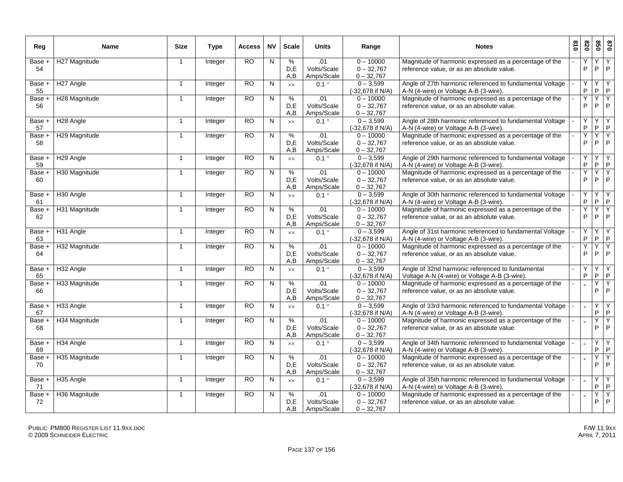| Reg            | <b>Name</b>           | <b>Size</b>    | <b>Type</b> | Access          | <b>NV</b>    | <b>Scale</b>       | <b>Units</b>                     | Range                                       | <b>Notes</b>                                                                                        | 018 | 078               | 850     | 028                            |
|----------------|-----------------------|----------------|-------------|-----------------|--------------|--------------------|----------------------------------|---------------------------------------------|-----------------------------------------------------------------------------------------------------|-----|-------------------|---------|--------------------------------|
| Base +<br>54   | H27 Magnitude         | $\overline{1}$ | Integer     | <b>RO</b>       | N            | %<br>D,E<br>A,B    | .01<br>Volts/Scale<br>Amps/Scale | $0 - 10000$<br>$0 - 32,767$<br>$0 - 32,767$ | Magnitude of harmonic expressed as a percentage of the<br>reference value, or as an absolute value. |     | Y<br>$\mathsf{P}$ | Y.<br>P | Y<br>$\mathsf{P}$              |
| Base +<br>55   | H <sub>27</sub> Angle | $\mathbf{1}$   | Integer     | $\overline{RO}$ | N            | $\times\times$     | $0.1^{\circ}$                    | $0 - 3,599$<br>(-32,678 if N/A)             | Angle of 27th harmonic referenced to fundamental Voltage<br>A-N (4-wire) or Voltage A-B (3-wire).   |     | Y<br>P            | Y.<br>P | Y<br>$\mathsf{P}$              |
| Base +<br>56   | H28 Magnitude         | $\mathbf{1}$   | Integer     | <b>RO</b>       | N            | $\%$<br>D.E<br>A.B | .01<br>Volts/Scale<br>Amps/Scale | $0 - 10000$<br>$0 - 32,767$<br>$0 - 32,767$ | Magnitude of harmonic expressed as a percentage of the<br>reference value, or as an absolute value. |     | Y<br>P            | Y.<br>P | Y.<br>$\mathsf{P}$             |
| Base +<br>57   | H <sub>28</sub> Angle | $\overline{1}$ | Integer     | <b>RO</b>       | N            | <b>XX</b>          | $0.1^{\circ}$                    | $0 - 3,599$<br>(-32,678 if N/A)             | Angle of 28th harmonic referenced to fundamental Voltage<br>A-N (4-wire) or Voltage A-B (3-wire).   |     | Y<br>$\mathsf P$  | Y<br>P  | Y<br>$\mathsf{P}$              |
| Base +<br>58   | H29 Magnitude         | $\overline{1}$ | Integer     | $\overline{RO}$ | N            | $\%$<br>D,E<br>A.B | .01<br>Volts/Scale<br>Amps/Scale | $0 - 10000$<br>$0 - 32,767$<br>$0 - 32,767$ | Magnitude of harmonic expressed as a percentage of the<br>reference value, or as an absolute value. |     | Υ<br>P            | Y<br>P  | Y<br>P                         |
| Base +<br>59   | H <sub>29</sub> Angle | $\mathbf{1}$   | Integer     | <b>RO</b>       | N            | $\times\times$     | $0.1^{\circ}$                    | $0 - 3,599$<br>(-32,678 if N/A)             | Angle of 29th harmonic referenced to fundamental Voltage<br>A-N (4-wire) or Voltage A-B (3-wire).   |     | Y<br>$\mathsf{P}$ | Υ<br>P. | Y<br>$\mathsf{P}$              |
| Base +<br>60   | H30 Magnitude         | $\overline{1}$ | Integer     | <b>RO</b>       | N            | %<br>D.E<br>A,B    | .01<br>Volts/Scale<br>Amps/Scale | $0 - 10000$<br>$0 - 32,767$<br>$0 - 32,767$ | Magnitude of harmonic expressed as a percentage of the<br>reference value, or as an absolute value. |     | Y<br>P            | Y<br>P  | Y<br>$\mathsf{P}$              |
| Base +<br>61   | H <sub>30</sub> Angle | $\overline{1}$ | Integer     | <b>RO</b>       | N            | <b>XX</b>          | $0.1^{\circ}$                    | $0 - 3,599$<br>(-32,678 if N/A)             | Angle of 30th harmonic referenced to fundamental Voltage<br>A-N (4-wire) or Voltage A-B (3-wire).   |     | Y<br>P            | Y.<br>P | Y<br>$\mathsf{P}$              |
| Base +<br>62   | H31 Magnitude         | $\overline{1}$ | Integer     | <b>RO</b>       | ${\sf N}$    | $\%$<br>D.E<br>A,B | .01<br>Volts/Scale<br>Amps/Scale | $0 - 10000$<br>$0 - 32,767$<br>$0 - 32,767$ | Magnitude of harmonic expressed as a percentage of the<br>reference value, or as an absolute value. |     | Y<br>P            | Y<br>P  | $\overline{Y}$<br>$\mathsf{P}$ |
| Base +<br>63   | H31 Angle             | $\overline{1}$ | Integer     | <b>RO</b>       | N            | <b>XX</b>          | $0.1^{\circ}$                    | $0 - 3,599$<br>(-32,678 if N/A)             | Angle of 31st harmonic referenced to fundamental Voltage<br>A-N (4-wire) or Voltage A-B (3-wire).   |     | Y<br>P            | Y<br>P  | Y<br>$\mathsf{P}$              |
| Base +<br>64   | H32 Magnitude         | -1             | Integer     | <b>RO</b>       | N            | %<br>D.E<br>A,B    | .01<br>Volts/Scale<br>Amps/Scale | $0 - 10000$<br>$0 - 32,767$<br>$0 - 32,767$ | Magnitude of harmonic expressed as a percentage of the<br>reference value, or as an absolute value. |     | Υ<br>P            | Υ<br>P  | Y<br>P                         |
| Base +<br>65   | H32 Angle             | $\overline{1}$ | Integer     | <b>RO</b>       | N            | $\times\times$     | $0.1^{\circ}$                    | $0 - 3,599$<br>(-32,678 if N/A)             | Angle of 32nd harmonic referenced to fundamental<br>Voltage A-N (4-wire) or Voltage A-B (3-wire).   |     | Y<br>P            | Y<br>P. | Y<br>$\mathsf{P}$              |
| Base +<br>66   | H33 Magnitude         | $\mathbf 1$    | Integer     | <b>RO</b>       | N            | %<br>D.E<br>A,B    | .01<br>Volts/Scale<br>Amps/Scale | $0 - 10000$<br>$0 - 32,767$<br>$0 - 32,767$ | Magnitude of harmonic expressed as a percentage of the<br>reference value, or as an absolute value. |     |                   | Ϋ<br>P  | Y<br>$\mathsf{P}$              |
| Base +<br>67   | H33 Angle             | $\mathbf{1}$   | Integer     | <b>RO</b>       | $\mathsf{N}$ | $\times\times$     | $0.1^\circ$                      | $0 - 3,599$<br>(-32,678 if N/A)             | Angle of 33rd harmonic referenced to fundamental Voltage<br>A-N (4-wire) or Voltage A-B (3-wire).   |     |                   | Y<br>P  | Υ<br>$\mathsf{P}$              |
| Base +<br>68   | H34 Magnitude         | $\mathbf{1}$   | Integer     | <b>RO</b>       | N            | %<br>D.E<br>A,B    | .01<br>Volts/Scale<br>Amps/Scale | $0 - 10000$<br>$0 - 32,767$<br>$0 - 32,767$ | Magnitude of harmonic expressed as a percentage of the<br>reference value, or as an absolute value. |     |                   | Y<br>P  | $\overline{Y}$<br>$\mathsf{P}$ |
| Base +<br>69   | H34 Angle             | $\overline{1}$ | Integer     | <b>RO</b>       | N            | $\times\times$     | $0.1^{\circ}$                    | $0 - 3,599$<br>(-32,678 if N/A)             | Angle of 34th harmonic referenced to fundamental Voltage<br>A-N (4-wire) or Voltage A-B (3-wire).   |     | $\overline{a}$    | Υ<br>P  | Y<br>$\mathsf{P}$              |
| $Base +$<br>70 | H35 Magnitude         | $\mathbf 1$    | Integer     | <b>RO</b>       | N            | %<br>D,E<br>A,B    | .01<br>Volts/Scale<br>Amps/Scale | $0 - 10000$<br>$0 - 32,767$<br>$0 - 32,767$ | Magnitude of harmonic expressed as a percentage of the<br>reference value, or as an absolute value. |     |                   | Υ<br>P  | Y<br>P                         |
| Base +<br>71   | H35 Angle             | $\overline{1}$ | Integer     | <b>RO</b>       | N            | $\times\times$     | $0.1^{\circ}$                    | $0 - 3,599$<br>(-32,678 if N/A)             | Angle of 35th harmonic referenced to fundamental Voltage<br>A-N (4-wire) or Voltage A-B (3-wire).   |     |                   | Υ<br>P  | Y<br>$\mathsf{P}$              |
| Base +<br>72   | H36 Magnitude         | -1             | Integer     | $\overline{RO}$ | N            | %<br>D,E<br>A,B    | .01<br>Volts/Scale<br>Amps/Scale | $0 - 10000$<br>$0 - 32,767$<br>$0 - 32,767$ | Magnitude of harmonic expressed as a percentage of the<br>reference value, or as an absolute value. |     |                   | Y<br>P  | Y<br>$\mathsf{P}$              |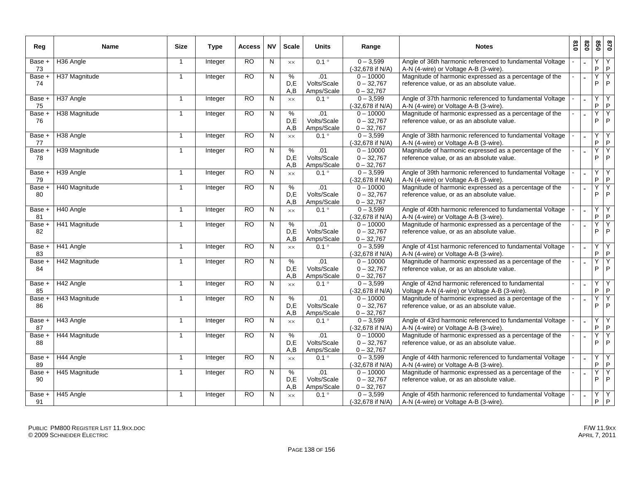| Reg          | Name          | <b>Size</b>    | <b>Type</b>    | <b>Access</b>   | <b>NV</b> | <b>Scale</b>   | <b>Units</b>                | Range                           | <b>Notes</b>                                                                                        | 018 | 078 | 099          | 028               |
|--------------|---------------|----------------|----------------|-----------------|-----------|----------------|-----------------------------|---------------------------------|-----------------------------------------------------------------------------------------------------|-----|-----|--------------|-------------------|
| Base +       | H36 Angle     | $\mathbf{1}$   | Integer        | <b>RO</b>       | N         | $\times\times$ | $0.1^{\circ}$               | $0 - 3,599$                     | Angle of 36th harmonic referenced to fundamental Voltage                                            |     |     | Y            | Y                 |
| 73           |               |                |                |                 |           |                |                             | (-32,678 if N/A)                | A-N (4-wire) or Voltage A-B (3-wire).                                                               |     |     | P            | $\mathsf P$       |
| Base +       | H37 Magnitude | $\mathbf{1}$   | Integer        | RO              | N         | %              | .01                         | $0 - 10000$                     | Magnitude of harmonic expressed as a percentage of the                                              |     |     | Υ            | Y                 |
| 74           |               |                |                |                 |           | D,E            | Volts/Scale                 | $0 - 32,767$                    | reference value, or as an absolute value.                                                           |     |     | P            | $\mathsf P$       |
|              |               |                |                |                 |           | A,B            | Amps/Scale                  | $0 - 32,767$                    |                                                                                                     |     |     |              |                   |
| Base +<br>75 | H37 Angle     | $\mathbf{1}$   | Integer        | <b>RO</b>       | N         | $\times\times$ | $0.1^{\circ}$               | $0 - 3,599$<br>(-32,678 if N/A) | Angle of 37th harmonic referenced to fundamental Voltage<br>A-N (4-wire) or Voltage A-B (3-wire).   |     |     | Υ<br>P       | Υ<br>$\mathsf P$  |
| Base +       | H38 Magnitude | $\mathbf{1}$   | Integer        | RO.             | N         | %              | .01                         | $0 - 10000$                     | Magnitude of harmonic expressed as a percentage of the                                              |     |     | Y            | Y                 |
| 76           |               |                |                |                 |           | D,E            | Volts/Scale                 | $0 - 32,767$                    | reference value, or as an absolute value.                                                           |     |     | P            | $\mathsf P$       |
|              |               |                |                |                 |           | A, B           | Amps/Scale                  | $0 - 32,767$                    |                                                                                                     |     |     |              |                   |
| Base +       | H38 Angle     | $\mathbf{1}$   | Integer        | RO              | N         | $\times\times$ | $0.1^{\circ}$               | $0 - 3,599$                     | Angle of 38th harmonic referenced to fundamental Voltage                                            |     |     | Υ            | Υ                 |
| 77           |               |                |                |                 |           |                |                             | (-32,678 if N/A)                | A-N (4-wire) or Voltage A-B (3-wire).                                                               |     |     | P.           | P                 |
| Base +       | H39 Magnitude | $\mathbf{1}$   | <b>Integer</b> | <b>RO</b>       | N         | %              | .01                         | $0 - 10000$                     | Magnitude of harmonic expressed as a percentage of the                                              |     |     | Y            | Y                 |
| 78           |               |                |                |                 |           | D,E            | Volts/Scale                 | $0 - 32,767$                    | reference value, or as an absolute value.                                                           |     |     | P            | $\mathsf P$       |
|              |               |                |                |                 |           | A,B            | Amps/Scale                  | $0 - 32,767$                    |                                                                                                     |     |     |              |                   |
| Base +       | H39 Angle     | $\mathbf{1}$   | Integer        | <b>RO</b>       | N         | $\times\times$ | $0.1^{\circ}$               | $0 - 3,599$                     | Angle of 39th harmonic referenced to fundamental Voltage                                            |     |     | Υ            | $\overline{Y}$    |
| 79           |               |                |                |                 |           |                |                             | (-32,678 if N/A)                | A-N (4-wire) or Voltage A-B (3-wire).                                                               |     |     | P            | $\vert P \vert$   |
| Base +       | H40 Magnitude | $\mathbf{1}$   | Integer        | RO.             | N         | $\%$           | .01                         | $0 - 10000$                     | Magnitude of harmonic expressed as a percentage of the                                              |     |     | Y            | Y<br>$\mathsf P$  |
| 80           |               |                |                |                 |           | D.E            | Volts/Scale                 | $0 - 32,767$<br>$0 - 32,767$    | reference value, or as an absolute value.                                                           |     |     | P            |                   |
| Base +       | H40 Angle     | $\mathbf{1}$   |                | <b>RO</b>       | N         | A,B            | Amps/Scale<br>$0.1^{\circ}$ | $0 - 3,599$                     | Angle of 40th harmonic referenced to fundamental Voltage                                            |     |     | Υ            | Υ                 |
| 81           |               |                | Integer        |                 |           | $\times\times$ |                             | (-32,678 if N/A)                | A-N (4-wire) or Voltage A-B (3-wire).                                                               |     |     | P            | P                 |
| Base +       | H41 Magnitude | $\overline{1}$ | Integer        | $\overline{RO}$ | N         | $\%$           | .01                         | $0 - 10000$                     | Magnitude of harmonic expressed as a percentage of the                                              |     |     | Y            | Y                 |
| 82           |               |                |                |                 |           | D.E            | Volts/Scale                 | $0 - 32,767$                    | reference value, or as an absolute value.                                                           |     |     | P            | $\mathsf P$       |
|              |               |                |                |                 |           | A,B            | Amps/Scale                  | $0 - 32,767$                    |                                                                                                     |     |     |              |                   |
| Base +       | H41 Angle     | $\mathbf{1}$   | Integer        | RO              | N         | $\times\times$ | $0.1^{\circ}$               | $0 - 3,599$                     | Angle of 41st harmonic referenced to fundamental Voltage                                            |     |     | Υ            | Υ                 |
| 83           |               |                |                |                 |           |                |                             | (-32,678 if N/A)                | A-N (4-wire) or Voltage A-B (3-wire).                                                               |     |     | P            | $\mathsf P$       |
| Base +       | H42 Magnitude | $\mathbf{1}$   | Integer        | <b>RO</b>       | N         | $\%$           | .01                         | $0 - 10000$                     | Magnitude of harmonic expressed as a percentage of the                                              |     |     | Ϋ            | Y                 |
| 84           |               |                |                |                 |           | D.E            | Volts/Scale                 | $0 - 32,767$                    | reference value, or as an absolute value.                                                           |     |     | P            | $\mathsf{P}$      |
|              |               |                |                |                 |           | A,B            | Amps/Scale                  | $0 - 32,767$                    |                                                                                                     |     |     |              |                   |
| Base +       | H42 Angle     | $\mathbf{1}$   | <b>Integer</b> | RO              | N         | $\times\times$ | $0.1^{\circ}$               | $0 - 3,599$                     | Angle of 42nd harmonic referenced to fundamental                                                    |     |     | Υ            | Y                 |
| 85           |               |                |                |                 |           |                |                             | (-32,678 if N/A)                | Voltage A-N (4-wire) or Voltage A-B (3-wire).                                                       |     |     | P            | P                 |
| Base +<br>86 | H43 Magnitude | $\mathbf{1}$   | Integer        | <b>RO</b>       | N         | $\%$<br>D,E    | .01<br>Volts/Scale          | $0 - 10000$<br>$0 - 32,767$     | Magnitude of harmonic expressed as a percentage of the<br>reference value, or as an absolute value. |     |     | Y<br>P       | Y<br>$\mathsf{P}$ |
|              |               |                |                |                 |           | A,B            | Amps/Scale                  | $0 - 32,767$                    |                                                                                                     |     |     |              |                   |
| Base +       | H43 Angle     | $\overline{1}$ | Integer        | $\overline{RO}$ | N         | <b>XX</b>      | $0.1$ $^{\circ}$            | $0 - 3,599$                     | Angle of 43rd harmonic referenced to fundamental Voltage                                            |     |     | Υ            | Y                 |
| 87           |               |                |                |                 |           |                |                             | (-32,678 if N/A)                | A-N (4-wire) or Voltage A-B (3-wire).                                                               |     |     | P            | $\sf P$           |
| Base +       | H44 Magnitude | $\mathbf{1}$   | <b>Integer</b> | RO              | N         | %              | .01                         | $0 - 10000$                     | Magnitude of harmonic expressed as a percentage of the                                              |     |     | Ϋ            | Y                 |
| 88           |               |                |                |                 |           | D.E            | Volts/Scale                 | $0 - 32,767$                    | reference value, or as an absolute value.                                                           |     |     | P            | $\mathsf{P}$      |
|              |               |                |                |                 |           | A,B            | Amps/Scale                  | $0 - 32,767$                    |                                                                                                     |     |     |              |                   |
| Base +       | H44 Angle     | $\mathbf{1}$   | Integer        | <b>RO</b>       | N         | <b>XX</b>      | $0.1^\circ$                 | $0 - 3,599$                     | Angle of 44th harmonic referenced to fundamental Voltage                                            |     |     | Υ            | Υ                 |
| 89           |               |                |                |                 |           |                |                             | (-32,678 if N/A)                | A-N (4-wire) or Voltage A-B (3-wire).                                                               |     |     | P            | $\sf P$           |
| Base +       | H45 Magnitude | $\mathbf{1}$   | Integer        | <b>RO</b>       | N         | %              | .01                         | $0 - 10000$                     | Magnitude of harmonic expressed as a percentage of the                                              |     |     | Υ            | Y                 |
| 90           |               |                |                |                 |           | D,E            | Volts/Scale                 | $0 - 32,767$                    | reference value, or as an absolute value.                                                           |     |     | P            | $\mathsf P$       |
|              |               |                |                |                 |           | A,B            | Amps/Scale                  | $0 - 32,767$                    |                                                                                                     |     |     |              |                   |
| Base +<br>91 | H45 Angle     | $\overline{1}$ | Integer        | RO.             | N         | $\times\times$ | $0.1$ $^{\circ}$            | $0 - 3,599$<br>(-32,678 if N/A) | Angle of 45th harmonic referenced to fundamental Voltage<br>A-N (4-wire) or Voltage A-B (3-wire).   |     |     | Υ<br>$P$ $P$ | Y                 |
|              |               |                |                |                 |           |                |                             |                                 |                                                                                                     |     |     |              |                   |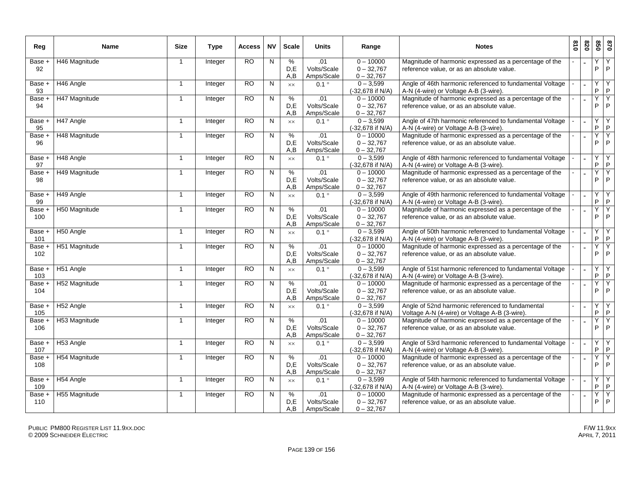| Reg           | <b>Name</b>   | <b>Size</b>    | Type           | Access    | <b>NV</b>    | <b>Scale</b>     | <b>Units</b>                     | Range                                       | <b>Notes</b>                                                                                        | 018 | 078            | 850    | 028                            |
|---------------|---------------|----------------|----------------|-----------|--------------|------------------|----------------------------------|---------------------------------------------|-----------------------------------------------------------------------------------------------------|-----|----------------|--------|--------------------------------|
| Base +<br>92  | H46 Magnitude | $\overline{1}$ | Integer        | <b>RO</b> | N            | %<br>D,E<br>A,B  | .01<br>Volts/Scale<br>Amps/Scale | $0 - 10000$<br>$0 - 32,767$<br>$0 - 32,767$ | Magnitude of harmonic expressed as a percentage of the<br>reference value, or as an absolute value. |     |                | Υ<br>P | Y<br>$\mathsf{P}$              |
| Base +<br>93  | H46 Angle     | $\overline{1}$ | Integer        | RO        | N            | $\times\times$   | $0.1^{\circ}$                    | $0 - 3,599$<br>(-32,678 if N/A)             | Angle of 46th harmonic referenced to fundamental Voltage<br>A-N (4-wire) or Voltage A-B (3-wire).   |     |                | Y<br>P | Y<br>$\mathsf{P}$              |
| Base +<br>94  | H47 Magnitude | $\overline{1}$ | Integer        | <b>RO</b> | ${\sf N}$    | %<br>D,E<br>A.B  | .01<br>Volts/Scale<br>Amps/Scale | $0 - 10000$<br>$0 - 32,767$<br>$0 - 32,767$ | Magnitude of harmonic expressed as a percentage of the<br>reference value, or as an absolute value. |     |                | Y<br>P | Y<br>$\mathsf{P}$              |
| Base +<br>95  | H47 Angle     | $\overline{1}$ | Integer        | <b>RO</b> | N            | <b>XX</b>        | $0.1$ $^{\circ}$                 | $0 - 3.599$<br>(-32,678 if N/A)             | Angle of 47th harmonic referenced to fundamental Voltage<br>A-N (4-wire) or Voltage A-B (3-wire).   |     |                | Y<br>P | Y<br>$\mathsf{P}$              |
| Base +<br>96  | H48 Magnitude | -1             | Integer        | RO        | N            | %<br>D,E<br>A.B  | .01<br>Volts/Scale<br>Amps/Scale | $0 - 10000$<br>$0 - 32,767$<br>$0 - 32,767$ | Magnitude of harmonic expressed as a percentage of the<br>reference value, or as an absolute value. |     |                | Y<br>P | Y<br>P                         |
| Base +<br>97  | H48 Angle     | $\overline{1}$ | Integer        | <b>RO</b> | N            | $\times\times$   | $0.1^{\circ}$                    | $0 - 3,599$<br>(-32,678 if N/A)             | Angle of 48th harmonic referenced to fundamental Voltage<br>A-N (4-wire) or Voltage A-B (3-wire).   |     |                | Υ<br>P | Y<br>$\mathsf{P}$              |
| Base +<br>98  | H49 Magnitude | $\overline{1}$ | Integer        | <b>RO</b> | N            | %<br>D,E<br>A, B | .01<br>Volts/Scale<br>Amps/Scale | $0 - 10000$<br>$0 - 32,767$<br>$0 - 32,767$ | Magnitude of harmonic expressed as a percentage of the<br>reference value, or as an absolute value. |     |                | Ÿ<br>P | Y<br>$\mathsf{P}$              |
| Base +<br>99  | H49 Angle     | $\mathbf{1}$   | Integer        | RO        | N            | $\times\times$   | $0.1^\circ$                      | $0 - 3,599$<br>(-32,678 if N/A)             | Angle of 49th harmonic referenced to fundamental Voltage<br>A-N (4-wire) or Voltage A-B (3-wire).   |     |                | Y<br>P | Υ<br>$\mathsf{P}$              |
| Base +<br>100 | H50 Magnitude | $\overline{1}$ | Integer        | RO        | ${\sf N}$    | %<br>D.E<br>A, B | .01<br>Volts/Scale<br>Amps/Scale | $0 - 10000$<br>$0 - 32,767$<br>$0 - 32,767$ | Magnitude of harmonic expressed as a percentage of the<br>reference value, or as an absolute value. |     |                | Y<br>P | Y<br>$\mathsf{P}$              |
| Base +<br>101 | H50 Angle     | $\overline{1}$ | Integer        | <b>RO</b> | N            | <b>XX</b>        | $0.1^{\circ}$                    | $0 - 3,599$<br>(-32,678 if N/A)             | Angle of 50th harmonic referenced to fundamental Voltage<br>A-N (4-wire) or Voltage A-B (3-wire).   |     |                | Y<br>P | Y<br>$\mathsf{P}$              |
| Base +<br>102 | H51 Magnitude | -1             | Integer        | <b>RO</b> | $\mathsf{N}$ | %<br>D.E<br>A, B | .01<br>Volts/Scale<br>Amps/Scale | $0 - 10000$<br>$0 - 32,767$<br>$0 - 32,767$ | Magnitude of harmonic expressed as a percentage of the<br>reference value, or as an absolute value. |     |                | Y<br>P | Y<br>$\mathsf{P}$              |
| Base +<br>103 | H51 Angle     | $\overline{1}$ | Integer        | <b>RO</b> | N            | $\times\times$   | $0.1^{\circ}$                    | $0 - 3,599$<br>(-32,678 if N/A)             | Angle of 51st harmonic referenced to fundamental Voltage<br>A-N (4-wire) or Voltage A-B (3-wire).   |     |                | Υ<br>P | Y<br>$\mathsf{P}$              |
| Base +<br>104 | H52 Magnitude | $\overline{1}$ | Integer        | <b>RO</b> | N            | %<br>D.E<br>A, B | .01<br>Volts/Scale<br>Amps/Scale | $0 - 10000$<br>$0 - 32,767$<br>$0 - 32,767$ | Magnitude of harmonic expressed as a percentage of the<br>reference value, or as an absolute value. |     |                | Y<br>P | Ϋ<br>$\mathsf{P}$              |
| Base +<br>105 | H52 Angle     | $\overline{1}$ | Integer        | <b>RO</b> | $\mathsf{N}$ | $\times\times$   | $0.1^{\circ}$                    | $0 - 3,599$<br>(-32,678 if N/A)             | Angle of 52nd harmonic referenced to fundamental<br>Voltage A-N (4-wire) or Voltage A-B (3-wire).   |     |                | Υ<br>P | Υ<br>$\mathsf{P}$              |
| Base +<br>106 | H53 Magnitude | $\overline{1}$ | Integer        | <b>RO</b> | $\mathsf{N}$ | %<br>D.E<br>A,B  | .01<br>Volts/Scale<br>Amps/Scale | $0 - 10000$<br>$0 - 32,767$<br>$0 - 32,767$ | Magnitude of harmonic expressed as a percentage of the<br>reference value, or as an absolute value. |     |                | Y<br>P | $\overline{Y}$<br>$\mathsf{P}$ |
| Base +<br>107 | H53 Angle     | $\overline{1}$ | Integer        | <b>RO</b> | N            | $\times\times$   | $0.1^{\circ}$                    | $0 - 3,599$<br>(-32,678 if N/A)             | Angle of 53rd harmonic referenced to fundamental Voltage<br>A-N (4-wire) or Voltage A-B (3-wire).   |     | $\overline{a}$ | Υ<br>P | Y<br>$\mathsf{P}$              |
| Base +<br>108 | H54 Magnitude | -1             | Integer        | <b>RO</b> | N            | %<br>D,E<br>A, B | .01<br>Volts/Scale<br>Amps/Scale | $0 - 10000$<br>$0 - 32,767$<br>$0 - 32,767$ | Magnitude of harmonic expressed as a percentage of the<br>reference value, or as an absolute value. |     |                | Υ<br>P | Υ<br>P                         |
| Base +<br>109 | H54 Angle     | $\overline{1}$ | <b>Integer</b> | <b>RO</b> | N            | $\times\times$   | $0.1^{\circ}$                    | $0 - 3,599$<br>(-32.678 if N/A)             | Angle of 54th harmonic referenced to fundamental Voltage<br>A-N (4-wire) or Voltage A-B (3-wire).   |     |                | Υ<br>P | Y<br>$\mathsf{P}$              |
| Base +<br>110 | H55 Magnitude | $\overline{1}$ | Integer        | RO        | N            | %<br>D,E<br>A,B  | .01<br>Volts/Scale<br>Amps/Scale | $0 - 10000$<br>$0 - 32,767$<br>$0 - 32,767$ | Magnitude of harmonic expressed as a percentage of the<br>reference value, or as an absolute value. |     |                | Y<br>P | Y<br>$\mathsf{P}$              |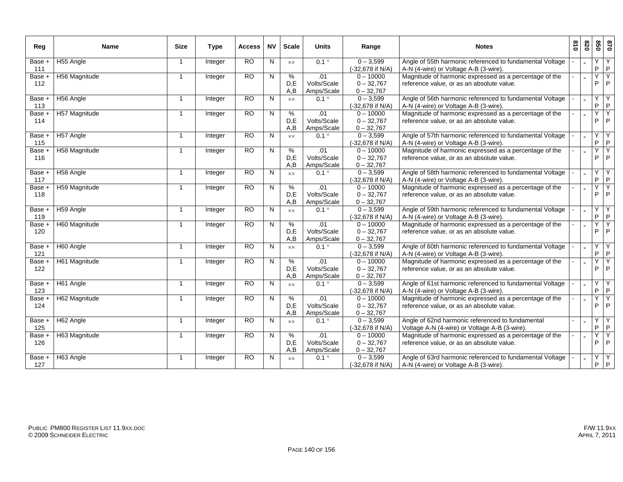| Reg                      | Name          | <b>Size</b>             | <b>Type</b> | Access          | <b>NV</b> | <b>Scale</b>     | Units                            | Range                                       | <b>Notes</b>                                                                                        | 018 | 820 | 099    | 028               |
|--------------------------|---------------|-------------------------|-------------|-----------------|-----------|------------------|----------------------------------|---------------------------------------------|-----------------------------------------------------------------------------------------------------|-----|-----|--------|-------------------|
| Base +<br>111            | H55 Angle     | $\overline{1}$          | Integer     | <b>RO</b>       | N         | XX               | $0.1^{\circ}$                    | $0 - 3,599$<br>(-32,678 if N/A)             | Angle of 55th harmonic referenced to fundamental Voltage<br>A-N (4-wire) or Voltage A-B (3-wire).   |     |     | Y<br>P | Y<br>$\mathsf P$  |
| Base +<br>112            | H56 Magnitude | $\overline{\mathbf{1}}$ | Integer     | RO              | N         | %<br>D,E<br>A, B | .01<br>Volts/Scale<br>Amps/Scale | $0 - 10000$<br>$0 - 32,767$<br>$0 - 32,767$ | Magnitude of harmonic expressed as a percentage of the<br>reference value, or as an absolute value. |     |     | Y<br>P | Y<br>P            |
| Base +<br>113            | H56 Angle     | $\overline{1}$          | Integer     | <b>RO</b>       | N         | XX               | $0.1^{\circ}$                    | $0 - 3,599$<br>(-32,678 if N/A)             | Angle of 56th harmonic referenced to fundamental Voltage<br>A-N (4-wire) or Voltage A-B (3-wire).   |     |     | Υ<br>P | Y<br>$\mathsf{P}$ |
| Base +<br>114            | H57 Magnitude | $\overline{1}$          | Integer     | <b>RO</b>       | N         | %<br>D.E<br>A,B  | .01<br>Volts/Scale<br>Amps/Scale | $0 - 10000$<br>$0 - 32,767$<br>$0 - 32,767$ | Magnitude of harmonic expressed as a percentage of the<br>reference value, or as an absolute value. |     |     | Y<br>P | Y<br>$\mathsf{P}$ |
| $Base +$<br>115          | H57 Angle     | $\overline{1}$          | Integer     | RO              | N         | $\times\times$   | $0.1^{\circ}$                    | $0 - 3,599$<br>(-32,678 if N/A)             | Angle of 57th harmonic referenced to fundamental Voltage<br>A-N (4-wire) or Voltage A-B (3-wire).   |     |     | Ÿ<br>P | Y<br>$\mathsf P$  |
| Base +<br>116            | H58 Magnitude | $\overline{1}$          | Integer     | <b>RO</b>       | N         | %<br>D.E<br>A,B  | .01<br>Volts/Scale<br>Amps/Scale | $0 - 10000$<br>$0 - 32.767$<br>$0 - 32,767$ | Magnitude of harmonic expressed as a percentage of the<br>reference value, or as an absolute value. |     |     | Υ<br>P | Y<br>P            |
| Base +<br>117            | H58 Angle     | $\overline{1}$          | Integer     | <b>RO</b>       | N         | XX               | $0.1^{\circ}$                    | $0 - 3,599$<br>(-32,678 if N/A)             | Angle of 58th harmonic referenced to fundamental Voltage<br>A-N (4-wire) or Voltage A-B (3-wire).   |     |     | Υ<br>P | Y<br>$\mathsf{P}$ |
| Base +<br>118            | H59 Magnitude | -1                      | Integer     | <b>RO</b>       | N         | %<br>D.E<br>A,B  | .01<br>Volts/Scale<br>Amps/Scale | $0 - 10000$<br>$0 - 32,767$<br>$0 - 32,767$ | Magnitude of harmonic expressed as a percentage of the<br>reference value, or as an absolute value. |     |     | Υ<br>P | Y<br>P            |
| Base +<br>119            | H59 Angle     | $\overline{\mathbf{1}}$ | Integer     | <b>RO</b>       | N         | <b>XX</b>        | $0.1^{\circ}$                    | $0 - 3,599$<br>(-32,678 if N/A)             | Angle of 59th harmonic referenced to fundamental Voltage<br>A-N (4-wire) or Voltage A-B (3-wire).   |     |     | Υ<br>P | Υ<br>$\mathsf P$  |
| Base +<br>120            | H60 Magnitude | $\overline{\mathbf{1}}$ | Integer     | RO              | N         | %<br>D.E<br>A,B  | .01<br>Volts/Scale<br>Amps/Scale | $0 - 10000$<br>$0 - 32,767$<br>$0 - 32,767$ | Magnitude of harmonic expressed as a percentage of the<br>reference value, or as an absolute value. |     |     | Υ<br>P | Y<br>P            |
| Base +<br>121            | H60 Angle     | $\overline{1}$          | Integer     | <b>RO</b>       | N         | <b>XX</b>        | $0.1^{\circ}$                    | $0 - 3,599$<br>(-32,678 if N/A)             | Angle of 60th harmonic referenced to fundamental Voltage<br>A-N (4-wire) or Voltage A-B (3-wire).   |     |     | Y<br>P | Y<br>$\mathsf P$  |
| Base +<br>122            | H61 Magnitude | -1                      | Integer     | <b>RO</b>       | N         | %<br>D,E<br>A,B  | .01<br>Volts/Scale<br>Amps/Scale | $0 - 10000$<br>$0 - 32,767$<br>$0 - 32,767$ | Magnitude of harmonic expressed as a percentage of the<br>reference value, or as an absolute value. |     |     | Υ<br>P | Υ<br>$\mathsf{P}$ |
| Base +<br>123            | H61 Angle     | $\overline{1}$          | Integer     | $\overline{RO}$ | N         | <b>XX</b>        | $0.1^{\circ}$                    | $0 - 3,599$<br>(-32,678 if N/A)             | Angle of 61st harmonic referenced to fundamental Voltage<br>A-N (4-wire) or Voltage A-B (3-wire).   |     |     | Y<br>P | Y<br>$\mathsf P$  |
| Base +<br>124            | H62 Magnitude | $\overline{\mathbf{1}}$ | Integer     | <b>RO</b>       | N         | %<br>D,E<br>A,B  | .01<br>Volts/Scale<br>Amps/Scale | $0 - 10000$<br>$0 - 32,767$<br>$0 - 32,767$ | Magnitude of harmonic expressed as a percentage of the<br>reference value, or as an absolute value. |     |     | Υ<br>P | Y<br>$\mathsf{P}$ |
| Base +<br>125            | H62 Angle     | $\overline{1}$          | Integer     | <b>RO</b>       | N         | <b>XX</b>        | $0.1^{\circ}$                    | $0 - 3.599$<br>(-32,678 if N/A)             | Angle of 62nd harmonic referenced to fundamental<br>Voltage A-N (4-wire) or Voltage A-B (3-wire).   |     |     | Y<br>P | Y<br>$\sf P$      |
| Base +<br>126            | H63 Magnitude | $\overline{1}$          | Integer     | <b>RO</b>       | N         | %<br>D,E<br>A,B  | .01<br>Volts/Scale<br>Amps/Scale | $0 - 10000$<br>$0 - 32,767$<br>$0 - 32,767$ | Magnitude of harmonic expressed as a percentage of the<br>reference value, or as an absolute value. |     |     | Υ<br>P | Υ<br>$\mathsf{P}$ |
| $\overline{Base}$<br>127 | H63 Angle     | $\overline{1}$          | Integer     | $\overline{RO}$ | N         | <b>XX</b>        | $0.1^{\circ}$                    | $0 - 3,599$<br>(-32,678 if N/A)             | Angle of 63rd harmonic referenced to fundamental Voltage<br>A-N (4-wire) or Voltage A-B (3-wire).   |     |     | Y<br>P | Y<br>P            |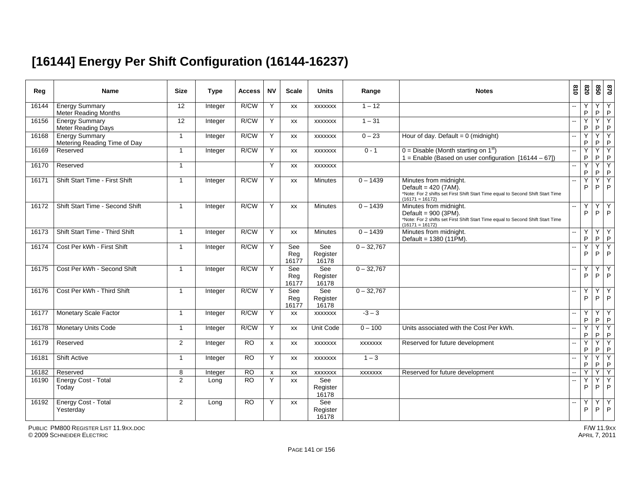# **[16144] Energy Per Shift Configuration (16144-16237)**

| Reg   | <b>Name</b>                                           | <b>Size</b>          | <b>Type</b> | <b>Access</b>   | <b>NV</b>      | <b>Scale</b>        | <b>Units</b>             | Range          | <b>Notes</b>                                                                                                                                             | 018            | 078               | 850    | 0/8                            |
|-------|-------------------------------------------------------|----------------------|-------------|-----------------|----------------|---------------------|--------------------------|----------------|----------------------------------------------------------------------------------------------------------------------------------------------------------|----------------|-------------------|--------|--------------------------------|
| 16144 | <b>Energy Summary</b><br><b>Meter Reading Months</b>  | 12                   | Integer     | R/CW            | Υ              | XX                  | <b>XXXXXXX</b>           | $1 - 12$       |                                                                                                                                                          |                | P                 | P      | Y<br>P                         |
| 16156 | <b>Energy Summary</b><br><b>Meter Reading Days</b>    | $\overline{12}$      | Integer     | R/CW            | Y              | XX                  | <b>XXXXXXX</b>           | $1 - 31$       |                                                                                                                                                          | $\overline{a}$ | Y<br>P            | Y<br>P | Y<br>P                         |
| 16168 | <b>Energy Summary</b><br>Metering Reading Time of Day | $\blacktriangleleft$ | Integer     | R/CW            | Y              | XX                  | <b>XXXXXXX</b>           | $0 - 23$       | Hour of day. Default = $0$ (midnight)                                                                                                                    |                | Y<br>$\mathsf{P}$ | Υ<br>P | Y<br>$\mathsf{P}$              |
| 16169 | Reserved                                              | $\mathbf{1}$         | Integer     | R/CW            | Y              | XX                  | <b>XXXXXXX</b>           | $0 - 1$        | $0 =$ Disable (Month starting on 1 <sup>st</sup> )<br>1 = Enable (Based on user configuration $[16144 - 67]$ )                                           | L.             | Y<br>P            | Y<br>P | $\overline{Y}$<br>$\mathsf{P}$ |
| 16170 | Reserved                                              | $\overline{1}$       |             |                 | Y              | XX                  | <b>XXXXXXX</b>           |                |                                                                                                                                                          |                | Υ<br>P            | Y<br>P | Y<br>P                         |
| 16171 | Shift Start Time - First Shift                        | $\mathbf{1}$         | Integer     | R/CW            | Y              | XX                  | <b>Minutes</b>           | $0 - 1439$     | Minutes from midnight.<br>Default = 420 (7AM).<br>*Note: For 2 shifts set First Shift Start Time equal to Second Shift Start Time<br>$(16171 = 16172)$   |                | Y<br>P            | Y<br>P | Y<br>P                         |
| 16172 | Shift Start Time - Second Shift                       | $\mathbf{1}$         | Integer     | R/CW            | Y              | <b>XX</b>           | <b>Minutes</b>           | $0 - 1439$     | Minutes from midnight.<br>Default = $900$ (3PM).<br>*Note: For 2 shifts set First Shift Start Time equal to Second Shift Start Time<br>$(16171 = 16172)$ |                | Y<br>P            | Y<br>P | Y<br>P                         |
| 16173 | Shift Start Time - Third Shift                        | $\overline{1}$       | Integer     | R/CW            | Y              | <b>XX</b>           | <b>Minutes</b>           | $0 - 1439$     | Minutes from midnight.<br>Default = 1380 (11PM).                                                                                                         | L.             | Υ<br>P            | Υ<br>P | Y<br>P                         |
| 16174 | Cost Per kWh - First Shift                            | $\mathbf{1}$         | Integer     | R/CW            | Y              | See<br>Reg<br>16177 | See<br>Register<br>16178 | $0 - 32,767$   |                                                                                                                                                          |                | Y<br>P            | Y<br>P | Y<br>P                         |
| 16175 | Cost Per kWh - Second Shift                           | $\mathbf{1}$         | Integer     | R/CW            | Y              | See<br>Reg<br>16177 | See<br>Register<br>16178 | $0 - 32,767$   |                                                                                                                                                          | $\overline{a}$ | Υ<br>P            | Υ<br>P | Y<br>P                         |
| 16176 | Cost Per kWh - Third Shift                            | $\overline{1}$       | Integer     | R/CW            | Y              | See<br>Reg<br>16177 | See<br>Register<br>16178 | $0 - 32,767$   |                                                                                                                                                          | μ.             | Υ<br>P            | Υ<br>P | Y<br>P                         |
| 16177 | <b>Monetary Scale Factor</b>                          | 1                    | Integer     | R/CW            | Y              | XX                  | <b>XXXXXXX</b>           | $-3 - 3$       |                                                                                                                                                          |                | Υ<br>P            | Y<br>P | Y<br>P                         |
| 16178 | <b>Monetary Units Code</b>                            | $\overline{1}$       | Integer     | R/CW            | Y              | XX                  | Unit Code                | $0 - 100$      | Units associated with the Cost Per kWh.                                                                                                                  | $-$            | Y<br>$\mathsf{P}$ | Y<br>P | Y<br>P                         |
| 16179 | Reserved                                              | $\mathbf{2}$         | Integer     | $\overline{RO}$ | $\pmb{\times}$ | XX                  | <b>XXXXXXX</b>           | <b>XXXXXXX</b> | Reserved for future development                                                                                                                          |                | Ϋ<br>P            | Υ<br>P | Y<br>P                         |
| 16181 | <b>Shift Active</b>                                   | $\mathbf{1}$         | Integer     | <b>RO</b>       | Y              | XX                  | <b>XXXXXXX</b>           | $1 - 3$        |                                                                                                                                                          | $\sim$         | Y<br>P            | Y<br>P | Y<br>$\sf P$                   |
| 16182 | Reserved                                              | 8                    | Integer     | <b>RO</b>       | X              | XX                  | <b>XXXXXXX</b>           | <b>XXXXXXX</b> | Reserved for future development                                                                                                                          | $\sim$         | v                 | Υ      | Y                              |
| 16190 | Energy Cost - Total<br>Today                          | $\overline{2}$       | Long        | $\overline{RO}$ | Y              | <b>XX</b>           | See<br>Register<br>16178 |                |                                                                                                                                                          | $\overline{a}$ | Υ<br>P            | P      | Y<br>P                         |
| 16192 | Energy Cost - Total<br>Yesterday                      | 2                    | Long        | <b>RO</b>       | Y              | <b>XX</b>           | See<br>Register<br>16178 |                |                                                                                                                                                          |                | Υ<br>P            | Υ<br>P | Y<br>P                         |

PUBLIC PM800 REGISTER LIST 11.9XX.DOC© 2009 SCHNEIDER ELECTRIC APRIL 7, 2011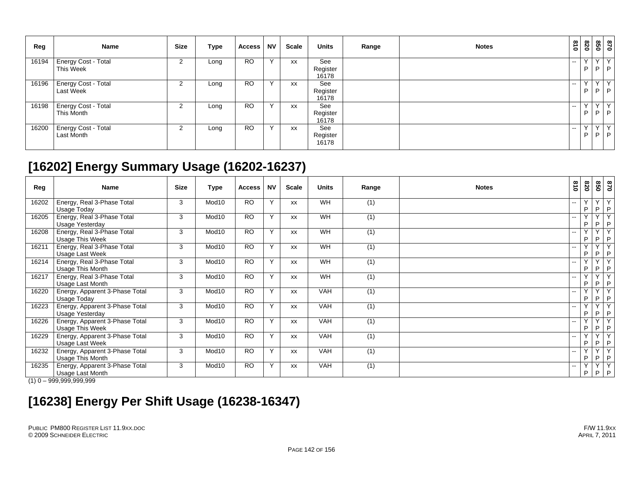| Reg   | <b>Name</b>                              | <b>Size</b> | Type | <b>Access</b> | <b>NV</b> | Scale     | <b>Units</b>             | Range | <b>Notes</b> | $\frac{3}{10}$ | 078             | 870<br>850     |                    |
|-------|------------------------------------------|-------------|------|---------------|-----------|-----------|--------------------------|-------|--------------|----------------|-----------------|----------------|--------------------|
| 16194 | <b>Energy Cost - Total</b><br>This Week  | 2           | Long | <b>RO</b>     | Y         | <b>XX</b> | See<br>Register<br>16178 |       |              | $\sim$         | $\vee$<br>P     | Y I<br>$P$ $P$ | Y                  |
| 16196 | Energy Cost - Total<br><b>Last Week</b>  | 2           | Long | <b>RO</b>     | Y         | XX        | See<br>Register<br>16178 |       |              | $\sim$ $\sim$  | $\sqrt{}$<br>P. | P              | YY<br>$\mathsf{P}$ |
| 16198 | <b>Energy Cost - Total</b><br>This Month | 2           | Long | <b>RO</b>     | Y         | <b>XX</b> | See<br>Register<br>16178 |       |              | $- -$          | $\vee$<br>P     | $\vee$<br>P    | Y<br>P             |
| 16200 | Energy Cost - Total<br>Last Month        | 2           | ∟ong | <b>RO</b>     | Y         | XX        | See<br>Register<br>16178 |       |              | $- -$          | $\sqrt{}$<br>P  | $\sqrt{}$<br>P | $\vee$<br>P        |

### **[16202] Energy Summary Usage (16202-16237)**

| Reg   | <b>Name</b>                                        | <b>Size</b> | Type              | <b>Access</b> | <b>NV</b>    | Scale     | <b>Units</b> | Range            | <b>Notes</b> | 018                      | 078    | 099                           | 0 <sub>28</sub>                         |
|-------|----------------------------------------------------|-------------|-------------------|---------------|--------------|-----------|--------------|------------------|--------------|--------------------------|--------|-------------------------------|-----------------------------------------|
| 16202 | Energy, Real 3-Phase Total<br>Usage Today          | 3           | Mod <sub>10</sub> | <b>RO</b>     | $\checkmark$ | <b>XX</b> | <b>WH</b>    | (1)              |              | $-$                      | Y<br>P | $\vee$<br>P.                  | Y<br>P                                  |
| 16205 | Energy, Real 3-Phase Total<br>Usage Yesterday      | 3           | Mod <sub>10</sub> | <b>RO</b>     | $\checkmark$ | <b>XX</b> | <b>WH</b>    | (1)              |              | $-$                      | Υ<br>P | $\sqrt{}$<br>P                | $\overline{\mathsf{v}}$<br>$\mathsf{P}$ |
| 16208 | Energy, Real 3-Phase Total<br>Usage This Week      | 3           | Mod10             | <b>RO</b>     | Y            | <b>XX</b> | <b>WH</b>    | (1)              |              | --                       | Y<br>P | $\vee$<br>P.                  | Y<br>P                                  |
| 16211 | Energy, Real 3-Phase Total<br>Usage Last Week      | 3           | Mod10             | <b>RO</b>     | $\checkmark$ | <b>XX</b> | WH           | (1)              |              | $\overline{\phantom{a}}$ | Υ<br>P | $\overline{\mathsf{v}}$<br>P. | $\overline{\mathsf{v}}$<br>P            |
| 16214 | Energy, Real 3-Phase Total<br>Usage This Month     | 3           | Mod10             | <b>RO</b>     | Y            | <b>XX</b> | <b>WH</b>    | (1)              |              | --                       | Y<br>P | $\vee$<br>P.                  | Y<br>$\mathsf{P}$                       |
| 16217 | Energy, Real 3-Phase Total<br>Usage Last Month     | 3           | Mod <sub>10</sub> | <b>RO</b>     | $\checkmark$ | <b>XX</b> | WH           | (1)              |              | --                       | P      | $\vee$<br>P                   | $\overline{\mathsf{v}}$<br>P            |
| 16220 | Energy, Apparent 3-Phase Total<br>Usage Today      | 3           | Mod10             | <b>RO</b>     | Y            | <b>XX</b> | <b>VAH</b>   | (1)              |              | --                       | Y<br>P | $\vee$<br>P.                  | $\overline{Y}$<br>$\mathsf{P}$          |
| 16223 | Energy, Apparent 3-Phase Total<br>Usage Yesterday  | 3           | Mod <sub>10</sub> | <b>RO</b>     | $\checkmark$ | <b>XX</b> | <b>VAH</b>   | $\overline{(1)}$ |              | --                       | Y<br>P | $\vee$<br>P                   | $\overline{Y}$<br>P                     |
| 16226 | Energy, Apparent 3-Phase Total<br>Usage This Week  | 3           | Mod10             | <b>RO</b>     | Y            | <b>XX</b> | <b>VAH</b>   | (1)              |              | --                       | Y<br>P | Y<br>P.                       | k<br>$\mathsf{P}$                       |
| 16229 | Energy, Apparent 3-Phase Total<br>Usage Last Week  | 3           | Mod <sub>10</sub> | <b>RO</b>     | Y            | <b>XX</b> | <b>VAH</b>   | (1)              |              | $-$                      | Y<br>P | $\vee$<br>P                   | $\overline{Y}$<br>P                     |
| 16232 | Energy, Apparent 3-Phase Total<br>Usage This Month | 3           | Mod10             | <b>RO</b>     | Y            | <b>XX</b> | <b>VAH</b>   | (1)              |              |                          | Y<br>P | $\vee$<br>P.                  | $\overline{Y}$<br>$\mathsf{P}$          |
| 16235 | Energy, Apparent 3-Phase Total<br>Usage Last Month | 3           | Mod <sub>10</sub> | <b>RO</b>     | $\checkmark$ | <b>XX</b> | <b>VAH</b>   | (1)              |              | $-$                      | Y<br>P | $\vee$                        | $\overline{\mathsf{Y}}$<br>$P$ $P$      |

 $(1)$  0 – 999,999,999,999

### **[16238] Energy Per Shift Usage (16238-16347)**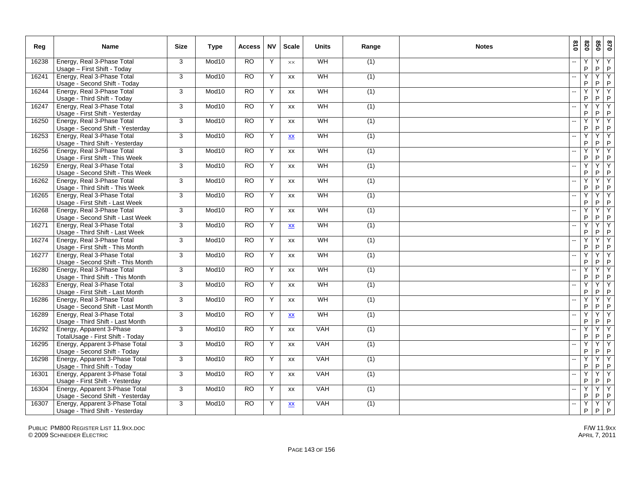| Reg   | <b>Name</b>                                                        | <b>Size</b> | <b>Type</b>       | <b>Access</b> | <b>NV</b> | <b>Scale</b>            | <b>Units</b> | Range | <b>Notes</b> | 018                      | 028                 | 058              | 0/8                       |
|-------|--------------------------------------------------------------------|-------------|-------------------|---------------|-----------|-------------------------|--------------|-------|--------------|--------------------------|---------------------|------------------|---------------------------|
| 16238 | Energy, Real 3-Phase Total<br>Usage - First Shift - Today          | 3           | Mod10             | <b>RO</b>     | Y         | $\times\times$          | WH           | (1)   |              |                          | Y<br>P              | Y<br>P           | Υ<br>$\mathsf P$          |
| 16241 | Energy, Real 3-Phase Total<br>Usage - Second Shift - Today         | 3           | Mod <sub>10</sub> | <b>RO</b>     | Y         | <b>XX</b>               | WH           | (1)   |              | $\sim$                   | Ÿ<br>P              | Y<br>P           | Y<br>P                    |
| 16244 | Energy, Real 3-Phase Total<br>Usage - Third Shift - Today          | 3           | Mod10             | <b>RO</b>     | Y         | XX                      | WH           | (1)   |              |                          | Y<br>$\mathsf{P}$   | Y<br>$\mathsf P$ | Υ<br>$\sf P$              |
| 16247 | Energy, Real 3-Phase Total<br>Usage - First Shift - Yesterday      | 3           | Mod10             | <b>RO</b>     | Y         | XX                      | WH           | (1)   |              | $\overline{\phantom{a}}$ | Y<br>P              | Y<br>P           | Y<br>$\mathsf P$          |
| 16250 | Energy, Real 3-Phase Total<br>Usage - Second Shift - Yesterday     | 3           | Mod10             | <b>RO</b>     | Y         | <b>XX</b>               | WH           | (1)   |              | $\overline{a}$           | Ÿ<br>P              | Y<br>P           | Y<br>P                    |
| 16253 | Energy, Real 3-Phase Total<br>Usage - Third Shift - Yesterday      | 3           | Mod <sub>10</sub> | <b>RO</b>     | Y         | XX                      | WH           | (1)   |              |                          | Y<br>P              | Y<br>P           | Υ<br>$\mathsf P$          |
| 16256 | Energy, Real 3-Phase Total<br>Usage - First Shift - This Week      | 3           | Mod <sub>10</sub> | <b>RO</b>     | Y         | <b>XX</b>               | <b>WH</b>    | (1)   |              |                          | $\overline{Y}$<br>P | Y<br>P.          | Y<br>$\mathsf{P}$         |
| 16259 | Energy, Real 3-Phase Total<br>Usage - Second Shift - This Week     | 3           | Mod10             | <b>RO</b>     | Y         | <b>XX</b>               | WH           | (1)   |              | $\sim$                   | Y<br>P              | Y<br>P           | Y<br>P                    |
| 16262 | Energy, Real 3-Phase Total<br>Usage - Third Shift - This Week      | 3           | Mod10             | <b>RO</b>     | Y         | XX                      | WH           | (1)   |              | $\sim$                   | Y<br>$\sf P$        | Y<br>P           | Y<br>$\mathsf P$          |
| 16265 | Energy, Real 3-Phase Total<br>Usage - First Shift - Last Week      | 3           | Mod <sub>10</sub> | <b>RO</b>     | Y         | XX                      | WH           | (1)   |              | $\sim$ $\sim$            | Y<br>P              | Y<br>P.          | Y<br>$\mathsf P$          |
| 16268 | Energy, Real 3-Phase Total<br>Usage - Second Shift - Last Week     | 3           | Mod10             | <b>RO</b>     | Y         | XX                      | WH           | (1)   |              | $-$                      | Y<br>$\mathsf{P}$   | Y<br>P           | Υ<br>$\mathsf P$          |
| 16271 | Energy, Real 3-Phase Total<br>Usage - Third Shift - Last Week      | 3           | Mod10             | <b>RO</b>     | Y         | <b>XX</b>               | WH           | (1)   |              | $\overline{a}$           | Y<br>P              | Y<br>P           | Y<br>P                    |
| 16274 | Energy, Real 3-Phase Total<br>Usage - First Shift - This Month     | 3           | Mod10             | <b>RO</b>     | Y         | <b>XX</b>               | WH           | (1)   |              |                          | Y<br>P              | Y<br>P           | Y<br>$\mathsf P$          |
| 16277 | Energy, Real 3-Phase Total<br>Usage - Second Shift - This Month    | 3           | Mod <sub>10</sub> | <b>RO</b>     | Y         | XX                      | WH           | (1)   |              |                          | Y<br>P              | Ÿ<br>P           | Y<br>$\sf P$              |
| 16280 | Energy, Real 3-Phase Total<br>Usage - Third Shift - This Month     | 3           | Mod10             | <b>RO</b>     | Y         | XX                      | WH           | (1)   |              |                          | Y<br>P              | Ÿ<br>P.          | Ϋ<br>P                    |
| 16283 | Energy, Real 3-Phase Total<br>Usage - First Shift - Last Month     | 3           | Mod <sub>10</sub> | <b>RO</b>     | Y         | <b>XX</b>               | WH           | (1)   |              |                          | Y<br>$\sf P$        | Y<br>$\mathsf P$ | Υ<br>$\mathsf P$          |
| 16286 | Energy, Real 3-Phase Total<br>Usage - Second Shift - Last Month    | 3           | Mod10             | <b>RO</b>     | Y         | XX                      | WH           | (1)   |              | $\sim$                   | Y<br>$\sf P$        | Y<br>P           | Y<br>$\sf P$              |
| 16289 | Energy, Real 3-Phase Total<br>Usage - Third Shift - Last Month     | 3           | Mod10             | <b>RO</b>     | Y         | $\overline{\mathbf{X}}$ | WH           | (1)   |              | $\overline{a}$           | Ÿ<br>P              | Y<br>P           | Y<br>$\mathsf P$          |
| 16292 | Energy, Apparent 3-Phase<br>TotalUsage - First Shift - Today       | 3           | Mod10             | <b>RO</b>     | Y         | XX                      | VAH          | (1)   |              | $\overline{\phantom{a}}$ | Y<br>P              | Y<br>P           | Υ<br>$\mathsf{P}$         |
| 16295 | Energy, Apparent 3-Phase Total<br>Usage - Second Shift - Todav     | 3           | Mod10             | <b>RO</b>     | Y         | XX                      | VAH          | (1)   |              |                          | Y<br>P              | Ÿ<br>P           | Y<br>$\mathsf{P}$         |
| 16298 | Energy, Apparent 3-Phase Total<br>Usage - Third Shift - Today      | 3           | Mod10             | <b>RO</b>     | Y         | XX                      | <b>VAH</b>   | (1)   |              | $\overline{a}$           | Y<br>P              | Υ<br>P           | Y<br>$\mathsf P$          |
| 16301 | Energy, Apparent 3-Phase Total<br>Usage - First Shift - Yesterday  | 3           | Mod10             | <b>RO</b>     | Y         | XX                      | VAH          | (1)   |              | $\overline{\phantom{a}}$ | Y<br>$\sf P$        | Y<br>P           | Y<br>$\sf P$              |
| 16304 | Energy, Apparent 3-Phase Total<br>Usage - Second Shift - Yesterday | 3           | Mod10             | <b>RO</b>     | Y         | XX                      | VAH          | (1)   |              | $\overline{a}$           | Y<br>$\mathsf{P}$   | Y<br>P           | Y<br>$\mathsf P$          |
| 16307 | Energy, Apparent 3-Phase Total<br>Usage - Third Shift - Yesterday  | 3           | Mod <sub>10</sub> | <b>RO</b>     | Y         | <b>XX</b>               | <b>VAH</b>   | (1)   |              | $\sim$                   | $\overline{Y}$<br>P | Y<br>P           | $\overline{Y}$<br>$\sf P$ |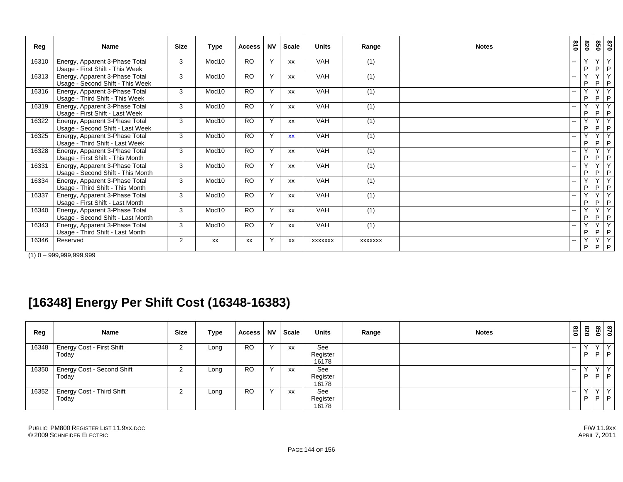| Reg   | <b>Name</b>                                                         | <b>Size</b>    | Type              | <b>Access</b> | <b>NV</b>    | <b>Scale</b>                                   | <b>Units</b>   | Range            | <b>Notes</b> | 810                      | 078                          | 020                           | 0/8                            |
|-------|---------------------------------------------------------------------|----------------|-------------------|---------------|--------------|------------------------------------------------|----------------|------------------|--------------|--------------------------|------------------------------|-------------------------------|--------------------------------|
| 16310 | Energy, Apparent 3-Phase Total<br>Usage - First Shift - This Week   | 3              | Mod10             | <b>RO</b>     | $\mathsf{Y}$ | <b>XX</b>                                      | <b>VAH</b>     | (1)              |              | --                       | $\checkmark$<br>P            | $\checkmark$<br>P             | Y<br>P                         |
| 16313 | Energy, Apparent 3-Phase Total<br>Usage - Second Shift - This Week  | 3              | Mod10             | <b>RO</b>     | $\mathsf{v}$ | XX                                             | <b>VAH</b>     | (1)              |              | $\overline{\phantom{a}}$ | $\checkmark$<br>P            | $\overline{\mathsf{v}}$<br>P. | $\overline{\mathsf{Y}}$<br>P   |
| 16316 | Energy, Apparent 3-Phase Total<br>Usage - Third Shift - This Week   | 3              | Mod10             | <b>RO</b>     | Y            | <b>XX</b>                                      | <b>VAH</b>     | (1)              |              | $\overline{\phantom{a}}$ | $\checkmark$<br>P            | $\vee$<br>P                   | Y<br>P                         |
| 16319 | Energy, Apparent 3-Phase Total<br>Usage - First Shift - Last Week   | 3              | Mod10             | <b>RO</b>     | $\mathsf{Y}$ | <b>XX</b>                                      | <b>VAH</b>     | (1)              |              |                          | $\checkmark$<br>P            | Y<br>P                        | Y<br>P                         |
| 16322 | Energy, Apparent 3-Phase Total<br>Usage - Second Shift - Last Week  | 3              | Mod10             | <b>RO</b>     | Y            | <b>XX</b>                                      | <b>VAH</b>     | (1)              |              | $- -$                    | Y<br>P                       | Y<br>P                        | Y<br>P                         |
| 16325 | Energy, Apparent 3-Phase Total<br>Usage - Third Shift - Last Week   | 3              | Mod10             | <b>RO</b>     | Y            | $\underline{\mathbf{X}}\underline{\mathbf{X}}$ | <b>VAH</b>     | (1)              |              |                          | $\overline{\mathsf{v}}$<br>P | $\overline{\mathsf{v}}$<br>P  | Ÿ<br>$\mathsf P$               |
| 16328 | Energy, Apparent 3-Phase Total<br>Usage - First Shift - This Month  | 3              | Mod10             | <b>RO</b>     | $\mathsf{Y}$ | <b>XX</b>                                      | VAH            | $\overline{(1)}$ |              | $\overline{\phantom{a}}$ | $\checkmark$<br>P            | $\overline{\mathsf{v}}$<br>P  | $\overline{Y}$<br>$\mathsf{P}$ |
| 16331 | Energy, Apparent 3-Phase Total<br>Usage - Second Shift - This Month | 3              | Mod10             | <b>RO</b>     | Y            | <b>XX</b>                                      | <b>VAH</b>     | (1)              |              | --                       | $\checkmark$<br>P            | $\overline{\mathsf{v}}$<br>P  | Y<br>$\mathsf{P}$              |
| 16334 | Energy, Apparent 3-Phase Total<br>Usage - Third Shift - This Month  | 3              | Mod10             | <b>RO</b>     | $\mathsf{Y}$ | XX                                             | <b>VAH</b>     | (1)              |              | $\overline{\phantom{a}}$ | $\vee$<br>P                  | $\checkmark$<br>P.            | Y<br>P                         |
| 16337 | Energy, Apparent 3-Phase Total<br>Usage - First Shift - Last Month  | 3              | Mod10             | <b>RO</b>     | $\mathsf{Y}$ | <b>XX</b>                                      | <b>VAH</b>     | (1)              |              | $\sim$                   | $\vee$<br>P                  | $\overline{\mathsf{v}}$<br>P. | Ÿ<br>P                         |
| 16340 | Energy, Apparent 3-Phase Total<br>Usage - Second Shift - Last Month | 3              | Mod <sub>10</sub> | <b>RO</b>     | Y            | <b>XX</b>                                      | <b>VAH</b>     | (1)              |              | $\overline{\phantom{a}}$ | $\checkmark$<br>P            | $\checkmark$<br>P.            | Ÿ<br>P                         |
| 16343 | Energy, Apparent 3-Phase Total<br>Usage - Third Shift - Last Month  | 3              | Mod10             | <b>RO</b>     | Y            | <b>XX</b>                                      | VAH            | (1)              |              | --                       | $\checkmark$<br>P            | Y<br>P                        | Y<br>P                         |
| 16346 | Reserved                                                            | $\overline{2}$ | <b>XX</b>         | XX            | Y            | XX                                             | <b>XXXXXXX</b> | <b>XXXXXXX</b>   |              |                          | Υ<br>P                       | Y<br>P                        | Y<br>$\mathsf{P}$              |

 $(1)$  0 – 999,999,999,999

# **[16348] Energy Per Shift Cost (16348-16383)**

| Reg   | Name                              | <b>Size</b> | <b>Type</b> | Access    | <b>NV</b> | Scale     | Units             | Range | <b>Notes</b> | 618           | 028 | 850       | 0/8         |
|-------|-----------------------------------|-------------|-------------|-----------|-----------|-----------|-------------------|-------|--------------|---------------|-----|-----------|-------------|
|       | 16348 Energy Cost - First Shift   |             | Long        | <b>RO</b> | $\cdot$   | XX        | See               |       |              | $\sim$        |     | $\sqrt{}$ | Y           |
|       | Today                             |             |             |           |           |           | Register<br>16178 |       |              |               |     | D.        | P           |
| 16350 | <b>Energy Cost - Second Shift</b> |             | Long        | <b>RO</b> | $\lambda$ | <b>XX</b> | See               |       |              | $\sim$ $\sim$ |     |           | $Y_{\perp}$ |
|       | Today                             |             |             |           |           |           | Register<br>16178 |       |              |               |     |           | $P$  P      |
|       | 16352   Energy Cost - Third Shift |             | Long        | <b>RO</b> | $\lambda$ | XX        | See               |       |              | $\sim$ $\sim$ |     | $\sqrt{}$ | $Y_{\perp}$ |
|       | Today                             |             |             |           |           |           | Register<br>16178 |       |              |               | D   |           | $P$ $P$     |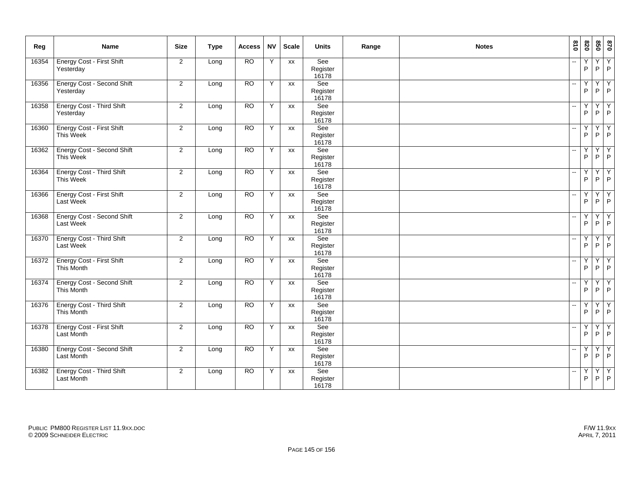| Reg   | Name                                            | <b>Size</b>             | <b>Type</b> | <b>Access</b>   | <b>NV</b> | <b>Scale</b> | <b>Units</b>             | Range | <b>Notes</b> | 018                      | 0Z8                            | 850                 | 028                                     |
|-------|-------------------------------------------------|-------------------------|-------------|-----------------|-----------|--------------|--------------------------|-------|--------------|--------------------------|--------------------------------|---------------------|-----------------------------------------|
| 16354 | <b>Energy Cost - First Shift</b><br>Yesterday   | $\overline{2}$          | Long        | <b>RO</b>       | Υ         | XX           | See<br>Register<br>16178 |       |              | $\overline{\phantom{a}}$ | Y<br>P                         | $\overline{Y}$<br>P | $\begin{array}{c}\nY \\ P\n\end{array}$ |
| 16356 | <b>Energy Cost - Second Shift</b><br>Yesterday  | $\overline{2}$          | Long        | <b>RO</b>       | Υ         | XX           | See<br>Register<br>16178 |       |              | ۵.                       | Y<br>$\mathsf P$               | Y<br>P              | $\begin{array}{c}\nY \\ P\n\end{array}$ |
| 16358 | <b>Energy Cost - Third Shift</b><br>Yesterday   | $\overline{2}$          | Long        | <b>RO</b>       | Y         | XX           | See<br>Register<br>16178 |       |              |                          | Y<br>P                         | Υ<br>P              | Υ<br>$\mathsf P$                        |
| 16360 | Energy Cost - First Shift<br>This Week          | 2                       | Long        | <b>RO</b>       | Υ         | <b>XX</b>    | See<br>Register<br>16178 |       |              | $\overline{\phantom{a}}$ | Y<br>$\mathsf P$               | Y<br>P              | $\frac{Y}{P}$                           |
| 16362 | <b>Energy Cost - Second Shift</b><br>This Week  | $\overline{\mathbf{c}}$ | Long        | <b>RO</b>       | Y         | <b>XX</b>    | See<br>Register<br>16178 |       |              |                          | Y<br>$\mathsf P$               | Y<br>P              | Y<br>$\mathsf{P}$                       |
| 16364 | <b>Energy Cost - Third Shift</b><br>This Week   | $\overline{2}$          | Long        | <b>RO</b>       | Y         | <b>XX</b>    | See<br>Register<br>16178 |       |              |                          | Y<br>P                         | Y<br>P              | Υ<br>$\mathsf P$                        |
| 16366 | <b>Energy Cost - First Shift</b><br>Last Week   | $\overline{2}$          | Long        | <b>RO</b>       | Υ         | <b>XX</b>    | See<br>Register<br>16178 |       |              |                          | Y<br>$\mathsf{P}$              | Y<br>P              | $\frac{Y}{P}$                           |
| 16368 | <b>Energy Cost - Second Shift</b><br>Last Week  | 2                       | Long        | $\overline{RO}$ | Y         | XX           | See<br>Register<br>16178 |       |              |                          | Y<br>P                         | Y<br>P              | $\begin{array}{c}\nY \\ P\n\end{array}$ |
| 16370 | <b>Energy Cost - Third Shift</b><br>Last Week   | $\overline{2}$          | Long        | $\overline{RO}$ | Y         | XX           | See<br>Register<br>16178 |       |              |                          | Y<br>P                         | Υ<br>P              | $\frac{Y}{P}$                           |
| 16372 | Energy Cost - First Shift<br>This Month         | $\overline{2}$          | Long        | <b>RO</b>       | Y         | XX           | See<br>Register<br>16178 |       |              |                          | Y<br>P                         | Y<br>P              | $\begin{array}{c}\nY \\ P\n\end{array}$ |
| 16374 | Energy Cost - Second Shift<br>This Month        | 2                       | Long        | <b>RO</b>       | Y         | <b>XX</b>    | See<br>Register<br>16178 |       |              |                          | $\overline{Y}$<br>P            | Y<br>P              | Y<br>$\overline{P}$                     |
| 16376 | <b>Energy Cost - Third Shift</b><br>This Month  | $\overline{2}$          | Long        | <b>RO</b>       | Y         | <b>XX</b>    | See<br>Register<br>16178 |       |              | $\overline{a}$           | Y<br>P                         | Y<br>P              | $\overline{Y}$<br>$\mathsf P$           |
| 16378 | Energy Cost - First Shift<br>Last Month         | $\overline{2}$          | Long        | <b>RO</b>       | Y         | XX           | See<br>Register<br>16178 |       |              | $\overline{\phantom{a}}$ | $\overline{Y}$<br>$\mathsf{P}$ | Y<br>P              | $\begin{array}{c}\nY \\ P\n\end{array}$ |
| 16380 | <b>Energy Cost - Second Shift</b><br>Last Month | 2                       | Long        | <b>RO</b>       | Υ         | <b>XX</b>    | See<br>Register<br>16178 |       |              |                          | Y<br>P                         | Y<br>P              | $\begin{array}{c} Y \\ P \end{array}$   |
| 16382 | <b>Energy Cost - Third Shift</b><br>Last Month  | $\overline{2}$          | Long        | <b>RO</b>       | Y         | <b>XX</b>    | See<br>Register<br>16178 |       |              |                          | Y<br>P                         | Y<br>P              | $\overline{Y}$<br>P                     |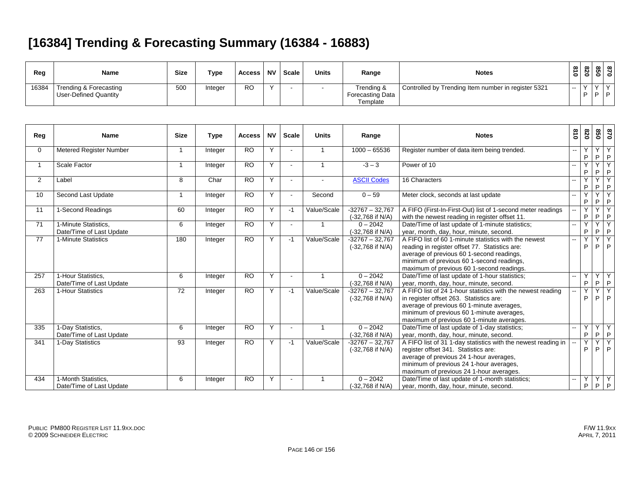# **[16384] Trending & Forecasting Summary (16384 - 16883)**

| Reg   | Name                   | <b>Size</b> | Type    | Access    | <b>NV</b> | Scale | <b>Units</b> | Range                   | <b>Notes</b>                                        | $\infty$<br>$\circ$      | $\infty$<br>N.<br>01 | $\infty$<br>ທ<br>0 | ന 1<br>o |
|-------|------------------------|-------------|---------|-----------|-----------|-------|--------------|-------------------------|-----------------------------------------------------|--------------------------|----------------------|--------------------|----------|
| 16384 | Trending & Forecasting | 500         | Integer | <b>RO</b> |           |       |              | Trending &              | Controlled by Trending Item number in register 5321 | $\overline{\phantom{a}}$ |                      |                    |          |
|       | User-Defined Quantity  |             |         |           |           |       |              | <b>Forecasting Data</b> |                                                     |                          | D.                   | D                  |          |
|       |                        |             |         |           |           |       |              | Template                |                                                     |                          |                      |                    |          |

| Reg             | <b>Name</b>                                      | <b>Size</b>     | <b>Type</b> | <b>Access</b>   | <b>NV</b> | <b>Scale</b>   | <b>Units</b>   | Range                                 | <b>Notes</b>                                                                                                                                                                                                                                   | 018   | 078                          | 850                          | 028                            |
|-----------------|--------------------------------------------------|-----------------|-------------|-----------------|-----------|----------------|----------------|---------------------------------------|------------------------------------------------------------------------------------------------------------------------------------------------------------------------------------------------------------------------------------------------|-------|------------------------------|------------------------------|--------------------------------|
| $\mathbf{0}$    | Metered Register Number                          |                 | Integer     | <b>RO</b>       | Y         |                | $\overline{1}$ | $1000 - 65536$                        | Register number of data item being trended.                                                                                                                                                                                                    | $- -$ | Y<br>P                       | $\checkmark$<br>P            | Y<br>P                         |
|                 | Scale Factor                                     |                 | Integer     | <b>RO</b>       | Y         |                | $\mathbf 1$    | $-3 - 3$                              | Power of 10                                                                                                                                                                                                                                    |       | Y<br>P                       | Y<br>P                       | k<br>P                         |
| $\overline{2}$  | Label                                            | 8               | Char        | <b>RO</b>       | Y         | $\blacksquare$ |                | <b>ASCII Codes</b>                    | 16 Characters                                                                                                                                                                                                                                  |       | Y<br>P                       | P                            | $\overline{\mathsf{v}}$<br>P   |
| 10              | Second Last Update                               |                 | Integer     | $\overline{RO}$ | Y         | $\blacksquare$ | Second         | $0 - 59$                              | Meter clock, seconds at last update                                                                                                                                                                                                            |       | Y<br>P                       | $\overline{\mathsf{v}}$<br>P | $\overline{\mathsf{v}}$<br>P   |
| 11              | 1-Second Readings                                | 60              | Integer     | $\overline{RO}$ | Y         | -1             | Value/Scale    | $-32767 - 32.767$<br>(-32,768 if N/A) | A FIFO (First-In-First-Out) list of 1-second meter readings<br>with the newest reading in register offset 11                                                                                                                                   |       | Y<br>P                       | $\overline{\mathsf{v}}$<br>P | $\overline{\mathsf{v}}$<br>P   |
| 71              | 1-Minute Statistics.<br>Date/Time of Last Update | 6               | Integer     | <b>RO</b>       | Y         |                | $\overline{1}$ | $0 - 2042$<br>(-32,768 if N/A)        | Date/Time of last update of 1-minute statistics;<br>year, month, day, hour, minute, second.                                                                                                                                                    |       | Y<br>P                       | $\overline{\mathsf{v}}$<br>P | $\overline{Y}$<br>$\mathsf{P}$ |
| $\overline{77}$ | 1-Minute Statistics                              | 180             | Integer     | $\overline{RO}$ | Y         | $-1$           | Value/Scale    | $-32767 - 32.767$<br>(-32,768 if N/A) | A FIFO list of 60 1-minute statistics with the newest<br>reading in register offset 77. Statistics are:<br>average of previous 60 1-second readings,<br>minimum of previous 60 1-second readings,<br>maximum of previous 60 1-second readings. |       | $\overline{\mathsf{Y}}$<br>P | $\overline{\mathsf{v}}$<br>P | $\overline{Y}$<br>P            |
| 257             | 1-Hour Statistics,<br>Date/Time of Last Update   | 6               | Integer     | <b>RO</b>       | Y         | $\sim$         | -1             | $0 - 2042$<br>(-32,768 if N/A)        | Date/Time of last update of 1-hour statistics;<br>year, month, day, hour, minute, second.                                                                                                                                                      | -−    | Y<br>P                       | Y<br>P.                      | Y<br>P                         |
| 263             | 1-Hour Statistics                                | $\overline{72}$ | Integer     | $\overline{RO}$ | Y         | $-1$           | Value/Scale    | $-32767 - 32.767$<br>(-32,768 if N/A) | A FIFO list of 24 1-hour statistics with the newest reading<br>in register offset 263. Statistics are:<br>average of previous 60 1-minute averages,<br>minimum of previous 60 1-minute averages,<br>maximum of previous 60 1-minute averages.  |       | Y<br>P                       | Y<br>P                       | $\overline{Y}$<br>P            |
| 335             | 1-Day Statistics,<br>Date/Time of Last Update    | 6               | Integer     | <b>RO</b>       | Y         | $\blacksquare$ |                | $0 - 2042$<br>(-32,768 if N/A)        | Date/Time of last update of 1-day statistics;<br>year, month, day, hour, minute, second.                                                                                                                                                       |       | Y<br>P                       | Y<br>P                       | $\mathsf{Y}$<br>P              |
| 341             | 1-Day Statistics                                 | 93              | Integer     | <b>RO</b>       | Y         | -1             | Value/Scale    | $-32767 - 32,767$<br>(-32,768 if N/A) | A FIFO list of 31 1-day statistics with the newest reading in<br>register offset 341. Statistics are:<br>average of previous 24 1-hour averages,<br>minimum of previous 24 1-hour averages,<br>maximum of previous 24 1-hour averages.         |       | Y<br>P                       | Y<br>P                       | Y<br>P                         |
| 434             | 1-Month Statistics.<br>Date/Time of Last Update  | 6               | Integer     | <b>RO</b>       | Y         |                |                | $0 - 2042$<br>(-32.768 if N/A)        | Date/Time of last update of 1-month statistics;<br>year, month, day, hour, minute, second.                                                                                                                                                     |       | Y<br>P                       | Y<br>P                       | Y<br>P                         |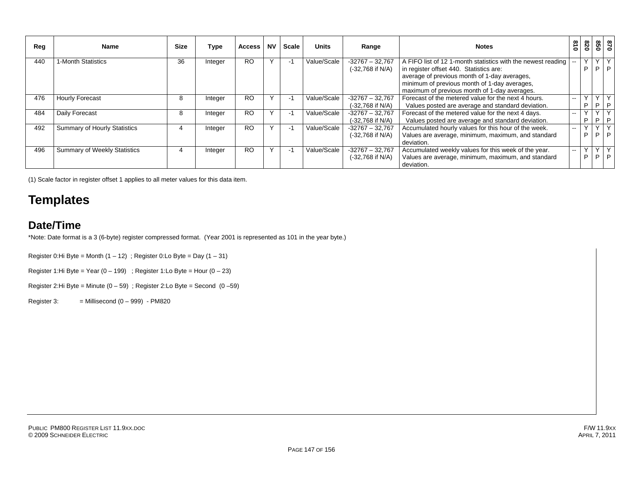| Reg | Name                                | <b>Size</b> | Type    | <b>Access</b> | <b>NV</b> | <b>Scale</b>             | <b>Units</b> | Range                                   | <b>Notes</b>                                                                                                                                                                                                                                            | 018    | 820               | 098              | 0/8          |
|-----|-------------------------------------|-------------|---------|---------------|-----------|--------------------------|--------------|-----------------------------------------|---------------------------------------------------------------------------------------------------------------------------------------------------------------------------------------------------------------------------------------------------------|--------|-------------------|------------------|--------------|
| 440 | 1-Month Statistics                  | 36          | Integer | <b>RO</b>     |           | $\overline{\phantom{a}}$ | Value/Scale  | $-32767 - 32,767$<br>(-32,768 if N/A)   | A FIFO list of 12 1-month statistics with the newest reading<br>in register offset 440. Statistics are:<br>average of previous month of 1-day averages,<br>minimum of previous month of 1-day averages,<br>maximum of previous month of 1-day averages. | $\sim$ | <b>V</b><br>P     | P.               | P            |
| 476 | <b>Hourly Forecast</b>              | 8           | Integer | <b>RO</b>     |           | $\sim$                   | Value/Scale  | $-32767 - 32,767$<br>$(-32,768$ if N/A) | Forecast of the metered value for the next 4 hours.<br>Values posted are average and standard deviation.                                                                                                                                                | $- -$  | $\vee$<br>P       | P.               |              |
| 484 | Daily Forecast                      | 8           | Integer | <b>RO</b>     |           | $\sim$                   | Value/Scale  | $-32767 - 32,767$<br>$(-32,768$ if N/A) | Forecast of the metered value for the next 4 days.<br>Values posted are average and standard deviation.                                                                                                                                                 | $- -$  | $\checkmark$<br>P | P.               |              |
| 492 | Summary of Hourly Statistics        |             | Integer | <b>RO</b>     |           | $\overline{\phantom{a}}$ | Value/Scale  | $-32767 - 32,767$<br>(-32,768 if N/A)   | Accumulated hourly values for this hour of the week.<br>Values are average, minimum, maximum, and standard<br>deviation.                                                                                                                                | --     | Υ<br>P            | $\vee$<br>D.     | $\checkmark$ |
| 496 | <b>Summary of Weekly Statistics</b> |             | Integer | <b>RO</b>     |           |                          | Value/Scale  | $-32767 - 32767$<br>(-32,768 if N/A)    | Accumulated weekly values for this week of the year.<br>Values are average, minimum, maximum, and standard<br>deviation.                                                                                                                                | --     | $\vee$<br>P       | $\sqrt{ }$<br>P. | $\checkmark$ |

(1) Scale factor in register offset 1 applies to all meter values for this data item.

### **Templates**

#### **Date/Time**

\*Note: Date format is a 3 (6-byte) register compressed format. (Year 2001 is represented as 101 in the year byte.)

Register 0:Hi Byte = Month  $(1 - 12)$ ; Register 0:Lo Byte = Day  $(1 - 31)$ 

Register 1:Hi Byte = Year  $(0 - 199)$ ; Register 1:Lo Byte = Hour  $(0 - 23)$ 

Register 2:Hi Byte = Minute  $(0 - 59)$ ; Register 2:Lo Byte = Second  $(0 - 59)$ 

Register 3:  $=$  Millisecond  $(0 - 999) -$  PM820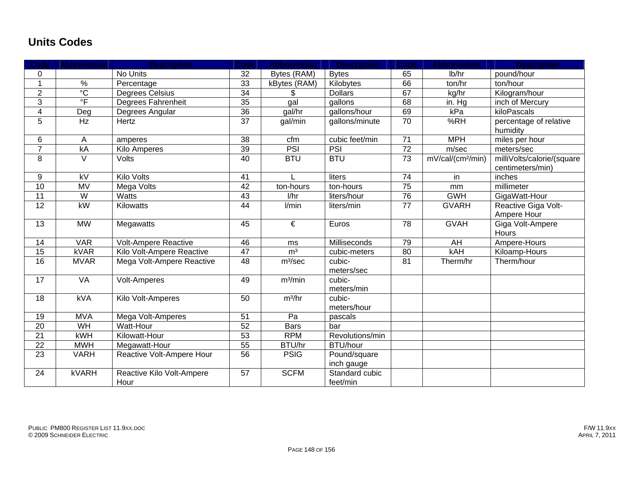#### **Units Codes**

| Code             | <b>Abbreviation</b>       | <b>Description</b>                | Code            | <b>Abbreviation</b>   | <b>Description</b>         | Code            | <b>Abbreviation</b>           | <b>Description</b>                             |
|------------------|---------------------------|-----------------------------------|-----------------|-----------------------|----------------------------|-----------------|-------------------------------|------------------------------------------------|
| 0                |                           | No Units                          | 32              | Bytes (RAM)           | <b>Bytes</b>               | 65              | lb/hr                         | pound/hour                                     |
| $\mathbf{1}$     | $\frac{9}{6}$             | Percentage                        | 33              | kBytes (RAM)          | Kilobytes                  | 66              | ton/hr                        | ton/hour                                       |
| $\overline{2}$   | $\overline{C}$            | <b>Degrees Celsius</b>            | 34              |                       | <b>Dollars</b>             | 67              | kg/hr                         | Kilogram/hour                                  |
| $\overline{3}$   | $\overline{\overline{F}}$ | Degrees Fahrenheit                | 35              | gal                   | gallons                    | 68              | in. Hg                        | inch of Mercury                                |
| $\overline{4}$   | Deg                       | Degrees Angular                   | 36              | gal/hr                | gallons/hour               | 69              | kPa                           | kiloPascals                                    |
| 5                | Hz                        | Hertz                             | $\overline{37}$ | gal/min               | gallons/minute             | 70              | %RH                           | percentage of relative<br>humidity             |
| $\,6$            | $\mathsf{A}$              | amperes                           | 38              | cfm                   | cubic feet/min             | 71              | <b>MPH</b>                    | miles per hour                                 |
| $\overline{7}$   | kA                        | Kilo Amperes                      | 39              | PSI                   | PSI                        | $\overline{72}$ | m/sec                         | meters/sec                                     |
| 8                | $\vee$                    | Volts                             | 40              | <b>BTU</b>            | <b>BTU</b>                 | 73              | mV/cal/(cm <sup>2</sup> /min) | milliVolts/calorie/(square<br>centimeters/min) |
| $\boldsymbol{9}$ | $\overline{kV}$           | <b>Kilo Volts</b>                 | 41              |                       | liters                     | $\overline{74}$ | in                            | inches                                         |
| $\overline{10}$  | <b>MV</b>                 | <b>Mega Volts</b>                 | 42              | ton-hours             | ton-hours                  | $\overline{75}$ | mm                            | millimeter                                     |
| 11               | $\overline{W}$            | <b>Watts</b>                      | 43              | 1/hr                  | liters/hour                | 76              | <b>GWH</b>                    | GigaWatt-Hour                                  |
| $\overline{12}$  | kW                        | Kilowatts                         | $\overline{44}$ | l/min                 | liters/min                 | $\overline{77}$ | <b>GVARH</b>                  | Reactive Giga Volt-<br>Ampere Hour             |
| 13               | <b>MW</b>                 | Megawatts                         | 45              | $\overline{\epsilon}$ | Euros                      | 78              | <b>GVAH</b>                   | Giga Volt-Ampere<br>Hours                      |
| 14               | <b>VAR</b>                | Volt-Ampere Reactive              | 46              | ms                    | Milliseconds               | 79              | AH                            | Ampere-Hours                                   |
| 15               | <b>kVAR</b>               | Kilo Volt-Ampere Reactive         | $\overline{47}$ | m <sup>3</sup>        | cubic-meters               | $\overline{80}$ | <b>kAH</b>                    | Kiloamp-Hours                                  |
| 16               | <b>MVAR</b>               | Mega Volt-Ampere Reactive         | 48              | m <sup>3</sup> /sec   | cubic-<br>meters/sec       | 81              | Therm/hr                      | Therm/hour                                     |
| 17               | <b>VA</b>                 | <b>Volt-Amperes</b>               | 49              | m <sup>3</sup> /min   | cubic-<br>meters/min       |                 |                               |                                                |
| 18               | kVA                       | Kilo Volt-Amperes                 | 50              | $m^3/hr$              | cubic-<br>meters/hour      |                 |                               |                                                |
| 19               | <b>MVA</b>                | Mega Volt-Amperes                 | 51              | Pa                    | pascals                    |                 |                               |                                                |
| $\overline{20}$  | WH                        | Watt-Hour                         | 52              | <b>Bars</b>           | bar                        |                 |                               |                                                |
| 21               | kWH                       | Kilowatt-Hour                     | 53              | <b>RPM</b>            | Revolutions/min            |                 |                               |                                                |
| 22               | <b>MWH</b>                | Megawatt-Hour                     | 55              | BTU/hr                | <b>BTU/hour</b>            |                 |                               |                                                |
| 23               | <b>VARH</b>               | Reactive Volt-Ampere Hour         | 56              | <b>PSIG</b>           | Pound/square<br>inch gauge |                 |                               |                                                |
| 24               | <b>kVARH</b>              | Reactive Kilo Volt-Ampere<br>Hour | 57              | <b>SCFM</b>           | Standard cubic<br>feet/min |                 |                               |                                                |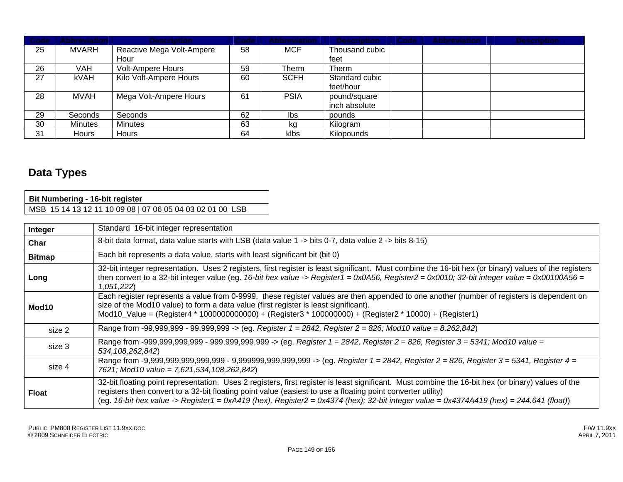| Code <sup>1</sup> | <b>Abbreviation</b> | <b>Description</b>        | Code | <b>Abbreviation</b> | <b>Description</b> | Code | <b>Abbreviation</b> | <b>Description</b> |
|-------------------|---------------------|---------------------------|------|---------------------|--------------------|------|---------------------|--------------------|
| 25                | MVARH               | Reactive Mega Volt-Ampere | 58   | <b>MCF</b>          | Thousand cubic     |      |                     |                    |
|                   |                     | Hour                      |      |                     | feet               |      |                     |                    |
| 26                | VAH                 | <b>Volt-Ampere Hours</b>  | 59   | Therm               | Therm              |      |                     |                    |
| 27                | <b>kVAH</b>         | Kilo Volt-Ampere Hours    | 60   | <b>SCFH</b>         | Standard cubic     |      |                     |                    |
|                   |                     |                           |      |                     | feet/hour          |      |                     |                    |
| 28                | MVAH                | Mega Volt-Ampere Hours    | 61   | <b>PSIA</b>         | pound/square       |      |                     |                    |
|                   |                     |                           |      |                     | inch absolute      |      |                     |                    |
| 29                | Seconds             | Seconds                   | 62   | Ibs                 | pounds             |      |                     |                    |
| 30                | Minutes             | <b>Minutes</b>            | 63   | kg                  | Kilogram           |      |                     |                    |
| 31                | <b>Hours</b>        | <b>Hours</b>              | 64   | klbs                | Kilopounds         |      |                     |                    |

### **Data Types**

 $\Gamma$ 

| <b>Bit Numbering - 16-bit register</b>                    |  |
|-----------------------------------------------------------|--|
| MSB 15 14 13 12 11 10 09 08   07 06 05 04 03 02 01 00 LSB |  |

| Integer           | Standard 16-bit integer representation                                                                                                                                                                                                                                                                                                                                                                       |
|-------------------|--------------------------------------------------------------------------------------------------------------------------------------------------------------------------------------------------------------------------------------------------------------------------------------------------------------------------------------------------------------------------------------------------------------|
| Char              | 8-bit data format, data value starts with LSB (data value 1 -> bits 0-7, data value 2 -> bits 8-15)                                                                                                                                                                                                                                                                                                          |
| <b>Bitmap</b>     | Each bit represents a data value, starts with least significant bit (bit 0)                                                                                                                                                                                                                                                                                                                                  |
| Long              | 32-bit integer representation. Uses 2 registers, first register is least significant. Must combine the 16-bit hex (or binary) values of the registers<br>then convert to a 32-bit integer value (eg. 16-bit hex value -> Register1 = 0x0A56, Register2 = 0x0010; 32-bit integer value = 0x00100A56 =<br>1,051,222)                                                                                           |
| Mod <sub>10</sub> | Each register represents a value from 0-9999, these register values are then appended to one another (number of registers is dependent on<br>size of the Mod10 value) to form a data value (first register is least significant).<br>Mod10_Value = (Register4 * 1000000000000) + (Register3 * 100000000) + (Register2 * 10000) + (Register1)                                                                 |
| size 2            | Range from -99,999,999 - 99,999,999 -> (eg. Register 1 = 2842, Register 2 = 826; Mod10 value = 8,262,842)                                                                                                                                                                                                                                                                                                    |
| size 3            | Range from -999,999,999,999 - 999,999,999,999 -> (eg. Register 1 = 2842, Register 2 = 826, Register 3 = 5341; Mod10 value =<br>534, 108, 262, 842)                                                                                                                                                                                                                                                           |
| size 4            | 7621; Mod10 value = 7,621,534,108,262,842)                                                                                                                                                                                                                                                                                                                                                                   |
| <b>Float</b>      | 32-bit floating point representation. Uses 2 registers, first register is least significant. Must combine the 16-bit hex (or binary) values of the<br>registers then convert to a 32-bit floating point value (easiest to use a floating point converter utility)<br>(eg. 16-bit hex value -> Register1 = 0xA419 (hex), Register2 = 0x4374 (hex); 32-bit integer value = 0x4374A419 (hex) = 244.641 (float)) |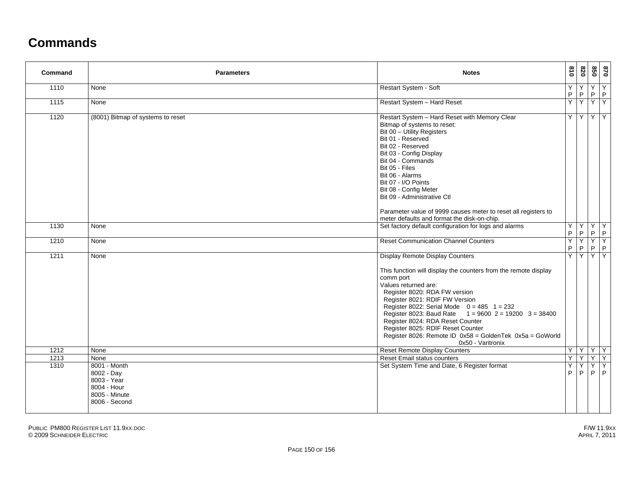## **Commands**

| Command      | <b>Parameters</b>                                                                                  | <b>Notes</b>                                                                                                                                                                                                                                                                                                                                                                                                                                                                           | 018              | 078               | 850     | 0/8                   |
|--------------|----------------------------------------------------------------------------------------------------|----------------------------------------------------------------------------------------------------------------------------------------------------------------------------------------------------------------------------------------------------------------------------------------------------------------------------------------------------------------------------------------------------------------------------------------------------------------------------------------|------------------|-------------------|---------|-----------------------|
| 1110         | None                                                                                               | Restart System - Soft                                                                                                                                                                                                                                                                                                                                                                                                                                                                  | Υ<br>$\mathsf P$ | Y<br>$\mathsf P$  | $\sf P$ | YY<br> P              |
| 1115         | None                                                                                               | Restart System - Hard Reset                                                                                                                                                                                                                                                                                                                                                                                                                                                            | Ÿ                | $\overline{Y}$    |         | $Y$ $Y$               |
| 1120         | (8001) Bitmap of systems to reset                                                                  | Restart System - Hard Reset with Memory Clear<br>Bitmap of systems to reset:<br>Bit 00 - Utility Registers<br>Bit 01 - Reserved<br>Bit 02 - Reserved<br>Bit 03 - Config Display<br>Bit 04 - Commands<br>Bit 05 - Files<br>Bit 06 - Alarms<br>Bit 07 - I/O Points<br>Bit 08 - Config Meter<br>Bit 09 - Administrative Ctl<br>Parameter value of 9999 causes meter to reset all registers to<br>meter defaults and format the disk-on-chip.                                              | Y                |                   |         | YYY                   |
| 1130         | None                                                                                               | Set factory default configuration for logs and alarms                                                                                                                                                                                                                                                                                                                                                                                                                                  | Υ<br>P           | $\mathsf P$       | P       | YYY<br> P             |
| 1210         | None                                                                                               | <b>Reset Communication Channel Counters</b>                                                                                                                                                                                                                                                                                                                                                                                                                                            | Y<br>P.          | Y<br>$\mathsf P$  | P       | YY<br>P               |
| 1211         | None                                                                                               | <b>Display Remote Display Counters</b><br>This function will display the counters from the remote display<br>comm port<br>Values returned are:<br>Register 8020: RDA FW version<br>Register 8021: RDIF FW Version<br>Register 8022: Serial Mode $0 = 485$ 1 = 232<br>Register 8023: Baud Rate $1 = 9600$ 2 = 19200 3 = 38400<br>Register 8024: RDA Reset Counter<br>Register 8025: RDIF Reset Counter<br>Register 8026: Remote ID 0x58 = GoldenTek 0x5a = GoWorld<br>0x50 - Varitronix | Y                | Y                 | Y       | <b>Y</b>              |
| 1212         | None                                                                                               | <b>Reset Remote Display Counters</b>                                                                                                                                                                                                                                                                                                                                                                                                                                                   | Y                | YYY               |         |                       |
| 1213<br>1310 | None<br>8001 - Month<br>8002 - Day<br>8003 - Year<br>8004 - Hour<br>8005 - Minute<br>8006 - Second | Reset Email status counters<br>Set System Time and Date, 6 Register format                                                                                                                                                                                                                                                                                                                                                                                                             | Y<br>Ÿ<br>P      | Y<br>$\mathsf{P}$ | Υ<br>P  | $Y$ $Y$ $Y$<br>Y<br>P |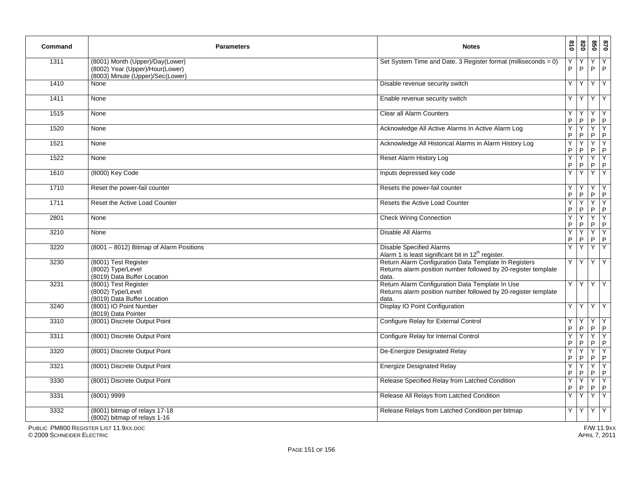| Command | <b>Parameters</b>                                                                                      | <b>Notes</b>                                                                                                                     | $\overline{0}18$ | 078    | 098              | 028                 |
|---------|--------------------------------------------------------------------------------------------------------|----------------------------------------------------------------------------------------------------------------------------------|------------------|--------|------------------|---------------------|
| 1311    | (8001) Month (Upper)/Day(Lower)<br>(8002) Year (Upper)/Hour(Lower)<br>(8003) Minute (Upper)/Sec(Lower) | Set System Time and Date, 3 Register format (milliseconds = 0)                                                                   | Υ<br>P           | P      | P                | Y<br>$\mathsf{P}$   |
| 1410    | None                                                                                                   | Disable revenue security switch                                                                                                  | Y                | Υ      | Y                | Y                   |
| 1411    | None                                                                                                   | Enable revenue security switch                                                                                                   | Y                | Y      | Y                | Y                   |
| 1515    | None                                                                                                   | <b>Clear all Alarm Counters</b>                                                                                                  | Υ<br>P           | P      | Y<br>P           | $\mathsf{P}$        |
| 1520    | None                                                                                                   | Acknowledge All Active Alarms In Active Alarm Log                                                                                | Υ<br>P           | Y<br>P | Y<br>P.          | Y<br>$\mathsf{P}$   |
| 1521    | None                                                                                                   | Acknowledge All Historical Alarms in Alarm History Log                                                                           | Y<br>P           | Υ<br>P | Y<br>P           | Υ<br>$\mathsf P$    |
| 1522    | None                                                                                                   | <b>Reset Alarm History Log</b>                                                                                                   | Y<br>P           | Y<br>P | Y<br>$\mathsf P$ | Υ<br>$\mathsf P$    |
| 1610    | (8000) Key Code                                                                                        | Inputs depressed key code                                                                                                        | Y                | Y      | Y                | Y                   |
| 1710    | Reset the power-fail counter                                                                           | Resets the power-fail counter                                                                                                    | Υ<br>P           | P      | Y<br>P           | Y<br>$\mathsf{P}$   |
| 1711    | Reset the Active Load Counter                                                                          | Resets the Active Load Counter                                                                                                   | Υ<br>P           | Y<br>P | Y<br>P           | Υ<br>$\mathsf{P}$   |
| 2801    | None                                                                                                   | <b>Check Wiring Connection</b>                                                                                                   | Y<br>P           | Υ<br>P | Y<br>P.          | Y<br>$\overline{P}$ |
| 3210    | None                                                                                                   | Disable All Alarms                                                                                                               | Y<br>P           | Υ<br>P | Y<br>P.          | Υ<br>$\mathsf{P}$   |
| 3220    | (8001 - 8012) Bitmap of Alarm Positions                                                                | <b>Disable Specified Alarms</b><br>Alarm 1 is least significant bit in 12 <sup>th</sup> register.                                | Υ                | Y      | Y                | Y                   |
| 3230    | (8001) Test Register<br>(8002) Type/Level<br>(8019) Data Buffer Location                               | Return Alarm Configuration Data Template In Registers<br>Returns alarm position number followed by 20-register template<br>data. | Y                | Y      | Y                | Y                   |
| 3231    | (8001) Test Register<br>(8002) Type/Level<br>(8019) Data Buffer Location                               | Return Alarm Configuration Data Template In Use<br>Returns alarm position number followed by 20-register template<br>data.       | Y                | Y      | Y                | Y                   |
| 3240    | (8001) IO Point Number<br>(8019) Data Pointer                                                          | Display IO Point Configuration                                                                                                   | Y                | Y      | $\prec$          | Y                   |
| 3310    | (8001) Discrete Output Point                                                                           | Configure Relay for External Control                                                                                             | Υ<br>P           | P      | Y<br>P           | Y<br>P              |
| 3311    | (8001) Discrete Output Point                                                                           | Configure Relay for Internal Control                                                                                             | Υ<br>P           | Υ<br>P | Y<br>P           | Y<br>$\mathsf{P}$   |
| 3320    | (8001) Discrete Output Point                                                                           | De-Energize Designated Relay                                                                                                     | Y<br>$\mathsf P$ | Υ<br>P | Y<br>$\mathsf P$ | Y<br>$\sf P$        |
| 3321    | (8001) Discrete Output Point                                                                           | <b>Energize Designated Relay</b>                                                                                                 | Υ<br>P           | Y<br>P | Y<br>P           | Y<br>$\mathsf{P}$   |
| 3330    | (8001) Discrete Output Point                                                                           | Release Specified Relay from Latched Condition                                                                                   | Y<br>P           | Y<br>P | Y<br>P           | Y<br>P              |
| 3331    | $(8001)$ 9999                                                                                          | Release All Relays from Latched Condition                                                                                        | Y                | Y      | Y                | Y                   |
| 3332    | (8001) bitmap of relays 17-18<br>(8002) bitmap of relays 1-16                                          | Release Relays from Latched Condition per bitmap                                                                                 | Y                | Y      | Y                | Y                   |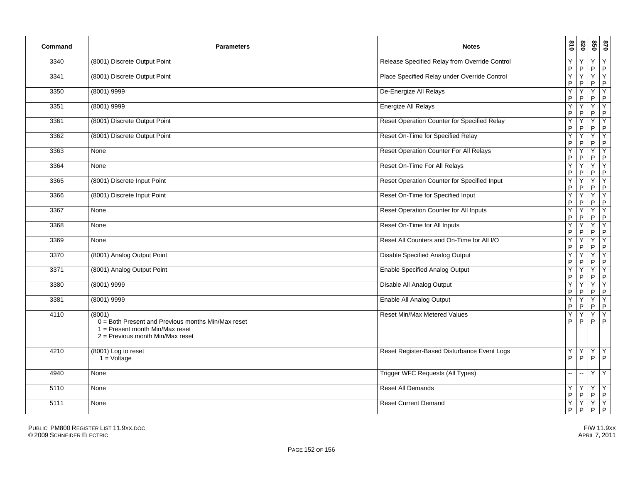| Command | <b>Parameters</b>                                                                                                                         | <b>Notes</b>                                       | 018    | 078               | 098              | 028                           |
|---------|-------------------------------------------------------------------------------------------------------------------------------------------|----------------------------------------------------|--------|-------------------|------------------|-------------------------------|
| 3340    | (8001) Discrete Output Point                                                                                                              | Release Specified Relay from Override Control      | Υ<br>P | P                 | Y.<br>P          | Y<br>$\overline{P}$           |
| 3341    | (8001) Discrete Output Point                                                                                                              | Place Specified Relay under Override Control       | Y<br>P | P                 | Y<br>P           | Y<br>$\mathsf{P}$             |
| 3350    | $(8001)$ 9999                                                                                                                             | De-Energize All Relays                             | Υ<br>P | P                 | P                | Y<br>$\mathsf P$              |
| 3351    | $(8001)$ 9999                                                                                                                             | Energize All Relays                                | Y<br>P | Υ<br>P            | Y<br>P           | Y<br>$\mathsf P$              |
| 3361    | (8001) Discrete Output Point                                                                                                              | <b>Reset Operation Counter for Specified Relay</b> | Υ<br>P | Υ<br>P            | Y<br>P           | Y<br>$\mathsf P$              |
| 3362    | (8001) Discrete Output Point                                                                                                              | Reset On-Time for Specified Relay                  | Υ<br>P | P                 | Y<br>P.          | Y<br>$\mathsf{P}$             |
| 3363    | None                                                                                                                                      | Reset Operation Counter For All Relays             | Y<br>P | P                 | Y<br>P           | Y<br>$\mathsf{P}$             |
| 3364    | None                                                                                                                                      | Reset On-Time For All Relays                       | Υ<br>P | P                 | P                | Y<br>$\mathsf{P}$             |
| 3365    | (8001) Discrete Input Point                                                                                                               | Reset Operation Counter for Specified Input        | Y<br>P | P                 | Y<br>P           | Y<br>$\mathsf P$              |
| 3366    | (8001) Discrete Input Point                                                                                                               | Reset On-Time for Specified Input                  | Υ<br>P | P                 | Y<br>P           | Y<br>P                        |
| 3367    | None                                                                                                                                      | Reset Operation Counter for All Inputs             | Y<br>P | Υ<br>$\mathsf{P}$ | Y<br>$\mathsf P$ | Υ<br>$\sf P$                  |
| 3368    | None                                                                                                                                      | Reset On-Time for All Inputs                       | Υ<br>P | Y<br>P            | Y.<br>P.         | Y<br>$\mathsf{P}$             |
| 3369    | None                                                                                                                                      | Reset All Counters and On-Time for All I/O         | Υ<br>P | P                 | Y<br>P           | Y<br>$\mathsf{P}$             |
| 3370    | (8001) Analog Output Point                                                                                                                | Disable Specified Analog Output                    | Y<br>P | Υ<br>P            | Y<br>P           | $\overline{Y}$<br>$\mathsf P$ |
| 3371    | (8001) Analog Output Point                                                                                                                | <b>Enable Specified Analog Output</b>              | Y<br>P | Υ<br>P            | Y<br>P           | Y<br>$\mathsf{P}$             |
| 3380    | $(8001)$ 9999                                                                                                                             | Disable All Analog Output                          | Υ<br>P | Y<br>P            | Y<br>P           | Y<br>$\mathsf{P}$             |
| 3381    | $(8001)$ 9999                                                                                                                             | Enable All Analog Output                           | Y<br>P | Y<br>P            | Y<br>P           | Y<br>$\mathsf{P}$             |
| 4110    | (8001)<br>$0 =$ Both Present and Previous months Min/Max reset<br>$1 =$ Present month Min/Max reset<br>$2 =$ Previous month Min/Max reset | Reset Min/Max Metered Values                       | Y<br>P | Υ<br>P            | Y<br>P           | Υ<br>P                        |
| 4210    | (8001) Log to reset<br>$1 =$ Voltage                                                                                                      | Reset Register-Based Disturbance Event Logs        | Υ<br>P | Y<br>P            | Y<br>P           | $\overline{Y}$<br>$P$         |
| 4940    | None                                                                                                                                      | <b>Trigger WFC Requests (All Types)</b>            | ш.     | $\overline{a}$    | Y.               | Y                             |
| 5110    | None                                                                                                                                      | <b>Reset All Demands</b>                           | Y<br>P | Y<br>P            | Y<br>P           | $\frac{Y}{P}$                 |
| 5111    | None                                                                                                                                      | <b>Reset Current Demand</b>                        | Υ<br>P | Y<br>P            | Y<br>P           | $\frac{Y}{P}$                 |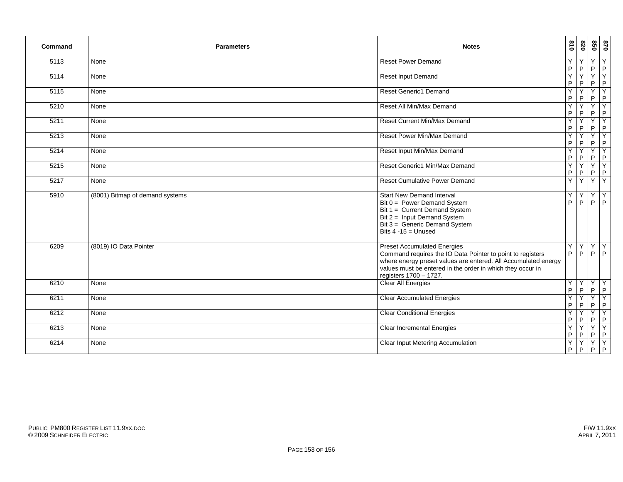| Command | <b>Parameters</b>               | <b>Notes</b>                                                                                                                                                                                                                                               | 018              | 078    | 098                          | 0/8                          |
|---------|---------------------------------|------------------------------------------------------------------------------------------------------------------------------------------------------------------------------------------------------------------------------------------------------------|------------------|--------|------------------------------|------------------------------|
| 5113    | None                            | <b>Reset Power Demand</b>                                                                                                                                                                                                                                  | Y<br>${\sf P}$   | P      | Y<br>P                       | Y<br>P                       |
| 5114    | None                            | <b>Reset Input Demand</b>                                                                                                                                                                                                                                  | Y<br>P           | P      | $\overline{\mathsf{Y}}$<br>P | $\overline{\mathsf{Y}}$<br>P |
| 5115    | None                            | <b>Reset Generic1 Demand</b>                                                                                                                                                                                                                               | Y<br>${\sf P}$   | P      | Y<br>$\overline{P}$          | Y<br>P                       |
| 5210    | None                            | Reset All Min/Max Demand                                                                                                                                                                                                                                   | Y<br>P           | P      | Y<br>P                       | Y<br>P                       |
| 5211    | None                            | Reset Current Min/Max Demand                                                                                                                                                                                                                               | Y<br>P           | Y<br>P | Y<br>P                       | Y<br>$\mathsf P$             |
| 5213    | None                            | Reset Power Min/Max Demand                                                                                                                                                                                                                                 | Y<br>P           | P      | Y<br>P                       | Υ<br>$\mathsf P$             |
| 5214    | None                            | Reset Input Min/Max Demand                                                                                                                                                                                                                                 | Y<br>$\mathsf P$ | Y<br>P | Y<br>$\overline{P}$          | Y<br>P                       |
| 5215    | None                            | Reset Generic1 Min/Max Demand                                                                                                                                                                                                                              | Y<br>P           | P      | Y<br>P                       | Y<br>P                       |
| 5217    | None                            | <b>Reset Cumulative Power Demand</b>                                                                                                                                                                                                                       | Y                | Y      | Y                            | Y                            |
| 5910    | (8001) Bitmap of demand systems | <b>Start New Demand Interval</b><br>Bit 0 = Power Demand System<br>Bit 1 = Current Demand System<br>Bit 2 = Input Demand System<br>Bit 3 = Generic Demand System<br>Bits $4 - 15 =$ Unused                                                                 | Y<br>P           | Y<br>P | Y<br>P                       | Y<br>P                       |
| 6209    | (8019) IO Data Pointer          | <b>Preset Accumulated Energies</b><br>Command requires the IO Data Pointer to point to registers<br>where energy preset values are entered. All Accumulated energy<br>values must be entered in the order in which they occur in<br>registers 1700 - 1727. | Y<br>P           | Y<br>P | $\overline{Y}$<br>P          | Y<br>P                       |
| 6210    | None                            | <b>Clear All Energies</b>                                                                                                                                                                                                                                  | Y<br>$\sf P$     | Y<br>P | Y<br>P                       | Y<br>P                       |
| 6211    | None                            | <b>Clear Accumulated Energies</b>                                                                                                                                                                                                                          | Y<br>P           | P      | Y<br>P                       | Y<br>$\mathsf P$             |
| 6212    | None                            | <b>Clear Conditional Energies</b>                                                                                                                                                                                                                          | Y<br>$\sf P$     | Ÿ<br>P | Υ<br>P                       | Y<br>P                       |
| 6213    | None                            | <b>Clear Incremental Energies</b>                                                                                                                                                                                                                          | Y<br>P           | P      | Y<br>P                       | Y<br>P                       |
| 6214    | None                            | Clear Input Metering Accumulation                                                                                                                                                                                                                          | Y<br>P           | Y<br>P | Y<br>P                       | Y<br>P                       |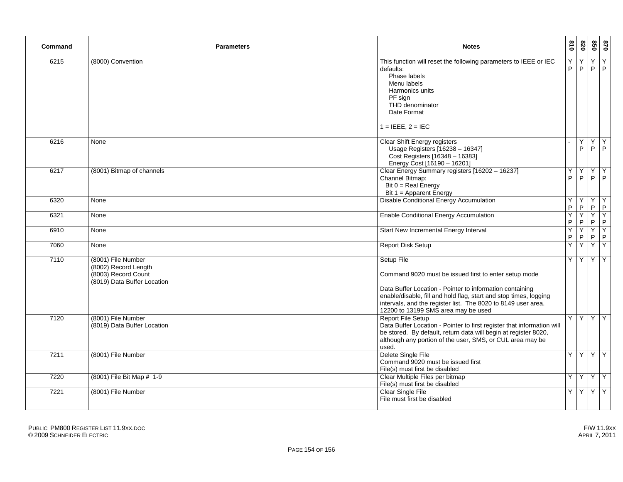| Command | <b>Parameters</b>                                                                                | <b>Notes</b>                                                                                                                                                                                                                                                                                                 | 018    | 078              | 850                | 0/8           |
|---------|--------------------------------------------------------------------------------------------------|--------------------------------------------------------------------------------------------------------------------------------------------------------------------------------------------------------------------------------------------------------------------------------------------------------------|--------|------------------|--------------------|---------------|
| 6215    | (8000) Convention                                                                                | This function will reset the following parameters to IEEE or IEC<br>defaults:<br>Phase labels<br>Menu labels<br>Harmonics units<br>PF sign<br>THD denominator<br>Date Format<br>$1 = IEEE, 2 = IEC$                                                                                                          | Y<br>P | Y<br>P           |                    | YY<br>$P$ $P$ |
| 6216    | None                                                                                             | Clear Shift Energy registers<br>Usage Registers [16238 - 16347]<br>Cost Registers [16348 - 16383]<br>Energy Cost [16190 - 16201]                                                                                                                                                                             |        | Y<br>P           |                    | YY<br>$P$ $P$ |
| 6217    | (8001) Bitmap of channels                                                                        | Clear Energy Summary registers [16202 - 16237]<br>Channel Bitmap:<br>Bit $0 = Real Energy$<br>Bit $1 =$ Apparent Energy                                                                                                                                                                                      | Y<br>P | Y<br>P           | YY<br>$P$ $P$      |               |
| 6320    | None                                                                                             | Disable Conditional Energy Accumulation                                                                                                                                                                                                                                                                      | Y<br>P | Y<br>P           | $Y$ $Y$<br>$P$ $P$ |               |
| 6321    | None                                                                                             | <b>Enable Conditional Energy Accumulation</b>                                                                                                                                                                                                                                                                | Y<br>P | Y<br>P           | $P$ $P$            | YY            |
| 6910    | None                                                                                             | Start New Incremental Energy Interval                                                                                                                                                                                                                                                                        | Y<br>P | Y<br>$\mathsf P$ | $P$ $P$            | YY            |
| 7060    | None                                                                                             | <b>Report Disk Setup</b>                                                                                                                                                                                                                                                                                     | Y      | Y                | YY                 |               |
| 7110    | (8001) File Number<br>(8002) Record Length<br>(8003) Record Count<br>(8019) Data Buffer Location | Setup File<br>Command 9020 must be issued first to enter setup mode<br>Data Buffer Location - Pointer to information containing<br>enable/disable, fill and hold flag, start and stop times, logging<br>intervals, and the register list. The 8020 to 8149 user area,<br>12200 to 13199 SMS area may be used | Y      | Y                | YY                 |               |
| 7120    | (8001) File Number<br>(8019) Data Buffer Location                                                | <b>Report File Setup</b><br>Data Buffer Location - Pointer to first register that information will<br>be stored. By default, return data will begin at register 8020,<br>although any portion of the user, SMS, or CUL area may be<br>used.                                                                  | Y.     | Y                |                    | YY            |
| 7211    | (8001) File Number                                                                               | Delete Single File<br>Command 9020 must be issued first<br>File(s) must first be disabled                                                                                                                                                                                                                    | Y      | Y                | $Y$ $Y$            |               |
| 7220    | (8001) File Bit Map # 1-9                                                                        | Clear Multiple Files per bitmap<br>File(s) must first be disabled                                                                                                                                                                                                                                            | Y.     | $\checkmark$     | $Y$ $Y$            |               |
| 7221    | (8001) File Number                                                                               | <b>Clear Single File</b><br>File must first be disabled                                                                                                                                                                                                                                                      |        | YY               |                    | YY            |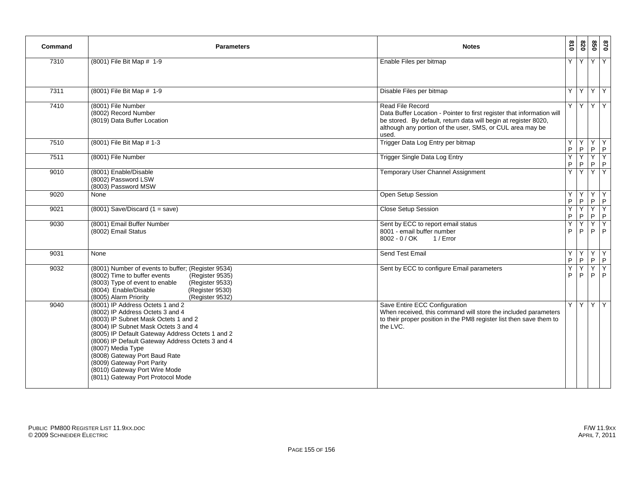| Command | <b>Parameters</b>                                                                                                                                                                                                                                                                                                                                                                                                      | <b>Notes</b>                                                                                                                                                                                                                        | 018    | 0Z8     | 850 | 0/8                |
|---------|------------------------------------------------------------------------------------------------------------------------------------------------------------------------------------------------------------------------------------------------------------------------------------------------------------------------------------------------------------------------------------------------------------------------|-------------------------------------------------------------------------------------------------------------------------------------------------------------------------------------------------------------------------------------|--------|---------|-----|--------------------|
| 7310    | (8001) File Bit Map # 1-9                                                                                                                                                                                                                                                                                                                                                                                              | Enable Files per bitmap                                                                                                                                                                                                             | Y      | Y       |     | YY                 |
| 7311    | (8001) File Bit Map # 1-9                                                                                                                                                                                                                                                                                                                                                                                              | Disable Files per bitmap                                                                                                                                                                                                            | Y      | Y       |     | YY                 |
| 7410    | (8001) File Number<br>(8002) Record Number<br>(8019) Data Buffer Location                                                                                                                                                                                                                                                                                                                                              | Read File Record<br>Data Buffer Location - Pointer to first register that information will<br>be stored. By default, return data will begin at register 8020,<br>although any portion of the user, SMS, or CUL area may be<br>used. | Y      | Y       |     | YY                 |
| 7510    | (8001) File Bit Map # 1-3                                                                                                                                                                                                                                                                                                                                                                                              | Trigger Data Log Entry per bitmap                                                                                                                                                                                                   | Y<br>P | Y.<br>P |     | YY<br>$P$ $P$      |
| 7511    | (8001) File Number                                                                                                                                                                                                                                                                                                                                                                                                     | <b>Trigger Single Data Log Entry</b>                                                                                                                                                                                                | Y<br>P | Y<br>P  |     | $Y$ $Y$<br>$P$ $P$ |
| 9010    | (8001) Enable/Disable<br>(8002) Password LSW<br>(8003) Password MSW                                                                                                                                                                                                                                                                                                                                                    | Temporary User Channel Assignment                                                                                                                                                                                                   | Y      | Y       |     | YY                 |
| 9020    | None                                                                                                                                                                                                                                                                                                                                                                                                                   | Open Setup Session                                                                                                                                                                                                                  | Y<br>P | Y<br>P  |     | YY<br>$P$ $P$      |
| 9021    | $(8001)$ Save/Discard $(1 = save)$                                                                                                                                                                                                                                                                                                                                                                                     | <b>Close Setup Session</b>                                                                                                                                                                                                          | P      | P       | Y   | Y<br>$P$ $P$       |
| 9030    | (8001) Email Buffer Number<br>(8002) Email Status                                                                                                                                                                                                                                                                                                                                                                      | Sent by ECC to report email status<br>8001 - email buffer number<br>8002 - 0 / OK<br>1 / Error                                                                                                                                      | Y<br>P | Y<br>P  |     | YY<br>$P$ $P$      |
| 9031    | None                                                                                                                                                                                                                                                                                                                                                                                                                   | <b>Send Test Email</b>                                                                                                                                                                                                              | Y<br>P | Y<br>P  |     | YY<br>$P$ $P$      |
| 9032    | (8001) Number of events to buffer; (Register 9534)<br>(8002) Time to buffer events<br>(Register 9535)<br>(8003) Type of event to enable<br>(Register 9533)<br>(8004) Enable/Disable<br>(Register 9530)<br>(8005) Alarm Priority<br>(Register 9532)                                                                                                                                                                     | Sent by ECC to configure Email parameters                                                                                                                                                                                           | Y<br>P | Y.<br>P |     | $Y$ $Y$<br>$P$ $P$ |
| 9040    | (8001) IP Address Octets 1 and 2<br>(8002) IP Address Octets 3 and 4<br>(8003) IP Subnet Mask Octets 1 and 2<br>(8004) IP Subnet Mask Octets 3 and 4<br>(8005) IP Default Gateway Address Octets 1 and 2<br>(8006) IP Default Gateway Address Octets 3 and 4<br>(8007) Media Type<br>(8008) Gateway Port Baud Rate<br>(8009) Gateway Port Parity<br>(8010) Gateway Port Wire Mode<br>(8011) Gateway Port Protocol Mode | Save Entire ECC Configuration<br>When received, this command will store the included parameters<br>to their proper position in the PM8 register list then save them to<br>the LVC.                                                  | Y      | Y       |     | YY                 |